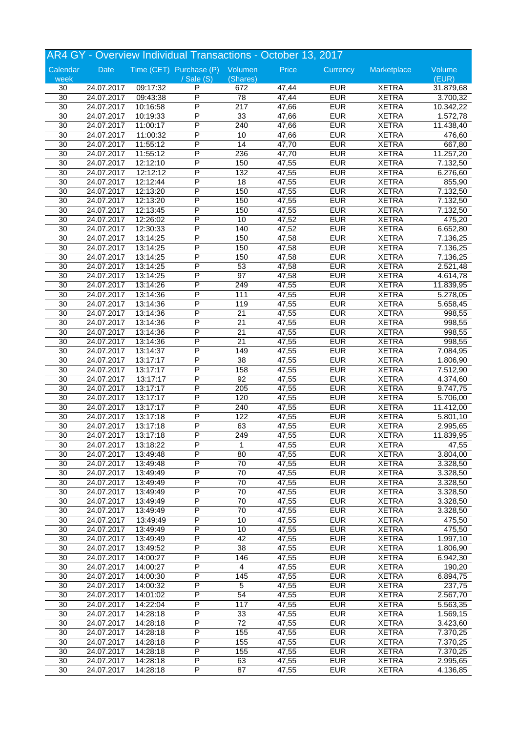| AR4 GY - Overview Individual Transactions - October 13, 2017 |            |          |                                 |                  |       |                          |              |                       |
|--------------------------------------------------------------|------------|----------|---------------------------------|------------------|-------|--------------------------|--------------|-----------------------|
| Calendar                                                     | Date       |          | Time (CET) Purchase (P) Volumen |                  | Price | Currency                 | Marketplace  | Volume                |
| week                                                         |            |          | $/$ Sale $(S)$                  | (Shares)         |       |                          |              | (EUR)                 |
| 30                                                           | 24.07.2017 | 09:17:32 | P                               | 672              | 47,44 | <b>EUR</b>               | <b>XETRA</b> | 31.879,68             |
| $\overline{30}$                                              | 24.07.2017 | 09:43:38 | P                               | $\overline{78}$  | 47,44 | <b>EUR</b>               | <b>XETRA</b> | 3.700,32              |
| 30                                                           | 24.07.2017 | 10:16:58 | P                               | $\overline{217}$ | 47,66 | <b>EUR</b>               | <b>XETRA</b> | 10.342,22             |
| $\overline{30}$                                              | 24.07.2017 | 10:19:33 | P                               | 33               | 47,66 | <b>EUR</b>               | <b>XETRA</b> | 1.572,78              |
| 30                                                           | 24.07.2017 | 11:00:17 | P                               | 240              | 47,66 | <b>EUR</b>               | <b>XETRA</b> | 11.438,40             |
| 30                                                           | 24.07.2017 | 11:00:32 | P                               | 10               | 47,66 | <b>EUR</b>               | <b>XETRA</b> | 476,60                |
| 30                                                           | 24.07.2017 | 11:55:12 | P                               | 14               | 47,70 | <b>EUR</b>               | <b>XETRA</b> | 667,80                |
| 30                                                           | 24.07.2017 | 11:55:12 | P                               | 236              | 47,70 | <b>EUR</b>               | <b>XETRA</b> | 11.257,20             |
| 30                                                           | 24.07.2017 | 12:12:10 | P                               | 150              | 47,55 | <b>EUR</b>               | <b>XETRA</b> | 7.132,50              |
| 30                                                           | 24.07.2017 | 12:12:12 | P                               | 132              | 47,55 | <b>EUR</b>               | <b>XETRA</b> | 6.276,60              |
| 30                                                           | 24.07.2017 | 12:12:44 | P                               | 18               | 47,55 | <b>EUR</b>               | <b>XETRA</b> | 855,90                |
| 30                                                           | 24.07.2017 | 12:13:20 | P                               | 150              | 47,55 | <b>EUR</b>               | <b>XETRA</b> | 7.132,50              |
| 30                                                           | 24.07.2017 | 12:13:20 | P                               | 150              | 47,55 | <b>EUR</b>               | <b>XETRA</b> | 7.132,50              |
| 30                                                           | 24.07.2017 | 12:13:45 | P                               | 150              | 47,55 | <b>EUR</b>               | <b>XETRA</b> | 7.132,50              |
| 30                                                           | 24.07.2017 | 12:26:02 | P                               | 10               | 47,52 | <b>EUR</b>               | <b>XETRA</b> | 475,20                |
| 30                                                           | 24.07.2017 | 12:30:33 | P                               | 140              | 47,52 | <b>EUR</b>               | <b>XETRA</b> | 6.652,80              |
| 30                                                           | 24.07.2017 | 13:14:25 | P                               | 150              | 47,58 | <b>EUR</b>               | <b>XETRA</b> | 7.136,25              |
| 30                                                           | 24.07.2017 | 13:14:25 | P                               | 150              | 47,58 | <b>EUR</b>               | <b>XETRA</b> | 7.136,25              |
| 30                                                           | 24.07.2017 | 13:14:25 | P                               | 150              | 47,58 | <b>EUR</b>               | <b>XETRA</b> | 7.136,25              |
| 30                                                           | 24.07.2017 | 13:14:25 | P                               | 53               | 47,58 | <b>EUR</b>               | <b>XETRA</b> | 2.521,48              |
| 30                                                           | 24.07.2017 | 13:14:25 | P                               | $\overline{97}$  | 47,58 | <b>EUR</b>               | <b>XETRA</b> | 4.614,78              |
| 30                                                           | 24.07.2017 | 13:14:26 | P                               | 249              | 47,55 | <b>EUR</b>               | <b>XETRA</b> | 11.839,95             |
| 30                                                           | 24.07.2017 | 13:14:36 | P                               | 111              | 47,55 | <b>EUR</b>               | <b>XETRA</b> | $\overline{5.278,05}$ |
| $\overline{30}$                                              | 24.07.2017 | 13:14:36 | P                               | 119              | 47,55 | <b>EUR</b>               | <b>XETRA</b> | 5.658,45              |
| 30                                                           | 24.07.2017 | 13:14:36 | P                               | 21               | 47,55 | <b>EUR</b>               | <b>XETRA</b> | 998,55                |
| 30                                                           | 24.07.2017 | 13:14:36 | P                               | $\overline{21}$  | 47,55 | <b>EUR</b>               | <b>XETRA</b> | 998,55                |
| 30                                                           | 24.07.2017 | 13:14:36 | P                               | $\overline{21}$  | 47,55 | <b>EUR</b>               | <b>XETRA</b> | 998,55                |
| 30                                                           | 24.07.2017 | 13:14:36 | P                               | $\overline{21}$  | 47,55 | <b>EUR</b>               | <b>XETRA</b> | 998,55                |
| 30                                                           | 24.07.2017 | 13:14:37 | P                               | 149              | 47,55 | <b>EUR</b>               | <b>XETRA</b> | 7.084,95              |
| 30                                                           | 24.07.2017 | 13:17:17 | P                               | 38               | 47,55 | <b>EUR</b>               | <b>XETRA</b> |                       |
| 30                                                           |            | 13:17:17 | P                               | 158              |       | <b>EUR</b>               |              | 1.806,90              |
|                                                              | 24.07.2017 |          | P                               | 92               | 47,55 |                          | <b>XETRA</b> | 7.512,90              |
| $\overline{30}$                                              | 24.07.2017 | 13:17:17 | P                               | $\overline{205}$ | 47,55 | <b>EUR</b><br><b>EUR</b> | <b>XETRA</b> | 4.374,60              |
| 30                                                           | 24.07.2017 | 13:17:17 | P                               |                  | 47,55 |                          | <b>XETRA</b> | 9.747,75              |
| $\overline{30}$                                              | 24.07.2017 | 13:17:17 |                                 | 120              | 47,55 | <b>EUR</b>               | <b>XETRA</b> | 5.706,00              |
| 30                                                           | 24.07.2017 | 13:17:17 | P                               | 240              | 47,55 | <b>EUR</b>               | <b>XETRA</b> | 11.412,00             |
| 30                                                           | 24.07.2017 | 13:17:18 | P                               | 122              | 47,55 | <b>EUR</b>               | <b>XETRA</b> | 5.801,10              |
| $\overline{30}$                                              | 24.07.2017 | 13:17:18 | P<br>P                          | 63               | 47,55 | <b>EUR</b>               | <b>XETRA</b> | 2.995,65              |
| 30                                                           | 24.07.2017 | 13:17:18 |                                 | 249              | 47,55 | <b>EUR</b>               | <b>XETRA</b> | 11.839,95             |
| 30                                                           | 24.07.2017 | 13:18:22 | P                               | 1                | 47,55 | <b>EUR</b>               | <b>XETRA</b> | 47,55                 |
| 30                                                           | 24.07.2017 | 13:49:48 | P                               | 80               | 47,55 | <b>EUR</b>               | <b>XETRA</b> | 3.804,00              |
| 30                                                           | 24.07.2017 | 13:49:48 | P                               | 70               | 47,55 | <b>EUR</b>               | <b>XETRA</b> | 3.328,50              |
| 30                                                           | 24.07.2017 | 13:49:49 | P                               | $\overline{70}$  | 47,55 | <b>EUR</b>               | <b>XETRA</b> | 3.328,50              |
| 30                                                           | 24.07.2017 | 13:49:49 | P                               | 70               | 47,55 | <b>EUR</b>               | <b>XETRA</b> | 3.328,50              |
| 30                                                           | 24.07.2017 | 13:49:49 | Ρ                               | $\overline{70}$  | 47,55 | <b>EUR</b>               | <b>XETRA</b> | 3.328,50              |
| 30                                                           | 24.07.2017 | 13:49:49 | Ρ                               | 70               | 47,55 | <b>EUR</b>               | <b>XETRA</b> | 3.328,50              |
| 30                                                           | 24.07.2017 | 13:49:49 | P                               | 70               | 47,55 | <b>EUR</b>               | <b>XETRA</b> | 3.328,50              |
| $\overline{30}$                                              | 24.07.2017 | 13:49:49 | P                               | 10               | 47,55 | <b>EUR</b>               | <b>XETRA</b> | 475,50                |
| 30                                                           | 24.07.2017 | 13:49:49 | $\overline{\mathsf{P}}$         | 10               | 47,55 | <b>EUR</b>               | <b>XETRA</b> | 475,50                |
| $\overline{30}$                                              | 24.07.2017 | 13:49:49 | Ρ                               | 42               | 47,55 | <b>EUR</b>               | <b>XETRA</b> | 1.997,10              |
| 30                                                           | 24.07.2017 | 13:49:52 | Ρ                               | 38               | 47,55 | <b>EUR</b>               | <b>XETRA</b> | 1.806,90              |
| 30                                                           | 24.07.2017 | 14:00:27 | Ρ                               | 146              | 47,55 | <b>EUR</b>               | <b>XETRA</b> | 6.942,30              |
| 30                                                           | 24.07.2017 | 14:00:27 | P                               | 4                | 47,55 | <b>EUR</b>               | <b>XETRA</b> | 190,20                |
| 30                                                           | 24.07.2017 | 14:00:30 | P                               | 145              | 47,55 | <b>EUR</b>               | <b>XETRA</b> | 6.894,75              |
| 30                                                           | 24.07.2017 | 14:00:32 | Ρ                               | 5                | 47,55 | <b>EUR</b>               | <b>XETRA</b> | 237,75                |
| 30                                                           | 24.07.2017 | 14:01:02 | Ρ                               | 54               | 47,55 | <b>EUR</b>               | <b>XETRA</b> | 2.567,70              |
| 30                                                           | 24.07.2017 | 14:22:04 | Ρ                               | 117              | 47,55 | <b>EUR</b>               | <b>XETRA</b> | 5.563,35              |
| $\overline{30}$                                              | 24.07.2017 | 14:28:18 | P                               | 33               | 47,55 | <b>EUR</b>               | <b>XETRA</b> | 1.569,15              |
| 30                                                           | 24.07.2017 | 14:28:18 | P                               | $\overline{72}$  | 47,55 | <b>EUR</b>               | <b>XETRA</b> | 3.423,60              |
| $\overline{30}$                                              | 24.07.2017 | 14:28:18 | Ρ                               | 155              | 47,55 | <b>EUR</b>               | <b>XETRA</b> | 7.370,25              |
| 30                                                           | 24.07.2017 | 14:28:18 | Ρ                               | 155              | 47,55 | <b>EUR</b>               | <b>XETRA</b> | 7.370,25              |
| 30                                                           | 24.07.2017 | 14:28:18 | Ρ                               | 155              | 47,55 | <b>EUR</b>               | <b>XETRA</b> | 7.370,25              |
| 30                                                           | 24.07.2017 | 14:28:18 | Ρ                               | 63               | 47,55 | <b>EUR</b>               | <b>XETRA</b> | 2.995,65              |
| 30                                                           | 24.07.2017 | 14:28:18 | P                               | 87               | 47,55 | <b>EUR</b>               | <b>XETRA</b> | 4.136,85              |
|                                                              |            |          |                                 |                  |       |                          |              |                       |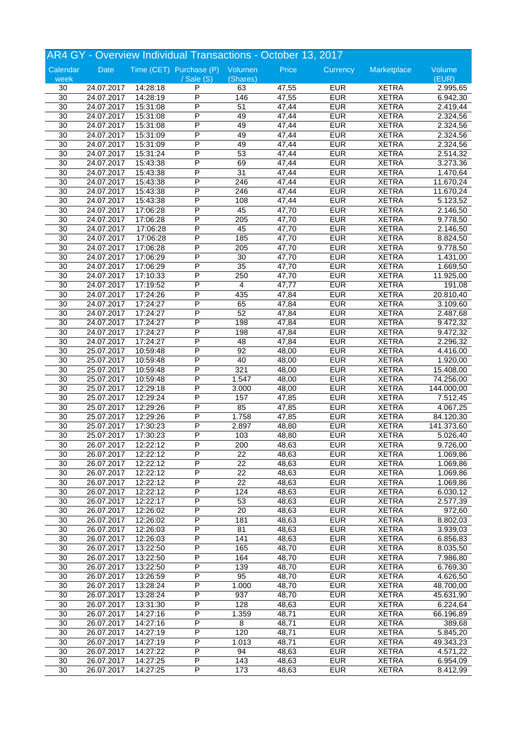| AR4 GY - Overview Individual Transactions - October 13, 2017 |            |          |                                 |                 |       |            |              |                       |
|--------------------------------------------------------------|------------|----------|---------------------------------|-----------------|-------|------------|--------------|-----------------------|
| Calendar                                                     | Date       |          | Time (CET) Purchase (P) Volumen |                 | Price | Currency   | Marketplace  | Volume                |
| week                                                         |            |          | $\sqrt{s}$ ale $(S)$            | (Shares)        |       |            |              | (EUR)                 |
| 30                                                           | 24.07.2017 | 14:28:18 | P                               | 63              | 47,55 | <b>EUR</b> | <b>XETRA</b> | 2.995,65              |
| $\overline{30}$                                              | 24.07.2017 | 14:28:19 | P                               | 146             | 47,55 | <b>EUR</b> | <b>XETRA</b> | 6.942,30              |
| 30                                                           | 24.07.2017 | 15:31:08 | P                               | $\overline{51}$ | 47,44 | <b>EUR</b> | <b>XETRA</b> | 2.419,44              |
| $\overline{30}$                                              | 24.07.2017 | 15:31:08 | P                               | 49              | 47,44 | <b>EUR</b> | <b>XETRA</b> | 2.324,56              |
| 30                                                           | 24.07.2017 | 15:31:08 | P                               | 49              | 47,44 | <b>EUR</b> | <b>XETRA</b> | 2.324,56              |
| 30                                                           | 24.07.2017 | 15:31:09 | P                               | 49              | 47,44 | <b>EUR</b> | <b>XETRA</b> | 2.324,56              |
| 30                                                           | 24.07.2017 | 15:31:09 | P                               | 49              | 47,44 | <b>EUR</b> | <b>XETRA</b> | 2.324,56              |
| 30                                                           | 24.07.2017 | 15:31:24 | P                               | 53              | 47,44 | <b>EUR</b> | <b>XETRA</b> | 2.514,32              |
| 30                                                           | 24.07.2017 | 15:43:38 | P                               | 69              | 47,44 | <b>EUR</b> | <b>XETRA</b> | 3.273,36              |
| 30                                                           | 24.07.2017 | 15:43:38 | P                               | 31              | 47,44 | <b>EUR</b> | <b>XETRA</b> | 1.470,64              |
| 30                                                           | 24.07.2017 | 15:43:38 | P                               | 246             | 47,44 | <b>EUR</b> | <b>XETRA</b> | 11.670,24             |
| 30                                                           | 24.07.2017 | 15:43:38 | P                               | 246             | 47,44 | <b>EUR</b> | <b>XETRA</b> | 11.670,24             |
| 30                                                           | 24.07.2017 | 15:43:38 | P                               | 108             | 47,44 | <b>EUR</b> | <b>XETRA</b> | 5.123,52              |
| 30                                                           | 24.07.2017 | 17:06:28 | P                               | 45              | 47,70 | <b>EUR</b> | <b>XETRA</b> | 2.146,50              |
| 30                                                           | 24.07.2017 | 17:06:28 | P                               | 205             | 47,70 | <b>EUR</b> | <b>XETRA</b> | 9.778,50              |
| 30                                                           | 24.07.2017 | 17:06:28 | P                               | 45              | 47,70 | <b>EUR</b> | <b>XETRA</b> | 2.146,50              |
| 30                                                           | 24.07.2017 | 17:06:28 | P                               | 185             | 47,70 | <b>EUR</b> | <b>XETRA</b> | 8.824,50              |
| 30                                                           | 24.07.2017 | 17:06:28 | P                               | 205             | 47,70 | <b>EUR</b> | <b>XETRA</b> | 9.778,50              |
| 30                                                           | 24.07.2017 | 17:06:29 | P                               | 30              | 47,70 | <b>EUR</b> | <b>XETRA</b> | $\overline{1.431,00}$ |
| 30                                                           | 24.07.2017 | 17:06:29 | P                               | 35              | 47,70 | <b>EUR</b> | <b>XETRA</b> | 1.669,50              |
| 30                                                           | 24.07.2017 | 17:10:33 | P                               | 250             | 47,70 | <b>EUR</b> | <b>XETRA</b> | 11.925,00             |
| 30                                                           | 24.07.2017 | 17:19:52 | P                               | 4               | 47,77 | <b>EUR</b> | <b>XETRA</b> | 191,08                |
| 30                                                           | 24.07.2017 | 17:24:26 | P                               | 435             | 47,84 | <b>EUR</b> | <b>XETRA</b> | 20.810,40             |
| 30                                                           | 24.07.2017 | 17:24:27 | P                               | 65              | 47,84 | <b>EUR</b> | <b>XETRA</b> | 3.109,60              |
| 30                                                           | 24.07.2017 | 17:24:27 | P                               | 52              | 47,84 | <b>EUR</b> | <b>XETRA</b> | 2.487,68              |
| 30                                                           | 24.07.2017 | 17:24:27 | P                               | 198             | 47,84 | <b>EUR</b> | <b>XETRA</b> |                       |
| 30                                                           | 24.07.2017 | 17:24:27 | P                               | 198             | 47,84 | <b>EUR</b> | <b>XETRA</b> | 9.472,32<br>9.472,32  |
|                                                              |            |          | P                               |                 |       | <b>EUR</b> |              |                       |
| 30                                                           | 24.07.2017 | 17:24:27 | P                               | 48              | 47,84 | <b>EUR</b> | <b>XETRA</b> | 2.296,32              |
| $\overline{30}$                                              | 25.07.2017 | 10:59:48 |                                 | 92              | 48,00 |            | <b>XETRA</b> | 4.416,00              |
| 30                                                           | 25.07.2017 | 10:59:48 | P                               | 40              | 48,00 | <b>EUR</b> | <b>XETRA</b> | 1.920,00              |
| 30                                                           | 25.07.2017 | 10:59:48 | P                               | 321             | 48,00 | <b>EUR</b> | <b>XETRA</b> | 15.408,00             |
| $\overline{30}$                                              | 25.07.2017 | 10:59:48 | P                               | 1.547           | 48,00 | <b>EUR</b> | <b>XETRA</b> | 74.256,00             |
| 30                                                           | 25.07.2017 | 12:29:18 | P                               | 3.000           | 48,00 | <b>EUR</b> | <b>XETRA</b> | 144.000,00            |
| $\overline{30}$                                              | 25.07.2017 | 12:29:24 | P                               | 157             | 47,85 | <b>EUR</b> | <b>XETRA</b> | 7.512,45              |
| 30                                                           | 25.07.2017 | 12:29:26 | P                               | 85              | 47,85 | <b>EUR</b> | <b>XETRA</b> | 4.067,25              |
| 30                                                           | 25.07.2017 | 12:29:26 | P                               | 1.758           | 47,85 | <b>EUR</b> | <b>XETRA</b> | 84.120,30             |
| $\overline{30}$                                              | 25.07.2017 | 17:30:23 | P                               | 2.897           | 48,80 | <b>EUR</b> | <b>XETRA</b> | 141.373,60            |
| 30                                                           | 25.07.2017 | 17:30:23 | P                               | 103             | 48,80 | <b>EUR</b> | <b>XETRA</b> | 5.026,40              |
| 30                                                           | 26.07.2017 | 12:22:12 | P                               | 200             | 48,63 | <b>EUR</b> | <b>XETRA</b> | 9.726,00              |
| 30                                                           | 26.07.2017 | 12:22:12 | P                               | 22              | 48,63 | <b>EUR</b> | <b>XETRA</b> | 1.069,86              |
| 30                                                           | 26.07.2017 | 12:22:12 | P                               | $\overline{22}$ | 48,63 | <b>EUR</b> | <b>XETRA</b> | 1.069,86              |
| 30                                                           | 26.07.2017 | 12:22:12 | P                               | $\overline{22}$ | 48,63 | <b>EUR</b> | <b>XETRA</b> | 1.069,86              |
| 30                                                           | 26.07.2017 | 12:22:12 | P                               | $\overline{22}$ | 48,63 | <b>EUR</b> | <b>XETRA</b> | 1.069,86              |
| 30                                                           | 26.07.2017 | 12:22:12 | Ρ                               | 124             | 48,63 | <b>EUR</b> | <b>XETRA</b> | 6.030,12              |
| 30                                                           | 26.07.2017 | 12:22:17 | Ρ                               | 53              | 48,63 | <b>EUR</b> | <b>XETRA</b> | 2.577,39              |
| 30                                                           | 26.07.2017 | 12:26:02 | P                               | 20              | 48,63 | <b>EUR</b> | <b>XETRA</b> | 972,60                |
| $\overline{30}$                                              | 26.07.2017 | 12:26:02 | P                               | 181             | 48,63 | <b>EUR</b> | <b>XETRA</b> | 8.802,03              |
| 30                                                           | 26.07.2017 | 12:26:03 | $\overline{\mathsf{P}}$         | 81              | 48,63 | <b>EUR</b> | <b>XETRA</b> | 3.939,03              |
| $\overline{30}$                                              | 26.07.2017 | 12:26:03 | Ρ                               | 141             | 48,63 | <b>EUR</b> | <b>XETRA</b> | 6.856,83              |
| 30                                                           | 26.07.2017 | 13:22:50 | Ρ                               | 165             | 48,70 | <b>EUR</b> | <b>XETRA</b> | 8.035,50              |
| 30                                                           | 26.07.2017 | 13:22:50 | P                               | 164             | 48,70 | <b>EUR</b> | <b>XETRA</b> | 7.986,80              |
| 30                                                           | 26.07.2017 | 13:22:50 | P                               | 139             | 48,70 | <b>EUR</b> | <b>XETRA</b> | 6.769,30              |
| 30                                                           | 26.07.2017 | 13:26:59 | $\overline{\mathsf{P}}$         | $\overline{95}$ | 48,70 | <b>EUR</b> | <b>XETRA</b> | 4.626,50              |
| 30                                                           | 26.07.2017 | 13:28:24 | Ρ                               | 1.000           | 48,70 | <b>EUR</b> | <b>XETRA</b> | 48.700,00             |
| 30                                                           | 26.07.2017 | 13:28:24 | Ρ                               | 937             | 48,70 | <b>EUR</b> | <b>XETRA</b> | 45.631,90             |
| 30                                                           | 26.07.2017 | 13:31:30 | Ρ                               | 128             | 48,63 | <b>EUR</b> | <b>XETRA</b> | 6.224,64              |
| $\overline{30}$                                              | 26.07.2017 | 14:27:16 | P                               | 1.359           | 48,71 | <b>EUR</b> | <b>XETRA</b> | 66.196,89             |
| 30                                                           | 26.07.2017 | 14:27:16 | P                               | 8               | 48,71 | <b>EUR</b> | <b>XETRA</b> | 389,68                |
| $\overline{30}$                                              | 26.07.2017 | 14:27:19 | Ρ                               | 120             | 48,71 | <b>EUR</b> | <b>XETRA</b> | 5.845,20              |
| 30                                                           | 26.07.2017 | 14:27:19 | Ρ                               | 1.013           | 48,71 | <b>EUR</b> | <b>XETRA</b> | 49.343,23             |
| 30                                                           | 26.07.2017 | 14:27:22 | Ρ                               | 94              | 48,63 | <b>EUR</b> | <b>XETRA</b> | 4.571,22              |
| 30                                                           | 26.07.2017 | 14:27:25 | Ρ                               | 143             | 48,63 | <b>EUR</b> | <b>XETRA</b> | 6.954,09              |
|                                                              |            |          | P                               |                 |       |            |              |                       |
| 30                                                           | 26.07.2017 | 14:27:25 |                                 | 173             | 48,63 | <b>EUR</b> | <b>XETRA</b> | 8.412,99              |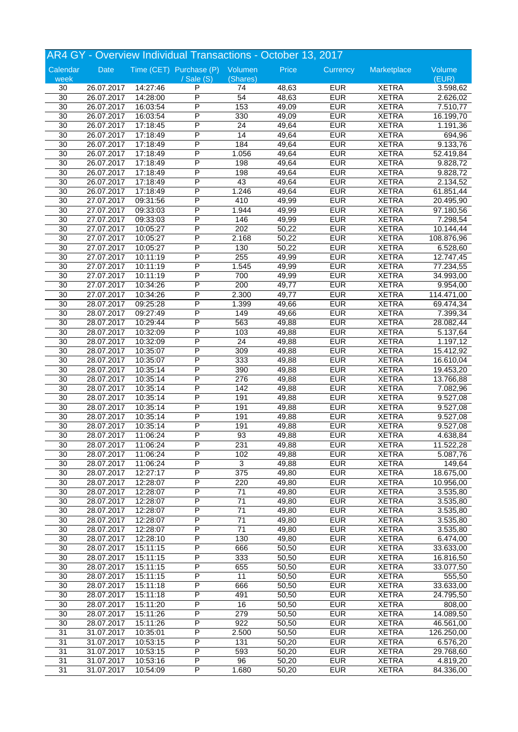| AR4 GY - Overview Individual Transactions - October 13, 2017 |            |          |                                 |                  |       |                          |              |            |  |
|--------------------------------------------------------------|------------|----------|---------------------------------|------------------|-------|--------------------------|--------------|------------|--|
| Calendar                                                     | Date       |          | Time (CET) Purchase (P) Volumen |                  | Price | Currency                 | Marketplace  | Volume     |  |
| week                                                         |            |          | $\sqrt{s}$ ale $(S)$            | (Shares)         |       |                          |              | (EUR)      |  |
| 30                                                           | 26.07.2017 | 14:27:46 | P                               | 74               | 48,63 | <b>EUR</b>               | <b>XETRA</b> | 3.598,62   |  |
| $\overline{30}$                                              | 26.07.2017 | 14:28:00 | P                               | $\overline{54}$  | 48,63 | <b>EUR</b>               | <b>XETRA</b> | 2.626,02   |  |
| 30                                                           | 26.07.2017 | 16:03:54 | P                               | 153              | 49,09 | <b>EUR</b>               | <b>XETRA</b> | 7.510,77   |  |
| $\overline{30}$                                              | 26.07.2017 | 16:03:54 | P                               | 330              | 49,09 | <b>EUR</b>               | <b>XETRA</b> | 16.199,70  |  |
| 30                                                           | 26.07.2017 | 17:18:45 | P                               | 24               | 49,64 | <b>EUR</b>               | <b>XETRA</b> | 1.191,36   |  |
| 30                                                           | 26.07.2017 | 17:18:49 | P                               | 14               | 49,64 | <b>EUR</b>               | <b>XETRA</b> | 694,96     |  |
| 30                                                           | 26.07.2017 | 17:18:49 | P                               | 184              | 49,64 | <b>EUR</b>               | <b>XETRA</b> | 9.133,76   |  |
| 30                                                           | 26.07.2017 | 17:18:49 | P                               | 1.056            | 49,64 | <b>EUR</b>               | <b>XETRA</b> | 52.419,84  |  |
| 30                                                           | 26.07.2017 | 17:18:49 | P                               | 198              | 49,64 | <b>EUR</b>               | <b>XETRA</b> | 9.828,72   |  |
| 30                                                           | 26.07.2017 | 17:18:49 | P                               | 198              | 49,64 | <b>EUR</b>               | <b>XETRA</b> | 9.828,72   |  |
| 30                                                           | 26.07.2017 | 17:18:49 | P                               | 43               | 49,64 | <b>EUR</b>               | <b>XETRA</b> | 2.134,52   |  |
| 30                                                           | 26.07.2017 | 17:18:49 | P                               | 1.246            | 49,64 | <b>EUR</b>               | <b>XETRA</b> | 61.851,44  |  |
| 30                                                           | 27.07.2017 | 09:31:56 | P                               | 410              | 49,99 | <b>EUR</b>               | <b>XETRA</b> | 20.495,90  |  |
| 30                                                           | 27.07.2017 | 09:33:03 | P                               | 1.944            | 49,99 | <b>EUR</b>               | <b>XETRA</b> | 97.180,56  |  |
| 30                                                           | 27.07.2017 | 09:33:03 | P                               | 146              | 49,99 | <b>EUR</b>               | <b>XETRA</b> | 7.298,54   |  |
| 30                                                           | 27.07.2017 | 10:05:27 | P                               | 202              | 50,22 | <b>EUR</b>               | <b>XETRA</b> | 10.144,44  |  |
| 30                                                           | 27.07.2017 | 10:05:27 | P                               | 2.168            | 50,22 | <b>EUR</b>               | <b>XETRA</b> | 108.876,96 |  |
| 30                                                           | 27.07.2017 | 10:05:27 | P                               | 130              | 50,22 | <b>EUR</b>               | <b>XETRA</b> | 6.528,60   |  |
| 30                                                           | 27.07.2017 | 10:11:19 | P                               | 255              | 49,99 | <b>EUR</b>               | <b>XETRA</b> | 12.747,45  |  |
| 30                                                           | 27.07.2017 | 10:11:19 | P                               | 1.545            | 49,99 | <b>EUR</b>               | <b>XETRA</b> | 77.234,55  |  |
| 30                                                           | 27.07.2017 | 10:11:19 | P                               | 700              | 49,99 | <b>EUR</b>               | <b>XETRA</b> | 34.993,00  |  |
| 30                                                           | 27.07.2017 | 10:34:26 | P                               | 200              | 49,77 | <b>EUR</b>               | <b>XETRA</b> | 9.954,00   |  |
| 30                                                           | 27.07.2017 | 10:34:26 | P                               | 2.300            | 49,77 | <b>EUR</b>               | <b>XETRA</b> | 114.471,00 |  |
| $\overline{30}$                                              | 28.07.2017 | 09:25:28 | P                               | 1.399            | 49,66 | <b>EUR</b>               | <b>XETRA</b> | 69.474,34  |  |
| 30                                                           | 28.07.2017 | 09:27:49 | P                               | 149              | 49,66 | <b>EUR</b>               | <b>XETRA</b> |            |  |
|                                                              |            |          | P                               |                  |       |                          |              | 7.399,34   |  |
| 30                                                           | 28.07.2017 | 10:29:44 | P                               | 563              | 49,88 | <b>EUR</b><br><b>EUR</b> | <b>XETRA</b> | 28.082,44  |  |
| 30                                                           | 28.07.2017 | 10:32:09 |                                 | 103              | 49,88 |                          | <b>XETRA</b> | 5.137,64   |  |
| 30                                                           | 28.07.2017 | 10:32:09 | P                               | $\overline{24}$  | 49,88 | <b>EUR</b>               | <b>XETRA</b> | 1.197,12   |  |
| 30                                                           | 28.07.2017 | 10:35:07 | P                               | 309              | 49,88 | <b>EUR</b>               | <b>XETRA</b> | 15.412,92  |  |
| 30                                                           | 28.07.2017 | 10:35:07 | P                               | 333              | 49,88 | <b>EUR</b>               | <b>XETRA</b> | 16.610,04  |  |
| 30                                                           | 28.07.2017 | 10:35:14 | P                               | 390              | 49,88 | <b>EUR</b>               | <b>XETRA</b> | 19.453,20  |  |
| $\overline{30}$                                              | 28.07.2017 | 10:35:14 | P                               | 276              | 49,88 | <b>EUR</b>               | <b>XETRA</b> | 13.766,88  |  |
| 30                                                           | 28.07.2017 | 10:35:14 | P                               | 142              | 49,88 | <b>EUR</b>               | <b>XETRA</b> | 7.082,96   |  |
| 30                                                           | 28.07.2017 | 10:35:14 | P                               | 191              | 49,88 | <b>EUR</b>               | <b>XETRA</b> | 9.527,08   |  |
| 30                                                           | 28.07.2017 | 10:35:14 | P                               | 191              | 49,88 | <b>EUR</b>               | <b>XETRA</b> | 9.527,08   |  |
| 30                                                           | 28.07.2017 | 10:35:14 | P                               | 191              | 49,88 | <b>EUR</b>               | <b>XETRA</b> | 9.527,08   |  |
| $\overline{30}$                                              | 28.07.2017 | 10:35:14 | P                               | 191              | 49,88 | <b>EUR</b>               | <b>XETRA</b> | 9.527,08   |  |
| 30                                                           | 28.07.2017 | 11:06:24 | P                               | 93               | 49,88 | <b>EUR</b>               | <b>XETRA</b> | 4.638,84   |  |
| 30                                                           | 28.07.2017 | 11:06:24 | P                               | 231              | 49,88 | <b>EUR</b>               | <b>XETRA</b> | 11.522,28  |  |
| 30                                                           | 28.07.2017 | 11:06:24 | P                               | 102              | 49,88 | <b>EUR</b>               | <b>XETRA</b> | 5.087,76   |  |
| 30                                                           | 28.07.2017 | 11:06:24 | P                               | 3                | 49,88 | <b>EUR</b>               | <b>XETRA</b> | 149,64     |  |
| 30                                                           | 28.07.2017 | 12:27:17 | P                               | $\overline{375}$ | 49,80 | <b>EUR</b>               | <b>XETRA</b> | 18.675,00  |  |
| 30                                                           | 28.07.2017 | 12:28:07 | P                               | 220              | 49,80 | <b>EUR</b>               | <b>XETRA</b> | 10.956,00  |  |
| 30                                                           | 28.07.2017 | 12:28:07 | Ρ                               | 71               | 49,80 | <b>EUR</b>               | <b>XETRA</b> | 3.535,80   |  |
| 30                                                           | 28.07.2017 | 12:28:07 | Ρ                               | 71               | 49,80 | <b>EUR</b>               | <b>XETRA</b> | 3.535,80   |  |
| 30                                                           | 28.07.2017 | 12:28:07 | P                               | 71               | 49,80 | <b>EUR</b>               | <b>XETRA</b> | 3.535,80   |  |
| $\overline{30}$                                              | 28.07.2017 | 12:28:07 | P                               | $\overline{71}$  | 49,80 | <b>EUR</b>               | <b>XETRA</b> | 3.535,80   |  |
| 30                                                           | 28.07.2017 | 12:28:07 | $\overline{\mathsf{P}}$         | $\overline{71}$  | 49,80 | <b>EUR</b>               | <b>XETRA</b> | 3.535,80   |  |
| $\overline{30}$                                              | 28.07.2017 | 12:28:10 | Ρ                               | 130              | 49,80 | <b>EUR</b>               | <b>XETRA</b> | 6.474,00   |  |
| 30                                                           | 28.07.2017 | 15:11:15 | Ρ                               | 666              | 50,50 | <b>EUR</b>               | <b>XETRA</b> | 33.633,00  |  |
| 30                                                           | 28.07.2017 | 15:11:15 | P                               | 333              | 50,50 | <b>EUR</b>               | <b>XETRA</b> | 16.816,50  |  |
| 30                                                           | 28.07.2017 | 15:11:15 | P                               | 655              | 50,50 | <b>EUR</b>               | <b>XETRA</b> | 33.077,50  |  |
| 30                                                           | 28.07.2017 | 15:11:15 | $\overline{\mathsf{P}}$         | 11               | 50,50 | <b>EUR</b>               | <b>XETRA</b> | 555,50     |  |
| 30                                                           | 28.07.2017 | 15:11:18 | Ρ                               | 666              | 50,50 | <b>EUR</b>               | <b>XETRA</b> | 33.633,00  |  |
| 30                                                           | 28.07.2017 | 15:11:18 | Ρ                               | 491              | 50,50 | <b>EUR</b>               | <b>XETRA</b> | 24.795,50  |  |
| 30                                                           | 28.07.2017 | 15:11:20 | P                               | 16               | 50,50 | <b>EUR</b>               | <b>XETRA</b> | 808,00     |  |
| $\overline{30}$                                              | 28.07.2017 | 15:11:26 | P                               | 279              | 50,50 | <b>EUR</b>               | <b>XETRA</b> | 14.089,50  |  |
| 30                                                           | 28.07.2017 | 15:11:26 | P                               | 922              | 50,50 | <b>EUR</b>               | <b>XETRA</b> | 46.561,00  |  |
| 31                                                           | 31.07.2017 | 10:35:01 | Ρ                               | 2.500            | 50,50 | <b>EUR</b>               | <b>XETRA</b> | 126.250,00 |  |
| 31                                                           | 31.07.2017 | 10:53:15 | Ρ                               | 131              | 50,20 | <b>EUR</b>               | <b>XETRA</b> | 6.576,20   |  |
| 31                                                           | 31.07.2017 | 10:53:15 | Ρ                               | 593              | 50,20 | <b>EUR</b>               | <b>XETRA</b> | 29.768,60  |  |
|                                                              |            |          | P                               |                  |       | <b>EUR</b>               |              |            |  |
| 31                                                           | 31.07.2017 | 10:53:16 |                                 | 96               | 50,20 |                          | <b>XETRA</b> | 4.819,20   |  |
| $\overline{31}$                                              | 31.07.2017 | 10:54:09 | P                               | 1.680            | 50,20 | <b>EUR</b>               | <b>XETRA</b> | 84.336,00  |  |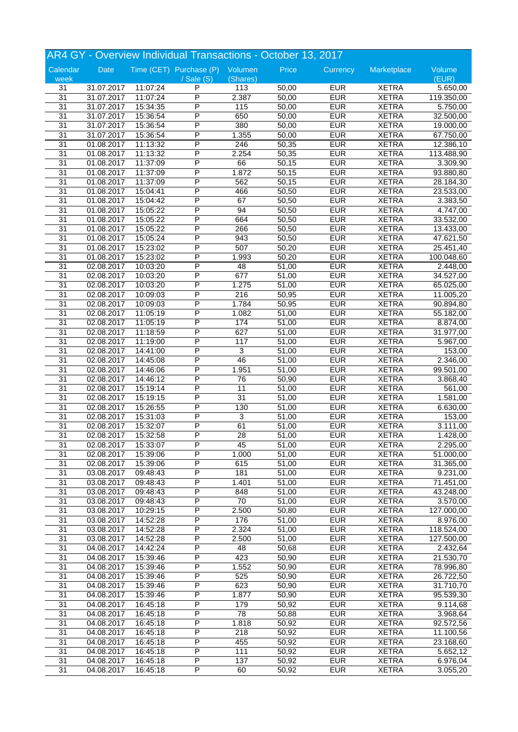|                 |            |          | AR4 GY - Overview Individual Transactions - October 13, 2017 |                 |       |            |              |            |
|-----------------|------------|----------|--------------------------------------------------------------|-----------------|-------|------------|--------------|------------|
| Calendar        | Date       |          | Time (CET) Purchase (P) Volumen                              |                 | Price | Currency   | Marketplace  | Volume     |
| week            |            |          | $/$ Sale $(S)$                                               | (Shares)        |       |            |              | (EUR)      |
| 31              | 31.07.2017 | 11:07:24 | P                                                            | 113             | 50,00 | <b>EUR</b> | <b>XETRA</b> | 5.650,00   |
| 31              | 31.07.2017 | 11:07:24 | P                                                            | 2.387           | 50,00 | <b>EUR</b> | <b>XETRA</b> | 119.350,00 |
| 31              | 31.07.2017 | 15:34:35 | P                                                            | 115             | 50,00 | <b>EUR</b> | <b>XETRA</b> | 5.750,00   |
| 31              | 31.07.2017 | 15:36:54 | P                                                            | 650             | 50,00 | <b>EUR</b> | <b>XETRA</b> | 32.500,00  |
| 31              | 31.07.2017 | 15:36:54 | P                                                            | 380             | 50,00 | <b>EUR</b> | <b>XETRA</b> | 19.000,00  |
| 31              | 31.07.2017 | 15:36:54 | Ρ                                                            | 1.355           | 50,00 | <b>EUR</b> | <b>XETRA</b> | 67.750,00  |
| 31              | 01.08.2017 | 11:13:32 | P                                                            | 246             | 50,35 | <b>EUR</b> | <b>XETRA</b> | 12.386,10  |
| 31              | 01.08.2017 | 11:13:32 | P                                                            | 2.254           | 50,35 | <b>EUR</b> | <b>XETRA</b> | 113.488,90 |
| 31              | 01.08.2017 | 11:37:09 | P                                                            | 66              | 50,15 | <b>EUR</b> | <b>XETRA</b> | 3.309,90   |
| 31              | 01.08.2017 | 11:37:09 | P                                                            | 1.872           | 50,15 | <b>EUR</b> | <b>XETRA</b> | 93.880,80  |
| 31              | 01.08.2017 | 11:37:09 | P                                                            | 562             | 50,15 | <b>EUR</b> | <b>XETRA</b> | 28.184,30  |
| 31              | 01.08.2017 | 15:04:41 | P                                                            | 466             | 50,50 | <b>EUR</b> | <b>XETRA</b> | 23.533,00  |
| 31              | 01.08.2017 | 15:04:42 | P                                                            | 67              | 50,50 | <b>EUR</b> | <b>XETRA</b> | 3.383,50   |
| 31              | 01.08.2017 | 15:05:22 | P                                                            | 94              | 50,50 | <b>EUR</b> | <b>XETRA</b> | 4.747,00   |
| 31              | 01.08.2017 | 15:05:22 | P                                                            | 664             | 50,50 | <b>EUR</b> | <b>XETRA</b> | 33.532,00  |
| 31              | 01.08.2017 | 15:05:22 | P                                                            | 266             | 50,50 | <b>EUR</b> | <b>XETRA</b> | 13.433,00  |
| 31              | 01.08.2017 | 15:05:24 | P                                                            | 943             | 50,50 | <b>EUR</b> | <b>XETRA</b> | 47.621,50  |
| 31              | 01.08.2017 | 15:23:02 | P                                                            | 507             | 50,20 | <b>EUR</b> | <b>XETRA</b> | 25.451,40  |
| 31              | 01.08.2017 | 15:23:02 | P                                                            | 1.993           | 50,20 | <b>EUR</b> | <b>XETRA</b> | 100.048,60 |
| 31              | 02.08.2017 | 10:03:20 | P                                                            | 48              | 51,00 | <b>EUR</b> | <b>XETRA</b> | 2.448,00   |
| 31              | 02.08.2017 | 10:03:20 | P                                                            | 677             | 51,00 | <b>EUR</b> | <b>XETRA</b> | 34.527,00  |
| 31              | 02.08.2017 | 10:03:20 | P                                                            | 1.275           | 51,00 | <b>EUR</b> | <b>XETRA</b> | 65.025,00  |
| 31              | 02.08.2017 | 10:09:03 | P                                                            | 216             | 50,95 | <b>EUR</b> | <b>XETRA</b> | 11.005,20  |
| 31              | 02.08.2017 | 10:09:03 | P                                                            | 1.784           | 50,95 | <b>EUR</b> | <b>XETRA</b> | 90.894,80  |
| 31              | 02.08.2017 | 11:05:19 | P                                                            | 1.082           | 51,00 | <b>EUR</b> | <b>XETRA</b> | 55.182,00  |
|                 |            |          |                                                              |                 |       |            |              |            |
| 31              | 02.08.2017 | 11:05:19 | P<br>P                                                       | 174             | 51,00 | <b>EUR</b> | <b>XETRA</b> | 8.874,00   |
| 31              | 02.08.2017 | 11:18:59 |                                                              | 627             | 51,00 | <b>EUR</b> | <b>XETRA</b> | 31.977,00  |
| 31              | 02.08.2017 | 11:19:00 | P                                                            | 117             | 51,00 | <b>EUR</b> | <b>XETRA</b> | 5.967,00   |
| 31              | 02.08.2017 | 14:41:00 | P                                                            | $\overline{3}$  | 51,00 | <b>EUR</b> | <b>XETRA</b> | 153,00     |
| 31              | 02.08.2017 | 14:45:08 | P                                                            | 46              | 51,00 | <b>EUR</b> | <b>XETRA</b> | 2.346,00   |
| 31              | 02.08.2017 | 14:46:06 | P                                                            | 1.951           | 51,00 | <b>EUR</b> | <b>XETRA</b> | 99.501,00  |
| 31              | 02.08.2017 | 14:46:12 | P                                                            | 76              | 50,90 | <b>EUR</b> | <b>XETRA</b> | 3.868,40   |
| 31              | 02.08.2017 | 15:19:14 | P                                                            | 11              | 51,00 | <b>EUR</b> | <b>XETRA</b> | 561,00     |
| 31              | 02.08.2017 | 15:19:15 | P                                                            | 31              | 51,00 | <b>EUR</b> | <b>XETRA</b> | 1.581,00   |
| 31              | 02.08.2017 | 15:26:55 | P                                                            | 130             | 51,00 | <b>EUR</b> | <b>XETRA</b> | 6.630,00   |
| 31              | 02.08.2017 | 15:31:03 | P                                                            | $\overline{3}$  | 51,00 | <b>EUR</b> | <b>XETRA</b> | 153,00     |
| 31              | 02.08.2017 | 15:32:07 | P                                                            | 61              | 51,00 | <b>EUR</b> | <b>XETRA</b> | 3.111,00   |
| 31              | 02.08.2017 | 15:32:58 | P                                                            | 28              | 51,00 | <b>EUR</b> | <b>XETRA</b> | 1.428,00   |
| 31              | 02.08.2017 | 15:33:07 | P                                                            | 45              | 51,00 | <b>EUR</b> | <b>XETRA</b> | 2.295,00   |
| 31              | 02.08.2017 | 15:39:06 | P                                                            | 1.000           | 51,00 | <b>EUR</b> | <b>XETRA</b> | 51.000,00  |
| 31              | 02.08.2017 | 15:39:06 | P                                                            | 615             | 51,00 | <b>EUR</b> | <b>XETRA</b> | 31.365,00  |
| $\overline{31}$ | 03.08.2017 | 09:48:43 | P                                                            | 181             | 51,00 | <b>EUR</b> | <b>XETRA</b> | 9.231,00   |
| 31              | 03.08.2017 | 09:48:43 | P                                                            | 1.401           | 51,00 | <b>EUR</b> | <b>XETRA</b> | 71.451,00  |
| 31              | 03.08.2017 | 09:48:43 | Ρ                                                            | 848             | 51,00 | <b>EUR</b> | <b>XETRA</b> | 43.248,00  |
| 31              | 03.08.2017 | 09:48:43 | Ρ                                                            | 70              | 51,00 | <b>EUR</b> | <b>XETRA</b> | 3.570,00   |
| 31              | 03.08.2017 | 10:29:15 | P                                                            | 2.500           | 50,80 | <b>EUR</b> | <b>XETRA</b> | 127.000,00 |
| 31              | 03.08.2017 | 14:52:28 | P                                                            | 176             | 51,00 | <b>EUR</b> | <b>XETRA</b> | 8.976,00   |
| 31              | 03.08.2017 | 14:52:28 | $\overline{\mathsf{P}}$                                      | 2.324           | 51,00 | <b>EUR</b> | <b>XETRA</b> | 118.524,00 |
| 31              | 03.08.2017 | 14:52:28 | Ρ                                                            | 2.500           | 51,00 | <b>EUR</b> | <b>XETRA</b> | 127.500,00 |
| 31              | 04.08.2017 | 14:42:24 | Ρ                                                            | 48              | 50,68 | <b>EUR</b> | <b>XETRA</b> | 2.432,64   |
| 31              | 04.08.2017 | 15:39:46 | P                                                            | 423             | 50,90 | <b>EUR</b> | <b>XETRA</b> | 21.530,70  |
| 31              | 04.08.2017 | 15:39:46 | P                                                            | 1.552           | 50,90 | <b>EUR</b> | <b>XETRA</b> | 78.996,80  |
| $\overline{31}$ | 04.08.2017 | 15:39:46 | $\overline{\mathsf{P}}$                                      | 525             | 50,90 | <b>EUR</b> | <b>XETRA</b> | 26.722,50  |
| 31              | 04.08.2017 | 15:39:46 | Ρ                                                            | 623             | 50,90 | <b>EUR</b> | <b>XETRA</b> | 31.710,70  |
| 31              | 04.08.2017 | 15:39:46 | Ρ                                                            | 1.877           | 50,90 | <b>EUR</b> | <b>XETRA</b> | 95.539,30  |
| 31              | 04.08.2017 | 16:45:18 | P                                                            | 179             | 50,92 | <b>EUR</b> | <b>XETRA</b> | 9.114,68   |
| 31              | 04.08.2017 | 16:45:18 | P                                                            | $\overline{78}$ | 50,88 | <b>EUR</b> | <b>XETRA</b> | 3.968,64   |
| $\overline{31}$ | 04.08.2017 | 16:45:18 | $\overline{\mathsf{P}}$                                      | 1.818           | 50,92 | <b>EUR</b> | <b>XETRA</b> | 92.572,56  |
| 31              | 04.08.2017 | 16:45:18 | Ρ                                                            | 218             | 50,92 | <b>EUR</b> | <b>XETRA</b> | 11.100,56  |
| 31              | 04.08.2017 | 16:45:18 | Ρ                                                            | 455             | 50,92 | <b>EUR</b> | <b>XETRA</b> | 23.168,60  |
| 31              | 04.08.2017 | 16:45:18 | Ρ                                                            | 111             | 50,92 | <b>EUR</b> | <b>XETRA</b> | 5.652,12   |
| 31              | 04.08.2017 | 16:45:18 | P                                                            | 137             | 50,92 | <b>EUR</b> | <b>XETRA</b> | 6.976,04   |
|                 |            |          | P                                                            |                 |       |            |              |            |
| $\overline{31}$ | 04.08.2017 | 16:45:18 |                                                              | 60              | 50,92 | <b>EUR</b> | <b>XETRA</b> | 3.055,20   |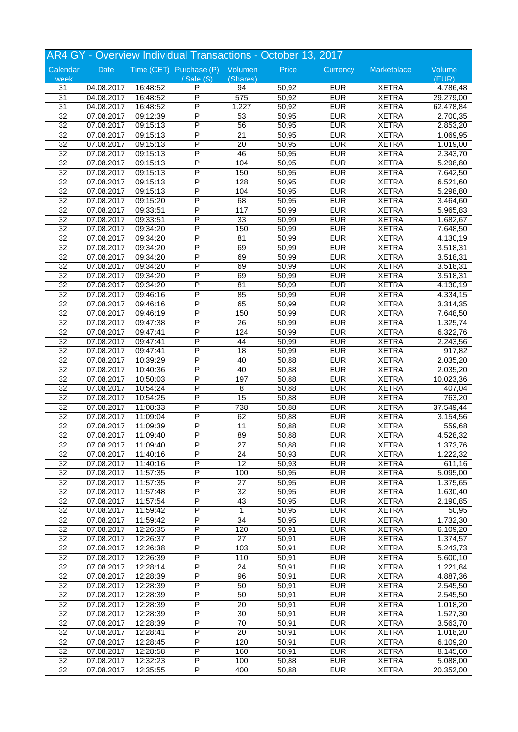|                 |            |          | AR4 GY - Overview Individual Transactions - October 13, 2017 |                 |       |            |              |                       |
|-----------------|------------|----------|--------------------------------------------------------------|-----------------|-------|------------|--------------|-----------------------|
| Calendar        | Date       |          | Time (CET) Purchase (P) Volumen                              |                 | Price | Currency   | Marketplace  | Volume                |
| week            |            |          | / Sale (S)                                                   | (Shares)        |       |            |              | (EUR)                 |
| 31              | 04.08.2017 | 16:48:52 | P                                                            | 94              | 50,92 | <b>EUR</b> | <b>XETRA</b> | 4.786,48              |
| 31              | 04.08.2017 | 16:48:52 | P                                                            | 575             | 50,92 | <b>EUR</b> | <b>XETRA</b> | 29.279,00             |
| 31              | 04.08.2017 | 16:48:52 | P                                                            | 1.227           | 50,92 | <b>EUR</b> | <b>XETRA</b> | 62.478,84             |
| $\overline{32}$ | 07.08.2017 | 09:12:39 | P                                                            | 53              | 50,95 | <b>EUR</b> | <b>XETRA</b> | 2.700,35              |
| 32              | 07.08.2017 | 09:15:13 | P                                                            | 56              | 50,95 | <b>EUR</b> | <b>XETRA</b> | 2.853,20              |
| $\overline{32}$ | 07.08.2017 | 09:15:13 | P                                                            | $\overline{21}$ | 50,95 | <b>EUR</b> | <b>XETRA</b> | 1.069,95              |
| $\overline{32}$ | 07.08.2017 | 09:15:13 | P                                                            | $\overline{20}$ | 50,95 | <b>EUR</b> | <b>XETRA</b> | 1.019,00              |
| 32              | 07.08.2017 | 09:15:13 | P                                                            | 46              | 50,95 | <b>EUR</b> | <b>XETRA</b> | 2.343,70              |
| $\overline{32}$ | 07.08.2017 | 09:15:13 | P                                                            | 104             | 50,95 | <b>EUR</b> | <b>XETRA</b> | 5.298,80              |
| 32              | 07.08.2017 | 09:15:13 | P                                                            | 150             | 50,95 | <b>EUR</b> | <b>XETRA</b> | 7.642,50              |
| $\overline{32}$ | 07.08.2017 | 09:15:13 | P                                                            | 128             | 50,95 | <b>EUR</b> | <b>XETRA</b> | 6.521,60              |
| $\overline{32}$ | 07.08.2017 | 09:15:13 | P                                                            | 104             | 50,95 | <b>EUR</b> | <b>XETRA</b> | 5.298,80              |
| 32              | 07.08.2017 | 09:15:20 | P                                                            | 68              | 50,95 | <b>EUR</b> | <b>XETRA</b> | 3.464,60              |
| $\overline{32}$ | 07.08.2017 | 09:33:51 | P                                                            | 117             | 50,99 | <b>EUR</b> | <b>XETRA</b> | 5.965,83              |
| 32              | 07.08.2017 | 09:33:51 | P                                                            | 33              | 50,99 | <b>EUR</b> | <b>XETRA</b> | 1.682,67              |
| $\overline{32}$ | 07.08.2017 | 09:34:20 | P                                                            | 150             | 50,99 | <b>EUR</b> | <b>XETRA</b> | 7.648,50              |
| $\overline{32}$ | 07.08.2017 | 09:34:20 | P                                                            | 81              | 50,99 | <b>EUR</b> | <b>XETRA</b> | 4.130,19              |
| 32              | 07.08.2017 | 09:34:20 | P                                                            | 69              | 50,99 | <b>EUR</b> | <b>XETRA</b> | 3.518,31              |
| $\overline{32}$ | 07.08.2017 | 09:34:20 | P                                                            | 69              | 50,99 | <b>EUR</b> | <b>XETRA</b> | 3.518,31              |
| 32              | 07.08.2017 | 09:34:20 | P                                                            | 69              | 50,99 | <b>EUR</b> | <b>XETRA</b> | 3.518,31              |
| $\overline{32}$ | 07.08.2017 | 09:34:20 | P                                                            | 69              | 50,99 | <b>EUR</b> | <b>XETRA</b> | 3.518,31              |
| $\overline{32}$ | 07.08.2017 | 09:34:20 | P                                                            | 81              | 50,99 | <b>EUR</b> | <b>XETRA</b> | 4.130,19              |
| 32              | 07.08.2017 | 09:46:16 | P                                                            | 85              | 50,99 | <b>EUR</b> | <b>XETRA</b> | 4.334,15              |
| $\overline{32}$ | 07.08.2017 | 09:46:16 | P                                                            | 65              | 50,99 | <b>EUR</b> | <b>XETRA</b> | 3.314,35              |
| 32              | 07.08.2017 | 09:46:19 | P                                                            | 150             | 50,99 | <b>EUR</b> | <b>XETRA</b> | 7.648,50              |
| $\overline{32}$ | 07.08.2017 | 09:47:38 | P                                                            | $\overline{26}$ | 50,99 | <b>EUR</b> | <b>XETRA</b> | 1.325,74              |
| $\overline{32}$ | 07.08.2017 | 09:47:41 | P                                                            | 124             | 50,99 | <b>EUR</b> | <b>XETRA</b> | 6.322,76              |
| 32              | 07.08.2017 | 09:47:41 | P                                                            | 44              | 50,99 | <b>EUR</b> | <b>XETRA</b> | 2.243,56              |
| $\overline{32}$ | 07.08.2017 | 09:47:41 | P                                                            | 18              | 50,99 | <b>EUR</b> | <b>XETRA</b> | 917,82                |
| 32              | 07.08.2017 | 10:39:29 | P                                                            | 40              | 50,88 | <b>EUR</b> | <b>XETRA</b> |                       |
|                 |            |          | P                                                            |                 |       |            |              | 2.035,20              |
| $\overline{32}$ | 07.08.2017 | 10:40:36 |                                                              | 40              | 50,88 | <b>EUR</b> | <b>XETRA</b> | 2.035,20              |
| $\overline{32}$ | 07.08.2017 | 10:50:03 | P<br>P                                                       | 197             | 50,88 | <b>EUR</b> | <b>XETRA</b> | 10.023,36             |
| $\overline{32}$ | 07.08.2017 | 10:54:24 |                                                              | 8               | 50,88 | <b>EUR</b> | <b>XETRA</b> | 407,04                |
| $\overline{32}$ | 07.08.2017 | 10:54:25 | P                                                            | 15              | 50,88 | <b>EUR</b> | <b>XETRA</b> | 763,20                |
| 32              | 07.08.2017 | 11:08:33 | P                                                            | 738             | 50,88 | <b>EUR</b> | <b>XETRA</b> | 37.549,44             |
| 32              | 07.08.2017 | 11:09:04 | P                                                            | 62              | 50,88 | <b>EUR</b> | <b>XETRA</b> | 3.154,56              |
| $\overline{32}$ | 07.08.2017 | 11:09:39 | P                                                            | $\overline{11}$ | 50,88 | <b>EUR</b> | <b>XETRA</b> | 559,68                |
| $\overline{32}$ | 07.08.2017 | 11:09:40 | P                                                            | 89              | 50,88 | <b>EUR</b> | <b>XETRA</b> | 4.528,32              |
| 32              | 07.08.2017 | 11:09:40 | P                                                            | 27              | 50,88 | <b>EUR</b> | <b>XETRA</b> | 1.373,76              |
| 32              | 07.08.2017 | 11:40:16 | P                                                            | 24              | 50,93 | <b>EUR</b> | <b>XETRA</b> | 1.222,32              |
| 32              | 07.08.2017 | 11:40:16 | P                                                            | 12              | 50,93 | <b>EUR</b> | <b>XETRA</b> | 611,16                |
| $\overline{32}$ | 07.08.2017 | 11:57:35 | P                                                            | 100             | 50,95 | <b>EUR</b> | <b>XETRA</b> | 5.095,00              |
| $\overline{32}$ | 07.08.2017 | 11:57:35 | P                                                            | $\overline{27}$ | 50,95 | <b>EUR</b> | <b>XETRA</b> | 1.375,65              |
| $\overline{32}$ | 07.08.2017 | 11:57:48 | Ρ                                                            | 32              | 50,95 | <b>EUR</b> | <b>XETRA</b> | 1.630,40              |
| 32              | 07.08.2017 | 11:57:54 | Ρ                                                            | 43              | 50,95 | <b>EUR</b> | <b>XETRA</b> | 2.190,85              |
| $\overline{32}$ | 07.08.2017 | 11:59:42 | P                                                            | $\mathbf{1}$    | 50,95 | <b>EUR</b> | <b>XETRA</b> | 50,95                 |
| $\overline{32}$ | 07.08.2017 | 11:59:42 | P                                                            | $\overline{34}$ | 50,95 | <b>EUR</b> | <b>XETRA</b> | 1.732,30              |
| $\overline{32}$ | 07.08.2017 | 12:26:35 | P                                                            | 120             | 50,91 | <b>EUR</b> | <b>XETRA</b> | 6.109,20              |
| $\overline{32}$ | 07.08.2017 | 12:26:37 | Ρ                                                            | 27              | 50,91 | <b>EUR</b> | <b>XETRA</b> | 1.374,57              |
| 32              | 07.08.2017 | 12:26:38 | Ρ                                                            | 103             | 50,91 | <b>EUR</b> | <b>XETRA</b> | $\overline{5.243,73}$ |
| 32              | 07.08.2017 | 12:26:39 | Ρ                                                            | 110             | 50,91 | <b>EUR</b> | <b>XETRA</b> | 5.600,10              |
| $\overline{32}$ | 07.08.2017 | 12:28:14 | P                                                            | 24              | 50,91 | <b>EUR</b> | <b>XETRA</b> | 1.221,84              |
| $\overline{32}$ | 07.08.2017 | 12:28:39 | P                                                            | 96              | 50,91 | <b>EUR</b> | <b>XETRA</b> | 4.887,36              |
| $\overline{32}$ | 07.08.2017 | 12:28:39 | Ρ                                                            | 50              | 50,91 | <b>EUR</b> | <b>XETRA</b> | 2.545,50              |
| 32              | 07.08.2017 | 12:28:39 | Ρ                                                            | 50              | 50,91 | <b>EUR</b> | <b>XETRA</b> | 2.545,50              |
| 32              | 07.08.2017 | 12:28:39 | Ρ                                                            | 20              | 50,91 | <b>EUR</b> | <b>XETRA</b> | 1.018,20              |
| $\overline{32}$ | 07.08.2017 | 12:28:39 | P                                                            | 30              | 50,91 | <b>EUR</b> | <b>XETRA</b> | 1.527,30              |
| $\overline{32}$ | 07.08.2017 | 12:28:39 | P                                                            | $\overline{70}$ | 50,91 | <b>EUR</b> | <b>XETRA</b> | 3.563,70              |
| $\overline{32}$ | 07.08.2017 | 12:28:41 | Ρ                                                            | $\overline{20}$ | 50,91 | <b>EUR</b> | <b>XETRA</b> | 1.018,20              |
| 32              | 07.08.2017 | 12:28:45 | Ρ                                                            | 120             | 50,91 | <b>EUR</b> | <b>XETRA</b> | 6.109,20              |
| 32              | 07.08.2017 | 12:28:58 | Ρ                                                            | 160             | 50,91 | <b>EUR</b> | <b>XETRA</b> | 8.145,60              |
| $\overline{32}$ | 07.08.2017 | 12:32:23 | P                                                            | 100             | 50,88 | <b>EUR</b> | <b>XETRA</b> | 5.088,00              |
| $\overline{32}$ | 07.08.2017 |          | P                                                            | 400             | 50,88 | <b>EUR</b> | <b>XETRA</b> | 20.352,00             |
|                 |            | 12:35:55 |                                                              |                 |       |            |              |                       |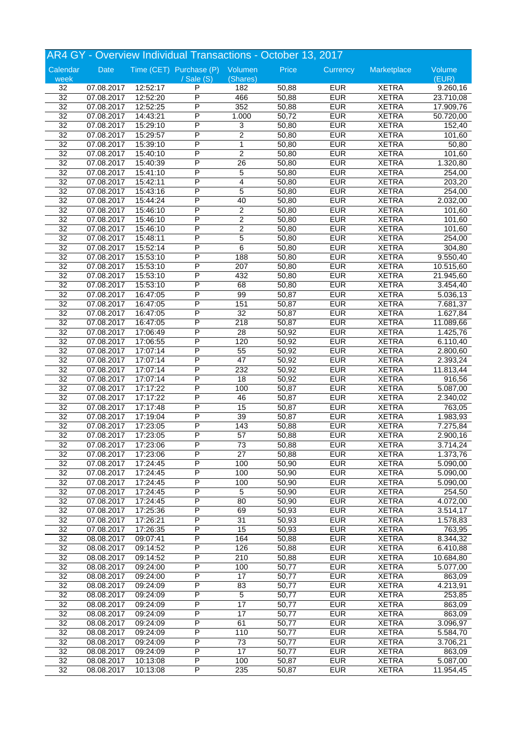|                 | AR4 GY - Overview Individual Transactions - October 13, 2017 |                      |                                 |                  |       |            |              |           |  |
|-----------------|--------------------------------------------------------------|----------------------|---------------------------------|------------------|-------|------------|--------------|-----------|--|
| Calendar        | Date                                                         |                      | Time (CET) Purchase (P) Volumen |                  | Price | Currency   | Marketplace  | Volume    |  |
| week            |                                                              |                      | $/$ Sale $(S)$                  | (Shares)         |       |            |              | (EUR)     |  |
| 32              | 07.08.2017                                                   | 12:52:17             | P                               | 182              | 50,88 | <b>EUR</b> | <b>XETRA</b> | 9.260,16  |  |
| 32              | 07.08.2017                                                   | 12:52:20             | P                               | 466              | 50,88 | <b>EUR</b> | <b>XETRA</b> | 23.710,08 |  |
| $\overline{32}$ | 07.08.2017                                                   | 12:52:25             | P                               | 352              | 50,88 | <b>EUR</b> | <b>XETRA</b> | 17.909,76 |  |
| $\overline{32}$ | 07.08.2017                                                   | 14:43:21             | P                               | 1.000            | 50,72 | <b>EUR</b> | <b>XETRA</b> | 50.720,00 |  |
| $\overline{32}$ | 07.08.2017                                                   | 15:29:10             | P                               | 3                | 50,80 | <b>EUR</b> | <b>XETRA</b> | 152,40    |  |
| $\overline{32}$ | 07.08.2017                                                   | 15:29:57             | P                               | $\boldsymbol{2}$ | 50,80 | <b>EUR</b> | <b>XETRA</b> | 101,60    |  |
| $\overline{32}$ | 07.08.2017                                                   | 15:39:10             | P                               | $\mathbf{1}$     | 50,80 | <b>EUR</b> | <b>XETRA</b> | 50,80     |  |
| $\overline{32}$ | 07.08.2017                                                   | 15:40:10             | P                               | $\overline{2}$   | 50,80 | <b>EUR</b> | <b>XETRA</b> | 101,60    |  |
| $\overline{32}$ | 07.08.2017                                                   | 15:40:39             | P                               | $\overline{26}$  | 50,80 | <b>EUR</b> | <b>XETRA</b> | 1.320,80  |  |
| 32              | 07.08.2017                                                   | 15:41:10             | P                               | 5                | 50,80 | <b>EUR</b> | <b>XETRA</b> | 254,00    |  |
| 32              | 07.08.2017                                                   | 15:42:11             | P                               | 4                | 50,80 | <b>EUR</b> | <b>XETRA</b> | 203,20    |  |
| $\overline{32}$ | 07.08.2017                                                   | 15:43:16             | P                               | $\overline{5}$   | 50,80 | <b>EUR</b> | <b>XETRA</b> | 254,00    |  |
| $\overline{32}$ | 07.08.2017                                                   | 15:44:24             | P                               | 40               | 50,80 | <b>EUR</b> | <b>XETRA</b> | 2.032,00  |  |
| $\overline{32}$ | 07.08.2017                                                   | 15:46:10             | P                               | $\overline{2}$   | 50,80 | <b>EUR</b> | <b>XETRA</b> | 101,60    |  |
| 32              | 07.08.2017                                                   | 15:46:10             | P                               | $\boldsymbol{2}$ | 50,80 | <b>EUR</b> | <b>XETRA</b> | 101,60    |  |
| 32              | 07.08.2017                                                   | 15:46:10             | P                               | $\boldsymbol{2}$ | 50,80 | <b>EUR</b> | <b>XETRA</b> | 101,60    |  |
| $\overline{32}$ | 07.08.2017                                                   | 15:48:11             | P                               | 5                | 50,80 | <b>EUR</b> | <b>XETRA</b> | 254,00    |  |
| $\overline{32}$ | 07.08.2017                                                   | 15:52:14             | P                               | $\overline{6}$   | 50,80 | <b>EUR</b> | <b>XETRA</b> | 304,80    |  |
| $\overline{32}$ | 07.08.2017                                                   | 15:53:10             | P                               | 188              | 50,80 | <b>EUR</b> | <b>XETRA</b> | 9.550,40  |  |
| 32              | 07.08.2017                                                   | 15:53:10             | P                               | 207              | 50,80 | <b>EUR</b> | <b>XETRA</b> | 10.515,60 |  |
| 32              |                                                              | 15:53:10             | P                               | 432              | 50,80 | <b>EUR</b> | <b>XETRA</b> |           |  |
| $\overline{32}$ | 07.08.2017                                                   |                      | P                               | 68               | 50,80 | <b>EUR</b> | <b>XETRA</b> | 21.945,60 |  |
| $\overline{32}$ | 07.08.2017<br>07.08.2017                                     | 15:53:10<br>16:47:05 | P                               | 99               | 50,87 | <b>EUR</b> | <b>XETRA</b> | 3.454,40  |  |
|                 |                                                              |                      |                                 |                  |       |            |              | 5.036,13  |  |
| $\overline{32}$ | 07.08.2017                                                   | 16:47:05             | P                               | 151              | 50,87 | <b>EUR</b> | <b>XETRA</b> | 7.681,37  |  |
| 32              | 07.08.2017                                                   | 16:47:05             | P                               | $\overline{32}$  | 50,87 | <b>EUR</b> | <b>XETRA</b> | 1.627,84  |  |
| 32              | 07.08.2017                                                   | 16:47:05             | P                               | 218              | 50,87 | <b>EUR</b> | <b>XETRA</b> | 11.089,66 |  |
| $\overline{32}$ | 07.08.2017                                                   | 17:06:49             | P                               | 28               | 50,92 | <b>EUR</b> | <b>XETRA</b> | 1.425,76  |  |
| $\overline{32}$ | 07.08.2017                                                   | 17:06:55             | P                               | 120              | 50,92 | <b>EUR</b> | <b>XETRA</b> | 6.110,40  |  |
| $\overline{32}$ | 07.08.2017                                                   | 17:07:14             | P                               | 55               | 50,92 | <b>EUR</b> | <b>XETRA</b> | 2.800,60  |  |
| 32              | 07.08.2017                                                   | 17:07:14             | P                               | 47               | 50,92 | <b>EUR</b> | <b>XETRA</b> | 2.393,24  |  |
| 32              | 07.08.2017                                                   | 17:07:14             | P                               | 232              | 50,92 | <b>EUR</b> | <b>XETRA</b> | 11.813,44 |  |
| $\overline{32}$ | 07.08.2017                                                   | 17:07:14             | P                               | 18               | 50,92 | <b>EUR</b> | <b>XETRA</b> | 916,56    |  |
| $\overline{32}$ | 07.08.2017                                                   | 17:17:22             | P                               | 100              | 50,87 | <b>EUR</b> | <b>XETRA</b> | 5.087,00  |  |
| $\overline{32}$ | 07.08.2017                                                   | 17:17:22             | P                               | 46               | 50,87 | <b>EUR</b> | <b>XETRA</b> | 2.340,02  |  |
| 32              | 07.08.2017                                                   | 17:17:48             | P                               | 15               | 50,87 | <b>EUR</b> | <b>XETRA</b> | 763,05    |  |
| 32              | 07.08.2017                                                   | 17:19:04             | P                               | 39               | 50,87 | <b>EUR</b> | <b>XETRA</b> | 1.983,93  |  |
| $\overline{32}$ | 07.08.2017                                                   | 17:23:05             | Ρ                               | 143              | 50,88 | <b>EUR</b> | <b>XETRA</b> | 7.275,84  |  |
| $\overline{32}$ | 07.08.2017                                                   | 17:23:05             | P                               | 57               | 50,88 | <b>EUR</b> | <b>XETRA</b> | 2.900,16  |  |
| 32              | 07.08.2017                                                   | 17:23:06             | Ρ                               | 73               | 50,88 | <b>EUR</b> | <b>XETRA</b> | 3.714,24  |  |
| 32              | 07.08.2017                                                   | 17:23:06             | P                               | $\overline{27}$  | 50,88 | <b>EUR</b> | <b>XETRA</b> | 1.373,76  |  |
| $\overline{32}$ | 07.08.2017                                                   | 17:24:45             | P                               | 100              | 50,90 | <b>EUR</b> | <b>XETRA</b> | 5.090,00  |  |
| $\overline{32}$ | 07.08.2017                                                   | 17:24:45             | P                               | 100              | 50,90 | <b>EUR</b> | <b>XETRA</b> | 5.090,00  |  |
| $\overline{32}$ | 07.08.2017                                                   | 17:24:45             | P                               | 100              | 50,90 | <b>EUR</b> | <b>XETRA</b> | 5.090,00  |  |
| $\overline{32}$ | 07.08.2017                                                   | 17:24:45             | P                               | 5                | 50,90 | <b>EUR</b> | <b>XETRA</b> | 254,50    |  |
| 32              | 07.08.2017                                                   | 17:24:45             | Ρ                               | 80               | 50,90 | <b>EUR</b> | <b>XETRA</b> | 4.072,00  |  |
| $\overline{32}$ | 07.08.2017                                                   | 17:25:36             | P                               | 69               | 50,93 | <b>EUR</b> | <b>XETRA</b> | 3.514,17  |  |
| $\overline{32}$ | 07.08.2017                                                   | 17:26:21             | P                               | $\overline{31}$  | 50,93 | <b>EUR</b> | <b>XETRA</b> | 1.578,83  |  |
| $\overline{32}$ | 07.08.2017                                                   | 17:26:35             | P                               | $\overline{15}$  | 50,93 | <b>EUR</b> | <b>XETRA</b> | 763,95    |  |
| 32              | 08.08.2017                                                   | 09:07:41             | P                               | 164              | 50,88 | <b>EUR</b> | <b>XETRA</b> | 8.344,32  |  |
| 32              | 08.08.2017                                                   | 09:14:52             | Ρ                               | 126              | 50,88 | <b>EUR</b> | <b>XETRA</b> | 6.410,88  |  |
| $\overline{32}$ | 08.08.2017                                                   | 09:14:52             | P                               | 210              | 50,88 | <b>EUR</b> | <b>XETRA</b> | 10.684,80 |  |
| $\overline{32}$ | 08.08.2017                                                   | 09:24:00             | P                               | 100              | 50,77 | <b>EUR</b> | <b>XETRA</b> | 5.077,00  |  |
| $\overline{32}$ | 08.08.2017                                                   | 09:24:00             | P                               | $\overline{17}$  | 50,77 | <b>EUR</b> | <b>XETRA</b> | 863,09    |  |
| $\overline{32}$ | 08.08.2017                                                   | 09:24:09             | P                               | 83               | 50,77 | <b>EUR</b> | <b>XETRA</b> | 4.213,91  |  |
| 32              | 08.08.2017                                                   | 09:24:09             | Ρ                               | 5                | 50,77 | <b>EUR</b> | <b>XETRA</b> | 253,85    |  |
| $\overline{32}$ | 08.08.2017                                                   | 09:24:09             | P                               | 17               | 50,77 | <b>EUR</b> | <b>XETRA</b> | 863,09    |  |
| $\overline{32}$ | 08.08.2017                                                   | 09:24:09             | P                               | $\overline{17}$  | 50,77 | <b>EUR</b> | <b>XETRA</b> | 863,09    |  |
| $\overline{32}$ | 08.08.2017                                                   | 09:24:09             | P                               | 61               | 50,77 | <b>EUR</b> | <b>XETRA</b> | 3.096,97  |  |
| $\overline{32}$ |                                                              | 09:24:09             | Ρ                               | 110              | 50,77 | <b>EUR</b> | <b>XETRA</b> | 5.584,70  |  |
| 32              | 08.08.2017<br>08.08.2017                                     | 09:24:09             | Ρ                               | 73               | 50,77 | <b>EUR</b> | <b>XETRA</b> | 3.706,21  |  |
|                 |                                                              |                      | P                               |                  |       | <b>EUR</b> |              |           |  |
| 32              | 08.08.2017                                                   | 09:24:09             |                                 | 17               | 50,77 |            | <b>XETRA</b> | 863,09    |  |
| $\overline{32}$ | 08.08.2017                                                   | 10:13:08             | Ρ                               | 100              | 50,87 | <b>EUR</b> | <b>XETRA</b> | 5.087,00  |  |
| $\overline{32}$ | 08.08.2017                                                   | 10:13:08             | $\overline{\mathsf{P}}$         | 235              | 50,87 | <b>EUR</b> | <b>XETRA</b> | 11.954,45 |  |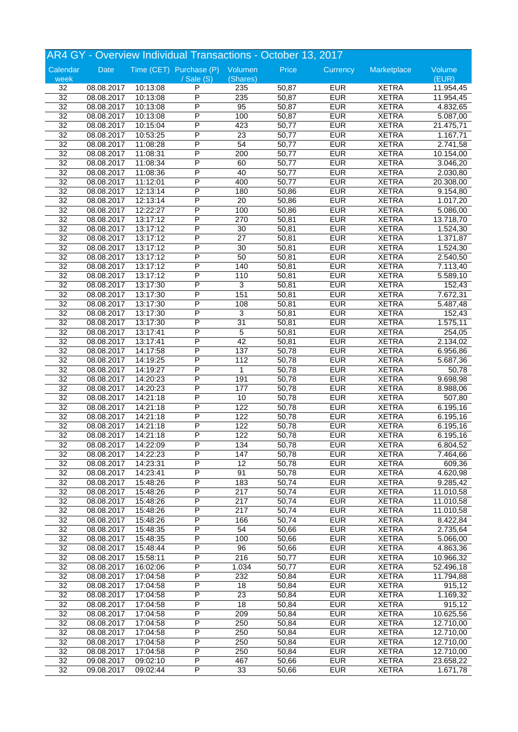|                 | AR4 GY - Overview Individual Transactions - October 13, 2017 |          |                                 |                 |       |            |              |                      |  |
|-----------------|--------------------------------------------------------------|----------|---------------------------------|-----------------|-------|------------|--------------|----------------------|--|
| Calendar        | Date                                                         |          | Time (CET) Purchase (P) Volumen |                 | Price | Currency   | Marketplace  | Volume               |  |
| week            |                                                              |          | $/$ Sale $(S)$                  | (Shares)        |       |            |              | (EUR)                |  |
| 32              | 08.08.2017                                                   | 10:13:08 | P                               | 235             | 50,87 | <b>EUR</b> | <b>XETRA</b> | 11.954,45            |  |
| 32              | 08.08.2017                                                   | 10:13:08 | P                               | 235             | 50,87 | <b>EUR</b> | <b>XETRA</b> | 11.954,45            |  |
| $\overline{32}$ | 08.08.2017                                                   | 10:13:08 | P                               | 95              | 50,87 | <b>EUR</b> | <b>XETRA</b> | 4.832,65             |  |
| $\overline{32}$ | 08.08.2017                                                   | 10:13:08 | P                               | 100             | 50,87 | <b>EUR</b> | <b>XETRA</b> | 5.087,00             |  |
| 32              | 08.08.2017                                                   | 10:15:04 | P                               | 423             | 50,77 | <b>EUR</b> | <b>XETRA</b> | 21.475,71            |  |
| $\overline{32}$ | 08.08.2017                                                   | 10:53:25 | P                               | 23              | 50,77 | <b>EUR</b> | <b>XETRA</b> | 1.167,71             |  |
| $\overline{32}$ | 08.08.2017                                                   | 11:08:28 | P                               | 54              | 50,77 | <b>EUR</b> | <b>XETRA</b> | 2.741,58             |  |
| $\overline{32}$ | 08.08.2017                                                   | 11:08:31 | P                               | 200             | 50,77 | <b>EUR</b> | <b>XETRA</b> | 10.154,00            |  |
| $\overline{32}$ | 08.08.2017                                                   | 11:08:34 | P                               | 60              | 50,77 | <b>EUR</b> | <b>XETRA</b> | 3.046,20             |  |
| 32              | 08.08.2017                                                   | 11:08:36 | P                               | 40              | 50,77 | <b>EUR</b> | <b>XETRA</b> | 2.030,80             |  |
| 32              | 08.08.2017                                                   | 11:12:01 | P                               | 400             | 50,77 | <b>EUR</b> | <b>XETRA</b> | 20.308,00            |  |
| $\overline{32}$ | 08.08.2017                                                   | 12:13:14 | P                               | 180             | 50,86 | <b>EUR</b> | <b>XETRA</b> | 9.154,80             |  |
| $\overline{32}$ | 08.08.2017                                                   | 12:13:14 | P                               | $\overline{20}$ | 50,86 | <b>EUR</b> | <b>XETRA</b> | 1.017,20             |  |
| $\overline{32}$ | 08.08.2017                                                   | 12:22:27 | P                               | 100             | 50,86 | <b>EUR</b> | <b>XETRA</b> | 5.086,00             |  |
| 32              | 08.08.2017                                                   | 13:17:12 | P                               | 270             | 50,81 | <b>EUR</b> | <b>XETRA</b> | 13.718,70            |  |
| 32              | 08.08.2017                                                   | 13:17:12 | Ρ                               | 30              | 50,81 | <b>EUR</b> | <b>XETRA</b> | 1.524,30             |  |
| $\overline{32}$ | 08.08.2017                                                   | 13:17:12 | P                               | $\overline{27}$ | 50,81 | <b>EUR</b> | <b>XETRA</b> | 1.371,87             |  |
| $\overline{32}$ | 08.08.2017                                                   | 13:17:12 | P                               | 30              | 50,81 | <b>EUR</b> | <b>XETRA</b> | 1.524,30             |  |
| $\overline{32}$ | 08.08.2017                                                   | 13:17:12 | P                               | 50              | 50,81 | <b>EUR</b> | <b>XETRA</b> | 2.540,50             |  |
| 32              | 08.08.2017                                                   | 13:17:12 | P                               | 140             | 50,81 | <b>EUR</b> | <b>XETRA</b> | 7.113,40             |  |
| 32              | 08.08.2017                                                   | 13:17:12 | P                               | 110             | 50,81 | <b>EUR</b> | <b>XETRA</b> | 5.589,10             |  |
| $\overline{32}$ | 08.08.2017                                                   | 13:17:30 | P                               | 3               | 50,81 | <b>EUR</b> | <b>XETRA</b> | 152,43               |  |
| $\overline{32}$ | 08.08.2017                                                   | 13:17:30 | P                               | 151             | 50,81 | <b>EUR</b> | <b>XETRA</b> | 7.672,31             |  |
| $\overline{32}$ | 08.08.2017                                                   | 13:17:30 | P                               | 108             | 50,81 | <b>EUR</b> | <b>XETRA</b> | 5.487,48             |  |
| 32              | 08.08.2017                                                   | 13:17:30 | P                               | 3               | 50,81 | <b>EUR</b> | <b>XETRA</b> | 152,43               |  |
| 32              | 08.08.2017                                                   | 13:17:30 | P                               | $\overline{31}$ | 50,81 | <b>EUR</b> | <b>XETRA</b> | 1.575,11             |  |
| $\overline{32}$ | 08.08.2017                                                   | 13:17:41 | P                               | 5               | 50,81 | <b>EUR</b> | <b>XETRA</b> | 254,05               |  |
| $\overline{32}$ | 08.08.2017                                                   | 13:17:41 | P                               | 42              | 50,81 | <b>EUR</b> | <b>XETRA</b> | 2.134,02             |  |
| $\overline{32}$ | 08.08.2017                                                   | 14:17:58 | P                               | 137             | 50,78 | <b>EUR</b> | <b>XETRA</b> | 6.956,86             |  |
| 32              | 08.08.2017                                                   | 14:19:25 | P                               | 112             | 50,78 | <b>EUR</b> | <b>XETRA</b> | 5.687,36             |  |
| 32              | 08.08.2017                                                   | 14:19:27 | P                               | 1               | 50,78 | <b>EUR</b> | <b>XETRA</b> | 50,78                |  |
| $\overline{32}$ | 08.08.2017                                                   | 14:20:23 | P                               | 191             | 50,78 | <b>EUR</b> | <b>XETRA</b> | 9.698,98             |  |
| $\overline{32}$ | 08.08.2017                                                   | 14:20:23 | P                               | 177             | 50,78 | <b>EUR</b> | <b>XETRA</b> | 8.988,06             |  |
| $\overline{32}$ | 08.08.2017                                                   | 14:21:18 | P                               | 10              | 50,78 | <b>EUR</b> | <b>XETRA</b> | $\overline{507}$ ,80 |  |
| 32              | 08.08.2017                                                   | 14:21:18 | P                               | 122             | 50,78 | <b>EUR</b> | <b>XETRA</b> | 6.195,16             |  |
| 32              | 08.08.2017                                                   | 14:21:18 | P                               | 122             | 50,78 | <b>EUR</b> | <b>XETRA</b> | 6.195,16             |  |
| $\overline{32}$ | 08.08.2017                                                   | 14:21:18 | Ρ                               | 122             | 50,78 | <b>EUR</b> | <b>XETRA</b> | 6.195,16             |  |
| $\overline{32}$ | 08.08.2017                                                   | 14:21:18 | P                               | 122             | 50,78 | <b>EUR</b> | <b>XETRA</b> | 6.195,16             |  |
| 32              | 08.08.2017                                                   | 14:22:09 | P                               | 134             | 50,78 | <b>EUR</b> | <b>XETRA</b> | 6.804,52             |  |
| 32              | 08.08.2017                                                   | 14:22:23 | P                               | 147             | 50,78 | <b>EUR</b> | <b>XETRA</b> | 7.464,66             |  |
| 32              | 08.08.2017                                                   | 14:23:31 | P                               | 12              | 50,78 | <b>EUR</b> | <b>XETRA</b> | 609,36               |  |
| $\overline{32}$ | 08.08.2017                                                   | 14:23:41 | P                               | 91              | 50,78 | <b>EUR</b> | <b>XETRA</b> | 4.620,98             |  |
| $\overline{32}$ | 08.08.2017                                                   | 15:48:26 | P                               | 183             | 50,74 | <b>EUR</b> | <b>XETRA</b> | 9.285,42             |  |
| $\overline{32}$ | 08.08.2017                                                   | 15:48:26 | Ρ                               | 217             | 50,74 | <b>EUR</b> | <b>XETRA</b> | 11.010,58            |  |
| 32              | 08.08.2017                                                   | 15:48:26 | Ρ                               | 217             | 50,74 | <b>EUR</b> | <b>XETRA</b> | 11.010,58            |  |
| $\overline{32}$ | 08.08.2017                                                   | 15:48:26 | P                               | 217             | 50,74 | <b>EUR</b> | <b>XETRA</b> | 11.010,58            |  |
| $\overline{32}$ | 08.08.2017                                                   | 15:48:26 | P                               | 166             | 50,74 | <b>EUR</b> | <b>XETRA</b> | 8.422,84             |  |
| $\overline{32}$ | 08.08.2017                                                   | 15:48:35 | P                               | 54              | 50,66 | <b>EUR</b> | <b>XETRA</b> | 2.735,64             |  |
| $\overline{32}$ | 08.08.2017                                                   | 15:48:35 | Ρ                               | 100             | 50,66 | <b>EUR</b> | <b>XETRA</b> | 5.066,00             |  |
| 32              | 08.08.2017                                                   | 15:48:44 | Ρ                               | 96              | 50,66 | <b>EUR</b> | <b>XETRA</b> | 4.863,36             |  |
| 32              | 08.08.2017                                                   | 15:58:11 | P                               | 216             | 50,77 | <b>EUR</b> | <b>XETRA</b> | 10.966,32            |  |
| $\overline{32}$ | 08.08.2017                                                   | 16:02:06 | Ρ                               | 1.034           | 50,77 | <b>EUR</b> | <b>XETRA</b> | 52.496,18            |  |
| $\overline{32}$ | 08.08.2017                                                   | 17:04:58 | P                               | 232             | 50,84 | <b>EUR</b> | <b>XETRA</b> | 11.794,88            |  |
| $\overline{32}$ | 08.08.2017                                                   | 17:04:58 | Ρ                               | 18              | 50,84 | <b>EUR</b> | <b>XETRA</b> | 915,12               |  |
| 32              | 08.08.2017                                                   | 17:04:58 | Ρ                               | 23              | 50,84 | <b>EUR</b> | <b>XETRA</b> | 1.169,32             |  |
| 32              | 08.08.2017                                                   | 17:04:58 | P                               | 18              | 50,84 | <b>EUR</b> | <b>XETRA</b> | 915,12               |  |
| $\overline{32}$ | 08.08.2017                                                   | 17:04:58 | P                               | 209             | 50,84 | <b>EUR</b> | <b>XETRA</b> | 10.625,56            |  |
| $\overline{32}$ | 08.08.2017                                                   | 17:04:58 | P                               | 250             | 50,84 | <b>EUR</b> | <b>XETRA</b> | 12.710,00            |  |
| $\overline{32}$ | 08.08.2017                                                   | 17:04:58 | Ρ                               | 250             | 50,84 | <b>EUR</b> | <b>XETRA</b> | 12.710,00            |  |
| 32              | 08.08.2017                                                   | 17:04:58 | Ρ                               | 250             | 50,84 | <b>EUR</b> | <b>XETRA</b> | 12.710,00            |  |
| 32              | 08.08.2017                                                   | 17:04:58 | P                               | 250             | 50,84 | <b>EUR</b> | <b>XETRA</b> | 12.710,00            |  |
| $\overline{32}$ | 09.08.2017                                                   | 09:02:10 | P                               | 467             | 50,66 | <b>EUR</b> | <b>XETRA</b> | 23.658,22            |  |
| $\overline{32}$ | 09.08.2017                                                   | 09:02:44 | $\overline{\mathsf{P}}$         | 33              | 50,66 | <b>EUR</b> |              |                      |  |
|                 |                                                              |          |                                 |                 |       |            | <b>XETRA</b> | 1.671,78             |  |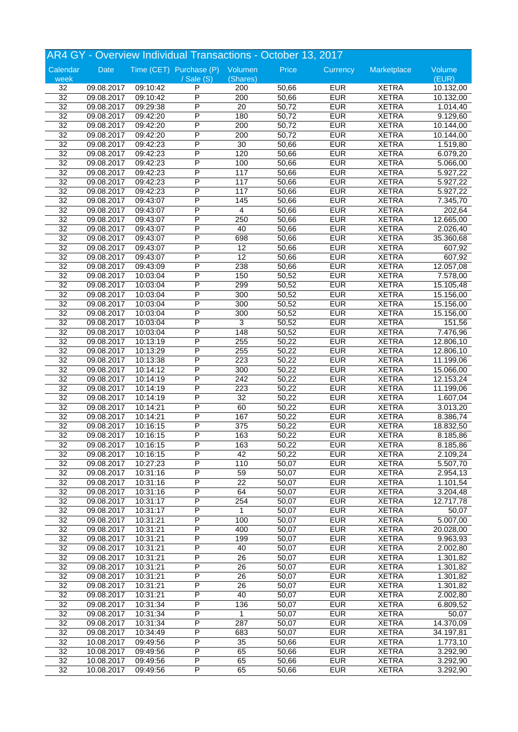|                                    |            |          | AR4 GY - Overview Individual Transactions - October 13, 2017 |                  |       |                          |              |           |
|------------------------------------|------------|----------|--------------------------------------------------------------|------------------|-------|--------------------------|--------------|-----------|
| Calendar                           | Date       |          | Time (CET) Purchase (P) Volumen                              |                  | Price | Currency                 | Marketplace  | Volume    |
| week                               |            |          | / Sale (S)                                                   | (Shares)         |       |                          |              | (EUR)     |
| 32                                 | 09.08.2017 | 09:10:42 | P                                                            | 200              | 50,66 | <b>EUR</b>               | <b>XETRA</b> | 10.132,00 |
| 32                                 | 09.08.2017 | 09:10:42 | P                                                            | 200              | 50,66 | <b>EUR</b>               | <b>XETRA</b> | 10.132,00 |
| $\overline{32}$                    | 09.08.2017 | 09:29:38 | P                                                            | $\overline{20}$  | 50,72 | <b>EUR</b>               | <b>XETRA</b> | 1.014,40  |
| $\overline{32}$                    | 09.08.2017 | 09:42:20 | P                                                            | 180              | 50,72 | <b>EUR</b>               | <b>XETRA</b> | 9.129,60  |
| 32                                 | 09.08.2017 | 09:42:20 | P                                                            | 200              | 50,72 | <b>EUR</b>               | <b>XETRA</b> | 10.144,00 |
| $\overline{32}$                    | 09.08.2017 | 09:42:20 | Ρ                                                            | 200              | 50,72 | <b>EUR</b>               | <b>XETRA</b> | 10.144,00 |
| $\overline{32}$                    | 09.08.2017 | 09:42:23 | P                                                            | 30               | 50,66 | <b>EUR</b>               | <b>XETRA</b> | 1.519,80  |
| $\overline{32}$                    | 09.08.2017 | 09:42:23 | P                                                            | 120              | 50,66 | <b>EUR</b>               | <b>XETRA</b> | 6.079,20  |
| $\overline{32}$                    | 09.08.2017 | 09:42:23 | P                                                            | 100              | 50,66 | <b>EUR</b>               | <b>XETRA</b> | 5.066,00  |
| 32                                 | 09.08.2017 | 09:42:23 | P                                                            | 117              | 50,66 | <b>EUR</b>               | <b>XETRA</b> | 5.927,22  |
| $\overline{32}$                    | 09.08.2017 | 09:42:23 | Ρ                                                            | 117              | 50,66 | <b>EUR</b>               | <b>XETRA</b> | 5.927,22  |
| $\overline{32}$                    | 09.08.2017 | 09:42:23 | P                                                            | 117              | 50,66 | <b>EUR</b>               | <b>XETRA</b> | 5.927,22  |
| $\overline{32}$                    | 09.08.2017 | 09:43:07 | P                                                            | 145              | 50,66 | <b>EUR</b>               | <b>XETRA</b> | 7.345,70  |
| $\overline{32}$                    | 09.08.2017 | 09:43:07 | P                                                            | 4                | 50,66 | <b>EUR</b>               | <b>XETRA</b> | 202,64    |
| 32                                 | 09.08.2017 | 09:43:07 | P                                                            | 250              | 50,66 | <b>EUR</b>               | <b>XETRA</b> | 12.665,00 |
| $\overline{32}$                    | 09.08.2017 | 09:43:07 | P                                                            | 40               | 50,66 | <b>EUR</b>               | <b>XETRA</b> | 2.026,40  |
| $\overline{32}$                    | 09.08.2017 | 09:43:07 | P                                                            | 698              | 50,66 | <b>EUR</b>               | <b>XETRA</b> | 35.360,68 |
| $\overline{32}$                    | 09.08.2017 | 09:43:07 | P                                                            | $\overline{12}$  | 50,66 | <b>EUR</b>               | <b>XETRA</b> | 607,92    |
| 32                                 | 09.08.2017 | 09:43:07 | P                                                            | $\overline{12}$  | 50,66 | <b>EUR</b>               | <b>XETRA</b> | 607,92    |
|                                    |            |          | P                                                            |                  |       | <b>EUR</b>               | <b>XETRA</b> |           |
| 32                                 | 09.08.2017 | 09:43:09 | P                                                            | 238              | 50,66 |                          |              | 12.057,08 |
| $\overline{32}$                    | 09.08.2017 | 10:03:04 | P                                                            | 150              | 50,52 | <b>EUR</b><br><b>EUR</b> | <b>XETRA</b> | 7.578,00  |
| $\overline{32}$                    | 09.08.2017 | 10:03:04 | P                                                            | 299              | 50,52 |                          | <b>XETRA</b> | 15.105,48 |
| $\overline{32}$                    | 09.08.2017 | 10:03:04 |                                                              | 300              | 50,52 | <b>EUR</b>               | <b>XETRA</b> | 15.156,00 |
| $\overline{32}$                    | 09.08.2017 | 10:03:04 | P                                                            | 300              | 50,52 | <b>EUR</b>               | <b>XETRA</b> | 15.156,00 |
| 32                                 | 09.08.2017 | 10:03:04 | P                                                            | 300              | 50,52 | <b>EUR</b>               | <b>XETRA</b> | 15.156,00 |
| $\overline{32}$                    | 09.08.2017 | 10:03:04 | P                                                            | 3                | 50,52 | <b>EUR</b>               | <b>XETRA</b> | 151,56    |
| $\overline{32}$                    | 09.08.2017 | 10:03:04 | P                                                            | 148              | 50,52 | <b>EUR</b>               | <b>XETRA</b> | 7.476,96  |
| $\overline{32}$                    | 09.08.2017 | 10:13:19 | P                                                            | 255              | 50,22 | <b>EUR</b>               | <b>XETRA</b> | 12.806,10 |
| $\overline{32}$                    | 09.08.2017 | 10:13:29 | P                                                            | 255              | 50,22 | <b>EUR</b>               | <b>XETRA</b> | 12.806,10 |
| 32                                 | 09.08.2017 | 10:13:38 | P                                                            | 223              | 50,22 | <b>EUR</b>               | <b>XETRA</b> | 11.199,06 |
| $\overline{32}$                    | 09.08.2017 | 10:14:12 | P                                                            | 300              | 50,22 | <b>EUR</b>               | <b>XETRA</b> | 15.066,00 |
| $\overline{32}$                    | 09.08.2017 | 10:14:19 | P                                                            | $\overline{242}$ | 50,22 | <b>EUR</b>               | <b>XETRA</b> | 12.153,24 |
| $\overline{32}$                    | 09.08.2017 | 10:14:19 | P                                                            | 223              | 50,22 | <b>EUR</b>               | <b>XETRA</b> | 11.199,06 |
| $\overline{32}$                    | 09.08.2017 | 10:14:19 | P                                                            | $\overline{32}$  | 50,22 | <b>EUR</b>               | <b>XETRA</b> | 1.607,04  |
| 32                                 | 09.08.2017 | 10:14:21 | P                                                            | 60               | 50,22 | <b>EUR</b>               | <b>XETRA</b> | 3.013,20  |
| $\overline{32}$                    | 09.08.2017 | 10:14:21 | P                                                            | 167              | 50,22 | <b>EUR</b>               | <b>XETRA</b> | 8.386,74  |
| $\overline{32}$                    | 09.08.2017 | 10:16:15 | P                                                            | $\overline{375}$ | 50,22 | <b>EUR</b>               | <b>XETRA</b> | 18.832,50 |
| $\overline{32}$                    | 09.08.2017 | 10:16:15 | P                                                            | 163              | 50,22 | <b>EUR</b>               | <b>XETRA</b> | 8.185,86  |
| 32                                 | 09.08.2017 | 10:16:15 | P                                                            | 163              | 50,22 | <b>EUR</b>               | <b>XETRA</b> | 8.185,86  |
| 32                                 | 09.08.2017 | 10:16:15 | P                                                            | 42               | 50,22 | <b>EUR</b>               | <b>XETRA</b> | 2.109,24  |
| $\overline{32}$                    | 09.08.2017 | 10:27:23 | P                                                            | 110              | 50,07 | <b>EUR</b>               | <b>XETRA</b> | 5.507,70  |
| $\overline{32}$                    | 09.08.2017 | 10:31:16 | P                                                            | 59               | 50,07 | <b>EUR</b>               | <b>XETRA</b> | 2.954,13  |
| $\overline{32}$                    | 09.08.2017 | 10:31:16 | P                                                            | $\overline{22}$  | 50,07 | <b>EUR</b>               | <b>XETRA</b> | 1.101,54  |
| 32                                 | 09.08.2017 | 10:31:16 | P                                                            | 64               | 50,07 | <b>EUR</b>               | <b>XETRA</b> | 3.204,48  |
| 32                                 | 09.08.2017 | 10:31:17 | Ρ                                                            | 254              | 50,07 | <b>EUR</b>               | <b>XETRA</b> | 12.717,78 |
| $\overline{32}$                    | 09.08.2017 | 10:31:17 | P                                                            | 1                | 50,07 | <b>EUR</b>               | <b>XETRA</b> | 50,07     |
| $\overline{32}$                    | 09.08.2017 | 10:31:21 | P                                                            | 100              | 50,07 | <b>EUR</b>               | <b>XETRA</b> | 5.007,00  |
| $\overline{32}$                    | 09.08.2017 | 10:31:21 | P                                                            | 400              | 50,07 | <b>EUR</b>               | <b>XETRA</b> | 20.028,00 |
| $\overline{32}$                    | 09.08.2017 | 10:31:21 | Ρ                                                            | 199              | 50,07 | <b>EUR</b>               | <b>XETRA</b> | 9.963,93  |
| 32                                 | 09.08.2017 | 10:31:21 | Ρ                                                            | 40               | 50,07 | <b>EUR</b>               | <b>XETRA</b> | 2.002,80  |
| $\overline{32}$                    | 09.08.2017 | 10:31:21 | P                                                            | 26               | 50,07 | <b>EUR</b>               | <b>XETRA</b> | 1.301,82  |
| $\overline{32}$                    | 09.08.2017 | 10:31:21 | P                                                            | $\overline{26}$  | 50,07 | <b>EUR</b>               | <b>XETRA</b> | 1.301,82  |
| 32                                 | 09.08.2017 | 10:31:21 | P                                                            | 26               | 50,07 | <b>EUR</b>               | <b>XETRA</b> | 1.301,82  |
| $\overline{32}$                    | 09.08.2017 | 10:31:21 | P                                                            | 26               | 50,07 | <b>EUR</b>               | <b>XETRA</b> | 1.301,82  |
| 32                                 | 09.08.2017 | 10:31:21 | Ρ                                                            | 40               | 50,07 | <b>EUR</b>               | <b>XETRA</b> | 2.002,80  |
| $\overline{32}$                    | 09.08.2017 | 10:31:34 | P                                                            | 136              | 50,07 | <b>EUR</b>               | <b>XETRA</b> | 6.809,52  |
| $\overline{32}$                    |            |          | P                                                            | $\mathbf{1}$     |       | <b>EUR</b>               | <b>XETRA</b> |           |
|                                    | 09.08.2017 | 10:31:34 |                                                              |                  | 50,07 |                          |              | 50,07     |
| $\overline{32}$<br>$\overline{32}$ | 09.08.2017 | 10:31:34 | P<br>P                                                       | 287              | 50,07 | <b>EUR</b><br><b>EUR</b> | <b>XETRA</b> | 14.370,09 |
|                                    | 09.08.2017 | 10:34:49 |                                                              | 683              | 50,07 |                          | <b>XETRA</b> | 34.197,81 |
| $\overline{32}$                    | 10.08.2017 | 09:49:56 | Ρ                                                            | $\overline{35}$  | 50,66 | <b>EUR</b>               | <b>XETRA</b> | 1.773,10  |
| $\overline{32}$                    | 10.08.2017 | 09:49:56 | Ρ                                                            | 65               | 50,66 | <b>EUR</b>               | <b>XETRA</b> | 3.292,90  |
| $\overline{32}$                    | 10.08.2017 | 09:49:56 | P                                                            | 65               | 50,66 | <b>EUR</b>               | <b>XETRA</b> | 3.292,90  |
| $\overline{32}$                    | 10.08.2017 | 09:49:56 | P                                                            | 65               | 50,66 | <b>EUR</b>               | <b>XETRA</b> | 3.292,90  |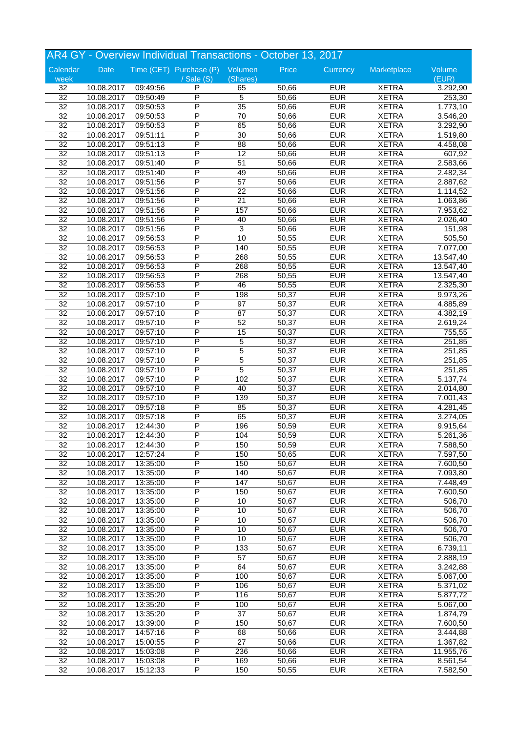|                 |            |          | AR4 GY - Overview Individual Transactions - October 13, 2017 |                 |       |            |              |                        |
|-----------------|------------|----------|--------------------------------------------------------------|-----------------|-------|------------|--------------|------------------------|
| Calendar        | Date       |          | Time (CET) Purchase (P) Volumen                              |                 | Price | Currency   | Marketplace  | Volume                 |
| week            |            |          | $\sqrt{s}$ ale $(S)$                                         | (Shares)        |       |            |              | (EUR)                  |
| 32              | 10.08.2017 | 09:49:56 | P                                                            | 65              | 50,66 | <b>EUR</b> | <b>XETRA</b> | 3.292,90               |
| 32              | 10.08.2017 | 09:50:49 | P                                                            | $\overline{5}$  | 50,66 | <b>EUR</b> | <b>XETRA</b> | 253,30                 |
| $\overline{32}$ | 10.08.2017 | 09:50:53 | P                                                            | 35              | 50,66 | <b>EUR</b> | <b>XETRA</b> | 1.773,10               |
| $\overline{32}$ | 10.08.2017 | 09:50:53 | P                                                            | $\overline{70}$ | 50,66 | <b>EUR</b> | <b>XETRA</b> | 3.546,20               |
| 32              | 10.08.2017 | 09:50:53 | P                                                            | 65              | 50,66 | <b>EUR</b> | <b>XETRA</b> | 3.292,90               |
| $\overline{32}$ | 10.08.2017 | 09:51:11 | P                                                            | $\overline{30}$ | 50,66 | <b>EUR</b> | <b>XETRA</b> | 1.519,80               |
| $\overline{32}$ | 10.08.2017 | 09:51:13 | P                                                            | $\overline{88}$ | 50,66 | <b>EUR</b> | <b>XETRA</b> | 4.458,08               |
| 32              | 10.08.2017 | 09:51:13 | P                                                            | $\overline{12}$ | 50,66 | <b>EUR</b> | <b>XETRA</b> | 607,92                 |
| $\overline{32}$ | 10.08.2017 | 09:51:40 | P                                                            | $\overline{51}$ | 50,66 | <b>EUR</b> | <b>XETRA</b> | 2.583,66               |
| 32              | 10.08.2017 | 09:51:40 | P                                                            | 49              | 50,66 | <b>EUR</b> | <b>XETRA</b> | 2.482,34               |
| $\overline{32}$ | 10.08.2017 | 09:51:56 | P                                                            | $\overline{57}$ | 50,66 | <b>EUR</b> | <b>XETRA</b> | 2.887,62               |
| $\overline{32}$ | 10.08.2017 | 09:51:56 | P                                                            | $\overline{22}$ | 50,66 | <b>EUR</b> | <b>XETRA</b> | $\overline{1.114,52}$  |
| 32              | 10.08.2017 | 09:51:56 | P                                                            | $\overline{21}$ | 50,66 | <b>EUR</b> | <b>XETRA</b> | 1.063,86               |
| $\overline{32}$ | 10.08.2017 | 09:51:56 | P                                                            | 157             | 50,66 | <b>EUR</b> | <b>XETRA</b> | 7.953,62               |
| 32              | 10.08.2017 | 09:51:56 | P                                                            | 40              | 50,66 | <b>EUR</b> | <b>XETRA</b> | 2.026,40               |
| $\overline{32}$ | 10.08.2017 | 09:51:56 | P                                                            | $\overline{3}$  | 50,66 | <b>EUR</b> | <b>XETRA</b> | 151,98                 |
| $\overline{32}$ | 10.08.2017 | 09:56:53 | P                                                            | 10              | 50,55 | <b>EUR</b> | <b>XETRA</b> | 505,50                 |
| 32              |            |          | P                                                            | 140             | 50,55 | <b>EUR</b> | <b>XETRA</b> | 7.077,00               |
| $\overline{32}$ | 10.08.2017 | 09:56:53 | P                                                            |                 |       | <b>EUR</b> | <b>XETRA</b> |                        |
|                 | 10.08.2017 | 09:56:53 |                                                              | 268             | 50,55 |            |              | 13.547,40              |
| 32              | 10.08.2017 | 09:56:53 | P                                                            | 268             | 50,55 | <b>EUR</b> | <b>XETRA</b> | 13.547,40              |
| $\overline{32}$ | 10.08.2017 | 09:56:53 | P                                                            | 268             | 50,55 | <b>EUR</b> | <b>XETRA</b> | 13.547,40              |
| $\overline{32}$ | 10.08.2017 | 09:56:53 | P                                                            | 46              | 50,55 | <b>EUR</b> | <b>XETRA</b> | 2.325,30               |
| 32              | 10.08.2017 | 09:57:10 | P                                                            | 198             | 50,37 | <b>EUR</b> | <b>XETRA</b> | 9.973,26               |
| $\overline{32}$ | 10.08.2017 | 09:57:10 | P                                                            | $\overline{97}$ | 50,37 | <b>EUR</b> | <b>XETRA</b> | 4.885,89               |
| 32              | 10.08.2017 | 09:57:10 | P                                                            | 87              | 50,37 | <b>EUR</b> | <b>XETRA</b> | 4.382,19               |
| $\overline{32}$ | 10.08.2017 | 09:57:10 | P                                                            | 52              | 50,37 | <b>EUR</b> | <b>XETRA</b> | 2.619,24               |
| $\overline{32}$ | 10.08.2017 | 09:57:10 | P                                                            | 15              | 50,37 | <b>EUR</b> | <b>XETRA</b> | 755,55                 |
| 32              | 10.08.2017 | 09:57:10 | P                                                            | 5               | 50,37 | <b>EUR</b> | <b>XETRA</b> | 251,85                 |
| $\overline{32}$ | 10.08.2017 | 09:57:10 | P                                                            | 5               | 50,37 | <b>EUR</b> | <b>XETRA</b> | 251,85                 |
| 32              | 10.08.2017 | 09:57:10 | P                                                            | $\overline{5}$  | 50,37 | <b>EUR</b> | <b>XETRA</b> | 251,85                 |
| $\overline{32}$ | 10.08.2017 | 09:57:10 | P                                                            | $\overline{5}$  | 50,37 | <b>EUR</b> | <b>XETRA</b> | $\overline{251}, 85$   |
| $\overline{32}$ | 10.08.2017 | 09:57:10 | P                                                            | 102             | 50,37 | <b>EUR</b> | <b>XETRA</b> | 5.137,74               |
| $\overline{32}$ | 10.08.2017 | 09:57:10 | P                                                            | 40              | 50,37 | <b>EUR</b> | <b>XETRA</b> | 2.014,80               |
| $\overline{32}$ | 10.08.2017 | 09:57:10 | P                                                            | 139             | 50,37 | <b>EUR</b> | <b>XETRA</b> | $\overline{7.00}$ 1,43 |
| 32              | 10.08.2017 | 09:57:18 | P                                                            | 85              | 50,37 | <b>EUR</b> | <b>XETRA</b> | 4.281,45               |
| $\overline{32}$ | 10.08.2017 | 09:57:18 | P                                                            | 65              | 50,37 | <b>EUR</b> | <b>XETRA</b> | 3.274,05               |
| $\overline{32}$ | 10.08.2017 | 12:44:30 | P                                                            | 196             | 50,59 | <b>EUR</b> | <b>XETRA</b> | 9.915,64               |
| $\overline{32}$ | 10.08.2017 | 12:44:30 | P                                                            | 104             | 50,59 | <b>EUR</b> | <b>XETRA</b> | 5.261,36               |
| 32              | 10.08.2017 | 12:44:30 | P                                                            | 150             | 50,59 | <b>EUR</b> | <b>XETRA</b> | 7.588,50               |
| 32              | 10.08.2017 | 12:57:24 | P                                                            | 150             | 50,65 | <b>EUR</b> | <b>XETRA</b> | 7.597,50               |
| 32              | 10.08.2017 | 13:35:00 | P                                                            | 150             | 50,67 | <b>EUR</b> | <b>XETRA</b> | 7.600,50               |
| $\overline{32}$ | 10.08.2017 | 13:35:00 | P                                                            | 140             | 50,67 | <b>EUR</b> | <b>XETRA</b> | 7.093,80               |
| $\overline{32}$ | 10.08.2017 | 13:35:00 | P                                                            | 147             | 50,67 | <b>EUR</b> | <b>XETRA</b> | 7.448,49               |
| $\overline{32}$ | 10.08.2017 | 13:35:00 | Ρ                                                            | 150             | 50,67 | <b>EUR</b> | <b>XETRA</b> | 7.600,50               |
| 32              | 10.08.2017 | 13:35:00 | Ρ                                                            | 10              | 50,67 | <b>EUR</b> | <b>XETRA</b> | 506,70                 |
| $\overline{32}$ | 10.08.2017 | 13:35:00 | P                                                            | 10              | 50,67 | <b>EUR</b> | <b>XETRA</b> | 506,70                 |
| $\overline{32}$ | 10.08.2017 | 13:35:00 | P                                                            | 10              | 50,67 | <b>EUR</b> | <b>XETRA</b> | 506,70                 |
| $\overline{32}$ | 10.08.2017 | 13:35:00 | $\overline{\mathsf{P}}$                                      | 10              | 50,67 | <b>EUR</b> | <b>XETRA</b> | 506,70                 |
| $\overline{32}$ | 10.08.2017 | 13:35:00 | Ρ                                                            | 10              | 50,67 | <b>EUR</b> | <b>XETRA</b> | 506,70                 |
| 32              | 10.08.2017 | 13:35:00 | Ρ                                                            | 133             | 50,67 | <b>EUR</b> | <b>XETRA</b> | 6.739,11               |
| 32              | 10.08.2017 | 13:35:00 | P                                                            | 57              | 50,67 | <b>EUR</b> | <b>XETRA</b> | 2.888,19               |
| $\overline{32}$ | 10.08.2017 | 13:35:00 | P                                                            | 64              | 50,67 | <b>EUR</b> | <b>XETRA</b> | 3.242,88               |
| $\overline{32}$ |            |          | P                                                            | 100             |       | <b>EUR</b> |              |                        |
| $\overline{32}$ | 10.08.2017 | 13:35:00 |                                                              |                 | 50,67 | <b>EUR</b> | <b>XETRA</b> | 5.067,00               |
|                 | 10.08.2017 | 13:35:00 | Ρ                                                            | 106             | 50,67 |            | <b>XETRA</b> | 5.371,02               |
| 32              | 10.08.2017 | 13:35:20 | Ρ                                                            | 116             | 50,67 | <b>EUR</b> | <b>XETRA</b> | 5.877,72               |
| $\overline{32}$ | 10.08.2017 | 13:35:20 | P                                                            | 100             | 50,67 | <b>EUR</b> | <b>XETRA</b> | 5.067,00               |
| $\overline{32}$ | 10.08.2017 | 13:35:20 | P                                                            | $\overline{37}$ | 50,67 | <b>EUR</b> | <b>XETRA</b> | 1.874,79               |
| $\overline{32}$ | 10.08.2017 | 13:39:00 | $\overline{\mathsf{P}}$                                      | 150             | 50,67 | <b>EUR</b> | <b>XETRA</b> | 7.600,50               |
| $\overline{32}$ | 10.08.2017 | 14:57:16 | Ρ                                                            | 68              | 50,66 | <b>EUR</b> | <b>XETRA</b> | 3.444,88               |
| 32              | 10.08.2017 | 15:00:55 | Ρ                                                            | 27              | 50,66 | <b>EUR</b> | <b>XETRA</b> | 1.367,82               |
| 32              | 10.08.2017 | 15:03:08 | Ρ                                                            | 236             | 50,66 | <b>EUR</b> | <b>XETRA</b> | 11.955,76              |
| $\overline{32}$ | 10.08.2017 | 15:03:08 | P                                                            | 169             | 50,66 | <b>EUR</b> | <b>XETRA</b> | 8.561,54               |
| $\overline{32}$ | 10.08.2017 | 15:12:33 | P                                                            | 150             | 50,55 | <b>EUR</b> | <b>XETRA</b> | 7.582,50               |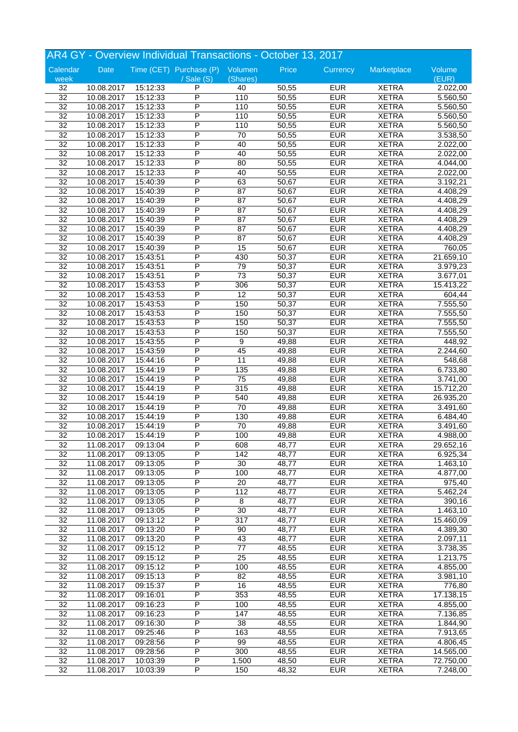| AR4 GY - Overview Individual Transactions - October 13, 2017 |            |          |                                 |                 |       |            |              |           |
|--------------------------------------------------------------|------------|----------|---------------------------------|-----------------|-------|------------|--------------|-----------|
| Calendar                                                     | Date       |          | Time (CET) Purchase (P) Volumen |                 | Price | Currency   | Marketplace  | Volume    |
| week                                                         |            |          | $\sqrt{s}$ ale $(S)$            | (Shares)        |       |            |              | (EUR)     |
| 32                                                           | 10.08.2017 | 15:12:33 | P                               | 40              | 50,55 | <b>EUR</b> | <b>XETRA</b> | 2.022,00  |
| 32                                                           | 10.08.2017 | 15:12:33 | P                               | 110             | 50,55 | <b>EUR</b> | <b>XETRA</b> | 5.560,50  |
| $\overline{32}$                                              | 10.08.2017 | 15:12:33 | P                               | 110             | 50,55 | <b>EUR</b> | <b>XETRA</b> | 5.560,50  |
| $\overline{32}$                                              | 10.08.2017 | 15:12:33 | P                               | 110             | 50,55 | <b>EUR</b> | <b>XETRA</b> | 5.560,50  |
| 32                                                           | 10.08.2017 | 15:12:33 | P                               | 110             | 50,55 | <b>EUR</b> | <b>XETRA</b> | 5.560,50  |
| $\overline{32}$                                              | 10.08.2017 | 15:12:33 | P                               | 70              | 50,55 | <b>EUR</b> | <b>XETRA</b> | 3.538,50  |
| $\overline{32}$                                              | 10.08.2017 | 15:12:33 | P                               | 40              | 50,55 | <b>EUR</b> | <b>XETRA</b> | 2.022,00  |
| 32                                                           | 10.08.2017 | 15:12:33 | P                               | 40              | 50,55 | <b>EUR</b> | <b>XETRA</b> | 2.022,00  |
| $\overline{32}$                                              | 10.08.2017 | 15:12:33 | P                               | 80              | 50,55 | <b>EUR</b> | <b>XETRA</b> | 4.044,00  |
| 32                                                           | 10.08.2017 | 15:12:33 | P                               | 40              | 50,55 | <b>EUR</b> | <b>XETRA</b> | 2.022,00  |
| $\overline{32}$                                              | 10.08.2017 | 15:40:39 | P                               | 63              | 50,67 | <b>EUR</b> | <b>XETRA</b> | 3.192,21  |
| $\overline{32}$                                              | 10.08.2017 | 15:40:39 | P                               | $\overline{87}$ | 50,67 | <b>EUR</b> | <b>XETRA</b> | 4.408,29  |
| 32                                                           | 10.08.2017 | 15:40:39 | P                               | $\overline{87}$ | 50,67 | <b>EUR</b> | <b>XETRA</b> | 4.408,29  |
| $\overline{32}$                                              | 10.08.2017 | 15:40:39 | P                               | $\overline{87}$ | 50,67 | <b>EUR</b> | <b>XETRA</b> | 4.408,29  |
| 32                                                           | 10.08.2017 | 15:40:39 | P                               | 87              | 50,67 | <b>EUR</b> | <b>XETRA</b> | 4.408,29  |
| $\overline{32}$                                              | 10.08.2017 | 15:40:39 | P                               | $\overline{87}$ | 50,67 | <b>EUR</b> | <b>XETRA</b> | 4.408,29  |
| $\overline{32}$                                              | 10.08.2017 | 15:40:39 | P                               | $\overline{87}$ | 50,67 | <b>EUR</b> | <b>XETRA</b> | 4.408,29  |
| 32                                                           | 10.08.2017 | 15:40:39 | P                               | 15              | 50,67 | <b>EUR</b> | <b>XETRA</b> | 760,05    |
| $\overline{32}$                                              | 10.08.2017 | 15:43:51 | P                               | 430             | 50,37 | <b>EUR</b> | <b>XETRA</b> | 21.659,10 |
| 32                                                           | 10.08.2017 | 15:43:51 | P                               | 79              | 50,37 | <b>EUR</b> | <b>XETRA</b> | 3.979,23  |
| $\overline{32}$                                              | 10.08.2017 | 15:43:51 | P                               | $\overline{73}$ | 50,37 | <b>EUR</b> | <b>XETRA</b> | 3.677,01  |
| $\overline{32}$                                              | 10.08.2017 | 15:43:53 | P                               | 306             | 50,37 | <b>EUR</b> | <b>XETRA</b> | 15.413,22 |
| 32                                                           | 10.08.2017 | 15:43:53 | P                               | $\overline{12}$ | 50,37 | <b>EUR</b> | <b>XETRA</b> | 604,44    |
| $\overline{32}$                                              | 10.08.2017 | 15:43:53 | P                               | 150             | 50,37 | <b>EUR</b> | <b>XETRA</b> | 7.555,50  |
| 32                                                           | 10.08.2017 | 15:43:53 | P                               | 150             | 50,37 | <b>EUR</b> | <b>XETRA</b> | 7.555,50  |
| $\overline{32}$                                              | 10.08.2017 | 15:43:53 | P                               | 150             | 50,37 | <b>EUR</b> | <b>XETRA</b> | 7.555,50  |
| $\overline{32}$                                              | 10.08.2017 | 15:43:53 | P                               | 150             | 50,37 | <b>EUR</b> | <b>XETRA</b> | 7.555,50  |
|                                                              |            |          | P                               | 9               |       | <b>EUR</b> |              |           |
| 32                                                           | 10.08.2017 | 15:43:55 | P                               |                 | 49,88 | <b>EUR</b> | <b>XETRA</b> | 448,92    |
| $\overline{32}$                                              | 10.08.2017 | 15:43:59 |                                 | 45              | 49,88 |            | <b>XETRA</b> | 2.244,60  |
| 32                                                           | 10.08.2017 | 15:44:16 | P                               | 11              | 49,88 | <b>EUR</b> | <b>XETRA</b> | 548,68    |
| $\overline{32}$                                              | 10.08.2017 | 15:44:19 | P                               | 135             | 49,88 | <b>EUR</b> | <b>XETRA</b> | 6.733,80  |
| $\overline{32}$                                              | 10.08.2017 | 15:44:19 | P                               | $\overline{75}$ | 49,88 | <b>EUR</b> | <b>XETRA</b> | 3.741,00  |
| $\overline{32}$                                              | 10.08.2017 | 15:44:19 | P                               | 315             | 49,88 | <b>EUR</b> | <b>XETRA</b> | 15.712,20 |
| $\overline{32}$                                              | 10.08.2017 | 15:44:19 | P                               | 540             | 49,88 | <b>EUR</b> | <b>XETRA</b> | 26.935,20 |
| 32                                                           | 10.08.2017 | 15:44:19 | P                               | 70              | 49,88 | <b>EUR</b> | <b>XETRA</b> | 3.491,60  |
| 32                                                           | 10.08.2017 | 15:44:19 | P                               | 130             | 49,88 | <b>EUR</b> | <b>XETRA</b> | 6.484,40  |
| $\overline{32}$                                              | 10.08.2017 | 15:44:19 | P                               | $\overline{70}$ | 49,88 | <b>EUR</b> | <b>XETRA</b> | 3.491,60  |
| $\overline{32}$                                              | 10.08.2017 | 15:44:19 | P                               | 100             | 49,88 | <b>EUR</b> | <b>XETRA</b> | 4.988,00  |
| 32                                                           | 11.08.2017 | 09:13:04 | P                               | 608             | 48,77 | <b>EUR</b> | <b>XETRA</b> | 29.652,16 |
| 32                                                           | 11.08.2017 | 09:13:05 | P                               | 142             | 48,77 | <b>EUR</b> | <b>XETRA</b> | 6.925,34  |
| 32                                                           | 11.08.2017 | 09:13:05 | P                               | 30              | 48,77 | <b>EUR</b> | <b>XETRA</b> | 1.463,10  |
| $\overline{32}$                                              | 11.08.2017 | 09:13:05 | P                               | 100             | 48,77 | <b>EUR</b> | <b>XETRA</b> | 4.877,00  |
| $\overline{32}$                                              | 11.08.2017 | 09:13:05 | $\overline{\mathsf{P}}$         | 20              | 48,77 | <b>EUR</b> | <b>XETRA</b> | 975,40    |
| $\overline{32}$                                              | 11.08.2017 | 09:13:05 | Ρ                               | 112             | 48,77 | <b>EUR</b> | <b>XETRA</b> | 5.462,24  |
| 32                                                           | 11.08.2017 | 09:13:05 | Ρ                               | 8               | 48,77 | <b>EUR</b> | <b>XETRA</b> | 390,16    |
| $\overline{32}$                                              | 11.08.2017 | 09:13:05 | P                               | 30              | 48,77 | <b>EUR</b> | <b>XETRA</b> | 1.463,10  |
| $\overline{32}$                                              | 11.08.2017 | 09:13:12 | P                               | 317             | 48,77 | <b>EUR</b> | <b>XETRA</b> | 15.460,09 |
| $\overline{32}$                                              | 11.08.2017 | 09:13:20 | $\overline{\mathsf{P}}$         | 90              | 48,77 | <b>EUR</b> | <b>XETRA</b> | 4.389,30  |
| $\overline{32}$                                              | 11.08.2017 | 09:13:20 | Ρ                               | 43              | 48,77 | <b>EUR</b> | <b>XETRA</b> | 2.097,11  |
| 32                                                           | 11.08.2017 | 09:15:12 | Ρ                               | $77 \,$         | 48,55 | <b>EUR</b> | <b>XETRA</b> | 3.738,35  |
| 32                                                           | 11.08.2017 | 09:15:12 | P                               | 25              | 48,55 | <b>EUR</b> | <b>XETRA</b> | 1.213,75  |
| $\overline{32}$                                              | 11.08.2017 | 09:15:12 | P                               | 100             | 48,55 | <b>EUR</b> | <b>XETRA</b> | 4.855,00  |
| $\overline{32}$                                              | 11.08.2017 | 09:15:13 | $\overline{\mathsf{P}}$         | $\overline{82}$ | 48,55 | <b>EUR</b> | <b>XETRA</b> | 3.981,10  |
| $\overline{32}$                                              | 11.08.2017 | 09:15:37 | Ρ                               | 16              | 48,55 | <b>EUR</b> | <b>XETRA</b> | 776,80    |
| 32                                                           | 11.08.2017 | 09:16:01 | Ρ                               | 353             | 48,55 | <b>EUR</b> | <b>XETRA</b> | 17.138,15 |
| $\overline{32}$                                              | 11.08.2017 | 09:16:23 | Ρ                               | 100             | 48,55 | <b>EUR</b> | <b>XETRA</b> | 4.855,00  |
| $\overline{32}$                                              | 11.08.2017 | 09:16:23 | P                               | 147             | 48,55 | <b>EUR</b> | <b>XETRA</b> | 7.136,85  |
| $\overline{32}$                                              | 11.08.2017 | 09:16:30 | $\overline{\mathsf{P}}$         | $\overline{38}$ | 48,55 | <b>EUR</b> | <b>XETRA</b> | 1.844,90  |
| $\overline{32}$                                              | 11.08.2017 | 09:25:46 | Ρ                               | 163             | 48,55 | <b>EUR</b> | <b>XETRA</b> | 7.913,65  |
| 32                                                           | 11.08.2017 | 09:28:56 | Ρ                               | 99              | 48,55 | <b>EUR</b> | <b>XETRA</b> | 4.806,45  |
| 32                                                           | 11.08.2017 | 09:28:56 | Ρ                               | 300             | 48,55 | <b>EUR</b> | <b>XETRA</b> | 14.565,00 |
| $\overline{32}$                                              |            |          | Ρ                               | 1.500           | 48,50 | <b>EUR</b> | <b>XETRA</b> | 72.750,00 |
|                                                              | 11.08.2017 | 10:03:39 |                                 |                 |       |            |              |           |
| $\overline{32}$                                              | 11.08.2017 | 10:03:39 | P                               | 150             | 48,32 | <b>EUR</b> | <b>XETRA</b> | 7.248,00  |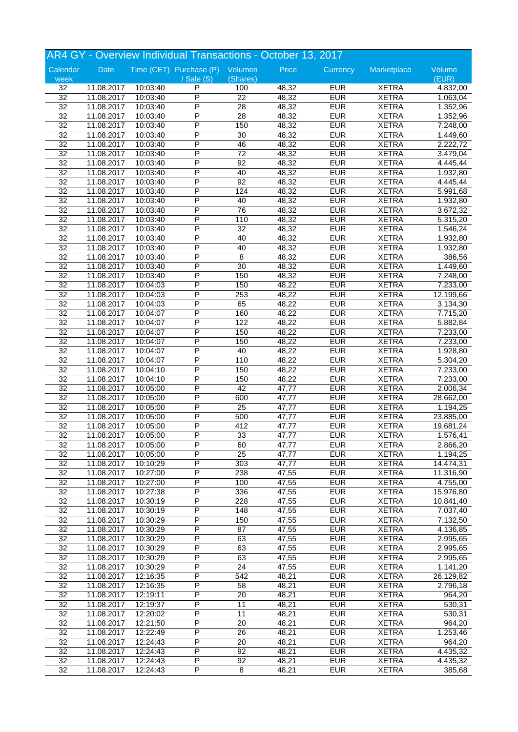|                 | AR4 GY - Overview Individual Transactions - October 13, 2017 |          |                                 |                       |                |            |                              |           |  |
|-----------------|--------------------------------------------------------------|----------|---------------------------------|-----------------------|----------------|------------|------------------------------|-----------|--|
| Calendar        | Date                                                         |          | Time (CET) Purchase (P) Volumen |                       | Price          | Currency   | Marketplace                  | Volume    |  |
| week            |                                                              |          | $\sqrt{s}$ ale $(S)$            | (Shares)              |                |            |                              | (EUR)     |  |
| 32              | 11.08.2017                                                   | 10:03:40 | P                               | 100                   | 48,32          | <b>EUR</b> | <b>XETRA</b>                 | 4.832,00  |  |
| 32              | 11.08.2017                                                   | 10:03:40 | P                               | $\overline{22}$       | 48,32          | <b>EUR</b> | <b>XETRA</b>                 | 1.063,04  |  |
| $\overline{32}$ | 11.08.2017                                                   | 10:03:40 | P                               | $\overline{28}$       | 48,32          | <b>EUR</b> | <b>XETRA</b>                 | 1.352,96  |  |
| $\overline{32}$ | 11.08.2017                                                   | 10:03:40 | P                               | $\overline{28}$       | 48,32          | <b>EUR</b> | <b>XETRA</b>                 | 1.352,96  |  |
| 32              | 11.08.2017                                                   | 10:03:40 | P                               | 150                   | 48,32          | <b>EUR</b> | <b>XETRA</b>                 | 7.248,00  |  |
| $\overline{32}$ | 11.08.2017                                                   | 10:03:40 | P                               | 30                    | 48,32          | <b>EUR</b> | <b>XETRA</b>                 | 1.449,60  |  |
| $\overline{32}$ | 11.08.2017                                                   | 10:03:40 | P                               | 46                    | 48,32          | <b>EUR</b> | <b>XETRA</b>                 | 2.222,72  |  |
| 32              | 11.08.2017                                                   | 10:03:40 | P                               | $\overline{72}$       | 48,32          | <b>EUR</b> | <b>XETRA</b>                 | 3.479,04  |  |
| $\overline{32}$ | 11.08.2017                                                   | 10:03:40 | P                               | 92                    | 48,32          | <b>EUR</b> | <b>XETRA</b>                 | 4.445,44  |  |
| 32              | 11.08.2017                                                   | 10:03:40 | P                               | 40                    | 48,32          | <b>EUR</b> | <b>XETRA</b>                 | 1.932,80  |  |
| $\overline{32}$ | 11.08.2017                                                   | 10:03:40 | P                               | 92                    | 48,32          | <b>EUR</b> | <b>XETRA</b>                 | 4.445,44  |  |
| $\overline{32}$ | 11.08.2017                                                   | 10:03:40 | P                               | 124                   | 48,32          | <b>EUR</b> | <b>XETRA</b>                 | 5.991,68  |  |
| 32              | 11.08.2017                                                   | 10:03:40 | P                               | 40                    | 48,32          | <b>EUR</b> | <b>XETRA</b>                 | 1.932,80  |  |
| $\overline{32}$ | 11.08.2017                                                   | 10:03:40 | P                               | $\overline{76}$       | 48,32          | <b>EUR</b> | <b>XETRA</b>                 | 3.672,32  |  |
| 32              | 11.08.2017                                                   | 10:03:40 | P                               | 110                   | 48,32          | <b>EUR</b> | <b>XETRA</b>                 | 5.315,20  |  |
| $\overline{32}$ | 11.08.2017                                                   | 10:03:40 | P                               | $\overline{32}$       | 48,32          | <b>EUR</b> | <b>XETRA</b>                 | 1.546,24  |  |
| $\overline{32}$ | 11.08.2017                                                   | 10:03:40 | P                               | 40                    | 48,32          | <b>EUR</b> | <b>XETRA</b>                 | 1.932,80  |  |
| 32              | 11.08.2017                                                   | 10:03:40 | P                               | 40                    | 48,32          | <b>EUR</b> | <b>XETRA</b>                 | 1.932,80  |  |
| $\overline{32}$ | 11.08.2017                                                   | 10:03:40 | P                               | 8                     | 48,32          | <b>EUR</b> | <b>XETRA</b>                 | 386,56    |  |
| 32              | 11.08.2017                                                   | 10:03:40 | P                               | 30                    | 48,32          | <b>EUR</b> | <b>XETRA</b>                 | 1.449,60  |  |
| $\overline{32}$ | 11.08.2017                                                   | 10:03:40 | P                               | 150                   | 48,32          | <b>EUR</b> | <b>XETRA</b>                 | 7.248,00  |  |
| $\overline{32}$ | 11.08.2017                                                   | 10:04:03 | P                               | 150                   | 48,22          | <b>EUR</b> | <b>XETRA</b>                 | 7.233,00  |  |
| 32              | 11.08.2017                                                   | 10:04:03 | P                               | 253                   | 48,22          | <b>EUR</b> | <b>XETRA</b>                 | 12.199,66 |  |
| $\overline{32}$ | 11.08.2017                                                   | 10:04:03 | P                               | 65                    | 48,22          | <b>EUR</b> | <b>XETRA</b>                 | 3.134,30  |  |
| 32              | 11.08.2017                                                   | 10:04:07 | P                               | 160                   | 48,22          | <b>EUR</b> | <b>XETRA</b>                 | 7.715,20  |  |
| $\overline{32}$ | 11.08.2017                                                   | 10:04:07 | P                               | 122                   | 48,22          | <b>EUR</b> | <b>XETRA</b>                 | 5.882,84  |  |
| $\overline{32}$ | 11.08.2017                                                   | 10:04:07 | P                               | 150                   | 48,22          | <b>EUR</b> | <b>XETRA</b>                 | 7.233,00  |  |
| 32              | 11.08.2017                                                   | 10:04:07 | P                               | 150                   | 48,22          | <b>EUR</b> | <b>XETRA</b>                 | 7.233,00  |  |
| $\overline{32}$ | 11.08.2017                                                   | 10:04:07 | P                               | 40                    | 48,22          | <b>EUR</b> | <b>XETRA</b>                 | 1.928,80  |  |
| 32              | 11.08.2017                                                   | 10:04:07 | P                               | 110                   | 48,22          | <b>EUR</b> | <b>XETRA</b>                 | 5.304,20  |  |
| $\overline{32}$ | 11.08.2017                                                   | 10:04:10 | P                               | 150                   | 48,22          | <b>EUR</b> | <b>XETRA</b>                 | 7.233,00  |  |
| $\overline{32}$ | 11.08.2017                                                   | 10:04:10 | P                               | 150                   | 48,22          | <b>EUR</b> | <b>XETRA</b>                 | 7.233,00  |  |
| 32              | 11.08.2017                                                   | 10:05:00 | P                               | 42                    | 47,77          | <b>EUR</b> | <b>XETRA</b>                 | 2.006,34  |  |
| $\overline{32}$ | 11.08.2017                                                   | 10:05:00 | P                               | 600                   | 47,77          | <b>EUR</b> | <b>XETRA</b>                 | 28.662,00 |  |
| 32              | 11.08.2017                                                   | 10:05:00 | P                               | $\overline{25}$       | 47,77          | <b>EUR</b> | <b>XETRA</b>                 | 1.194,25  |  |
| 32              | 11.08.2017                                                   | 10:05:00 | P                               | 500                   | 47,77          | <b>EUR</b> | <b>XETRA</b>                 | 23.885,00 |  |
| $\overline{32}$ | 11.08.2017                                                   | 10:05:00 | P                               | 412                   | 47,77          | <b>EUR</b> | <b>XETRA</b>                 | 19.681,24 |  |
| $\overline{32}$ | 11.08.2017                                                   | 10:05:00 | P                               | 33                    | 47,77          | <b>EUR</b> | <b>XETRA</b>                 | 1.576,41  |  |
|                 |                                                              | 10:05:00 |                                 |                       |                | <b>EUR</b> |                              |           |  |
| 32<br>32        | 11.08.2017<br>11.08.2017                                     | 10:05:00 | P<br>P                          | 60<br>$\overline{25}$ | 47,77<br>47,77 | <b>EUR</b> | <b>XETRA</b><br><b>XETRA</b> | 2.866,20  |  |
|                 |                                                              |          | P                               |                       |                |            |                              | 1.194,25  |  |
| 32              | 11.08.2017                                                   | 10:10:29 |                                 | 303                   | 47,77          | <b>EUR</b> | <b>XETRA</b>                 | 14.474,31 |  |
| $\overline{32}$ | 11.08.2017                                                   | 10:27:00 | P                               | 238                   | 47,55          | <b>EUR</b> | <b>XETRA</b>                 | 11.316,90 |  |
| 32              | 11.08.2017                                                   | 10:27:00 | P                               | 100                   | 47,55          | <b>EUR</b> | <b>XETRA</b>                 | 4.755,00  |  |
| $\overline{32}$ | 11.08.2017                                                   | 10:27:38 | Ρ                               | 336                   | 47,55          | <b>EUR</b> | <b>XETRA</b>                 | 15.976,80 |  |
| 32              | 11.08.2017                                                   | 10:30:19 | Ρ                               | 228                   | 47,55          | <b>EUR</b> | <b>XETRA</b>                 | 10.841,40 |  |
| $\overline{32}$ | 11.08.2017                                                   | 10:30:19 | P                               | 148                   | 47,55          | <b>EUR</b> | <b>XETRA</b>                 | 7.037,40  |  |
| $\overline{32}$ | 11.08.2017                                                   | 10:30:29 | P                               | 150                   | 47,55          | <b>EUR</b> | <b>XETRA</b>                 | 7.132,50  |  |
| $\overline{32}$ | 11.08.2017                                                   | 10:30:29 | $\overline{\mathsf{P}}$         | $\overline{87}$       | 47,55          | <b>EUR</b> | <b>XETRA</b>                 | 4.136,85  |  |
| $\overline{32}$ | 11.08.2017                                                   | 10:30:29 | Ρ                               | 63                    | 47,55          | <b>EUR</b> | <b>XETRA</b>                 | 2.995,65  |  |
| 32              | 11.08.2017                                                   | 10:30:29 | Ρ                               | 63                    | 47,55          | <b>EUR</b> | <b>XETRA</b>                 | 2.995,65  |  |
| 32              | 11.08.2017                                                   | 10:30:29 | P                               | 63                    | 47,55          | <b>EUR</b> | <b>XETRA</b>                 | 2.995,65  |  |
| $\overline{32}$ | 11.08.2017                                                   | 10:30:29 | P                               | $\overline{24}$       | 47,55          | <b>EUR</b> | <b>XETRA</b>                 | 1.141,20  |  |
| $\overline{32}$ | 11.08.2017                                                   | 12:16:35 | P                               | 542                   | 48,21          | <b>EUR</b> | <b>XETRA</b>                 | 26.129,82 |  |
| 32              | 11.08.2017                                                   | 12:16:35 | Ρ                               | 58                    | 48,21          | <b>EUR</b> | <b>XETRA</b>                 | 2.796,18  |  |
| 32              | 11.08.2017                                                   | 12:19:11 | Ρ                               | 20                    | 48,21          | <b>EUR</b> | <b>XETRA</b>                 | 964,20    |  |
| 32              | 11.08.2017                                                   | 12:19:37 | Ρ                               | 11                    | 48,21          | <b>EUR</b> | <b>XETRA</b>                 | 530,31    |  |
| $\overline{32}$ | 11.08.2017                                                   | 12:20:02 | P                               | 11                    | 48,21          | <b>EUR</b> | <b>XETRA</b>                 | 530,31    |  |
| $\overline{32}$ | 11.08.2017                                                   | 12:21:50 | $\overline{\mathsf{P}}$         | $\overline{20}$       | 48,21          | <b>EUR</b> | <b>XETRA</b>                 | 964,20    |  |
| $\overline{32}$ | 11.08.2017                                                   | 12:22:49 | Ρ                               | 26                    | 48,21          | <b>EUR</b> | <b>XETRA</b>                 | 1.253,46  |  |
| 32              | 11.08.2017                                                   | 12:24:43 | Ρ                               | 20                    | 48,21          | <b>EUR</b> | <b>XETRA</b>                 | 964,20    |  |
| 32              | 11.08.2017                                                   | 12:24:43 | Ρ                               | 92                    | 48,21          | <b>EUR</b> | <b>XETRA</b>                 | 4.435,32  |  |
| $\overline{32}$ | 11.08.2017                                                   | 12:24:43 | P                               | 92                    | 48,21          | <b>EUR</b> | <b>XETRA</b>                 | 4.435,32  |  |
| $\overline{32}$ | 11.08.2017                                                   | 12:24:43 | P                               | 8                     | 48,21          | <b>EUR</b> | <b>XETRA</b>                 | 385,68    |  |
|                 |                                                              |          |                                 |                       |                |            |                              |           |  |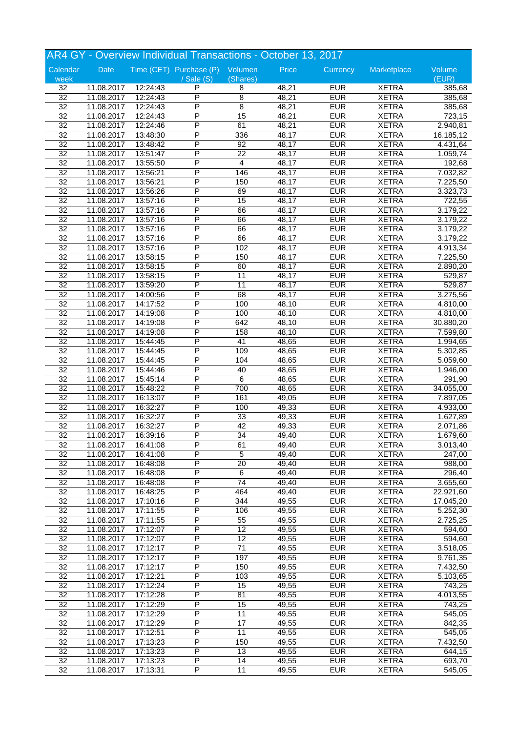|                 | AR4 GY - Overview Individual Transactions - October 13, 2017 |          |                                 |                 |       |            |              |           |  |
|-----------------|--------------------------------------------------------------|----------|---------------------------------|-----------------|-------|------------|--------------|-----------|--|
| Calendar        | Date                                                         |          | Time (CET) Purchase (P) Volumen |                 | Price | Currency   | Marketplace  | Volume    |  |
| week            |                                                              |          | $/$ Sale $(S)$                  | (Shares)        |       |            |              | (EUR)     |  |
| 32              | 11.08.2017                                                   | 12:24:43 | P                               | 8               | 48,21 | <b>EUR</b> | <b>XETRA</b> | 385,68    |  |
| $\overline{32}$ | 11.08.2017                                                   | 12:24:43 | P                               | 8               | 48,21 | <b>EUR</b> | <b>XETRA</b> | 385,68    |  |
| $\overline{32}$ | 11.08.2017                                                   | 12:24:43 | P                               | 8               | 48,21 | <b>EUR</b> | <b>XETRA</b> | 385,68    |  |
| $\overline{32}$ | 11.08.2017                                                   | 12:24:43 | P                               | 15              | 48,21 | <b>EUR</b> | <b>XETRA</b> | 723,15    |  |
| 32              | 11.08.2017                                                   | 12:24:46 | P                               | 61              | 48,21 | <b>EUR</b> | <b>XETRA</b> | 2.940,81  |  |
| $\overline{32}$ | 11.08.2017                                                   | 13:48:30 | P                               | 336             | 48,17 | <b>EUR</b> | <b>XETRA</b> | 16.185,12 |  |
| $\overline{32}$ | 11.08.2017                                                   | 13:48:42 | P                               | 92              | 48,17 | <b>EUR</b> | <b>XETRA</b> | 4.431,64  |  |
| 32              | 11.08.2017                                                   | 13:51:47 | P                               | 22              | 48,17 | <b>EUR</b> | <b>XETRA</b> | 1.059,74  |  |
| $\overline{32}$ | 11.08.2017                                                   | 13:55:50 | P                               | $\overline{4}$  | 48,17 | <b>EUR</b> | <b>XETRA</b> | 192,68    |  |
| 32              | 11.08.2017                                                   | 13:56:21 | P                               | 146             | 48,17 | <b>EUR</b> | <b>XETRA</b> | 7.032,82  |  |
| 32              | 11.08.2017                                                   | 13:56:21 | P                               | 150             | 48,17 | <b>EUR</b> | <b>XETRA</b> | 7.225,50  |  |
| $\overline{32}$ | 11.08.2017                                                   | 13:56:26 | P                               | 69              | 48,17 | <b>EUR</b> | <b>XETRA</b> | 3.323,73  |  |
| 32              | 11.08.2017                                                   | 13:57:16 | P                               | 15              | 48,17 | <b>EUR</b> | <b>XETRA</b> | 722,55    |  |
| $\overline{32}$ | 11.08.2017                                                   | 13:57:16 | P                               | 66              | 48,17 | <b>EUR</b> | <b>XETRA</b> | 3.179,22  |  |
| 32              | 11.08.2017                                                   | 13:57:16 | P                               | 66              | 48,17 | <b>EUR</b> | <b>XETRA</b> | 3.179,22  |  |
| 32              | 11.08.2017                                                   | 13:57:16 | P                               | 66              | 48,17 | <b>EUR</b> | <b>XETRA</b> | 3.179,22  |  |
| $\overline{32}$ | 11.08.2017                                                   | 13:57:16 | P                               | 66              | 48,17 | <b>EUR</b> | <b>XETRA</b> | 3.179,22  |  |
| 32              | 11.08.2017                                                   | 13:57:16 | P                               | 102             | 48,17 | <b>EUR</b> | <b>XETRA</b> | 4.913,34  |  |
| $\overline{32}$ | 11.08.2017                                                   |          | P                               | 150             | 48,17 | <b>EUR</b> | <b>XETRA</b> |           |  |
|                 |                                                              | 13:58:15 |                                 |                 |       |            |              | 7.225,50  |  |
| 32              | 11.08.2017                                                   | 13:58:15 | P                               | 60              | 48,17 | <b>EUR</b> | <b>XETRA</b> | 2.890,20  |  |
| $\overline{32}$ | 11.08.2017                                                   | 13:58:15 | P                               | 11              | 48,17 | <b>EUR</b> | <b>XETRA</b> | 529,87    |  |
| $\overline{32}$ | 11.08.2017                                                   | 13:59:20 | P                               | $\overline{11}$ | 48,17 | <b>EUR</b> | <b>XETRA</b> | 529,87    |  |
| 32              | 11.08.2017                                                   | 14:00:56 | P                               | 68              | 48,17 | <b>EUR</b> | <b>XETRA</b> | 3.275,56  |  |
| $\overline{32}$ | 11.08.2017                                                   | 14:17:52 | P                               | 100             | 48,10 | <b>EUR</b> | <b>XETRA</b> | 4.810,00  |  |
| 32              | 11.08.2017                                                   | 14:19:08 | P                               | 100             | 48,10 | <b>EUR</b> | <b>XETRA</b> | 4.810,00  |  |
| 32              | 11.08.2017                                                   | 14:19:08 | P                               | 642             | 48,10 | <b>EUR</b> | <b>XETRA</b> | 30.880,20 |  |
| $\overline{32}$ | 11.08.2017                                                   | 14:19:08 | P                               | 158             | 48,10 | <b>EUR</b> | <b>XETRA</b> | 7.599,80  |  |
| 32              | 11.08.2017                                                   | 15:44:45 | P                               | 41              | 48,65 | <b>EUR</b> | <b>XETRA</b> | 1.994,65  |  |
| $\overline{32}$ | 11.08.2017                                                   | 15:44:45 | P                               | 109             | 48,65 | <b>EUR</b> | <b>XETRA</b> | 5.302,85  |  |
| 32              | 11.08.2017                                                   | 15:44:45 | P                               | 104             | 48,65 | <b>EUR</b> | <b>XETRA</b> | 5.059,60  |  |
| $\overline{32}$ | 11.08.2017                                                   | 15:44:46 | P                               | 40              | 48,65 | <b>EUR</b> | <b>XETRA</b> | 1.946,00  |  |
| $\overline{32}$ | 11.08.2017                                                   | 15:45:14 | P                               | $\overline{6}$  | 48,65 | <b>EUR</b> | <b>XETRA</b> | 291,90    |  |
| 32              | 11.08.2017                                                   | 15:48:22 | P                               | 700             | 48,65 | <b>EUR</b> | <b>XETRA</b> | 34.055,00 |  |
| $\overline{32}$ | 11.08.2017                                                   | 16:13:07 | P                               | 161             | 49,05 | <b>EUR</b> | <b>XETRA</b> | 7.897,05  |  |
| 32              | 11.08.2017                                                   | 16:32:27 | P                               | 100             | 49,33 | <b>EUR</b> | <b>XETRA</b> | 4.933,00  |  |
| 32              | 11.08.2017                                                   | 16:32:27 | P                               | 33              | 49,33 | <b>EUR</b> | <b>XETRA</b> | 1.627,89  |  |
| $\overline{32}$ | 11.08.2017                                                   | 16:32:27 | P                               | 42              | 49,33 | <b>EUR</b> | <b>XETRA</b> | 2.071,86  |  |
| $\overline{32}$ | 11.08.2017                                                   | 16:39:16 | P                               | 34              | 49,40 | <b>EUR</b> | <b>XETRA</b> | 1.679,60  |  |
| 32              | 11.08.2017                                                   | 16:41:08 | P                               | 61              | 49,40 | <b>EUR</b> | <b>XETRA</b> | 3.013,40  |  |
| 32              | 11.08.2017                                                   | 16:41:08 | P                               | $\overline{5}$  | 49,40 | <b>EUR</b> | <b>XETRA</b> | 247,00    |  |
| 32              | 11.08.2017                                                   | 16:48:08 | P                               | 20              | 49,40 | <b>EUR</b> | <b>XETRA</b> | 988,00    |  |
| $\overline{32}$ | 11.08.2017                                                   | 16:48:08 | P                               | 6               | 49,40 | <b>EUR</b> | <b>XETRA</b> | 296,40    |  |
| 32              | 11.08.2017                                                   | 16:48:08 | P                               | $\overline{74}$ | 49,40 | <b>EUR</b> | <b>XETRA</b> | 3.655,60  |  |
| $\overline{32}$ |                                                              |          | Ρ                               | 464             | 49,40 | <b>EUR</b> | <b>XETRA</b> | 22.921,60 |  |
|                 | 11.08.2017                                                   | 16:48:25 |                                 |                 |       |            |              |           |  |
| 32              | 11.08.2017                                                   | 17:10:16 | Ρ                               | 344             | 49,55 | <b>EUR</b> | <b>XETRA</b> | 17.045,20 |  |
| $\overline{32}$ | 11.08.2017                                                   | 17:11:55 | P                               | 106             | 49,55 | <b>EUR</b> | <b>XETRA</b> | 5.252,30  |  |
| $\overline{32}$ | 11.08.2017                                                   | 17:11:55 | P                               | 55              | 49,55 | <b>EUR</b> | <b>XETRA</b> | 2.725,25  |  |
| $\overline{32}$ | 11.08.2017                                                   | 17:12:07 | $\overline{\mathsf{P}}$         | 12              | 49,55 | <b>EUR</b> | <b>XETRA</b> | 594,60    |  |
| $\overline{32}$ | 11.08.2017                                                   | 17:12:07 | Ρ                               | $\overline{12}$ | 49,55 | <b>EUR</b> | <b>XETRA</b> | 594,60    |  |
| 32              | 11.08.2017                                                   | 17:12:17 | Ρ                               | 71              | 49,55 | <b>EUR</b> | <b>XETRA</b> | 3.518,05  |  |
| 32              | 11.08.2017                                                   | 17:12:17 | Ρ                               | 197             | 49,55 | <b>EUR</b> | <b>XETRA</b> | 9.761,35  |  |
| $\overline{32}$ | 11.08.2017                                                   | 17:12:17 | P                               | 150             | 49,55 | <b>EUR</b> | <b>XETRA</b> | 7.432,50  |  |
| $\overline{32}$ | 11.08.2017                                                   | 17:12:21 | P                               | 103             | 49,55 | <b>EUR</b> | <b>XETRA</b> | 5.103,65  |  |
| 32              | 11.08.2017                                                   | 17:12:24 | Ρ                               | 15              | 49,55 | <b>EUR</b> | <b>XETRA</b> | 743,25    |  |
| 32              | 11.08.2017                                                   | 17:12:28 | Ρ                               | 81              | 49,55 | <b>EUR</b> | <b>XETRA</b> | 4.013,55  |  |
| 32              | 11.08.2017                                                   | 17:12:29 | P                               | 15              | 49,55 | <b>EUR</b> | <b>XETRA</b> | 743,25    |  |
| $\overline{32}$ | 11.08.2017                                                   | 17:12:29 | P                               | 11              | 49,55 | <b>EUR</b> | <b>XETRA</b> | 545,05    |  |
| $\overline{32}$ | 11.08.2017                                                   | 17:12:29 | $\overline{\mathsf{P}}$         | $\overline{17}$ | 49,55 | <b>EUR</b> | <b>XETRA</b> | 842,35    |  |
| $\overline{32}$ | 11.08.2017                                                   | 17:12:51 | Ρ                               | $\overline{11}$ | 49,55 | <b>EUR</b> | <b>XETRA</b> | 545,05    |  |
| 32              | 11.08.2017                                                   | 17:13:23 | Ρ                               | 150             | 49,55 | <b>EUR</b> | <b>XETRA</b> | 7.432,50  |  |
| 32              | 11.08.2017                                                   | 17:13:23 | Ρ                               | 13              | 49,55 | <b>EUR</b> | <b>XETRA</b> | 644,15    |  |
| $\overline{32}$ | 11.08.2017                                                   | 17:13:23 | Ρ                               | 14              | 49,55 | <b>EUR</b> | <b>XETRA</b> | 693,70    |  |
| $\overline{32}$ | 11.08.2017                                                   |          | P                               | 11              | 49,55 | <b>EUR</b> | <b>XETRA</b> | 545,05    |  |
|                 |                                                              | 17:13:31 |                                 |                 |       |            |              |           |  |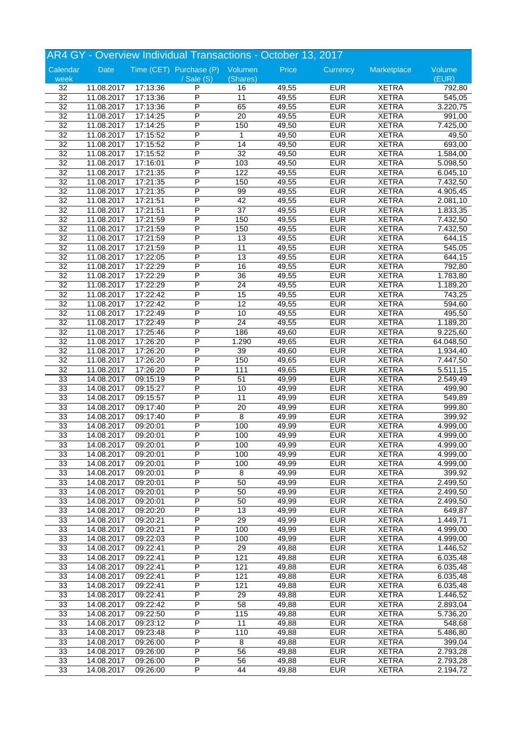|                 | AR4 GY - Overview Individual Transactions - October 13, 2017 |          |                                 |                 |       |                          |              |           |  |
|-----------------|--------------------------------------------------------------|----------|---------------------------------|-----------------|-------|--------------------------|--------------|-----------|--|
| Calendar        | Date                                                         |          | Time (CET) Purchase (P) Volumen |                 | Price | Currency                 | Marketplace  | Volume    |  |
| week            |                                                              |          | $\sqrt{s}$ ale $(S)$            | (Shares)        |       |                          |              | (EUR)     |  |
| 32              | 11.08.2017                                                   | 17:13:36 | P                               | 16              | 49,55 | <b>EUR</b>               | <b>XETRA</b> | 792,80    |  |
| $\overline{32}$ | 11.08.2017                                                   | 17:13:36 | P                               | $\overline{11}$ | 49,55 | <b>EUR</b>               | <b>XETRA</b> | 545,05    |  |
| $\overline{32}$ | 11.08.2017                                                   | 17:13:36 | P                               | 65              | 49,55 | <b>EUR</b>               | <b>XETRA</b> | 3.220,75  |  |
| $\overline{32}$ | 11.08.2017                                                   | 17:14:25 | P                               | $\overline{20}$ | 49,55 | <b>EUR</b>               | <b>XETRA</b> | 991,00    |  |
| 32              | 11.08.2017                                                   | 17:14:25 | P                               | 150             | 49,50 | <b>EUR</b>               | <b>XETRA</b> | 7.425,00  |  |
| $\overline{32}$ | 11.08.2017                                                   | 17:15:52 | Ρ                               | 1               | 49,50 | <b>EUR</b>               | <b>XETRA</b> | 49,50     |  |
| $\overline{32}$ | 11.08.2017                                                   | 17:15:52 | P                               | $\overline{14}$ | 49,50 | <b>EUR</b>               | <b>XETRA</b> | 693,00    |  |
| 32              | 11.08.2017                                                   | 17:15:52 | P                               | $\overline{32}$ | 49,50 | <b>EUR</b>               | <b>XETRA</b> | 1.584,00  |  |
| $\overline{32}$ | 11.08.2017                                                   | 17:16:01 | P                               | 103             | 49,50 | <b>EUR</b>               | <b>XETRA</b> | 5.098,50  |  |
| 32              | 11.08.2017                                                   | 17:21:35 | P                               | 122             | 49,55 | <b>EUR</b>               | <b>XETRA</b> | 6.045,10  |  |
| $\overline{32}$ | 11.08.2017                                                   | 17:21:35 | P                               | 150             | 49,55 | <b>EUR</b>               | <b>XETRA</b> | 7.432,50  |  |
| $\overline{32}$ | 11.08.2017                                                   | 17:21:35 | P                               | 99              | 49,55 | <b>EUR</b>               | <b>XETRA</b> | 4.905,45  |  |
| 32              | 11.08.2017                                                   | 17:21:51 | P                               | 42              | 49,55 | <b>EUR</b>               | <b>XETRA</b> | 2.081,10  |  |
| $\overline{32}$ | 11.08.2017                                                   | 17:21:51 | P                               | $\overline{37}$ | 49,55 | <b>EUR</b>               | <b>XETRA</b> | 1.833,35  |  |
| 32              | 11.08.2017                                                   | 17:21:59 | P                               | 150             | 49,55 | <b>EUR</b>               | <b>XETRA</b> | 7.432,50  |  |
| 32              | 11.08.2017                                                   | 17:21:59 | P                               | 150             | 49,55 | <b>EUR</b>               | <b>XETRA</b> | 7.432,50  |  |
| $\overline{32}$ | 11.08.2017                                                   | 17:21:59 | P                               | 13              | 49,55 | <b>EUR</b>               | <b>XETRA</b> | 644,15    |  |
| 32              | 11.08.2017                                                   | 17:21:59 | P                               | 11              | 49,55 | <b>EUR</b>               | <b>XETRA</b> | 545,05    |  |
| $\overline{32}$ | 11.08.2017                                                   | 17:22:05 | P                               | 13              | 49,55 | <b>EUR</b>               | <b>XETRA</b> | 644,15    |  |
| 32              | 11.08.2017                                                   | 17:22:29 | P                               | 16              | 49,55 | <b>EUR</b>               | <b>XETRA</b> | 792,80    |  |
| $\overline{32}$ | 11.08.2017                                                   | 17:22:29 | P                               | 36              | 49,55 | <b>EUR</b>               | <b>XETRA</b> | 1.783,80  |  |
| $\overline{32}$ | 11.08.2017                                                   | 17:22:29 | P                               | $\overline{24}$ | 49,55 | <b>EUR</b>               | <b>XETRA</b> | 1.189,20  |  |
| 32              | 11.08.2017                                                   | 17:22:42 | P                               | 15              | 49,55 | <b>EUR</b>               | <b>XETRA</b> | 743,25    |  |
| $\overline{32}$ | 11.08.2017                                                   | 17:22:42 | P                               | $\overline{12}$ | 49,55 | <b>EUR</b>               | <b>XETRA</b> | 594,60    |  |
|                 |                                                              |          | P                               |                 |       |                          |              |           |  |
| 32              | 11.08.2017                                                   | 17:22:49 |                                 | 10              | 49,55 | <b>EUR</b>               | <b>XETRA</b> | 495,50    |  |
| $\overline{32}$ | 11.08.2017                                                   | 17:22:49 | P                               | $\overline{24}$ | 49,55 | <b>EUR</b>               | <b>XETRA</b> | 1.189,20  |  |
| $\overline{32}$ | 11.08.2017                                                   | 17:25:46 | P                               | 186             | 49,60 | <b>EUR</b>               | <b>XETRA</b> | 9.225,60  |  |
| 32              | 11.08.2017                                                   | 17:26:20 | P                               | 1.290           | 49,65 | <b>EUR</b>               | <b>XETRA</b> | 64.048,50 |  |
| $\overline{32}$ | 11.08.2017                                                   | 17:26:20 | P                               | 39              | 49,60 | <b>EUR</b>               | <b>XETRA</b> | 1.934,40  |  |
| 32              | 11.08.2017                                                   | 17:26:20 | P                               | 150             | 49,65 | <b>EUR</b>               | <b>XETRA</b> | 7.447,50  |  |
| $\overline{32}$ | 11.08.2017                                                   | 17:26:20 | P                               | 111             | 49,65 | <b>EUR</b>               | <b>XETRA</b> | 5.511,15  |  |
| 33              | 14.08.2017                                                   | 09:15:19 | P                               | 51              | 49,99 | <b>EUR</b>               | <b>XETRA</b> | 2.549,49  |  |
| 33              | 14.08.2017                                                   | 09:15:27 | P                               | 10              | 49,99 | <b>EUR</b>               | <b>XETRA</b> | 499,90    |  |
| 33              | 14.08.2017                                                   | 09:15:57 | P                               | 11              | 49,99 | <b>EUR</b>               | <b>XETRA</b> | 549,89    |  |
| 33              | 14.08.2017                                                   | 09:17:40 | P                               | 20              | 49,99 | <b>EUR</b>               | <b>XETRA</b> | 999,80    |  |
| 33              | 14.08.2017                                                   | 09:17:40 | P                               | 8               | 49,99 | <b>EUR</b>               | <b>XETRA</b> | 399,92    |  |
| 33              | 14.08.2017                                                   | 09:20:01 | P                               | 100             | 49,99 | <b>EUR</b>               | <b>XETRA</b> | 4.999,00  |  |
| 33              | 14.08.2017                                                   | 09:20:01 | P                               | 100             | 49,99 | <b>EUR</b>               | <b>XETRA</b> | 4.999,00  |  |
| 33              | 14.08.2017                                                   | 09:20:01 | P                               | 100             | 49,99 | <b>EUR</b>               | <b>XETRA</b> | 4.999,00  |  |
| 33              | 14.08.2017                                                   | 09:20:01 | P                               | 100             | 49,99 | <b>EUR</b>               | <b>XETRA</b> | 4.999,00  |  |
| 33              | 14.08.2017                                                   | 09:20:01 | P                               | 100             | 49,99 | <b>EUR</b>               | <b>XETRA</b> | 4.999,00  |  |
| 33              | 14.08.2017                                                   | 09:20:01 | P                               | 8               | 49,99 | <b>EUR</b>               | <b>XETRA</b> | 399,92    |  |
| 33              | 14.08.2017                                                   | 09:20:01 | $\overline{\mathsf{P}}$         | 50              | 49,99 | <b>EUR</b>               | <b>XETRA</b> | 2.499,50  |  |
| 33              | 14.08.2017                                                   | 09:20:01 | Ρ                               | 50              | 49,99 | <b>EUR</b>               | <b>XETRA</b> | 2.499,50  |  |
| 33              | 14.08.2017                                                   | 09:20:01 | Ρ                               | 50              | 49,99 | <b>EUR</b>               | <b>XETRA</b> | 2.499,50  |  |
| 33              | 14.08.2017                                                   | 09:20:20 | P                               | 13              | 49,99 | <b>EUR</b>               | <b>XETRA</b> | 649,87    |  |
| 33              | 14.08.2017                                                   | 09:20:21 | P                               | $\overline{29}$ | 49,99 | <b>EUR</b>               | <b>XETRA</b> | 1.449,71  |  |
| 33              | 14.08.2017                                                   | 09:20:21 | $\overline{\mathsf{P}}$         | 100             | 49,99 | <b>EUR</b>               | <b>XETRA</b> | 4.999,00  |  |
| 33              | 14.08.2017                                                   | 09:22:03 | Ρ                               | 100             | 49,99 | <b>EUR</b>               | <b>XETRA</b> | 4.999,00  |  |
| 33              | 14.08.2017                                                   | 09:22:41 | Ρ                               | 29              | 49,88 | <b>EUR</b>               | <b>XETRA</b> | 1.446,52  |  |
| 33              | 14.08.2017                                                   | 09:22:41 | P                               | 121             | 49,88 | <b>EUR</b>               | <b>XETRA</b> | 6.035,48  |  |
| 33              | 14.08.2017                                                   | 09:22:41 | P                               | 121             | 49,88 | <b>EUR</b>               | <b>XETRA</b> | 6.035,48  |  |
| 33              | 14.08.2017                                                   | 09:22:41 | P                               | 121             | 49,88 | <b>EUR</b>               | <b>XETRA</b> | 6.035,48  |  |
| 33              | 14.08.2017                                                   | 09:22:41 | Ρ                               | 121             | 49,88 | <b>EUR</b>               | <b>XETRA</b> | 6.035,48  |  |
| 33              | 14.08.2017                                                   | 09:22:41 | Ρ                               | 29              | 49,88 | <b>EUR</b>               | <b>XETRA</b> | 1.446,52  |  |
| 33              | 14.08.2017                                                   | 09:22:42 | P                               | 58              | 49,88 | <b>EUR</b>               | <b>XETRA</b> | 2.893,04  |  |
| 33              | 14.08.2017                                                   | 09:22:50 | P                               | 115             | 49,88 | <b>EUR</b>               | <b>XETRA</b> | 5.736,20  |  |
| 33              | 14.08.2017                                                   | 09:23:12 | $\overline{\mathsf{P}}$         | 11              | 49,88 | <b>EUR</b>               | <b>XETRA</b> | 548,68    |  |
| 33              | 14.08.2017                                                   |          | Ρ                               | 110             | 49,88 | <b>EUR</b>               | <b>XETRA</b> | 5.486,80  |  |
|                 |                                                              | 09:23:48 |                                 |                 |       |                          |              |           |  |
| 33              | 14.08.2017                                                   | 09:26:00 | Ρ                               | 8               | 49,88 | <b>EUR</b><br><b>EUR</b> | <b>XETRA</b> | 399,04    |  |
| 33              | 14.08.2017                                                   | 09:26:00 | Ρ                               | 56              | 49,88 |                          | <b>XETRA</b> | 2.793,28  |  |
| 33              | 14.08.2017                                                   | 09:26:00 | P                               | 56              | 49,88 | <b>EUR</b>               | <b>XETRA</b> | 2.793,28  |  |
| 33              | 14.08.2017                                                   | 09:26:00 | P                               | 44              | 49,88 | <b>EUR</b>               | <b>XETRA</b> | 2.194,72  |  |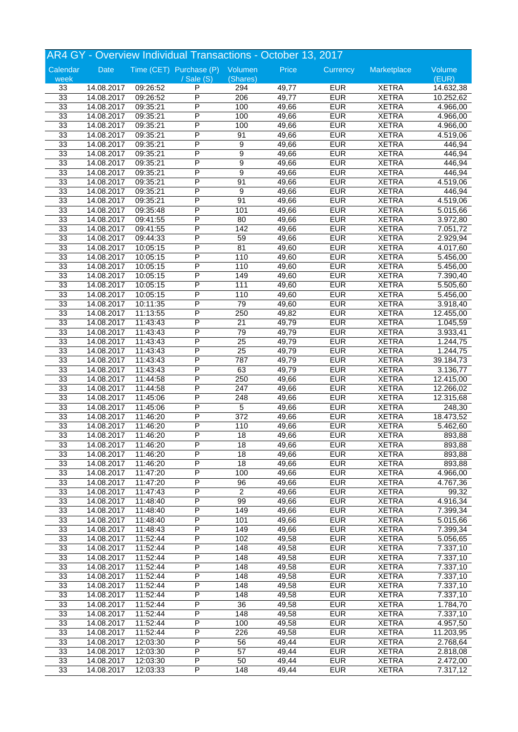|          | AR4 GY - Overview Individual Transactions - October 13, 2017 |          |                                 |                  |                    |            |              |                       |  |
|----------|--------------------------------------------------------------|----------|---------------------------------|------------------|--------------------|------------|--------------|-----------------------|--|
| Calendar | Date                                                         |          | Time (CET) Purchase (P) Volumen |                  | Price              | Currency   | Marketplace  | Volume                |  |
| week     |                                                              |          | $\sqrt{$ Sale $(S)$             | (Shares)         |                    |            |              | (EUR)                 |  |
| 33       | 14.08.2017                                                   | 09:26:52 | P                               | 294              | 49,77              | <b>EUR</b> | <b>XETRA</b> | 14.632,38             |  |
| 33       | 14.08.2017                                                   | 09:26:52 | P                               | 206              | 49,77              | <b>EUR</b> | <b>XETRA</b> | 10.252,62             |  |
| 33       | 14.08.2017                                                   | 09:35:21 | P                               | 100              | 49,66              | <b>EUR</b> | <b>XETRA</b> | 4.966,00              |  |
| 33       | 14.08.2017                                                   | 09:35:21 | P                               | 100              | 49,66              | <b>EUR</b> | <b>XETRA</b> | 4.966,00              |  |
| 33       | 14.08.2017                                                   | 09:35:21 | P                               | 100              | 49,66              | <b>EUR</b> | <b>XETRA</b> | 4.966,00              |  |
| 33       | 14.08.2017                                                   | 09:35:21 | P                               | 91               | 49,66              | <b>EUR</b> | <b>XETRA</b> | 4.519,06              |  |
| 33       | 14.08.2017                                                   | 09:35:21 | P                               | 9                | 49,66              | <b>EUR</b> | <b>XETRA</b> | 446,94                |  |
| 33       | 14.08.2017                                                   | 09:35:21 | P                               | 9                | 49,66              | <b>EUR</b> | <b>XETRA</b> | 446,94                |  |
| 33       | 14.08.2017                                                   | 09:35:21 | P                               | 9                | 49,66              | <b>EUR</b> | <b>XETRA</b> | 446,94                |  |
| 33       | 14.08.2017                                                   | 09:35:21 | P                               | 9                | 49,66              | <b>EUR</b> | <b>XETRA</b> | 446,94                |  |
| 33       | 14.08.2017                                                   | 09:35:21 | P                               | 91               | 49,66              | <b>EUR</b> | <b>XETRA</b> | 4.519,06              |  |
| 33       | 14.08.2017                                                   | 09:35:21 | P                               | 9                | 49,66              | <b>EUR</b> | <b>XETRA</b> | 446,94                |  |
| 33       | 14.08.2017                                                   | 09:35:21 | P                               | 91               | 49,66              | <b>EUR</b> | <b>XETRA</b> | 4.519,06              |  |
| 33       | 14.08.2017                                                   | 09:35:48 | P                               | 101              | 49,66              | <b>EUR</b> | <b>XETRA</b> | 5.015,66              |  |
| 33       | 14.08.2017                                                   | 09:41:55 | P                               | 80               | 49,66              | <b>EUR</b> | <b>XETRA</b> | 3.972,80              |  |
| 33       | 14.08.2017                                                   | 09:41:55 | P                               | $\overline{142}$ | 49,66              | <b>EUR</b> | <b>XETRA</b> | 7.051,72              |  |
| 33       | 14.08.2017                                                   | 09:44:33 | P                               | 59               | 49,66              | <b>EUR</b> | <b>XETRA</b> | 2.929,94              |  |
| 33       |                                                              |          | P                               | 81               | 49,60              | <b>EUR</b> | <b>XETRA</b> |                       |  |
|          | 14.08.2017                                                   | 10:05:15 | P                               |                  |                    |            |              | 4.017,60              |  |
| 33       | 14.08.2017                                                   | 10:05:15 |                                 | 110              | 49,60              | <b>EUR</b> | <b>XETRA</b> | 5.456,00              |  |
| 33       | 14.08.2017                                                   | 10:05:15 | P                               | 110              | 49,60              | <b>EUR</b> | <b>XETRA</b> | $\overline{5.456,00}$ |  |
| 33       | 14.08.2017                                                   | 10:05:15 | P                               | 149              | 49,60              | <b>EUR</b> | <b>XETRA</b> | 7.390,40              |  |
| 33       | 14.08.2017                                                   | 10:05:15 | P                               | 111              | 49,60              | <b>EUR</b> | <b>XETRA</b> | 5.505,60              |  |
| 33       | 14.08.2017                                                   | 10:05:15 | P                               | 110              | 49,60              | <b>EUR</b> | <b>XETRA</b> | $\overline{5.456,00}$ |  |
| 33       | 14.08.2017                                                   | 10:11:35 | P                               | 79               | 49,60              | <b>EUR</b> | <b>XETRA</b> | 3.918,40              |  |
| 33       | 14.08.2017                                                   | 11:13:55 | P                               | 250              | 49,82              | <b>EUR</b> | <b>XETRA</b> | 12.455,00             |  |
| 33       | 14.08.2017                                                   | 11:43:43 | P                               | 21               | 49,79              | <b>EUR</b> | <b>XETRA</b> | 1.045,59              |  |
| 33       | 14.08.2017                                                   | 11:43:43 | P                               | 79               | 49,79              | <b>EUR</b> | <b>XETRA</b> | 3.933,41              |  |
| 33       | 14.08.2017                                                   | 11:43:43 | P                               | $\overline{25}$  | 49,79              | <b>EUR</b> | <b>XETRA</b> | 1.244,75              |  |
| 33       | 14.08.2017                                                   | 11:43:43 | P                               | $\overline{25}$  | 49,79              | <b>EUR</b> | <b>XETRA</b> | 1.244,75              |  |
| 33       | 14.08.2017                                                   | 11:43:43 | P                               | 787              | 49,79              | <b>EUR</b> | <b>XETRA</b> | 39.184,73             |  |
| 33       | 14.08.2017                                                   | 11:43:43 | P                               | 63               | 49,79              | <b>EUR</b> | <b>XETRA</b> | 3.136,77              |  |
| 33       | 14.08.2017                                                   | 11:44:58 | P                               | 250              | 49,66              | <b>EUR</b> | <b>XETRA</b> | 12.415,00             |  |
| 33       | 14.08.2017                                                   | 11:44:58 | P                               | 247              | 49,66              | <b>EUR</b> | <b>XETRA</b> | 12.266,02             |  |
| 33       | 14.08.2017                                                   | 11:45:06 | P                               | 248              | 49,66              | <b>EUR</b> | <b>XETRA</b> | 12.315,68             |  |
| 33       | 14.08.2017                                                   | 11:45:06 | P                               | $\overline{5}$   | 49,66              | <b>EUR</b> | <b>XETRA</b> | 248,30                |  |
| 33       | 14.08.2017                                                   | 11:46:20 | P                               | 372              | $\overline{49,66}$ | <b>EUR</b> | <b>XETRA</b> | 18.473,52             |  |
| 33       | 14.08.2017                                                   | 11:46:20 | Ρ                               | 110              | 49,66              | <b>EUR</b> | <b>XETRA</b> | 5.462,60              |  |
| 33       | 14.08.2017                                                   | 11:46:20 | P                               | 18               | 49,66              | <b>EUR</b> | <b>XETRA</b> | 893,88                |  |
|          | 14.08.2017                                                   | 11:46:20 | Ρ                               |                  | 49,66              | <b>EUR</b> |              | 893,88                |  |
| 33       |                                                              |          |                                 | 18               |                    |            | <b>XETRA</b> |                       |  |
| 33       | 14.08.2017                                                   | 11:46:20 | P                               | 18               | 49,66              | <b>EUR</b> | <b>XETRA</b> | 893,88                |  |
| 33       | 14.08.2017                                                   | 11:46:20 | P                               | 18               | 49,66              | <b>EUR</b> | <b>XETRA</b> | 893,88                |  |
| 33       | 14.08.2017                                                   | 11:47:20 | P                               | 100              | 49,66              | <b>EUR</b> | <b>XETRA</b> | 4.966,00              |  |
| 33       | 14.08.2017                                                   | 11:47:20 | P                               | 96               | 49,66              | <b>EUR</b> | <b>XETRA</b> | 4.767,36              |  |
| 33       | 14.08.2017                                                   | 11:47:43 | Ρ                               | $\overline{2}$   | 49,66              | <b>EUR</b> | <b>XETRA</b> | 99,32                 |  |
| 33       | 14.08.2017                                                   | 11:48:40 | Ρ                               | 99               | 49,66              | <b>EUR</b> | <b>XETRA</b> | 4.916,34              |  |
| 33       | 14.08.2017                                                   | 11:48:40 | P                               | 149              | 49,66              | <b>EUR</b> | <b>XETRA</b> | 7.399,34              |  |
| 33       | 14.08.2017                                                   | 11:48:40 | P                               | 101              | 49,66              | <b>EUR</b> | <b>XETRA</b> | 5.015,66              |  |
| 33       | 14.08.2017                                                   | 11:48:43 | P                               | 149              | 49,66              | <b>EUR</b> | <b>XETRA</b> | 7.399,34              |  |
| 33       | 14.08.2017                                                   | 11:52:44 | Ρ                               | 102              | 49,58              | <b>EUR</b> | <b>XETRA</b> | 5.056,65              |  |
| 33       | 14.08.2017                                                   | 11:52:44 | Ρ                               | 148              | 49,58              | <b>EUR</b> | <b>XETRA</b> | 7.337,10              |  |
| 33       | 14.08.2017                                                   | 11:52:44 | P                               | 148              | 49,58              | <b>EUR</b> | <b>XETRA</b> | 7.337,10              |  |
| 33       | 14.08.2017                                                   | 11:52:44 | P                               | 148              | 49,58              | <b>EUR</b> | <b>XETRA</b> | 7.337,10              |  |
| 33       | 14.08.2017                                                   | 11:52:44 | P                               | 148              | 49,58              | <b>EUR</b> | <b>XETRA</b> | 7.337,10              |  |
| 33       | 14.08.2017                                                   | 11:52:44 | Ρ                               | 148              | 49,58              | <b>EUR</b> | <b>XETRA</b> | 7.337,10              |  |
| 33       | 14.08.2017                                                   | 11:52:44 | Ρ                               | 148              | 49,58              | <b>EUR</b> | <b>XETRA</b> | $\overline{7.337,10}$ |  |
| 33       | 14.08.2017                                                   | 11:52:44 | P                               | 36               | 49,58              | <b>EUR</b> | <b>XETRA</b> | 1.784,70              |  |
| 33       | 14.08.2017                                                   | 11:52:44 | P                               | 148              | 49,58              | <b>EUR</b> | <b>XETRA</b> | 7.337,10              |  |
| 33       | 14.08.2017                                                   | 11:52:44 | P                               | 100              | 49,58              | <b>EUR</b> | <b>XETRA</b> | 4.957,50              |  |
| 33       | 14.08.2017                                                   | 11:52:44 | Ρ                               | 226              | 49,58              | <b>EUR</b> | <b>XETRA</b> | 11.203,95             |  |
| 33       |                                                              | 12:03:30 | Ρ                               |                  | $\overline{49,44}$ | <b>EUR</b> | <b>XETRA</b> | 2.768,64              |  |
|          | 14.08.2017                                                   |          | P                               | 56               |                    |            |              |                       |  |
| 33       | 14.08.2017                                                   | 12:03:30 |                                 | 57               | 49,44              | <b>EUR</b> | <b>XETRA</b> | 2.818,08              |  |
| 33       | 14.08.2017                                                   | 12:03:30 | Ρ                               | 50               | 49,44              | <b>EUR</b> | <b>XETRA</b> | 2.472,00              |  |
| 33       | 14.08.2017                                                   | 12:03:33 | P                               | $\overline{148}$ | 49,44              | <b>EUR</b> | <b>XETRA</b> | 7.317,12              |  |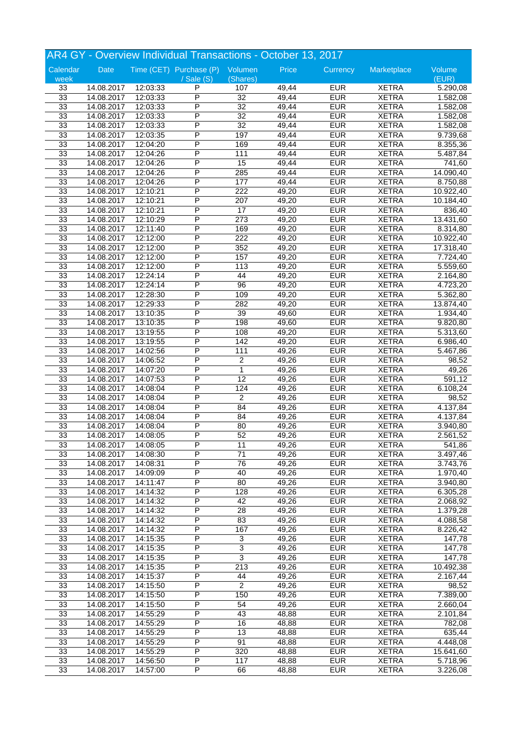| AR4 GY - Overview Individual Transactions - October 13, 2017 |                          |          |                                 |                           |       |            |              |           |  |
|--------------------------------------------------------------|--------------------------|----------|---------------------------------|---------------------------|-------|------------|--------------|-----------|--|
| Calendar                                                     | Date                     |          | Time (CET) Purchase (P) Volumen |                           | Price | Currency   | Marketplace  | Volume    |  |
| week                                                         |                          |          | $\sqrt{s}$ ale $(S)$            | (Shares)                  |       |            |              | (EUR)     |  |
| 33                                                           | 14.08.2017               | 12:03:33 | P                               | 107                       | 49,44 | <b>EUR</b> | <b>XETRA</b> | 5.290,08  |  |
| 33                                                           | 14.08.2017               | 12:03:33 | P                               | $\overline{32}$           | 49,44 | <b>EUR</b> | <b>XETRA</b> | 1.582,08  |  |
| 33                                                           | 14.08.2017               | 12:03:33 | P                               | $\overline{32}$           | 49,44 | <b>EUR</b> | <b>XETRA</b> | 1.582,08  |  |
| 33                                                           | 14.08.2017               | 12:03:33 | P                               | $\overline{32}$           | 49,44 | <b>EUR</b> | <b>XETRA</b> | 1.582,08  |  |
| 33                                                           | 14.08.2017               | 12:03:33 | P                               | $\overline{32}$           | 49,44 | <b>EUR</b> | <b>XETRA</b> | 1.582,08  |  |
| 33                                                           | 14.08.2017               | 12:03:35 | P                               | 197                       | 49,44 | <b>EUR</b> | <b>XETRA</b> | 9.739,68  |  |
| 33                                                           | 14.08.2017               | 12:04:20 | P                               | 169                       | 49,44 | <b>EUR</b> | <b>XETRA</b> | 8.355,36  |  |
| 33                                                           | 14.08.2017               | 12:04:26 | P                               | 111                       | 49,44 | <b>EUR</b> | <b>XETRA</b> | 5.487,84  |  |
| 33                                                           | 14.08.2017               | 12:04:26 | P                               | 15                        | 49,44 | <b>EUR</b> | <b>XETRA</b> | 741,60    |  |
| 33                                                           | 14.08.2017               | 12:04:26 | P                               | 285                       | 49,44 | <b>EUR</b> | <b>XETRA</b> | 14.090,40 |  |
| 33                                                           | 14.08.2017               | 12:04:26 | P                               | 177                       | 49,44 | <b>EUR</b> | <b>XETRA</b> | 8.750,88  |  |
| 33                                                           | 14.08.2017               | 12:10:21 | P                               | 222                       | 49,20 | <b>EUR</b> | <b>XETRA</b> | 10.922,40 |  |
| 33                                                           | 14.08.2017               | 12:10:21 | P                               | 207                       | 49,20 | <b>EUR</b> | <b>XETRA</b> | 10.184,40 |  |
| 33                                                           | 14.08.2017               | 12:10:21 | P                               | $\overline{17}$           | 49,20 | <b>EUR</b> | <b>XETRA</b> | 836,40    |  |
| 33                                                           | 14.08.2017               | 12:10:29 | P                               | 273                       | 49,20 | <b>EUR</b> | <b>XETRA</b> | 13.431,60 |  |
| 33                                                           | 14.08.2017               | 12:11:40 | P                               | 169                       | 49,20 | <b>EUR</b> | <b>XETRA</b> | 8.314,80  |  |
| 33                                                           | 14.08.2017               | 12:12:00 | P                               | 222                       | 49,20 | <b>EUR</b> | <b>XETRA</b> | 10.922,40 |  |
| 33                                                           | 14.08.2017               | 12:12:00 | P                               | 352                       | 49,20 | <b>EUR</b> | <b>XETRA</b> | 17.318,40 |  |
| 33                                                           | 14.08.2017               | 12:12:00 | P                               | 157                       | 49,20 | <b>EUR</b> | <b>XETRA</b> | 7.724,40  |  |
| 33                                                           | 14.08.2017               | 12:12:00 | P                               | 113                       | 49,20 | <b>EUR</b> | <b>XETRA</b> | 5.559,60  |  |
| 33                                                           | 14.08.2017               | 12:24:14 | P                               | 44                        | 49,20 | <b>EUR</b> | <b>XETRA</b> | 2.164,80  |  |
| 33                                                           | 14.08.2017               | 12:24:14 | P                               | $\overline{96}$           | 49,20 | <b>EUR</b> | <b>XETRA</b> | 4.723,20  |  |
| 33                                                           | 14.08.2017               | 12:28:30 | P                               | 109                       | 49,20 | <b>EUR</b> | <b>XETRA</b> | 5.362,80  |  |
| 33                                                           |                          | 12:29:33 | P                               | 282                       | 49,20 | <b>EUR</b> | <b>XETRA</b> | 13.874,40 |  |
| 33                                                           | 14.08.2017<br>14.08.2017 | 13:10:35 | P                               | 39                        | 49,60 | <b>EUR</b> | <b>XETRA</b> | 1.934,40  |  |
|                                                              |                          |          | P                               |                           |       |            |              |           |  |
| 33                                                           | 14.08.2017               | 13:10:35 | P                               | 198                       | 49,60 | <b>EUR</b> | <b>XETRA</b> | 9.820,80  |  |
| 33                                                           | 14.08.2017               | 13:19:55 |                                 | 108                       | 49,20 | <b>EUR</b> | <b>XETRA</b> | 5.313,60  |  |
| 33                                                           | 14.08.2017               | 13:19:55 | P                               | 142                       | 49,20 | <b>EUR</b> | <b>XETRA</b> | 6.986,40  |  |
| 33                                                           | 14.08.2017               | 14:02:56 | P                               | 111                       | 49,26 | <b>EUR</b> | <b>XETRA</b> | 5.467,86  |  |
| 33                                                           | 14.08.2017               | 14:06:52 | P                               | $\overline{c}$            | 49,26 | <b>EUR</b> | <b>XETRA</b> | 98,52     |  |
| 33                                                           | 14.08.2017               | 14:07:20 | P                               | 1                         | 49,26 | <b>EUR</b> | <b>XETRA</b> | 49,26     |  |
| 33                                                           | 14.08.2017               | 14:07:53 | P                               | $\overline{12}$           | 49,26 | <b>EUR</b> | <b>XETRA</b> | 591,12    |  |
| 33                                                           | 14.08.2017               | 14:08:04 | P                               | 124                       | 49,26 | <b>EUR</b> | <b>XETRA</b> | 6.108,24  |  |
| 33                                                           | 14.08.2017               | 14:08:04 | P                               | $\overline{2}$            | 49,26 | <b>EUR</b> | <b>XETRA</b> | 98,52     |  |
| 33                                                           | 14.08.2017               | 14:08:04 | P                               | 84                        | 49,26 | <b>EUR</b> | <b>XETRA</b> | 4.137,84  |  |
| 33                                                           | 14.08.2017               | 14:08:04 | P                               | 84                        | 49,26 | <b>EUR</b> | <b>XETRA</b> | 4.137,84  |  |
| 33                                                           | 14.08.2017               | 14:08:04 | P                               | 80                        | 49,26 | <b>EUR</b> | <b>XETRA</b> | 3.940,80  |  |
| 33                                                           | 14.08.2017               | 14:08:05 | P                               | 52                        | 49,26 | <b>EUR</b> | <b>XETRA</b> | 2.561,52  |  |
| 33                                                           | 14.08.2017               | 14:08:05 | Ρ                               | 11                        | 49,26 | <b>EUR</b> | <b>XETRA</b> | 541,86    |  |
| 33                                                           | 14.08.2017               | 14:08:30 | P                               | $\overline{71}$           | 49,26 | <b>EUR</b> | <b>XETRA</b> | 3.497,46  |  |
| 33                                                           | 14.08.2017               | 14:08:31 | P                               | 76                        | 49,26 | <b>EUR</b> | <b>XETRA</b> | 3.743,76  |  |
| 33                                                           | 14.08.2017               | 14:09:09 | P                               | 40                        | 49,26 | <b>EUR</b> | <b>XETRA</b> | 1.970,40  |  |
| 33                                                           | 14.08.2017               | 14:11:47 | $\overline{\mathsf{P}}$         | 80                        | 49,26 | <b>EUR</b> | <b>XETRA</b> | 3.940,80  |  |
| 33                                                           | 14.08.2017               | 14:14:32 | Ρ                               | 128                       | 49,26 | <b>EUR</b> | <b>XETRA</b> | 6.305,28  |  |
| 33                                                           | 14.08.2017               | 14:14:32 | Ρ                               | 42                        | 49,26 | <b>EUR</b> | <b>XETRA</b> | 2.068,92  |  |
| 33                                                           | 14.08.2017               | 14:14:32 | P                               | 28                        | 49,26 | <b>EUR</b> | <b>XETRA</b> | 1.379,28  |  |
| 33                                                           | 14.08.2017               | 14:14:32 | P                               | 83                        | 49,26 | <b>EUR</b> | <b>XETRA</b> | 4.088,58  |  |
| 33                                                           | 14.08.2017               | 14:14:32 | $\overline{\mathsf{P}}$         | 167                       | 49,26 | <b>EUR</b> | <b>XETRA</b> | 8.226,42  |  |
| 33                                                           | 14.08.2017               | 14:15:35 | Ρ                               | $\ensuremath{\mathsf{3}}$ | 49,26 | <b>EUR</b> | <b>XETRA</b> | 147,78    |  |
| 33                                                           | 14.08.2017               | 14:15:35 | Ρ                               | 3                         | 49,26 | <b>EUR</b> | <b>XETRA</b> | 147,78    |  |
| 33                                                           | 14.08.2017               | 14:15:35 | P                               | $\overline{3}$            | 49,26 | <b>EUR</b> | <b>XETRA</b> | 147,78    |  |
| 33                                                           | 14.08.2017               | 14:15:35 | P                               | $\overline{213}$          | 49,26 | <b>EUR</b> | <b>XETRA</b> | 10.492,38 |  |
| 33                                                           | 14.08.2017               | 14:15:37 | $\overline{\mathsf{P}}$         | 44                        | 49,26 | <b>EUR</b> | <b>XETRA</b> | 2.167,44  |  |
| 33                                                           | 14.08.2017               | 14:15:50 | Ρ                               | $\overline{2}$            | 49,26 | <b>EUR</b> | <b>XETRA</b> | 98,52     |  |
| 33                                                           | 14.08.2017               | 14:15:50 | Ρ                               | 150                       | 49,26 | <b>EUR</b> | <b>XETRA</b> | 7.389,00  |  |
| 33                                                           | 14.08.2017               | 14:15:50 | P                               | 54                        | 49,26 | <b>EUR</b> | <b>XETRA</b> | 2.660,04  |  |
| 33                                                           | 14.08.2017               | 14:55:29 | P                               | 43                        | 48,88 | <b>EUR</b> | <b>XETRA</b> | 2.101,84  |  |
| 33                                                           | 14.08.2017               | 14:55:29 | $\overline{\mathsf{P}}$         | 16                        | 48,88 | <b>EUR</b> | <b>XETRA</b> | 782,08    |  |
| 33                                                           | 14.08.2017               | 14:55:29 | Ρ                               | 13                        | 48,88 | <b>EUR</b> | <b>XETRA</b> | 635,44    |  |
| 33                                                           | 14.08.2017               | 14:55:29 | Ρ                               | 91                        | 48,88 | <b>EUR</b> | <b>XETRA</b> | 4.448,08  |  |
| 33                                                           | 14.08.2017               | 14:55:29 | P                               | 320                       | 48,88 | <b>EUR</b> | <b>XETRA</b> | 15.641,60 |  |
| 33                                                           | 14.08.2017               |          | P                               | 117                       | 48,88 | <b>EUR</b> | <b>XETRA</b> |           |  |
|                                                              |                          | 14:56:50 | P                               |                           |       |            |              | 5.718,96  |  |
| 33                                                           | 14.08.2017               | 14:57:00 |                                 | 66                        | 48,88 | <b>EUR</b> | <b>XETRA</b> | 3.226,08  |  |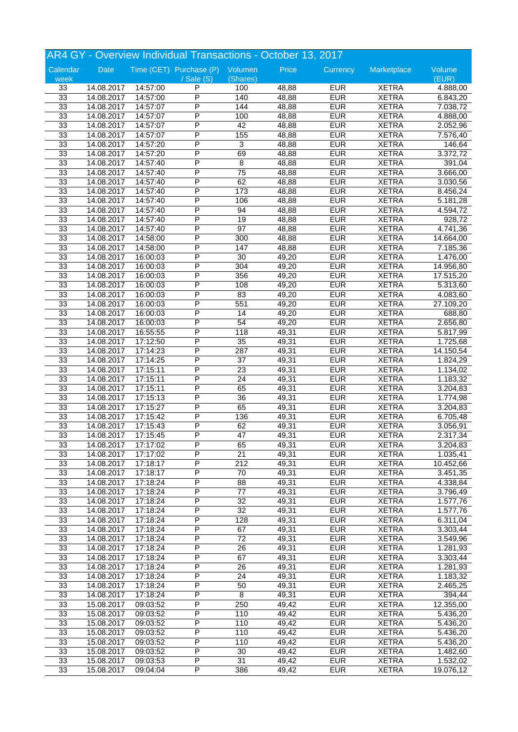| AR4 GY - Overview Individual Transactions - October 13, 2017 |                          |          |                                 |                 |       |            |              |                       |  |
|--------------------------------------------------------------|--------------------------|----------|---------------------------------|-----------------|-------|------------|--------------|-----------------------|--|
| Calendar                                                     | Date                     |          | Time (CET) Purchase (P) Volumen |                 | Price | Currency   | Marketplace  | Volume                |  |
| week                                                         |                          |          | / Sale (S)                      | (Shares)        |       |            |              | (EUR)                 |  |
| 33                                                           | 14.08.2017               | 14:57:00 | P                               | 100             | 48,88 | <b>EUR</b> | <b>XETRA</b> | 4.888,00              |  |
| 33                                                           | 14.08.2017               | 14:57:00 | P                               | 140             | 48,88 | <b>EUR</b> | <b>XETRA</b> | 6.843,20              |  |
| 33                                                           | 14.08.2017               | 14:57:07 | P                               | 144             | 48,88 | <b>EUR</b> | <b>XETRA</b> | 7.038,72              |  |
| 33                                                           | 14.08.2017               | 14:57:07 | P                               | 100             | 48,88 | <b>EUR</b> | <b>XETRA</b> | 4.888,00              |  |
| 33                                                           | 14.08.2017               | 14:57:07 | Ρ                               | 42              | 48,88 | <b>EUR</b> | <b>XETRA</b> | 2.052,96              |  |
| 33                                                           | 14.08.2017               | 14:57:07 | Ρ                               | 155             | 48,88 | <b>EUR</b> | <b>XETRA</b> | 7.576,40              |  |
| 33                                                           | 14.08.2017               | 14:57:20 | P                               | 3               | 48,88 | <b>EUR</b> | <b>XETRA</b> | 146,64                |  |
| 33                                                           | 14.08.2017               | 14:57:20 | P                               | 69              | 48,88 | <b>EUR</b> | <b>XETRA</b> | 3.372,72              |  |
| 33                                                           | 14.08.2017               | 14:57:40 | P                               | 8               | 48,88 | <b>EUR</b> | <b>XETRA</b> | 391,04                |  |
| 33                                                           | 14.08.2017               | 14:57:40 | P                               | $\overline{75}$ | 48,88 | <b>EUR</b> | <b>XETRA</b> | 3.666,00              |  |
| 33                                                           | 14.08.2017               | 14:57:40 | P                               | 62              | 48,88 | <b>EUR</b> | <b>XETRA</b> | 3.030,56              |  |
| 33                                                           | 14.08.2017               | 14:57:40 | P                               | 173             | 48,88 | <b>EUR</b> | <b>XETRA</b> | 8.456,24              |  |
| 33                                                           | 14.08.2017               | 14:57:40 | P                               | 106             | 48,88 | <b>EUR</b> | <b>XETRA</b> | 5.181,28              |  |
| 33                                                           | 14.08.2017               | 14:57:40 | P                               | 94              | 48,88 | <b>EUR</b> | <b>XETRA</b> | 4.594,72              |  |
| 33                                                           | 14.08.2017               | 14:57:40 | P                               | 19              | 48,88 | <b>EUR</b> | <b>XETRA</b> | 928,72                |  |
| 33                                                           | 14.08.2017               | 14:57:40 | P                               | $\overline{97}$ | 48,88 | <b>EUR</b> | <b>XETRA</b> | 4.741,36              |  |
| 33                                                           | 14.08.2017               | 14:58:00 | P                               | 300             | 48,88 | <b>EUR</b> | <b>XETRA</b> | 14.664,00             |  |
| 33                                                           | 14.08.2017               | 14:58:00 | P                               | 147             | 48,88 | <b>EUR</b> | <b>XETRA</b> | 7.185,36              |  |
| 33                                                           | 14.08.2017               | 16:00:03 | P                               | 30              | 49,20 | <b>EUR</b> | <b>XETRA</b> | 1.476,00              |  |
| 33                                                           | 14.08.2017               | 16:00:03 | P                               | 304             | 49,20 | <b>EUR</b> | <b>XETRA</b> |                       |  |
| 33                                                           |                          |          | P                               | 356             | 49,20 | <b>EUR</b> | <b>XETRA</b> | 14.956,80             |  |
| 33                                                           | 14.08.2017<br>14.08.2017 | 16:00:03 | P                               | 108             | 49,20 | <b>EUR</b> | <b>XETRA</b> | 17.515,20             |  |
|                                                              |                          | 16:00:03 | P                               | 83              |       |            |              | 5.313,60              |  |
| 33                                                           | 14.08.2017               | 16:00:03 | P                               |                 | 49,20 | <b>EUR</b> | <b>XETRA</b> | 4.083,60              |  |
| 33                                                           | 14.08.2017               | 16:00:03 | P                               | 551             | 49,20 | <b>EUR</b> | <b>XETRA</b> | 27.109,20             |  |
| 33                                                           | 14.08.2017               | 16:00:03 |                                 | 14              | 49,20 | <b>EUR</b> | <b>XETRA</b> | 688,80                |  |
| 33                                                           | 14.08.2017               | 16:00:03 | P                               | 54              | 49,20 | <b>EUR</b> | <b>XETRA</b> | 2.656,80              |  |
| 33                                                           | 14.08.2017               | 16:55:55 | P                               | 118             | 49,31 | <b>EUR</b> | <b>XETRA</b> | 5.817,99              |  |
| 33                                                           | 14.08.2017               | 17:12:50 | P                               | $\overline{35}$ | 49,31 | <b>EUR</b> | <b>XETRA</b> | 1.725,68              |  |
| 33                                                           | 14.08.2017               | 17:14:23 | P                               | 287             | 49,31 | <b>EUR</b> | <b>XETRA</b> | 14.150,54             |  |
| 33                                                           | 14.08.2017               | 17:14:25 | P                               | 37              | 49,31 | <b>EUR</b> | <b>XETRA</b> | 1.824,29              |  |
| 33                                                           | 14.08.2017               | 17:15:11 | P                               | $\overline{23}$ | 49,31 | <b>EUR</b> | <b>XETRA</b> | 1.134,02              |  |
| 33                                                           | 14.08.2017               | 17:15:11 | P                               | $\overline{24}$ | 49,31 | <b>EUR</b> | <b>XETRA</b> | 1.183,32              |  |
| 33                                                           | 14.08.2017               | 17:15:11 | P                               | 65              | 49,31 | <b>EUR</b> | <b>XETRA</b> | 3.204,83              |  |
| 33                                                           | 14.08.2017               | 17:15:13 | P                               | 36              | 49,31 | <b>EUR</b> | <b>XETRA</b> | 1.774,98              |  |
| 33                                                           | 14.08.2017               | 17:15:27 | P                               | 65              | 49,31 | <b>EUR</b> | <b>XETRA</b> | 3.204,83              |  |
| 33                                                           | 14.08.2017               | 17:15:42 | P                               | 136             | 49,31 | <b>EUR</b> | <b>XETRA</b> | 6.705,48              |  |
| 33                                                           | 14.08.2017               | 17:15:43 | P                               | 62              | 49,31 | <b>EUR</b> | <b>XETRA</b> | 3.056,91              |  |
| 33                                                           | 14.08.2017               | 17:15:45 | P                               | $\overline{47}$ | 49,31 | <b>EUR</b> | <b>XETRA</b> | 2.317,34              |  |
| 33                                                           | 14.08.2017               | 17:17:02 | P                               | 65              | 49,31 | <b>EUR</b> | <b>XETRA</b> | 3.204,83              |  |
| 33                                                           | 14.08.2017               | 17:17:02 | P                               | $\overline{21}$ | 49,31 | <b>EUR</b> | <b>XETRA</b> | 1.035,41              |  |
| 33                                                           | 14.08.2017               | 17:18:17 | P                               | 212             | 49,31 | <b>EUR</b> | <b>XETRA</b> | 10.452,66             |  |
| 33                                                           | 14.08.2017               | 17:18:17 | P                               | $\overline{70}$ | 49,31 | <b>EUR</b> | <b>XETRA</b> | 3.451,35              |  |
| 33                                                           | 14.08.2017               | 17:18:24 | P                               | $\overline{88}$ | 49,31 | <b>EUR</b> | <b>XETRA</b> | 4.338,84              |  |
| 33                                                           | 14.08.2017               | 17:18:24 | P                               | $77 \,$         | 49,31 | <b>EUR</b> | <b>XETRA</b> | 3.796,49              |  |
| 33                                                           | 14.08.2017               | 17:18:24 | P                               | 32              | 49,31 | <b>EUR</b> | <b>XETRA</b> | 1.577,76              |  |
| 33                                                           | 14.08.2017               | 17:18:24 | P                               | $\overline{32}$ | 49,31 | <b>EUR</b> | <b>XETRA</b> | $\overline{1.577,76}$ |  |
| 33                                                           | 14.08.2017               | 17:18:24 | P                               | 128             | 49,31 | <b>EUR</b> | <b>XETRA</b> | 6.311,04              |  |
| 33                                                           | 14.08.2017               | 17:18:24 | $\overline{\mathsf{P}}$         | 67              | 49,31 | <b>EUR</b> | <b>XETRA</b> | 3.303,44              |  |
| 33                                                           | 14.08.2017               | 17:18:24 | Ρ                               | 72              | 49,31 | <b>EUR</b> | <b>XETRA</b> | 3.549,96              |  |
| 33                                                           | 14.08.2017               | 17:18:24 | P                               | 26              | 49,31 | <b>EUR</b> | <b>XETRA</b> | 1.281,93              |  |
| 33                                                           | 14.08.2017               | 17:18:24 | P                               | 67              | 49,31 | <b>EUR</b> | <b>XETRA</b> | 3.303,44              |  |
| 33                                                           | 14.08.2017               | 17:18:24 | P                               | $\overline{26}$ | 49,31 | <b>EUR</b> | <b>XETRA</b> | 1.281,93              |  |
| 33                                                           | 14.08.2017               | 17:18:24 | P                               | 24              | 49,31 | <b>EUR</b> | <b>XETRA</b> | $\overline{1.183,32}$ |  |
| 33                                                           | 14.08.2017               | 17:18:24 | P                               | 50              | 49,31 | <b>EUR</b> | <b>XETRA</b> | 2.465,25              |  |
| 33                                                           | 14.08.2017               | 17:18:24 | Ρ                               | 8               | 49,31 | <b>EUR</b> | <b>XETRA</b> | 394,44                |  |
| 33                                                           | 15.08.2017               | 09:03:52 | Ρ                               | 250             | 49,42 | <b>EUR</b> | <b>XETRA</b> | 12.355,00             |  |
| 33                                                           | 15.08.2017               | 09:03:52 | P                               | 110             | 49,42 | <b>EUR</b> | <b>XETRA</b> | 5.436,20              |  |
| 33                                                           | 15.08.2017               | 09:03:52 | P                               | 110             | 49,42 | <b>EUR</b> | <b>XETRA</b> | 5.436,20              |  |
| 33                                                           | 15.08.2017               | 09:03:52 | Ρ                               | 110             | 49,42 | <b>EUR</b> | <b>XETRA</b> | 5.436,20              |  |
| 33                                                           | 15.08.2017               | 09:03:52 | Ρ                               | 110             | 49,42 | <b>EUR</b> | <b>XETRA</b> | 5.436,20              |  |
| 33                                                           | 15.08.2017               | 09:03:52 | P                               | 30              | 49,42 | <b>EUR</b> | <b>XETRA</b> |                       |  |
|                                                              |                          |          |                                 |                 |       |            |              | 1.482,60              |  |
| 33                                                           | 15.08.2017               | 09:03:53 | P                               | $\overline{31}$ | 49,42 | <b>EUR</b> | <b>XETRA</b> | 1.532,02              |  |
| 33                                                           | 15.08.2017               | 09:04:04 | P                               | 386             | 49,42 | <b>EUR</b> | <b>XETRA</b> | 19.076,12             |  |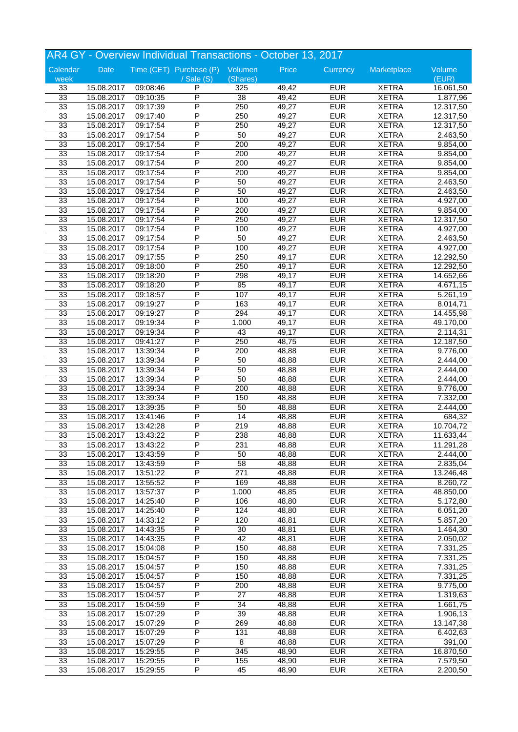| AR4 GY - Overview Individual Transactions - October 13, 2017 |            |          |                                 |                  |       |            |              |                       |
|--------------------------------------------------------------|------------|----------|---------------------------------|------------------|-------|------------|--------------|-----------------------|
| Calendar                                                     | Date       |          | Time (CET) Purchase (P) Volumen |                  | Price | Currency   | Marketplace  | Volume                |
| week                                                         |            |          | $/$ Sale $(S)$                  | (Shares)         |       |            |              | (EUR)                 |
| 33                                                           | 15.08.2017 | 09:08:46 | P                               | 325              | 49,42 | <b>EUR</b> | <b>XETRA</b> | 16.061,50             |
| 33                                                           | 15.08.2017 | 09:10:35 | P                               | $\overline{38}$  | 49,42 | <b>EUR</b> | <b>XETRA</b> | 1.877,96              |
| 33                                                           | 15.08.2017 | 09:17:39 | P                               | 250              | 49,27 | <b>EUR</b> | <b>XETRA</b> | 12.317,50             |
| 33                                                           | 15.08.2017 | 09:17:40 | P                               | 250              | 49,27 | <b>EUR</b> | <b>XETRA</b> | 12.317,50             |
| 33                                                           | 15.08.2017 | 09:17:54 | P                               | 250              | 49,27 | <b>EUR</b> | <b>XETRA</b> | 12.317,50             |
| 33                                                           | 15.08.2017 | 09:17:54 | P                               | 50               | 49,27 | <b>EUR</b> | <b>XETRA</b> | 2.463,50              |
| 33                                                           | 15.08.2017 | 09:17:54 | P                               | 200              | 49,27 | <b>EUR</b> | <b>XETRA</b> | 9.854,00              |
| 33                                                           | 15.08.2017 | 09:17:54 | P                               | $\overline{200}$ | 49,27 | <b>EUR</b> | <b>XETRA</b> | 9.854,00              |
| 33                                                           | 15.08.2017 | 09:17:54 | P                               | 200              | 49,27 | <b>EUR</b> | <b>XETRA</b> | 9.854,00              |
| 33                                                           | 15.08.2017 | 09:17:54 | P                               | 200              | 49,27 | <b>EUR</b> | <b>XETRA</b> | 9.854,00              |
| 33                                                           | 15.08.2017 | 09:17:54 | P                               | 50               | 49,27 | <b>EUR</b> | <b>XETRA</b> | 2.463,50              |
| 33                                                           | 15.08.2017 | 09:17:54 | P                               | 50               | 49,27 | <b>EUR</b> | <b>XETRA</b> | 2.463,50              |
| 33                                                           | 15.08.2017 | 09:17:54 | P                               | 100              | 49,27 | <b>EUR</b> | <b>XETRA</b> | 4.927,00              |
| 33                                                           | 15.08.2017 | 09:17:54 | P                               | 200              | 49,27 | <b>EUR</b> | <b>XETRA</b> | 9.854,00              |
| 33                                                           | 15.08.2017 | 09:17:54 | P                               | 250              | 49,27 | <b>EUR</b> | <b>XETRA</b> | 12.317,50             |
| 33                                                           | 15.08.2017 | 09:17:54 | P                               | 100              | 49,27 | <b>EUR</b> | <b>XETRA</b> | 4.927,00              |
| 33                                                           | 15.08.2017 | 09:17:54 | P                               | 50               | 49,27 | <b>EUR</b> | <b>XETRA</b> | 2.463,50              |
| 33                                                           | 15.08.2017 | 09:17:54 | P                               | 100              | 49,27 | <b>EUR</b> | <b>XETRA</b> | 4.927,00              |
| 33                                                           |            |          | P                               | 250              | 49,17 | <b>EUR</b> | <b>XETRA</b> |                       |
|                                                              | 15.08.2017 | 09:17:55 | P                               |                  |       | <b>EUR</b> | <b>XETRA</b> | 12.292,50             |
| 33                                                           | 15.08.2017 | 09:18:00 |                                 | 250              | 49,17 |            |              | 12.292,50             |
| 33                                                           | 15.08.2017 | 09:18:20 | P<br>P                          | 298              | 49,17 | <b>EUR</b> | <b>XETRA</b> | 14.652,66             |
| 33                                                           | 15.08.2017 | 09:18:20 | P                               | 95               | 49,17 | <b>EUR</b> | <b>XETRA</b> | 4.671,15              |
| 33                                                           | 15.08.2017 | 09:18:57 |                                 | 107              | 49,17 | <b>EUR</b> | <b>XETRA</b> | 5.261,19              |
| 33                                                           | 15.08.2017 | 09:19:27 | P                               | 163              | 49,17 | <b>EUR</b> | <b>XETRA</b> | 8.014,71              |
| 33                                                           | 15.08.2017 | 09:19:27 | P                               | 294              | 49,17 | <b>EUR</b> | <b>XETRA</b> | 14.455,98             |
| 33                                                           | 15.08.2017 | 09:19:34 | P                               | 1.000            | 49,17 | <b>EUR</b> | <b>XETRA</b> | 49.170,00             |
| 33                                                           | 15.08.2017 | 09:19:34 | P                               | 43               | 49,17 | <b>EUR</b> | <b>XETRA</b> | 2.114,31              |
| 33                                                           | 15.08.2017 | 09:41:27 | P                               | 250              | 48,75 | <b>EUR</b> | <b>XETRA</b> | 12.187,50             |
| 33                                                           | 15.08.2017 | 13:39:34 | P                               | 200              | 48,88 | <b>EUR</b> | <b>XETRA</b> | 9.776,00              |
| 33                                                           | 15.08.2017 | 13:39:34 | P                               | 50               | 48,88 | <b>EUR</b> | <b>XETRA</b> | 2.444,00              |
| 33                                                           | 15.08.2017 | 13:39:34 | P                               | 50               | 48,88 | <b>EUR</b> | <b>XETRA</b> | 2.444,00              |
| 33                                                           | 15.08.2017 | 13:39:34 | P                               | 50               | 48,88 | <b>EUR</b> | <b>XETRA</b> | 2.444,00              |
| 33                                                           | 15.08.2017 | 13:39:34 | P                               | 200              | 48,88 | <b>EUR</b> | <b>XETRA</b> | 9.776,00              |
| 33                                                           | 15.08.2017 | 13:39:34 | P                               | 150              | 48,88 | <b>EUR</b> | <b>XETRA</b> | 7.332,00              |
| 33                                                           | 15.08.2017 | 13:39:35 | P                               | 50               | 48,88 | <b>EUR</b> | <b>XETRA</b> | 2.444,00              |
| 33                                                           | 15.08.2017 | 13:41:46 | P                               | 14               | 48,88 | <b>EUR</b> | <b>XETRA</b> | 684,32                |
| 33                                                           | 15.08.2017 | 13:42:28 | P                               | 219              | 48,88 | <b>EUR</b> | <b>XETRA</b> | 10.704,72             |
| 33                                                           | 15.08.2017 | 13:43:22 | P                               | 238              | 48,88 | <b>EUR</b> | <b>XETRA</b> | 11.633,44             |
| 33                                                           | 15.08.2017 | 13:43:22 | P                               | 231              | 48,88 | <b>EUR</b> | <b>XETRA</b> | 11.291,28             |
| 33                                                           | 15.08.2017 | 13:43:59 | P                               | 50               | 48,88 | <b>EUR</b> | <b>XETRA</b> | 2.444,00              |
| 33                                                           | 15.08.2017 | 13:43:59 | P                               | 58               | 48,88 | <b>EUR</b> | <b>XETRA</b> | 2.835,04              |
| 33                                                           | 15.08.2017 | 13:51:22 | P                               | $\overline{271}$ | 48,88 | <b>EUR</b> | <b>XETRA</b> | 13.246,48             |
| 33                                                           | 15.08.2017 | 13:55:52 | P                               | 169              | 48,88 | <b>EUR</b> | <b>XETRA</b> | 8.260,72              |
| 33                                                           | 15.08.2017 | 13:57:37 | P                               | 1.000            | 48,85 | <b>EUR</b> | <b>XETRA</b> | 48.850,00             |
| 33                                                           | 15.08.2017 | 14:25:40 | Ρ                               | 106              | 48,80 | <b>EUR</b> | <b>XETRA</b> | 5.172,80              |
| 33                                                           | 15.08.2017 | 14:25:40 | P                               | 124              | 48,80 | <b>EUR</b> | <b>XETRA</b> | 6.051,20              |
| 33                                                           | 15.08.2017 | 14:33:12 | P                               | 120              | 48,81 | <b>EUR</b> | <b>XETRA</b> | $\overline{5.857,20}$ |
| 33                                                           | 15.08.2017 | 14:43:35 | P                               | 30               | 48,81 | <b>EUR</b> | <b>XETRA</b> | 1.464,30              |
| 33                                                           | 15.08.2017 | 14:43:35 | Ρ                               | 42               | 48,81 | <b>EUR</b> | <b>XETRA</b> | 2.050,02              |
| 33                                                           | 15.08.2017 | 15:04:08 | Ρ                               | 150              | 48,88 | <b>EUR</b> | <b>XETRA</b> | 7.331,25              |
| 33                                                           | 15.08.2017 | 15:04:57 | P                               | 150              | 48,88 | <b>EUR</b> | <b>XETRA</b> | 7.331,25              |
| 33                                                           | 15.08.2017 | 15:04:57 | P                               | 150              | 48,88 | <b>EUR</b> | <b>XETRA</b> | 7.331,25              |
| 33                                                           | 15.08.2017 | 15:04:57 | P                               | 150              | 48,88 | <b>EUR</b> | <b>XETRA</b> | 7.331,25              |
| 33                                                           | 15.08.2017 | 15:04:57 | P                               | 200              | 48,88 | <b>EUR</b> | <b>XETRA</b> | 9.775,00              |
| 33                                                           | 15.08.2017 | 15:04:57 | Ρ                               | 27               | 48,88 | <b>EUR</b> | <b>XETRA</b> | 1.319,63              |
| 33                                                           | 15.08.2017 | 15:04:59 | P                               | 34               | 48,88 | <b>EUR</b> | <b>XETRA</b> | 1.661,75              |
| 33                                                           | 15.08.2017 | 15:07:29 | P                               | $\overline{39}$  | 48,88 | <b>EUR</b> | <b>XETRA</b> | 1.906,13              |
| 33                                                           | 15.08.2017 | 15:07:29 | P                               | 269              | 48,88 | <b>EUR</b> | <b>XETRA</b> | 13.147,38             |
| 33                                                           | 15.08.2017 | 15:07:29 | Ρ                               | 131              | 48,88 | <b>EUR</b> | <b>XETRA</b> | 6.402,63              |
| 33                                                           | 15.08.2017 | 15:07:29 | Ρ                               | 8                | 48,88 | <b>EUR</b> | <b>XETRA</b> | 391,00                |
| 33                                                           | 15.08.2017 |          | P                               | 345              | 48,90 | <b>EUR</b> | <b>XETRA</b> | 16.870,50             |
| 33                                                           |            | 15:29:55 | P                               |                  |       |            |              |                       |
|                                                              | 15.08.2017 | 15:29:55 |                                 | 155              | 48,90 | <b>EUR</b> | <b>XETRA</b> | 7.579,50              |
| 33                                                           | 15.08.2017 | 15:29:55 | P                               | 45               | 48,90 | <b>EUR</b> | <b>XETRA</b> | 2.200,50              |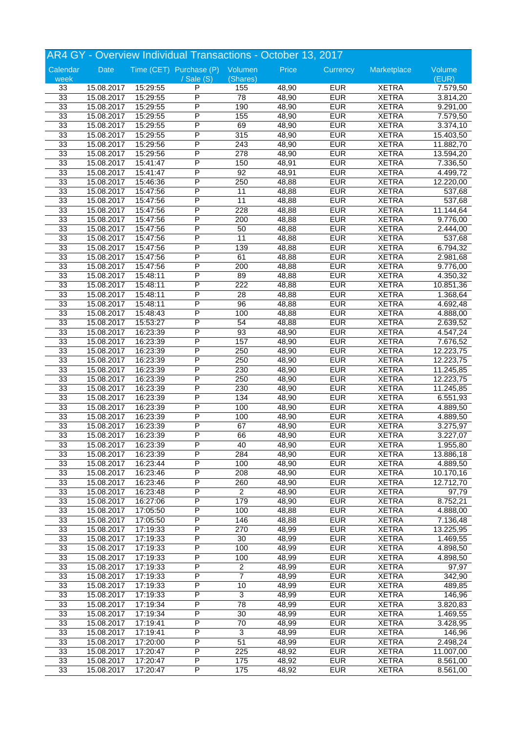| AR4 GY - Overview Individual Transactions - October 13, 2017 |            |          |                                 |                 |       |            |                              |           |
|--------------------------------------------------------------|------------|----------|---------------------------------|-----------------|-------|------------|------------------------------|-----------|
| Calendar                                                     | Date       |          | Time (CET) Purchase (P) Volumen |                 | Price | Currency   | Marketplace                  | Volume    |
| week                                                         |            |          | $\sqrt{s}$ ale $(S)$            | (Shares)        |       |            |                              | (EUR)     |
| 33                                                           | 15.08.2017 | 15:29:55 | P                               | 155             | 48,90 | <b>EUR</b> | <b>XETRA</b>                 | 7.579,50  |
| 33                                                           | 15.08.2017 | 15:29:55 | P                               | $\overline{78}$ | 48,90 | <b>EUR</b> | <b>XETRA</b>                 | 3.814,20  |
| 33                                                           | 15.08.2017 | 15:29:55 | P                               | 190             | 48,90 | <b>EUR</b> | <b>XETRA</b>                 | 9.291,00  |
| 33                                                           | 15.08.2017 | 15:29:55 | P                               | 155             | 48,90 | <b>EUR</b> | <b>XETRA</b>                 | 7.579,50  |
| 33                                                           | 15.08.2017 | 15:29:55 | P                               | 69              | 48,90 | <b>EUR</b> | <b>XETRA</b>                 | 3.374,10  |
| 33                                                           | 15.08.2017 | 15:29:55 | P                               | 315             | 48,90 | <b>EUR</b> | <b>XETRA</b>                 | 15.403,50 |
| 33                                                           | 15.08.2017 | 15:29:56 | P                               | 243             | 48,90 | <b>EUR</b> | <b>XETRA</b>                 | 11.882,70 |
| 33                                                           | 15.08.2017 | 15:29:56 | P                               | 278             | 48,90 | <b>EUR</b> | <b>XETRA</b>                 | 13.594,20 |
| 33                                                           | 15.08.2017 | 15:41:47 | P                               | 150             | 48,91 | <b>EUR</b> | <b>XETRA</b>                 | 7.336,50  |
| 33                                                           | 15.08.2017 | 15:41:47 | P                               | 92              | 48,91 | <b>EUR</b> | <b>XETRA</b>                 | 4.499,72  |
| 33                                                           | 15.08.2017 | 15:46:36 | P                               | 250             | 48,88 | <b>EUR</b> | <b>XETRA</b>                 | 12.220,00 |
| 33                                                           | 15.08.2017 | 15:47:56 | P                               | 11              | 48,88 | <b>EUR</b> | <b>XETRA</b>                 | 537,68    |
| 33                                                           | 15.08.2017 | 15:47:56 | P                               | $\overline{11}$ | 48,88 | <b>EUR</b> | <b>XETRA</b>                 | 537,68    |
| 33                                                           | 15.08.2017 | 15:47:56 | P                               | 228             | 48,88 | <b>EUR</b> | <b>XETRA</b>                 | 11.144,64 |
| 33                                                           | 15.08.2017 | 15:47:56 | P                               | 200             | 48,88 | <b>EUR</b> | <b>XETRA</b>                 | 9.776,00  |
| 33                                                           | 15.08.2017 | 15:47:56 | P                               | 50              | 48,88 | <b>EUR</b> | <b>XETRA</b>                 | 2.444,00  |
| 33                                                           | 15.08.2017 | 15:47:56 | P                               | $\overline{11}$ | 48,88 | <b>EUR</b> | <b>XETRA</b>                 | 537,68    |
| 33                                                           | 15.08.2017 | 15:47:56 | P                               | 139             | 48,88 | <b>EUR</b> | <b>XETRA</b>                 | 6.794,32  |
| 33                                                           | 15.08.2017 | 15:47:56 | P                               | 61              | 48,88 | <b>EUR</b> | <b>XETRA</b>                 | 2.981,68  |
| 33                                                           | 15.08.2017 | 15:47:56 | P                               | 200             | 48,88 | <b>EUR</b> | <b>XETRA</b>                 | 9.776,00  |
| 33                                                           | 15.08.2017 | 15:48:11 | P                               | 89              | 48,88 | <b>EUR</b> | <b>XETRA</b>                 | 4.350,32  |
| 33                                                           | 15.08.2017 | 15:48:11 | P                               | 222             | 48,88 | <b>EUR</b> | <b>XETRA</b>                 | 10.851,36 |
| 33                                                           | 15.08.2017 | 15:48:11 | P                               | 28              | 48,88 | <b>EUR</b> | <b>XETRA</b>                 | 1.368,64  |
| 33                                                           | 15.08.2017 | 15:48:11 | P                               | 96              | 48,88 | <b>EUR</b> | <b>XETRA</b>                 | 4.692,48  |
| 33                                                           | 15.08.2017 | 15:48:43 | P                               | 100             | 48,88 | <b>EUR</b> | <b>XETRA</b>                 | 4.888,00  |
| 33                                                           | 15.08.2017 | 15:53:27 | P                               | $\overline{54}$ | 48,88 | <b>EUR</b> |                              |           |
| 33                                                           | 15.08.2017 | 16:23:39 | P                               | $\overline{93}$ | 48,90 | <b>EUR</b> | <b>XETRA</b><br><b>XETRA</b> | 2.639,52  |
|                                                              |            |          | P                               | 157             |       | <b>EUR</b> |                              | 4.547,24  |
| 33                                                           | 15.08.2017 | 16:23:39 | P                               |                 | 48,90 |            | <b>XETRA</b>                 | 7.676,52  |
| 33                                                           | 15.08.2017 | 16:23:39 |                                 | 250             | 48,90 | <b>EUR</b> | <b>XETRA</b>                 | 12.223,75 |
| 33                                                           | 15.08.2017 | 16:23:39 | P                               | 250             | 48,90 | <b>EUR</b> | <b>XETRA</b>                 | 12.223,75 |
| 33                                                           | 15.08.2017 | 16:23:39 | P                               | 230             | 48,90 | <b>EUR</b> | <b>XETRA</b>                 | 11.245,85 |
| 33                                                           | 15.08.2017 | 16:23:39 | P<br>P                          | 250             | 48,90 | <b>EUR</b> | <b>XETRA</b>                 | 12.223,75 |
| 33                                                           | 15.08.2017 | 16:23:39 |                                 | 230             | 48,90 | <b>EUR</b> | <b>XETRA</b>                 | 11.245,85 |
| 33                                                           | 15.08.2017 | 16:23:39 | P                               | $\frac{1}{34}$  | 48,90 | <b>EUR</b> | <b>XETRA</b>                 | 6.551,93  |
| 33                                                           | 15.08.2017 | 16:23:39 | P                               | 100             | 48,90 | <b>EUR</b> | <b>XETRA</b>                 | 4.889,50  |
| 33                                                           | 15.08.2017 | 16:23:39 | P                               | 100             | 48,90 | <b>EUR</b> | <b>XETRA</b>                 | 4.889,50  |
| 33                                                           | 15.08.2017 | 16:23:39 | P                               | 67              | 48,90 | <b>EUR</b> | <b>XETRA</b>                 | 3.275,97  |
| 33                                                           | 15.08.2017 | 16:23:39 | P                               | 66              | 48,90 | <b>EUR</b> | <b>XETRA</b>                 | 3.227,07  |
| 33                                                           | 15.08.2017 | 16:23:39 | P                               | 40              | 48,90 | <b>EUR</b> | <b>XETRA</b>                 | 1.955,80  |
| 33                                                           | 15.08.2017 | 16:23:39 | P                               | 284             | 48,90 | <b>EUR</b> | <b>XETRA</b>                 | 13.886,18 |
| 33                                                           | 15.08.2017 | 16:23:44 | P                               | 100             | 48,90 | <b>EUR</b> | <b>XETRA</b>                 | 4.889,50  |
| 33                                                           | 15.08.2017 | 16:23:46 | P                               | 208             | 48,90 | <b>EUR</b> | <b>XETRA</b>                 | 10.170,16 |
| 33                                                           | 15.08.2017 | 16:23:46 | P                               | 260             | 48,90 | <b>EUR</b> | <b>XETRA</b>                 | 12.712,70 |
| 33                                                           | 15.08.2017 | 16:23:48 | Ρ                               | $\overline{2}$  | 48,90 | <b>EUR</b> | <b>XETRA</b>                 | 97,79     |
| 33                                                           | 15.08.2017 | 16:27:06 | Ρ                               | 179             | 48,90 | <b>EUR</b> | <b>XETRA</b>                 | 8.752,21  |
| 33                                                           | 15.08.2017 | 17:05:50 | P                               | 100             | 48,88 | <b>EUR</b> | <b>XETRA</b>                 | 4.888,00  |
| 33                                                           | 15.08.2017 | 17:05:50 | P                               | 146             | 48,88 | <b>EUR</b> | <b>XETRA</b>                 | 7.136,48  |
| 33                                                           | 15.08.2017 | 17:19:33 | $\overline{\mathsf{P}}$         | 270             | 48,99 | <b>EUR</b> | <b>XETRA</b>                 | 13.225,95 |
| 33                                                           | 15.08.2017 | 17:19:33 | Ρ                               | 30              | 48,99 | <b>EUR</b> | <b>XETRA</b>                 | 1.469,55  |
| 33                                                           | 15.08.2017 | 17:19:33 | Ρ                               | 100             | 48,99 | <b>EUR</b> | <b>XETRA</b>                 | 4.898,50  |
| 33                                                           | 15.08.2017 | 17:19:33 | Ρ                               | 100             | 48,99 | <b>EUR</b> | <b>XETRA</b>                 | 4.898,50  |
| 33                                                           | 15.08.2017 | 17:19:33 | P                               | $\overline{c}$  | 48,99 | <b>EUR</b> | <b>XETRA</b>                 | 97,97     |
| 33                                                           | 15.08.2017 | 17:19:33 | P                               | $\overline{7}$  | 48,99 | <b>EUR</b> | <b>XETRA</b>                 | 342,90    |
| 33                                                           | 15.08.2017 | 17:19:33 | Ρ                               | 10              | 48,99 | <b>EUR</b> | <b>XETRA</b>                 | 489,85    |
| 33                                                           | 15.08.2017 | 17:19:33 | Ρ                               | 3               | 48,99 | <b>EUR</b> | <b>XETRA</b>                 | 146,96    |
| 33                                                           | 15.08.2017 | 17:19:34 | Ρ                               | 78              | 48,99 | <b>EUR</b> | <b>XETRA</b>                 | 3.820,83  |
| 33                                                           | 15.08.2017 | 17:19:34 | P                               | 30              | 48,99 | <b>EUR</b> | <b>XETRA</b>                 | 1.469,55  |
| 33                                                           | 15.08.2017 | 17:19:41 | $\overline{\mathsf{P}}$         | 70              | 48,99 | <b>EUR</b> | <b>XETRA</b>                 | 3.428,95  |
| 33                                                           | 15.08.2017 | 17:19:41 | Ρ                               | $\overline{3}$  | 48,99 | <b>EUR</b> | <b>XETRA</b>                 | 146,96    |
| 33                                                           | 15.08.2017 | 17:20:00 | Ρ                               | 51              | 48,99 | <b>EUR</b> | <b>XETRA</b>                 | 2.498,24  |
| 33                                                           | 15.08.2017 | 17:20:47 | Ρ                               | 225             | 48,92 | <b>EUR</b> | <b>XETRA</b>                 | 11.007,00 |
| 33                                                           | 15.08.2017 | 17:20:47 | Ρ                               | 175             | 48,92 | <b>EUR</b> | <b>XETRA</b>                 | 8.561,00  |
| 33                                                           | 15.08.2017 | 17:20:47 | P                               | 175             | 48,92 | <b>EUR</b> | <b>XETRA</b>                 | 8.561,00  |
|                                                              |            |          |                                 |                 |       |            |                              |           |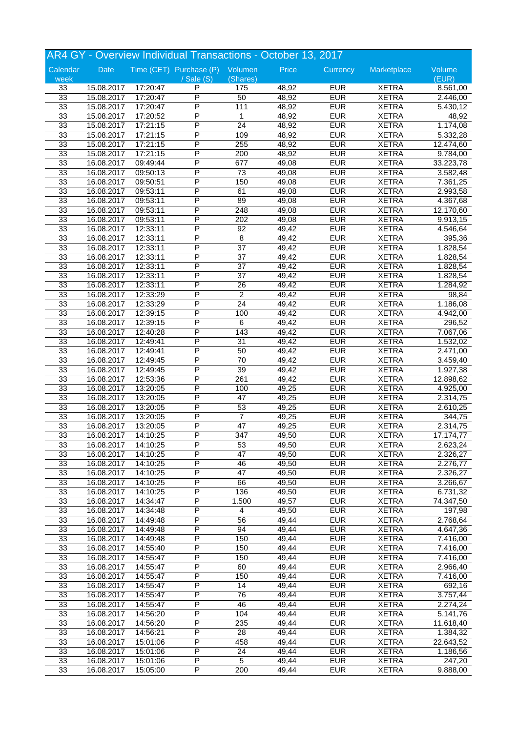| AR4 GY - Overview Individual Transactions - October 13, 2017 |            |          |                                 |                  |       |            |                              |           |  |
|--------------------------------------------------------------|------------|----------|---------------------------------|------------------|-------|------------|------------------------------|-----------|--|
| Calendar                                                     | Date       |          | Time (CET) Purchase (P) Volumen |                  | Price | Currency   | Marketplace                  | Volume    |  |
| week                                                         |            |          | $\sqrt{s}$ ale $(S)$            | (Shares)         |       |            |                              | (EUR)     |  |
| 33                                                           | 15.08.2017 | 17:20:47 | P                               | 175              | 48,92 | <b>EUR</b> | <b>XETRA</b>                 | 8.561,00  |  |
| 33                                                           | 15.08.2017 | 17:20:47 | P                               | 50               | 48,92 | <b>EUR</b> | <b>XETRA</b>                 | 2.446,00  |  |
| 33                                                           | 15.08.2017 | 17:20:47 | P                               | 111              | 48,92 | <b>EUR</b> | <b>XETRA</b>                 | 5.430,12  |  |
| 33                                                           | 15.08.2017 | 17:20:52 | P                               | $\mathbf{1}$     | 48,92 | <b>EUR</b> | <b>XETRA</b>                 | 48,92     |  |
| 33                                                           | 15.08.2017 | 17:21:15 | P                               | 24               | 48,92 | <b>EUR</b> | <b>XETRA</b>                 | 1.174,08  |  |
| 33                                                           | 15.08.2017 | 17:21:15 | P                               | 109              | 48,92 | <b>EUR</b> | <b>XETRA</b>                 | 5.332,28  |  |
| 33                                                           | 15.08.2017 | 17:21:15 | P                               | 255              | 48,92 | <b>EUR</b> | <b>XETRA</b>                 | 12.474,60 |  |
| 33                                                           | 15.08.2017 | 17:21:15 | P                               | 200              | 48,92 | <b>EUR</b> | <b>XETRA</b>                 | 9.784,00  |  |
| 33                                                           | 16.08.2017 | 09:49:44 | P                               | 677              | 49,08 | <b>EUR</b> | <b>XETRA</b>                 | 33.223,78 |  |
| 33                                                           | 16.08.2017 | 09:50:13 | P                               | 73               | 49,08 | <b>EUR</b> | <b>XETRA</b>                 | 3.582,48  |  |
| 33                                                           | 16.08.2017 | 09:50:51 | P                               | 150              | 49,08 | <b>EUR</b> | <b>XETRA</b>                 | 7.361,25  |  |
| 33                                                           | 16.08.2017 | 09:53:11 | P                               | 61               | 49,08 | <b>EUR</b> | <b>XETRA</b>                 | 2.993,58  |  |
| 33                                                           | 16.08.2017 | 09:53:11 | P                               | 89               | 49,08 | <b>EUR</b> | <b>XETRA</b>                 | 4.367,68  |  |
| 33                                                           | 16.08.2017 | 09:53:11 | P                               | 248              | 49,08 | <b>EUR</b> | <b>XETRA</b>                 | 12.170,60 |  |
| 33                                                           | 16.08.2017 | 09:53:11 | P                               | 202              | 49,08 | <b>EUR</b> | <b>XETRA</b>                 | 9.913,15  |  |
| 33                                                           | 16.08.2017 | 12:33:11 | P                               | 92               | 49,42 | <b>EUR</b> | <b>XETRA</b>                 | 4.546,64  |  |
| 33                                                           | 16.08.2017 | 12:33:11 | P                               | 8                | 49,42 | <b>EUR</b> | <b>XETRA</b>                 | 395,36    |  |
| 33                                                           | 16.08.2017 | 12:33:11 | P                               | $\overline{37}$  | 49,42 | <b>EUR</b> | <b>XETRA</b>                 | 1.828,54  |  |
| 33                                                           | 16.08.2017 | 12:33:11 | P                               | $\overline{37}$  | 49,42 | <b>EUR</b> | <b>XETRA</b>                 | 1.828,54  |  |
| 33                                                           | 16.08.2017 | 12:33:11 | P                               | 37               | 49,42 | <b>EUR</b> | <b>XETRA</b>                 | 1.828,54  |  |
| 33                                                           | 16.08.2017 | 12:33:11 | P                               | $\overline{37}$  | 49,42 | <b>EUR</b> | <b>XETRA</b>                 | 1.828,54  |  |
| 33                                                           | 16.08.2017 | 12:33:11 | P                               | 26               | 49,42 | <b>EUR</b> | <b>XETRA</b>                 | 1.284,92  |  |
| 33                                                           | 16.08.2017 | 12:33:29 | P                               | $\overline{2}$   | 49,42 | <b>EUR</b> | <b>XETRA</b>                 | 98,84     |  |
| 33                                                           | 16.08.2017 | 12:33:29 | P                               | 24               | 49,42 | <b>EUR</b> | <b>XETRA</b>                 | 1.186,08  |  |
| 33                                                           | 16.08.2017 | 12:39:15 | P                               | 100              | 49,42 | <b>EUR</b> | <b>XETRA</b>                 | 4.942,00  |  |
| 33                                                           | 16.08.2017 | 12:39:15 | P                               | 6                | 49,42 | <b>EUR</b> |                              | 296,52    |  |
| 33                                                           | 16.08.2017 | 12:40:28 | P                               | $\overline{143}$ | 49,42 | <b>EUR</b> | <b>XETRA</b><br><b>XETRA</b> | 7.067,06  |  |
|                                                              |            |          | P                               |                  |       | <b>EUR</b> |                              |           |  |
| 33                                                           | 16.08.2017 | 12:49:41 | P                               | 31               | 49,42 |            | <b>XETRA</b>                 | 1.532,02  |  |
| 33                                                           | 16.08.2017 | 12:49:41 |                                 | 50               | 49,42 | <b>EUR</b> | <b>XETRA</b>                 | 2.471,00  |  |
| 33                                                           | 16.08.2017 | 12:49:45 | P                               | 70               | 49,42 | <b>EUR</b> | <b>XETRA</b>                 | 3.459,40  |  |
| 33                                                           | 16.08.2017 | 12:49:45 | P                               | 39               | 49,42 | <b>EUR</b> | <b>XETRA</b>                 | 1.927,38  |  |
| 33                                                           | 16.08.2017 | 12:53:36 | P                               | $\overline{261}$ | 49,42 | <b>EUR</b> | <b>XETRA</b>                 | 12.898,62 |  |
| 33                                                           | 16.08.2017 | 13:20:05 | P                               | 100              | 49,25 | <b>EUR</b> | <b>XETRA</b>                 | 4.925,00  |  |
| 33                                                           | 16.08.2017 | 13:20:05 | P                               | 47               | 49,25 | <b>EUR</b> | <b>XETRA</b>                 | 2.314,75  |  |
| 33                                                           | 16.08.2017 | 13:20:05 | P                               | 53               | 49,25 | <b>EUR</b> | <b>XETRA</b>                 | 2.610,25  |  |
| 33                                                           | 16.08.2017 | 13:20:05 | P                               | $\overline{7}$   | 49,25 | <b>EUR</b> | <b>XETRA</b>                 | 344,75    |  |
| 33                                                           | 16.08.2017 | 13:20:05 | P                               | $\overline{47}$  | 49,25 | <b>EUR</b> | <b>XETRA</b>                 | 2.314,75  |  |
| 33                                                           | 16.08.2017 | 14:10:25 | P                               | 347              | 49,50 | <b>EUR</b> | <b>XETRA</b>                 | 17.174,77 |  |
| 33                                                           | 16.08.2017 | 14:10:25 | P                               | 53               | 49,50 | <b>EUR</b> | <b>XETRA</b>                 | 2.623,24  |  |
| 33                                                           | 16.08.2017 | 14:10:25 | P                               | 47               | 49,50 | <b>EUR</b> | <b>XETRA</b>                 | 2.326,27  |  |
| 33                                                           | 16.08.2017 | 14:10:25 | P                               | 46               | 49,50 | <b>EUR</b> | <b>XETRA</b>                 | 2.276,77  |  |
| 33                                                           | 16.08.2017 | 14:10:25 | P                               | $\overline{47}$  | 49,50 | <b>EUR</b> | <b>XETRA</b>                 | 2.326,27  |  |
| 33                                                           | 16.08.2017 | 14:10:25 | P                               | 66               | 49,50 | <b>EUR</b> | <b>XETRA</b>                 | 3.266,67  |  |
| 33                                                           | 16.08.2017 | 14:10:25 | Ρ                               | 136              | 49,50 | <b>EUR</b> | <b>XETRA</b>                 | 6.731,32  |  |
| 33                                                           | 16.08.2017 | 14:34:47 | Ρ                               | 1.500            | 49,57 | <b>EUR</b> | <b>XETRA</b>                 | 74.347,50 |  |
| 33                                                           | 16.08.2017 | 14:34:48 | P                               | 4                | 49,50 | <b>EUR</b> | <b>XETRA</b>                 | 197,98    |  |
| 33                                                           | 16.08.2017 | 14:49:48 | P                               | 56               | 49,44 | <b>EUR</b> | <b>XETRA</b>                 | 2.768,64  |  |
| 33                                                           | 16.08.2017 | 14:49:48 | $\overline{\mathsf{P}}$         | 94               | 49,44 | <b>EUR</b> | <b>XETRA</b>                 | 4.647,36  |  |
| 33                                                           | 16.08.2017 | 14:49:48 | Ρ                               | 150              | 49,44 | <b>EUR</b> | <b>XETRA</b>                 | 7.416,00  |  |
| 33                                                           | 16.08.2017 | 14:55:40 | Ρ                               | 150              | 49,44 | <b>EUR</b> | <b>XETRA</b>                 | 7.416,00  |  |
| 33                                                           | 16.08.2017 | 14:55:47 | Ρ                               | 150              | 49,44 | <b>EUR</b> | <b>XETRA</b>                 | 7.416,00  |  |
| 33                                                           | 16.08.2017 | 14:55:47 | P                               | 60               | 49,44 | <b>EUR</b> | <b>XETRA</b>                 | 2.966,40  |  |
| 33                                                           | 16.08.2017 | 14:55:47 | P                               | 150              | 49,44 | <b>EUR</b> | <b>XETRA</b>                 | 7.416,00  |  |
| 33                                                           | 16.08.2017 | 14:55:47 | Ρ                               | 14               | 49,44 | <b>EUR</b> | <b>XETRA</b>                 | 692,16    |  |
| 33                                                           | 16.08.2017 | 14:55:47 | Ρ                               | 76               | 49,44 | <b>EUR</b> | <b>XETRA</b>                 | 3.757,44  |  |
| 33                                                           | 16.08.2017 | 14:55:47 | Ρ                               | 46               | 49,44 | <b>EUR</b> | <b>XETRA</b>                 | 2.274,24  |  |
| 33                                                           | 16.08.2017 | 14:56:20 | P                               | 104              | 49,44 | <b>EUR</b> | <b>XETRA</b>                 | 5.141,76  |  |
| 33                                                           | 16.08.2017 | 14:56:20 | $\overline{\mathsf{P}}$         | 235              | 49,44 | <b>EUR</b> | <b>XETRA</b>                 | 11.618,40 |  |
| 33                                                           | 16.08.2017 | 14:56:21 | Ρ                               | 28               | 49,44 | <b>EUR</b> | <b>XETRA</b>                 | 1.384,32  |  |
| 33                                                           | 16.08.2017 | 15:01:06 | Ρ                               | 458              | 49,44 | <b>EUR</b> | <b>XETRA</b>                 | 22.643,52 |  |
| 33                                                           | 16.08.2017 | 15:01:06 | Ρ                               | 24               | 49,44 | <b>EUR</b> | <b>XETRA</b>                 | 1.186,56  |  |
| 33                                                           | 16.08.2017 | 15:01:06 | Ρ                               | 5                | 49,44 | <b>EUR</b> | <b>XETRA</b>                 | 247,20    |  |
|                                                              |            |          |                                 |                  |       |            |                              |           |  |
| 33                                                           | 16.08.2017 | 15:05:00 | P                               | $\overline{200}$ | 49,44 | <b>EUR</b> | <b>XETRA</b>                 | 9.888,00  |  |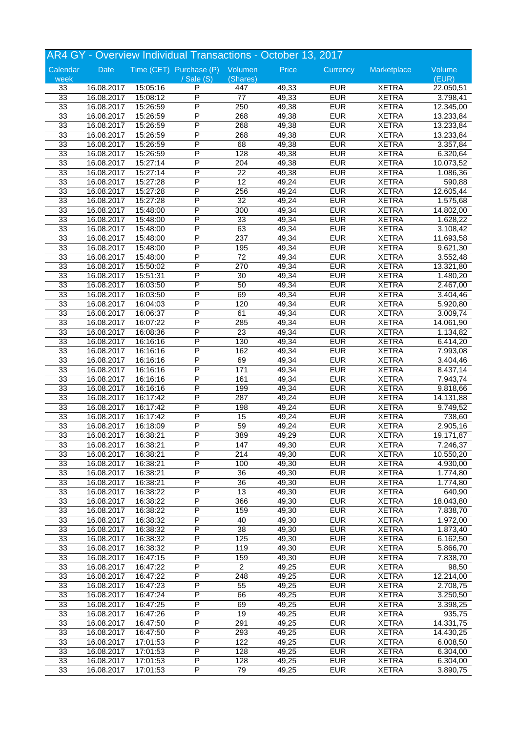| AR4 GY - Overview Individual Transactions - October 13, 2017 |            |          |                                 |                  |       |            |                              |                       |
|--------------------------------------------------------------|------------|----------|---------------------------------|------------------|-------|------------|------------------------------|-----------------------|
| Calendar                                                     | Date       |          | Time (CET) Purchase (P) Volumen |                  | Price | Currency   | Marketplace                  | Volume                |
| week                                                         |            |          | $/$ Sale $(S)$                  | (Shares)         |       |            |                              | (EUR)                 |
| 33                                                           | 16.08.2017 | 15:05:16 | P                               | 447              | 49,33 | <b>EUR</b> | <b>XETRA</b>                 | 22.050,51             |
| 33                                                           | 16.08.2017 | 15:08:12 | P                               | $\overline{77}$  | 49,33 | <b>EUR</b> | <b>XETRA</b>                 | 3.798,41              |
| 33                                                           | 16.08.2017 | 15:26:59 | P                               | 250              | 49,38 | <b>EUR</b> | <b>XETRA</b>                 | 12.345,00             |
| 33                                                           | 16.08.2017 | 15:26:59 | P                               | 268              | 49,38 | <b>EUR</b> | <b>XETRA</b>                 | 13.233,84             |
| 33                                                           | 16.08.2017 | 15:26:59 | P                               | 268              | 49,38 | <b>EUR</b> | <b>XETRA</b>                 | 13.233,84             |
| 33                                                           | 16.08.2017 | 15:26:59 | P                               | 268              | 49,38 | <b>EUR</b> | <b>XETRA</b>                 | 13.233,84             |
| 33                                                           | 16.08.2017 | 15:26:59 | P                               | 68               | 49,38 | <b>EUR</b> | <b>XETRA</b>                 | 3.357,84              |
| 33                                                           | 16.08.2017 | 15:26:59 | P                               | 128              | 49,38 | <b>EUR</b> | <b>XETRA</b>                 | 6.320,64              |
| 33                                                           | 16.08.2017 | 15:27:14 | P                               | $\overline{204}$ | 49,38 | <b>EUR</b> | <b>XETRA</b>                 | 10.073,52             |
| 33                                                           | 16.08.2017 | 15:27:14 | P                               | 22               | 49,38 | <b>EUR</b> | <b>XETRA</b>                 | 1.086,36              |
| 33                                                           | 16.08.2017 | 15:27:28 | P                               | $\overline{12}$  | 49,24 | <b>EUR</b> | <b>XETRA</b>                 | 590,88                |
| 33                                                           | 16.08.2017 | 15:27:28 | P                               | 256              | 49,24 | <b>EUR</b> | <b>XETRA</b>                 | 12.605,44             |
| 33                                                           | 16.08.2017 | 15:27:28 | P                               | 32               | 49,24 | <b>EUR</b> | <b>XETRA</b>                 | 1.575,68              |
| 33                                                           | 16.08.2017 | 15:48:00 | P                               | 300              | 49,34 | <b>EUR</b> | <b>XETRA</b>                 | 14.802,00             |
| 33                                                           | 16.08.2017 | 15:48:00 | P                               | 33               | 49,34 | <b>EUR</b> | <b>XETRA</b>                 | 1.628,22              |
| 33                                                           | 16.08.2017 | 15:48:00 | P                               | 63               | 49,34 | <b>EUR</b> | <b>XETRA</b>                 | 3.108,42              |
| 33                                                           | 16.08.2017 | 15:48:00 | P                               | 237              | 49,34 | <b>EUR</b> | <b>XETRA</b>                 | 11.693,58             |
| 33                                                           | 16.08.2017 | 15:48:00 | P                               | 195              | 49,34 | <b>EUR</b> | <b>XETRA</b>                 | 9.621,30              |
| 33                                                           | 16.08.2017 | 15:48:00 | P                               | $\overline{72}$  | 49,34 | <b>EUR</b> | <b>XETRA</b>                 | 3.552,48              |
| 33                                                           | 16.08.2017 | 15:50:02 | P                               | 270              | 49,34 | <b>EUR</b> | <b>XETRA</b>                 | 13.321,80             |
| 33                                                           |            |          | P                               |                  |       | <b>EUR</b> |                              |                       |
| 33                                                           | 16.08.2017 | 15:51:31 | P                               | 30<br>50         | 49,34 | <b>EUR</b> | <b>XETRA</b>                 | 1.480,20              |
|                                                              | 16.08.2017 | 16:03:50 | P                               | 69               | 49,34 | <b>EUR</b> | <b>XETRA</b><br><b>XETRA</b> | 2.467,00              |
| 33                                                           | 16.08.2017 | 16:03:50 | P                               |                  | 49,34 |            |                              | 3.404,46              |
| 33                                                           | 16.08.2017 | 16:04:03 |                                 | 120              | 49,34 | <b>EUR</b> | <b>XETRA</b>                 | 5.920,80              |
| 33                                                           | 16.08.2017 | 16:06:37 | P                               | 61               | 49,34 | <b>EUR</b> | <b>XETRA</b>                 | 3.009,74              |
| 33                                                           | 16.08.2017 | 16:07:22 | P                               | 285              | 49,34 | <b>EUR</b> | <b>XETRA</b>                 | 14.061,90             |
| 33                                                           | 16.08.2017 | 16:08:36 | P                               | $\overline{23}$  | 49,34 | <b>EUR</b> | <b>XETRA</b>                 | 1.134,82              |
| 33                                                           | 16.08.2017 | 16:16:16 | P                               | 130              | 49,34 | <b>EUR</b> | <b>XETRA</b>                 | 6.414,20              |
| 33                                                           | 16.08.2017 | 16:16:16 | P                               | 162              | 49,34 | <b>EUR</b> | <b>XETRA</b>                 | 7.993,08              |
| 33                                                           | 16.08.2017 | 16:16:16 | P                               | 69               | 49,34 | <b>EUR</b> | <b>XETRA</b>                 | 3.404,46              |
| 33                                                           | 16.08.2017 | 16:16:16 | P                               | 171              | 49,34 | <b>EUR</b> | <b>XETRA</b>                 | 8.437,14              |
| 33                                                           | 16.08.2017 | 16:16:16 | P                               | 161              | 49,34 | <b>EUR</b> | <b>XETRA</b>                 | 7.943,74              |
| 33                                                           | 16.08.2017 | 16:16:16 | P                               | 199              | 49,34 | <b>EUR</b> | <b>XETRA</b>                 | 9.818,66              |
| 33                                                           | 16.08.2017 | 16:17:42 | P                               | 287              | 49,24 | <b>EUR</b> | <b>XETRA</b>                 | 14.131,88             |
| 33                                                           | 16.08.2017 | 16:17:42 | P                               | 198              | 49,24 | <b>EUR</b> | <b>XETRA</b>                 | 9.749,52              |
| 33                                                           | 16.08.2017 | 16:17:42 | P                               | 15               | 49,24 | <b>EUR</b> | <b>XETRA</b>                 | 738,60                |
| 33                                                           | 16.08.2017 | 16:18:09 | P                               | 59               | 49,24 | <b>EUR</b> | <b>XETRA</b>                 | 2.905, 16             |
| 33                                                           | 16.08.2017 | 16:38:21 | P                               | 389              | 49,29 | <b>EUR</b> | <b>XETRA</b>                 | 19.171,87             |
| 33                                                           | 16.08.2017 | 16:38:21 | P                               | 147              | 49,30 | <b>EUR</b> | <b>XETRA</b>                 | 7.246,37              |
| 33                                                           | 16.08.2017 | 16:38:21 | P                               | 214              | 49,30 | <b>EUR</b> | <b>XETRA</b>                 | 10.550,20             |
| 33                                                           | 16.08.2017 | 16:38:21 | P                               | 100              | 49,30 | <b>EUR</b> | <b>XETRA</b>                 | 4.930,00              |
| 33                                                           | 16.08.2017 | 16:38:21 | P                               | 36               | 49,30 | <b>EUR</b> | <b>XETRA</b>                 | 1.774,80              |
| 33                                                           | 16.08.2017 | 16:38:21 | P                               | $\overline{36}$  | 49,30 | <b>EUR</b> | <b>XETRA</b>                 | $\overline{1.774,80}$ |
| 33                                                           | 16.08.2017 | 16:38:22 | Ρ                               | 13               | 49,30 | <b>EUR</b> | <b>XETRA</b>                 | 640,90                |
| 33                                                           | 16.08.2017 | 16:38:22 | Ρ                               | 366              | 49,30 | <b>EUR</b> | <b>XETRA</b>                 | 18.043,80             |
| 33                                                           | 16.08.2017 | 16:38:22 | P                               | 159              | 49,30 | <b>EUR</b> | <b>XETRA</b>                 | 7.838,70              |
| 33                                                           | 16.08.2017 | 16:38:32 | P                               | 40               | 49,30 | <b>EUR</b> | <b>XETRA</b>                 | 1.972,00              |
| 33                                                           | 16.08.2017 | 16:38:32 | $\overline{\mathsf{P}}$         | $\overline{38}$  | 49,30 | <b>EUR</b> | <b>XETRA</b>                 | 1.873,40              |
| 33                                                           | 16.08.2017 | 16:38:32 | Ρ                               | 125              | 49,30 | <b>EUR</b> | <b>XETRA</b>                 | 6.162,50              |
| 33                                                           | 16.08.2017 | 16:38:32 | Ρ                               | 119              | 49,30 | <b>EUR</b> | <b>XETRA</b>                 | 5.866,70              |
| 33                                                           | 16.08.2017 | 16:47:15 | Ρ                               | 159              | 49,30 | <b>EUR</b> | <b>XETRA</b>                 | 7.838,70              |
| 33                                                           | 16.08.2017 | 16:47:22 | P                               | $\overline{2}$   | 49,25 | <b>EUR</b> | <b>XETRA</b>                 | 98,50                 |
| 33                                                           | 16.08.2017 | 16:47:22 | P                               | 248              | 49,25 | <b>EUR</b> | <b>XETRA</b>                 | 12.214,00             |
| 33                                                           | 16.08.2017 | 16:47:23 | Ρ                               | 55               | 49,25 | <b>EUR</b> | <b>XETRA</b>                 | 2.708,75              |
| 33                                                           | 16.08.2017 | 16:47:24 | Ρ                               | 66               | 49,25 | <b>EUR</b> | <b>XETRA</b>                 | 3.250,50              |
| 33                                                           | 16.08.2017 | 16:47:25 | Ρ                               | 69               | 49,25 | <b>EUR</b> | <b>XETRA</b>                 | 3.398,25              |
| 33                                                           | 16.08.2017 | 16:47:26 | P                               | 19               | 49,25 | <b>EUR</b> | <b>XETRA</b>                 | 935,75                |
| 33                                                           | 16.08.2017 | 16:47:50 | P                               | 291              | 49,25 | <b>EUR</b> | <b>XETRA</b>                 | 14.331,75             |
| 33                                                           | 16.08.2017 | 16:47:50 | Ρ                               | 293              | 49,25 | <b>EUR</b> | <b>XETRA</b>                 | 14.430,25             |
|                                                              |            |          |                                 |                  |       |            |                              |                       |
| 33                                                           | 16.08.2017 | 17:01:53 | Ρ                               | 122              | 49,25 | <b>EUR</b> | <b>XETRA</b>                 | 6.008,50              |
| 33                                                           | 16.08.2017 | 17:01:53 | Ρ                               | 128              | 49,25 | <b>EUR</b> | <b>XETRA</b>                 | 6.304,00              |
| 33                                                           | 16.08.2017 | 17:01:53 | Ρ                               | 128              | 49,25 | <b>EUR</b> | <b>XETRA</b>                 | 6.304,00              |
| 33                                                           | 16.08.2017 | 17:01:53 | P                               | 79               | 49,25 | <b>EUR</b> | <b>XETRA</b>                 | 3.890,75              |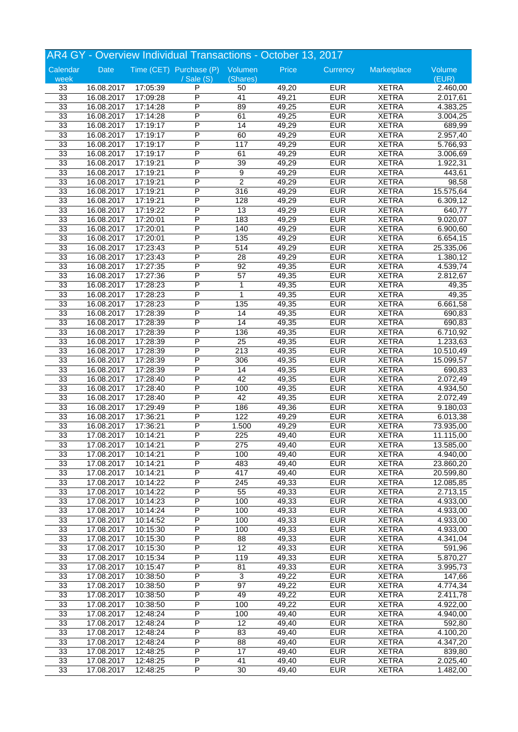| AR4 GY - Overview Individual Transactions - October 13, 2017 |            |          |                                 |                   |       |                          |              |                     |
|--------------------------------------------------------------|------------|----------|---------------------------------|-------------------|-------|--------------------------|--------------|---------------------|
| Calendar                                                     | Date       |          | Time (CET) Purchase (P) Volumen |                   | Price | Currency                 | Marketplace  | Volume              |
| week                                                         |            |          | $\sqrt{s}$ ale $(S)$            | (Shares)          |       |                          |              | (EUR)               |
| 33                                                           | 16.08.2017 | 17:05:39 | P                               | 50                | 49,20 | <b>EUR</b>               | <b>XETRA</b> | 2.460,00            |
| 33                                                           | 16.08.2017 | 17:09:28 | P                               | $\overline{41}$   | 49,21 | <b>EUR</b>               | <b>XETRA</b> | 2.017,61            |
| 33                                                           | 16.08.2017 | 17:14:28 | P                               | 89                | 49,25 | <b>EUR</b>               | <b>XETRA</b> | 4.383,25            |
| 33                                                           | 16.08.2017 | 17:14:28 | P                               | 61                | 49,25 | <b>EUR</b>               | <b>XETRA</b> | 3.004,25            |
| 33                                                           | 16.08.2017 | 17:19:17 | P                               | 14                | 49,29 | <b>EUR</b>               | <b>XETRA</b> | 689,99              |
| 33                                                           | 16.08.2017 | 17:19:17 | P                               | 60                | 49,29 | <b>EUR</b>               | <b>XETRA</b> | 2.957,40            |
| 33                                                           | 16.08.2017 | 17:19:17 | P                               | 117               | 49,29 | <b>EUR</b>               | <b>XETRA</b> | 5.766,93            |
| 33                                                           | 16.08.2017 | 17:19:17 | P                               | 61                | 49,29 | <b>EUR</b>               | <b>XETRA</b> | 3.006,69            |
| 33                                                           | 16.08.2017 | 17:19:21 | P                               | 39                | 49,29 | <b>EUR</b>               | <b>XETRA</b> | 1.922,31            |
| 33                                                           | 16.08.2017 | 17:19:21 | P                               | 9                 | 49,29 | <b>EUR</b>               | <b>XETRA</b> | $\overline{443,61}$ |
| 33                                                           | 16.08.2017 | 17:19:21 | P                               | $\overline{2}$    | 49,29 | <b>EUR</b>               | <b>XETRA</b> | 98,58               |
| 33                                                           | 16.08.2017 | 17:19:21 | P                               | 316               | 49,29 | <b>EUR</b>               | <b>XETRA</b> | 15.575,64           |
| 33                                                           | 16.08.2017 | 17:19:21 | P                               | 128               | 49,29 | <b>EUR</b>               | <b>XETRA</b> | 6.309,12            |
| 33                                                           | 16.08.2017 | 17:19:22 | P                               | 13                | 49,29 | <b>EUR</b>               | <b>XETRA</b> | 640,77              |
| 33                                                           | 16.08.2017 | 17:20:01 | P                               | 183               | 49,29 | <b>EUR</b>               | <b>XETRA</b> | 9.020,07            |
| 33                                                           | 16.08.2017 | 17:20:01 | P                               | 140               | 49,29 | <b>EUR</b>               | <b>XETRA</b> | 6.900,60            |
| 33                                                           | 16.08.2017 | 17:20:01 | P                               | 135               | 49,29 | <b>EUR</b>               | <b>XETRA</b> | 6.654,15            |
| 33                                                           | 16.08.2017 | 17:23:43 | P                               | 514               | 49,29 | <b>EUR</b>               | <b>XETRA</b> | 25.335,06           |
| 33                                                           | 16.08.2017 | 17:23:43 | P                               | 28                | 49,29 | <b>EUR</b>               | <b>XETRA</b> | 1.380,12            |
| 33                                                           | 16.08.2017 | 17:27:35 | P                               | 92                | 49,35 | <b>EUR</b>               | <b>XETRA</b> | 4.539,74            |
|                                                              |            |          | P                               |                   |       |                          |              |                     |
| 33                                                           | 16.08.2017 | 17:27:36 | P                               | $\overline{57}$   | 49,35 | <b>EUR</b>               | <b>XETRA</b> | 2.812,67            |
| 33                                                           | 16.08.2017 | 17:28:23 | P                               | 1<br>$\mathbf{1}$ | 49,35 | <b>EUR</b><br><b>EUR</b> | <b>XETRA</b> | 49,35               |
| 33                                                           | 16.08.2017 | 17:28:23 |                                 |                   | 49,35 |                          | <b>XETRA</b> | 49,35               |
| 33                                                           | 16.08.2017 | 17:28:23 | P                               | 135               | 49,35 | <b>EUR</b>               | <b>XETRA</b> | 6.661,58            |
| 33                                                           | 16.08.2017 | 17:28:39 | P                               | 14                | 49,35 | <b>EUR</b>               | <b>XETRA</b> | 690,83              |
| 33                                                           | 16.08.2017 | 17:28:39 | P                               | 14                | 49,35 | <b>EUR</b>               | <b>XETRA</b> | 690,83              |
| 33                                                           | 16.08.2017 | 17:28:39 | P                               | 136               | 49,35 | <b>EUR</b>               | <b>XETRA</b> | 6.710,92            |
| 33                                                           | 16.08.2017 | 17:28:39 | P                               | $\overline{25}$   | 49,35 | <b>EUR</b>               | <b>XETRA</b> | 1.233,63            |
| 33                                                           | 16.08.2017 | 17:28:39 | P                               | 213               | 49,35 | <b>EUR</b>               | <b>XETRA</b> | 10.510,49           |
| 33                                                           | 16.08.2017 | 17:28:39 | P                               | 306               | 49,35 | <b>EUR</b>               | <b>XETRA</b> | 15.099,57           |
| 33                                                           | 16.08.2017 | 17:28:39 | P                               | 14                | 49,35 | <b>EUR</b>               | <b>XETRA</b> | 690,83              |
| 33                                                           | 16.08.2017 | 17:28:40 | P                               | 42                | 49,35 | <b>EUR</b>               | <b>XETRA</b> | 2.072,49            |
| 33                                                           | 16.08.2017 | 17:28:40 | P                               | 100               | 49,35 | <b>EUR</b>               | <b>XETRA</b> | 4.934,50            |
| 33                                                           | 16.08.2017 | 17:28:40 | P                               | 42                | 49,35 | <b>EUR</b>               | <b>XETRA</b> | 2.072,49            |
| 33                                                           | 16.08.2017 | 17:29:49 | P                               | 186               | 49,36 | <b>EUR</b>               | <b>XETRA</b> | 9.180,03            |
| 33                                                           | 16.08.2017 | 17:36:21 | P                               | 122               | 49,29 | <b>EUR</b>               | <b>XETRA</b> | 6.013,38            |
| 33                                                           | 16.08.2017 | 17:36:21 | P                               | 1.500             | 49,29 | <b>EUR</b>               | <b>XETRA</b> | 73.935,00           |
| 33                                                           | 17.08.2017 | 10:14:21 | P                               | 225               | 49,40 | <b>EUR</b>               | <b>XETRA</b> | 11.115,00           |
| 33                                                           | 17.08.2017 | 10:14:21 | P                               | 275               | 49,40 | <b>EUR</b>               | <b>XETRA</b> | 13.585,00           |
| 33                                                           | 17.08.2017 | 10:14:21 | P                               | 100               | 49,40 | <b>EUR</b>               | <b>XETRA</b> | 4.940,00            |
| 33                                                           | 17.08.2017 | 10:14:21 | P                               | 483               | 49,40 | <b>EUR</b>               | <b>XETRA</b> | 23.860,20           |
| 33                                                           | 17.08.2017 | 10:14:21 | P                               | 417               | 49,40 | <b>EUR</b>               | <b>XETRA</b> | 20.599,80           |
| 33                                                           | 17.08.2017 | 10:14:22 | P                               | 245               | 49,33 | <b>EUR</b>               | <b>XETRA</b> | 12.085,85           |
| 33                                                           | 17.08.2017 | 10:14:22 | Ρ                               | 55                | 49,33 | <b>EUR</b>               | <b>XETRA</b> | 2.713,15            |
| 33                                                           | 17.08.2017 | 10:14:23 | Ρ                               | 100               | 49,33 | <b>EUR</b>               | <b>XETRA</b> | 4.933,00            |
| 33                                                           | 17.08.2017 | 10:14:24 | P                               | 100               | 49,33 | <b>EUR</b>               | <b>XETRA</b> | 4.933,00            |
| 33                                                           | 17.08.2017 | 10:14:52 | P                               | 100               | 49,33 | <b>EUR</b>               | <b>XETRA</b> | 4.933,00            |
| 33                                                           | 17.08.2017 | 10:15:30 | $\overline{\mathsf{P}}$         | 100               | 49,33 | <b>EUR</b>               | <b>XETRA</b> | 4.933,00            |
| 33                                                           | 17.08.2017 | 10:15:30 | Ρ                               | 88                | 49,33 | <b>EUR</b>               | <b>XETRA</b> | 4.341,04            |
| 33                                                           | 17.08.2017 | 10:15:30 | Ρ                               | 12                | 49,33 | <b>EUR</b>               | <b>XETRA</b> | 591,96              |
| 33                                                           | 17.08.2017 | 10:15:34 | Ρ                               | 119               | 49,33 | <b>EUR</b>               | <b>XETRA</b> | 5.870,27            |
| 33                                                           | 17.08.2017 | 10:15:47 | P                               | 81                | 49,33 | <b>EUR</b>               | <b>XETRA</b> | 3.995,73            |
| 33                                                           | 17.08.2017 | 10:38:50 | P                               | $\overline{3}$    | 49,22 | <b>EUR</b>               | <b>XETRA</b> | 147,66              |
| 33                                                           | 17.08.2017 | 10:38:50 | Ρ                               | 97                | 49,22 | <b>EUR</b>               | <b>XETRA</b> | 4.774,34            |
| 33                                                           | 17.08.2017 | 10:38:50 | Ρ                               | 49                | 49,22 | <b>EUR</b>               | <b>XETRA</b> | 2.411,78            |
| 33                                                           | 17.08.2017 | 10:38:50 | P                               | 100               | 49,22 | <b>EUR</b>               | <b>XETRA</b> | 4.922,00            |
| 33                                                           | 17.08.2017 | 12:48:24 | P                               | 100               | 49,40 | <b>EUR</b>               | <b>XETRA</b> | 4.940,00            |
| 33                                                           | 17.08.2017 | 12:48:24 | $\overline{\mathsf{P}}$         | $\overline{12}$   | 49,40 | <b>EUR</b>               | <b>XETRA</b> | 592,80              |
| 33                                                           | 17.08.2017 | 12:48:24 | Ρ                               | 83                | 49,40 | <b>EUR</b>               | <b>XETRA</b> |                     |
|                                                              |            |          |                                 |                   |       |                          |              | 4.100,20            |
| 33                                                           | 17.08.2017 | 12:48:24 | Ρ                               | 88                | 49,40 | <b>EUR</b>               | <b>XETRA</b> | 4.347,20            |
| 33                                                           | 17.08.2017 | 12:48:25 | Ρ                               | 17                | 49,40 | <b>EUR</b>               | <b>XETRA</b> | 839,80              |
| 33                                                           | 17.08.2017 | 12:48:25 | Ρ                               | 41                | 49,40 | <b>EUR</b>               | <b>XETRA</b> | 2.025,40            |
| 33                                                           | 17.08.2017 | 12:48:25 | P                               | 30                | 49,40 | <b>EUR</b>               | <b>XETRA</b> | 1.482,00            |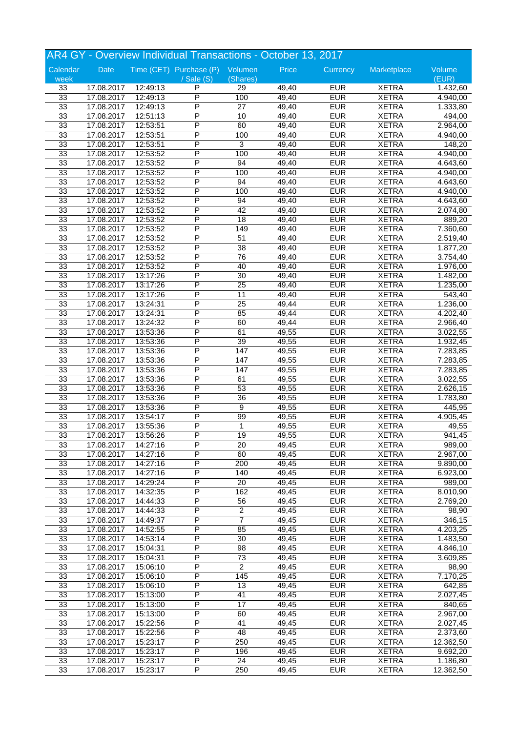| AR4 GY - Overview Individual Transactions - October 13, 2017 |            |          |                                 |                  |       |            |              |           |  |
|--------------------------------------------------------------|------------|----------|---------------------------------|------------------|-------|------------|--------------|-----------|--|
| Calendar                                                     | Date       |          | Time (CET) Purchase (P) Volumen |                  | Price | Currency   | Marketplace  | Volume    |  |
| week                                                         |            |          | $\sqrt{s}$ ale $(S)$            | (Shares)         |       |            |              | (EUR)     |  |
| 33                                                           | 17.08.2017 | 12:49:13 | P                               | 29               | 49,40 | <b>EUR</b> | <b>XETRA</b> | 1.432,60  |  |
| 33                                                           | 17.08.2017 | 12:49:13 | P                               | 100              | 49,40 | <b>EUR</b> | <b>XETRA</b> | 4.940,00  |  |
| 33                                                           | 17.08.2017 | 12:49:13 | P                               | $\overline{27}$  | 49,40 | <b>EUR</b> | <b>XETRA</b> | 1.333,80  |  |
| 33                                                           | 17.08.2017 | 12:51:13 | P                               | 10               | 49,40 | <b>EUR</b> | <b>XETRA</b> | 494,00    |  |
| 33                                                           | 17.08.2017 | 12:53:51 | P                               | 60               | 49,40 | <b>EUR</b> | <b>XETRA</b> | 2.964,00  |  |
| 33                                                           | 17.08.2017 | 12:53:51 | P                               | 100              | 49,40 | <b>EUR</b> | <b>XETRA</b> | 4.940,00  |  |
| 33                                                           | 17.08.2017 | 12:53:51 | P                               | 3                | 49,40 | <b>EUR</b> | <b>XETRA</b> | 148,20    |  |
| 33                                                           | 17.08.2017 | 12:53:52 | P                               | 100              | 49,40 | <b>EUR</b> | <b>XETRA</b> | 4.940,00  |  |
| 33                                                           | 17.08.2017 | 12:53:52 | P                               | 94               | 49,40 | <b>EUR</b> | <b>XETRA</b> | 4.643,60  |  |
| 33                                                           | 17.08.2017 | 12:53:52 | P                               | 100              | 49,40 | <b>EUR</b> | <b>XETRA</b> | 4.940,00  |  |
| 33                                                           | 17.08.2017 | 12:53:52 | P                               | 94               | 49,40 | <b>EUR</b> | <b>XETRA</b> | 4.643,60  |  |
| 33                                                           | 17.08.2017 | 12:53:52 | P                               | 100              | 49,40 | <b>EUR</b> | <b>XETRA</b> | 4.940,00  |  |
| 33                                                           | 17.08.2017 | 12:53:52 | P                               | 94               | 49,40 | <b>EUR</b> | <b>XETRA</b> | 4.643,60  |  |
| 33                                                           | 17.08.2017 | 12:53:52 | P                               | 42               | 49,40 | <b>EUR</b> | <b>XETRA</b> | 2.074,80  |  |
| 33                                                           | 17.08.2017 | 12:53:52 | P                               | 18               | 49,40 | <b>EUR</b> | <b>XETRA</b> | 889,20    |  |
| 33                                                           | 17.08.2017 | 12:53:52 | P                               | 149              | 49,40 | <b>EUR</b> | <b>XETRA</b> | 7.360,60  |  |
| 33                                                           | 17.08.2017 | 12:53:52 | P                               | $\overline{51}$  | 49,40 | <b>EUR</b> | <b>XETRA</b> | 2.519,40  |  |
| 33                                                           | 17.08.2017 | 12:53:52 | P                               | 38               | 49,40 | <b>EUR</b> | <b>XETRA</b> | 1.877,20  |  |
| 33                                                           | 17.08.2017 | 12:53:52 | P                               | 76               | 49,40 | <b>EUR</b> | <b>XETRA</b> | 3.754,40  |  |
| 33                                                           | 17.08.2017 | 12:53:52 | P                               | 40               | 49,40 | <b>EUR</b> | <b>XETRA</b> | 1.976,00  |  |
| 33                                                           | 17.08.2017 | 13:17:26 | P                               | $\overline{30}$  | 49,40 | <b>EUR</b> | <b>XETRA</b> | 1.482,00  |  |
| 33                                                           | 17.08.2017 | 13:17:26 | P                               | $\overline{25}$  | 49,40 | <b>EUR</b> | <b>XETRA</b> | 1.235,00  |  |
| 33                                                           | 17.08.2017 | 13:17:26 | P                               | 11               | 49,40 | <b>EUR</b> | <b>XETRA</b> | 543,40    |  |
| 33                                                           | 17.08.2017 | 13:24:31 | P                               | $\overline{25}$  | 49,44 | <b>EUR</b> | <b>XETRA</b> | 1.236,00  |  |
| 33                                                           | 17.08.2017 | 13:24:31 | P                               | 85               | 49,44 | <b>EUR</b> | <b>XETRA</b> | 4.202,40  |  |
| 33                                                           | 17.08.2017 | 13:24:32 | P                               | 60               | 49,44 | <b>EUR</b> | <b>XETRA</b> |           |  |
| 33                                                           | 17.08.2017 | 13:53:36 | P                               | 61               | 49,55 | <b>EUR</b> | <b>XETRA</b> | 2.966,40  |  |
|                                                              |            |          | P                               |                  |       | <b>EUR</b> |              | 3.022,55  |  |
| 33                                                           | 17.08.2017 | 13:53:36 |                                 | 39               | 49,55 |            | <b>XETRA</b> | 1.932,45  |  |
| 33                                                           | 17.08.2017 | 13:53:36 | P                               | 147              | 49,55 | <b>EUR</b> | <b>XETRA</b> | 7.283,85  |  |
| 33                                                           | 17.08.2017 | 13:53:36 | P                               | 147              | 49,55 | <b>EUR</b> | <b>XETRA</b> | 7.283,85  |  |
| 33                                                           | 17.08.2017 | 13:53:36 | P                               | 147              | 49,55 | <b>EUR</b> | <b>XETRA</b> | 7.283,85  |  |
| 33                                                           | 17.08.2017 | 13:53:36 | P                               | 61               | 49,55 | <b>EUR</b> | <b>XETRA</b> | 3.022,55  |  |
| 33                                                           | 17.08.2017 | 13:53:36 | P                               | 53               | 49,55 | <b>EUR</b> | <b>XETRA</b> | 2.626,15  |  |
| 33                                                           | 17.08.2017 | 13:53:36 | P                               | 36               | 49,55 | <b>EUR</b> | <b>XETRA</b> | 1.783,80  |  |
| 33                                                           | 17.08.2017 | 13:53:36 | P                               | 9                | 49,55 | <b>EUR</b> | <b>XETRA</b> | 445,95    |  |
| 33                                                           | 17.08.2017 | 13:54:17 | P                               | 99               | 49,55 | <b>EUR</b> | <b>XETRA</b> | 4.905,45  |  |
| 33                                                           | 17.08.2017 | 13:55:36 | P                               | 1                | 49,55 | <b>EUR</b> | <b>XETRA</b> | 49,55     |  |
| 33                                                           | 17.08.2017 | 13:56:26 | P                               | $\overline{19}$  | 49,55 | <b>EUR</b> | <b>XETRA</b> | 941,45    |  |
| 33                                                           | 17.08.2017 | 14:27:16 | P                               | 20               | 49,45 | <b>EUR</b> | <b>XETRA</b> | 989,00    |  |
| 33                                                           | 17.08.2017 | 14:27:16 | P                               | 60               | 49,45 | <b>EUR</b> | <b>XETRA</b> | 2.967,00  |  |
| 33                                                           | 17.08.2017 | 14:27:16 | P                               | 200              | 49,45 | <b>EUR</b> | <b>XETRA</b> | 9.890,00  |  |
| 33                                                           | 17.08.2017 | 14:27:16 | P                               | 140              | 49,45 | <b>EUR</b> | <b>XETRA</b> | 6.923,00  |  |
| 33                                                           | 17.08.2017 | 14:29:24 | P                               | 20               | 49,45 | <b>EUR</b> | <b>XETRA</b> | 989,00    |  |
| 33                                                           | 17.08.2017 | 14:32:35 | Ρ                               | 162              | 49,45 | <b>EUR</b> | <b>XETRA</b> | 8.010,90  |  |
| 33                                                           | 17.08.2017 | 14:44:33 | Ρ                               | 56               | 49,45 | <b>EUR</b> | <b>XETRA</b> | 2.769,20  |  |
| 33                                                           | 17.08.2017 | 14:44:33 | P                               | $\boldsymbol{2}$ | 49,45 | <b>EUR</b> | <b>XETRA</b> | 98,90     |  |
| 33                                                           | 17.08.2017 | 14:49:37 | P                               | $\overline{7}$   | 49,45 | <b>EUR</b> | <b>XETRA</b> | 346,15    |  |
| 33                                                           | 17.08.2017 | 14:52:55 | $\overline{\mathsf{P}}$         | 85               | 49,45 | <b>EUR</b> | <b>XETRA</b> | 4.203,25  |  |
| 33                                                           | 17.08.2017 | 14:53:14 | Ρ                               | $\overline{30}$  | 49,45 | <b>EUR</b> | <b>XETRA</b> | 1.483,50  |  |
| 33                                                           | 17.08.2017 | 15:04:31 | Ρ                               | 98               | 49,45 | <b>EUR</b> | <b>XETRA</b> | 4.846,10  |  |
| 33                                                           | 17.08.2017 | 15:04:31 | P                               | 73               | 49,45 | <b>EUR</b> | <b>XETRA</b> | 3.609,85  |  |
| 33                                                           | 17.08.2017 | 15:06:10 | P                               | $\overline{2}$   | 49,45 | <b>EUR</b> | <b>XETRA</b> | 98,90     |  |
| 33                                                           | 17.08.2017 | 15:06:10 | P                               | 145              | 49,45 | <b>EUR</b> | <b>XETRA</b> | 7.170,25  |  |
| 33                                                           | 17.08.2017 | 15:06:10 | Ρ                               | 13               | 49,45 | <b>EUR</b> | <b>XETRA</b> | 642,85    |  |
| 33                                                           | 17.08.2017 | 15:13:00 | Ρ                               | 41               | 49,45 | <b>EUR</b> | <b>XETRA</b> | 2.027,45  |  |
| 33                                                           | 17.08.2017 | 15:13:00 | P                               | 17               | 49,45 | <b>EUR</b> | <b>XETRA</b> | 840,65    |  |
| 33                                                           | 17.08.2017 | 15:13:00 | P                               | 60               | 49,45 | <b>EUR</b> | <b>XETRA</b> | 2.967,00  |  |
| 33                                                           | 17.08.2017 | 15:22:56 | $\overline{\mathsf{P}}$         | $\overline{41}$  | 49,45 | <b>EUR</b> | <b>XETRA</b> | 2.027,45  |  |
| 33                                                           | 17.08.2017 | 15:22:56 | Ρ                               | 48               | 49,45 | <b>EUR</b> | <b>XETRA</b> | 2.373,60  |  |
| 33                                                           | 17.08.2017 | 15:23:17 | Ρ                               |                  |       | <b>EUR</b> | <b>XETRA</b> | 12.362,50 |  |
|                                                              |            |          |                                 | 250              | 49,45 |            |              |           |  |
| 33                                                           | 17.08.2017 | 15:23:17 | Ρ                               | 196              | 49,45 | <b>EUR</b> | <b>XETRA</b> | 9.692,20  |  |
| 33                                                           | 17.08.2017 | 15:23:17 | P                               | 24               | 49,45 | <b>EUR</b> | <b>XETRA</b> | 1.186,80  |  |
| 33                                                           | 17.08.2017 | 15:23:17 | P                               | 250              | 49,45 | <b>EUR</b> | <b>XETRA</b> | 12.362,50 |  |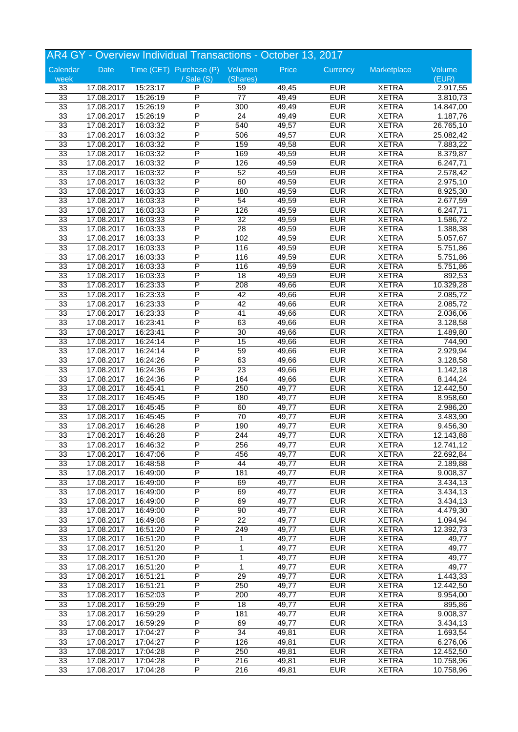| AR4 GY - Overview Individual Transactions - October 13, 2017 |            |          |                                 |                 |                    |                          |              |                        |
|--------------------------------------------------------------|------------|----------|---------------------------------|-----------------|--------------------|--------------------------|--------------|------------------------|
| Calendar                                                     | Date       |          | Time (CET) Purchase (P) Volumen |                 | Price              | Currency                 | Marketplace  | Volume                 |
| week                                                         |            |          | $/$ Sale $(S)$                  | (Shares)        |                    |                          |              | (EUR)                  |
| 33                                                           | 17.08.2017 | 15:23:17 | P                               | 59              | 49,45              | <b>EUR</b>               | <b>XETRA</b> | 2.917,55               |
| 33                                                           | 17.08.2017 | 15:26:19 | P                               | $\overline{77}$ | 49,49              | <b>EUR</b>               | <b>XETRA</b> | 3.810,73               |
| 33                                                           | 17.08.2017 | 15:26:19 | P                               | 300             | 49,49              | <b>EUR</b>               | <b>XETRA</b> | 14.847,00              |
| 33                                                           | 17.08.2017 | 15:26:19 | P                               | $\overline{24}$ | 49,49              | <b>EUR</b>               | <b>XETRA</b> | 1.187,76               |
| 33                                                           | 17.08.2017 | 16:03:32 | P                               | 540             | 49,57              | <b>EUR</b>               | <b>XETRA</b> | 26.765,10              |
| 33                                                           | 17.08.2017 | 16:03:32 | P                               | 506             | 49,57              | <b>EUR</b>               | <b>XETRA</b> | 25.082,42              |
| 33                                                           | 17.08.2017 | 16:03:32 | P                               | 159             | 49,58              | <b>EUR</b>               | <b>XETRA</b> | 7.883,22               |
| 33                                                           | 17.08.2017 | 16:03:32 | P                               | 169             | 49,59              | <b>EUR</b>               | <b>XETRA</b> | 8.379,87               |
| 33                                                           | 17.08.2017 | 16:03:32 | P                               | 126             | 49,59              | <b>EUR</b>               | <b>XETRA</b> | 6.247,71               |
| 33                                                           | 17.08.2017 | 16:03:32 | P                               | 52              | 49,59              | <b>EUR</b>               | <b>XETRA</b> | 2.578,42               |
| 33                                                           | 17.08.2017 | 16:03:32 | P                               | 60              | 49,59              | <b>EUR</b>               | <b>XETRA</b> | 2.975,10               |
| 33                                                           | 17.08.2017 | 16:03:33 | P                               | 180             | 49,59              | <b>EUR</b>               | <b>XETRA</b> | 8.925,30               |
| 33                                                           | 17.08.2017 | 16:03:33 | P                               | 54              | 49,59              | <b>EUR</b>               | <b>XETRA</b> | 2.677,59               |
| 33                                                           | 17.08.2017 | 16:03:33 | P                               | 126             | 49,59              | <b>EUR</b>               | <b>XETRA</b> | 6.247,71               |
| 33                                                           | 17.08.2017 | 16:03:33 | P                               | 32              | 49,59              | <b>EUR</b>               | <b>XETRA</b> | 1.586,72               |
| 33                                                           | 17.08.2017 | 16:03:33 | P                               | $\overline{28}$ | 49,59              | <b>EUR</b>               | <b>XETRA</b> | 1.388,38               |
| 33                                                           | 17.08.2017 | 16:03:33 | P                               | 102             | 49,59              | <b>EUR</b>               | <b>XETRA</b> | 5.057,67               |
| 33                                                           | 17.08.2017 | 16:03:33 | P                               | 116             | 49,59              | <b>EUR</b>               | <b>XETRA</b> | 5.751,86               |
| 33                                                           | 17.08.2017 | 16:03:33 | P                               | 116             | 49,59              | <b>EUR</b>               | <b>XETRA</b> | 5.751,86               |
| 33                                                           | 17.08.2017 | 16:03:33 | P                               | 116             | 49,59              | <b>EUR</b>               | <b>XETRA</b> | $\overline{5.75}$ 1,86 |
| 33                                                           | 17.08.2017 | 16:03:33 | P                               | 18              | 49,59              | <b>EUR</b>               | <b>XETRA</b> | 892,53                 |
| 33                                                           | 17.08.2017 | 16:23:33 | P                               | 208             | 49,66              | <b>EUR</b>               | <b>XETRA</b> | 10.329,28              |
| 33                                                           | 17.08.2017 | 16:23:33 | P                               | 42              | 49,66              | <b>EUR</b>               | <b>XETRA</b> | 2.085,72               |
| 33                                                           | 17.08.2017 | 16:23:33 | P                               | 42              | 49,66              | <b>EUR</b>               | <b>XETRA</b> | 2.085,72               |
| 33                                                           | 17.08.2017 | 16:23:33 | P                               | 41              | 49,66              | <b>EUR</b>               | <b>XETRA</b> | 2.036,06               |
|                                                              |            |          | P                               |                 |                    |                          |              |                        |
| 33                                                           | 17.08.2017 | 16:23:41 | P                               | 63              | 49,66              | <b>EUR</b><br><b>EUR</b> | <b>XETRA</b> | 3.128,58               |
| 33                                                           | 17.08.2017 | 16:23:41 |                                 | $\overline{30}$ | 49,66              |                          | <b>XETRA</b> | 1.489,80               |
| 33                                                           | 17.08.2017 | 16:24:14 | P                               | 15              | 49,66              | <b>EUR</b>               | <b>XETRA</b> | 744,90                 |
| 33                                                           | 17.08.2017 | 16:24:14 | P                               | 59              | 49,66              | <b>EUR</b>               | <b>XETRA</b> | 2.929,94               |
| 33                                                           | 17.08.2017 | 16:24:26 | P                               | 63              | 49,66              | <b>EUR</b>               | <b>XETRA</b> | 3.128,58               |
| 33                                                           | 17.08.2017 | 16:24:36 | P                               | $\overline{23}$ | 49,66              | <b>EUR</b>               | <b>XETRA</b> | 1.142,18               |
| 33                                                           | 17.08.2017 | 16:24:36 | P                               | 164             | 49,66              | <b>EUR</b>               | <b>XETRA</b> | 8.144,24               |
| 33                                                           | 17.08.2017 | 16:45:41 | P                               | 250             | 49,77              | <b>EUR</b>               | <b>XETRA</b> | 12.442,50              |
| 33                                                           | 17.08.2017 | 16:45:45 | P                               | 180             | 49,77              | <b>EUR</b>               | <b>XETRA</b> | 8.958,60               |
| 33                                                           | 17.08.2017 | 16:45:45 | P                               | 60              | 49,77              | <b>EUR</b>               | <b>XETRA</b> | 2.986,20               |
| 33                                                           | 17.08.2017 | 16:45:45 | P                               | 70              | $\overline{49,77}$ | <b>EUR</b>               | <b>XETRA</b> | 3.483,90               |
| 33                                                           | 17.08.2017 | 16:46:28 | P                               | 190             | 49,77              | <b>EUR</b>               | <b>XETRA</b> | 9.456,30               |
| 33                                                           | 17.08.2017 | 16:46:28 | P                               | 244             | 49,77              | <b>EUR</b>               | <b>XETRA</b> | 12.143,88              |
| 33                                                           | 17.08.2017 | 16:46:32 | P                               | 256             | 49,77              | <b>EUR</b>               | <b>XETRA</b> | 12.741,12              |
| 33                                                           | 17.08.2017 | 16:47:06 | P                               | 456             | 49,77              | <b>EUR</b>               | <b>XETRA</b> | 22.692,84              |
| 33                                                           | 17.08.2017 | 16:48:58 | P                               | 44              | 49,77              | <b>EUR</b>               | <b>XETRA</b> | 2.189,88               |
| 33                                                           | 17.08.2017 | 16:49:00 | P                               | 181             | 49,77              | <b>EUR</b>               | <b>XETRA</b> | 9.008,37               |
| 33                                                           | 17.08.2017 | 16:49:00 | $\overline{\mathsf{P}}$         | 69              | 49,77              | <b>EUR</b>               | <b>XETRA</b> | 3.434,13               |
| 33                                                           | 17.08.2017 | 16:49:00 | Ρ                               | 69              | 49,77              | <b>EUR</b>               | <b>XETRA</b> | 3.434,13               |
| 33                                                           | 17.08.2017 | 16:49:00 | Ρ                               | 69              | 49,77              | <b>EUR</b>               | <b>XETRA</b> | 3.434,13               |
| 33                                                           | 17.08.2017 | 16:49:00 | P                               | 90              | 49,77              | <b>EUR</b>               | <b>XETRA</b> | 4.479,30               |
| 33                                                           | 17.08.2017 | 16:49:08 | P                               | $\overline{22}$ | 49,77              | <b>EUR</b>               | <b>XETRA</b> | 1.094,94               |
| 33                                                           | 17.08.2017 | 16:51:20 | $\overline{\mathsf{P}}$         | 249             | 49,77              | <b>EUR</b>               | <b>XETRA</b> | 12.392,73              |
| 33                                                           | 17.08.2017 | 16:51:20 | Ρ                               | 1               | 49,77              | <b>EUR</b>               | <b>XETRA</b> | 49,77                  |
| 33                                                           | 17.08.2017 | 16:51:20 | Ρ                               | 1               | 49,77              | <b>EUR</b>               | <b>XETRA</b> | 49,77                  |
| 33                                                           | 17.08.2017 | 16:51:20 | P                               | 1               | 49,77              | <b>EUR</b>               | <b>XETRA</b> | 49,77                  |
| 33                                                           | 17.08.2017 | 16:51:20 | P                               | $\mathbf{1}$    | 49,77              | <b>EUR</b>               | <b>XETRA</b> | 49,77                  |
| 33                                                           | 17.08.2017 | 16:51:21 | P                               | $\overline{29}$ | 49,77              | <b>EUR</b>               | <b>XETRA</b> | 1.443,33               |
| 33                                                           | 17.08.2017 | 16:51:21 | Ρ                               | 250             | 49,77              | <b>EUR</b>               | <b>XETRA</b> | 12.442,50              |
| 33                                                           | 17.08.2017 | 16:52:03 | Ρ                               | 200             | 49,77              | <b>EUR</b>               | <b>XETRA</b> | 9.954,00               |
| 33                                                           | 17.08.2017 | 16:59:29 | P                               | 18              | 49,77              | <b>EUR</b>               | <b>XETRA</b> | 895,86                 |
| 33                                                           | 17.08.2017 | 16:59:29 | P                               | 181             | 49,77              | <b>EUR</b>               | <b>XETRA</b> | 9.008,37               |
| 33                                                           | 17.08.2017 | 16:59:29 | $\overline{\mathsf{P}}$         | 69              | 49,77              | <b>EUR</b>               | <b>XETRA</b> | 3.434,13               |
| 33                                                           | 17.08.2017 | 17:04:27 | Ρ                               | $\overline{34}$ | 49,81              | <b>EUR</b>               | <b>XETRA</b> | 1.693,54               |
| 33                                                           | 17.08.2017 | 17:04:27 | Ρ                               | 126             | 49,81              | <b>EUR</b>               | <b>XETRA</b> | 6.276,06               |
| 33                                                           | 17.08.2017 | 17:04:28 | Ρ                               | 250             | 49,81              | <b>EUR</b>               | <b>XETRA</b> | 12.452,50              |
| 33                                                           |            |          |                                 |                 |                    | <b>EUR</b>               |              |                        |
|                                                              | 17.08.2017 | 17:04:28 | Ρ                               | 216             | 49,81              |                          | <b>XETRA</b> | 10.758,96              |
| 33                                                           | 17.08.2017 | 17:04:28 | P                               | 216             | 49,81              | <b>EUR</b>               | <b>XETRA</b> | 10.758,96              |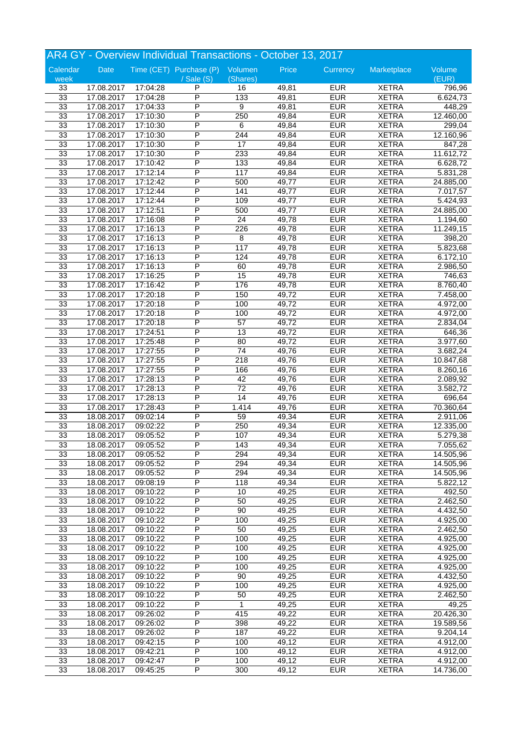| AR4 GY - Overview Individual Transactions - October 13, 2017 |            |          |                                 |                 |       |            |              |                       |
|--------------------------------------------------------------|------------|----------|---------------------------------|-----------------|-------|------------|--------------|-----------------------|
| Calendar                                                     | Date       |          | Time (CET) Purchase (P) Volumen |                 | Price | Currency   | Marketplace  | Volume                |
| week                                                         |            |          | $/$ Sale $(S)$                  | (Shares)        |       |            |              | (EUR)                 |
| 33                                                           | 17.08.2017 | 17:04:28 | P                               | 16              | 49,81 | <b>EUR</b> | <b>XETRA</b> | 796,96                |
| 33                                                           | 17.08.2017 | 17:04:28 | P                               | 133             | 49,81 | <b>EUR</b> | <b>XETRA</b> | 6.624,73              |
| 33                                                           | 17.08.2017 | 17:04:33 | P                               | 9               | 49,81 | <b>EUR</b> | <b>XETRA</b> | 448,29                |
| 33                                                           | 17.08.2017 | 17:10:30 | P                               | 250             | 49,84 | <b>EUR</b> | <b>XETRA</b> | 12.460,00             |
| 33                                                           | 17.08.2017 | 17:10:30 | P                               | 6               | 49,84 | <b>EUR</b> | <b>XETRA</b> | 299,04                |
| 33                                                           | 17.08.2017 | 17:10:30 | P                               | 244             | 49,84 | <b>EUR</b> | <b>XETRA</b> | 12.160,96             |
| 33                                                           | 17.08.2017 | 17:10:30 | P                               | $\overline{17}$ | 49,84 | <b>EUR</b> | <b>XETRA</b> | 847,28                |
| 33                                                           | 17.08.2017 | 17:10:30 | P                               | 233             | 49,84 | <b>EUR</b> | <b>XETRA</b> | 11.612,72             |
| 33                                                           | 17.08.2017 | 17:10:42 | P                               | 133             | 49,84 | <b>EUR</b> | <b>XETRA</b> | 6.628,72              |
| 33                                                           | 17.08.2017 | 17:12:14 | P                               | 117             | 49,84 | <b>EUR</b> | <b>XETRA</b> | 5.831,28              |
| 33                                                           | 17.08.2017 | 17:12:42 | P                               | 500             | 49,77 | <b>EUR</b> | <b>XETRA</b> | 24.885,00             |
| 33                                                           | 17.08.2017 | 17:12:44 | P                               | 141             | 49,77 | <b>EUR</b> | <b>XETRA</b> | 7.017,57              |
| 33                                                           | 17.08.2017 | 17:12:44 | P                               | 109             | 49,77 | <b>EUR</b> | <b>XETRA</b> | 5.424,93              |
| 33                                                           | 17.08.2017 | 17:12:51 | P                               | 500             | 49,77 | <b>EUR</b> | <b>XETRA</b> | 24.885,00             |
| 33                                                           | 17.08.2017 | 17:16:08 | P                               | 24              | 49,78 | <b>EUR</b> | <b>XETRA</b> | 1.194,60              |
| 33                                                           | 17.08.2017 | 17:16:13 | P                               | 226             | 49,78 | <b>EUR</b> | <b>XETRA</b> | 11.249,15             |
| 33                                                           | 17.08.2017 | 17:16:13 | P                               | 8               | 49,78 | <b>EUR</b> | <b>XETRA</b> | 398,20                |
| 33                                                           | 17.08.2017 | 17:16:13 | P                               | 117             | 49,78 | <b>EUR</b> | <b>XETRA</b> | 5.823,68              |
| 33                                                           | 17.08.2017 | 17:16:13 | P                               | 124             | 49,78 | <b>EUR</b> | <b>XETRA</b> | 6.172,10              |
| 33                                                           | 17.08.2017 | 17:16:13 | P                               | 60              | 49,78 | <b>EUR</b> | <b>XETRA</b> | 2.986,50              |
| 33                                                           | 17.08.2017 | 17:16:25 | P                               | 15              | 49,78 | <b>EUR</b> | <b>XETRA</b> | 746,63                |
| 33                                                           | 17.08.2017 | 17:16:42 | P                               | 176             | 49,78 | <b>EUR</b> | <b>XETRA</b> | 8.760,40              |
| 33                                                           | 17.08.2017 | 17:20:18 | P                               | 150             | 49,72 | <b>EUR</b> | <b>XETRA</b> | 7.458,00              |
| 33                                                           | 17.08.2017 | 17:20:18 | P                               | 100             | 49,72 | <b>EUR</b> | <b>XETRA</b> | 4.972,00              |
| 33                                                           | 17.08.2017 | 17:20:18 | P                               | 100             | 49,72 | <b>EUR</b> | <b>XETRA</b> | 4.972,00              |
| 33                                                           | 17.08.2017 | 17:20:18 | P                               | $\overline{57}$ | 49,72 | <b>EUR</b> | <b>XETRA</b> | 2.834,04              |
| 33                                                           | 17.08.2017 | 17:24:51 | P                               | 13              | 49,72 | <b>EUR</b> | <b>XETRA</b> | 646,36                |
| 33                                                           | 17.08.2017 | 17:25:48 | P                               | 80              | 49,72 | <b>EUR</b> | <b>XETRA</b> | 3.977,60              |
| 33                                                           |            | 17:27:55 | P                               | $\overline{74}$ | 49,76 | <b>EUR</b> | <b>XETRA</b> | 3.682,24              |
| 33                                                           | 17.08.2017 | 17:27:55 | P                               | 218             | 49,76 | <b>EUR</b> | <b>XETRA</b> |                       |
| 33                                                           | 17.08.2017 |          | P                               |                 |       | <b>EUR</b> |              | 10.847,68             |
|                                                              | 17.08.2017 | 17:27:55 | P                               | 166             | 49,76 |            | <b>XETRA</b> | 8.260,16              |
| 33                                                           | 17.08.2017 | 17:28:13 | P                               | 42              | 49,76 | <b>EUR</b> | <b>XETRA</b> | 2.089,92              |
| 33                                                           | 17.08.2017 | 17:28:13 |                                 | $\overline{72}$ | 49,76 | <b>EUR</b> | <b>XETRA</b> | 3.582,72              |
| 33                                                           | 17.08.2017 | 17:28:13 | P                               | $\overline{14}$ | 49,76 | <b>EUR</b> | <b>XETRA</b> | 696,64                |
| 33                                                           | 17.08.2017 | 17:28:43 | Ρ                               | 1.414           | 49,76 | <b>EUR</b> | <b>XETRA</b> | 70.360,64             |
| 33                                                           | 18.08.2017 | 09:02:14 | P                               | 59              | 49,34 | <b>EUR</b> | <b>XETRA</b> | 2.911,06              |
| 33                                                           | 18.08.2017 | 09:02:22 | P<br>P                          | 250             | 49,34 | <b>EUR</b> | <b>XETRA</b> | 12.335,00             |
| 33                                                           | 18.08.2017 | 09:05:52 |                                 | 107             | 49,34 | <b>EUR</b> | <b>XETRA</b> | 5.279,38              |
| 33                                                           | 18.08.2017 | 09:05:52 | P                               | 143             | 49,34 | <b>EUR</b> | <b>XETRA</b> | 7.055,62              |
| 33                                                           | 18.08.2017 | 09:05:52 | P                               | 294             | 49,34 | <b>EUR</b> | <b>XETRA</b> | 14.505,96             |
| 33                                                           | 18.08.2017 | 09:05:52 | P                               | 294             | 49,34 | <b>EUR</b> | <b>XETRA</b> | 14.505,96             |
| 33                                                           | 18.08.2017 | 09:05:52 | P                               | 294             | 49,34 | <b>EUR</b> | <b>XETRA</b> | 14.505,96             |
| 33                                                           | 18.08.2017 | 09:08:19 | P                               | 118             | 49,34 | <b>EUR</b> | <b>XETRA</b> | 5.822,12              |
| 33                                                           | 18.08.2017 | 09:10:22 | Ρ                               | 10              | 49,25 | <b>EUR</b> | <b>XETRA</b> | 492,50                |
| 33                                                           | 18.08.2017 | 09:10:22 | Ρ                               | 50              | 49,25 | <b>EUR</b> | <b>XETRA</b> | 2.462,50              |
| 33                                                           | 18.08.2017 | 09:10:22 | P                               | 90              | 49,25 | <b>EUR</b> | <b>XETRA</b> | $\overline{4.432,50}$ |
| 33                                                           | 18.08.2017 | 09:10:22 | P                               | 100             | 49,25 | <b>EUR</b> | <b>XETRA</b> | 4.925,00              |
| 33                                                           | 18.08.2017 | 09:10:22 | $\overline{\mathsf{P}}$         | 50              | 49,25 | <b>EUR</b> | <b>XETRA</b> | 2.462,50              |
| 33                                                           | 18.08.2017 | 09:10:22 | Ρ                               | 100             | 49,25 | <b>EUR</b> | <b>XETRA</b> | 4.925,00              |
| 33                                                           | 18.08.2017 | 09:10:22 | Ρ                               | 100             | 49,25 | <b>EUR</b> | <b>XETRA</b> | 4.925,00              |
| 33                                                           | 18.08.2017 | 09:10:22 | Ρ                               | 100             | 49,25 | <b>EUR</b> | <b>XETRA</b> | 4.925,00              |
| 33                                                           | 18.08.2017 | 09:10:22 | P                               | 100             | 49,25 | <b>EUR</b> | <b>XETRA</b> | 4.925,00              |
| 33                                                           | 18.08.2017 | 09:10:22 | P                               | 90              | 49,25 | <b>EUR</b> | <b>XETRA</b> | 4.432,50              |
| 33                                                           | 18.08.2017 | 09:10:22 | Ρ                               | 100             | 49,25 | <b>EUR</b> | <b>XETRA</b> | 4.925,00              |
| 33                                                           | 18.08.2017 | 09:10:22 | Ρ                               | 50              | 49,25 | <b>EUR</b> | <b>XETRA</b> | 2.462,50              |
| 33                                                           | 18.08.2017 | 09:10:22 | Ρ                               | 1               | 49,25 | <b>EUR</b> | <b>XETRA</b> | 49,25                 |
| 33                                                           | 18.08.2017 | 09:26:02 | P                               | 415             | 49,22 | <b>EUR</b> | <b>XETRA</b> | 20.426,30             |
| 33                                                           | 18.08.2017 | 09:26:02 | P                               | 398             | 49,22 | <b>EUR</b> | <b>XETRA</b> | 19.589,56             |
| 33                                                           | 18.08.2017 | 09:26:02 | Ρ                               | 187             | 49,22 | <b>EUR</b> | <b>XETRA</b> | 9.204, 14             |
| 33                                                           | 18.08.2017 | 09:42:15 | Ρ                               | 100             | 49,12 | <b>EUR</b> | <b>XETRA</b> | 4.912,00              |
| 33                                                           | 18.08.2017 | 09:42:21 | Ρ                               | 100             | 49,12 | <b>EUR</b> | <b>XETRA</b> | 4.912,00              |
| 33                                                           | 18.08.2017 | 09:42:47 | Ρ                               | 100             | 49,12 | <b>EUR</b> | <b>XETRA</b> | 4.912,00              |
| 33                                                           | 18.08.2017 | 09:45:25 | P                               | 300             | 49,12 | <b>EUR</b> | <b>XETRA</b> | 14.736,00             |
|                                                              |            |          |                                 |                 |       |            |              |                       |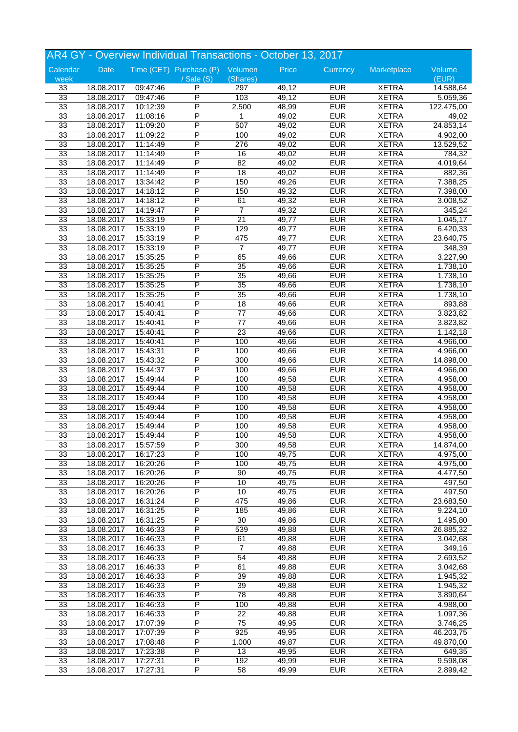|          |            |          | AR4 GY - Overview Individual Transactions - October 13, 2017 |                       |       |            |              |            |
|----------|------------|----------|--------------------------------------------------------------|-----------------------|-------|------------|--------------|------------|
| Calendar | Date       |          | Time (CET) Purchase (P) Volumen                              |                       | Price | Currency   | Marketplace  | Volume     |
| week     |            |          | $\sqrt{s}$ ale $(S)$                                         | (Shares)              |       |            |              | (EUR)      |
| 33       | 18.08.2017 | 09:47:46 | P                                                            | 297                   | 49,12 | <b>EUR</b> | <b>XETRA</b> | 14.588,64  |
| 33       | 18.08.2017 | 09:47:46 | P                                                            | 103                   | 49,12 | <b>EUR</b> | <b>XETRA</b> | 5.059,36   |
| 33       | 18.08.2017 | 10:12:39 | P                                                            | 2.500                 | 48,99 | <b>EUR</b> | <b>XETRA</b> | 122.475,00 |
| 33       | 18.08.2017 | 11:08:16 | P                                                            | 1                     | 49,02 | <b>EUR</b> | <b>XETRA</b> | 49,02      |
| 33       | 18.08.2017 | 11:09:20 | P                                                            | 507                   | 49,02 | <b>EUR</b> | <b>XETRA</b> | 24.853,14  |
| 33       | 18.08.2017 | 11:09:22 | P                                                            | 100                   | 49,02 | <b>EUR</b> | <b>XETRA</b> | 4.902,00   |
| 33       | 18.08.2017 | 11:14:49 | P                                                            | 276                   | 49,02 | <b>EUR</b> | <b>XETRA</b> | 13.529,52  |
| 33       | 18.08.2017 | 11:14:49 | P                                                            | 16                    | 49,02 | <b>EUR</b> | <b>XETRA</b> | 784,32     |
| 33       | 18.08.2017 | 11:14:49 | P                                                            | 82                    | 49,02 | <b>EUR</b> | <b>XETRA</b> | 4.019,64   |
| 33       | 18.08.2017 | 11:14:49 | P                                                            | 18                    | 49,02 | <b>EUR</b> | <b>XETRA</b> | 882,36     |
| 33       | 18.08.2017 | 13:34:42 | P                                                            | 150                   | 49,26 | <b>EUR</b> | <b>XETRA</b> | 7.388,25   |
| 33       | 18.08.2017 | 14:18:12 | P                                                            | 150                   | 49,32 | <b>EUR</b> | <b>XETRA</b> | 7.398,00   |
| 33       | 18.08.2017 | 14:18:12 | P                                                            | 61                    | 49,32 | <b>EUR</b> | <b>XETRA</b> | 3.008,52   |
| 33       | 18.08.2017 | 14:19:47 | P                                                            | $\overline{7}$        | 49,32 | <b>EUR</b> | <b>XETRA</b> | 345,24     |
| 33       | 18.08.2017 | 15:33:19 | P                                                            | $\overline{21}$       | 49,77 | <b>EUR</b> | <b>XETRA</b> | 1.045,17   |
| 33       | 18.08.2017 | 15:33:19 | P                                                            | 129                   | 49,77 | <b>EUR</b> | <b>XETRA</b> | 6.420,33   |
| 33       | 18.08.2017 | 15:33:19 | P                                                            | 475                   | 49,77 | <b>EUR</b> | <b>XETRA</b> | 23.640,75  |
| 33       | 18.08.2017 | 15:33:19 | P                                                            | $\overline{7}$        | 49,77 | <b>EUR</b> | <b>XETRA</b> | 348,39     |
| 33       | 18.08.2017 | 15:35:25 | P                                                            | 65                    | 49,66 | <b>EUR</b> | <b>XETRA</b> | 3.227,90   |
| 33       | 18.08.2017 | 15:35:25 | P                                                            | 35                    | 49,66 | <b>EUR</b> | <b>XETRA</b> | 1.738,10   |
| 33       | 18.08.2017 | 15:35:25 | P                                                            | $\overline{35}$       | 49,66 | <b>EUR</b> | <b>XETRA</b> | 1.738,10   |
| 33       | 18.08.2017 | 15:35:25 | P                                                            | $\overline{35}$       | 49,66 | <b>EUR</b> | <b>XETRA</b> | 1.738,10   |
| 33       | 18.08.2017 | 15:35:25 | P                                                            | $\overline{35}$       | 49,66 | <b>EUR</b> | <b>XETRA</b> | 1.738,10   |
| 33       | 18.08.2017 | 15:40:41 | P                                                            | 18                    | 49,66 | <b>EUR</b> | <b>XETRA</b> | 893,88     |
|          |            |          | P                                                            |                       |       |            |              |            |
| 33       | 18.08.2017 | 15:40:41 | P                                                            | 77<br>$\overline{77}$ | 49,66 | <b>EUR</b> | <b>XETRA</b> | 3.823,82   |
| 33       | 18.08.2017 | 15:40:41 | P                                                            | $\overline{23}$       | 49,66 | <b>EUR</b> | <b>XETRA</b> | 3.823,82   |
| 33       | 18.08.2017 | 15:40:41 |                                                              |                       | 49,66 | <b>EUR</b> | <b>XETRA</b> | 1.142,18   |
| 33       | 18.08.2017 | 15:40:41 | P                                                            | 100                   | 49,66 | <b>EUR</b> | <b>XETRA</b> | 4.966,00   |
| 33       | 18.08.2017 | 15:43:31 | P                                                            | 100                   | 49,66 | <b>EUR</b> | <b>XETRA</b> | 4.966,00   |
| 33       | 18.08.2017 | 15:43:32 | P                                                            | 300                   | 49,66 | <b>EUR</b> | <b>XETRA</b> | 14.898,00  |
| 33       | 18.08.2017 | 15:44:37 | P                                                            | 100                   | 49,66 | <b>EUR</b> | <b>XETRA</b> | 4.966,00   |
| 33       | 18.08.2017 | 15:49:44 | P                                                            | 100                   | 49,58 | <b>EUR</b> | <b>XETRA</b> | 4.958,00   |
| 33       | 18.08.2017 | 15:49:44 | P                                                            | 100                   | 49,58 | <b>EUR</b> | <b>XETRA</b> | 4.958,00   |
| 33       | 18.08.2017 | 15:49:44 | P                                                            | 100                   | 49,58 | <b>EUR</b> | <b>XETRA</b> | 4.958,00   |
| 33       | 18.08.2017 | 15:49:44 | P                                                            | 100                   | 49,58 | <b>EUR</b> | <b>XETRA</b> | 4.958,00   |
| 33       | 18.08.2017 | 15:49:44 | P                                                            | 100                   | 49,58 | <b>EUR</b> | <b>XETRA</b> | 4.958,00   |
| 33       | 18.08.2017 | 15:49:44 | P                                                            | 100                   | 49,58 | <b>EUR</b> | <b>XETRA</b> | 4.958,00   |
| 33       | 18.08.2017 | 15:49:44 | P                                                            | 100                   | 49,58 | <b>EUR</b> | <b>XETRA</b> | 4.958,00   |
| 33       | 18.08.2017 | 15:57:59 | P                                                            | 300                   | 49,58 | <b>EUR</b> | <b>XETRA</b> | 14.874,00  |
| 33       | 18.08.2017 | 16:17:23 | P                                                            | 100                   | 49,75 | <b>EUR</b> | <b>XETRA</b> | 4.975,00   |
| 33       | 18.08.2017 | 16:20:26 | P                                                            | 100                   | 49,75 | <b>EUR</b> | <b>XETRA</b> | 4.975,00   |
| 33       | 18.08.2017 | 16:20:26 | P                                                            | 90                    | 49,75 | <b>EUR</b> | <b>XETRA</b> | 4.477,50   |
| 33       | 18.08.2017 | 16:20:26 | $\overline{\mathsf{P}}$                                      | 10                    | 49,75 | <b>EUR</b> | <b>XETRA</b> | 497,50     |
| 33       | 18.08.2017 | 16:20:26 | Ρ                                                            | 10                    | 49,75 | <b>EUR</b> | <b>XETRA</b> | 497,50     |
| 33       | 18.08.2017 | 16:31:24 | Ρ                                                            | 475                   | 49,86 | <b>EUR</b> | <b>XETRA</b> | 23.683,50  |
| 33       | 18.08.2017 | 16:31:25 | P                                                            | 185                   | 49,86 | <b>EUR</b> | <b>XETRA</b> | 9.224,10   |
| 33       | 18.08.2017 | 16:31:25 | P                                                            | 30                    | 49,86 | <b>EUR</b> | <b>XETRA</b> | 1.495,80   |
| 33       | 18.08.2017 | 16:46:33 | $\overline{\mathsf{P}}$                                      | 539                   | 49,88 | <b>EUR</b> | <b>XETRA</b> | 26.885,32  |
| 33       | 18.08.2017 | 16:46:33 | Ρ                                                            | 61                    | 49,88 | <b>EUR</b> | <b>XETRA</b> | 3.042,68   |
| 33       | 18.08.2017 | 16:46:33 | Ρ                                                            | $\overline{7}$        | 49,88 | <b>EUR</b> | <b>XETRA</b> | 349,16     |
| 33       | 18.08.2017 | 16:46:33 | P                                                            | 54                    | 49,88 | <b>EUR</b> | <b>XETRA</b> | 2.693,52   |
| 33       | 18.08.2017 | 16:46:33 | P                                                            | 61                    | 49,88 | <b>EUR</b> | <b>XETRA</b> | 3.042,68   |
| 33       | 18.08.2017 | 16:46:33 | $\overline{\mathsf{P}}$                                      | 39                    | 49,88 | <b>EUR</b> | <b>XETRA</b> | 1.945,32   |
| 33       | 18.08.2017 | 16:46:33 | Ρ                                                            | 39                    | 49,88 | <b>EUR</b> | <b>XETRA</b> | 1.945,32   |
| 33       | 18.08.2017 | 16:46:33 | Ρ                                                            | 78                    | 49,88 | <b>EUR</b> | <b>XETRA</b> | 3.890,64   |
| 33       | 18.08.2017 | 16:46:33 | Ρ                                                            | 100                   | 49,88 | <b>EUR</b> | <b>XETRA</b> | 4.988,00   |
| 33       | 18.08.2017 | 16:46:33 | P                                                            | 22                    | 49,88 | <b>EUR</b> | <b>XETRA</b> | 1.097,36   |
| 33       | 18.08.2017 | 17:07:39 | $\overline{\mathsf{P}}$                                      | 75                    | 49,95 | <b>EUR</b> | <b>XETRA</b> | 3.746,25   |
| 33       | 18.08.2017 | 17:07:39 | Ρ                                                            | 925                   | 49,95 | <b>EUR</b> | <b>XETRA</b> | 46.203,75  |
| 33       | 18.08.2017 | 17:08:48 | Ρ                                                            | 1.000                 | 49,87 | <b>EUR</b> | <b>XETRA</b> | 49.870,00  |
| 33       | 18.08.2017 | 17:23:38 | Ρ                                                            | 13                    | 49,95 | <b>EUR</b> | <b>XETRA</b> | 649,35     |
|          |            |          |                                                              |                       |       | <b>EUR</b> |              |            |
| 33       | 18.08.2017 | 17:27:31 | Ρ                                                            | 192                   | 49,99 |            | <b>XETRA</b> | 9.598,08   |
| 33       | 18.08.2017 | 17:27:31 | P                                                            | 58                    | 49,99 | <b>EUR</b> | <b>XETRA</b> | 2.899,42   |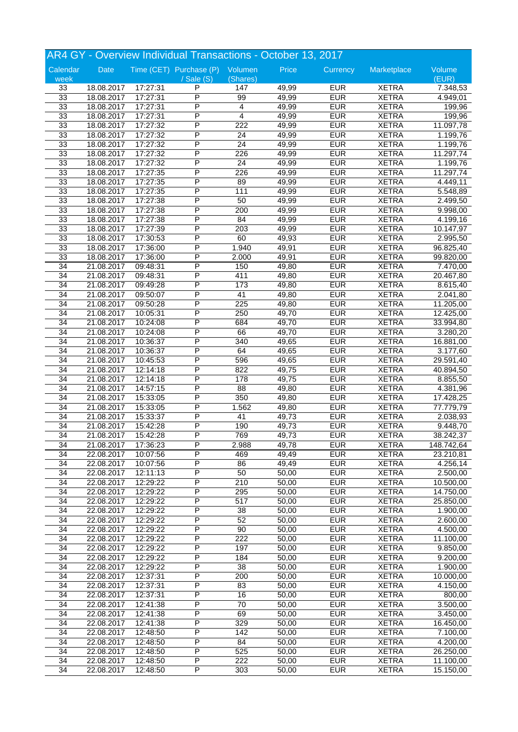|                 |            |          | AR4 GY - Overview Individual Transactions - October 13, 2017 |                 |       |            |              |            |
|-----------------|------------|----------|--------------------------------------------------------------|-----------------|-------|------------|--------------|------------|
| Calendar        | Date       |          | Time (CET) Purchase (P) Volumen                              |                 | Price | Currency   | Marketplace  | Volume     |
| week            |            |          | $\sqrt{s}$ ale $(S)$                                         | (Shares)        |       |            |              | (EUR)      |
| 33              | 18.08.2017 | 17:27:31 | P                                                            | 147             | 49,99 | <b>EUR</b> | <b>XETRA</b> | 7.348,53   |
| 33              | 18.08.2017 | 17:27:31 | P                                                            | 99              | 49,99 | <b>EUR</b> | <b>XETRA</b> | 4.949,01   |
| 33              | 18.08.2017 | 17:27:31 | P                                                            | 4               | 49,99 | <b>EUR</b> | <b>XETRA</b> | 199,96     |
| 33              | 18.08.2017 | 17:27:31 | P                                                            | $\overline{4}$  | 49,99 | <b>EUR</b> | <b>XETRA</b> | 199,96     |
| 33              | 18.08.2017 | 17:27:32 | P                                                            | 222             | 49,99 | <b>EUR</b> | <b>XETRA</b> | 11.097,78  |
| 33              | 18.08.2017 | 17:27:32 | P                                                            | 24              | 49,99 | <b>EUR</b> | <b>XETRA</b> | 1.199,76   |
| 33              | 18.08.2017 | 17:27:32 | P                                                            | $\overline{24}$ | 49,99 | <b>EUR</b> | <b>XETRA</b> | 1.199,76   |
| 33              | 18.08.2017 | 17:27:32 | P                                                            | 226             | 49,99 | <b>EUR</b> | <b>XETRA</b> | 11.297,74  |
| 33              | 18.08.2017 | 17:27:32 | P                                                            | $\overline{24}$ | 49,99 | <b>EUR</b> | <b>XETRA</b> | 1.199,76   |
| 33              | 18.08.2017 | 17:27:35 | P                                                            | 226             | 49,99 | <b>EUR</b> | <b>XETRA</b> | 11.297,74  |
| 33              | 18.08.2017 | 17:27:35 | P                                                            | 89              | 49,99 | <b>EUR</b> | <b>XETRA</b> | 4.449,11   |
| 33              | 18.08.2017 | 17:27:35 | P                                                            | 111             | 49,99 | <b>EUR</b> | <b>XETRA</b> | 5.548,89   |
| 33              | 18.08.2017 | 17:27:38 | P                                                            | 50              | 49,99 | <b>EUR</b> | <b>XETRA</b> | 2.499,50   |
| 33              | 18.08.2017 | 17:27:38 | P                                                            | 200             | 49,99 | <b>EUR</b> | <b>XETRA</b> | 9.998,00   |
| 33              | 18.08.2017 | 17:27:38 | P                                                            | 84              | 49,99 | <b>EUR</b> | <b>XETRA</b> | 4.199,16   |
| 33              | 18.08.2017 | 17:27:39 | P                                                            | 203             | 49,99 | <b>EUR</b> | <b>XETRA</b> | 10.147,97  |
| 33              | 18.08.2017 | 17:30:53 | P                                                            | 60              | 49,93 | <b>EUR</b> | <b>XETRA</b> | 2.995,50   |
| 33              | 18.08.2017 | 17:36:00 | P                                                            | 1.940           | 49,91 | <b>EUR</b> | <b>XETRA</b> | 96.825,40  |
| 33              | 18.08.2017 | 17:36:00 | P                                                            | 2.000           | 49,91 | <b>EUR</b> | <b>XETRA</b> | 99.820,00  |
| 34              | 21.08.2017 | 09:48:31 | P                                                            | 150             | 49,80 | <b>EUR</b> | <b>XETRA</b> | 7.470,00   |
| 34              | 21.08.2017 | 09:48:31 | P                                                            | 411             | 49,80 | <b>EUR</b> | <b>XETRA</b> | 20.467,80  |
| $\overline{34}$ | 21.08.2017 | 09:49:28 | P                                                            | 173             | 49,80 | <b>EUR</b> | <b>XETRA</b> | 8.615,40   |
| 34              | 21.08.2017 | 09:50:07 | P                                                            | $\overline{41}$ | 49,80 | <b>EUR</b> | <b>XETRA</b> | 2.041,80   |
| 34              | 21.08.2017 | 09:50:28 | P                                                            | 225             | 49,80 | <b>EUR</b> | <b>XETRA</b> | 11.205,00  |
| 34              | 21.08.2017 | 10:05:31 | P                                                            | 250             | 49,70 | <b>EUR</b> | <b>XETRA</b> | 12.425,00  |
| 34              | 21.08.2017 | 10:24:08 | P                                                            | 684             | 49,70 | <b>EUR</b> | <b>XETRA</b> | 33.994,80  |
| 34              | 21.08.2017 | 10:24:08 | P                                                            | 66              | 49,70 | <b>EUR</b> | <b>XETRA</b> | 3.280,20   |
|                 |            |          | P                                                            |                 |       | <b>EUR</b> |              |            |
| 34              | 21.08.2017 | 10:36:37 | P                                                            | 340<br>64       | 49,65 |            | <b>XETRA</b> | 16.881,00  |
| 34              | 21.08.2017 | 10:36:37 |                                                              |                 | 49,65 | <b>EUR</b> | <b>XETRA</b> | 3.177,60   |
| 34              | 21.08.2017 | 10:45:53 | P                                                            | 596             | 49,65 | <b>EUR</b> | <b>XETRA</b> | 29.591,40  |
| 34              | 21.08.2017 | 12:14:18 | P                                                            | 822             | 49,75 | <b>EUR</b> | <b>XETRA</b> | 40.894,50  |
| 34              | 21.08.2017 | 12:14:18 | P                                                            | 178             | 49,75 | <b>EUR</b> | <b>XETRA</b> | 8.855,50   |
| 34              | 21.08.2017 | 14:57:15 | P                                                            | 88              | 49,80 | <b>EUR</b> | <b>XETRA</b> | 4.381,96   |
| 34              | 21.08.2017 | 15:33:05 | P                                                            | 350             | 49,80 | <b>EUR</b> | <b>XETRA</b> | 17.428,25  |
| 34              | 21.08.2017 | 15:33:05 | P                                                            | 1.562           | 49,80 | <b>EUR</b> | <b>XETRA</b> | 77.779,79  |
| 34              | 21.08.2017 | 15:33:37 | P                                                            | 41              | 49,73 | <b>EUR</b> | <b>XETRA</b> | 2.038,93   |
| 34              | 21.08.2017 | 15:42:28 | P                                                            | 190             | 49,73 | <b>EUR</b> | <b>XETRA</b> | 9.448,70   |
| 34              | 21.08.2017 | 15:42:28 | P                                                            | 769             | 49,73 | <b>EUR</b> | <b>XETRA</b> | 38.242,37  |
| 34              | 21.08.2017 | 17:36:23 | P                                                            | 2.988           | 49,78 | <b>EUR</b> | <b>XETRA</b> | 148.742,64 |
| 34              | 22.08.2017 | 10:07:56 | P                                                            | 469             | 49,49 | <b>EUR</b> | <b>XETRA</b> | 23.210,81  |
| 34              | 22.08.2017 | 10:07:56 | P                                                            | 86              | 49,49 | <b>EUR</b> | <b>XETRA</b> | 4.256,14   |
| 34              | 22.08.2017 | 12:11:13 | P                                                            | 50              | 50,00 | <b>EUR</b> | <b>XETRA</b> | 2.500,00   |
| 34              | 22.08.2017 | 12:29:22 | P                                                            | 210             | 50,00 | <b>EUR</b> | <b>XETRA</b> | 10.500,00  |
| 34              | 22.08.2017 | 12:29:22 | Ρ                                                            | 295             | 50,00 | <b>EUR</b> | <b>XETRA</b> | 14.750,00  |
| 34              | 22.08.2017 | 12:29:22 | Ρ                                                            | 517             | 50,00 | <b>EUR</b> | <b>XETRA</b> | 25.850,00  |
| 34              | 22.08.2017 | 12:29:22 | P                                                            | 38              | 50,00 | <b>EUR</b> | <b>XETRA</b> | 1.900,00   |
| $\overline{34}$ | 22.08.2017 | 12:29:22 | P                                                            | 52              | 50,00 | <b>EUR</b> | <b>XETRA</b> | 2.600,00   |
| $\overline{34}$ | 22.08.2017 | 12:29:22 | $\overline{\mathsf{P}}$                                      | $\overline{90}$ | 50,00 | <b>EUR</b> | <b>XETRA</b> | 4.500,00   |
| $\overline{34}$ | 22.08.2017 | 12:29:22 | Ρ                                                            | 222             | 50,00 | <b>EUR</b> | <b>XETRA</b> | 11.100,00  |
| 34              | 22.08.2017 | 12:29:22 | Ρ                                                            | 197             | 50,00 | <b>EUR</b> | <b>XETRA</b> | 9.850,00   |
| 34              | 22.08.2017 | 12:29:22 | Ρ                                                            | 184             | 50,00 | <b>EUR</b> | <b>XETRA</b> | 9.200,00   |
| 34              | 22.08.2017 | 12:29:22 | P                                                            | 38              | 50,00 | <b>EUR</b> | <b>XETRA</b> | 1.900,00   |
| 34              | 22.08.2017 | 12:37:31 | P                                                            | 200             | 50,00 | <b>EUR</b> | <b>XETRA</b> | 10.000,00  |
| 34              | 22.08.2017 | 12:37:31 | Ρ                                                            | 83              | 50,00 | <b>EUR</b> | <b>XETRA</b> | 4.150,00   |
| 34              | 22.08.2017 | 12:37:31 | Ρ                                                            | 16              | 50,00 | <b>EUR</b> | <b>XETRA</b> | 800,00     |
| 34              | 22.08.2017 | 12:41:38 | Ρ                                                            | 70              | 50,00 | <b>EUR</b> | <b>XETRA</b> | 3.500,00   |
| $\overline{34}$ | 22.08.2017 | 12:41:38 | P                                                            | 69              | 50,00 | <b>EUR</b> | <b>XETRA</b> | 3.450,00   |
| $\overline{34}$ | 22.08.2017 | 12:41:38 | P                                                            | 329             | 50,00 | <b>EUR</b> | <b>XETRA</b> | 16.450,00  |
| $\overline{34}$ | 22.08.2017 | 12:48:50 | Ρ                                                            | 142             | 50,00 | <b>EUR</b> | <b>XETRA</b> | 7.100,00   |
| 34              | 22.08.2017 | 12:48:50 | Ρ                                                            | 84              | 50,00 | <b>EUR</b> | <b>XETRA</b> | 4.200,00   |
| 34              | 22.08.2017 | 12:48:50 | Ρ                                                            | 525             | 50,00 | <b>EUR</b> | <b>XETRA</b> | 26.250,00  |
| 34              |            | 12:48:50 | Ρ                                                            | 222             | 50,00 | <b>EUR</b> | <b>XETRA</b> | 11.100,00  |
|                 | 22.08.2017 |          |                                                              |                 |       |            |              |            |
| $\overline{34}$ | 22.08.2017 | 12:48:50 | P                                                            | 303             | 50,00 | <b>EUR</b> | <b>XETRA</b> | 15.150,00  |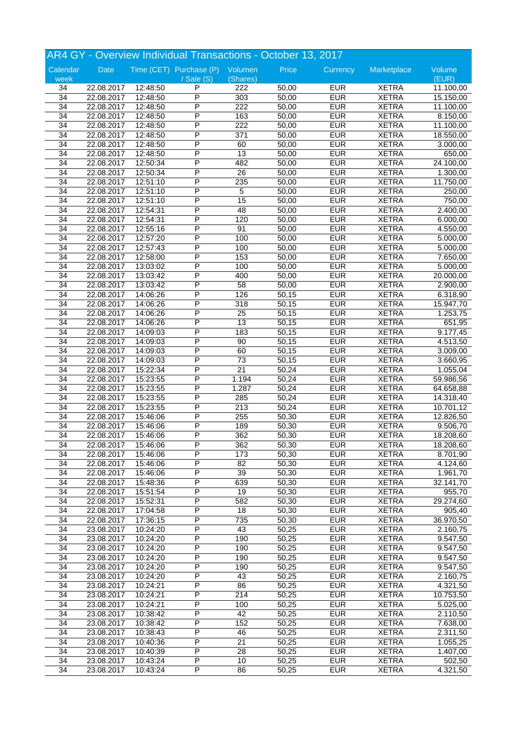|                 |                          |          | AR4 GY - Overview Individual Transactions - October 13, 2017 |                  |       |            |              |           |
|-----------------|--------------------------|----------|--------------------------------------------------------------|------------------|-------|------------|--------------|-----------|
| Calendar        | Date                     |          | Time (CET) Purchase (P) Volumen                              |                  | Price | Currency   | Marketplace  | Volume    |
| week            |                          |          | $\sqrt{s}$ ale $(S)$                                         | (Shares)         |       |            |              | (EUR)     |
| 34              | 22.08.2017               | 12:48:50 | P                                                            | 222              | 50,00 | <b>EUR</b> | <b>XETRA</b> | 11.100,00 |
| $\overline{34}$ | 22.08.2017               | 12:48:50 | P                                                            | $\overline{303}$ | 50,00 | <b>EUR</b> | <b>XETRA</b> | 15.150,00 |
| 34              | 22.08.2017               | 12:48:50 | P                                                            | 222              | 50,00 | <b>EUR</b> | <b>XETRA</b> | 11.100,00 |
| 34              | 22.08.2017               | 12:48:50 | P                                                            | 163              | 50,00 | <b>EUR</b> | <b>XETRA</b> | 8.150,00  |
| 34              | 22.08.2017               | 12:48:50 | P                                                            | 222              | 50,00 | <b>EUR</b> | <b>XETRA</b> | 11.100,00 |
| 34              | 22.08.2017               | 12:48:50 | Ρ                                                            | 371              | 50,00 | <b>EUR</b> | <b>XETRA</b> | 18.550,00 |
| $\overline{34}$ | 22.08.2017               | 12:48:50 | P                                                            | 60               | 50,00 | <b>EUR</b> | <b>XETRA</b> | 3.000,00  |
| 34              | 22.08.2017               | 12:48:50 | P                                                            | $\overline{13}$  | 50,00 | <b>EUR</b> | <b>XETRA</b> | 650,00    |
| 34              | 22.08.2017               | 12:50:34 | P                                                            | 482              | 50,00 | <b>EUR</b> | <b>XETRA</b> | 24.100,00 |
| 34              | 22.08.2017               | 12:50:34 | P                                                            | 26               | 50,00 | <b>EUR</b> | <b>XETRA</b> | 1.300,00  |
| 34              | 22.08.2017               | 12:51:10 | P                                                            | 235              | 50,00 | <b>EUR</b> | <b>XETRA</b> | 11.750,00 |
| 34              | 22.08.2017               | 12:51:10 | P                                                            | 5                | 50,00 | <b>EUR</b> | <b>XETRA</b> | 250,00    |
| 34              | 22.08.2017               | 12:51:10 | P                                                            | 15               | 50,00 | <b>EUR</b> | <b>XETRA</b> | 750,00    |
| 34              | 22.08.2017               | 12:54:31 | P                                                            | 48               | 50,00 | <b>EUR</b> | <b>XETRA</b> | 2.400,00  |
| 34              | 22.08.2017               | 12:54:31 | P                                                            | 120              | 50,00 | <b>EUR</b> | <b>XETRA</b> | 6.000,00  |
| 34              | 22.08.2017               | 12:55:16 | P                                                            | 91               | 50,00 | <b>EUR</b> | <b>XETRA</b> | 4.550,00  |
| 34              | 22.08.2017               | 12:57:20 | P                                                            | 100              | 50,00 | <b>EUR</b> | <b>XETRA</b> | 5.000,00  |
| 34              | 22.08.2017               | 12:57:43 | P                                                            | 100              | 50,00 | <b>EUR</b> | <b>XETRA</b> | 5.000,00  |
| 34              | 22.08.2017               | 12:58:00 | P                                                            | 153              | 50,00 | <b>EUR</b> | <b>XETRA</b> | 7.650,00  |
| 34              | 22.08.2017               | 13:03:02 | P                                                            | 100              | 50,00 | <b>EUR</b> | <b>XETRA</b> | 5.000,00  |
| 34              | 22.08.2017               | 13:03:42 | P                                                            | 400              | 50,00 | <b>EUR</b> | <b>XETRA</b> | 20.000,00 |
| 34              | 22.08.2017               | 13:03:42 | P                                                            | 58               | 50,00 | <b>EUR</b> | <b>XETRA</b> | 2.900,00  |
| 34              | 22.08.2017               | 14:06:26 | P                                                            | 126              | 50,15 | <b>EUR</b> | <b>XETRA</b> | 6.318,90  |
| 34              | 22.08.2017               | 14:06:26 | P                                                            | $\overline{318}$ | 50,15 | <b>EUR</b> | <b>XETRA</b> | 15.947,70 |
| 34              | 22.08.2017               | 14:06:26 | P                                                            | 25               | 50,15 | <b>EUR</b> | <b>XETRA</b> | 1.253,75  |
| 34              | 22.08.2017               | 14:06:26 | P                                                            | 13               | 50,15 | <b>EUR</b> | <b>XETRA</b> | 651,95    |
| 34              | 22.08.2017               | 14:09:03 | P                                                            | 183              | 50,15 | <b>EUR</b> | <b>XETRA</b> | 9.177,45  |
| 34              | 22.08.2017               | 14:09:03 | P                                                            | 90               | 50,15 | <b>EUR</b> | <b>XETRA</b> | 4.513,50  |
| 34              |                          |          | P                                                            | 60               | 50,15 | <b>EUR</b> | <b>XETRA</b> | 3.009,00  |
| 34              | 22.08.2017<br>22.08.2017 | 14:09:03 | P                                                            |                  | 50,15 | <b>EUR</b> | <b>XETRA</b> |           |
|                 |                          | 14:09:03 | P                                                            | 73<br>21         |       |            |              | 3.660,95  |
| 34              | 22.08.2017               | 15:22:34 |                                                              |                  | 50,24 | <b>EUR</b> | <b>XETRA</b> | 1.055,04  |
| 34              | 22.08.2017               | 15:23:55 | P<br>P                                                       | 1.194            | 50,24 | <b>EUR</b> | <b>XETRA</b> | 59.986,56 |
| 34              | 22.08.2017               | 15:23:55 |                                                              | 1.287            | 50,24 | <b>EUR</b> | <b>XETRA</b> | 64.658,88 |
| 34              | 22.08.2017               | 15:23:55 | P                                                            | 285              | 50,24 | <b>EUR</b> | <b>XETRA</b> | 14.318,40 |
| 34              | 22.08.2017               | 15:23:55 | P                                                            | 213              | 50,24 | <b>EUR</b> | <b>XETRA</b> | 10.701,12 |
| 34              | 22.08.2017               | 15:46:06 | P                                                            | 255              | 50,30 | <b>EUR</b> | <b>XETRA</b> | 12.826,50 |
| 34              | 22.08.2017               | 15:46:06 | P                                                            | 189              | 50,30 | <b>EUR</b> | <b>XETRA</b> | 9.506,70  |
| 34              | 22.08.2017               | 15:46:06 | P                                                            | 362              | 50,30 | <b>EUR</b> | <b>XETRA</b> | 18.208,60 |
| 34              | 22.08.2017               | 15:46:06 | P                                                            | 362              | 50,30 | <b>EUR</b> | <b>XETRA</b> | 18.208,60 |
| 34              | 22.08.2017               | 15:46:06 | P                                                            | 173              | 50,30 | <b>EUR</b> | <b>XETRA</b> | 8.701,90  |
| 34              | 22.08.2017               | 15:46:06 | P                                                            | 82               | 50,30 | <b>EUR</b> | <b>XETRA</b> | 4.124,60  |
| 34              | 22.08.2017               | 15:46:06 | P                                                            | $\overline{39}$  | 50,30 | <b>EUR</b> | <b>XETRA</b> | 1.961,70  |
| 34              | 22.08.2017               | 15:48:36 | P                                                            | 639              | 50,30 | <b>EUR</b> | <b>XETRA</b> | 32.141,70 |
| 34              | 22.08.2017               | 15:51:54 | Ρ                                                            | 19               | 50,30 | <b>EUR</b> | <b>XETRA</b> | 955,70    |
| 34              | 22.08.2017               | 15:52:31 | Ρ                                                            | 582              | 50,30 | <b>EUR</b> | <b>XETRA</b> | 29.274,60 |
| 34              | 22.08.2017               | 17:04:58 | P                                                            | 18               | 50,30 | <b>EUR</b> | <b>XETRA</b> | 905,40    |
| $\overline{34}$ | 22.08.2017               | 17:36:15 | P                                                            | 735              | 50,30 | <b>EUR</b> | <b>XETRA</b> | 36.970,50 |
| $\overline{34}$ | 23.08.2017               | 10:24:20 | P                                                            | 43               | 50,25 | <b>EUR</b> | <b>XETRA</b> | 2.160,75  |
| $\overline{34}$ | 23.08.2017               | 10:24:20 | Ρ                                                            | 190              | 50,25 | <b>EUR</b> | <b>XETRA</b> | 9.547,50  |
| 34              | 23.08.2017               | 10:24:20 | Ρ                                                            | 190              | 50,25 | <b>EUR</b> | <b>XETRA</b> | 9.547,50  |
| 34              | 23.08.2017               | 10:24:20 | P                                                            | 190              | 50,25 | <b>EUR</b> | <b>XETRA</b> | 9.547,50  |
| 34              | 23.08.2017               | 10:24:20 | P                                                            | 190              | 50,25 | <b>EUR</b> | <b>XETRA</b> | 9.547,50  |
| 34              | 23.08.2017               | 10:24:20 | $\overline{\mathsf{P}}$                                      | 43               | 50,25 | <b>EUR</b> | <b>XETRA</b> | 2.160,75  |
| 34              | 23.08.2017               | 10:24:21 | Ρ                                                            | 86               | 50,25 | <b>EUR</b> | <b>XETRA</b> | 4.321,50  |
| 34              | 23.08.2017               | 10:24:21 | Ρ                                                            | 214              | 50,25 | <b>EUR</b> | <b>XETRA</b> | 10.753,50 |
| 34              | 23.08.2017               | 10:24:21 | Ρ                                                            | 100              | 50,25 | <b>EUR</b> | <b>XETRA</b> | 5.025,00  |
| $\overline{34}$ | 23.08.2017               | 10:38:42 | P                                                            | 42               | 50,25 | <b>EUR</b> | <b>XETRA</b> | 2.110,50  |
| $\overline{34}$ | 23.08.2017               | 10:38:42 | $\overline{\mathsf{P}}$                                      | 152              | 50,25 | <b>EUR</b> | <b>XETRA</b> | 7.638,00  |
| $\overline{34}$ | 23.08.2017               | 10:38:43 | Ρ                                                            | 46               | 50,25 | <b>EUR</b> | <b>XETRA</b> | 2.311,50  |
| 34              | 23.08.2017               | 10:40:36 | Ρ                                                            | 21               | 50,25 | <b>EUR</b> | <b>XETRA</b> | 1.055,25  |
| 34              | 23.08.2017               | 10:40:39 | Ρ                                                            | 28               | 50,25 | <b>EUR</b> | <b>XETRA</b> | 1.407,00  |
| 34              | 23.08.2017               | 10:43:24 | Ρ                                                            | 10               | 50,25 | <b>EUR</b> | <b>XETRA</b> | 502,50    |
| $\overline{34}$ | 23.08.2017               | 10:43:24 | P                                                            | 86               | 50,25 | <b>EUR</b> | <b>XETRA</b> | 4.321,50  |
|                 |                          |          |                                                              |                  |       |            |              |           |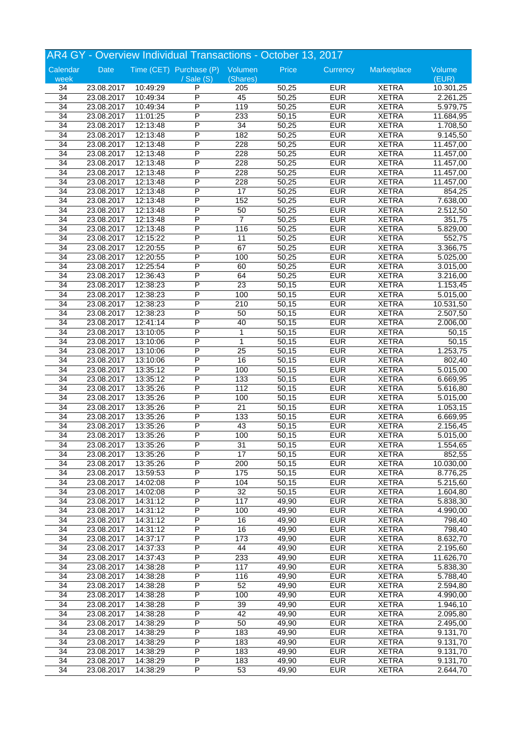|                 |            |          | AR4 GY - Overview Individual Transactions - October 13, 2017 |                       |       |                          |                              |                       |
|-----------------|------------|----------|--------------------------------------------------------------|-----------------------|-------|--------------------------|------------------------------|-----------------------|
| Calendar        | Date       |          | Time (CET) Purchase (P) Volumen                              |                       | Price | Currency                 | Marketplace                  | Volume                |
| week            |            |          | $/$ Sale $(S)$                                               | (Shares)              |       |                          |                              | (EUR)                 |
| 34              | 23.08.2017 | 10:49:29 | P                                                            | 205                   | 50,25 | <b>EUR</b>               | <b>XETRA</b>                 | 10.301,25             |
| $\overline{34}$ | 23.08.2017 | 10:49:34 | P                                                            | 45                    | 50,25 | <b>EUR</b>               | <b>XETRA</b>                 | 2.261,25              |
| $\overline{34}$ | 23.08.2017 | 10:49:34 | P                                                            | 119                   | 50,25 | <b>EUR</b>               | <b>XETRA</b>                 | 5.979,75              |
| $\overline{34}$ | 23.08.2017 | 11:01:25 | P                                                            | 233                   | 50,15 | <b>EUR</b>               | <b>XETRA</b>                 | 11.684,95             |
| 34              | 23.08.2017 | 12:13:48 | P                                                            | 34                    | 50,25 | <b>EUR</b>               | <b>XETRA</b>                 | 1.708,50              |
| 34              | 23.08.2017 | 12:13:48 | P                                                            | 182                   | 50,25 | <b>EUR</b>               | <b>XETRA</b>                 | 9.145,50              |
| $\overline{34}$ | 23.08.2017 | 12:13:48 | P                                                            | 228                   | 50,25 | <b>EUR</b>               | <b>XETRA</b>                 | 11.457,00             |
| 34              | 23.08.2017 | 12:13:48 | P                                                            | 228                   | 50,25 | <b>EUR</b>               | <b>XETRA</b>                 | 11.457,00             |
| 34              | 23.08.2017 | 12:13:48 | P                                                            | 228                   | 50,25 | <b>EUR</b>               | <b>XETRA</b>                 | 11.457,00             |
| 34              | 23.08.2017 | 12:13:48 | P                                                            | 228                   | 50,25 | <b>EUR</b>               | <b>XETRA</b>                 | 11.457,00             |
| 34              | 23.08.2017 | 12:13:48 | P                                                            | 228                   | 50,25 | <b>EUR</b>               | <b>XETRA</b>                 | 11.457,00             |
| 34              | 23.08.2017 | 12:13:48 | P                                                            | $\overline{17}$       | 50,25 | <b>EUR</b>               | <b>XETRA</b>                 | 854,25                |
| 34              | 23.08.2017 | 12:13:48 | P                                                            | 152                   | 50,25 | <b>EUR</b>               | <b>XETRA</b>                 | 7.638,00              |
| 34              | 23.08.2017 | 12:13:48 | P                                                            | 50                    | 50,25 | <b>EUR</b>               | <b>XETRA</b>                 | 2.512,50              |
| 34              | 23.08.2017 | 12:13:48 | P                                                            | $\overline{7}$        | 50,25 | <b>EUR</b>               | <b>XETRA</b>                 | 351,75                |
| 34              | 23.08.2017 | 12:13:48 | P                                                            | 116                   | 50,25 | <b>EUR</b>               | <b>XETRA</b>                 | 5.829,00              |
| 34              | 23.08.2017 | 12:15:22 | P                                                            | 11                    | 50,25 | <b>EUR</b>               | <b>XETRA</b>                 | 552,75                |
| 34              | 23.08.2017 | 12:20:55 | P                                                            | 67                    | 50,25 | <b>EUR</b>               | <b>XETRA</b>                 | 3.366,75              |
| 34              | 23.08.2017 | 12:20:55 | P                                                            | 100                   | 50,25 | <b>EUR</b>               | <b>XETRA</b>                 | 5.025,00              |
| 34              | 23.08.2017 | 12:25:54 | P                                                            | 60                    | 50,25 | <b>EUR</b>               | <b>XETRA</b>                 |                       |
|                 |            |          |                                                              |                       |       |                          |                              | 3.015,00              |
| 34              | 23.08.2017 | 12:36:43 | P<br>P                                                       | 64<br>$\overline{23}$ | 50,25 | <b>EUR</b>               | <b>XETRA</b>                 | 3.216,00              |
| 34              | 23.08.2017 | 12:38:23 | P                                                            |                       | 50,15 | <b>EUR</b><br><b>EUR</b> | <b>XETRA</b><br><b>XETRA</b> | $\overline{1.153,45}$ |
| 34              | 23.08.2017 | 12:38:23 | P                                                            | 100                   | 50,15 |                          |                              | 5.015,00              |
| 34              | 23.08.2017 | 12:38:23 |                                                              | 210                   | 50,15 | <b>EUR</b>               | <b>XETRA</b>                 | 10.531,50             |
| 34              | 23.08.2017 | 12:38:23 | P                                                            | 50                    | 50,15 | <b>EUR</b>               | <b>XETRA</b>                 | 2.507,50              |
| 34              | 23.08.2017 | 12:41:14 | P                                                            | 40                    | 50,15 | <b>EUR</b>               | <b>XETRA</b>                 | 2.006,00              |
| 34              | 23.08.2017 | 13:10:05 | P                                                            | 1                     | 50,15 | <b>EUR</b>               | <b>XETRA</b>                 | 50,15                 |
| 34              | 23.08.2017 | 13:10:06 | P                                                            | $\mathbf{1}$          | 50,15 | <b>EUR</b>               | <b>XETRA</b>                 | 50,15                 |
| 34              | 23.08.2017 | 13:10:06 | P                                                            | $\overline{25}$       | 50,15 | <b>EUR</b>               | <b>XETRA</b>                 | 1.253,75              |
| 34              | 23.08.2017 | 13:10:06 | P                                                            | 16                    | 50,15 | <b>EUR</b>               | <b>XETRA</b>                 | 802,40                |
| 34              | 23.08.2017 | 13:35:12 | P                                                            | 100                   | 50,15 | <b>EUR</b>               | <b>XETRA</b>                 | 5.015,00              |
| 34              | 23.08.2017 | 13:35:12 | P                                                            | 133                   | 50,15 | <b>EUR</b>               | <b>XETRA</b>                 | 6.669,95              |
| 34              | 23.08.2017 | 13:35:26 | P                                                            | 112                   | 50,15 | <b>EUR</b>               | <b>XETRA</b>                 | 5.616,80              |
| 34              | 23.08.2017 | 13:35:26 | P                                                            | 100                   | 50,15 | <b>EUR</b>               | <b>XETRA</b>                 | 5.015,00              |
| 34              | 23.08.2017 | 13:35:26 | P                                                            | $\overline{21}$       | 50,15 | <b>EUR</b>               | <b>XETRA</b>                 | 1.053,15              |
| 34              | 23.08.2017 | 13:35:26 | P                                                            | 133                   | 50,15 | <b>EUR</b>               | <b>XETRA</b>                 | 6.669,95              |
| 34              | 23.08.2017 | 13:35:26 | P                                                            | 43                    | 50,15 | <b>EUR</b>               | <b>XETRA</b>                 | 2.156,45              |
| 34              | 23.08.2017 | 13:35:26 | P                                                            | 100                   | 50,15 | <b>EUR</b>               | <b>XETRA</b>                 | 5.015,00              |
| 34              | 23.08.2017 | 13:35:26 | P                                                            | 31                    | 50,15 | <b>EUR</b>               | <b>XETRA</b>                 | 1.554,65              |
| 34              | 23.08.2017 | 13:35:26 | P                                                            | 17                    | 50,15 | <b>EUR</b>               | <b>XETRA</b>                 | 852,55                |
| 34              | 23.08.2017 | 13:35:26 | P                                                            | 200                   | 50,15 | <b>EUR</b>               | <b>XETRA</b>                 | 10.030,00             |
| 34              | 23.08.2017 | 13:59:53 | P                                                            | $\frac{175}{175}$     | 50,15 | <b>EUR</b>               | <b>XETRA</b>                 | 8.776,25              |
| 34              | 23.08.2017 | 14:02:08 | P                                                            | 104                   | 50,15 | <b>EUR</b>               | <b>XETRA</b>                 | $\overline{5.215,60}$ |
| 34              | 23.08.2017 | 14:02:08 | Ρ                                                            | $\overline{32}$       | 50,15 | <b>EUR</b>               | <b>XETRA</b>                 | 1.604,80              |
| 34              | 23.08.2017 | 14:31:12 | Ρ                                                            | 117                   | 49,90 | <b>EUR</b>               | <b>XETRA</b>                 | 5.838,30              |
| 34              | 23.08.2017 | 14:31:12 | P                                                            | 100                   | 49,90 | <b>EUR</b>               | <b>XETRA</b>                 | 4.990,00              |
| $\overline{34}$ | 23.08.2017 | 14:31:12 | P                                                            | 16                    | 49,90 | <b>EUR</b>               | <b>XETRA</b>                 | 798,40                |
| $\overline{34}$ | 23.08.2017 | 14:31:12 | $\overline{\mathsf{P}}$                                      | 16                    | 49,90 | <b>EUR</b>               | <b>XETRA</b>                 | 798,40                |
| $\overline{34}$ | 23.08.2017 | 14:37:17 | Ρ                                                            | 173                   | 49,90 | <b>EUR</b>               | <b>XETRA</b>                 | 8.632,70              |
| 34              | 23.08.2017 | 14:37:33 | Ρ                                                            | 44                    | 49,90 | <b>EUR</b>               | <b>XETRA</b>                 | 2.195,60              |
| 34              | 23.08.2017 | 14:37:43 | P                                                            | 233                   | 49,90 | <b>EUR</b>               | <b>XETRA</b>                 | 11.626,70             |
| 34              | 23.08.2017 | 14:38:28 | P                                                            | 117                   | 49,90 | <b>EUR</b>               | <b>XETRA</b>                 | 5.838,30              |
| 34              | 23.08.2017 | 14:38:28 | P                                                            | 116                   | 49,90 | <b>EUR</b>               | <b>XETRA</b>                 | 5.788,40              |
| 34              | 23.08.2017 | 14:38:28 | Ρ                                                            | 52                    | 49,90 | <b>EUR</b>               | <b>XETRA</b>                 | 2.594,80              |
| 34              | 23.08.2017 | 14:38:28 | Ρ                                                            | 100                   | 49,90 | <b>EUR</b>               | <b>XETRA</b>                 | 4.990,00              |
| 34              | 23.08.2017 | 14:38:28 | Ρ                                                            | 39                    | 49,90 | <b>EUR</b>               | <b>XETRA</b>                 | 1.946,10              |
| $\overline{34}$ | 23.08.2017 | 14:38:28 | P                                                            | 42                    | 49,90 | <b>EUR</b>               | <b>XETRA</b>                 | 2.095,80              |
| $\overline{34}$ |            |          | $\overline{\mathsf{P}}$                                      | 50                    |       | <b>EUR</b>               |                              |                       |
|                 | 23.08.2017 | 14:38:29 |                                                              |                       | 49,90 |                          | <b>XETRA</b>                 | 2.495,00              |
| $\overline{34}$ | 23.08.2017 | 14:38:29 | Ρ                                                            | 183                   | 49,90 | <b>EUR</b>               | <b>XETRA</b>                 | 9.131,70              |
| 34              | 23.08.2017 | 14:38:29 | Ρ                                                            | 183                   | 49,90 | <b>EUR</b>               | <b>XETRA</b>                 | 9.131,70              |
| 34              | 23.08.2017 | 14:38:29 | Ρ                                                            | 183                   | 49,90 | <b>EUR</b>               | <b>XETRA</b>                 | 9.131,70              |
| 34              | 23.08.2017 | 14:38:29 | Ρ                                                            | 183                   | 49,90 | <b>EUR</b>               | <b>XETRA</b>                 | 9.131,70              |
| $\overline{34}$ | 23.08.2017 | 14:38:29 | P                                                            | $\overline{53}$       | 49,90 | <b>EUR</b>               | <b>XETRA</b>                 | 2.644,70              |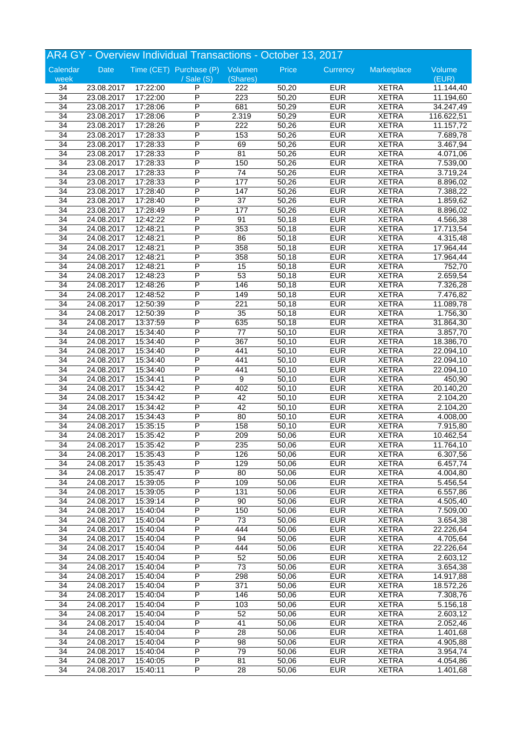|                 |            |          | AR4 GY - Overview Individual Transactions - October 13, 2017 |                 |       |                          |              |                       |
|-----------------|------------|----------|--------------------------------------------------------------|-----------------|-------|--------------------------|--------------|-----------------------|
| Calendar        | Date       |          | Time (CET) Purchase (P) Volumen                              |                 | Price | Currency                 | Marketplace  | Volume                |
| week            |            |          | $/$ Sale $(S)$                                               | (Shares)        |       |                          |              | (EUR)                 |
| 34              | 23.08.2017 | 17:22:00 | P                                                            | 222             | 50,20 | <b>EUR</b>               | <b>XETRA</b> | 11.144,40             |
| $\overline{34}$ | 23.08.2017 | 17:22:00 | P                                                            | 223             | 50,20 | <b>EUR</b>               | <b>XETRA</b> | 11.194,60             |
| $\overline{34}$ | 23.08.2017 | 17:28:06 | P                                                            | 681             | 50,29 | <b>EUR</b>               | <b>XETRA</b> | 34.247,49             |
| $\overline{34}$ | 23.08.2017 | 17:28:06 | P                                                            | 2.319           | 50,29 | <b>EUR</b>               | <b>XETRA</b> | 116.622,51            |
| 34              | 23.08.2017 | 17:28:26 | P                                                            | 222             | 50,26 | <b>EUR</b>               | <b>XETRA</b> | 11.157,72             |
| 34              | 23.08.2017 | 17:28:33 | P                                                            | 153             | 50,26 | <b>EUR</b>               | <b>XETRA</b> | 7.689,78              |
| $\overline{34}$ | 23.08.2017 | 17:28:33 | P                                                            | 69              | 50,26 | <b>EUR</b>               | <b>XETRA</b> | 3.467,94              |
| 34              | 23.08.2017 | 17:28:33 | P                                                            | 81              | 50,26 | <b>EUR</b>               | <b>XETRA</b> | $\overline{4.071,06}$ |
| 34              | 23.08.2017 | 17:28:33 | P                                                            | 150             | 50,26 | <b>EUR</b>               | <b>XETRA</b> | 7.539,00              |
| 34              | 23.08.2017 | 17:28:33 | P                                                            | 74              | 50,26 | <b>EUR</b>               | <b>XETRA</b> | 3.719,24              |
| 34              | 23.08.2017 | 17:28:33 | P                                                            | 177             | 50,26 | <b>EUR</b>               | <b>XETRA</b> | 8.896,02              |
| 34              | 23.08.2017 | 17:28:40 | P                                                            | 147             | 50,26 | <b>EUR</b>               | <b>XETRA</b> | 7.388,22              |
| 34              | 23.08.2017 | 17:28:40 | P                                                            | $\overline{37}$ | 50,26 | <b>EUR</b>               | <b>XETRA</b> | 1.859,62              |
| 34              | 23.08.2017 | 17:28:49 | P                                                            | 177             | 50,26 | <b>EUR</b>               | <b>XETRA</b> | 8.896,02              |
| 34              | 24.08.2017 | 12:42:22 | P                                                            | 91              | 50,18 | <b>EUR</b>               | <b>XETRA</b> | 4.566,38              |
| 34              | 24.08.2017 | 12:48:21 | P                                                            | 353             | 50,18 | <b>EUR</b>               | <b>XETRA</b> | 17.713,54             |
|                 |            |          | P                                                            |                 |       |                          |              |                       |
| 34              | 24.08.2017 | 12:48:21 | P                                                            | 86              | 50,18 | <b>EUR</b><br><b>EUR</b> | <b>XETRA</b> | 4.315,48              |
| 34              | 24.08.2017 | 12:48:21 |                                                              | 358             | 50,18 |                          | <b>XETRA</b> | 17.964,44             |
| 34              | 24.08.2017 | 12:48:21 | P                                                            | 358             | 50,18 | <b>EUR</b>               | <b>XETRA</b> | 17.964,44             |
| 34              | 24.08.2017 | 12:48:21 | P                                                            | 15              | 50,18 | <b>EUR</b>               | <b>XETRA</b> | 752,70                |
| 34              | 24.08.2017 | 12:48:23 | P                                                            | 53              | 50,18 | <b>EUR</b>               | <b>XETRA</b> | 2.659,54              |
| 34              | 24.08.2017 | 12:48:26 | P                                                            | 146             | 50,18 | <b>EUR</b>               | <b>XETRA</b> | 7.326,28              |
| 34              | 24.08.2017 | 12:48:52 | P                                                            | 149             | 50,18 | <b>EUR</b>               | <b>XETRA</b> | $\overline{7.476,82}$ |
| 34              | 24.08.2017 | 12:50:39 | P                                                            | 221             | 50,18 | <b>EUR</b>               | <b>XETRA</b> | 11.089,78             |
| 34              | 24.08.2017 | 12:50:39 | P                                                            | 35              | 50,18 | <b>EUR</b>               | <b>XETRA</b> | 1.756,30              |
| 34              | 24.08.2017 | 13:37:59 | P                                                            | 635             | 50,18 | <b>EUR</b>               | <b>XETRA</b> | 31.864,30             |
| 34              | 24.08.2017 | 15:34:40 | P                                                            | $\overline{77}$ | 50,10 | <b>EUR</b>               | <b>XETRA</b> | 3.857,70              |
| 34              | 24.08.2017 | 15:34:40 | P                                                            | 367             | 50,10 | <b>EUR</b>               | <b>XETRA</b> | 18.386,70             |
| 34              | 24.08.2017 | 15:34:40 | P                                                            | 441             | 50,10 | <b>EUR</b>               | <b>XETRA</b> | 22.094,10             |
| 34              | 24.08.2017 | 15:34:40 | P                                                            | 441             | 50,10 | <b>EUR</b>               | <b>XETRA</b> | 22.094,10             |
| 34              | 24.08.2017 | 15:34:40 | P                                                            | 441             | 50,10 | <b>EUR</b>               | <b>XETRA</b> | 22.094,10             |
| 34              | 24.08.2017 | 15:34:41 | P                                                            | $\overline{9}$  | 50,10 | <b>EUR</b>               | <b>XETRA</b> | 450,90                |
| 34              | 24.08.2017 | 15:34:42 | P                                                            | 402             | 50,10 | <b>EUR</b>               | <b>XETRA</b> | 20.140,20             |
| 34              | 24.08.2017 | 15:34:42 | P                                                            | 42              | 50,10 | <b>EUR</b>               | <b>XETRA</b> | 2.104,20              |
| 34              | 24.08.2017 | 15:34:42 | P                                                            | 42              | 50,10 | <b>EUR</b>               | <b>XETRA</b> | 2.104,20              |
| 34              | 24.08.2017 | 15:34:43 | P                                                            | 80              | 50,10 | <b>EUR</b>               | <b>XETRA</b> | 4.008,00              |
| 34              | 24.08.2017 | 15:35:15 | P                                                            | 158             | 50,10 | <b>EUR</b>               | <b>XETRA</b> | 7.915,80              |
| 34              | 24.08.2017 | 15:35:42 | P                                                            | 209             | 50,06 | <b>EUR</b>               | <b>XETRA</b> | 10.462,54             |
| 34              | 24.08.2017 | 15:35:42 | P                                                            | 235             | 50,06 | <b>EUR</b>               | <b>XETRA</b> | 11.764,10             |
| 34              | 24.08.2017 | 15:35:43 | P                                                            | 126             | 50,06 | <b>EUR</b>               | <b>XETRA</b> | 6.307,56              |
| 34              | 24.08.2017 | 15:35:43 | P                                                            | 129             | 50,06 | <b>EUR</b>               | <b>XETRA</b> | 6.457,74              |
| 34              | 24.08.2017 | 15:35:47 | P                                                            | 80              | 50,06 | <b>EUR</b>               | <b>XETRA</b> | 4.004,80              |
| 34              | 24.08.2017 | 15:39:05 | P                                                            | 109             | 50,06 | <b>EUR</b>               | <b>XETRA</b> | 5.456,54              |
| 34              | 24.08.2017 | 15:39:05 | Ρ                                                            | 131             | 50,06 | <b>EUR</b>               | <b>XETRA</b> | 6.557,86              |
| 34              | 24.08.2017 | 15:39:14 | Ρ                                                            | 90              | 50,06 | <b>EUR</b>               | <b>XETRA</b> | 4.505,40              |
| 34              | 24.08.2017 | 15:40:04 | P                                                            | 150             | 50,06 | <b>EUR</b>               | <b>XETRA</b> | 7.509,00              |
| $\overline{34}$ | 24.08.2017 | 15:40:04 | P                                                            | 73              | 50,06 | <b>EUR</b>               | <b>XETRA</b> | 3.654,38              |
| $\overline{34}$ | 24.08.2017 | 15:40:04 | $\overline{\mathsf{P}}$                                      | 444             | 50,06 | <b>EUR</b>               | <b>XETRA</b> | 22.226,64             |
| $\overline{34}$ | 24.08.2017 | 15:40:04 | Ρ                                                            | 94              | 50,06 | <b>EUR</b>               | <b>XETRA</b> | 4.705,64              |
| 34              | 24.08.2017 | 15:40:04 | Ρ                                                            | 444             | 50,06 | <b>EUR</b>               | <b>XETRA</b> | 22.226,64             |
| 34              | 24.08.2017 | 15:40:04 | Ρ                                                            | 52              | 50,06 | <b>EUR</b>               | <b>XETRA</b> | 2.603,12              |
| 34              | 24.08.2017 | 15:40:04 | P                                                            | $\overline{73}$ | 50,06 | <b>EUR</b>               | <b>XETRA</b> | 3.654,38              |
| 34              | 24.08.2017 | 15:40:04 | P                                                            | 298             | 50,06 | <b>EUR</b>               | <b>XETRA</b> | 14.917,88             |
| 34              | 24.08.2017 | 15:40:04 | Ρ                                                            | 371             | 50,06 | <b>EUR</b>               | <b>XETRA</b> | 18.572,26             |
| 34              | 24.08.2017 | 15:40:04 | Ρ                                                            | 146             | 50,06 | <b>EUR</b>               | <b>XETRA</b> | 7.308,76              |
| 34              | 24.08.2017 | 15:40:04 | Ρ                                                            | 103             | 50,06 | <b>EUR</b>               | <b>XETRA</b> |                       |
|                 |            |          |                                                              |                 |       |                          |              | 5.156,18              |
| 34              | 24.08.2017 | 15:40:04 | P                                                            | 52              | 50,06 | <b>EUR</b>               | <b>XETRA</b> | 2.603,12              |
| $\overline{34}$ | 24.08.2017 | 15:40:04 | $\overline{\mathsf{P}}$                                      | 41              | 50,06 | <b>EUR</b>               | <b>XETRA</b> | 2.052,46              |
| $\overline{34}$ | 24.08.2017 | 15:40:04 | Ρ                                                            | 28              | 50,06 | <b>EUR</b>               | <b>XETRA</b> | 1.401,68              |
| 34              | 24.08.2017 | 15:40:04 | Ρ                                                            | 98              | 50,06 | <b>EUR</b>               | <b>XETRA</b> | 4.905,88              |
| 34              | 24.08.2017 | 15:40:04 | Ρ                                                            | 79              | 50,06 | <b>EUR</b>               | <b>XETRA</b> | 3.954,74              |
| 34              | 24.08.2017 | 15:40:05 | Ρ                                                            | 81              | 50,06 | <b>EUR</b>               | <b>XETRA</b> | 4.054,86              |
| $\overline{34}$ | 24.08.2017 | 15:40:11 | P                                                            | 28              | 50,06 | <b>EUR</b>               | <b>XETRA</b> | 1.401,68              |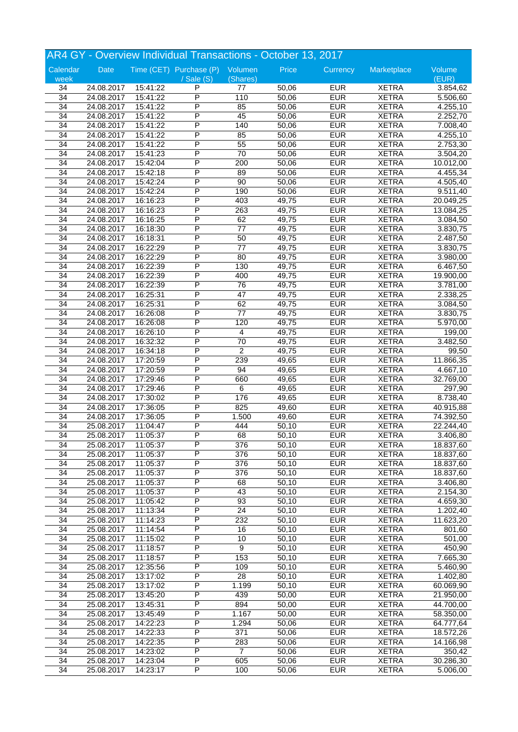|                 |            |          | AR4 GY - Overview Individual Transactions - October 13, 2017 |                       |       |            |              |           |
|-----------------|------------|----------|--------------------------------------------------------------|-----------------------|-------|------------|--------------|-----------|
| Calendar        | Date       |          | Time (CET) Purchase (P) Volumen                              |                       | Price | Currency   | Marketplace  | Volume    |
| week            |            |          | / Sale (S)                                                   | (Shares)              |       |            |              | (EUR)     |
| 34              | 24.08.2017 | 15:41:22 | P                                                            | 77                    | 50,06 | <b>EUR</b> | <b>XETRA</b> | 3.854,62  |
| $\overline{34}$ | 24.08.2017 | 15:41:22 | P                                                            | 110                   | 50,06 | <b>EUR</b> | <b>XETRA</b> | 5.506,60  |
| $\overline{34}$ | 24.08.2017 | 15:41:22 | P                                                            | 85                    | 50,06 | <b>EUR</b> | <b>XETRA</b> | 4.255,10  |
| 34              | 24.08.2017 | 15:41:22 | P                                                            | 45                    | 50,06 | <b>EUR</b> | <b>XETRA</b> | 2.252,70  |
| 34              | 24.08.2017 | 15:41:22 | Ρ                                                            | 140                   | 50,06 | <b>EUR</b> | <b>XETRA</b> | 7.008,40  |
| 34              | 24.08.2017 | 15:41:22 | Ρ                                                            | 85                    | 50,06 | <b>EUR</b> | <b>XETRA</b> | 4.255,10  |
| 34              | 24.08.2017 | 15:41:22 | P                                                            | $\overline{55}$       | 50,06 | <b>EUR</b> | <b>XETRA</b> | 2.753,30  |
| 34              | 24.08.2017 | 15:41:23 | P                                                            | $\overline{70}$       | 50,06 | <b>EUR</b> | <b>XETRA</b> | 3.504,20  |
| 34              | 24.08.2017 | 15:42:04 | P                                                            | 200                   | 50,06 | <b>EUR</b> | <b>XETRA</b> | 10.012,00 |
| 34              | 24.08.2017 | 15:42:18 | P                                                            | 89                    | 50,06 | <b>EUR</b> | <b>XETRA</b> | 4.455,34  |
| $\overline{34}$ | 24.08.2017 | 15:42:24 | P                                                            | 90                    | 50,06 | <b>EUR</b> | <b>XETRA</b> | 4.505,40  |
| $\overline{34}$ | 24.08.2017 | 15:42:24 | P                                                            | 190                   | 50,06 | <b>EUR</b> | <b>XETRA</b> | 9.511,40  |
| 34              | 24.08.2017 | 16:16:23 | P                                                            | 403                   | 49,75 | <b>EUR</b> | <b>XETRA</b> | 20.049,25 |
| 34              | 24.08.2017 | 16:16:23 | P                                                            | 263                   | 49,75 | <b>EUR</b> | <b>XETRA</b> | 13.084,25 |
| 34              | 24.08.2017 | 16:16:25 | P                                                            | 62                    | 49,75 | <b>EUR</b> | <b>XETRA</b> | 3.084,50  |
| 34              |            | 16:18:30 | P                                                            | $77 \,$               | 49,75 | <b>EUR</b> | <b>XETRA</b> |           |
|                 | 24.08.2017 |          | P                                                            |                       |       | <b>EUR</b> |              | 3.830,75  |
| $\overline{34}$ | 24.08.2017 | 16:18:31 | P                                                            | 50<br>$\overline{77}$ | 49,75 |            | <b>XETRA</b> | 2.487,50  |
| 34              | 24.08.2017 | 16:22:29 |                                                              |                       | 49,75 | <b>EUR</b> | <b>XETRA</b> | 3.830,75  |
| 34              | 24.08.2017 | 16:22:29 | P                                                            | 80                    | 49,75 | <b>EUR</b> | <b>XETRA</b> | 3.980,00  |
| 34              | 24.08.2017 | 16:22:39 | P                                                            | 130                   | 49,75 | <b>EUR</b> | <b>XETRA</b> | 6.467,50  |
| 34              | 24.08.2017 | 16:22:39 | P                                                            | 400                   | 49,75 | <b>EUR</b> | <b>XETRA</b> | 19.900,00 |
| $\overline{34}$ | 24.08.2017 | 16:22:39 | P                                                            | 76                    | 49,75 | <b>EUR</b> | <b>XETRA</b> | 3.781,00  |
| 34              | 24.08.2017 | 16:25:31 | P                                                            | $\overline{47}$       | 49,75 | <b>EUR</b> | <b>XETRA</b> | 2.338,25  |
| 34              | 24.08.2017 | 16:25:31 | P                                                            | 62                    | 49,75 | <b>EUR</b> | <b>XETRA</b> | 3.084,50  |
| 34              | 24.08.2017 | 16:26:08 | P                                                            | $77 \,$               | 49,75 | <b>EUR</b> | <b>XETRA</b> | 3.830,75  |
| 34              | 24.08.2017 | 16:26:08 | P                                                            | 120                   | 49,75 | <b>EUR</b> | <b>XETRA</b> | 5.970,00  |
| $\overline{34}$ | 24.08.2017 | 16:26:10 | P                                                            | $\overline{4}$        | 49,75 | <b>EUR</b> | <b>XETRA</b> | 199,00    |
| 34              | 24.08.2017 | 16:32:32 | P                                                            | $\overline{70}$       | 49,75 | <b>EUR</b> | <b>XETRA</b> | 3.482,50  |
| 34              | 24.08.2017 | 16:34:18 | P                                                            | $\overline{2}$        | 49,75 | <b>EUR</b> | <b>XETRA</b> | 99,50     |
| 34              | 24.08.2017 | 17:20:59 | P                                                            | 239                   | 49,65 | <b>EUR</b> | <b>XETRA</b> | 11.866,35 |
| $\overline{34}$ | 24.08.2017 | 17:20:59 | P                                                            | 94                    | 49,65 | <b>EUR</b> | <b>XETRA</b> | 4.667,10  |
| $\overline{34}$ | 24.08.2017 | 17:29:46 | P                                                            | 660                   | 49,65 | <b>EUR</b> | <b>XETRA</b> | 32.769,00 |
| 34              | 24.08.2017 | 17:29:46 | P                                                            | $\overline{6}$        | 49,65 | <b>EUR</b> | <b>XETRA</b> | 297,90    |
| 34              | 24.08.2017 | 17:30:02 | P                                                            | 176                   | 49,65 | <b>EUR</b> | <b>XETRA</b> | 8.738,40  |
| 34              | 24.08.2017 | 17:36:05 | P                                                            | 825                   | 49,60 | <b>EUR</b> | <b>XETRA</b> | 40.915,88 |
| 34              | 24.08.2017 | 17:36:05 | P                                                            | 1.500                 | 49,60 | <b>EUR</b> | <b>XETRA</b> | 74.392,50 |
| $\overline{34}$ | 25.08.2017 | 11:04:47 | P                                                            | 444                   | 50,10 | <b>EUR</b> | <b>XETRA</b> | 22.244,40 |
| $\overline{34}$ | 25.08.2017 | 11:05:37 | P                                                            | 68                    | 50,10 | <b>EUR</b> | <b>XETRA</b> | 3.406,80  |
| 34              | 25.08.2017 | 11:05:37 | P                                                            | 376                   | 50,10 | <b>EUR</b> | <b>XETRA</b> | 18.837,60 |
| 34              | 25.08.2017 | 11:05:37 | P                                                            | 376                   | 50,10 | <b>EUR</b> | <b>XETRA</b> | 18.837,60 |
| $\overline{34}$ | 25.08.2017 | 11:05:37 | Ρ                                                            | 376                   | 50,10 | <b>EUR</b> | <b>XETRA</b> | 18.837,60 |
| $\overline{34}$ | 25.08.2017 | 11:05:37 | P                                                            | 376                   | 50,10 | <b>EUR</b> | <b>XETRA</b> | 18.837,60 |
| 34              | 25.08.2017 | 11:05:37 | P                                                            | 68                    | 50,10 | <b>EUR</b> | <b>XETRA</b> | 3.406,80  |
| 34              | 25.08.2017 | 11:05:37 | P                                                            | 43                    | 50,10 | <b>EUR</b> | <b>XETRA</b> | 2.154,30  |
| 34              | 25.08.2017 | 11:05:42 | Ρ                                                            | 93                    | 50,10 | <b>EUR</b> | <b>XETRA</b> | 4.659,30  |
| $\overline{34}$ | 25.08.2017 | 11:13:34 | P                                                            | $\overline{24}$       | 50,10 | <b>EUR</b> | <b>XETRA</b> | 1.202,40  |
| $\overline{34}$ | 25.08.2017 | 11:14:23 | P                                                            | 232                   | 50,10 | <b>EUR</b> | <b>XETRA</b> | 11.623,20 |
| 34              | 25.08.2017 | 11:14:54 | P                                                            | 16                    | 50,10 | <b>EUR</b> | <b>XETRA</b> | 801,60    |
| 34              | 25.08.2017 | 11:15:02 | Ρ                                                            | 10                    | 50,10 | <b>EUR</b> | <b>XETRA</b> | 501,00    |
| 34              | 25.08.2017 | 11:18:57 | Ρ                                                            | 9                     | 50,10 | <b>EUR</b> | <b>XETRA</b> | 450,90    |
| 34              | 25.08.2017 | 11:18:57 | P                                                            | 153                   | 50,10 | <b>EUR</b> | <b>XETRA</b> | 7.665,30  |
| $\overline{34}$ | 25.08.2017 | 12:35:56 | P                                                            | 109                   | 50,10 | <b>EUR</b> | <b>XETRA</b> | 5.460,90  |
| 34              | 25.08.2017 | 13:17:02 | Ρ                                                            | $\overline{28}$       | 50,10 | <b>EUR</b> | <b>XETRA</b> | 1.402,80  |
| 34              | 25.08.2017 | 13:17:02 | Ρ                                                            | 1.199                 | 50,10 | <b>EUR</b> | <b>XETRA</b> | 60.069,90 |
| 34              | 25.08.2017 | 13:45:20 | Ρ                                                            | 439                   | 50,00 | <b>EUR</b> | <b>XETRA</b> | 21.950,00 |
|                 |            |          | P                                                            |                       |       |            |              |           |
| 34              | 25.08.2017 | 13:45:31 |                                                              | 894                   | 50,00 | <b>EUR</b> | <b>XETRA</b> | 44.700,00 |
| $\overline{34}$ | 25.08.2017 | 13:45:49 | P                                                            | 1.167                 | 50,00 | <b>EUR</b> | <b>XETRA</b> | 58.350,00 |
| 34              | 25.08.2017 | 14:22:23 | Ρ                                                            | 1.294                 | 50,06 | <b>EUR</b> | <b>XETRA</b> | 64.777,64 |
| 34              | 25.08.2017 | 14:22:33 | Ρ                                                            | 371                   | 50,06 | <b>EUR</b> | <b>XETRA</b> | 18.572,26 |
| 34              | 25.08.2017 | 14:22:35 | Ρ                                                            | 283                   | 50,06 | <b>EUR</b> | <b>XETRA</b> | 14.166,98 |
| 34              | 25.08.2017 | 14:23:02 | P                                                            | $\overline{7}$        | 50,06 | <b>EUR</b> | <b>XETRA</b> | 350,42    |
| $\overline{34}$ | 25.08.2017 | 14:23:04 | P                                                            | 605                   | 50,06 | <b>EUR</b> | <b>XETRA</b> | 30.286,30 |
| 34              | 25.08.2017 | 14:23:17 | P                                                            | 100                   | 50,06 | <b>EUR</b> | <b>XETRA</b> | 5.006,00  |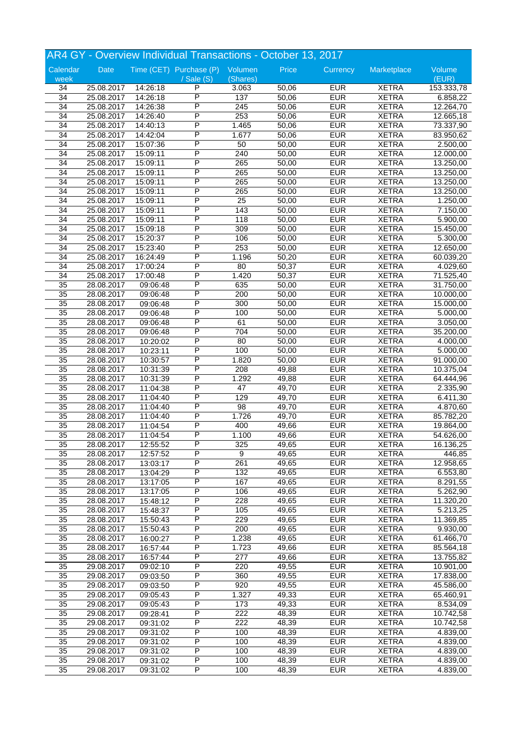|                 |            |          | AR4 GY - Overview Individual Transactions - October 13, 2017 |                         |       |            |                              |            |
|-----------------|------------|----------|--------------------------------------------------------------|-------------------------|-------|------------|------------------------------|------------|
| Calendar        | Date       |          | Time (CET) Purchase (P) Volumen                              |                         | Price | Currency   | Marketplace                  | Volume     |
| week            |            |          | / Sale (S)                                                   | (Shares)                |       |            |                              | (EUR)      |
| 34              | 25.08.2017 | 14:26:18 | P                                                            | 3.063                   | 50,06 | <b>EUR</b> | <b>XETRA</b>                 | 153.333,78 |
| $\overline{34}$ | 25.08.2017 | 14:26:18 | P                                                            | 137                     | 50,06 | <b>EUR</b> | <b>XETRA</b>                 | 6.858,22   |
| 34              | 25.08.2017 | 14:26:38 | P                                                            | $\overline{245}$        | 50,06 | <b>EUR</b> | <b>XETRA</b>                 | 12.264,70  |
| 34              | 25.08.2017 | 14:26:40 | P                                                            | 253                     | 50,06 | <b>EUR</b> | <b>XETRA</b>                 | 12.665,18  |
| 34              | 25.08.2017 | 14:40:13 | Ρ                                                            | 1.465                   | 50,06 | <b>EUR</b> | <b>XETRA</b>                 | 73.337,90  |
| 34              | 25.08.2017 | 14:42:04 | Ρ                                                            | 1.677                   | 50,06 | <b>EUR</b> | <b>XETRA</b>                 | 83.950,62  |
| $\overline{34}$ | 25.08.2017 | 15:07:36 | P                                                            | 50                      | 50,00 | <b>EUR</b> | <b>XETRA</b>                 | 2.500,00   |
| 34              | 25.08.2017 | 15:09:11 | P                                                            | 240                     | 50,00 | <b>EUR</b> | <b>XETRA</b>                 | 12.000,00  |
| 34              | 25.08.2017 | 15:09:11 | P                                                            | 265                     | 50,00 | <b>EUR</b> | <b>XETRA</b>                 | 13.250,00  |
| 34              | 25.08.2017 | 15:09:11 | P                                                            | 265                     | 50,00 | <b>EUR</b> | <b>XETRA</b>                 | 13.250,00  |
| 34              | 25.08.2017 | 15:09:11 | P                                                            | 265                     | 50,00 | <b>EUR</b> | <b>XETRA</b>                 | 13.250,00  |
| 34              | 25.08.2017 | 15:09:11 | P                                                            | 265                     | 50,00 | <b>EUR</b> | <b>XETRA</b>                 | 13.250,00  |
| 34              | 25.08.2017 | 15:09:11 | P                                                            | $\overline{25}$         | 50,00 | <b>EUR</b> | <b>XETRA</b>                 | 1.250,00   |
| 34              | 25.08.2017 | 15:09:11 | P                                                            | 143                     | 50,00 | <b>EUR</b> | <b>XETRA</b>                 | 7.150,00   |
| 34              | 25.08.2017 | 15:09:11 | Ρ                                                            | 118                     | 50,00 | <b>EUR</b> | <b>XETRA</b>                 | 5.900,00   |
| 34              | 25.08.2017 |          | Ρ                                                            | 309                     | 50,00 | <b>EUR</b> | <b>XETRA</b>                 | 15.450,00  |
|                 |            | 15:09:18 | P                                                            | 106                     |       | <b>EUR</b> | <b>XETRA</b>                 |            |
| 34              | 25.08.2017 | 15:20:37 | P                                                            | 253                     | 50,00 | <b>EUR</b> |                              | 5.300,00   |
| 34              | 25.08.2017 | 15:23:40 | P                                                            |                         | 50,00 |            | <b>XETRA</b>                 | 12.650,00  |
| 34              | 25.08.2017 | 16:24:49 | P                                                            | 1.196                   | 50,20 | <b>EUR</b> | <b>XETRA</b>                 | 60.039,20  |
| 34              | 25.08.2017 | 17:00:24 |                                                              | 80                      | 50,37 | <b>EUR</b> | <b>XETRA</b>                 | 4.029,60   |
| 34              | 25.08.2017 | 17:00:48 | Ρ<br>P                                                       | 1.420                   | 50,37 | <b>EUR</b> | <b>XETRA</b><br><b>XETRA</b> | 71.525,40  |
| 35              | 28.08.2017 | 09:06:48 | P                                                            | 635<br>$\overline{200}$ | 50,00 | <b>EUR</b> |                              | 31.750,00  |
| 35              | 28.08.2017 | 09:06:48 |                                                              |                         | 50,00 | <b>EUR</b> | <b>XETRA</b>                 | 10.000,00  |
| 35              | 28.08.2017 | 09:06:48 | P                                                            | 300                     | 50,00 | <b>EUR</b> | <b>XETRA</b>                 | 15.000,00  |
| 35              | 28.08.2017 | 09:06:48 | P                                                            | 100                     | 50,00 | <b>EUR</b> | <b>XETRA</b>                 | 5.000,00   |
| 35              | 28.08.2017 | 09:06:48 | P                                                            | 61                      | 50,00 | <b>EUR</b> | <b>XETRA</b>                 | 3.050,00   |
| $\overline{35}$ | 28.08.2017 | 09:06:48 | P                                                            | 704                     | 50,00 | <b>EUR</b> | <b>XETRA</b>                 | 35.200,00  |
| 35              | 28.08.2017 | 10:20:02 | P                                                            | 80                      | 50,00 | <b>EUR</b> | <b>XETRA</b>                 | 4.000,00   |
| 35              | 28.08.2017 | 10:23:11 | P                                                            | 100                     | 50,00 | <b>EUR</b> | <b>XETRA</b>                 | 5.000,00   |
| 35              | 28.08.2017 | 10:30:57 | Ρ                                                            | 1.820                   | 50,00 | <b>EUR</b> | <b>XETRA</b>                 | 91.000,00  |
| 35              | 28.08.2017 | 10:31:39 | P                                                            | 208                     | 49,88 | <b>EUR</b> | <b>XETRA</b>                 | 10.375,04  |
| $\overline{35}$ | 28.08.2017 | 10:31:39 | P                                                            | 1.292                   | 49,88 | <b>EUR</b> | <b>XETRA</b>                 | 64.444,96  |
| $\overline{35}$ | 28.08.2017 | 11:04:38 | P                                                            | $\overline{47}$         | 49,70 | <b>EUR</b> | <b>XETRA</b>                 | 2.335,90   |
| 35              | 28.08.2017 | 11:04:40 | P                                                            | 129                     | 49,70 | <b>EUR</b> | <b>XETRA</b>                 | 6.411,30   |
| 35              | 28.08.2017 | 11:04:40 | P                                                            | $\overline{98}$         | 49,70 | <b>EUR</b> | <b>XETRA</b>                 | 4.870,60   |
| 35              | 28.08.2017 | 11:04:40 | Ρ                                                            | 1.726                   | 49,70 | <b>EUR</b> | <b>XETRA</b>                 | 85.782,20  |
| $\overline{35}$ | 28.08.2017 | 11:04:54 | P                                                            | 400                     | 49,66 | <b>EUR</b> | <b>XETRA</b>                 | 19.864,00  |
| $\overline{35}$ | 28.08.2017 | 11:04:54 | P                                                            | 1.100                   | 49,66 | <b>EUR</b> | <b>XETRA</b>                 | 54.626,00  |
| 35              | 28.08.2017 | 12:55:52 | P                                                            | 325                     | 49,65 | <b>EUR</b> | <b>XETRA</b>                 | 16.136,25  |
| 35              | 28.08.2017 | 12:57:52 | P                                                            | 9                       | 49,65 | <b>EUR</b> | <b>XETRA</b>                 | 446,85     |
| $\overline{35}$ | 28.08.2017 | 13:03:17 | P                                                            | 261                     | 49,65 | <b>EUR</b> | <b>XETRA</b>                 | 12.958,65  |
| $\overline{35}$ | 28.08.2017 | 13:04:29 | P                                                            | 132                     | 49,65 | <b>EUR</b> | <b>XETRA</b>                 | 6.553,80   |
| $\overline{35}$ | 28.08.2017 | 13:17:05 | P                                                            | 167                     | 49,65 | <b>EUR</b> | <b>XETRA</b>                 | 8.291,55   |
| 35              | 28.08.2017 | 13:17:05 | Ρ                                                            | 106                     | 49,65 | <b>EUR</b> | <b>XETRA</b>                 | 5.262,90   |
| 35              | 28.08.2017 | 15:48:12 | Ρ                                                            | 228                     | 49,65 | <b>EUR</b> | <b>XETRA</b>                 | 11.320,20  |
| $\overline{35}$ | 28.08.2017 | 15:48:37 | P                                                            | 105                     | 49,65 | <b>EUR</b> | <b>XETRA</b>                 | 5.213,25   |
| $\overline{35}$ | 28.08.2017 | 15:50:43 | P                                                            | 229                     | 49,65 | <b>EUR</b> | <b>XETRA</b>                 | 11.369,85  |
| $\overline{35}$ | 28.08.2017 | 15:50:43 | P                                                            | 200                     | 49,65 | <b>EUR</b> | <b>XETRA</b>                 | 9.930,00   |
| 35              | 28.08.2017 | 16:00:27 | Ρ                                                            | 1.238                   | 49,65 | <b>EUR</b> | <b>XETRA</b>                 | 61.466,70  |
| 35              | 28.08.2017 | 16:57:44 | P                                                            | 1.723                   | 49,66 | <b>EUR</b> | <b>XETRA</b>                 | 85.564,18  |
| 35              | 28.08.2017 | 16:57:44 | P                                                            | 277                     | 49,66 | <b>EUR</b> | <b>XETRA</b>                 | 13.755,82  |
| 35              | 29.08.2017 | 09:02:10 | P                                                            | 220                     | 49,55 | <b>EUR</b> | <b>XETRA</b>                 | 10.901,00  |
| $\overline{35}$ | 29.08.2017 | 09:03:50 | P                                                            | 360                     | 49,55 | <b>EUR</b> | <b>XETRA</b>                 | 17.838,00  |
| 35              | 29.08.2017 | 09:03:50 | Ρ                                                            | 920                     | 49,55 | <b>EUR</b> | <b>XETRA</b>                 | 45.586,00  |
| 35              | 29.08.2017 | 09:05:43 | Ρ                                                            | 1.327                   | 49,33 | <b>EUR</b> | <b>XETRA</b>                 | 65.460,91  |
| $\overline{35}$ | 29.08.2017 | 09:05:43 | P                                                            | 173                     | 49,33 | <b>EUR</b> | <b>XETRA</b>                 | 8.534,09   |
| $\overline{35}$ | 29.08.2017 | 09:28:41 | P                                                            | 222                     | 48,39 | <b>EUR</b> | <b>XETRA</b>                 |            |
| $\overline{35}$ | 29.08.2017 |          | P                                                            | 222                     | 48,39 | <b>EUR</b> | <b>XETRA</b>                 | 10.742,58  |
|                 |            | 09:31:02 |                                                              |                         |       | <b>EUR</b> |                              | 10.742,58  |
| 35              | 29.08.2017 | 09:31:02 | Ρ                                                            | 100                     | 48,39 |            | <b>XETRA</b>                 | 4.839,00   |
| 35              | 29.08.2017 | 09:31:02 | Ρ                                                            | 100                     | 48,39 | <b>EUR</b> | <b>XETRA</b>                 | 4.839,00   |
| 35              | 29.08.2017 | 09:31:02 | Ρ                                                            | 100                     | 48,39 | <b>EUR</b> | <b>XETRA</b>                 | 4.839,00   |
| $\overline{35}$ | 29.08.2017 | 09:31:02 | P                                                            | 100                     | 48,39 | <b>EUR</b> | <b>XETRA</b>                 | 4.839,00   |
| $\overline{35}$ | 29.08.2017 | 09:31:02 | $\overline{\mathsf{P}}$                                      | 100                     | 48,39 | <b>EUR</b> | <b>XETRA</b>                 | 4.839,00   |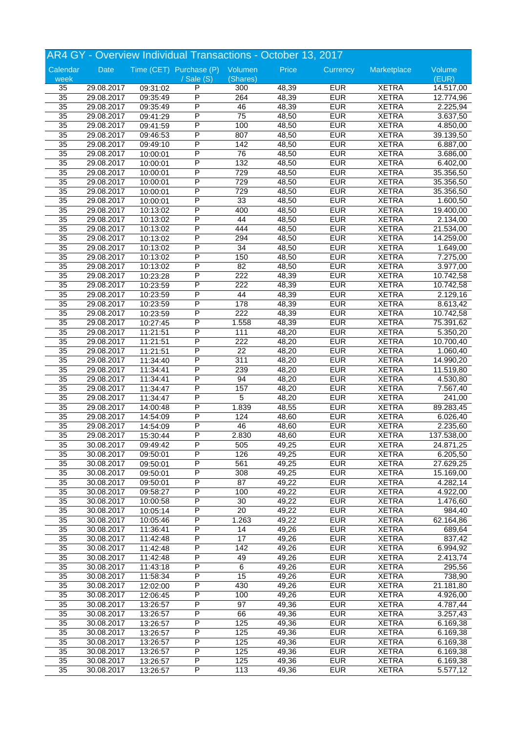|                 |            |          | AR4 GY - Overview Individual Transactions - October 13, 2017 |                 |       |            |              |            |
|-----------------|------------|----------|--------------------------------------------------------------|-----------------|-------|------------|--------------|------------|
| Calendar        | Date       |          | Time (CET) Purchase (P) Volumen                              |                 | Price | Currency   | Marketplace  | Volume     |
| week            |            |          | / Sale (S)                                                   | (Shares)        |       |            |              | (EUR)      |
| 35              | 29.08.2017 | 09:31:02 | P                                                            | 300             | 48,39 | <b>EUR</b> | <b>XETRA</b> | 14.517,00  |
| $\overline{35}$ | 29.08.2017 | 09:35:49 | P                                                            | 264             | 48,39 | <b>EUR</b> | <b>XETRA</b> | 12.774,96  |
| 35              | 29.08.2017 | 09:35:49 | P                                                            | 46              | 48,39 | <b>EUR</b> | <b>XETRA</b> | 2.225,94   |
| 35              | 29.08.2017 | 09:41:29 | P                                                            | $\overline{75}$ | 48,50 | <b>EUR</b> | <b>XETRA</b> | 3.637,50   |
| 35              | 29.08.2017 | 09:41:59 | P                                                            | 100             | 48,50 | <b>EUR</b> | <b>XETRA</b> | 4.850,00   |
| 35              | 29.08.2017 | 09:46:53 | P                                                            | 807             | 48,50 | <b>EUR</b> | <b>XETRA</b> | 39.139,50  |
| 35              | 29.08.2017 | 09:49:10 | P                                                            | 142             | 48,50 | <b>EUR</b> | <b>XETRA</b> | 6.887,00   |
| 35              |            |          | P                                                            | 76              | 48,50 | <b>EUR</b> | <b>XETRA</b> |            |
|                 | 29.08.2017 | 10:00:01 |                                                              |                 |       |            |              | 3.686,00   |
| 35              | 29.08.2017 | 10:00:01 | Ρ                                                            | 132             | 48,50 | <b>EUR</b> | <b>XETRA</b> | 6.402,00   |
| 35              | 29.08.2017 | 10:00:01 | P                                                            | 729             | 48,50 | <b>EUR</b> | <b>XETRA</b> | 35.356,50  |
| 35              | 29.08.2017 | 10:00:01 | P                                                            | 729             | 48,50 | <b>EUR</b> | <b>XETRA</b> | 35.356,50  |
| $\overline{35}$ | 29.08.2017 | 10:00:01 | P                                                            | 729             | 48,50 | <b>EUR</b> | <b>XETRA</b> | 35.356,50  |
| 35              | 29.08.2017 | 10:00:01 | P                                                            | 33              | 48,50 | <b>EUR</b> | <b>XETRA</b> | 1.600,50   |
| 35              | 29.08.2017 | 10:13:02 | Ρ                                                            | 400             | 48,50 | <b>EUR</b> | <b>XETRA</b> | 19.400,00  |
| 35              | 29.08.2017 | 10:13:02 | P                                                            | 44              | 48,50 | <b>EUR</b> | <b>XETRA</b> | 2.134,00   |
| 35              | 29.08.2017 | 10:13:02 | P                                                            | 444             | 48,50 | <b>EUR</b> | <b>XETRA</b> | 21.534,00  |
| 35              | 29.08.2017 | 10:13:02 | Ρ                                                            | 294             | 48,50 | <b>EUR</b> | <b>XETRA</b> | 14.259,00  |
| $\overline{35}$ | 29.08.2017 | 10:13:02 | P                                                            | 34              | 48,50 | <b>EUR</b> | <b>XETRA</b> | 1.649,00   |
|                 |            |          |                                                              |                 |       |            |              |            |
| 35              | 29.08.2017 | 10:13:02 | P                                                            | 150             | 48,50 | <b>EUR</b> | <b>XETRA</b> | 7.275,00   |
| 35              | 29.08.2017 | 10:13:02 | P                                                            | 82              | 48,50 | <b>EUR</b> | <b>XETRA</b> | 3.977,00   |
| 35              | 29.08.2017 | 10:23:28 | P                                                            | 222             | 48,39 | <b>EUR</b> | <b>XETRA</b> | 10.742,58  |
| 35              | 29.08.2017 | 10:23:59 | P                                                            | 222             | 48,39 | <b>EUR</b> | <b>XETRA</b> | 10.742,58  |
| $\overline{35}$ | 29.08.2017 | 10:23:59 | P                                                            | 44              | 48,39 | <b>EUR</b> | <b>XETRA</b> | 2.129,16   |
| 35              | 29.08.2017 | 10:23:59 | P                                                            | 178             | 48,39 | <b>EUR</b> | <b>XETRA</b> | 8.613,42   |
| 35              | 29.08.2017 | 10:23:59 | P                                                            | 222             | 48,39 | <b>EUR</b> | <b>XETRA</b> | 10.742,58  |
| 35              | 29.08.2017 | 10:27:45 | P                                                            | 1.558           | 48,39 | <b>EUR</b> | <b>XETRA</b> | 75.391,62  |
| 35              | 29.08.2017 | 11:21:51 | Ρ                                                            | 111             | 48,20 | <b>EUR</b> | <b>XETRA</b> | 5.350,20   |
| $\overline{35}$ | 29.08.2017 | 11:21:51 | P                                                            | 222             | 48,20 | <b>EUR</b> | <b>XETRA</b> | 10.700,40  |
|                 |            |          | P                                                            |                 |       |            |              |            |
| 35              | 29.08.2017 | 11:21:51 |                                                              | $\overline{22}$ | 48,20 | <b>EUR</b> | <b>XETRA</b> | 1.060,40   |
| 35              | 29.08.2017 | 11:34:40 | P                                                            | 311             | 48,20 | <b>EUR</b> | <b>XETRA</b> | 14.990,20  |
| 35              | 29.08.2017 | 11:34:41 | P                                                            | 239             | 48,20 | <b>EUR</b> | <b>XETRA</b> | 11.519,80  |
| 35              | 29.08.2017 | 11:34:41 | P                                                            | 94              | 48,20 | <b>EUR</b> | <b>XETRA</b> | 4.530,80   |
| $\overline{35}$ | 29.08.2017 | 11:34:47 | P                                                            | 157             | 48,20 | <b>EUR</b> | <b>XETRA</b> | 7.567,40   |
| 35              | 29.08.2017 | 11:34:47 | P                                                            | 5               | 48,20 | <b>EUR</b> | <b>XETRA</b> | 241,00     |
| 35              | 29.08.2017 | 14:00:48 | P                                                            | 1.839           | 48,55 | <b>EUR</b> | <b>XETRA</b> | 89.283,45  |
| 35              | 29.08.2017 | 14:54:09 | P                                                            | 124             | 48,60 | <b>EUR</b> | <b>XETRA</b> | 6.026,40   |
| 35              | 29.08.2017 | 14:54:09 | P                                                            | 46              | 48,60 | <b>EUR</b> | <b>XETRA</b> | 2.235,60   |
| $\overline{35}$ | 29.08.2017 | 15:30:44 | P                                                            | 2.830           | 48,60 | <b>EUR</b> | <b>XETRA</b> | 137.538,00 |
|                 |            |          | Ρ                                                            |                 | 49,25 | <b>EUR</b> | <b>XETRA</b> | 24.871,25  |
| 35              | 30.08.2017 | 09:49:42 |                                                              | 505             |       |            |              |            |
| 35              | 30.08.2017 | 09:50:01 | P                                                            | 126             | 49,25 | <b>EUR</b> | <b>XETRA</b> | 6.205,50   |
| 35              | 30.08.2017 | 09:50:01 | Ρ                                                            | 561             | 49,25 | <b>EUR</b> | <b>XETRA</b> | 27.629,25  |
| $\overline{35}$ | 30.08.2017 | 09:50:01 | $\overline{P}$                                               | 308             | 49,25 | <b>EUR</b> | <b>XETRA</b> | 15.169,00  |
| $\overline{35}$ | 30.08.2017 | 09:50:01 | P                                                            | $\overline{87}$ | 49,22 | <b>EUR</b> | <b>XETRA</b> | 4.282,14   |
| 35              | 30.08.2017 | 09:58:27 | Ρ                                                            | 100             | 49,22 | <b>EUR</b> | <b>XETRA</b> | 4.922,00   |
| 35              | 30.08.2017 | 10:00:58 | P                                                            | 30              | 49,22 | <b>EUR</b> | <b>XETRA</b> | 1.476,60   |
| 35              | 30.08.2017 | 10:05:14 | Ρ                                                            | 20              | 49,22 | <b>EUR</b> | <b>XETRA</b> | 984,40     |
| $\overline{35}$ | 30.08.2017 | 10:05:46 | $\overline{P}$                                               | 1.263           | 49,22 | <b>EUR</b> | <b>XETRA</b> | 62.164,86  |
| $\overline{35}$ | 30.08.2017 | 11:36:41 | P                                                            | 14              | 49,26 | <b>EUR</b> | <b>XETRA</b> | 689,64     |
| $\overline{35}$ | 30.08.2017 |          | Ρ                                                            | $\overline{17}$ | 49,26 | <b>EUR</b> | <b>XETRA</b> | 837,42     |
|                 |            | 11:42:48 |                                                              |                 |       |            |              |            |
| 35              | 30.08.2017 | 11:42:48 | P                                                            | 142             | 49,26 | <b>EUR</b> | <b>XETRA</b> | 6.994,92   |
| 35              | 30.08.2017 | 11:42:48 | Ρ                                                            | 49              | 49,26 | <b>EUR</b> | <b>XETRA</b> | 2.413,74   |
| $\overline{35}$ | 30.08.2017 | 11:43:18 | $\overline{P}$                                               | $\,6\,$         | 49,26 | <b>EUR</b> | <b>XETRA</b> | 295,56     |
| $\overline{35}$ | 30.08.2017 | 11:58:34 | P                                                            | $\overline{15}$ | 49,26 | <b>EUR</b> | <b>XETRA</b> | 738,90     |
| 35              | 30.08.2017 | 12:02:00 | Ρ                                                            | 430             | 49,26 | <b>EUR</b> | <b>XETRA</b> | 21.181,80  |
| 35              | 30.08.2017 | 12:06:45 | P                                                            | 100             | 49,26 | <b>EUR</b> | <b>XETRA</b> | 4.926,00   |
| 35              | 30.08.2017 | 13:26:57 | Ρ                                                            | 97              | 49,36 | <b>EUR</b> | <b>XETRA</b> | 4.787,44   |
| $\overline{35}$ | 30.08.2017 | 13:26:57 | $\overline{P}$                                               | 66              | 49,36 | <b>EUR</b> | <b>XETRA</b> | 3.257,43   |
| $\overline{35}$ | 30.08.2017 | 13:26:57 | P                                                            | 125             | 49,36 | <b>EUR</b> | <b>XETRA</b> |            |
|                 |            |          |                                                              |                 |       |            |              | 6.169,38   |
| $\overline{35}$ | 30.08.2017 | 13:26:57 | P                                                            | 125             | 49,36 | <b>EUR</b> | <b>XETRA</b> | 6.169,38   |
| 35              | 30.08.2017 | 13:26:57 | Ρ                                                            | 125             | 49,36 | <b>EUR</b> | <b>XETRA</b> | 6.169,38   |
| 35              | 30.08.2017 | 13:26:57 | P                                                            | 125             | 49,36 | <b>EUR</b> | <b>XETRA</b> | 6.169,38   |
| $\overline{35}$ | 30.08.2017 | 13:26:57 | $\overline{P}$                                               | 125             | 49,36 | <b>EUR</b> | <b>XETRA</b> | 6.169,38   |
| $\overline{35}$ | 30.08.2017 | 13:26:57 | P                                                            | 113             | 49,36 | <b>EUR</b> | <b>XETRA</b> | 5.577,12   |
|                 |            |          |                                                              |                 |       |            |              |            |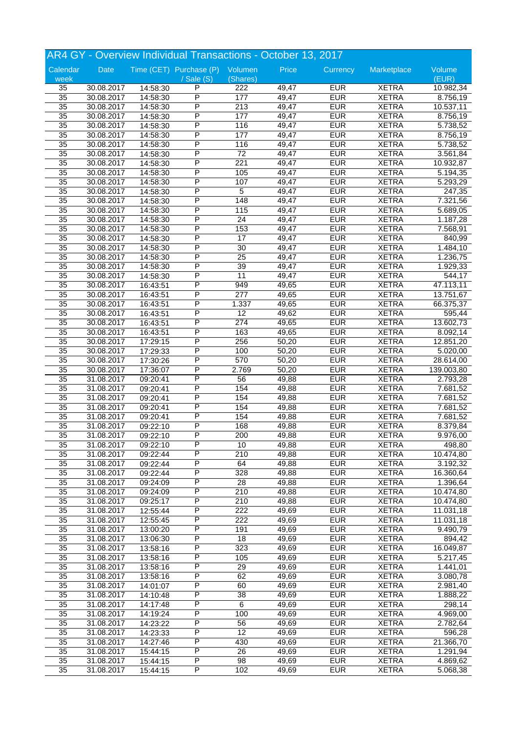|                 |            |          | AR4 GY - Overview Individual Transactions - October 13, 2017 |                  |       |            |              |                      |
|-----------------|------------|----------|--------------------------------------------------------------|------------------|-------|------------|--------------|----------------------|
| Calendar        | Date       |          | Time (CET) Purchase (P) Volumen                              |                  | Price | Currency   | Marketplace  | Volume               |
| week            |            |          | / Sale (S)                                                   | (Shares)         |       |            |              | (EUR)                |
| 35              | 30.08.2017 | 14:58:30 | P                                                            | 222              | 49,47 | <b>EUR</b> | <b>XETRA</b> | 10.982,34            |
| $\overline{35}$ | 30.08.2017 | 14:58:30 | P                                                            | 177              | 49,47 | <b>EUR</b> | <b>XETRA</b> | 8.756,19             |
| 35              | 30.08.2017 | 14:58:30 | P                                                            | $\overline{213}$ | 49,47 | <b>EUR</b> | <b>XETRA</b> | 10.537,11            |
| 35              | 30.08.2017 | 14:58:30 | P                                                            | 177              | 49,47 | <b>EUR</b> | <b>XETRA</b> | 8.756,19             |
| 35              | 30.08.2017 | 14:58:30 | P                                                            | 116              | 49,47 | <b>EUR</b> | <b>XETRA</b> | 5.738,52             |
| 35              | 30.08.2017 | 14:58:30 | P                                                            | 177              | 49,47 | <b>EUR</b> | <b>XETRA</b> | 8.756,19             |
| 35              | 30.08.2017 | 14:58:30 | P                                                            | 116              | 49,47 | <b>EUR</b> | <b>XETRA</b> | 5.738,52             |
| 35              | 30.08.2017 | 14:58:30 | P                                                            | $\overline{72}$  | 49,47 | <b>EUR</b> | <b>XETRA</b> | 3.561,84             |
| 35              | 30.08.2017 | 14:58:30 | P                                                            | $\overline{221}$ | 49,47 | <b>EUR</b> | <b>XETRA</b> | 10.932,87            |
|                 |            |          |                                                              |                  |       |            |              |                      |
| 35              | 30.08.2017 | 14:58:30 | P                                                            | 105              | 49,47 | <b>EUR</b> | <b>XETRA</b> | 5.194,35             |
| 35              | 30.08.2017 | 14:58:30 | P                                                            | 107              | 49,47 | <b>EUR</b> | <b>XETRA</b> | 5.293,29             |
| $\overline{35}$ | 30.08.2017 | 14:58:30 | P                                                            | 5                | 49,47 | <b>EUR</b> | <b>XETRA</b> | 247,35               |
| 35              | 30.08.2017 | 14:58:30 | P                                                            | $\overline{148}$ | 49,47 | <b>EUR</b> | <b>XETRA</b> | 7.321,56             |
| 35              | 30.08.2017 | 14:58:30 | Ρ                                                            | 115              | 49,47 | <b>EUR</b> | <b>XETRA</b> | 5.689,05             |
| 35              | 30.08.2017 | 14:58:30 | P                                                            | $\overline{24}$  | 49,47 | <b>EUR</b> | <b>XETRA</b> | 1.187,28             |
| 35              | 30.08.2017 | 14:58:30 | P                                                            | 153              | 49,47 | <b>EUR</b> | <b>XETRA</b> | 7.568,91             |
| 35              | 30.08.2017 | 14:58:30 | P                                                            | $\overline{17}$  | 49,47 | <b>EUR</b> | <b>XETRA</b> | 840,99               |
| $\overline{35}$ | 30.08.2017 | 14:58:30 | P                                                            | 30               | 49,47 | <b>EUR</b> | <b>XETRA</b> | 1.484,10             |
| 35              | 30.08.2017 | 14:58:30 | P                                                            | 25               | 49,47 | <b>EUR</b> | <b>XETRA</b> | 1.236,75             |
|                 |            |          | P                                                            |                  |       | <b>EUR</b> |              |                      |
| 35              | 30.08.2017 | 14:58:30 |                                                              | 39               | 49,47 |            | <b>XETRA</b> | 1.929,33             |
| 35              | 30.08.2017 | 14:58:30 | P                                                            | 11               | 49,47 | <b>EUR</b> | <b>XETRA</b> | $\overline{5}$ 44,17 |
| 35              | 30.08.2017 | 16:43:51 | P                                                            | 949              | 49,65 | <b>EUR</b> | <b>XETRA</b> | 47.113,11            |
| $\overline{35}$ | 30.08.2017 | 16:43:51 | P                                                            | 277              | 49,65 | <b>EUR</b> | <b>XETRA</b> | 13.751,67            |
| 35              | 30.08.2017 | 16:43:51 | P                                                            | 1.337            | 49,65 | <b>EUR</b> | <b>XETRA</b> | 66.375,37            |
| 35              | 30.08.2017 | 16:43:51 | P                                                            | 12               | 49,62 | <b>EUR</b> | <b>XETRA</b> | 595,44               |
| 35              | 30.08.2017 | 16:43:51 | P                                                            | 274              | 49,65 | <b>EUR</b> | <b>XETRA</b> | 13.602,73            |
| 35              | 30.08.2017 | 16:43:51 | P                                                            | 163              | 49,65 | <b>EUR</b> | <b>XETRA</b> | 8.092,14             |
| $\overline{35}$ | 30.08.2017 | 17:29:15 | P                                                            | 256              | 50,20 | <b>EUR</b> | <b>XETRA</b> | 12.851,20            |
| 35              | 30.08.2017 | 17:29:33 | P                                                            | 100              | 50,20 | <b>EUR</b> | <b>XETRA</b> | 5.020,00             |
| 35              | 30.08.2017 |          | P                                                            | 570              | 50,20 | <b>EUR</b> | <b>XETRA</b> |                      |
|                 |            | 17:30:26 |                                                              |                  |       |            |              | 28.614,00            |
| 35              | 30.08.2017 | 17:36:07 | P                                                            | 2.769            | 50,20 | <b>EUR</b> | <b>XETRA</b> | 139.003,80           |
| 35              | 31.08.2017 | 09:20:41 | P                                                            | 56               | 49,88 | <b>EUR</b> | <b>XETRA</b> | 2.793,28             |
| $\overline{35}$ | 31.08.2017 | 09:20:41 | $\overline{\mathsf{P}}$                                      | 154              | 49,88 | <b>EUR</b> | <b>XETRA</b> | 7.681,52             |
| 35              | 31.08.2017 | 09:20:41 | P                                                            | 154              | 49,88 | <b>EUR</b> | <b>XETRA</b> | 7.681,52             |
| 35              | 31.08.2017 | 09:20:41 | P                                                            | 154              | 49,88 | <b>EUR</b> | <b>XETRA</b> | 7.681,52             |
| 35              | 31.08.2017 | 09:20:41 | P                                                            | 154              | 49,88 | <b>EUR</b> | <b>XETRA</b> | 7.681,52             |
| 35              | 31.08.2017 | 09:22:10 | P                                                            | 168              | 49,88 | <b>EUR</b> | <b>XETRA</b> | 8.379,84             |
| $\overline{35}$ | 31.08.2017 | 09:22:10 | P                                                            | 200              | 49,88 | <b>EUR</b> | <b>XETRA</b> | 9.976,00             |
| 35              | 31.08.2017 | 09:22:10 | P                                                            | 10               | 49,88 | <b>EUR</b> | <b>XETRA</b> | 498,80               |
| 35              | 31.08.2017 |          | P                                                            | 210              | 49,88 | <b>EUR</b> | <b>XETRA</b> | 10.474,80            |
|                 |            | 09:22:44 |                                                              |                  |       |            |              |                      |
| 35              | 31.08.2017 | 09:22:44 | P                                                            | 64               | 49,88 | <b>EUR</b> | <b>XETRA</b> | 3.192,32             |
| $\overline{35}$ | 31.08.2017 | 09:22:44 | P                                                            | 328              | 49,88 | <b>EUR</b> | <b>XETRA</b> | 16.360,64            |
| $\overline{35}$ | 31.08.2017 | 09:24:09 | P                                                            | 28               | 49,88 | <b>EUR</b> | <b>XETRA</b> | 1.396,64             |
| 35              | 31.08.2017 | 09:24:09 | P                                                            | 210              | 49,88 | <b>EUR</b> | <b>XETRA</b> | 10.474,80            |
| 35              | 31.08.2017 | 09:25:17 | Ρ                                                            | 210              | 49,88 | <b>EUR</b> | <b>XETRA</b> | 10.474,80            |
| 35              | 31.08.2017 | 12:55:44 | $\overline{P}$                                               | 222              | 49,69 | <b>EUR</b> | <b>XETRA</b> | 11.031,18            |
| 35              | 31.08.2017 | 12:55:45 | P                                                            | 222              | 49,69 | <b>EUR</b> | <b>XETRA</b> | 11.031,18            |
| $\overline{35}$ | 31.08.2017 | 13:00:20 | P                                                            | 191              | 49,69 | <b>EUR</b> | <b>XETRA</b> | 9.490,79             |
| 35              | 31.08.2017 | 13:06:30 | $\overline{P}$                                               | 18               | 49,69 | <b>EUR</b> | <b>XETRA</b> | 894,42               |
| 35              | 31.08.2017 | 13:58:16 | P                                                            | 323              | 49,69 | <b>EUR</b> | <b>XETRA</b> | 16.049,87            |
|                 |            |          | P                                                            |                  |       |            |              |                      |
| 35              | 31.08.2017 | 13:58:16 |                                                              | 105              | 49,69 | <b>EUR</b> | <b>XETRA</b> | 5.217,45             |
| 35              | 31.08.2017 | 13:58:16 | $\overline{P}$                                               | 29               | 49,69 | <b>EUR</b> | <b>XETRA</b> | 1.441,01             |
| $\overline{35}$ | 31.08.2017 | 13:58:16 | P                                                            | 62               | 49,69 | <b>EUR</b> | <b>XETRA</b> | 3.080,78             |
| 35              | 31.08.2017 | 14:01:07 | P                                                            | 60               | 49,69 | <b>EUR</b> | <b>XETRA</b> | 2.981,40             |
| 35              | 31.08.2017 | 14:10:48 | P                                                            | 38               | 49,69 | <b>EUR</b> | <b>XETRA</b> | 1.888,22             |
| 35              | 31.08.2017 | 14:17:48 | P                                                            | 6                | 49,69 | <b>EUR</b> | <b>XETRA</b> | 298,14               |
| 35              | 31.08.2017 | 14:19:24 | $\overline{P}$                                               | 100              | 49,69 | <b>EUR</b> | <b>XETRA</b> | 4.969,00             |
| $\overline{35}$ | 31.08.2017 | 14:23:22 | $\overline{P}$                                               | 56               | 49,69 | <b>EUR</b> | <b>XETRA</b> | 2.782,64             |
| 35              | 31.08.2017 | 14:23:33 | $\overline{P}$                                               | $\overline{12}$  | 49,69 | <b>EUR</b> | <b>XETRA</b> | 596,28               |
| 35              | 31.08.2017 |          | P                                                            | 430              | 49,69 | <b>EUR</b> | <b>XETRA</b> | 21.366,70            |
|                 |            | 14:27:46 | $\overline{P}$                                               |                  |       |            |              |                      |
| 35              | 31.08.2017 | 15:44:15 |                                                              | 26               | 49,69 | <b>EUR</b> | <b>XETRA</b> | 1.291,94             |
| 35              | 31.08.2017 | 15:44:15 | $\overline{P}$                                               | 98               | 49,69 | <b>EUR</b> | <b>XETRA</b> | 4.869,62             |
| $\overline{35}$ | 31.08.2017 | 15:44:15 | $\overline{P}$                                               | 102              | 49,69 | <b>EUR</b> | <b>XETRA</b> | 5.068,38             |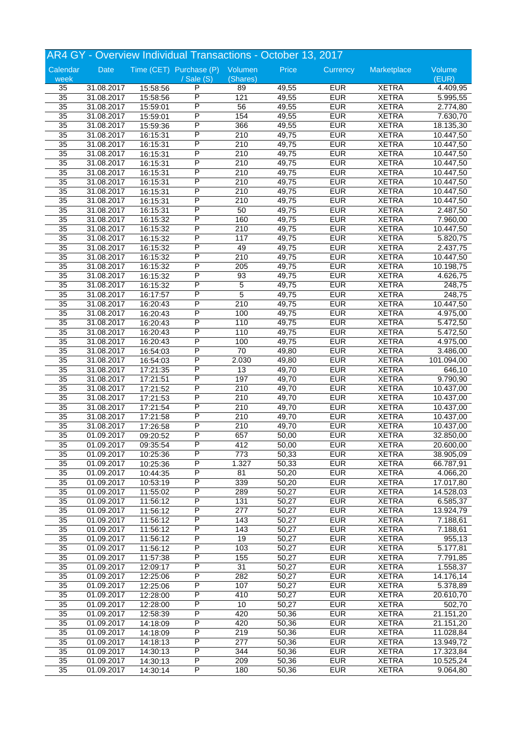|                 |                          |          | AR4 GY - Overview Individual Transactions - October 13, 2017 |                     |                |            |                              |            |
|-----------------|--------------------------|----------|--------------------------------------------------------------|---------------------|----------------|------------|------------------------------|------------|
| Calendar        | Date                     |          | Time (CET) Purchase (P) Volumen                              |                     | Price          | Currency   | Marketplace                  | Volume     |
| week            |                          |          | / Sale (S)                                                   | (Shares)            |                |            |                              | (EUR)      |
| 35              | 31.08.2017               | 15:58:56 | P                                                            | 89                  | 49,55          | <b>EUR</b> | <b>XETRA</b>                 | 4.409,95   |
| $\overline{35}$ | 31.08.2017               | 15:58:56 | $\overline{\mathsf{P}}$                                      | 121                 | 49,55          | <b>EUR</b> | <b>XETRA</b>                 | 5.995,55   |
| $\overline{35}$ | 31.08.2017               | 15:59:01 | P                                                            | 56                  | 49,55          | <b>EUR</b> | <b>XETRA</b>                 | 2.774,80   |
| 35              | 31.08.2017               | 15:59:01 | P                                                            | 154                 | 49,55          | <b>EUR</b> | <b>XETRA</b>                 | 7.630,70   |
| 35              | 31.08.2017               | 15:59:36 | P                                                            | 366                 | 49,55          | <b>EUR</b> | <b>XETRA</b>                 | 18.135,30  |
| $\overline{35}$ | 31.08.2017               | 16:15:31 | P                                                            | 210                 | 49,75          | <b>EUR</b> | <b>XETRA</b>                 | 10.447,50  |
| $\overline{35}$ | 31.08.2017               | 16:15:31 | $\overline{\mathsf{P}}$                                      | $\overline{210}$    | 49,75          | <b>EUR</b> | <b>XETRA</b>                 | 10.447,50  |
| $\overline{35}$ | 31.08.2017               | 16:15:31 | P                                                            | 210                 | 49,75          | <b>EUR</b> | <b>XETRA</b>                 | 10.447,50  |
| 35              | 31.08.2017               | 16:15:31 | P                                                            | 210                 | 49,75          | <b>EUR</b> | <b>XETRA</b>                 | 10.447,50  |
| 35              | 31.08.2017               | 16:15:31 | P                                                            | 210                 | 49,75          | <b>EUR</b> | <b>XETRA</b>                 | 10.447,50  |
| 35              | 31.08.2017               | 16:15:31 | P                                                            | 210                 | 49,75          | <b>EUR</b> | <b>XETRA</b>                 | 10.447,50  |
| $\overline{35}$ | 31.08.2017               | 16:15:31 | P                                                            | 210                 | 49,75          | <b>EUR</b> | <b>XETRA</b>                 | 10.447,50  |
| $\overline{35}$ | 31.08.2017               | 16:15:31 | P                                                            | 210                 | 49,75          | <b>EUR</b> | <b>XETRA</b>                 | 10.447,50  |
| 35              | 31.08.2017               | 16:15:31 | P                                                            | 50                  | 49,75          | <b>EUR</b> | <b>XETRA</b>                 | 2.487,50   |
| 35              | 31.08.2017               | 16:15:32 | P                                                            | 160                 | 49,75          | <b>EUR</b> | <b>XETRA</b>                 | 7.960,00   |
| 35              | 31.08.2017               | 16:15:32 | P                                                            | 210                 | 49,75          | <b>EUR</b> | <b>XETRA</b>                 | 10.447,50  |
| $\overline{35}$ | 31.08.2017               | 16:15:32 | P                                                            | 117                 | 49,75          | <b>EUR</b> | <b>XETRA</b>                 | 5.820,75   |
| $\overline{35}$ | 31.08.2017               | 16:15:32 | P                                                            | 49                  | 49,75          | <b>EUR</b> | <b>XETRA</b>                 | 2.437,75   |
| 35              | 31.08.2017               | 16:15:32 | P                                                            | 210                 | 49,75          | <b>EUR</b> | <b>XETRA</b>                 | 10.447,50  |
| 35              | 31.08.2017               | 16:15:32 | P                                                            | 205                 | 49,75          | <b>EUR</b> | <b>XETRA</b>                 | 10.198,75  |
| 35              |                          |          | P                                                            | 93                  | 49,75          | <b>EUR</b> | <b>XETRA</b>                 |            |
| $\overline{35}$ | 31.08.2017               | 16:15:32 | $\overline{\mathsf{P}}$                                      |                     |                | <b>EUR</b> |                              | 4.626,75   |
| 35              | 31.08.2017               | 16:15:32 | P                                                            | 5<br>$\overline{5}$ | 49,75<br>49,75 | <b>EUR</b> | <b>XETRA</b><br><b>XETRA</b> | 248,75     |
|                 | 31.08.2017               | 16:17:57 |                                                              |                     |                |            |                              | 248,75     |
| 35              | 31.08.2017               | 16:20:43 | P                                                            | 210                 | 49,75          | <b>EUR</b> | <b>XETRA</b>                 | 10.447,50  |
| 35              | 31.08.2017               | 16:20:43 | P                                                            | 100                 | 49,75          | <b>EUR</b> | <b>XETRA</b>                 | 4.975,00   |
| 35              | 31.08.2017               | 16:20:43 | P                                                            | 110                 | 49,75          | <b>EUR</b> | <b>XETRA</b>                 | 5.472,50   |
| $\overline{35}$ | 31.08.2017               | 16:20:43 | $\overline{\mathsf{P}}$                                      | 110                 | 49,75          | <b>EUR</b> | <b>XETRA</b>                 | 5.472,50   |
| $\overline{35}$ | 31.08.2017               | 16:20:43 | P                                                            | 100                 | 49,75          | <b>EUR</b> | <b>XETRA</b>                 | 4.975,00   |
| 35              | 31.08.2017               | 16:54:03 | P                                                            | $\overline{70}$     | 49,80          | <b>EUR</b> | <b>XETRA</b>                 | 3.486,00   |
| 35              | 31.08.2017               | 16:54:03 | P                                                            | 2.030               | 49,80          | <b>EUR</b> | <b>XETRA</b>                 | 101.094,00 |
| $\overline{35}$ | 31.08.2017               | 17:21:35 | P                                                            | 13                  | 49,70          | <b>EUR</b> | <b>XETRA</b>                 | 646,10     |
| 35              | 31.08.2017               | 17:21:51 | P                                                            | 197                 | 49,70          | <b>EUR</b> | <b>XETRA</b>                 | 9.790,90   |
| 35              | 31.08.2017               | 17:21:52 | $\overline{\mathsf{P}}$                                      | 210                 | 49,70          | <b>EUR</b> | <b>XETRA</b>                 | 10.437,00  |
| 35              | 31.08.2017               | 17:21:53 | P                                                            | 210                 | 49,70          | <b>EUR</b> | <b>XETRA</b>                 | 10.437,00  |
| 35              | 31.08.2017               | 17:21:54 | P                                                            | 210                 | 49,70          | <b>EUR</b> | <b>XETRA</b>                 | 10.437,00  |
| $\overline{35}$ | 31.08.2017               | 17:21:58 | P                                                            | 210                 | 49,70          | <b>EUR</b> | <b>XETRA</b>                 | 10.437,00  |
| $\overline{35}$ | 31.08.2017               | 17:26:58 | P                                                            | 210                 | 49,70          | <b>EUR</b> | <b>XETRA</b>                 | 10.437,00  |
| 35              | 01.09.2017               | 09:20:52 | P                                                            | 657                 | 50,00          | <b>EUR</b> | <b>XETRA</b>                 | 32.850,00  |
| 35              | 01.09.2017               | 09:35:54 | P                                                            | 412                 | 50,00          | <b>EUR</b> | <b>XETRA</b>                 | 20.600,00  |
| $\overline{35}$ | 01.09.2017               | 10:25:36 | P                                                            | $\overline{773}$    | 50,33          | <b>EUR</b> | <b>XETRA</b>                 | 38.905,09  |
| $\overline{35}$ | 01.09.2017               | 10:25:36 | $\overline{\mathsf{P}}$                                      | 1.327               | 50,33          | <b>EUR</b> | <b>XETRA</b>                 | 66.787,91  |
| $\overline{35}$ | 01.09.2017               | 10:44:35 | $\overline{\mathsf{P}}$                                      | 81                  | 50,20          | <b>EUR</b> | <b>XETRA</b>                 | 4.066,20   |
| $\overline{35}$ | 01.09.2017               | 10:53:19 | $\overline{P}$                                               | 339                 | 50,20          | <b>EUR</b> | <b>XETRA</b>                 | 17.017,80  |
| 35              | 01.09.2017               | 11:55:02 | $\overline{P}$                                               | 289                 | 50,27          | <b>EUR</b> | <b>XETRA</b>                 | 14.528,03  |
| 35              | 01.09.2017               | 11:56:12 | P                                                            | 131                 | 50,27          | <b>EUR</b> | <b>XETRA</b>                 | 6.585,37   |
| $\overline{35}$ | 01.09.2017               | 11:56:12 | $\overline{\mathsf{P}}$                                      | $\overline{277}$    | 50,27          | <b>EUR</b> | <b>XETRA</b>                 | 13.924,79  |
| $\overline{35}$ | 01.09.2017               | 11:56:12 | $\overline{P}$                                               | 143                 | 50,27          | <b>EUR</b> | <b>XETRA</b>                 | 7.188,61   |
| $\overline{35}$ | 01.09.2017               | 11:56:12 | $\overline{P}$                                               | $\overline{143}$    | 50,27          | <b>EUR</b> | <b>XETRA</b>                 | 7.188,61   |
| 35              | 01.09.2017               | 11:56:12 | $\overline{P}$                                               | 19                  | 50,27          | <b>EUR</b> | <b>XETRA</b>                 | 955,13     |
| 35              | 01.09.2017               | 11:56:12 | P                                                            | 103                 | 50,27          | <b>EUR</b> | <b>XETRA</b>                 | 5.177,81   |
| $\overline{35}$ | 01.09.2017               | 11:57:38 | $\overline{\mathsf{P}}$                                      | 155                 | 50,27          | <b>EUR</b> | <b>XETRA</b>                 | 7.791,85   |
| $\overline{35}$ | 01.09.2017               | 12:09:17 | $\overline{\mathsf{P}}$                                      | $\overline{31}$     | 50,27          | <b>EUR</b> | <b>XETRA</b>                 | 1.558,37   |
| $\overline{35}$ | 01.09.2017               | 12:25:06 | $\overline{P}$                                               | 282                 | 50,27          | <b>EUR</b> | <b>XETRA</b>                 | 14.176,14  |
| 35              | 01.09.2017               | 12:25:06 | $\overline{P}$                                               | 107                 | 50,27          | <b>EUR</b> | <b>XETRA</b>                 | 5.378,89   |
| 35              | 01.09.2017               | 12:28:00 | P                                                            | 410                 | 50,27          | <b>EUR</b> | <b>XETRA</b>                 | 20.610,70  |
| $\overline{35}$ | 01.09.2017               | 12:28:00 | $\overline{\mathsf{P}}$                                      | $10$                | 50,27          | <b>EUR</b> | <b>XETRA</b>                 | 502,70     |
| $\overline{35}$ | 01.09.2017               | 12:58:39 | $\overline{\mathsf{P}}$                                      | 420                 | 50,36          | <b>EUR</b> | <b>XETRA</b>                 | 21.151,20  |
| $\overline{35}$ | 01.09.2017               | 14:18:09 | $\overline{P}$                                               | 420                 | 50,36          | <b>EUR</b> | <b>XETRA</b>                 | 21.151,20  |
| 35              |                          |          | $\overline{P}$                                               | 219                 | 50,36          | <b>EUR</b> | <b>XETRA</b>                 | 11.028,84  |
| 35              | 01.09.2017<br>01.09.2017 | 14:18:09 | P                                                            | 277                 | 50,36          | <b>EUR</b> | <b>XETRA</b>                 | 13.949,72  |
|                 |                          | 14:18:13 | P                                                            |                     |                |            |                              |            |
| $\overline{35}$ | 01.09.2017               | 14:30:13 | $\overline{\mathsf{P}}$                                      | 344                 | 50,36          | <b>EUR</b> | <b>XETRA</b>                 | 17.323,84  |
| 35              | 01.09.2017               | 14:30:13 |                                                              | 209                 | 50,36          | <b>EUR</b> | <b>XETRA</b>                 | 10.525,24  |
| $\overline{35}$ | 01.09.2017               | 14:30:14 | P                                                            | 180                 | 50,36          | <b>EUR</b> | <b>XETRA</b>                 | 9.064,80   |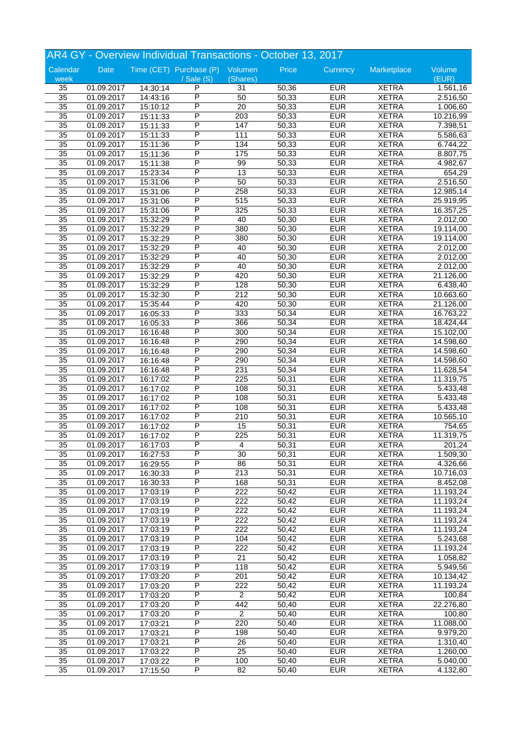|                 |                          |          | AR4 GY - Overview Individual Transactions - October 13, 2017 |                  |       |            |              |                        |
|-----------------|--------------------------|----------|--------------------------------------------------------------|------------------|-------|------------|--------------|------------------------|
| Calendar        | Date                     |          | Time (CET) Purchase (P) Volumen                              |                  | Price | Currency   | Marketplace  | Volume                 |
| week            |                          |          | / Sale (S)                                                   | (Shares)         |       |            |              | (EUR)                  |
| 35              | 01.09.2017               | 14:30:14 | P                                                            | 31               | 50,36 | <b>EUR</b> | <b>XETRA</b> | 1.561,16               |
| $\overline{35}$ | 01.09.2017               | 14:43:16 | $\overline{\mathsf{P}}$                                      | 50               | 50,33 | <b>EUR</b> | <b>XETRA</b> | 2.516,50               |
| $\overline{35}$ | 01.09.2017               | 15:10:12 | P                                                            | 20               | 50,33 | <b>EUR</b> | <b>XETRA</b> | 1.006,60               |
| 35              | 01.09.2017               | 15:11:33 | P                                                            | 203              | 50,33 | <b>EUR</b> | <b>XETRA</b> | 10.216,99              |
| $\overline{35}$ | 01.09.2017               | 15:11:33 | P                                                            | 147              | 50,33 | <b>EUR</b> | <b>XETRA</b> | 7.398,51               |
| $\overline{35}$ | 01.09.2017               | 15:11:33 | P                                                            | 111              | 50,33 | <b>EUR</b> | <b>XETRA</b> | 5.586,63               |
| $\overline{35}$ | 01.09.2017               | 15:11:36 | $\overline{\mathsf{P}}$                                      | 134              | 50,33 | <b>EUR</b> | <b>XETRA</b> | 6.744,22               |
| $\overline{35}$ | 01.09.2017               | 15:11:36 | P                                                            | 175              | 50,33 | <b>EUR</b> | <b>XETRA</b> | 8.807,75               |
| 35              | 01.09.2017               | 15:11:38 | P                                                            | 99               | 50,33 | <b>EUR</b> | <b>XETRA</b> | 4.982,67               |
| 35              | 01.09.2017               | 15:23:34 | P                                                            | 13               | 50,33 | <b>EUR</b> | <b>XETRA</b> | 654,29                 |
| $\overline{35}$ | 01.09.2017               | 15:31:06 | P                                                            | 50               | 50,33 | <b>EUR</b> | <b>XETRA</b> | 2.516,50               |
| $\overline{35}$ | 01.09.2017               | 15:31:06 | $\overline{\mathsf{P}}$                                      | 258              | 50,33 | <b>EUR</b> | <b>XETRA</b> | 12.985,14              |
| $\overline{35}$ | 01.09.2017               | 15:31:06 | P                                                            | 515              | 50,33 | <b>EUR</b> | <b>XETRA</b> | 25.919,95              |
| 35              | 01.09.2017               | 15:31:06 | P                                                            | 325              | 50,33 | <b>EUR</b> | <b>XETRA</b> | 16.357,25              |
| $\overline{35}$ | 01.09.2017               | 15:32:29 | P                                                            | 40               | 50,30 | <b>EUR</b> | <b>XETRA</b> | 2.012,00               |
| 35              |                          |          | P                                                            | 380              | 50,30 | <b>EUR</b> | <b>XETRA</b> |                        |
| $\overline{35}$ | 01.09.2017<br>01.09.2017 | 15:32:29 | P                                                            | 380              | 50,30 | <b>EUR</b> | <b>XETRA</b> | 19.114,00<br>19.114,00 |
| $\overline{35}$ |                          | 15:32:29 | P                                                            | 40               | 50,30 | <b>EUR</b> | <b>XETRA</b> |                        |
|                 | 01.09.2017               | 15:32:29 | P                                                            |                  |       |            |              | 2.012,00               |
| 35              | 01.09.2017               | 15:32:29 |                                                              | 40               | 50,30 | <b>EUR</b> | <b>XETRA</b> | 2.012,00               |
| 35              | 01.09.2017               | 15:32:29 | P                                                            | 40               | 50,30 | <b>EUR</b> | <b>XETRA</b> | 2.012,00               |
| 35              | 01.09.2017               | 15:32:29 | P                                                            | 420              | 50,30 | <b>EUR</b> | <b>XETRA</b> | 21.126,00              |
| $\overline{35}$ | 01.09.2017               | 15:32:29 | $\overline{\mathsf{P}}$                                      | 128              | 50,30 | <b>EUR</b> | <b>XETRA</b> | 6.438,40               |
| 35              | 01.09.2017               | 15:32:30 | P                                                            | 212              | 50,30 | <b>EUR</b> | <b>XETRA</b> | 10.663,60              |
| 35              | 01.09.2017               | 15:35:44 | P                                                            | 420              | 50,30 | <b>EUR</b> | <b>XETRA</b> | 21.126,00              |
| 35              | 01.09.2017               | 16:05:33 | P                                                            | 333              | 50,34 | <b>EUR</b> | <b>XETRA</b> | 16.763,22              |
| 35              | 01.09.2017               | 16:05:33 | P                                                            | 366              | 50,34 | <b>EUR</b> | <b>XETRA</b> | 18.424,44              |
| $\overline{35}$ | 01.09.2017               | 16:16:48 | P                                                            | 300              | 50,34 | <b>EUR</b> | <b>XETRA</b> | 15.102,00              |
| $\overline{35}$ | 01.09.2017               | 16:16:48 | P                                                            | 290              | 50,34 | <b>EUR</b> | <b>XETRA</b> | 14.598,60              |
| 35              | 01.09.2017               | 16:16:48 | P                                                            | 290              | 50,34 | <b>EUR</b> | <b>XETRA</b> | 14.598,60              |
| 35              | 01.09.2017               | 16:16:48 | P                                                            | 290              | 50,34 | <b>EUR</b> | <b>XETRA</b> | 14.598,60              |
| $\overline{35}$ | 01.09.2017               | 16:16:48 | P                                                            | 231              | 50,34 | <b>EUR</b> | <b>XETRA</b> | 11.628,54              |
| $\overline{35}$ | 01.09.2017               | 16:17:02 | P                                                            | 225              | 50,31 | <b>EUR</b> | <b>XETRA</b> | 11.319,75              |
| 35              | 01.09.2017               | 16:17:02 | $\overline{\mathsf{P}}$                                      | 108              | 50,31 | <b>EUR</b> | <b>XETRA</b> | 5.433,48               |
| 35              | 01.09.2017               | 16:17:02 | P                                                            | 108              | 50,31 | <b>EUR</b> | <b>XETRA</b> | 5.433,48               |
| 35              | 01.09.2017               | 16:17:02 | P                                                            | 108              | 50,31 | <b>EUR</b> | <b>XETRA</b> | 5.433,48               |
| $\overline{35}$ | 01.09.2017               | 16:17:02 | P                                                            | 210              | 50,31 | <b>EUR</b> | <b>XETRA</b> | 10.565,10              |
| $\overline{35}$ | 01.09.2017               | 16:17:02 | P                                                            | 15               | 50,31 | <b>EUR</b> | <b>XETRA</b> | 754,65                 |
| $\overline{35}$ | 01.09.2017               | 16:17:02 | P                                                            | 225              | 50,31 | <b>EUR</b> | <b>XETRA</b> | 11.319,75              |
| 35              | 01.09.2017               | 16:17:03 | P                                                            | 4                | 50,31 | <b>EUR</b> | <b>XETRA</b> | 201,24                 |
| $\overline{35}$ | 01.09.2017               | 16:27:53 | P                                                            | $\overline{30}$  | 50,31 | <b>EUR</b> | <b>XETRA</b> | 1.509,30               |
| $\overline{35}$ | 01.09.2017               | 16:29:55 | $\overline{\mathsf{P}}$                                      | 86               | 50,31 | <b>EUR</b> | <b>XETRA</b> | 4.326,66               |
| $\overline{35}$ | 01.09.2017               | 16:30:33 | $\overline{\mathsf{P}}$                                      | $\overline{213}$ | 50,31 | <b>EUR</b> | <b>XETRA</b> | 10.716,03              |
| $\overline{35}$ | 01.09.2017               | 16:30:33 | $\overline{P}$                                               | 168              | 50,31 | <b>EUR</b> | <b>XETRA</b> | 8.452,08               |
| 35              | 01.09.2017               | 17:03:19 | $\overline{P}$                                               | 222              | 50,42 | <b>EUR</b> | <b>XETRA</b> | 11.193,24              |
| 35              | 01.09.2017               | 17:03:19 | P                                                            | 222              | 50,42 | <b>EUR</b> | <b>XETRA</b> | 11.193,24              |
| $\overline{35}$ | 01.09.2017               | 17:03:19 | $\overline{\mathsf{P}}$                                      | $\overline{222}$ | 50,42 | <b>EUR</b> | <b>XETRA</b> | 11.193,24              |
| $\overline{35}$ | 01.09.2017               | 17:03:19 | $\overline{P}$                                               | 222              | 50,42 | <b>EUR</b> | <b>XETRA</b> | 11.193,24              |
| $\overline{35}$ | 01.09.2017               | 17:03:19 | $\overline{P}$                                               | 222              | 50,42 | <b>EUR</b> | <b>XETRA</b> | 11.193,24              |
| 35              | 01.09.2017               | 17:03:19 | $\overline{P}$                                               | 104              | 50,42 | <b>EUR</b> | <b>XETRA</b> | 5.243,68               |
| 35              | 01.09.2017               | 17:03:19 | P                                                            | 222              | 50,42 | <b>EUR</b> | <b>XETRA</b> | 11.193,24              |
| $\overline{35}$ | 01.09.2017               | 17:03:19 | $\overline{\mathsf{P}}$                                      | 21               | 50,42 | <b>EUR</b> | <b>XETRA</b> | 1.058,82               |
| $\overline{35}$ | 01.09.2017               | 17:03:19 | $\overline{\mathsf{P}}$                                      | 118              | 50,42 | <b>EUR</b> | <b>XETRA</b> | 5.949,56               |
| $\overline{35}$ | 01.09.2017               | 17:03:20 | $\overline{P}$                                               | 201              | 50,42 | <b>EUR</b> | <b>XETRA</b> |                        |
| 35              |                          |          | $\overline{P}$                                               | 222              | 50,42 | <b>EUR</b> | <b>XETRA</b> | 10.134,42<br>11.193,24 |
|                 | 01.09.2017               | 17:03:20 |                                                              |                  |       |            |              |                        |
| 35              | 01.09.2017               | 17:03:20 | P                                                            | $\mathbf{2}$     | 50,42 | <b>EUR</b> | <b>XETRA</b> | 100,84                 |
| $\overline{35}$ | 01.09.2017               | 17:03:20 | $\overline{\mathsf{P}}$                                      | 442              | 50,40 | <b>EUR</b> | <b>XETRA</b> | 22.276,80              |
| $\overline{35}$ | 01.09.2017               | 17:03:20 | $\overline{\mathsf{P}}$                                      | $\overline{2}$   | 50,40 | <b>EUR</b> | <b>XETRA</b> | 100,80                 |
| $\overline{35}$ | 01.09.2017               | 17:03:21 | $\overline{P}$                                               | 220              | 50,40 | <b>EUR</b> | <b>XETRA</b> | 11.088,00              |
| 35              | 01.09.2017               | 17:03:21 | $\overline{P}$                                               | 198              | 50,40 | <b>EUR</b> | <b>XETRA</b> | 9.979,20               |
| 35              | 01.09.2017               | 17:03:21 | P                                                            | 26               | 50,40 | <b>EUR</b> | <b>XETRA</b> | 1.310,40               |
| $\overline{35}$ | 01.09.2017               | 17:03:22 | $\overline{\mathsf{P}}$                                      | 25               | 50,40 | <b>EUR</b> | <b>XETRA</b> | 1.260,00               |
| 35              | 01.09.2017               | 17:03:22 | $\overline{\mathsf{P}}$                                      | 100              | 50,40 | <b>EUR</b> | <b>XETRA</b> | 5.040,00               |
| $\overline{35}$ | 01.09.2017               | 17:15:50 | P                                                            | 82               | 50,40 | <b>EUR</b> | <b>XETRA</b> | 4.132,80               |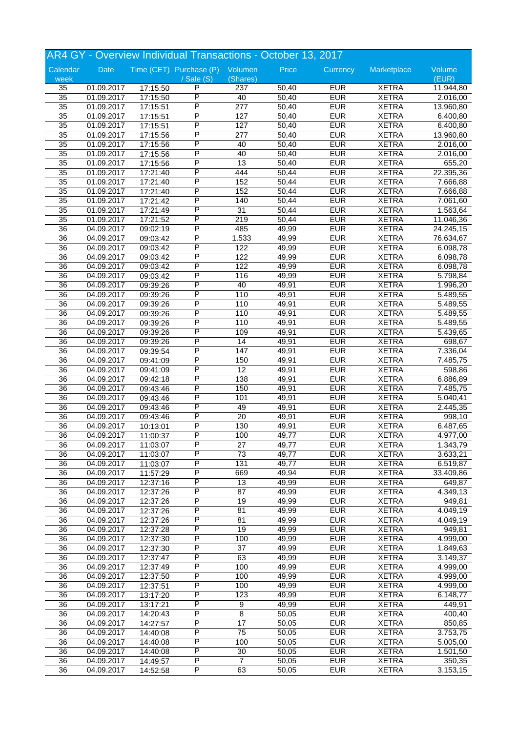|                 |            |          | AR4 GY - Overview Individual Transactions - October 13, 2017 |                  |       |            |              |           |
|-----------------|------------|----------|--------------------------------------------------------------|------------------|-------|------------|--------------|-----------|
| Calendar        | Date       |          | Time (CET) Purchase (P) Volumen                              |                  | Price | Currency   | Marketplace  | Volume    |
| week            |            |          | / Sale (S)                                                   | (Shares)         |       |            |              | (EUR)     |
| 35              | 01.09.2017 | 17:15:50 | P                                                            | 237              | 50,40 | <b>EUR</b> | <b>XETRA</b> | 11.944,80 |
| $\overline{35}$ | 01.09.2017 | 17:15:50 | P                                                            | 40               | 50,40 | <b>EUR</b> | <b>XETRA</b> | 2.016,00  |
| $\overline{35}$ | 01.09.2017 | 17:15:51 | P                                                            | $\overline{277}$ | 50,40 | <b>EUR</b> | <b>XETRA</b> | 13.960,80 |
| $\overline{35}$ | 01.09.2017 | 17:15:51 | P                                                            | 127              | 50,40 | <b>EUR</b> | <b>XETRA</b> | 6.400,80  |
| 35              | 01.09.2017 | 17:15:51 | P                                                            | 127              | 50,40 | <b>EUR</b> | <b>XETRA</b> | 6.400,80  |
| 35              | 01.09.2017 | 17:15:56 | P                                                            | 277              | 50,40 | <b>EUR</b> | <b>XETRA</b> | 13.960,80 |
| 35              | 01.09.2017 | 17:15:56 | P                                                            | 40               | 50,40 | <b>EUR</b> | <b>XETRA</b> | 2.016,00  |
| $\overline{35}$ | 01.09.2017 | 17:15:56 | P                                                            | 40               | 50,40 | <b>EUR</b> | <b>XETRA</b> | 2.016,00  |
| 35              | 01.09.2017 | 17:15:56 | P                                                            | 13               | 50,40 | <b>EUR</b> | <b>XETRA</b> | 655,20    |
|                 |            |          | P                                                            |                  |       |            |              |           |
| 35              | 01.09.2017 | 17:21:40 |                                                              | 444              | 50,44 | <b>EUR</b> | <b>XETRA</b> | 22.395,36 |
| 35              | 01.09.2017 | 17:21:40 | P                                                            | 152              | 50,44 | <b>EUR</b> | <b>XETRA</b> | 7.666,88  |
| $\overline{35}$ | 01.09.2017 | 17:21:40 | P                                                            | 152              | 50,44 | <b>EUR</b> | <b>XETRA</b> | 7.666,88  |
| $\overline{35}$ | 01.09.2017 | 17:21:42 | P                                                            | 140              | 50,44 | <b>EUR</b> | <b>XETRA</b> | 7.061,60  |
| $\overline{35}$ | 01.09.2017 | 17:21:49 | P                                                            | 31               | 50,44 | <b>EUR</b> | <b>XETRA</b> | 1.563,64  |
| 35              | 01.09.2017 | 17:21:52 | P                                                            | 219              | 50,44 | <b>EUR</b> | <b>XETRA</b> | 11.046,36 |
| 36              | 04.09.2017 | 09:02:19 | Ρ                                                            | 485              | 49,99 | <b>EUR</b> | <b>XETRA</b> | 24.245,15 |
| 36              | 04.09.2017 | 09:03:42 | P                                                            | 1.533            | 49,99 | <b>EUR</b> | <b>XETRA</b> | 76.634,67 |
| 36              | 04.09.2017 | 09:03:42 | P                                                            | 122              | 49,99 | <b>EUR</b> | <b>XETRA</b> | 6.098,78  |
| 36              | 04.09.2017 | 09:03:42 | P                                                            | 122              | 49,99 | <b>EUR</b> | <b>XETRA</b> | 6.098,78  |
| 36              | 04.09.2017 | 09:03:42 | P                                                            | 122              | 49,99 | <b>EUR</b> | <b>XETRA</b> | 6.098,78  |
| 36              | 04.09.2017 | 09:03:42 | P                                                            | 116              | 49,99 | <b>EUR</b> | <b>XETRA</b> | 5.798,84  |
| $\overline{36}$ | 04.09.2017 |          | P                                                            | 40               | 49,91 | <b>EUR</b> | <b>XETRA</b> | 1.996,20  |
| 36              |            | 09:39:26 | P                                                            | 110              | 49,91 | <b>EUR</b> | <b>XETRA</b> |           |
|                 | 04.09.2017 | 09:39:26 |                                                              |                  |       |            |              | 5.489,55  |
| 36              | 04.09.2017 | 09:39:26 | P                                                            | 110              | 49,91 | <b>EUR</b> | <b>XETRA</b> | 5.489,55  |
| 36              | 04.09.2017 | 09:39:26 | P                                                            | 110              | 49,91 | <b>EUR</b> | <b>XETRA</b> | 5.489,55  |
| 36              | 04.09.2017 | 09:39:26 | Ρ                                                            | 110              | 49,91 | <b>EUR</b> | <b>XETRA</b> | 5.489,55  |
| 36              | 04.09.2017 | 09:39:26 | P                                                            | 109              | 49,91 | <b>EUR</b> | <b>XETRA</b> | 5.439,65  |
| 36              | 04.09.2017 | 09:39:26 | P                                                            | $\overline{14}$  | 49,91 | <b>EUR</b> | <b>XETRA</b> | 698,67    |
| 36              | 04.09.2017 | 09:39:54 | P                                                            | 147              | 49,91 | <b>EUR</b> | <b>XETRA</b> | 7.336,04  |
| 36              | 04.09.2017 | 09:41:09 | P                                                            | 150              | 49,91 | <b>EUR</b> | <b>XETRA</b> | 7.485,75  |
| 36              | 04.09.2017 | 09:41:09 | P                                                            | 12               | 49,91 | <b>EUR</b> | <b>XETRA</b> | 598,86    |
| $\overline{36}$ | 04.09.2017 | 09:42:18 | P                                                            | 138              | 49,91 | <b>EUR</b> | <b>XETRA</b> | 6.886,89  |
| 36              | 04.09.2017 | 09:43:46 | P                                                            | 150              | 49,91 | <b>EUR</b> | <b>XETRA</b> | 7.485,75  |
| 36              | 04.09.2017 | 09:43:46 | P                                                            | 101              | 49,91 | <b>EUR</b> | <b>XETRA</b> | 5.040,41  |
| 36              | 04.09.2017 | 09:43:46 | P                                                            | 49               | 49,91 | <b>EUR</b> | <b>XETRA</b> | 2.445,35  |
|                 |            |          | P                                                            |                  |       |            |              |           |
| 36              | 04.09.2017 | 09:43:46 |                                                              | 20               | 49,91 | <b>EUR</b> | <b>XETRA</b> | 998,10    |
| $\overline{36}$ | 04.09.2017 | 10:13:01 | P                                                            | 130              | 49,91 | <b>EUR</b> | <b>XETRA</b> | 6.487,65  |
| 36              | 04.09.2017 | 11:00:37 | P                                                            | 100              | 49,77 | <b>EUR</b> | <b>XETRA</b> | 4.977,00  |
| 36              | 04.09.2017 | 11:03:07 | P                                                            | 27               | 49,77 | <b>EUR</b> | <b>XETRA</b> | 1.343,79  |
| 36              | 04.09.2017 | 11:03:07 | P                                                            | 73               | 49,77 | <b>EUR</b> | <b>XETRA</b> | 3.633,21  |
| 36              | 04.09.2017 | 11:03:07 | Ρ                                                            | 131              | 49,77 | <b>EUR</b> | <b>XETRA</b> | 6.519,87  |
| $\overline{36}$ | 04.09.2017 | 11:57:29 | Ρ                                                            | 669              | 49,94 | <b>EUR</b> | <b>XETRA</b> | 33.409,86 |
| $\overline{36}$ | 04.09.2017 | 12:37:16 | P                                                            | 13               | 49,99 | <b>EUR</b> | <b>XETRA</b> | 649,87    |
| 36              | 04.09.2017 | 12:37:26 | Ρ                                                            | 87               | 49,99 | <b>EUR</b> | <b>XETRA</b> | 4.349,13  |
| 36              | 04.09.2017 | 12:37:26 | Ρ                                                            | 19               | 49,99 | <b>EUR</b> | <b>XETRA</b> | 949,81    |
| 36              | 04.09.2017 | 12:37:26 | Ρ                                                            | 81               | 49,99 | <b>EUR</b> | <b>XETRA</b> | 4.049,19  |
| $\overline{36}$ | 04.09.2017 | 12:37:26 | P                                                            | 81               | 49,99 | <b>EUR</b> | <b>XETRA</b> |           |
|                 |            |          | P                                                            |                  |       |            |              | 4.049,19  |
| $\overline{36}$ | 04.09.2017 | 12:37:28 |                                                              | 19               | 49,99 | <b>EUR</b> | <b>XETRA</b> | 949,81    |
| 36              | 04.09.2017 | 12:37:30 | Ρ                                                            | 100              | 49,99 | <b>EUR</b> | <b>XETRA</b> | 4.999,00  |
| 36              | 04.09.2017 | 12:37:30 | P                                                            | 37               | 49,99 | <b>EUR</b> | <b>XETRA</b> | 1.849,63  |
| 36              | 04.09.2017 | 12:37:47 | Ρ                                                            | 63               | 49,99 | <b>EUR</b> | <b>XETRA</b> | 3.149,37  |
| 36              | 04.09.2017 | 12:37:49 | Ρ                                                            | 100              | 49,99 | <b>EUR</b> | <b>XETRA</b> | 4.999,00  |
| $\overline{36}$ | 04.09.2017 | 12:37:50 | P                                                            | 100              | 49,99 | <b>EUR</b> | <b>XETRA</b> | 4.999,00  |
| 36              | 04.09.2017 | 12:37:51 | Ρ                                                            | 100              | 49,99 | <b>EUR</b> | <b>XETRA</b> | 4.999,00  |
| 36              | 04.09.2017 | 13:17:20 | P                                                            | 123              | 49,99 | <b>EUR</b> | <b>XETRA</b> | 6.148,77  |
| 36              | 04.09.2017 | 13:17:21 | Ρ                                                            | 9                | 49,99 | <b>EUR</b> | <b>XETRA</b> | 449,91    |
| $\overline{36}$ | 04.09.2017 | 14:20:43 | P                                                            | 8                | 50,05 | <b>EUR</b> | <b>XETRA</b> | 400,40    |
| $\overline{36}$ | 04.09.2017 | 14:27:57 | P                                                            | 17               | 50,05 | <b>EUR</b> | <b>XETRA</b> | 850,85    |
| 36              | 04.09.2017 |          | Ρ                                                            | $\overline{75}$  | 50,05 | <b>EUR</b> | <b>XETRA</b> | 3.753,75  |
|                 |            | 14:40:08 |                                                              |                  |       |            |              |           |
| 36              | 04.09.2017 | 14:40:08 | P                                                            | 100              | 50,05 | <b>EUR</b> | <b>XETRA</b> | 5.005,00  |
| 36              | 04.09.2017 | 14:40:08 | Ρ                                                            | 30               | 50,05 | <b>EUR</b> | <b>XETRA</b> | 1.501,50  |
| $\overline{36}$ | 04.09.2017 | 14:49:57 | Ρ                                                            | $\overline{7}$   | 50,05 | <b>EUR</b> | <b>XETRA</b> | 350,35    |
| $\overline{36}$ | 04.09.2017 | 14:52:58 | P                                                            | 63               | 50,05 | <b>EUR</b> | <b>XETRA</b> | 3.153,15  |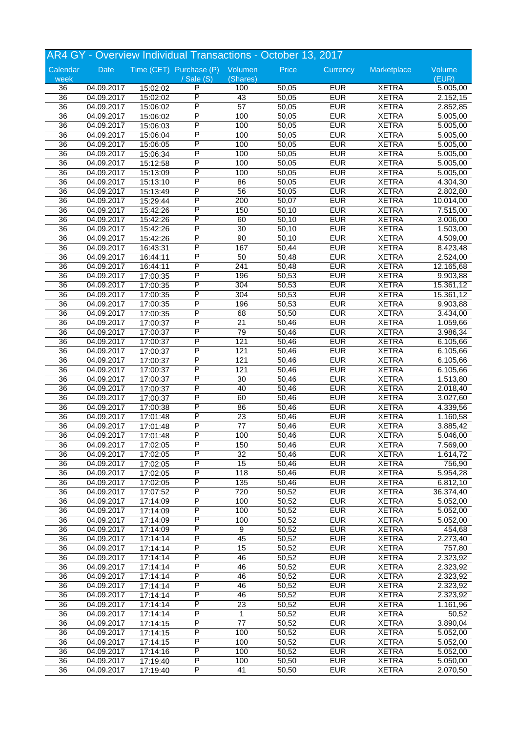|                 |            |          | AR4 GY - Overview Individual Transactions - October 13, 2017 |                  |       |            |              |                      |
|-----------------|------------|----------|--------------------------------------------------------------|------------------|-------|------------|--------------|----------------------|
| Calendar        | Date       |          | Time (CET) Purchase (P) Volumen                              |                  | Price | Currency   | Marketplace  | Volume               |
| week            |            |          | / Sale (S)                                                   | (Shares)         |       |            |              | (EUR)                |
| 36              | 04.09.2017 | 15:02:02 | P                                                            | 100              | 50,05 | <b>EUR</b> | <b>XETRA</b> | 5.005,00             |
| $\overline{36}$ | 04.09.2017 | 15:02:02 | P                                                            | 43               | 50,05 | <b>EUR</b> | <b>XETRA</b> | 2.152,15             |
| $\overline{36}$ | 04.09.2017 | 15:06:02 | P                                                            | 57               | 50,05 | <b>EUR</b> | <b>XETRA</b> | 2.852,85             |
| 36              | 04.09.2017 | 15:06:02 | P                                                            | 100              | 50,05 | <b>EUR</b> | <b>XETRA</b> | 5.005,00             |
| 36              | 04.09.2017 | 15:06:03 | P                                                            | 100              | 50,05 | <b>EUR</b> | <b>XETRA</b> | 5.005,00             |
| 36              | 04.09.2017 | 15:06:04 | P                                                            | 100              | 50,05 | <b>EUR</b> | <b>XETRA</b> | 5.005,00             |
| 36              | 04.09.2017 | 15:06:05 | P                                                            | 100              | 50,05 | <b>EUR</b> | <b>XETRA</b> | 5.005,00             |
| 36              | 04.09.2017 | 15:06:34 | P                                                            | 100              | 50,05 | <b>EUR</b> | <b>XETRA</b> | 5.005,00             |
| 36              | 04.09.2017 | 15:12:58 | P                                                            | 100              | 50,05 | <b>EUR</b> | <b>XETRA</b> | 5.005,00             |
| 36              | 04.09.2017 | 15:13:09 | P                                                            | 100              | 50,05 | <b>EUR</b> | <b>XETRA</b> | 5.005,00             |
| 36              | 04.09.2017 | 15:13:10 | P                                                            | 86               | 50,05 | <b>EUR</b> | <b>XETRA</b> | 4.304,30             |
| 36              | 04.09.2017 | 15:13:49 | P                                                            | 56               | 50,05 | <b>EUR</b> | <b>XETRA</b> | 2.802,80             |
| 36              | 04.09.2017 | 15:29:44 | P                                                            | $\overline{200}$ | 50,07 | <b>EUR</b> | <b>XETRA</b> | 10.014,00            |
| 36              | 04.09.2017 | 15:42:26 | P                                                            | 150              | 50,10 | <b>EUR</b> | <b>XETRA</b> | 7.515,00             |
| 36              | 04.09.2017 | 15:42:26 | P                                                            | 60               | 50,10 | <b>EUR</b> | <b>XETRA</b> | 3.006,00             |
|                 | 04.09.2017 | 15:42:26 | Ρ                                                            | 30               | 50,10 | <b>EUR</b> | <b>XETRA</b> |                      |
| 36<br>36        | 04.09.2017 |          | P                                                            | $\overline{90}$  | 50,10 | <b>EUR</b> | <b>XETRA</b> | 1.503,00<br>4.509,00 |
|                 |            | 15:42:26 | P                                                            | 167              |       | <b>EUR</b> |              |                      |
| 36              | 04.09.2017 | 16:43:31 | P                                                            |                  | 50,44 |            | <b>XETRA</b> | 8.423,48             |
| 36              | 04.09.2017 | 16:44:11 |                                                              | 50               | 50,48 | <b>EUR</b> | <b>XETRA</b> | 2.524,00             |
| 36              | 04.09.2017 | 16:44:11 | P                                                            | 241              | 50,48 | <b>EUR</b> | <b>XETRA</b> | 12.165,68            |
| 36              | 04.09.2017 | 17:00:35 | P                                                            | 196              | 50,53 | <b>EUR</b> | <b>XETRA</b> | 9.903,88             |
| $\overline{36}$ | 04.09.2017 | 17:00:35 | P                                                            | 304              | 50,53 | <b>EUR</b> | <b>XETRA</b> | 15.361,12            |
| 36              | 04.09.2017 | 17:00:35 | P                                                            | 304              | 50,53 | <b>EUR</b> | <b>XETRA</b> | 15.361,12            |
| 36              | 04.09.2017 | 17:00:35 | P                                                            | 196              | 50,53 | <b>EUR</b> | <b>XETRA</b> | 9.903,88             |
| 36              | 04.09.2017 | 17:00:35 | P                                                            | 68               | 50,50 | <b>EUR</b> | <b>XETRA</b> | 3.434,00             |
| 36              | 04.09.2017 | 17:00:37 | Ρ                                                            | 21               | 50,46 | <b>EUR</b> | <b>XETRA</b> | 1.059,66             |
| 36              | 04.09.2017 | 17:00:37 | P                                                            | 79               | 50,46 | <b>EUR</b> | <b>XETRA</b> | 3.986,34             |
| 36              | 04.09.2017 | 17:00:37 | P                                                            | 121              | 50,46 | <b>EUR</b> | <b>XETRA</b> | 6.105,66             |
| 36              | 04.09.2017 | 17:00:37 | P                                                            | 121              | 50,46 | <b>EUR</b> | <b>XETRA</b> | 6.105,66             |
| 36              | 04.09.2017 | 17:00:37 | P                                                            | 121              | 50,46 | <b>EUR</b> | <b>XETRA</b> | 6.105,66             |
| 36              | 04.09.2017 | 17:00:37 | Ρ                                                            | 121              | 50,46 | <b>EUR</b> | <b>XETRA</b> | 6.105,66             |
| $\overline{36}$ | 04.09.2017 | 17:00:37 | P                                                            | 30               | 50,46 | <b>EUR</b> | <b>XETRA</b> | 1.513,80             |
| 36              | 04.09.2017 | 17:00:37 | P                                                            | 40               | 50,46 | <b>EUR</b> | <b>XETRA</b> | 2.018,40             |
| 36              | 04.09.2017 | 17:00:37 | P                                                            | 60               | 50,46 | <b>EUR</b> | <b>XETRA</b> | 3.027,60             |
| 36              | 04.09.2017 | 17:00:38 | P                                                            | 86               | 50,46 | <b>EUR</b> | <b>XETRA</b> | 4.339,56             |
| 36              | 04.09.2017 | 17:01:48 | P                                                            | 23               | 50,46 | <b>EUR</b> | <b>XETRA</b> | 1.160,58             |
| $\overline{36}$ |            |          | P                                                            | $\overline{77}$  |       | <b>EUR</b> |              |                      |
|                 | 04.09.2017 | 17:01:48 | P                                                            | 100              | 50,46 |            | <b>XETRA</b> | 3.885,42             |
| 36              | 04.09.2017 | 17:01:48 |                                                              |                  | 50,46 | <b>EUR</b> | <b>XETRA</b> | 5.046,00             |
| 36              | 04.09.2017 | 17:02:05 | Ρ                                                            | 150              | 50,46 | <b>EUR</b> | <b>XETRA</b> | 7.569,00             |
| 36              | 04.09.2017 | 17:02:05 | P                                                            | 32               | 50,46 | <b>EUR</b> | <b>XETRA</b> | 1.614,72             |
| 36              | 04.09.2017 | 17:02:05 | Ρ                                                            | 15               | 50,46 | <b>EUR</b> | <b>XETRA</b> | 756,90               |
| $\overline{36}$ | 04.09.2017 | 17:02:05 | Ρ                                                            | 118              | 50,46 | <b>EUR</b> | <b>XETRA</b> | 5.954,28             |
| 36              | 04.09.2017 | 17:02:05 | P                                                            | 135              | 50,46 | <b>EUR</b> | <b>XETRA</b> | 6.812,10             |
| 36              | 04.09.2017 | 17:07:52 | Ρ                                                            | 720              | 50,52 | <b>EUR</b> | <b>XETRA</b> | 36.374,40            |
| 36              | 04.09.2017 | 17:14:09 | Ρ                                                            | 100              | 50,52 | <b>EUR</b> | <b>XETRA</b> | 5.052,00             |
| 36              | 04.09.2017 | 17:14:09 | P                                                            | 100              | 50,52 | <b>EUR</b> | <b>XETRA</b> | 5.052,00             |
| $\overline{36}$ | 04.09.2017 | 17:14:09 | P                                                            | 100              | 50,52 | <b>EUR</b> | <b>XETRA</b> | 5.052,00             |
| $\overline{36}$ | 04.09.2017 | 17:14:09 | P                                                            | $\overline{9}$   | 50,52 | <b>EUR</b> | <b>XETRA</b> | 454,68               |
| 36              | 04.09.2017 | 17:14:14 | Ρ                                                            | 45               | 50,52 | <b>EUR</b> | <b>XETRA</b> | 2.273,40             |
| 36              | 04.09.2017 | 17:14:14 | P                                                            | 15               | 50,52 | <b>EUR</b> | <b>XETRA</b> | 757,80               |
| 36              | 04.09.2017 | 17:14:14 | P                                                            | 46               | 50,52 | <b>EUR</b> | <b>XETRA</b> | 2.323,92             |
| 36              | 04.09.2017 | 17:14:14 | Ρ                                                            | 46               | 50,52 | <b>EUR</b> | <b>XETRA</b> | 2.323,92             |
| $\overline{36}$ | 04.09.2017 | 17:14:14 | P                                                            | 46               | 50,52 | <b>EUR</b> | <b>XETRA</b> | 2.323,92             |
| 36              | 04.09.2017 | 17:14:14 | Ρ                                                            | 46               | 50,52 | <b>EUR</b> | <b>XETRA</b> | 2.323,92             |
| 36              | 04.09.2017 | 17:14:14 | P                                                            | 46               | 50,52 | <b>EUR</b> | <b>XETRA</b> | 2.323,92             |
|                 |            |          | Ρ                                                            |                  |       |            |              |                      |
| 36              | 04.09.2017 | 17:14:14 |                                                              | 23               | 50,52 | <b>EUR</b> | <b>XETRA</b> | 1.161,96             |
| $\overline{36}$ | 04.09.2017 | 17:14:14 | P                                                            | 1                | 50,52 | <b>EUR</b> | <b>XETRA</b> | 50,52                |
| $\overline{36}$ | 04.09.2017 | 17:14:15 | P                                                            | $\overline{77}$  | 50,52 | <b>EUR</b> | <b>XETRA</b> | 3.890,04             |
| 36              | 04.09.2017 | 17:14:15 | Ρ                                                            | 100              | 50,52 | <b>EUR</b> | <b>XETRA</b> | 5.052,00             |
| 36              | 04.09.2017 | 17:14:15 | P                                                            | 100              | 50,52 | <b>EUR</b> | <b>XETRA</b> | 5.052,00             |
| 36              | 04.09.2017 | 17:14:16 | P                                                            | 100              | 50,52 | <b>EUR</b> | <b>XETRA</b> | 5.052,00             |
| 36              | 04.09.2017 | 17:19:40 | Ρ                                                            | 100              | 50,50 | <b>EUR</b> | <b>XETRA</b> | 5.050,00             |
| $\overline{36}$ | 04.09.2017 | 17:19:40 | P                                                            | 41               | 50,50 | <b>EUR</b> | <b>XETRA</b> | 2.070,50             |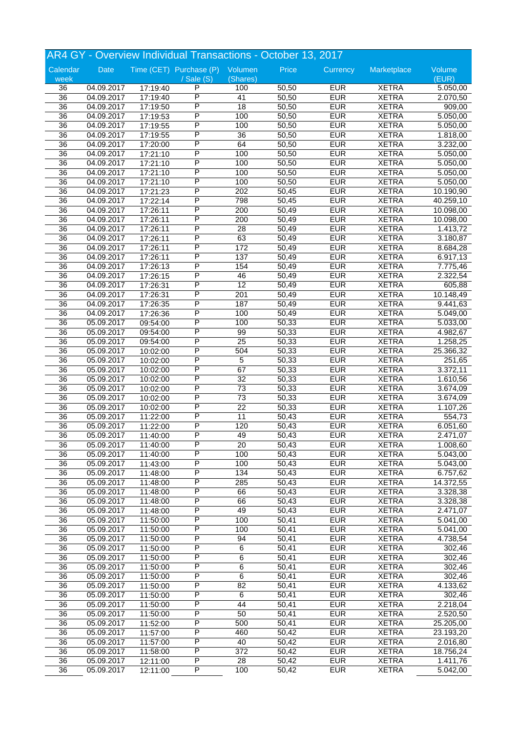|                 | AR4 GY - Overview Individual Transactions - October 13, 2017 |          |                                 |                 |                    |            |              |                       |  |
|-----------------|--------------------------------------------------------------|----------|---------------------------------|-----------------|--------------------|------------|--------------|-----------------------|--|
| Calendar        | Date                                                         |          | Time (CET) Purchase (P) Volumen |                 | Price              | Currency   | Marketplace  | Volume                |  |
| week            |                                                              |          | $\sqrt{s}$ ale $(S)$            | (Shares)        |                    |            |              | (EUR)                 |  |
| 36              | 04.09.2017                                                   | 17:19:40 | P                               | 100             | 50,50              | <b>EUR</b> | <b>XETRA</b> | 5.050,00              |  |
| $\overline{36}$ | 04.09.2017                                                   | 17:19:40 | $\overline{\mathsf{P}}$         | 41              | 50,50              | <b>EUR</b> | <b>XETRA</b> | 2.070,50              |  |
| $\overline{36}$ | 04.09.2017                                                   | 17:19:50 | P                               | $\overline{18}$ | 50,50              | <b>EUR</b> | <b>XETRA</b> | 909,00                |  |
| $\overline{36}$ | 04.09.2017                                                   | 17:19:53 | P                               | 100             | 50,50              | <b>EUR</b> | <b>XETRA</b> | 5.050,00              |  |
| 36              | 04.09.2017                                                   | 17:19:55 | P                               | 100             | 50,50              | <b>EUR</b> | <b>XETRA</b> | 5.050,00              |  |
| $\overline{36}$ | 04.09.2017                                                   | 17:19:55 | P                               | 36              | 50,50              | <b>EUR</b> | <b>XETRA</b> | 1.818,00              |  |
| $\overline{36}$ | 04.09.2017                                                   | 17:20:00 | $\overline{\mathsf{P}}$         | 64              | 50,50              | <b>EUR</b> | <b>XETRA</b> | 3.232,00              |  |
| 36              | 04.09.2017                                                   | 17:21:10 | P                               | 100             | 50,50              | <b>EUR</b> | <b>XETRA</b> | 5.050,00              |  |
| 36              | 04.09.2017                                                   | 17:21:10 | P                               | 100             | 50,50              | <b>EUR</b> | <b>XETRA</b> | 5.050,00              |  |
| 36              | 04.09.2017                                                   | 17:21:10 | P                               | 100             | 50,50              | <b>EUR</b> | <b>XETRA</b> | 5.050,00              |  |
| 36              | 04.09.2017                                                   | 17:21:10 | P                               | 100             | 50,50              | <b>EUR</b> | <b>XETRA</b> | 5.050,00              |  |
| $\overline{36}$ | 04.09.2017                                                   | 17:21:23 | $\overline{\mathsf{P}}$         | 202             | 50,45              | <b>EUR</b> | <b>XETRA</b> | 10.190,90             |  |
| 36              | 04.09.2017                                                   | 17:22:14 | P                               | 798             | 50,45              | <b>EUR</b> | <b>XETRA</b> | 40.259,10             |  |
| $\overline{36}$ | 04.09.2017                                                   | 17:26:11 | P                               | 200             | 50,49              | <b>EUR</b> | <b>XETRA</b> | 10.098,00             |  |
| 36              | 04.09.2017                                                   | 17:26:11 | P                               | 200             | 50,49              | <b>EUR</b> | <b>XETRA</b> | 10.098,00             |  |
| 36              | 04.09.2017                                                   | 17:26:11 | P                               | 28              | 50,49              | <b>EUR</b> | <b>XETRA</b> | 1.413,72              |  |
| $\overline{36}$ | 04.09.2017                                                   | 17:26:11 | P                               | 63              | 50,49              | <b>EUR</b> | <b>XETRA</b> | 3.180,87              |  |
| 36              | 04.09.2017                                                   | 17:26:11 | P                               | 172             | 50,49              | <b>EUR</b> | <b>XETRA</b> | 8.684,28              |  |
| 36              | 04.09.2017                                                   | 17:26:11 | P                               | 137             | 50,49              | <b>EUR</b> | <b>XETRA</b> | 6.917,13              |  |
| 36              | 04.09.2017                                                   | 17:26:13 | P                               | 154             | 50,49              | <b>EUR</b> | <b>XETRA</b> | 7.775,46              |  |
| 36              | 04.09.2017                                                   | 17:26:15 | P                               | 46              | 50,49              | <b>EUR</b> | <b>XETRA</b> | 2.322,54              |  |
| $\overline{36}$ | 04.09.2017                                                   | 17:26:31 | $\overline{\mathsf{P}}$         | $\overline{12}$ | 50,49              | <b>EUR</b> | <b>XETRA</b> | 605,88                |  |
| $\overline{36}$ | 04.09.2017                                                   | 17:26:31 | P                               | 201             | 50,49              | <b>EUR</b> | <b>XETRA</b> | 10.148,49             |  |
| $\overline{36}$ | 04.09.2017                                                   | 17:26:35 | P                               | 187             | 50,49              | <b>EUR</b> | <b>XETRA</b> | 9.441,63              |  |
|                 |                                                              | 17:26:36 | P                               |                 |                    | <b>EUR</b> |              |                       |  |
| 36              | 04.09.2017                                                   |          | P                               | 100             | 50,49              |            | <b>XETRA</b> | 5.049,00              |  |
| 36              | 05.09.2017                                                   | 09:54:00 |                                 | 100             | 50,33              | <b>EUR</b> | <b>XETRA</b> | $\overline{5.033,00}$ |  |
| $\overline{36}$ | 05.09.2017                                                   | 09:54:00 | P                               | 99              | 50,33              | <b>EUR</b> | <b>XETRA</b> | 4.982,67              |  |
| $\overline{36}$ | 05.09.2017                                                   | 09:54:00 | P                               | $\overline{25}$ | 50,33              | <b>EUR</b> | <b>XETRA</b> | 1.258,25              |  |
| 36              | 05.09.2017                                                   | 10:02:00 | P                               | 504             | 50,33              | <b>EUR</b> | <b>XETRA</b> | 25.366,32             |  |
| 36              | 05.09.2017                                                   | 10:02:00 | P                               | 5               | 50,33              | <b>EUR</b> | <b>XETRA</b> | 251,65                |  |
| 36              | 05.09.2017                                                   | 10:02:00 | P                               | 67              | 50,33              | <b>EUR</b> | <b>XETRA</b> | 3.372,11              |  |
| $\overline{36}$ | 05.09.2017                                                   | 10:02:00 | $\overline{\mathsf{P}}$         | $\overline{32}$ | 50,33              | <b>EUR</b> | <b>XETRA</b> | 1.610,56              |  |
| $\overline{36}$ | 05.09.2017                                                   | 10:02:00 | $\overline{\mathsf{P}}$         | 73              | 50,33              | <b>EUR</b> | <b>XETRA</b> | 3.674,09              |  |
| 36              | 05.09.2017                                                   | 10:02:00 | P                               | $\overline{73}$ | 50,33              | <b>EUR</b> | <b>XETRA</b> | 3.674,09              |  |
| 36              | 05.09.2017                                                   | 10:02:00 | P                               | $\overline{22}$ | 50,33              | <b>EUR</b> | <b>XETRA</b> | 1.107,26              |  |
| 36              | 05.09.2017                                                   | 11:22:00 | P                               | 11              | $\overline{50,}43$ | <b>EUR</b> | <b>XETRA</b> | 554,73                |  |
| $\overline{36}$ | 05.09.2017                                                   | 11:22:00 | P                               | 120             | 50,43              | <b>EUR</b> | <b>XETRA</b> | 6.051,60              |  |
| $\overline{36}$ | 05.09.2017                                                   | 11:40:00 | $\overline{P}$                  | 49              | 50,43              | <b>EUR</b> | <b>XETRA</b> | 2.471,07              |  |
| 36              | 05.09.2017                                                   | 11:40:00 | P                               | 20              | 50,43              | <b>EUR</b> | <b>XETRA</b> | 1.008,60              |  |
| 36              | 05.09.2017                                                   | 11:40:00 | P                               | 100             | 50,43              | <b>EUR</b> | <b>XETRA</b> | 5.043,00              |  |
| 36              | 05.09.2017                                                   | 11:43:00 | P                               | 100             | 50,43              | <b>EUR</b> | <b>XETRA</b> | 5.043,00              |  |
| $\overline{36}$ | 05.09.2017                                                   | 11:48:00 | $\overline{\mathsf{P}}$         | $\frac{134}{2}$ | 50,43              | <b>EUR</b> | <b>XETRA</b> | 6.757,62              |  |
| 36              | 05.09.2017                                                   | 11:48:00 | $\overline{P}$                  | 285             | 50,43              | <b>EUR</b> | <b>XETRA</b> | 14.372,55             |  |
| 36              | 05.09.2017                                                   | 11:48:00 | $\overline{P}$                  | 66              | 50,43              | <b>EUR</b> | <b>XETRA</b> | 3.328,38              |  |
| 36              | 05.09.2017                                                   | 11:48:00 | P                               | 66              | 50,43              | <b>EUR</b> | <b>XETRA</b> | 3.328,38              |  |
| 36              | 05.09.2017                                                   | 11:48:00 | $\overline{\mathsf{P}}$         | 49              | 50,43              | <b>EUR</b> | <b>XETRA</b> | 2.471,07              |  |
| $\overline{36}$ | 05.09.2017                                                   | 11:50:00 | $\overline{P}$                  | 100             | 50,41              | <b>EUR</b> | <b>XETRA</b> | 5.041,00              |  |
| $\overline{36}$ | 05.09.2017                                                   | 11:50:00 | $\overline{P}$                  | 100             | 50,41              | <b>EUR</b> | <b>XETRA</b> | 5.041,00              |  |
| 36              | 05.09.2017                                                   | 11:50:00 | $\overline{P}$                  | 94              | 50,41              | <b>EUR</b> | <b>XETRA</b> | 4.738,54              |  |
| 36              | 05.09.2017                                                   | 11:50:00 | P                               | 6               | 50,41              | <b>EUR</b> | <b>XETRA</b> | 302,46                |  |
| 36              | 05.09.2017                                                   | 11:50:00 | $\overline{\mathsf{P}}$         | 6               | 50,41              | <b>EUR</b> | <b>XETRA</b> | 302,46                |  |
| 36              | 05.09.2017                                                   | 11:50:00 | $\overline{\mathsf{P}}$         | 6               | 50,41              | <b>EUR</b> | <b>XETRA</b> | 302,46                |  |
| $\overline{36}$ | 05.09.2017                                                   | 11:50:00 | $\overline{\mathsf{P}}$         | 6               | 50,41              | <b>EUR</b> | <b>XETRA</b> | 302,46                |  |
| 36              | 05.09.2017                                                   | 11:50:00 | $\overline{P}$                  | $\overline{82}$ | 50,41              | <b>EUR</b> | <b>XETRA</b> | 4.133,62              |  |
| 36              | 05.09.2017                                                   | 11:50:00 | P                               | 6               | 50,41              | <b>EUR</b> | <b>XETRA</b> | 302,46                |  |
| 36              | 05.09.2017                                                   | 11:50:00 | $\overline{\mathsf{P}}$         | 44              | 50,41              | <b>EUR</b> | <b>XETRA</b> | 2.218,04              |  |
| $\overline{36}$ | 05.09.2017                                                   | 11:50:00 | $\overline{\mathsf{P}}$         | 50              | 50,41              | <b>EUR</b> | <b>XETRA</b> | 2.520,50              |  |
| $\overline{36}$ | 05.09.2017                                                   | 11:52:00 | $\overline{P}$                  | 500             | 50,41              | <b>EUR</b> | <b>XETRA</b> | 25.205,00             |  |
| 36              | 05.09.2017                                                   | 11:57:00 | $\overline{P}$                  | 460             | 50,42              | EUR        | <b>XETRA</b> | 23.193,20             |  |
| 36              | 05.09.2017                                                   | 11:57:00 | P                               | 40              | 50,42              | <b>EUR</b> | <b>XETRA</b> | 2.016,80              |  |
| 36              | 05.09.2017                                                   |          | $\overline{\mathsf{P}}$         | 372             | 50,42              | <b>EUR</b> | <b>XETRA</b> | 18.756,24             |  |
|                 |                                                              | 11:58:00 | $\overline{\mathsf{P}}$         |                 |                    | <b>EUR</b> |              |                       |  |
| 36              | 05.09.2017                                                   | 12:11:00 | P                               | 28              | 50,42              |            | <b>XETRA</b> | 1.411,76              |  |
| $\overline{36}$ | 05.09.2017                                                   | 12:11:00 |                                 | 100             | 50,42              | <b>EUR</b> | <b>XETRA</b> | 5.042,00              |  |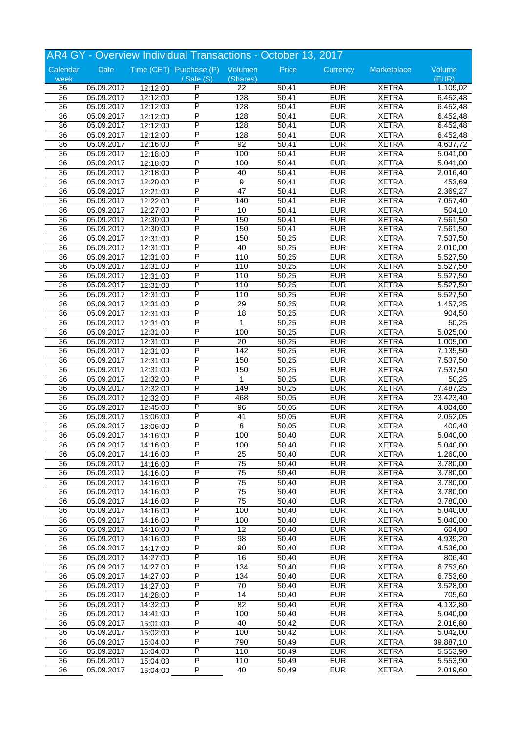|                 |            |                      | AR4 GY - Overview Individual Transactions - October 13, 2017 |                 |       |            |              |                       |
|-----------------|------------|----------------------|--------------------------------------------------------------|-----------------|-------|------------|--------------|-----------------------|
| Calendar        | Date       |                      | Time (CET) Purchase (P) Volumen                              |                 | Price | Currency   | Marketplace  | Volume                |
| week            |            |                      | $/$ Sale $(S)$                                               | (Shares)        |       |            |              | (EUR)                 |
| 36              | 05.09.2017 | 12:12:00             | P                                                            | 22              | 50,41 | <b>EUR</b> | <b>XETRA</b> | 1.109,02              |
| $\overline{36}$ | 05.09.2017 | 12:12:00             | P                                                            | 128             | 50,41 | <b>EUR</b> | <b>XETRA</b> | 6.452,48              |
| 36              | 05.09.2017 | 12:12:00             | P                                                            | 128             | 50,41 | <b>EUR</b> | <b>XETRA</b> | 6.452,48              |
| 36              | 05.09.2017 | 12:12:00             | P                                                            | 128             | 50,41 | <b>EUR</b> | <b>XETRA</b> | 6.452,48              |
| 36              | 05.09.2017 | 12:12:00             | P                                                            | 128             | 50,41 | <b>EUR</b> | <b>XETRA</b> | 6.452,48              |
| 36              | 05.09.2017 | 12:12:00             | P                                                            | 128             | 50,41 | <b>EUR</b> | <b>XETRA</b> | 6.452,48              |
| $\overline{36}$ | 05.09.2017 | 12:16:00             | P                                                            | 92              | 50,41 | <b>EUR</b> | <b>XETRA</b> | 4.637,72              |
| 36              | 05.09.2017 | 12:18:00             | P                                                            | 100             | 50,41 | <b>EUR</b> | <b>XETRA</b> | 5.041,00              |
| 36              | 05.09.2017 | 12:18:00             | P                                                            | 100             | 50,41 | <b>EUR</b> | <b>XETRA</b> | 5.041,00              |
| 36              | 05.09.2017 | 12:18:00             | P                                                            | 40              | 50,41 | <b>EUR</b> | <b>XETRA</b> | 2.016,40              |
| 36              | 05.09.2017 | 12:20:00             | P                                                            | 9               | 50,41 | <b>EUR</b> | <b>XETRA</b> | 453,69                |
| $\overline{36}$ | 05.09.2017 | 12:21:00             | P                                                            | $\overline{47}$ | 50,41 | <b>EUR</b> | <b>XETRA</b> | 2.369,27              |
| 36              | 05.09.2017 | 12:22:00             | P                                                            | 140             | 50,41 | <b>EUR</b> | <b>XETRA</b> | 7.057,40              |
| 36              | 05.09.2017 | 12:27:00             | P                                                            | 10              | 50,41 | <b>EUR</b> | <b>XETRA</b> | 504,10                |
| 36              | 05.09.2017 | 12:30:00             | P                                                            | 150             | 50,41 | <b>EUR</b> | <b>XETRA</b> | 7.561,50              |
| 36              | 05.09.2017 | 12:30:00             | P                                                            | 150             | 50,41 | <b>EUR</b> | <b>XETRA</b> | 7.561,50              |
| 36              | 05.09.2017 | 12:31:00             | P                                                            | 150             | 50,25 | <b>EUR</b> | <b>XETRA</b> | 7.537,50              |
| 36              | 05.09.2017 | 12:31:00             | P                                                            | 40              | 50,25 | <b>EUR</b> | <b>XETRA</b> | 2.010,00              |
| 36              | 05.09.2017 | 12:31:00             | P                                                            | 110             | 50,25 | <b>EUR</b> | <b>XETRA</b> | 5.527,50              |
| 36              | 05.09.2017 | 12:31:00             | P                                                            | 110             | 50,25 | <b>EUR</b> | <b>XETRA</b> | 5.527,50              |
| 36              | 05.09.2017 | 12:31:00             | P                                                            | 110             | 50,25 | <b>EUR</b> | <b>XETRA</b> | 5.527,50              |
| $\overline{36}$ | 05.09.2017 |                      | P                                                            | 110             | 50,25 | <b>EUR</b> | <b>XETRA</b> |                       |
| 36              | 05.09.2017 | 12:31:00<br>12:31:00 | P                                                            | 110             | 50,25 | <b>EUR</b> | <b>XETRA</b> | 5.527,50<br>5.527,50  |
|                 | 05.09.2017 |                      | P                                                            | 29              | 50,25 | <b>EUR</b> | <b>XETRA</b> | 1.457,25              |
| 36              |            | 12:31:00             | P                                                            |                 |       |            |              |                       |
| 36              | 05.09.2017 | 12:31:00             | P                                                            | 18              | 50,25 | <b>EUR</b> | <b>XETRA</b> | 904,50                |
| 36              | 05.09.2017 | 12:31:00             |                                                              | 1               | 50,25 | <b>EUR</b> | <b>XETRA</b> | 50,25                 |
| 36              | 05.09.2017 | 12:31:00             | P                                                            | 100             | 50,25 | <b>EUR</b> | <b>XETRA</b> | 5.025,00              |
| 36              | 05.09.2017 | 12:31:00             | P                                                            | 20              | 50,25 | <b>EUR</b> | <b>XETRA</b> | 1.005,00              |
| 36              | 05.09.2017 | 12:31:00             | P                                                            | 142             | 50,25 | <b>EUR</b> | <b>XETRA</b> | 7.135,50              |
| 36              | 05.09.2017 | 12:31:00             | P                                                            | 150             | 50,25 | <b>EUR</b> | <b>XETRA</b> | 7.537,50              |
| 36              | 05.09.2017 | 12:31:00             | P                                                            | 150             | 50,25 | <b>EUR</b> | <b>XETRA</b> | $\overline{7.537,50}$ |
| $\overline{36}$ | 05.09.2017 | 12:32:00             | P                                                            | 1               | 50,25 | <b>EUR</b> | <b>XETRA</b> | 50,25                 |
| 36              | 05.09.2017 | 12:32:00             | P                                                            | 149             | 50,25 | <b>EUR</b> | <b>XETRA</b> | 7.487,25              |
| 36              | 05.09.2017 | 12:32:00             | P                                                            | 468             | 50,05 | <b>EUR</b> | <b>XETRA</b> | 23.423,40             |
| 36              | 05.09.2017 | 12:45:00             | P                                                            | 96              | 50,05 | <b>EUR</b> | <b>XETRA</b> | 4.804,80              |
| 36              | 05.09.2017 | 13:06:00             | P                                                            | 41              | 50,05 | <b>EUR</b> | <b>XETRA</b> | 2.052,05              |
| $\overline{36}$ | 05.09.2017 | 13:06:00             | P                                                            | 8               | 50,05 | <b>EUR</b> | <b>XETRA</b> | 400,40                |
| 36              | 05.09.2017 | 14:16:00             | P                                                            | 100             | 50,40 | <b>EUR</b> | <b>XETRA</b> | 5.040,00              |
| 36              | 05.09.2017 | 14:16:00             | Ρ                                                            | 100             | 50,40 | <b>EUR</b> | <b>XETRA</b> | 5.040,00              |
| 36              | 05.09.2017 | 14:16:00             | P                                                            | $\overline{25}$ | 50,40 | <b>EUR</b> | <b>XETRA</b> | 1.260,00              |
| 36              | 05.09.2017 | 14:16:00             | P                                                            | 75              | 50,40 | <b>EUR</b> | <b>XETRA</b> | 3.780,00              |
| $\overline{36}$ | 05.09.2017 | 14:16:00             | P                                                            | $\overline{75}$ | 50,40 | <b>EUR</b> | <b>XETRA</b> | 3.780,00              |
| 36              | 05.09.2017 | 14:16:00             | $\overline{\mathsf{P}}$                                      | $\overline{75}$ | 50,40 | <b>EUR</b> | <b>XETRA</b> | 3.780,00              |
| 36              | 05.09.2017 | 14:16:00             | Ρ                                                            | 75              | 50,40 | <b>EUR</b> | <b>XETRA</b> | 3.780,00              |
| 36              | 05.09.2017 | 14:16:00             | Ρ                                                            | 75              | 50,40 | <b>EUR</b> | <b>XETRA</b> | 3.780,00              |
| 36              | 05.09.2017 | 14:16:00             | P                                                            | 100             | 50,40 | <b>EUR</b> | <b>XETRA</b> | 5.040,00              |
| $\overline{36}$ | 05.09.2017 | 14:16:00             | P                                                            | 100             | 50,40 | <b>EUR</b> | <b>XETRA</b> | 5.040,00              |
| $\overline{36}$ | 05.09.2017 | 14:16:00             | P                                                            | $\overline{12}$ | 50,40 | <b>EUR</b> | <b>XETRA</b> | 604,80                |
| 36              | 05.09.2017 | 14:16:00             | Ρ                                                            | $\overline{98}$ | 50,40 | <b>EUR</b> | <b>XETRA</b> | 4.939,20              |
| 36              | 05.09.2017 | 14:17:00             | Ρ                                                            | 90              | 50,40 | <b>EUR</b> | <b>XETRA</b> | 4.536,00              |
| 36              | 05.09.2017 | 14:27:00             | Ρ                                                            | 16              | 50,40 | <b>EUR</b> | <b>XETRA</b> | 806,40                |
| $\overline{36}$ | 05.09.2017 | 14:27:00             | Ρ                                                            | 134             | 50,40 | <b>EUR</b> | <b>XETRA</b> | 6.753,60              |
| 36              | 05.09.2017 | 14:27:00             | P                                                            | 134             | 50,40 | <b>EUR</b> | <b>XETRA</b> | 6.753,60              |
| 36              | 05.09.2017 | 14:27:00             | Ρ                                                            | 70              | 50,40 | <b>EUR</b> | <b>XETRA</b> | 3.528,00              |
| 36              | 05.09.2017 | 14:28:00             | Ρ                                                            | 14              | 50,40 | <b>EUR</b> | <b>XETRA</b> | 705,60                |
| 36              | 05.09.2017 | 14:32:00             | Ρ                                                            | 82              | 50,40 | <b>EUR</b> | <b>XETRA</b> | 4.132,80              |
| $\overline{36}$ | 05.09.2017 | 14:41:00             | P                                                            | 100             | 50,40 | <b>EUR</b> | <b>XETRA</b> | 5.040,00              |
| 36              | 05.09.2017 | 15:01:00             | P                                                            | 40              | 50,42 | <b>EUR</b> | <b>XETRA</b> | 2.016,80              |
| 36              | 05.09.2017 | 15:02:00             | Ρ                                                            | 100             | 50,42 | <b>EUR</b> | <b>XETRA</b> | 5.042,00              |
|                 |            |                      |                                                              |                 |       |            |              |                       |
| 36              | 05.09.2017 | 15:04:00             | Ρ                                                            | 790             | 50,49 | <b>EUR</b> | <b>XETRA</b> | 39.887,10             |
| 36              | 05.09.2017 | 15:04:00             | Ρ                                                            | 110             | 50,49 | <b>EUR</b> | <b>XETRA</b> | 5.553,90              |
| $\overline{36}$ | 05.09.2017 | 15:04:00             | Ρ                                                            | 110             | 50,49 | <b>EUR</b> | <b>XETRA</b> | 5.553,90              |
| $\overline{36}$ | 05.09.2017 | 15:04:00             | P                                                            | 40              | 50,49 | <b>EUR</b> | <b>XETRA</b> | 2.019,60              |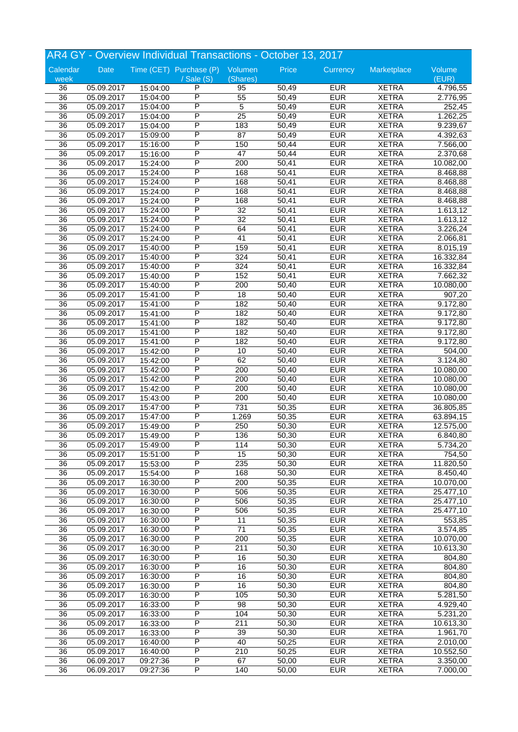|                 |            |          | AR4 GY - Overview Individual Transactions - October 13, 2017 |                  |       |            |              |                        |
|-----------------|------------|----------|--------------------------------------------------------------|------------------|-------|------------|--------------|------------------------|
| Calendar        | Date       |          | Time (CET) Purchase (P) Volumen                              |                  | Price | Currency   | Marketplace  | Volume                 |
| week            |            |          | $/$ Sale $(S)$                                               | (Shares)         |       |            |              | (EUR)                  |
| 36              | 05.09.2017 | 15:04:00 | P                                                            | 95               | 50,49 | <b>EUR</b> | <b>XETRA</b> | 4.796,55               |
| $\overline{36}$ | 05.09.2017 | 15:04:00 | P                                                            | $\overline{55}$  | 50,49 | <b>EUR</b> | <b>XETRA</b> | 2.776,95               |
| 36              | 05.09.2017 | 15:04:00 | P                                                            | $\overline{5}$   | 50,49 | <b>EUR</b> | <b>XETRA</b> | 252,45                 |
| 36              | 05.09.2017 | 15:04:00 | P                                                            | $\overline{25}$  | 50,49 | <b>EUR</b> | <b>XETRA</b> | 1.262,25               |
| 36              | 05.09.2017 | 15:04:00 | P                                                            | 183              | 50,49 | <b>EUR</b> | <b>XETRA</b> | 9.239,67               |
| 36              | 05.09.2017 | 15:09:00 | P                                                            | $\overline{87}$  | 50,49 | <b>EUR</b> | <b>XETRA</b> | 4.392,63               |
| $\overline{36}$ | 05.09.2017 | 15:16:00 | P                                                            | 150              | 50,44 | <b>EUR</b> | <b>XETRA</b> | 7.566,00               |
| 36              | 05.09.2017 | 15:16:00 | P                                                            | $\overline{47}$  | 50,44 | <b>EUR</b> | <b>XETRA</b> | 2.370,68               |
| 36              | 05.09.2017 | 15:24:00 | P                                                            | 200              | 50,41 | <b>EUR</b> | <b>XETRA</b> | 10.082,00              |
| 36              | 05.09.2017 | 15:24:00 | P                                                            | 168              | 50,41 | <b>EUR</b> | <b>XETRA</b> | 8.468,88               |
| 36              | 05.09.2017 | 15:24:00 | Ρ                                                            | 168              | 50,41 | <b>EUR</b> | <b>XETRA</b> | 8.468,88               |
| $\overline{36}$ | 05.09.2017 | 15:24:00 | P                                                            | 168              | 50,41 | <b>EUR</b> | <b>XETRA</b> | 8.468,88               |
| 36              | 05.09.2017 | 15:24:00 | P                                                            | 168              | 50,41 | <b>EUR</b> | <b>XETRA</b> | 8.468,88               |
| 36              | 05.09.2017 | 15:24:00 | P                                                            | $\overline{32}$  | 50,41 | <b>EUR</b> | <b>XETRA</b> | 1.613,12               |
| 36              | 05.09.2017 | 15:24:00 | P                                                            | 32               | 50,41 | <b>EUR</b> | <b>XETRA</b> | 1.613,12               |
| 36              | 05.09.2017 | 15:24:00 | P                                                            | 64               | 50,41 | <b>EUR</b> | <b>XETRA</b> | 3.226,24               |
| 36              | 05.09.2017 | 15:24:00 | P                                                            | $\overline{41}$  | 50,41 | <b>EUR</b> | <b>XETRA</b> | 2.066,81               |
| 36              | 05.09.2017 | 15:40:00 | P                                                            | 159              | 50,41 | <b>EUR</b> | <b>XETRA</b> | 8.015,19               |
| 36              | 05.09.2017 | 15:40:00 | P                                                            | 324              | 50,41 | <b>EUR</b> | <b>XETRA</b> | 16.332,84              |
| 36              | 05.09.2017 | 15:40:00 | P                                                            | 324              | 50,41 | <b>EUR</b> | <b>XETRA</b> | 16.332,84              |
| 36              | 05.09.2017 | 15:40:00 | P                                                            | 152              | 50,41 | <b>EUR</b> | <b>XETRA</b> | 7.662,32               |
| $\overline{36}$ | 05.09.2017 | 15:40:00 | P                                                            | 200              | 50,40 | <b>EUR</b> | <b>XETRA</b> | 10.080,00              |
| 36              | 05.09.2017 | 15:41:00 | P                                                            | $\overline{18}$  | 50,40 | <b>EUR</b> | <b>XETRA</b> | 907,20                 |
| 36              | 05.09.2017 | 15:41:00 | P                                                            | 182              | 50,40 | <b>EUR</b> | <b>XETRA</b> | 9.172,80               |
| 36              | 05.09.2017 | 15:41:00 | P                                                            | 182              | 50,40 | <b>EUR</b> | <b>XETRA</b> | 9.172,80               |
| 36              | 05.09.2017 | 15:41:00 | P                                                            | 182              | 50,40 | <b>EUR</b> | <b>XETRA</b> | 9.172,80               |
| 36              | 05.09.2017 | 15:41:00 | P                                                            | 182              | 50,40 | <b>EUR</b> | <b>XETRA</b> |                        |
|                 |            |          | P                                                            |                  |       | <b>EUR</b> |              | 9.172,80               |
| 36              | 05.09.2017 | 15:41:00 | P                                                            | 182              | 50,40 |            | <b>XETRA</b> | 9.172,80               |
| 36              | 05.09.2017 | 15:42:00 | P                                                            | 10               | 50,40 | <b>EUR</b> | <b>XETRA</b> | 504,00                 |
| 36              | 05.09.2017 | 15:42:00 |                                                              | 62               | 50,40 | <b>EUR</b> | <b>XETRA</b> | 3.124,80               |
| 36              | 05.09.2017 | 15:42:00 | P                                                            | 200              | 50,40 | <b>EUR</b> | <b>XETRA</b> | 10.080,00              |
| $\overline{36}$ | 05.09.2017 | 15:42:00 | P                                                            | 200              | 50,40 | <b>EUR</b> | <b>XETRA</b> | 10.080,00              |
| 36              | 05.09.2017 | 15:42:00 | P                                                            | 200              | 50,40 | <b>EUR</b> | <b>XETRA</b> | 10.080,00              |
| 36              | 05.09.2017 | 15:43:00 | P                                                            | 200              | 50,40 | <b>EUR</b> | <b>XETRA</b> | 10.080,00              |
| 36              | 05.09.2017 | 15:47:00 | P                                                            | 731              | 50,35 | <b>EUR</b> | <b>XETRA</b> | 36.805,85              |
| 36              | 05.09.2017 | 15:47:00 | P                                                            | 1.269            | 50,35 | <b>EUR</b> | <b>XETRA</b> | 63.894,15              |
| $\overline{36}$ | 05.09.2017 | 15:49:00 | P                                                            | 250              | 50,30 | <b>EUR</b> | <b>XETRA</b> | 12.575,00              |
| 36              | 05.09.2017 | 15:49:00 | P                                                            | 136              | 50,30 | <b>EUR</b> | <b>XETRA</b> | 6.840,80               |
| 36              | 05.09.2017 | 15:49:00 | Ρ                                                            | 114              | 50,30 | <b>EUR</b> | <b>XETRA</b> | 5.734,20               |
| 36              | 05.09.2017 | 15:51:00 | P                                                            | 15               | 50,30 | <b>EUR</b> | <b>XETRA</b> | 754,50                 |
| 36              | 05.09.2017 | 15:53:00 | P                                                            | 235              | 50,30 | <b>EUR</b> | <b>XETRA</b> | 11.820,50              |
| $\overline{36}$ | 05.09.2017 | 15:54:00 | P                                                            | 168              | 50,30 | <b>EUR</b> | <b>XETRA</b> | 8.450,40               |
| 36              | 05.09.2017 | 16:30:00 | $\overline{\mathsf{P}}$                                      | 200              | 50,35 | <b>EUR</b> | <b>XETRA</b> | 10.070,00              |
| 36              | 05.09.2017 | 16:30:00 | Ρ                                                            | 506              | 50,35 | <b>EUR</b> | <b>XETRA</b> | 25.477,10              |
| 36              | 05.09.2017 | 16:30:00 | Ρ                                                            | 506              | 50,35 | <b>EUR</b> | <b>XETRA</b> | $\overline{25.477,}10$ |
| 36              | 05.09.2017 | 16:30:00 | P                                                            | 506              | 50,35 | <b>EUR</b> | <b>XETRA</b> | 25.477,10              |
| $\overline{36}$ | 05.09.2017 | 16:30:00 | P                                                            | 11               | 50,35 | <b>EUR</b> | <b>XETRA</b> | 553,85                 |
| $\overline{36}$ | 05.09.2017 | 16:30:00 | P                                                            | $\overline{71}$  | 50,35 | <b>EUR</b> | <b>XETRA</b> | 3.574,85               |
| 36              | 05.09.2017 | 16:30:00 | Ρ                                                            | 200              | 50,35 | <b>EUR</b> | <b>XETRA</b> | 10.070,00              |
| 36              | 05.09.2017 | 16:30:00 | Ρ                                                            | 211              | 50,30 | <b>EUR</b> | <b>XETRA</b> | 10.613,30              |
| 36              | 05.09.2017 | 16:30:00 | P                                                            | 16               | 50,30 | <b>EUR</b> | <b>XETRA</b> | 804,80                 |
| $\overline{36}$ | 05.09.2017 | 16:30:00 | P                                                            | 16               | 50,30 | <b>EUR</b> | <b>XETRA</b> | 804,80                 |
| 36              | 05.09.2017 | 16:30:00 | P                                                            | 16               | 50,30 | <b>EUR</b> | <b>XETRA</b> | 804,80                 |
| 36              | 05.09.2017 | 16:30:00 | Ρ                                                            | 16               | 50,30 | <b>EUR</b> | <b>XETRA</b> | 804,80                 |
| 36              | 05.09.2017 | 16:30:00 | Ρ                                                            | 105              | 50,30 | <b>EUR</b> | <b>XETRA</b> | 5.281,50               |
| 36              | 05.09.2017 | 16:33:00 | Ρ                                                            | 98               | 50,30 | <b>EUR</b> | <b>XETRA</b> | 4.929,40               |
| $\overline{36}$ | 05.09.2017 | 16:33:00 | P                                                            | 104              | 50,30 | <b>EUR</b> | <b>XETRA</b> | 5.231,20               |
| $\overline{36}$ | 05.09.2017 | 16:33:00 | P                                                            | $\overline{211}$ | 50,30 | <b>EUR</b> | <b>XETRA</b> | 10.613,30              |
| 36              | 05.09.2017 | 16:33:00 | Ρ                                                            | 39               | 50,30 | <b>EUR</b> | <b>XETRA</b> | 1.961,70               |
| 36              | 05.09.2017 | 16:40:00 | Ρ                                                            | 40               | 50,25 | <b>EUR</b> | <b>XETRA</b> | 2.010,00               |
| 36              | 05.09.2017 | 16:40:00 | Ρ                                                            | 210              | 50,25 | <b>EUR</b> | <b>XETRA</b> | 10.552,50              |
| $\overline{36}$ |            |          | Ρ                                                            |                  |       | <b>EUR</b> |              |                        |
|                 | 06.09.2017 | 09:27:36 |                                                              | 67               | 50,00 |            | <b>XETRA</b> | 3.350,00               |
| 36              | 06.09.2017 | 09:27:36 | P                                                            | 140              | 50,00 | <b>EUR</b> | <b>XETRA</b> | 7.000,00               |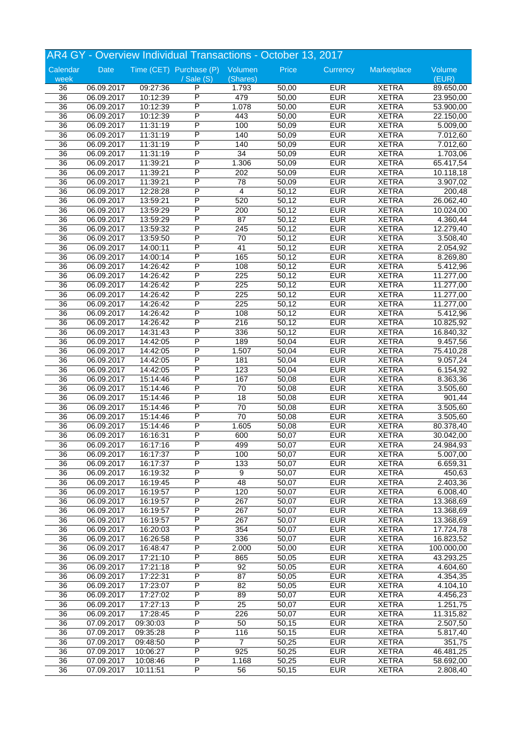|                 |            |          | AR4 GY - Overview Individual Transactions - October 13, 2017 |                  |       |            |              |            |
|-----------------|------------|----------|--------------------------------------------------------------|------------------|-------|------------|--------------|------------|
| Calendar        | Date       |          | Time (CET) Purchase (P) Volumen                              |                  | Price | Currency   | Marketplace  | Volume     |
| week            |            |          | / Sale (S)                                                   | (Shares)         |       |            |              | (EUR)      |
| 36              | 06.09.2017 | 09:27:36 | P                                                            | 1.793            | 50,00 | <b>EUR</b> | <b>XETRA</b> | 89.650,00  |
| $\overline{36}$ | 06.09.2017 | 10:12:39 | P                                                            | 479              | 50,00 | <b>EUR</b> | <b>XETRA</b> | 23.950,00  |
| $\overline{36}$ | 06.09.2017 | 10:12:39 | P                                                            | 1.078            | 50,00 | <b>EUR</b> | <b>XETRA</b> | 53.900,00  |
| 36              | 06.09.2017 | 10:12:39 | P                                                            | 443              | 50,00 | <b>EUR</b> | <b>XETRA</b> | 22.150,00  |
| 36              | 06.09.2017 | 11:31:19 | P                                                            | 100              | 50,09 | <b>EUR</b> | <b>XETRA</b> | 5.009,00   |
| 36              | 06.09.2017 | 11:31:19 | P                                                            | 140              | 50,09 | <b>EUR</b> | <b>XETRA</b> | 7.012,60   |
| 36              |            | 11:31:19 | P                                                            | 140              | 50,09 | <b>EUR</b> | <b>XETRA</b> |            |
|                 | 06.09.2017 |          | P                                                            |                  |       |            |              | 7.012,60   |
| 36              | 06.09.2017 | 11:31:19 |                                                              | $\overline{34}$  | 50,09 | <b>EUR</b> | <b>XETRA</b> | 1.703,06   |
| 36              | 06.09.2017 | 11:39:21 | Ρ                                                            | 1.306            | 50,09 | <b>EUR</b> | <b>XETRA</b> | 65.417,54  |
| 36              | 06.09.2017 | 11:39:21 | P                                                            | 202              | 50,09 | <b>EUR</b> | <b>XETRA</b> | 10.118,18  |
| 36              | 06.09.2017 | 11:39:21 | P                                                            | 78               | 50,09 | <b>EUR</b> | <b>XETRA</b> | 3.907,02   |
| 36              | 06.09.2017 | 12:28:28 | P                                                            | 4                | 50,12 | <b>EUR</b> | <b>XETRA</b> | 200,48     |
| 36              | 06.09.2017 | 13:59:21 | P                                                            | 520              | 50,12 | <b>EUR</b> | <b>XETRA</b> | 26.062,40  |
| 36              | 06.09.2017 | 13:59:29 | P                                                            | 200              | 50,12 | <b>EUR</b> | <b>XETRA</b> | 10.024,00  |
| 36              | 06.09.2017 | 13:59:29 | P                                                            | 87               | 50,12 | <b>EUR</b> | <b>XETRA</b> | 4.360,44   |
|                 | 06.09.2017 | 13:59:32 | Ρ                                                            | 245              | 50,12 | <b>EUR</b> | <b>XETRA</b> | 12.279,40  |
| 36              |            |          |                                                              |                  |       |            |              |            |
| 36              | 06.09.2017 | 13:59:50 | P                                                            | $\overline{70}$  | 50,12 | <b>EUR</b> | <b>XETRA</b> | 3.508,40   |
| 36              | 06.09.2017 | 14:00:11 | P                                                            | $\overline{41}$  | 50,12 | <b>EUR</b> | <b>XETRA</b> | 2.054,92   |
| 36              | 06.09.2017 | 14:00:14 | P                                                            | 165              | 50,12 | <b>EUR</b> | <b>XETRA</b> | 8.269,80   |
| 36              | 06.09.2017 | 14:26:42 | P                                                            | 108              | 50,12 | <b>EUR</b> | <b>XETRA</b> | 5.412,96   |
| 36              | 06.09.2017 | 14:26:42 | P                                                            | 225              | 50,12 | <b>EUR</b> | <b>XETRA</b> | 11.277,00  |
| $\overline{36}$ | 06.09.2017 | 14:26:42 | P                                                            | 225              | 50,12 | <b>EUR</b> | <b>XETRA</b> | 11.277,00  |
| 36              | 06.09.2017 | 14:26:42 | P                                                            | 225              | 50,12 | <b>EUR</b> | <b>XETRA</b> | 11.277,00  |
| 36              | 06.09.2017 | 14:26:42 | P                                                            | $\overline{225}$ | 50,12 | <b>EUR</b> | <b>XETRA</b> | 11.277,00  |
|                 |            |          |                                                              |                  |       |            |              |            |
| 36              | 06.09.2017 | 14:26:42 | P                                                            | 108              | 50,12 | <b>EUR</b> | <b>XETRA</b> | 5.412,96   |
| 36              | 06.09.2017 | 14:26:42 | Ρ                                                            | 216              | 50,12 | <b>EUR</b> | <b>XETRA</b> | 10.825,92  |
| 36              | 06.09.2017 | 14:31:43 | P                                                            | 336              | 50,12 | <b>EUR</b> | <b>XETRA</b> | 16.840,32  |
| 36              | 06.09.2017 | 14:42:05 | P                                                            | 189              | 50,04 | <b>EUR</b> | <b>XETRA</b> | 9.457,56   |
| 36              | 06.09.2017 | 14:42:05 | P                                                            | 1.507            | 50,04 | <b>EUR</b> | <b>XETRA</b> | 75.410,28  |
| 36              | 06.09.2017 | 14:42:05 | P                                                            | 181              | 50,04 | <b>EUR</b> | <b>XETRA</b> | 9.057,24   |
| 36              | 06.09.2017 | 14:42:05 | Ρ                                                            | 123              | 50,04 | <b>EUR</b> | <b>XETRA</b> | 6.154,92   |
| $\overline{36}$ | 06.09.2017 | 15:14:46 | P                                                            | 167              | 50,08 | <b>EUR</b> | <b>XETRA</b> | 8.363,36   |
|                 |            |          | P                                                            |                  |       | <b>EUR</b> | <b>XETRA</b> |            |
| 36              | 06.09.2017 | 15:14:46 |                                                              | 70               | 50,08 |            |              | 3.505,60   |
| 36              | 06.09.2017 | 15:14:46 | P                                                            | 18               | 50,08 | <b>EUR</b> | <b>XETRA</b> | 901,44     |
| 36              | 06.09.2017 | 15:14:46 | P                                                            | 70               | 50,08 | <b>EUR</b> | <b>XETRA</b> | 3.505,60   |
| 36              | 06.09.2017 | 15:14:46 | P                                                            | $\overline{70}$  | 50,08 | <b>EUR</b> | <b>XETRA</b> | 3.505,60   |
| $\overline{36}$ | 06.09.2017 | 15:14:46 | P                                                            | 1.605            | 50,08 | <b>EUR</b> | <b>XETRA</b> | 80.378,40  |
| 36              | 06.09.2017 | 16:16:31 | P                                                            | 600              | 50,07 | <b>EUR</b> | <b>XETRA</b> | 30.042,00  |
| 36              | 06.09.2017 | 16:17:16 | P                                                            | 499              | 50,07 | <b>EUR</b> | <b>XETRA</b> | 24.984,93  |
| 36              | 06.09.2017 | 16:17:37 | P                                                            | 100              | 50,07 | <b>EUR</b> | <b>XETRA</b> | 5.007,00   |
| 36              | 06.09.2017 | 16:17:37 | P                                                            | 133              | 50,07 | <b>EUR</b> | <b>XETRA</b> | 6.659,31   |
|                 |            |          | $\overline{\mathsf{P}}$                                      |                  |       |            |              |            |
| $\overline{36}$ | 06.09.2017 | 16:19:32 |                                                              | 9                | 50,07 | <b>EUR</b> | <b>XETRA</b> | 450,63     |
| $\overline{36}$ | 06.09.2017 | 16:19:45 | P                                                            | 48               | 50,07 | <b>EUR</b> | <b>XETRA</b> | 2.403,36   |
| 36              | 06.09.2017 | 16:19:57 | Ρ                                                            | 120              | 50,07 | <b>EUR</b> | <b>XETRA</b> | 6.008,40   |
| 36              | 06.09.2017 | 16:19:57 | P                                                            | 267              | 50,07 | <b>EUR</b> | <b>XETRA</b> | 13.368,69  |
| 36              | 06.09.2017 | 16:19:57 | P                                                            | 267              | 50,07 | <b>EUR</b> | <b>XETRA</b> | 13.368,69  |
| $\overline{36}$ | 06.09.2017 | 16:19:57 | $\overline{\mathsf{P}}$                                      | 267              | 50,07 | <b>EUR</b> | <b>XETRA</b> | 13.368,69  |
| $\overline{36}$ | 06.09.2017 | 16:20:03 | P                                                            | 354              | 50,07 | <b>EUR</b> | <b>XETRA</b> | 17.724,78  |
| 36              | 06.09.2017 | 16:26:58 | Ρ                                                            | 336              | 50,07 | <b>EUR</b> | <b>XETRA</b> | 16.823,52  |
|                 |            |          | P                                                            |                  |       |            |              | 100.000,00 |
| 36              | 06.09.2017 | 16:48:47 |                                                              | 2.000            | 50,00 | <b>EUR</b> | <b>XETRA</b> |            |
| 36              | 06.09.2017 | 17:21:10 | P                                                            | 865              | 50,05 | <b>EUR</b> | <b>XETRA</b> | 43.293,25  |
| 36              | 06.09.2017 | 17:21:18 | P                                                            | 92               | 50,05 | <b>EUR</b> | <b>XETRA</b> | 4.604,60   |
| $\overline{36}$ | 06.09.2017 | 17:22:31 | P                                                            | $\overline{87}$  | 50,05 | <b>EUR</b> | <b>XETRA</b> | 4.354,35   |
| 36              | 06.09.2017 | 17:23:07 | Ρ                                                            | 82               | 50,05 | <b>EUR</b> | <b>XETRA</b> | 4.104,10   |
| 36              | 06.09.2017 | 17:27:02 | P                                                            | 89               | 50,07 | <b>EUR</b> | <b>XETRA</b> | 4.456,23   |
| 36              | 06.09.2017 | 17:27:13 | P                                                            | 25               | 50,07 | <b>EUR</b> | <b>XETRA</b> | 1.251,75   |
| $\overline{36}$ | 06.09.2017 | 17:28:45 | P                                                            | 226              | 50,07 | <b>EUR</b> | <b>XETRA</b> | 11.315,82  |
|                 |            |          | P                                                            |                  |       |            |              |            |
| $\overline{36}$ | 07.09.2017 | 09:30:03 |                                                              | 50               | 50,15 | <b>EUR</b> | <b>XETRA</b> | 2.507,50   |
| 36              | 07.09.2017 | 09:35:28 | Ρ                                                            | 116              | 50,15 | <b>EUR</b> | <b>XETRA</b> | 5.817,40   |
| 36              | 07.09.2017 | 09:48:50 | P                                                            | $\overline{7}$   | 50,25 | <b>EUR</b> | <b>XETRA</b> | 351,75     |
| 36              | 07.09.2017 | 10:06:27 | P                                                            | 925              | 50,25 | <b>EUR</b> | <b>XETRA</b> | 46.481,25  |
| $\overline{36}$ | 07.09.2017 | 10:08:46 | P                                                            | 1.168            | 50,25 | <b>EUR</b> | <b>XETRA</b> | 58.692,00  |
| $\overline{36}$ | 07.09.2017 | 10:11:51 | P                                                            | 56               | 50,15 | <b>EUR</b> | <b>XETRA</b> | 2.808,40   |
|                 |            |          |                                                              |                  |       |            |              |            |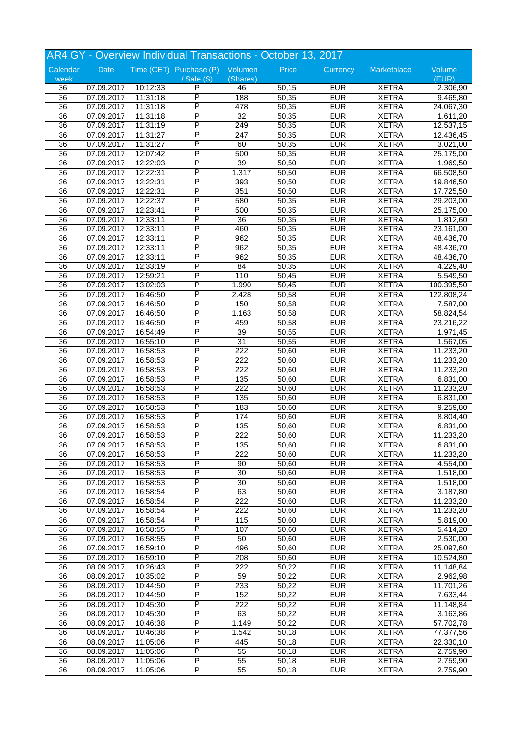|                 |            |          | AR4 GY - Overview Individual Transactions - October 13, 2017 |                 |       |            |              |            |
|-----------------|------------|----------|--------------------------------------------------------------|-----------------|-------|------------|--------------|------------|
| Calendar        | Date       |          | Time (CET) Purchase (P) Volumen                              |                 | Price | Currency   | Marketplace  | Volume     |
| week            |            |          | $/$ Sale $(S)$                                               | (Shares)        |       |            |              | (EUR)      |
| 36              | 07.09.2017 | 10:12:33 | P                                                            | 46              | 50,15 | <b>EUR</b> | <b>XETRA</b> | 2.306,90   |
| $\overline{36}$ | 07.09.2017 | 11:31:18 | P                                                            | 188             | 50,35 | <b>EUR</b> | <b>XETRA</b> | 9.465,80   |
| 36              | 07.09.2017 | 11:31:18 | P                                                            | 478             | 50,35 | <b>EUR</b> | <b>XETRA</b> | 24.067,30  |
| 36              | 07.09.2017 | 11:31:18 | P                                                            | $\overline{32}$ | 50,35 | <b>EUR</b> | <b>XETRA</b> | 1.611,20   |
| 36              | 07.09.2017 | 11:31:19 | Ρ                                                            | 249             | 50,35 | <b>EUR</b> | <b>XETRA</b> | 12.537,15  |
| 36              | 07.09.2017 | 11:31:27 | Ρ                                                            | 247             | 50,35 | <b>EUR</b> | <b>XETRA</b> | 12.436,45  |
| $\overline{36}$ | 07.09.2017 | 11:31:27 | P                                                            | 60              | 50,35 | <b>EUR</b> | <b>XETRA</b> | 3.021,00   |
| 36              | 07.09.2017 | 12:07:42 | P                                                            | 500             | 50,35 | <b>EUR</b> | <b>XETRA</b> | 25.175,00  |
| 36              | 07.09.2017 | 12:22:03 | P                                                            | 39              | 50,50 | <b>EUR</b> | <b>XETRA</b> | 1.969,50   |
|                 | 07.09.2017 |          | Ρ                                                            |                 |       |            |              |            |
| 36              |            | 12:22:31 | P                                                            | 1.317           | 50,50 | <b>EUR</b> | <b>XETRA</b> | 66.508,50  |
| 36              | 07.09.2017 | 12:22:31 |                                                              | 393             | 50,50 | <b>EUR</b> | <b>XETRA</b> | 19.846,50  |
| $\overline{36}$ | 07.09.2017 | 12:22:31 | P                                                            | 351             | 50,50 | <b>EUR</b> | <b>XETRA</b> | 17.725,50  |
| 36              | 07.09.2017 | 12:22:37 | P                                                            | 580             | 50,35 | <b>EUR</b> | <b>XETRA</b> | 29.203,00  |
| 36              | 07.09.2017 | 12:23:41 | P                                                            | 500             | 50,35 | <b>EUR</b> | <b>XETRA</b> | 25.175,00  |
| 36              | 07.09.2017 | 12:33:11 | P                                                            | 36              | 50,35 | <b>EUR</b> | <b>XETRA</b> | 1.812,60   |
| 36              | 07.09.2017 | 12:33:11 | P                                                            | 460             | 50,35 | <b>EUR</b> | <b>XETRA</b> | 23.161,00  |
| 36              | 07.09.2017 | 12:33:11 | P                                                            | 962             | 50,35 | <b>EUR</b> | <b>XETRA</b> | 48.436,70  |
| 36              | 07.09.2017 | 12:33:11 | P                                                            | 962             | 50,35 | <b>EUR</b> | <b>XETRA</b> | 48.436,70  |
| 36              | 07.09.2017 | 12:33:11 | P                                                            | 962             | 50,35 | <b>EUR</b> | <b>XETRA</b> | 48.436,70  |
| 36              | 07.09.2017 | 12:33:19 | P                                                            | 84              | 50,35 | <b>EUR</b> | <b>XETRA</b> | 4.229,40   |
| 36              | 07.09.2017 | 12:59:21 | P                                                            | 110             | 50,45 | <b>EUR</b> | <b>XETRA</b> | 5.549,50   |
| $\overline{36}$ | 07.09.2017 | 13:02:03 | P                                                            | 1.990           | 50,45 | <b>EUR</b> | <b>XETRA</b> | 100.395,50 |
| 36              | 07.09.2017 | 16:46:50 | P                                                            | 2.428           | 50,58 | <b>EUR</b> | <b>XETRA</b> | 122.808,24 |
| 36              | 07.09.2017 | 16:46:50 | P                                                            | 150             | 50,58 | <b>EUR</b> | <b>XETRA</b> | 7.587,00   |
| 36              | 07.09.2017 | 16:46:50 | P                                                            | 1.163           | 50,58 | <b>EUR</b> | <b>XETRA</b> |            |
|                 |            |          | P                                                            |                 |       |            |              | 58.824,54  |
| 36              | 07.09.2017 | 16:46:50 |                                                              | 459             | 50,58 | <b>EUR</b> | <b>XETRA</b> | 23.216,22  |
| 36              | 07.09.2017 | 16:54:49 | P                                                            | 39              | 50,55 | <b>EUR</b> | <b>XETRA</b> | 1.971,45   |
| 36              | 07.09.2017 | 16:55:10 | P                                                            | $\overline{31}$ | 50,55 | <b>EUR</b> | <b>XETRA</b> | 1.567,05   |
| 36              | 07.09.2017 | 16:58:53 | P                                                            | 222             | 50,60 | <b>EUR</b> | <b>XETRA</b> | 11.233,20  |
| 36              | 07.09.2017 | 16:58:53 | P                                                            | 222             | 50,60 | <b>EUR</b> | <b>XETRA</b> | 11.233,20  |
| 36              | 07.09.2017 | 16:58:53 | P                                                            | 222             | 50,60 | <b>EUR</b> | <b>XETRA</b> | 11.233,20  |
| $\overline{36}$ | 07.09.2017 | 16:58:53 | P                                                            | 135             | 50,60 | <b>EUR</b> | <b>XETRA</b> | 6.831,00   |
| 36              | 07.09.2017 | 16:58:53 | P                                                            | 222             | 50,60 | <b>EUR</b> | <b>XETRA</b> | 11.233,20  |
| 36              | 07.09.2017 | 16:58:53 | P                                                            | 135             | 50,60 | <b>EUR</b> | <b>XETRA</b> | 6.831,00   |
| 36              | 07.09.2017 | 16:58:53 | P                                                            | 183             | 50,60 | <b>EUR</b> | <b>XETRA</b> | 9.259,80   |
| 36              | 07.09.2017 | 16:58:53 | P                                                            | 174             | 50,60 | <b>EUR</b> | <b>XETRA</b> | 8.804,40   |
| $\overline{36}$ | 07.09.2017 | 16:58:53 | P                                                            | 135             | 50,60 | <b>EUR</b> | <b>XETRA</b> | 6.831,00   |
| 36              | 07.09.2017 | 16:58:53 | P                                                            | 222             | 50,60 | <b>EUR</b> | <b>XETRA</b> | 11.233,20  |
| 36              | 07.09.2017 | 16:58:53 | Ρ                                                            | 135             | 50,60 | <b>EUR</b> | <b>XETRA</b> | 6.831,00   |
| 36              | 07.09.2017 | 16:58:53 | P                                                            | 222             | 50,60 | <b>EUR</b> | <b>XETRA</b> | 11.233,20  |
| 36              | 07.09.2017 | 16:58:53 | P                                                            | 90              | 50,60 | <b>EUR</b> | <b>XETRA</b> |            |
|                 |            |          | P                                                            |                 |       |            |              | 4.554,00   |
| 36              | 07.09.2017 | 16:58:53 |                                                              | 30              | 50,60 | <b>EUR</b> | <b>XETRA</b> | 1.518,00   |
| 36              | 07.09.2017 | 16:58:53 | P                                                            | 30              | 50,60 | <b>EUR</b> | <b>XETRA</b> | 1.518,00   |
| 36              | 07.09.2017 | 16:58:54 | Ρ                                                            | 63              | 50,60 | <b>EUR</b> | <b>XETRA</b> | 3.187,80   |
| 36              | 07.09.2017 | 16:58:54 | Ρ                                                            | 222             | 50,60 | <b>EUR</b> | <b>XETRA</b> | 11.233,20  |
| 36              | 07.09.2017 | 16:58:54 | P                                                            | 222             | 50,60 | <b>EUR</b> | <b>XETRA</b> | 11.233,20  |
| $\overline{36}$ | 07.09.2017 | 16:58:54 | P                                                            | 115             | 50,60 | <b>EUR</b> | <b>XETRA</b> | 5.819,00   |
| $\overline{36}$ | 07.09.2017 | 16:58:55 | P                                                            | 107             | 50,60 | <b>EUR</b> | <b>XETRA</b> | 5.414,20   |
| 36              | 07.09.2017 | 16:58:55 | Ρ                                                            | 50              | 50,60 | <b>EUR</b> | <b>XETRA</b> | 2.530,00   |
| 36              | 07.09.2017 | 16:59:10 | Ρ                                                            | 496             | 50,60 | <b>EUR</b> | <b>XETRA</b> | 25.097,60  |
| 36              | 07.09.2017 | 16:59:10 | P                                                            | 208             | 50,60 | <b>EUR</b> | <b>XETRA</b> | 10.524,80  |
| $\overline{36}$ | 08.09.2017 | 10:26:43 | P                                                            | 222             | 50,22 | <b>EUR</b> | <b>XETRA</b> | 11.148,84  |
| 36              | 08.09.2017 | 10:35:02 | P                                                            | 59              | 50,22 | <b>EUR</b> | <b>XETRA</b> | 2.962,98   |
| 36              | 08.09.2017 | 10:44:50 | Ρ                                                            | 233             | 50,22 | <b>EUR</b> | <b>XETRA</b> | 11.701,26  |
| 36              | 08.09.2017 | 10:44:50 | Ρ                                                            | 152             | 50,22 | <b>EUR</b> | <b>XETRA</b> | 7.633,44   |
| 36              | 08.09.2017 | 10:45:30 | P                                                            | 222             | 50,22 | <b>EUR</b> | <b>XETRA</b> | 11.148,84  |
| $\overline{36}$ | 08.09.2017 | 10:45:30 | P                                                            | 63              |       | <b>EUR</b> | <b>XETRA</b> |            |
|                 |            |          | P                                                            |                 | 50,22 |            |              | 3.163,86   |
| 36              | 08.09.2017 | 10:46:38 |                                                              | 1.149           | 50,22 | <b>EUR</b> | <b>XETRA</b> | 57.702,78  |
| 36              | 08.09.2017 | 10:46:38 | Ρ                                                            | 1.542           | 50,18 | <b>EUR</b> | <b>XETRA</b> | 77.377,56  |
| 36              | 08.09.2017 | 11:05:06 | P                                                            | 445             | 50,18 | <b>EUR</b> | <b>XETRA</b> | 22.330,10  |
| 36              | 08.09.2017 | 11:05:06 | P                                                            | 55              | 50,18 | <b>EUR</b> | <b>XETRA</b> | 2.759,90   |
| 36              | 08.09.2017 | 11:05:06 | Ρ                                                            | 55              | 50,18 | <b>EUR</b> | <b>XETRA</b> | 2.759,90   |
| 36              | 08.09.2017 | 11:05:06 | P                                                            | $\overline{55}$ | 50,18 | <b>EUR</b> | <b>XETRA</b> | 2.759,90   |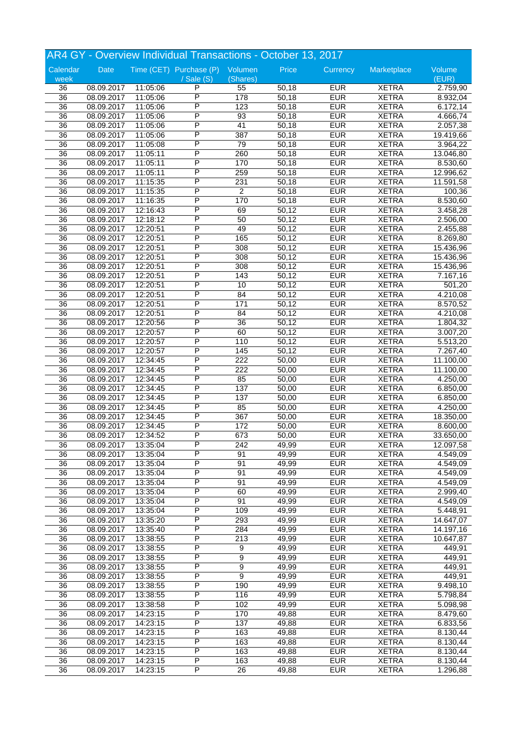| AR4 GY - Overview Individual Transactions - October 13, 2017 |            |          |                                 |                  |       |            |              |           |
|--------------------------------------------------------------|------------|----------|---------------------------------|------------------|-------|------------|--------------|-----------|
| Calendar                                                     | Date       |          | Time (CET) Purchase (P) Volumen |                  | Price | Currency   | Marketplace  | Volume    |
| week                                                         |            |          | / Sale (S)                      | (Shares)         |       |            |              | (EUR)     |
| 36                                                           | 08.09.2017 | 11:05:06 | P                               | 55               | 50,18 | <b>EUR</b> | <b>XETRA</b> | 2.759,90  |
| $\overline{36}$                                              | 08.09.2017 | 11:05:06 | P                               | 178              | 50,18 | <b>EUR</b> | <b>XETRA</b> | 8.932,04  |
| 36                                                           | 08.09.2017 | 11:05:06 | P                               | 123              | 50,18 | <b>EUR</b> | <b>XETRA</b> | 6.172,14  |
| 36                                                           | 08.09.2017 | 11:05:06 | P                               | 93               | 50,18 | <b>EUR</b> | <b>XETRA</b> | 4.666,74  |
| 36                                                           | 08.09.2017 | 11:05:06 | Ρ                               | 41               | 50,18 | <b>EUR</b> | <b>XETRA</b> | 2.057,38  |
| 36                                                           | 08.09.2017 | 11:05:06 | Ρ                               | 387              | 50,18 | <b>EUR</b> | <b>XETRA</b> | 19.419,66 |
| 36                                                           | 08.09.2017 | 11:05:08 | P                               | 79               | 50,18 | <b>EUR</b> | <b>XETRA</b> | 3.964,22  |
| 36                                                           | 08.09.2017 | 11:05:11 | P                               | 260              | 50,18 | <b>EUR</b> | <b>XETRA</b> | 13.046,80 |
| 36                                                           | 08.09.2017 | 11:05:11 | P                               | 170              | 50,18 | <b>EUR</b> | <b>XETRA</b> | 8.530,60  |
| 36                                                           | 08.09.2017 | 11:05:11 | P                               | 259              | 50,18 | <b>EUR</b> | <b>XETRA</b> | 12.996,62 |
| 36                                                           | 08.09.2017 | 11:15:35 | P                               | 231              | 50,18 | <b>EUR</b> | <b>XETRA</b> | 11.591,58 |
| 36                                                           | 08.09.2017 | 11:15:35 | P                               | $\overline{2}$   | 50,18 | <b>EUR</b> | <b>XETRA</b> | 100,36    |
| 36                                                           | 08.09.2017 | 11:16:35 | P                               | 170              | 50,18 | <b>EUR</b> | <b>XETRA</b> | 8.530,60  |
| 36                                                           | 08.09.2017 | 12:16:43 | P                               | 69               | 50,12 | <b>EUR</b> | <b>XETRA</b> | 3.458,28  |
| 36                                                           | 08.09.2017 | 12:18:12 | P                               | 50               | 50,12 | <b>EUR</b> | <b>XETRA</b> | 2.506,00  |
| 36                                                           | 08.09.2017 | 12:20:51 | Ρ                               | 49               | 50,12 | <b>EUR</b> | <b>XETRA</b> | 2.455,88  |
| 36                                                           | 08.09.2017 | 12:20:51 | P                               | 165              | 50,12 | <b>EUR</b> | <b>XETRA</b> | 8.269,80  |
| 36                                                           | 08.09.2017 | 12:20:51 | P                               | 308              | 50,12 | <b>EUR</b> | <b>XETRA</b> | 15.436,96 |
| 36                                                           | 08.09.2017 | 12:20:51 | P                               | 308              | 50,12 | <b>EUR</b> | <b>XETRA</b> | 15.436,96 |
| 36                                                           | 08.09.2017 | 12:20:51 | P                               | 308              | 50,12 | <b>EUR</b> | <b>XETRA</b> | 15.436,96 |
| 36                                                           | 08.09.2017 | 12:20:51 | P                               | 143              | 50,12 | <b>EUR</b> | <b>XETRA</b> | 7.167,16  |
| $\overline{36}$                                              | 08.09.2017 | 12:20:51 | P                               | 10               | 50,12 | <b>EUR</b> | <b>XETRA</b> | 501,20    |
| 36                                                           | 08.09.2017 | 12:20:51 | P                               | 84               | 50,12 | <b>EUR</b> | <b>XETRA</b> | 4.210,08  |
| 36                                                           | 08.09.2017 | 12:20:51 | P                               | 171              | 50,12 | <b>EUR</b> | <b>XETRA</b> | 8.570,52  |
|                                                              |            |          | P                               |                  |       |            |              |           |
| 36                                                           | 08.09.2017 | 12:20:51 |                                 | 84               | 50,12 | <b>EUR</b> | <b>XETRA</b> | 4.210,08  |
| 36                                                           | 08.09.2017 | 12:20:56 | Ρ                               | $\overline{36}$  | 50,12 | <b>EUR</b> | <b>XETRA</b> | 1.804,32  |
| 36                                                           | 08.09.2017 | 12:20:57 | P                               | 60               | 50,12 | <b>EUR</b> | <b>XETRA</b> | 3.007,20  |
| 36                                                           | 08.09.2017 | 12:20:57 | P                               | 110              | 50,12 | <b>EUR</b> | <b>XETRA</b> | 5.513,20  |
| 36                                                           | 08.09.2017 | 12:20:57 | P                               | 145              | 50,12 | <b>EUR</b> | <b>XETRA</b> | 7.267,40  |
| 36                                                           | 08.09.2017 | 12:34:45 | P                               | 222              | 50,00 | <b>EUR</b> | <b>XETRA</b> | 11.100,00 |
| 36                                                           | 08.09.2017 | 12:34:45 | P                               | 222              | 50,00 | <b>EUR</b> | <b>XETRA</b> | 11.100,00 |
| 36                                                           | 08.09.2017 | 12:34:45 | P                               | 85               | 50,00 | <b>EUR</b> | <b>XETRA</b> | 4.250,00  |
| 36                                                           | 08.09.2017 | 12:34:45 | P                               | 137              | 50,00 | <b>EUR</b> | <b>XETRA</b> | 6.850,00  |
| 36                                                           | 08.09.2017 | 12:34:45 | P                               | 137              | 50,00 | <b>EUR</b> | <b>XETRA</b> | 6.850,00  |
| 36                                                           | 08.09.2017 | 12:34:45 | P                               | 85               | 50,00 | <b>EUR</b> | <b>XETRA</b> | 4.250,00  |
| 36                                                           | 08.09.2017 | 12:34:45 | P                               | 367              | 50,00 | <b>EUR</b> | <b>XETRA</b> | 18.350,00 |
| 36                                                           | 08.09.2017 | 12:34:45 | P                               | 172              | 50,00 | <b>EUR</b> | <b>XETRA</b> | 8.600,00  |
| 36                                                           | 08.09.2017 | 12:34:52 | P                               | 673              | 50,00 | <b>EUR</b> | <b>XETRA</b> | 33.650,00 |
| 36                                                           | 08.09.2017 | 13:35:04 | P                               | 242              | 49,99 | <b>EUR</b> | <b>XETRA</b> | 12.097,58 |
| 36                                                           | 08.09.2017 | 13:35:04 | P                               | 91               | 49,99 | <b>EUR</b> | <b>XETRA</b> | 4.549,09  |
| 36                                                           | 08.09.2017 | 13:35:04 | P                               | 91               | 49,99 | <b>EUR</b> | <b>XETRA</b> | 4.549,09  |
| 36                                                           | 08.09.2017 | 13:35:04 | P                               | 91               | 49,99 | <b>EUR</b> | <b>XETRA</b> | 4.549,09  |
| 36                                                           | 08.09.2017 | 13:35:04 | P                               | 91               | 49,99 | <b>EUR</b> | <b>XETRA</b> | 4.549,09  |
| 36                                                           | 08.09.2017 | 13:35:04 | Ρ                               | 60               | 49,99 | <b>EUR</b> | <b>XETRA</b> | 2.999,40  |
| 36                                                           | 08.09.2017 | 13:35:04 | Ρ                               | 91               | 49,99 | <b>EUR</b> | <b>XETRA</b> | 4.549,09  |
| 36                                                           | 08.09.2017 | 13:35:04 | P                               | 109              | 49,99 | <b>EUR</b> | <b>XETRA</b> | 5.448,91  |
| $\overline{36}$                                              | 08.09.2017 | 13:35:20 | P                               | 293              | 49,99 | <b>EUR</b> | <b>XETRA</b> | 14.647,07 |
| 36                                                           | 08.09.2017 | 13:35:40 | P                               | 284              | 49,99 | <b>EUR</b> | <b>XETRA</b> | 14.197,16 |
| 36                                                           | 08.09.2017 | 13:38:55 | Ρ                               | 213              | 49,99 | <b>EUR</b> | <b>XETRA</b> | 10.647,87 |
| 36                                                           | 08.09.2017 | 13:38:55 | Ρ                               | 9                | 49,99 | <b>EUR</b> | <b>XETRA</b> | 449,91    |
| 36                                                           | 08.09.2017 | 13:38:55 | P                               | 9                | 49,99 | <b>EUR</b> | <b>XETRA</b> | 449,91    |
| 36                                                           | 08.09.2017 | 13:38:55 | P                               | 9                | 49,99 | <b>EUR</b> | <b>XETRA</b> | 449,91    |
| 36                                                           | 08.09.2017 | 13:38:55 | P                               | 9                | 49,99 | <b>EUR</b> | <b>XETRA</b> | 449,91    |
| 36                                                           | 08.09.2017 | 13:38:55 | Ρ                               | 190              | 49,99 | <b>EUR</b> | <b>XETRA</b> | 9.498,10  |
| 36                                                           | 08.09.2017 | 13:38:55 | Ρ                               | 116              | 49,99 | <b>EUR</b> | <b>XETRA</b> | 5.798,84  |
| 36                                                           | 08.09.2017 | 13:38:58 | Ρ                               | 102              | 49,99 | <b>EUR</b> | <b>XETRA</b> | 5.098,98  |
| $\overline{36}$                                              | 08.09.2017 | 14:23:15 | Ρ                               | $\overline{170}$ | 49,88 | <b>EUR</b> | <b>XETRA</b> | 8.479,60  |
| 36                                                           | 08.09.2017 | 14:23:15 | P                               | 137              | 49,88 | <b>EUR</b> | <b>XETRA</b> | 6.833,56  |
| 36                                                           | 08.09.2017 | 14:23:15 | Ρ                               | 163              | 49,88 | <b>EUR</b> | <b>XETRA</b> | 8.130,44  |
| 36                                                           | 08.09.2017 | 14:23:15 | Ρ                               | 163              | 49,88 | <b>EUR</b> | <b>XETRA</b> | 8.130,44  |
| 36                                                           | 08.09.2017 | 14:23:15 | P                               | 163              |       | <b>EUR</b> | <b>XETRA</b> | 8.130,44  |
|                                                              |            |          | Ρ                               |                  | 49,88 |            |              |           |
| 36                                                           | 08.09.2017 | 14:23:15 |                                 | 163              | 49,88 | <b>EUR</b> | <b>XETRA</b> | 8.130,44  |
| 36                                                           | 08.09.2017 | 14:23:15 | P                               | 26               | 49,88 | <b>EUR</b> | <b>XETRA</b> | 1.296,88  |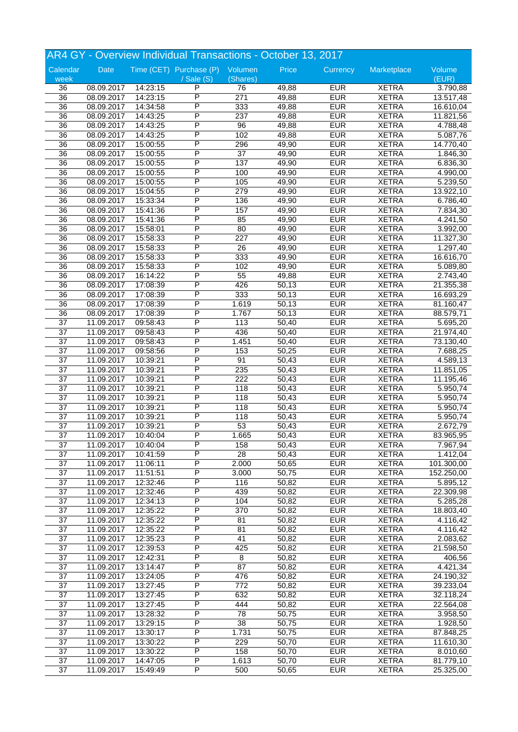|                       |            |          | AR4 GY - Overview Individual Transactions - October 13, 2017 |                  |       |            |              |            |
|-----------------------|------------|----------|--------------------------------------------------------------|------------------|-------|------------|--------------|------------|
| Calendar              | Date       |          | Time (CET) Purchase (P) Volumen                              |                  | Price | Currency   | Marketplace  | Volume     |
| week                  |            |          | $\sqrt{$ Sale (S)                                            | (Shares)         |       |            |              | (EUR)      |
| 36                    | 08.09.2017 | 14:23:15 | P                                                            | 76               | 49,88 | <b>EUR</b> | <b>XETRA</b> | 3.790,88   |
| $\overline{36}$       | 08.09.2017 | 14:23:15 | $\overline{P}$                                               | 271              | 49,88 | <b>EUR</b> | <b>XETRA</b> | 13.517,48  |
| $\overline{36}$       | 08.09.2017 | 14:34:58 | $\overline{\mathsf{P}}$                                      | 333              | 49,88 | <b>EUR</b> | <b>XETRA</b> | 16.610,04  |
| $\overline{36}$       | 08.09.2017 | 14:43:25 | P                                                            | 237              | 49,88 | <b>EUR</b> | <b>XETRA</b> | 11.821,56  |
| 36                    | 08.09.2017 | 14:43:25 | P                                                            | 96               | 49,88 | <b>EUR</b> | <b>XETRA</b> | 4.788,48   |
| 36                    | 08.09.2017 | 14:43:25 | $\overline{P}$                                               | 102              | 49,88 | <b>EUR</b> | <b>XETRA</b> | 5.087,76   |
| 36                    | 08.09.2017 | 15:00:55 | $\overline{P}$                                               | 296              | 49,90 | <b>EUR</b> | <b>XETRA</b> | 14.770,40  |
| 36                    | 08.09.2017 | 15:00:55 | P                                                            | $\overline{37}$  | 49,90 | <b>EUR</b> | <b>XETRA</b> | 1.846,30   |
| 36                    | 08.09.2017 | 15:00:55 | P                                                            | 137              | 49,90 | <b>EUR</b> | <b>XETRA</b> | 6.836,30   |
| 36                    | 08.09.2017 | 15:00:55 | P                                                            | 100              | 49,90 | <b>EUR</b> | <b>XETRA</b> | 4.990,00   |
|                       |            |          | P                                                            |                  |       | <b>EUR</b> | <b>XETRA</b> |            |
| 36<br>$\overline{36}$ | 08.09.2017 | 15:00:55 | P                                                            | 105<br>279       | 49,90 | <b>EUR</b> | <b>XETRA</b> | 5.239,50   |
|                       | 08.09.2017 | 15:04:55 | P                                                            |                  | 49,90 |            |              | 13.922,10  |
| 36                    | 08.09.2017 | 15:33:34 |                                                              | 136              | 49,90 | <b>EUR</b> | <b>XETRA</b> | 6.786,40   |
| $\overline{36}$       | 08.09.2017 | 15:41:36 | P                                                            | 157              | 49,90 | <b>EUR</b> | <b>XETRA</b> | 7.834,30   |
| 36                    | 08.09.2017 | 15:41:36 | P                                                            | 85               | 49,90 | <b>EUR</b> | <b>XETRA</b> | 4.241,50   |
| 36                    | 08.09.2017 | 15:58:01 | P                                                            | 80               | 49,90 | <b>EUR</b> | <b>XETRA</b> | 3.992,00   |
| 36                    | 08.09.2017 | 15:58:33 | P                                                            | $\overline{227}$ | 49,90 | <b>EUR</b> | <b>XETRA</b> | 11.327,30  |
| 36                    | 08.09.2017 | 15:58:33 | P                                                            | 26               | 49,90 | <b>EUR</b> | <b>XETRA</b> | 1.297,40   |
| 36                    | 08.09.2017 | 15:58:33 | P                                                            | 333              | 49,90 | <b>EUR</b> | <b>XETRA</b> | 16.616,70  |
| 36                    | 08.09.2017 | 15:58:33 | P                                                            | 102              | 49,90 | <b>EUR</b> | <b>XETRA</b> | 5.089,80   |
| 36                    | 08.09.2017 | 16:14:22 | P                                                            | 55               | 49,88 | <b>EUR</b> | <b>XETRA</b> | 2.743,40   |
| $\overline{36}$       | 08.09.2017 | 17:08:39 | P                                                            | 426              | 50,13 | <b>EUR</b> | <b>XETRA</b> | 21.355,38  |
| 36                    | 08.09.2017 | 17:08:39 | $\overline{P}$                                               | 333              | 50,13 | <b>EUR</b> | <b>XETRA</b> | 16.693,29  |
| 36                    | 08.09.2017 | 17:08:39 | P                                                            | 1.619            | 50,13 | <b>EUR</b> | <b>XETRA</b> | 81.160,47  |
| 36                    | 08.09.2017 | 17:08:39 | P                                                            | 1.767            | 50,13 | <b>EUR</b> | <b>XETRA</b> | 88.579,71  |
| 37                    | 11.09.2017 | 09:58:43 | P                                                            | 113              | 50,40 | <b>EUR</b> | <b>XETRA</b> | 5.695,20   |
| $\overline{37}$       | 11.09.2017 | 09:58:43 | P                                                            | 436              | 50,40 | <b>EUR</b> | <b>XETRA</b> | 21.974,40  |
|                       |            |          | P                                                            |                  |       | <b>EUR</b> |              |            |
| $\overline{37}$       | 11.09.2017 | 09:58:43 |                                                              | 1.451            | 50,40 |            | <b>XETRA</b> | 73.130,40  |
| $\overline{37}$       | 11.09.2017 | 09:58:56 | P                                                            | 153              | 50,25 | <b>EUR</b> | <b>XETRA</b> | 7.688,25   |
| 37                    | 11.09.2017 | 10:39:21 | P                                                            | 91               | 50,43 | <b>EUR</b> | <b>XETRA</b> | 4.589,13   |
| 37                    | 11.09.2017 | 10:39:21 | P                                                            | 235              | 50,43 | <b>EUR</b> | <b>XETRA</b> | 11.851,05  |
| $\overline{37}$       | 11.09.2017 | 10:39:21 | P                                                            | 222              | 50,43 | <b>EUR</b> | <b>XETRA</b> | 11.195,46  |
| $\overline{37}$       | 11.09.2017 | 10:39:21 | P                                                            | 118              | 50,43 | <b>EUR</b> | <b>XETRA</b> | 5.950,74   |
| $\overline{37}$       | 11.09.2017 | 10:39:21 | P                                                            | 118              | 50,43 | <b>EUR</b> | <b>XETRA</b> | 5.950,74   |
| 37                    | 11.09.2017 | 10:39:21 | P                                                            | 118              | 50,43 | <b>EUR</b> | <b>XETRA</b> | 5.950,74   |
| 37                    | 11.09.2017 | 10:39:21 | P                                                            | 118              | 50,43 | <b>EUR</b> | <b>XETRA</b> | 5.950,74   |
| $\overline{37}$       | 11.09.2017 | 10:39:21 | P                                                            | 53               | 50,43 | <b>EUR</b> | <b>XETRA</b> | 2.672,79   |
| $\overline{37}$       | 11.09.2017 | 10:40:04 | P                                                            | 1.665            | 50,43 | <b>EUR</b> | <b>XETRA</b> | 83.965,95  |
| 37                    | 11.09.2017 | 10:40:04 | P                                                            | 158              | 50,43 | <b>EUR</b> | <b>XETRA</b> | 7.967,94   |
| $\overline{37}$       | 11.09.2017 | 10:41:59 | P                                                            | $\overline{28}$  | 50,43 | <b>EUR</b> | <b>XETRA</b> | 1.412,04   |
| 37                    | 11.09.2017 | 11:06:11 | P                                                            | 2.000            | 50,65 | <b>EUR</b> | <b>XETRA</b> | 101.300,00 |
| $\overline{37}$       |            |          | $\overline{\mathsf{P}}$                                      | 3.000            | 50,75 | <b>EUR</b> | <b>XETRA</b> | 152.250,00 |
| $\overline{37}$       | 11.09.2017 | 11:51:51 | $\overline{P}$                                               |                  |       | <b>EUR</b> |              |            |
|                       | 11.09.2017 | 12:32:46 |                                                              | 116              | 50,82 |            | <b>XETRA</b> | 5.895,12   |
| $\overline{37}$       | 11.09.2017 | 12:32:46 | P                                                            | 439              | 50,82 | <b>EUR</b> | <b>XETRA</b> | 22.309,98  |
| 37                    | 11.09.2017 | 12:34:13 | P                                                            | 104              | 50,82 | <b>EUR</b> | <b>XETRA</b> | 5.285,28   |
| 37                    | 11.09.2017 | 12:35:22 | P                                                            | 370              | 50,82 | <b>EUR</b> | <b>XETRA</b> | 18.803,40  |
| $\overline{37}$       | 11.09.2017 | 12:35:22 | $\overline{P}$                                               | 81               | 50,82 | <b>EUR</b> | <b>XETRA</b> | 4.116,42   |
| $\overline{37}$       | 11.09.2017 | 12:35:22 | $\overline{P}$                                               | 81               | 50,82 | <b>EUR</b> | <b>XETRA</b> | 4.116,42   |
| $\overline{37}$       | 11.09.2017 | 12:35:23 | $\overline{P}$                                               | 41               | 50,82 | <b>EUR</b> | <b>XETRA</b> | 2.083,62   |
| $\overline{37}$       | 11.09.2017 | 12:39:53 | P                                                            | 425              | 50,82 | <b>EUR</b> | <b>XETRA</b> | 21.598,50  |
| 37                    | 11.09.2017 | 12:42:31 | $\overline{\mathsf{P}}$                                      | 8                | 50,82 | <b>EUR</b> | <b>XETRA</b> | 406,56     |
| $\overline{37}$       | 11.09.2017 | 13:14:47 | $\overline{\mathsf{P}}$                                      | $\overline{87}$  | 50,82 | <b>EUR</b> | <b>XETRA</b> | 4.421,34   |
| $\overline{37}$       | 11.09.2017 | 13:24:05 | $\overline{P}$                                               | 476              | 50,82 | <b>EUR</b> | <b>XETRA</b> | 24.190,32  |
| $\overline{37}$       | 11.09.2017 | 13:27:45 | $\overline{P}$                                               | 772              | 50,82 | <b>EUR</b> | <b>XETRA</b> | 39.233,04  |
| 37                    | 11.09.2017 | 13:27:45 | P                                                            | 632              | 50,82 | <b>EUR</b> | <b>XETRA</b> | 32.118,24  |
| 37                    | 11.09.2017 | 13:27:45 | $\overline{\mathsf{P}}$                                      | 444              | 50,82 | <b>EUR</b> | <b>XETRA</b> | 22.564,08  |
| $\overline{37}$       |            | 13:28:32 | $\overline{P}$                                               | $\overline{78}$  | 50,75 | <b>EUR</b> | <b>XETRA</b> |            |
|                       | 11.09.2017 |          | $\overline{P}$                                               |                  |       |            |              | 3.958,50   |
| $\overline{37}$       | 11.09.2017 | 13:29:15 |                                                              | $\overline{38}$  | 50,75 | <b>EUR</b> | <b>XETRA</b> | 1.928,50   |
| $\overline{37}$       | 11.09.2017 | 13:30:17 | $\overline{P}$                                               | 1.731            | 50,75 | <b>EUR</b> | <b>XETRA</b> | 87.848,25  |
| $\overline{37}$       | 11.09.2017 | 13:30:22 | P                                                            | 229              | 50,70 | <b>EUR</b> | <b>XETRA</b> | 11.610,30  |
| 37                    | 11.09.2017 | 13:30:22 | $\overline{P}$                                               | 158              | 50,70 | <b>EUR</b> | <b>XETRA</b> | 8.010,60   |
| 37                    | 11.09.2017 | 14:47:05 | $\overline{P}$                                               | 1.613            | 50,70 | <b>EUR</b> | <b>XETRA</b> | 81.779,10  |
| $\overline{37}$       | 11.09.2017 | 15:49:49 | $\overline{\mathsf{P}}$                                      | 500              | 50,65 | <b>EUR</b> | <b>XETRA</b> | 25.325,00  |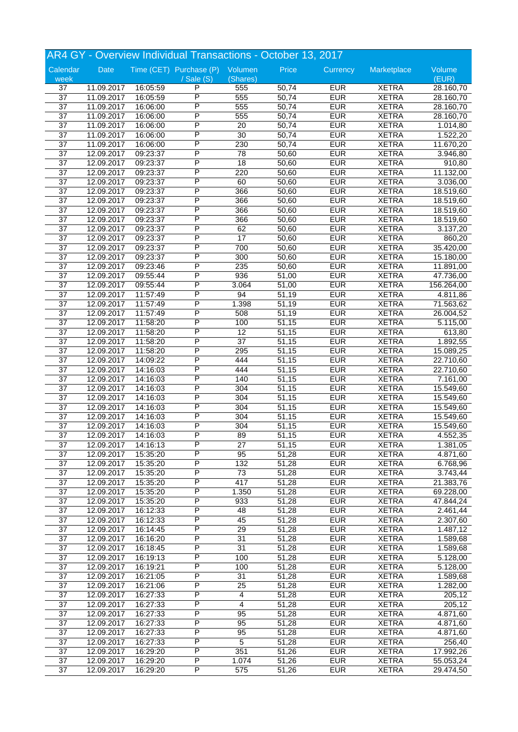|                       | AR4 GY - Overview Individual Transactions - October 13, 2017 |          |                                 |                         |       |            |              |                       |  |
|-----------------------|--------------------------------------------------------------|----------|---------------------------------|-------------------------|-------|------------|--------------|-----------------------|--|
| Calendar              | Date                                                         |          | Time (CET) Purchase (P) Volumen |                         | Price | Currency   | Marketplace  | Volume                |  |
| week                  |                                                              |          | / Sale (S)                      | (Shares)                |       |            |              | (EUR)                 |  |
| 37                    | 11.09.2017                                                   | 16:05:59 | P                               | 555                     | 50,74 | <b>EUR</b> | <b>XETRA</b> | 28.160,70             |  |
| $\overline{37}$       | 11.09.2017                                                   | 16:05:59 | P                               | 555                     | 50,74 | <b>EUR</b> | <b>XETRA</b> | 28.160,70             |  |
| $\overline{37}$       | 11.09.2017                                                   | 16:06:00 | P                               | 555                     | 50,74 | <b>EUR</b> | <b>XETRA</b> | 28.160,70             |  |
| $\overline{37}$       | 11.09.2017                                                   | 16:06:00 | P                               | 555                     | 50,74 | <b>EUR</b> | <b>XETRA</b> | 28.160,70             |  |
| 37                    | 11.09.2017                                                   | 16:06:00 | P                               | 20                      | 50,74 | <b>EUR</b> | <b>XETRA</b> | 1.014,80              |  |
| 37                    | 11.09.2017                                                   | 16:06:00 | P                               | 30                      | 50,74 | <b>EUR</b> | <b>XETRA</b> | 1.522,20              |  |
| $\overline{37}$       | 11.09.2017                                                   | 16:06:00 | P                               | 230                     | 50,74 | <b>EUR</b> | <b>XETRA</b> | 11.670,20             |  |
| $\overline{37}$       | 12.09.2017                                                   | 09:23:37 | P                               | $\overline{78}$         | 50,60 | <b>EUR</b> | <b>XETRA</b> | 3.946,80              |  |
| 37                    | 12.09.2017                                                   | 09:23:37 | P                               | 18                      | 50,60 | <b>EUR</b> | <b>XETRA</b> | 910,80                |  |
| 37                    | 12.09.2017                                                   | 09:23:37 | P                               | 220                     | 50,60 | <b>EUR</b> | <b>XETRA</b> | 11.132,00             |  |
| 37                    | 12.09.2017                                                   | 09:23:37 | P                               | 60                      | 50,60 | <b>EUR</b> | <b>XETRA</b> | 3.036,00              |  |
| $\overline{37}$       | 12.09.2017                                                   | 09:23:37 | P                               | 366                     | 50,60 | <b>EUR</b> | <b>XETRA</b> | 18.519,60             |  |
| $\overline{37}$       | 12.09.2017                                                   | 09:23:37 | P                               | 366                     | 50,60 | <b>EUR</b> | <b>XETRA</b> | 18.519,60             |  |
| $\overline{37}$       | 12.09.2017                                                   | 09:23:37 | P                               | 366                     | 50,60 | <b>EUR</b> | <b>XETRA</b> | 18.519,60             |  |
| 37                    | 12.09.2017                                                   | 09:23:37 | P                               | 366                     | 50,60 | <b>EUR</b> | <b>XETRA</b> | 18.519,60             |  |
| 37                    | 12.09.2017                                                   | 09:23:37 | P                               | 62                      | 50,60 | <b>EUR</b> | <b>XETRA</b> | 3.137,20              |  |
| $\overline{37}$       | 12.09.2017                                                   | 09:23:37 | P                               | $\overline{17}$         | 50,60 | <b>EUR</b> | <b>XETRA</b> | 860,20                |  |
| $\overline{37}$       | 12.09.2017                                                   | 09:23:37 | P                               | 700                     | 50,60 | <b>EUR</b> | <b>XETRA</b> | 35.420,00             |  |
| 37                    | 12.09.2017                                                   | 09:23:37 | P                               | $\overline{300}$        | 50,60 | <b>EUR</b> | <b>XETRA</b> | 15.180,00             |  |
| 37                    | 12.09.2017                                                   | 09:23:46 | P                               | 235                     | 50,60 | <b>EUR</b> | <b>XETRA</b> | 11.891,00             |  |
| $\overline{37}$       | 12.09.2017                                                   | 09:55:44 | P                               | 936                     | 51,00 | <b>EUR</b> | <b>XETRA</b> | 47.736,00             |  |
| $\overline{37}$       | 12.09.2017                                                   | 09:55:44 | P                               | 3.064                   | 51,00 | <b>EUR</b> | <b>XETRA</b> | 156.264,00            |  |
| $\overline{37}$       | 12.09.2017                                                   | 11:57:49 | P                               | 94                      | 51,19 | <b>EUR</b> | <b>XETRA</b> | 4.811,86              |  |
| $\overline{37}$       | 12.09.2017                                                   | 11:57:49 | P                               | 1.398                   | 51,19 | <b>EUR</b> | <b>XETRA</b> | 71.563,62             |  |
| 37                    | 12.09.2017                                                   | 11:57:49 | P                               | 508                     | 51,19 | <b>EUR</b> | <b>XETRA</b> | 26.004,52             |  |
|                       |                                                              |          | P                               |                         |       |            |              |                       |  |
| 37<br>$\overline{37}$ | 12.09.2017                                                   | 11:58:20 | P                               | 100                     | 51,15 | <b>EUR</b> | <b>XETRA</b> | 5.115,00              |  |
|                       | 12.09.2017                                                   | 11:58:20 |                                 | $\overline{12}$         | 51,15 | <b>EUR</b> | <b>XETRA</b> | 613,80                |  |
| $\overline{37}$       | 12.09.2017                                                   | 11:58:20 | P                               | 37                      | 51,15 | <b>EUR</b> | <b>XETRA</b> | 1.892,55              |  |
| 37                    | 12.09.2017                                                   | 11:58:20 | P                               | 295                     | 51,15 | <b>EUR</b> | <b>XETRA</b> | 15.089,25             |  |
| 37                    | 12.09.2017                                                   | 14:09:22 | P                               | 444                     | 51,15 | <b>EUR</b> | <b>XETRA</b> | 22.710,60             |  |
| $\overline{37}$       | 12.09.2017                                                   | 14:16:03 | P                               | 444                     | 51,15 | <b>EUR</b> | <b>XETRA</b> | 22.710,60             |  |
| $\overline{37}$       | 12.09.2017                                                   | 14:16:03 | P                               | 140                     | 51,15 | <b>EUR</b> | <b>XETRA</b> | 7.161,00              |  |
| $\overline{37}$       | 12.09.2017                                                   | 14:16:03 | P                               | 304                     | 51,15 | <b>EUR</b> | <b>XETRA</b> | 15.549,60             |  |
| $\overline{37}$       | 12.09.2017                                                   | 14:16:03 | P                               | 304                     | 51,15 | <b>EUR</b> | <b>XETRA</b> | 15.549,60             |  |
| 37                    | 12.09.2017                                                   | 14:16:03 | P                               | 304                     | 51,15 | <b>EUR</b> | <b>XETRA</b> | 15.549,60             |  |
| 37                    | 12.09.2017                                                   | 14:16:03 | P                               | 304                     | 51,15 | <b>EUR</b> | <b>XETRA</b> | 15.549,60             |  |
| $\overline{37}$       | 12.09.2017                                                   | 14:16:03 | P                               | 304                     | 51,15 | <b>EUR</b> | <b>XETRA</b> | 15.549,60             |  |
| $\overline{37}$       | 12.09.2017                                                   | 14:16:03 | P                               | 89                      | 51,15 | <b>EUR</b> | <b>XETRA</b> | 4.552,35              |  |
| 37                    | 12.09.2017                                                   | 14:16:13 | P                               | 27                      | 51,15 | <b>EUR</b> | <b>XETRA</b> | 1.381,05              |  |
| 37                    | 12.09.2017                                                   | 15:35:20 | P                               | 95                      | 51,28 | <b>EUR</b> | <b>XETRA</b> | 4.871,60              |  |
| 37                    | 12.09.2017                                                   | 15:35:20 | P                               | 132                     | 51,28 | <b>EUR</b> | <b>XETRA</b> | 6.768,96              |  |
| $\overline{37}$       | 12.09.2017                                                   | 15:35:20 | P                               | $\overline{73}$         | 51,28 | <b>EUR</b> | <b>XETRA</b> | 3.743,44              |  |
| $\overline{37}$       | 12.09.2017                                                   | 15:35:20 | P                               | 417                     | 51,28 | <b>EUR</b> | <b>XETRA</b> | 21.383,76             |  |
| 37                    | 12.09.2017                                                   | 15:35:20 | Ρ                               | 1.350                   | 51,28 | <b>EUR</b> | <b>XETRA</b> | 69.228,00             |  |
| 37                    | 12.09.2017                                                   | 15:35:20 | P                               | 933                     | 51,28 | <b>EUR</b> | <b>XETRA</b> | 47.844,24             |  |
| $\overline{37}$       | 12.09.2017                                                   | 16:12:33 | P                               | 48                      | 51,28 | <b>EUR</b> | <b>XETRA</b> | 2.461,44              |  |
| $\overline{37}$       | 12.09.2017                                                   | 16:12:33 | P                               | 45                      | 51,28 | <b>EUR</b> | <b>XETRA</b> | 2.307,60              |  |
| $\overline{37}$       | 12.09.2017                                                   | 16:14:45 | P                               | $\overline{29}$         | 51,28 | <b>EUR</b> | <b>XETRA</b> | 1.487,12              |  |
| $\overline{37}$       | 12.09.2017                                                   | 16:16:20 | Ρ                               | 31                      | 51,28 | <b>EUR</b> | <b>XETRA</b> | 1.589,68              |  |
| 37                    | 12.09.2017                                                   | 16:18:45 | P                               | 31                      | 51,28 | <b>EUR</b> | <b>XETRA</b> | 1.589,68              |  |
| 37                    | 12.09.2017                                                   | 16:19:13 | P                               | 100                     | 51,28 | <b>EUR</b> | <b>XETRA</b> | 5.128,00              |  |
| $\overline{37}$       | 12.09.2017                                                   | 16:19:21 | P                               | 100                     | 51,28 | <b>EUR</b> | <b>XETRA</b> | $\overline{5.128,00}$ |  |
| $\overline{37}$       | 12.09.2017                                                   | 16:21:05 | P                               | 31                      | 51,28 | <b>EUR</b> | <b>XETRA</b> | 1.589,68              |  |
| 37                    | 12.09.2017                                                   | 16:21:06 | Ρ                               | 25                      | 51,28 | <b>EUR</b> | <b>XETRA</b> | 1.282,00              |  |
| 37                    | 12.09.2017                                                   | 16:27:33 | P                               | 4                       | 51,28 | <b>EUR</b> | <b>XETRA</b> | 205,12                |  |
| 37                    | 12.09.2017                                                   | 16:27:33 | P                               | $\overline{\mathbf{4}}$ | 51,28 | <b>EUR</b> | <b>XETRA</b> | 205,12                |  |
| $\overline{37}$       | 12.09.2017                                                   | 16:27:33 | P                               | 95                      | 51,28 | <b>EUR</b> | <b>XETRA</b> | 4.871,60              |  |
| $\overline{37}$       | 12.09.2017                                                   | 16:27:33 | P                               | $\overline{95}$         | 51,28 | <b>EUR</b> | <b>XETRA</b> | 4.871,60              |  |
| $\overline{37}$       | 12.09.2017                                                   | 16:27:33 | Ρ                               | 95                      | 51,28 | <b>EUR</b> | <b>XETRA</b> | 4.871,60              |  |
| 37                    | 12.09.2017                                                   | 16:27:33 | P                               | 5                       | 51,28 | <b>EUR</b> | <b>XETRA</b> | 256,40                |  |
| 37                    | 12.09.2017                                                   | 16:29:20 | P                               | 351                     | 51,26 | <b>EUR</b> | <b>XETRA</b> | 17.992,26             |  |
| 37                    | 12.09.2017                                                   | 16:29:20 | Ρ                               | 1.074                   | 51,26 | <b>EUR</b> | <b>XETRA</b> | 55.053,24             |  |
| $\overline{37}$       | 12.09.2017                                                   | 16:29:20 | P                               | 575                     | 51,26 | <b>EUR</b> | <b>XETRA</b> | 29.474,50             |  |
|                       |                                                              |          |                                 |                         |       |            |              |                       |  |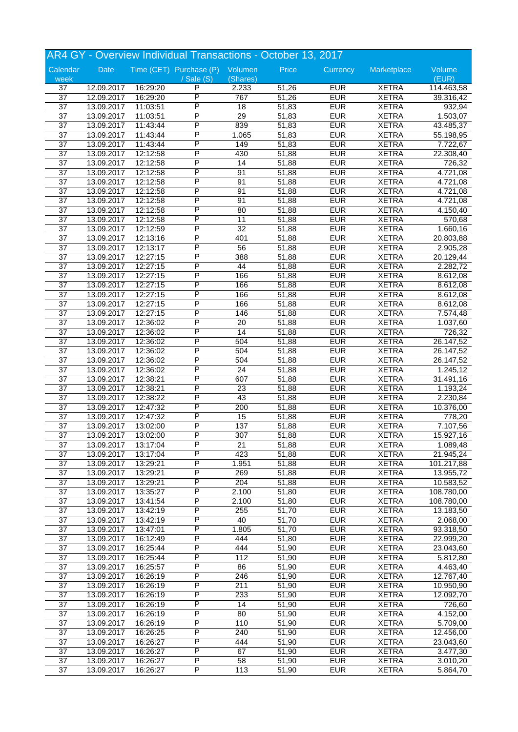|                 |            |          | AR4 GY - Overview Individual Transactions - October 13, 2017 |                 |       |            |              |            |
|-----------------|------------|----------|--------------------------------------------------------------|-----------------|-------|------------|--------------|------------|
| Calendar        | Date       |          | Time (CET) Purchase (P) Volumen                              |                 | Price | Currency   | Marketplace  | Volume     |
| week            |            |          | $/$ Sale $(S)$                                               | (Shares)        |       |            |              | (EUR)      |
| 37              | 12.09.2017 | 16:29:20 | P                                                            | 2.233           | 51,26 | <b>EUR</b> | <b>XETRA</b> | 114.463,58 |
| $\overline{37}$ | 12.09.2017 | 16:29:20 | P                                                            | 767             | 51,26 | <b>EUR</b> | <b>XETRA</b> | 39.316,42  |
| $\overline{37}$ | 13.09.2017 | 11:03:51 | P                                                            | $\overline{18}$ | 51,83 | <b>EUR</b> | <b>XETRA</b> | 932,94     |
| $\overline{37}$ | 13.09.2017 | 11:03:51 | P                                                            | 29              | 51,83 | <b>EUR</b> | <b>XETRA</b> | 1.503,07   |
| $\overline{37}$ | 13.09.2017 | 11:43:44 | P                                                            | 839             | 51,83 | <b>EUR</b> | <b>XETRA</b> | 43.485,37  |
| 37              | 13.09.2017 | 11:43:44 | P                                                            | 1.065           | 51,83 | <b>EUR</b> | <b>XETRA</b> | 55.198,95  |
| 37              | 13.09.2017 | 11:43:44 | P                                                            | 149             | 51,83 | <b>EUR</b> | <b>XETRA</b> | 7.722,67   |
| $\overline{37}$ | 13.09.2017 | 12:12:58 | P                                                            | 430             |       | <b>EUR</b> | <b>XETRA</b> |            |
|                 |            |          |                                                              |                 | 51,88 |            |              | 22.308,40  |
| $\overline{37}$ | 13.09.2017 | 12:12:58 | P                                                            | 14              | 51,88 | <b>EUR</b> | <b>XETRA</b> | 726,32     |
| 37              | 13.09.2017 | 12:12:58 | P                                                            | 91              | 51,88 | <b>EUR</b> | <b>XETRA</b> | 4.721,08   |
| 37              | 13.09.2017 | 12:12:58 | P                                                            | 91              | 51,88 | <b>EUR</b> | <b>XETRA</b> | 4.721,08   |
| $\overline{37}$ | 13.09.2017 | 12:12:58 | P                                                            | 91              | 51,88 | <b>EUR</b> | <b>XETRA</b> | 4.721,08   |
| $\overline{37}$ | 13.09.2017 | 12:12:58 | P                                                            | 91              | 51,88 | <b>EUR</b> | <b>XETRA</b> | 4.721,08   |
| $\overline{37}$ | 13.09.2017 | 12:12:58 | P                                                            | 80              | 51,88 | <b>EUR</b> | <b>XETRA</b> | 4.150,40   |
| 37              | 13.09.2017 | 12:12:58 | P                                                            | 11              | 51,88 | <b>EUR</b> | <b>XETRA</b> | 570,68     |
| 37              | 13.09.2017 | 12:12:59 | Ρ                                                            | 32              | 51,88 | <b>EUR</b> | <b>XETRA</b> | 1.660,16   |
| $\overline{37}$ |            |          | P                                                            | 401             |       | <b>EUR</b> | <b>XETRA</b> |            |
|                 | 13.09.2017 | 12:13:16 | P                                                            |                 | 51,88 |            |              | 20.803,88  |
| $\overline{37}$ | 13.09.2017 | 12:13:17 |                                                              | $\overline{56}$ | 51,88 | <b>EUR</b> | <b>XETRA</b> | 2.905,28   |
| $\overline{37}$ | 13.09.2017 | 12:27:15 | P                                                            | 388             | 51,88 | <b>EUR</b> | <b>XETRA</b> | 20.129,44  |
| 37              | 13.09.2017 | 12:27:15 | P                                                            | 44              | 51,88 | <b>EUR</b> | <b>XETRA</b> | 2.282,72   |
| 37              | 13.09.2017 | 12:27:15 | Ρ                                                            | 166             | 51,88 | <b>EUR</b> | <b>XETRA</b> | 8.612,08   |
| $\overline{37}$ | 13.09.2017 | 12:27:15 | P                                                            | 166             | 51,88 | <b>EUR</b> | <b>XETRA</b> | 8.612,08   |
| $\overline{37}$ | 13.09.2017 | 12:27:15 | P                                                            | 166             | 51,88 | <b>EUR</b> | <b>XETRA</b> | 8.612,08   |
| $\overline{37}$ | 13.09.2017 | 12:27:15 | P                                                            | 166             | 51,88 | <b>EUR</b> | <b>XETRA</b> | 8.612,08   |
| 37              | 13.09.2017 | 12:27:15 | P                                                            | 146             | 51,88 | <b>EUR</b> | <b>XETRA</b> | 7.574,48   |
| 37              | 13.09.2017 |          | Ρ                                                            |                 |       | <b>EUR</b> | <b>XETRA</b> |            |
|                 |            | 12:36:02 |                                                              | 20              | 51,88 |            |              | 1.037,60   |
| $\overline{37}$ | 13.09.2017 | 12:36:02 | P                                                            | 14              | 51,88 | <b>EUR</b> | <b>XETRA</b> | 726,32     |
| $\overline{37}$ | 13.09.2017 | 12:36:02 | P                                                            | 504             | 51,88 | <b>EUR</b> | <b>XETRA</b> | 26.147,52  |
| $\overline{37}$ | 13.09.2017 | 12:36:02 | P                                                            | 504             | 51,88 | <b>EUR</b> | <b>XETRA</b> | 26.147,52  |
| 37              | 13.09.2017 | 12:36:02 | P                                                            | 504             | 51,88 | <b>EUR</b> | <b>XETRA</b> | 26.147,52  |
| 37              | 13.09.2017 | 12:36:02 | Ρ                                                            | 24              | 51,88 | <b>EUR</b> | <b>XETRA</b> | 1.245,12   |
| 37              | 13.09.2017 | 12:38:21 | P                                                            | 607             | 51,88 | <b>EUR</b> | <b>XETRA</b> | 31.491,16  |
| $\overline{37}$ | 13.09.2017 | 12:38:21 | P                                                            | $\overline{23}$ | 51,88 | <b>EUR</b> | <b>XETRA</b> | 1.193,24   |
| $\overline{37}$ | 13.09.2017 | 12:38:22 | P                                                            | 43              | 51,88 | <b>EUR</b> | <b>XETRA</b> | 2.230,84   |
| 37              | 13.09.2017 | 12:47:32 | P                                                            | 200             | 51,88 | <b>EUR</b> | <b>XETRA</b> | 10.376,00  |
|                 |            |          | P                                                            |                 |       | <b>EUR</b> | <b>XETRA</b> |            |
| 37              | 13.09.2017 | 12:47:32 |                                                              | 15              | 51,88 |            |              | 778,20     |
| 37              | 13.09.2017 | 13:02:00 | P                                                            | 137             | 51,88 | <b>EUR</b> | <b>XETRA</b> | 7.107,56   |
| $\overline{37}$ | 13.09.2017 | 13:02:00 | P                                                            | 307             | 51,88 | <b>EUR</b> | <b>XETRA</b> | 15.927,16  |
| 37              | 13.09.2017 | 13:17:04 | P                                                            | 21              | 51,88 | <b>EUR</b> | <b>XETRA</b> | 1.089,48   |
| $\overline{37}$ | 13.09.2017 | 13:17:04 | P                                                            | 423             | 51,88 | <b>EUR</b> | <b>XETRA</b> | 21.945,24  |
| 37              | 13.09.2017 | 13:29:21 | P                                                            | 1.951           | 51,88 | <b>EUR</b> | <b>XETRA</b> | 101.217,88 |
| 37              | 13.09.2017 | 13:29:21 | P                                                            | 269             | 51,88 | <b>EUR</b> | <b>XETRA</b> | 13.955,72  |
| $\overline{37}$ | 13.09.2017 | 13:29:21 | $\overline{\mathsf{P}}$                                      | 204             | 51,88 | <b>EUR</b> | <b>XETRA</b> | 10.583,52  |
| $\overline{37}$ | 13.09.2017 | 13:35:27 | Ρ                                                            | 2.100           | 51,80 | <b>EUR</b> | <b>XETRA</b> | 108.780,00 |
| 37              | 13.09.2017 | 13:41:54 | Ρ                                                            | 2.100           | 51,80 | <b>EUR</b> | <b>XETRA</b> | 108.780,00 |
|                 |            |          |                                                              |                 |       |            |              |            |
| 37              | 13.09.2017 | 13:42:19 | P                                                            | 255             | 51,70 | <b>EUR</b> | <b>XETRA</b> | 13.183,50  |
| $\overline{37}$ | 13.09.2017 | 13:42:19 | P                                                            | 40              | 51,70 | <b>EUR</b> | <b>XETRA</b> | 2.068,00   |
| $\overline{37}$ | 13.09.2017 | 13:47:01 | P                                                            | 1.805           | 51,70 | <b>EUR</b> | <b>XETRA</b> | 93.318,50  |
| $\overline{37}$ | 13.09.2017 | 16:12:49 | Ρ                                                            | 444             | 51,80 | <b>EUR</b> | <b>XETRA</b> | 22.999,20  |
| 37              | 13.09.2017 | 16:25:44 | P                                                            | 444             | 51,90 | <b>EUR</b> | <b>XETRA</b> | 23.043,60  |
| 37              | 13.09.2017 | 16:25:44 | P                                                            | 112             | 51,90 | <b>EUR</b> | <b>XETRA</b> | 5.812,80   |
| 37              | 13.09.2017 | 16:25:57 | Ρ                                                            | 86              | 51,90 | <b>EUR</b> | <b>XETRA</b> | 4.463,40   |
| $\overline{37}$ | 13.09.2017 | 16:26:19 | P                                                            | 246             | 51,90 | <b>EUR</b> | <b>XETRA</b> | 12.767,40  |
| $\overline{37}$ | 13.09.2017 | 16:26:19 | Ρ                                                            | 211             | 51,90 | <b>EUR</b> | <b>XETRA</b> | 10.950,90  |
|                 |            |          | P                                                            |                 |       |            |              |            |
| 37              | 13.09.2017 | 16:26:19 |                                                              | 233             | 51,90 | <b>EUR</b> | <b>XETRA</b> | 12.092,70  |
| 37              | 13.09.2017 | 16:26:19 | P                                                            | 14              | 51,90 | <b>EUR</b> | <b>XETRA</b> | 726,60     |
| $\overline{37}$ | 13.09.2017 | 16:26:19 | P                                                            | 80              | 51,90 | <b>EUR</b> | <b>XETRA</b> | 4.152,00   |
| $\overline{37}$ | 13.09.2017 | 16:26:19 | P                                                            | 110             | 51,90 | <b>EUR</b> | <b>XETRA</b> | 5.709,00   |
| $\overline{37}$ | 13.09.2017 | 16:26:25 | Ρ                                                            | 240             | 51,90 | <b>EUR</b> | <b>XETRA</b> | 12.456,00  |
| 37              | 13.09.2017 | 16:26:27 | P                                                            | 444             | 51,90 | <b>EUR</b> | <b>XETRA</b> | 23.043,60  |
| 37              | 13.09.2017 | 16:26:27 | P                                                            | 67              | 51,90 | <b>EUR</b> | <b>XETRA</b> | 3.477,30   |
| 37              | 13.09.2017 | 16:26:27 | Ρ                                                            | 58              | 51,90 | <b>EUR</b> | <b>XETRA</b> | 3.010,20   |
|                 |            |          | P                                                            |                 |       |            |              |            |
| $\overline{37}$ | 13.09.2017 | 16:26:27 |                                                              | 113             | 51,90 | <b>EUR</b> | <b>XETRA</b> | 5.864,70   |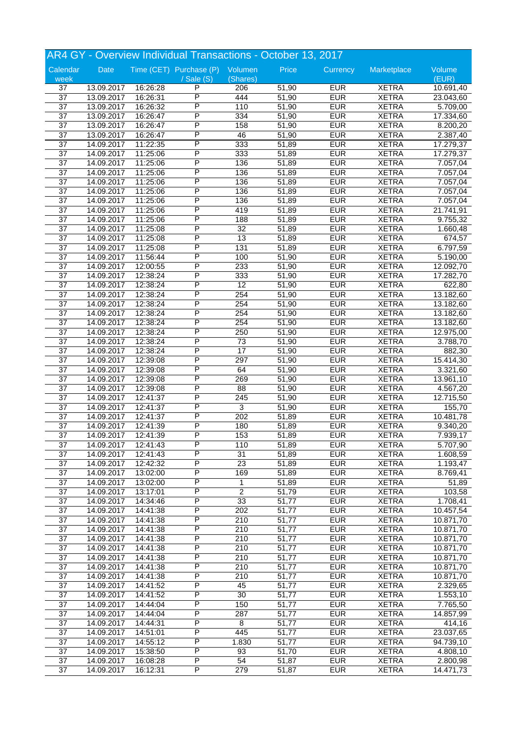|                 |            |          | AR4 GY - Overview Individual Transactions - October 13, 2017 |                 |                    |            |              |           |
|-----------------|------------|----------|--------------------------------------------------------------|-----------------|--------------------|------------|--------------|-----------|
| Calendar        | Date       |          | Time (CET) Purchase (P) Volumen                              |                 | Price              | Currency   | Marketplace  | Volume    |
| week            |            |          | $\sqrt{s}$ ale $(S)$                                         | (Shares)        |                    |            |              | (EUR)     |
| 37              | 13.09.2017 | 16:26:28 | P                                                            | 206             | 51,90              | <b>EUR</b> | <b>XETRA</b> | 10.691,40 |
| $\overline{37}$ | 13.09.2017 | 16:26:31 | P                                                            | 444             | 51,90              | <b>EUR</b> | <b>XETRA</b> | 23.043,60 |
| $\overline{37}$ | 13.09.2017 | 16:26:32 | P                                                            | 110             | 51,90              | <b>EUR</b> | <b>XETRA</b> | 5.709,00  |
| $\overline{37}$ | 13.09.2017 | 16:26:47 | P                                                            | 334             | 51,90              | <b>EUR</b> | <b>XETRA</b> | 17.334,60 |
| $\overline{37}$ | 13.09.2017 | 16:26:47 | P                                                            | 158             | 51,90              | <b>EUR</b> | <b>XETRA</b> | 8.200,20  |
| 37              | 13.09.2017 | 16:26:47 | P                                                            | 46              | 51,90              | <b>EUR</b> | <b>XETRA</b> | 2.387,40  |
| $\overline{37}$ |            |          | P                                                            |                 |                    |            | <b>XETRA</b> |           |
|                 | 14.09.2017 | 11:22:35 |                                                              | 333             | 51,89              | <b>EUR</b> |              | 17.279,37 |
| $\overline{37}$ | 14.09.2017 | 11:25:06 | P                                                            | 333             | 51,89              | <b>EUR</b> | <b>XETRA</b> | 17.279,37 |
| $\overline{37}$ | 14.09.2017 | 11:25:06 | P                                                            | 136             | 51,89              | <b>EUR</b> | <b>XETRA</b> | 7.057,04  |
| 37              | 14.09.2017 | 11:25:06 | P                                                            | 136             | 51,89              | <b>EUR</b> | <b>XETRA</b> | 7.057,04  |
| 37              | 14.09.2017 | 11:25:06 | P                                                            | 136             | 51,89              | <b>EUR</b> | <b>XETRA</b> | 7.057,04  |
| $\overline{37}$ | 14.09.2017 | 11:25:06 | P                                                            | 136             | 51,89              | <b>EUR</b> | <b>XETRA</b> | 7.057,04  |
| $\overline{37}$ | 14.09.2017 | 11:25:06 | P                                                            | 136             | 51,89              | <b>EUR</b> | <b>XETRA</b> | 7.057,04  |
| $\overline{37}$ | 14.09.2017 | 11:25:06 | P                                                            | 419             | 51,89              | <b>EUR</b> | <b>XETRA</b> | 21.741,91 |
| $\overline{37}$ | 14.09.2017 | 11:25:06 | P                                                            | 188             | 51,89              | <b>EUR</b> | <b>XETRA</b> | 9.755,32  |
|                 |            |          | Ρ                                                            |                 |                    |            |              |           |
| 37              | 14.09.2017 | 11:25:08 |                                                              | 32              | 51,89              | <b>EUR</b> | <b>XETRA</b> | 1.660, 48 |
| $\overline{37}$ | 14.09.2017 | 11:25:08 | P                                                            | 13              | 51,89              | <b>EUR</b> | <b>XETRA</b> | 674,57    |
| $\overline{37}$ | 14.09.2017 | 11:25:08 | P                                                            | 131             | 51,89              | <b>EUR</b> | <b>XETRA</b> | 6.797,59  |
| $\overline{37}$ | 14.09.2017 | 11:56:44 | P                                                            | 100             | 51,90              | <b>EUR</b> | <b>XETRA</b> | 5.190,00  |
| 37              | 14.09.2017 | 12:00:55 | P                                                            | 233             | 51,90              | <b>EUR</b> | <b>XETRA</b> | 12.092,70 |
| 37              | 14.09.2017 | 12:38:24 | P                                                            | 333             | 51,90              | <b>EUR</b> | <b>XETRA</b> | 17.282,70 |
| $\overline{37}$ | 14.09.2017 | 12:38:24 | P                                                            | $\overline{12}$ | 51,90              | <b>EUR</b> | <b>XETRA</b> | 622,80    |
| $\overline{37}$ | 14.09.2017 | 12:38:24 | P                                                            | 254             | 51,90              | <b>EUR</b> | <b>XETRA</b> | 13.182,60 |
| $\overline{37}$ | 14.09.2017 | 12:38:24 | P                                                            | 254             | 51,90              | <b>EUR</b> | <b>XETRA</b> | 13.182,60 |
|                 |            |          | P                                                            |                 |                    |            |              |           |
| 37              | 14.09.2017 | 12:38:24 |                                                              | 254             | 51,90              | <b>EUR</b> | <b>XETRA</b> | 13.182,60 |
| 37              | 14.09.2017 | 12:38:24 | Ρ                                                            | 254             | 51,90              | <b>EUR</b> | <b>XETRA</b> | 13.182,60 |
| $\overline{37}$ | 14.09.2017 | 12:38:24 | P                                                            | 250             | 51,90              | <b>EUR</b> | <b>XETRA</b> | 12.975,00 |
| $\overline{37}$ | 14.09.2017 | 12:38:24 | P                                                            | $\overline{73}$ | 51,90              | <b>EUR</b> | <b>XETRA</b> | 3.788,70  |
| $\overline{37}$ | 14.09.2017 | 12:38:24 | P                                                            | $\overline{17}$ | 51,90              | <b>EUR</b> | <b>XETRA</b> | 882,30    |
| 37              | 14.09.2017 | 12:39:08 | P                                                            | 297             | 51,90              | <b>EUR</b> | <b>XETRA</b> | 15.414,30 |
| 37              | 14.09.2017 | 12:39:08 | Ρ                                                            | 64              | 51,90              | <b>EUR</b> | <b>XETRA</b> | 3.321,60  |
| 37              | 14.09.2017 | 12:39:08 | P                                                            | 269             | 51,90              | <b>EUR</b> | <b>XETRA</b> | 13.961,10 |
| $\overline{37}$ | 14.09.2017 | 12:39:08 | P                                                            | 88              | 51,90              | <b>EUR</b> | <b>XETRA</b> | 4.567,20  |
|                 |            |          | P                                                            |                 |                    |            |              |           |
| $\overline{37}$ | 14.09.2017 | 12:41:37 |                                                              | 245             | 51,90              | <b>EUR</b> | <b>XETRA</b> | 12.715,50 |
| 37              | 14.09.2017 | 12:41:37 | P                                                            | $\overline{3}$  | 51,90              | <b>EUR</b> | <b>XETRA</b> | 155,70    |
| 37              | 14.09.2017 | 12:41:37 | Ρ                                                            | 202             | 51,89              | <b>EUR</b> | <b>XETRA</b> | 10.481,78 |
| 37              | 14.09.2017 | 12:41:39 | P                                                            | 180             | 51,89              | <b>EUR</b> | <b>XETRA</b> | 9.340,20  |
| $\overline{37}$ | 14.09.2017 | 12:41:39 | P                                                            | 153             | 51,89              | <b>EUR</b> | <b>XETRA</b> | 7.939,17  |
| 37              | 14.09.2017 | 12:41:43 | Ρ                                                            | 110             | 51,89              | <b>EUR</b> | <b>XETRA</b> | 5.707,90  |
| 37              | 14.09.2017 | 12:41:43 | P                                                            | $\overline{31}$ | 51,89              | <b>EUR</b> | <b>XETRA</b> | 1.608,59  |
| 37              | 14.09.2017 | 12:42:32 | Ρ                                                            | 23              | 51,89              | <b>EUR</b> | <b>XETRA</b> | 1.193,47  |
| 37              | 14.09.2017 |          | P                                                            | 169             | 51,89              | <b>EUR</b> | <b>XETRA</b> | 8.769,41  |
|                 |            | 13:02:00 | P                                                            |                 |                    |            |              |           |
| $\overline{37}$ | 14.09.2017 | 13:02:00 |                                                              | 1               | 51,89              | <b>EUR</b> | <b>XETRA</b> | 51,89     |
| $\overline{37}$ | 14.09.2017 | 13:17:01 | Ρ                                                            | $\overline{c}$  | 51,79              | <b>EUR</b> | <b>XETRA</b> | 103,58    |
| 37              | 14.09.2017 | 14:34:46 | Ρ                                                            | 33              | 51,77              | <b>EUR</b> | <b>XETRA</b> | 1.708,41  |
| 37              | 14.09.2017 | 14:41:38 | Ρ                                                            | 202             | 51,77              | <b>EUR</b> | <b>XETRA</b> | 10.457,54 |
| $\overline{37}$ | 14.09.2017 | 14:41:38 | P                                                            | 210             | $\overline{5}1,77$ | <b>EUR</b> | <b>XETRA</b> | 10.871,70 |
| $\overline{37}$ | 14.09.2017 | 14:41:38 | P                                                            | 210             | 51,77              | <b>EUR</b> | <b>XETRA</b> | 10.871,70 |
| $\overline{37}$ | 14.09.2017 | 14:41:38 | Ρ                                                            | 210             | 51,77              | <b>EUR</b> | <b>XETRA</b> | 10.871,70 |
| 37              | 14.09.2017 | 14:41:38 | P                                                            | 210             | 51,77              | <b>EUR</b> | <b>XETRA</b> | 10.871,70 |
| 37              | 14.09.2017 | 14:41:38 | Ρ                                                            | 210             | 51,77              | <b>EUR</b> | <b>XETRA</b> |           |
|                 |            |          |                                                              |                 |                    |            |              | 10.871,70 |
| 37              | 14.09.2017 | 14:41:38 | Ρ                                                            | 210             | $\overline{5}1,77$ | <b>EUR</b> | <b>XETRA</b> | 10.871,70 |
| $\overline{37}$ | 14.09.2017 | 14:41:38 | P                                                            | 210             | 51,77              | <b>EUR</b> | <b>XETRA</b> | 10.871,70 |
| $\overline{37}$ | 14.09.2017 | 14:41:52 | Ρ                                                            | 45              | 51,77              | <b>EUR</b> | <b>XETRA</b> | 2.329,65  |
| 37              | 14.09.2017 | 14:41:52 | P                                                            | 30              | 51,77              | <b>EUR</b> | <b>XETRA</b> | 1.553,10  |
| 37              | 14.09.2017 | 14:44:04 | Ρ                                                            | 150             | 51,77              | <b>EUR</b> | <b>XETRA</b> | 7.765,50  |
| $\overline{37}$ | 14.09.2017 | 14:44:04 | Ρ                                                            | 287             | $\overline{5}1,77$ | <b>EUR</b> | <b>XETRA</b> | 14.857,99 |
| $\overline{37}$ | 14.09.2017 | 14:44:31 | P                                                            | 8               | 51,77              | <b>EUR</b> | <b>XETRA</b> | 414,16    |
| $\overline{37}$ | 14.09.2017 | 14:51:01 | Ρ                                                            | 445             | 51,77              | <b>EUR</b> | <b>XETRA</b> | 23.037,65 |
|                 |            |          |                                                              |                 |                    |            |              |           |
| 37              | 14.09.2017 | 14:55:12 | P                                                            | 1.830           | 51,77              | <b>EUR</b> | <b>XETRA</b> | 94.739,10 |
| 37              | 14.09.2017 | 15:38:50 | P                                                            | 93              | 51,70              | <b>EUR</b> | <b>XETRA</b> | 4.808,10  |
| 37              | 14.09.2017 | 16:08:28 | Ρ                                                            | 54              | 51,87              | <b>EUR</b> | <b>XETRA</b> | 2.800,98  |
| $\overline{37}$ | 14.09.2017 | 16:12:31 | P                                                            | 279             | 51,87              | <b>EUR</b> | <b>XETRA</b> | 14.471,73 |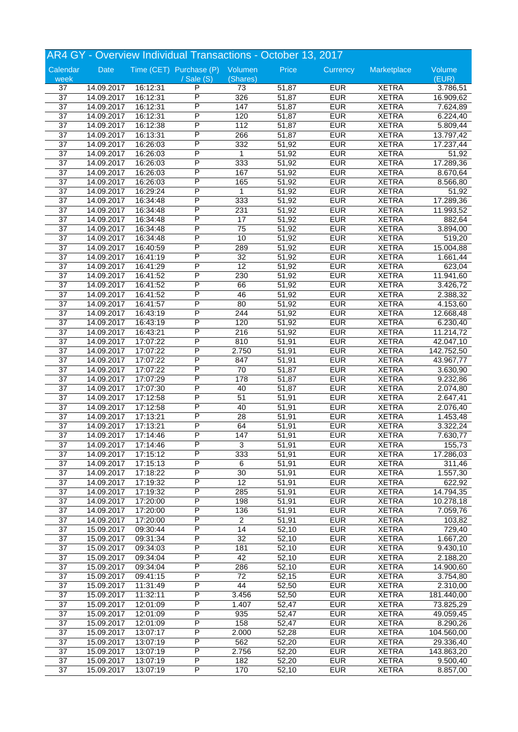|                 |            |          | AR4 GY - Overview Individual Transactions - October 13, 2017 |                 |       |            |              |                       |
|-----------------|------------|----------|--------------------------------------------------------------|-----------------|-------|------------|--------------|-----------------------|
| Calendar        | Date       |          | Time (CET) Purchase (P) Volumen                              |                 | Price | Currency   | Marketplace  | Volume                |
| week            |            |          | / Sale (S)                                                   | (Shares)        |       |            |              | (EUR)                 |
| 37              | 14.09.2017 | 16:12:31 | P                                                            | 73              | 51,87 | <b>EUR</b> | <b>XETRA</b> | 3.786,51              |
| $\overline{37}$ | 14.09.2017 | 16:12:31 | $\overline{\mathsf{P}}$                                      | 326             | 51,87 | <b>EUR</b> | <b>XETRA</b> | 16.909,62             |
| $\overline{37}$ | 14.09.2017 | 16:12:31 | P                                                            | 147             | 51,87 | <b>EUR</b> | <b>XETRA</b> | 7.624,89              |
| $\overline{37}$ | 14.09.2017 | 16:12:31 | P                                                            | 120             | 51,87 | <b>EUR</b> | <b>XETRA</b> | 6.224,40              |
| $\overline{37}$ | 14.09.2017 | 16:12:38 | P                                                            | 112             | 51,87 | <b>EUR</b> | <b>XETRA</b> | 5.809,44              |
| 37              | 14.09.2017 | 16:13:31 | P                                                            | 266             | 51,87 | <b>EUR</b> | <b>XETRA</b> | 13.797,42             |
| $\overline{37}$ | 14.09.2017 | 16:26:03 | P                                                            | 332             | 51,92 | <b>EUR</b> | <b>XETRA</b> | 17.237,44             |
| $\overline{37}$ | 14.09.2017 | 16:26:03 | P                                                            | $\mathbf 1$     | 51,92 | <b>EUR</b> | <b>XETRA</b> | 51,92                 |
| $\overline{37}$ | 14.09.2017 | 16:26:03 | P                                                            | 333             | 51,92 | <b>EUR</b> | <b>XETRA</b> | 17.289,36             |
| 37              | 14.09.2017 | 16:26:03 | P                                                            | 167             | 51,92 | <b>EUR</b> | <b>XETRA</b> | 8.670,64              |
| 37              | 14.09.2017 | 16:26:03 | Ρ                                                            | 165             | 51,92 | <b>EUR</b> | <b>XETRA</b> | 8.566,80              |
| $\overline{37}$ | 14.09.2017 | 16:29:24 | P                                                            | $\mathbf{1}$    | 51,92 | <b>EUR</b> | <b>XETRA</b> | 51,92                 |
| $\overline{37}$ | 14.09.2017 | 16:34:48 | P                                                            | 333             | 51,92 | <b>EUR</b> | <b>XETRA</b> | 17.289,36             |
| $\overline{37}$ | 14.09.2017 | 16:34:48 | P                                                            | 231             | 51,92 | <b>EUR</b> | <b>XETRA</b> | 11.993,52             |
| $\overline{37}$ | 14.09.2017 | 16:34:48 | P                                                            | 17              | 51,92 | <b>EUR</b> | <b>XETRA</b> | 882,64                |
| 37              | 14.09.2017 | 16:34:48 | Ρ                                                            | 75              | 51,92 | <b>EUR</b> | <b>XETRA</b> | 3.894,00              |
| $\overline{37}$ | 14.09.2017 | 16:34:48 | P                                                            | 10              | 51,92 | <b>EUR</b> | <b>XETRA</b> | 519,20                |
| $\overline{37}$ | 14.09.2017 | 16:40:59 | P                                                            | 289             | 51,92 | <b>EUR</b> | <b>XETRA</b> | 15.004,88             |
| $\overline{37}$ | 14.09.2017 | 16:41:19 | P                                                            | $\overline{32}$ | 51,92 | <b>EUR</b> | <b>XETRA</b> | 1.661,44              |
|                 |            |          | P                                                            |                 |       |            |              |                       |
| 37              | 14.09.2017 | 16:41:29 |                                                              | 12              | 51,92 | <b>EUR</b> | <b>XETRA</b> | 623,04                |
| 37              | 14.09.2017 | 16:41:52 | Ρ                                                            | 230             | 51,92 | <b>EUR</b> | <b>XETRA</b> | 11.941,60             |
| $\overline{37}$ | 14.09.2017 | 16:41:52 | P                                                            | 66              | 51,92 | <b>EUR</b> | <b>XETRA</b> | 3.426,72              |
| $\overline{37}$ | 14.09.2017 | 16:41:52 | P                                                            | 46              | 51,92 | <b>EUR</b> | <b>XETRA</b> | 2.388,32              |
| $\overline{37}$ | 14.09.2017 | 16:41:57 | P                                                            | 80              | 51,92 | <b>EUR</b> | <b>XETRA</b> | 4.153,60              |
| $\overline{37}$ | 14.09.2017 | 16:43:19 | P                                                            | 244             | 51,92 | <b>EUR</b> | <b>XETRA</b> | 12.668,48             |
| 37              | 14.09.2017 | 16:43:19 | Ρ                                                            | 120             | 51,92 | <b>EUR</b> | <b>XETRA</b> | 6.230,40              |
| $\overline{37}$ | 14.09.2017 | 16:43:21 | P                                                            | 216             | 51,92 | <b>EUR</b> | <b>XETRA</b> | 11.214,72             |
| $\overline{37}$ | 14.09.2017 | 17:07:22 | P                                                            | 810             | 51,91 | <b>EUR</b> | <b>XETRA</b> | 42.047,10             |
| $\overline{37}$ | 14.09.2017 | 17:07:22 | P                                                            | 2.750           | 51,91 | <b>EUR</b> | <b>XETRA</b> | 142.752,50            |
| 37              | 14.09.2017 | 17:07:22 | P                                                            | 847             | 51,91 | <b>EUR</b> | <b>XETRA</b> | 43.967,77             |
| 37              | 14.09.2017 | 17:07:22 | Ρ                                                            | 70              | 51,87 | <b>EUR</b> | <b>XETRA</b> | 3.630,90              |
| 37              | 14.09.2017 | 17:07:29 | P                                                            | 178             | 51,87 | <b>EUR</b> | <b>XETRA</b> | 9.232,86              |
| $\overline{37}$ | 14.09.2017 | 17:07:30 | P                                                            | 40              | 51,87 | <b>EUR</b> | <b>XETRA</b> | 2.074,80              |
| $\overline{37}$ | 14.09.2017 | 17:12:58 | P                                                            | $\overline{51}$ | 51,91 | <b>EUR</b> | <b>XETRA</b> | 2.647,41              |
| 37              | 14.09.2017 | 17:12:58 | P                                                            | 40              | 51,91 | <b>EUR</b> | <b>XETRA</b> | 2.076,40              |
| 37              | 14.09.2017 | 17:13:21 | P                                                            | 28              | 51,91 | <b>EUR</b> | <b>XETRA</b> | $\overline{1.453,48}$ |
| 37              | 14.09.2017 | 17:13:21 | P                                                            | 64              | 51,91 | <b>EUR</b> | <b>XETRA</b> | 3.322,24              |
| $\overline{37}$ | 14.09.2017 | 17:14:46 | P                                                            | 147             | 51,91 | <b>EUR</b> | <b>XETRA</b> | 7.630,77              |
| 37              | 14.09.2017 | 17:14:46 | P                                                            | 3               | 51,91 | <b>EUR</b> | <b>XETRA</b> | 155,73                |
|                 |            |          | P                                                            |                 |       | <b>EUR</b> |              |                       |
| 37              | 14.09.2017 | 17:15:12 |                                                              | 333             | 51,91 |            | <b>XETRA</b> | 17.286,03             |
| 37              | 14.09.2017 | 17:15:13 | P<br>P                                                       | 6               | 51,91 | <b>EUR</b> | <b>XETRA</b> | 311,46                |
| 37              | 14.09.2017 | 17:18:22 |                                                              | 30              | 51,91 | <b>EUR</b> | <b>XETRA</b> | 1.557,30              |
| $\overline{37}$ | 14.09.2017 | 17:19:32 | P                                                            | $\overline{12}$ | 51,91 | <b>EUR</b> | <b>XETRA</b> | 622,92                |
| $\overline{37}$ | 14.09.2017 | 17:19:32 | Ρ                                                            | 285             | 51,91 | <b>EUR</b> | <b>XETRA</b> | 14.794,35             |
| 37              | 14.09.2017 | 17:20:00 | Ρ                                                            | 198             | 51,91 | <b>EUR</b> | <b>XETRA</b> | 10.278,18             |
| 37              | 14.09.2017 | 17:20:00 | P                                                            | 136             | 51,91 | <b>EUR</b> | <b>XETRA</b> | 7.059,76              |
| $\overline{37}$ | 14.09.2017 | 17:20:00 | P                                                            | $\overline{c}$  | 51,91 | <b>EUR</b> | <b>XETRA</b> | 103,82                |
| $\overline{37}$ | 15.09.2017 | 09:30:44 | P                                                            | $\overline{14}$ | 52,10 | <b>EUR</b> | <b>XETRA</b> | 729,40                |
| $\overline{37}$ | 15.09.2017 | 09:31:34 | Ρ                                                            | $\overline{32}$ | 52,10 | <b>EUR</b> | <b>XETRA</b> | 1.667,20              |
| 37              | 15.09.2017 | 09:34:03 | P                                                            | 181             | 52,10 | <b>EUR</b> | <b>XETRA</b> | 9.430,10              |
| 37              | 15.09.2017 | 09:34:04 | P                                                            | 42              | 52,10 | <b>EUR</b> | <b>XETRA</b> | 2.188,20              |
| 37              | 15.09.2017 | 09:34:04 | Ρ                                                            | 286             | 52,10 | <b>EUR</b> | <b>XETRA</b> | 14.900,60             |
| $\overline{37}$ | 15.09.2017 | 09:41:15 | P                                                            | $\overline{72}$ | 52,15 | <b>EUR</b> | <b>XETRA</b> | 3.754,80              |
| $\overline{37}$ | 15.09.2017 | 11:31:49 | Ρ                                                            | 44              | 52,50 | <b>EUR</b> | <b>XETRA</b> | 2.310,00              |
| 37              | 15.09.2017 | 11:32:11 | P                                                            | 3.456           | 52,50 | <b>EUR</b> | <b>XETRA</b> | 181.440,00            |
| 37              | 15.09.2017 | 12:01:09 | P                                                            | 1.407           | 52,47 | <b>EUR</b> | <b>XETRA</b> | 73.825,29             |
| $\overline{37}$ | 15.09.2017 | 12:01:09 | Ρ                                                            | 935             | 52,47 | <b>EUR</b> | <b>XETRA</b> | 49.059,45             |
| $\overline{37}$ | 15.09.2017 | 12:01:09 | P                                                            | 158             | 52,47 | <b>EUR</b> | <b>XETRA</b> | 8.290,26              |
| $\overline{37}$ | 15.09.2017 | 13:07:17 | Ρ                                                            | 2.000           | 52,28 | <b>EUR</b> | <b>XETRA</b> | 104.560,00            |
| 37              | 15.09.2017 | 13:07:19 | P                                                            | 562             | 52,20 | <b>EUR</b> | <b>XETRA</b> | 29.336,40             |
| 37              | 15.09.2017 | 13:07:19 | P                                                            | 2.756           | 52,20 | <b>EUR</b> | <b>XETRA</b> | 143.863,20            |
| 37              | 15.09.2017 | 13:07:19 | P                                                            | 182             | 52,20 | <b>EUR</b> | <b>XETRA</b> | 9.500,40              |
| $\overline{37}$ |            |          | P                                                            |                 |       |            |              |                       |
|                 | 15.09.2017 | 13:07:19 |                                                              | 170             | 52,10 | <b>EUR</b> | <b>XETRA</b> | 8.857,00              |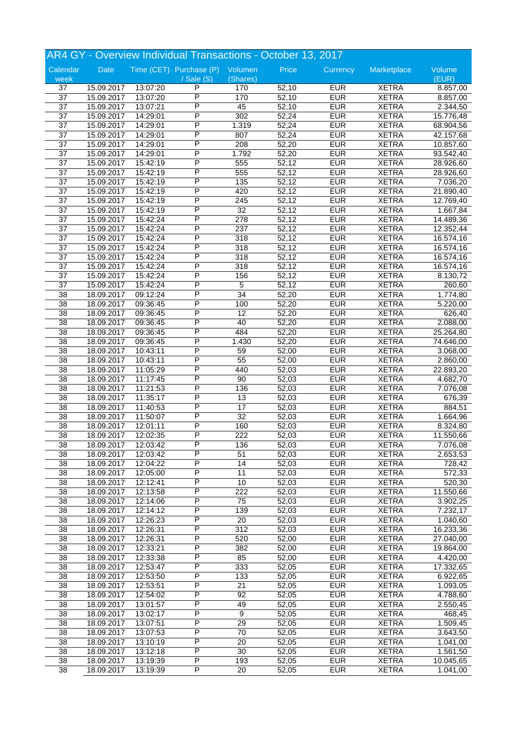|                 |                          |                      | AR4 GY - Overview Individual Transactions - October 13, 2017 |                  |                |            |                              |                        |
|-----------------|--------------------------|----------------------|--------------------------------------------------------------|------------------|----------------|------------|------------------------------|------------------------|
| Calendar        | Date                     |                      | Time (CET) Purchase (P) Volumen                              |                  | Price          | Currency   | Marketplace                  | Volume                 |
| week            |                          |                      | $\sqrt{s}$ ale $(S)$                                         | (Shares)         |                |            |                              | (EUR)                  |
| 37              | 15.09.2017               | 13:07:20             | P                                                            | 170              | 52,10          | <b>EUR</b> | <b>XETRA</b>                 | 8.857,00               |
| $\overline{37}$ | 15.09.2017               | 13:07:20             | P                                                            | 170              | 52,10          | <b>EUR</b> | <b>XETRA</b>                 | 8.857,00               |
| $\overline{37}$ | 15.09.2017               | 13:07:21             | P                                                            | 45               | 52,10          | <b>EUR</b> | <b>XETRA</b>                 | 2.344,50               |
| $\overline{37}$ | 15.09.2017               | 14:29:01             | P                                                            | 302              | 52,24          | <b>EUR</b> | <b>XETRA</b>                 | 15.776,48              |
| 37              | 15.09.2017               | 14:29:01             | Ρ                                                            | 1.319            | 52,24          | <b>EUR</b> | <b>XETRA</b>                 | 68.904,56              |
| 37              | 15.09.2017               | 14:29:01             | P                                                            | 807              | 52,24          | <b>EUR</b> | <b>XETRA</b>                 | 42.157,68              |
| $\overline{37}$ | 15.09.2017               | 14:29:01             | P                                                            | 208              | 52,20          | <b>EUR</b> | <b>XETRA</b>                 | 10.857,60              |
| $\overline{37}$ | 15.09.2017               | 14:29:01             | P                                                            | 1.792            | 52,20          | <b>EUR</b> | <b>XETRA</b>                 | $\overline{93.542,40}$ |
| 37              | 15.09.2017               | 15:42:19             | P                                                            | 555              | 52,12          | <b>EUR</b> | <b>XETRA</b>                 | 28.926,60              |
| 37              | 15.09.2017               | 15:42:19             | P                                                            | 555              | 52,12          | <b>EUR</b> | <b>XETRA</b>                 | 28.926,60              |
| $\overline{37}$ | 15.09.2017               | 15:42:19             | P                                                            | 135              | 52,12          | <b>EUR</b> | <b>XETRA</b>                 | 7.036,20               |
| $\overline{37}$ | 15.09.2017               | 15:42:19             | P                                                            | 420              | 52,12          | <b>EUR</b> | <b>XETRA</b>                 | 21.890,40              |
| $\overline{37}$ | 15.09.2017               | 15:42:19             | P                                                            | 245              | 52,12          | <b>EUR</b> | <b>XETRA</b>                 | 12.769,40              |
| $\overline{37}$ | 15.09.2017               | 15:42:19             | P                                                            | $\overline{32}$  | 52,12          | <b>EUR</b> | <b>XETRA</b>                 | 1.667,84               |
| 37              | 15.09.2017               | 15:42:24             | Ρ                                                            | 278              | 52,12          | <b>EUR</b> | <b>XETRA</b>                 | 14.489,36              |
| 37              | 15.09.2017               | 15:42:24             | P                                                            | 237              | 52,12          | <b>EUR</b> | <b>XETRA</b>                 | 12.352,44              |
| $\overline{37}$ | 15.09.2017               | 15:42:24             | P                                                            | 318              | 52,12          | <b>EUR</b> | <b>XETRA</b>                 | 16.574,16              |
| $\overline{37}$ | 15.09.2017               | 15:42:24             | P                                                            | 318              | 52,12          | <b>EUR</b> | <b>XETRA</b>                 | 16.574,16              |
| 37              | 15.09.2017               | 15:42:24             | P                                                            | $\overline{318}$ | 52,12          | <b>EUR</b> | <b>XETRA</b>                 | 16.574,16              |
| 37              | 15.09.2017               | 15:42:24             | P                                                            | 318              | 52,12          | <b>EUR</b> | <b>XETRA</b>                 | 16.574,16              |
| $\overline{37}$ |                          |                      | P                                                            |                  |                | <b>EUR</b> |                              |                        |
| $\overline{37}$ | 15.09.2017               | 15:42:24<br>15:42:24 | P                                                            | 156<br>5         | 52,12          | <b>EUR</b> | <b>XETRA</b><br><b>XETRA</b> | 8.130,72               |
| $\overline{38}$ | 15.09.2017<br>18.09.2017 | 09:12:24             | P                                                            | 34               | 52,12<br>52,20 | <b>EUR</b> | <b>XETRA</b>                 | 260,60                 |
|                 |                          |                      | P                                                            |                  |                |            |                              | 1.774,80               |
| $\overline{38}$ | 18.09.2017               | 09:36:45             |                                                              | 100              | 52,20          | <b>EUR</b> | <b>XETRA</b>                 | 5.220,00               |
| 38              | 18.09.2017               | 09:36:45             | P                                                            | 12               | 52,20          | <b>EUR</b> | <b>XETRA</b>                 | 626,40                 |
| 38              | 18.09.2017               | 09:36:45             | P                                                            | 40               | 52,20          | <b>EUR</b> | <b>XETRA</b>                 | 2.088,00               |
| $\overline{38}$ | 18.09.2017               | 09:36:45             | P                                                            | 484              | 52,20          | <b>EUR</b> | <b>XETRA</b>                 | 25.264,80              |
| 38              | 18.09.2017               | 09:36:45             | P                                                            | 1.430            | 52,20          | <b>EUR</b> | <b>XETRA</b>                 | 74.646,00              |
| $\overline{38}$ | 18.09.2017               | 10:43:11             | P                                                            | 59               | 52,00          | <b>EUR</b> | <b>XETRA</b>                 | 3.068,00               |
| 38              | 18.09.2017               | 10:43:11             | P                                                            | 55               | 52,00          | <b>EUR</b> | <b>XETRA</b>                 | 2.860,00               |
| $\overline{38}$ | 18.09.2017               | 11:05:29             | P                                                            | 440              | 52,03          | <b>EUR</b> | <b>XETRA</b>                 | 22.893,20              |
| $\overline{38}$ | 18.09.2017               | 11:17:45             | P                                                            | 90               | 52,03          | <b>EUR</b> | <b>XETRA</b>                 | 4.682,70               |
| 38              | 18.09.2017               | 11:21:53             | P                                                            | 136              | 52,03          | <b>EUR</b> | <b>XETRA</b>                 | 7.076,08               |
| $\overline{38}$ | 18.09.2017               | 11:35:17             | P                                                            | 13               | 52,03          | <b>EUR</b> | <b>XETRA</b>                 | 676,39                 |
| 38              | 18.09.2017               | 11:40:53             | P                                                            | 17               | 52,03          | <b>EUR</b> | <b>XETRA</b>                 | 884,51                 |
| 38              | 18.09.2017               | 11:50:07             | P                                                            | $\overline{32}$  | 52,03          | <b>EUR</b> | <b>XETRA</b>                 | 1.664,96               |
| $\overline{38}$ | 18.09.2017               | 12:01:11             | P                                                            | 160              | 52,03          | <b>EUR</b> | <b>XETRA</b>                 | 8.324,80               |
| 38              | 18.09.2017               | 12:02:35             | P                                                            | 222              | 52,03          | <b>EUR</b> | <b>XETRA</b>                 | 11.550,66              |
| 38              | 18.09.2017               | 12:03:42             | P                                                            | 136              | 52,03          | <b>EUR</b> | <b>XETRA</b>                 | 7.076,08               |
| 38              | 18.09.2017               | 12:03:42             | P                                                            | 51               | 52,03          | <b>EUR</b> | <b>XETRA</b>                 | 2.653,53               |
| 38              | 18.09.2017               | 12:04:22             | P                                                            | 14               | 52,03          | <b>EUR</b> | <b>XETRA</b>                 | 728,42                 |
| $\overline{38}$ | 18.09.2017               | 12:05:00             | P                                                            | 11               | 52,03          | <b>EUR</b> | <b>XETRA</b>                 | 572,33                 |
| 38              | 18.09.2017               | 12:12:41             | P                                                            | 10               | 52,03          | <b>EUR</b> | <b>XETRA</b>                 | 520,30                 |
| 38              | 18.09.2017               | 12:13:58             | Ρ                                                            | 222              | 52,03          | <b>EUR</b> | <b>XETRA</b>                 | 11.550,66              |
| 38              | 18.09.2017               | 12:14:06             | Ρ                                                            | 75               | 52,03          | <b>EUR</b> | <b>XETRA</b>                 | 3.902,25               |
| 38              | 18.09.2017               | 12:14:12             | P                                                            | 139              | 52,03          | <b>EUR</b> | <b>XETRA</b>                 | 7.232,17               |
| $\overline{38}$ | 18.09.2017               | 12:26:23             | P                                                            | 20               | 52,03          | <b>EUR</b> | <b>XETRA</b>                 | 1.040,60               |
| $\overline{38}$ | 18.09.2017               | 12:26:31             | P                                                            | $\overline{312}$ | 52,03          | <b>EUR</b> | <b>XETRA</b>                 | 16.233,36              |
| $\overline{38}$ | 18.09.2017               | 12:26:31             | Ρ                                                            | 520              | 52,00          | <b>EUR</b> | <b>XETRA</b>                 | 27.040,00              |
| 38              | 18.09.2017               | 12:33:21             | Ρ                                                            | 382              | 52,00          | <b>EUR</b> | <b>XETRA</b>                 | 19.864,00              |
| 38              | 18.09.2017               | 12:33:38             | P                                                            | 85               | 52,00          | <b>EUR</b> | <b>XETRA</b>                 | 4.420,00               |
| 38              | 18.09.2017               | 12:53:47             | Ρ                                                            | 333              | 52,05          | <b>EUR</b> | <b>XETRA</b>                 | 17.332,65              |
| $\overline{38}$ | 18.09.2017               | 12:53:50             | P                                                            | 133              | 52,05          | <b>EUR</b> | <b>XETRA</b>                 | 6.922,65               |
| 38              | 18.09.2017               | 12:53:51             | Ρ                                                            | 21               | 52,05          | <b>EUR</b> | <b>XETRA</b>                 | 1.093,05               |
| 38              | 18.09.2017               | 12:54:02             | Ρ                                                            | 92               | 52,05          | <b>EUR</b> | <b>XETRA</b>                 | 4.788,60               |
| 38              | 18.09.2017               | 13:01:57             | P                                                            | 49               | 52,05          | <b>EUR</b> | <b>XETRA</b>                 | 2.550,45               |
| $\overline{38}$ |                          |                      | P                                                            | $\overline{9}$   |                | <b>EUR</b> |                              |                        |
|                 | 18.09.2017               | 13:02:17             | P                                                            |                  | 52,05          |            | <b>XETRA</b>                 | 468,45                 |
| $\overline{38}$ | 18.09.2017               | 13:07:51             |                                                              | $\overline{29}$  | 52,05          | <b>EUR</b> | <b>XETRA</b>                 | 1.509,45               |
| $\overline{38}$ | 18.09.2017               | 13:07:53             | Ρ                                                            | $\overline{70}$  | 52,05          | <b>EUR</b> | <b>XETRA</b>                 | 3.643,50               |
| 38              | 18.09.2017               | 13:10:19             | Ρ                                                            | 20               | 52,05          | <b>EUR</b> | <b>XETRA</b>                 | 1.041,00               |
| 38              | 18.09.2017               | 13:12:18             | P                                                            | 30               | 52,05          | <b>EUR</b> | <b>XETRA</b>                 | 1.561,50               |
| 38              | 18.09.2017               | 13:19:39             | Ρ                                                            | 193              | 52,05          | <b>EUR</b> | <b>XETRA</b>                 | 10.045,65              |
| $\overline{38}$ | 18.09.2017               | 13:19:39             | P                                                            | 20               | 52,05          | <b>EUR</b> | <b>XETRA</b>                 | 1.041,00               |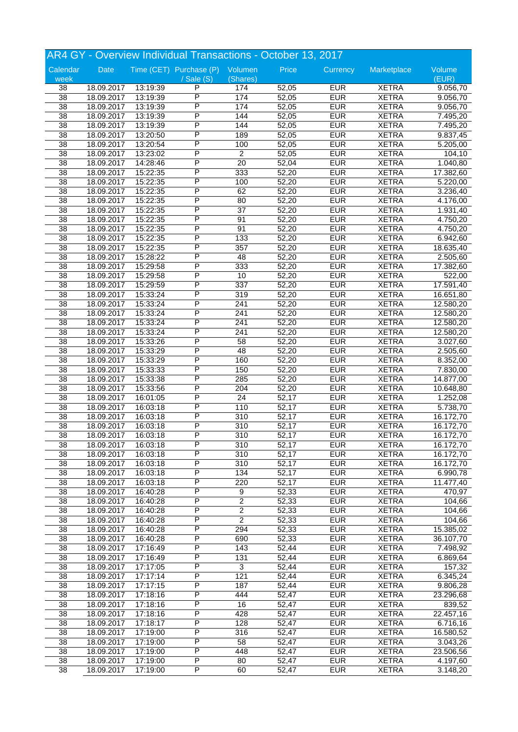|                       |            |          | AR4 GY - Overview Individual Transactions - October 13, 2017 |                        |                |            |              |           |
|-----------------------|------------|----------|--------------------------------------------------------------|------------------------|----------------|------------|--------------|-----------|
| Calendar              | Date       |          | Time (CET) Purchase (P) Volumen                              |                        | Price          | Currency   | Marketplace  | Volume    |
| week                  |            |          | / Sale (S)                                                   | (Shares)               |                |            |              | (EUR)     |
| 38                    | 18.09.2017 | 13:19:39 | P                                                            | 174                    | 52,05          | <b>EUR</b> | <b>XETRA</b> | 9.056,70  |
| $\overline{38}$       | 18.09.2017 | 13:19:39 | P                                                            | 174                    | 52,05          | <b>EUR</b> | <b>XETRA</b> | 9.056,70  |
| 38                    | 18.09.2017 | 13:19:39 | P                                                            | 174                    | 52,05          | <b>EUR</b> | <b>XETRA</b> | 9.056,70  |
| $\overline{38}$       | 18.09.2017 | 13:19:39 | P                                                            | 144                    | 52,05          | <b>EUR</b> | <b>XETRA</b> | 7.495,20  |
| 38                    | 18.09.2017 | 13:19:39 | P                                                            | 144                    | 52,05          | <b>EUR</b> | <b>XETRA</b> | 7.495,20  |
| $\overline{38}$       | 18.09.2017 | 13:20:50 | P                                                            | 189                    | 52,05          | <b>EUR</b> | <b>XETRA</b> | 9.837,45  |
| $\overline{38}$       | 18.09.2017 | 13:20:54 | P                                                            | 100                    | 52,05          | <b>EUR</b> | <b>XETRA</b> | 5.205,00  |
| 38                    | 18.09.2017 | 13:23:02 | P                                                            | $\overline{2}$         | 52,05          | <b>EUR</b> | <b>XETRA</b> | 104,10    |
| 38                    | 18.09.2017 | 14:28:46 | P                                                            | $\overline{20}$        | 52,04          | <b>EUR</b> | <b>XETRA</b> | 1.040,80  |
| 38                    | 18.09.2017 | 15:22:35 | P                                                            | 333                    | 52,20          | <b>EUR</b> | <b>XETRA</b> | 17.382,60 |
| 38                    | 18.09.2017 | 15:22:35 | P                                                            | 100                    | 52,20          | <b>EUR</b> | <b>XETRA</b> | 5.220,00  |
| $\overline{38}$       | 18.09.2017 | 15:22:35 | P                                                            | 62                     | 52,20          | <b>EUR</b> | <b>XETRA</b> | 3.236,40  |
| 38                    | 18.09.2017 | 15:22:35 | P                                                            | 80                     | 52,20          | <b>EUR</b> | <b>XETRA</b> | 4.176,00  |
| $\overline{38}$       | 18.09.2017 | 15:22:35 | P                                                            | $\overline{37}$        | 52,20          | <b>EUR</b> | <b>XETRA</b> | 1.931,40  |
| 38                    | 18.09.2017 | 15:22:35 | P                                                            | 91                     | 52,20          | <b>EUR</b> | <b>XETRA</b> | 4.750,20  |
| 38                    | 18.09.2017 | 15:22:35 | Ρ                                                            | 91                     | 52,20          | <b>EUR</b> | <b>XETRA</b> | 4.750,20  |
| $\overline{38}$       | 18.09.2017 | 15:22:35 | P                                                            | 133                    | 52,20          | <b>EUR</b> | <b>XETRA</b> | 6.942,60  |
| 38                    | 18.09.2017 | 15:22:35 | P                                                            | 357                    | 52,20          | <b>EUR</b> | <b>XETRA</b> | 18.635,40 |
| 38                    | 18.09.2017 | 15:28:22 | P                                                            | 48                     | 52,20          | <b>EUR</b> | <b>XETRA</b> | 2.505,60  |
| 38                    | 18.09.2017 | 15:29:58 | P                                                            | 333                    | 52,20          | <b>EUR</b> | <b>XETRA</b> |           |
|                       |            |          | P                                                            |                        |                | <b>EUR</b> |              | 17.382,60 |
| 38<br>$\overline{38}$ | 18.09.2017 | 15:29:58 | P                                                            | 10<br>$\overline{337}$ | 52,20<br>52,20 | <b>EUR</b> | <b>XETRA</b> | 522,00    |
|                       | 18.09.2017 | 15:29:59 | P                                                            |                        |                | <b>EUR</b> | <b>XETRA</b> | 17.591,40 |
| 38                    | 18.09.2017 | 15:33:24 | P                                                            | 319                    | 52,20          |            | <b>XETRA</b> | 16.651,80 |
| $\overline{38}$       | 18.09.2017 | 15:33:24 |                                                              | 241                    | 52,20          | <b>EUR</b> | <b>XETRA</b> | 12.580,20 |
| 38                    | 18.09.2017 | 15:33:24 | P                                                            | 241                    | 52,20          | <b>EUR</b> | <b>XETRA</b> | 12.580,20 |
| 38                    | 18.09.2017 | 15:33:24 | P                                                            | 241                    | 52,20          | <b>EUR</b> | <b>XETRA</b> | 12.580,20 |
| $\overline{38}$       | 18.09.2017 | 15:33:24 | P                                                            | 241                    | 52,20          | <b>EUR</b> | <b>XETRA</b> | 12.580,20 |
| 38                    | 18.09.2017 | 15:33:26 | P                                                            | 58                     | 52,20          | <b>EUR</b> | <b>XETRA</b> | 3.027,60  |
| 38                    | 18.09.2017 | 15:33:29 | P                                                            | 48                     | 52,20          | <b>EUR</b> | <b>XETRA</b> | 2.505,60  |
| 38                    | 18.09.2017 | 15:33:29 | P                                                            | 160                    | 52,20          | <b>EUR</b> | <b>XETRA</b> | 8.352,00  |
| 38                    | 18.09.2017 | 15:33:33 | P                                                            | 150                    | 52,20          | <b>EUR</b> | <b>XETRA</b> | 7.830,00  |
| $\overline{38}$       | 18.09.2017 | 15:33:38 | P                                                            | 285                    | 52,20          | <b>EUR</b> | <b>XETRA</b> | 14.877,00 |
| 38                    | 18.09.2017 | 15:33:56 | P                                                            | 204                    | 52,20          | <b>EUR</b> | <b>XETRA</b> | 10.648,80 |
| $\overline{38}$       | 18.09.2017 | 16:01:05 | P                                                            | $\overline{24}$        | 52,17          | <b>EUR</b> | <b>XETRA</b> | 1.252,08  |
| 38                    | 18.09.2017 | 16:03:18 | P                                                            | 110                    | 52,17          | <b>EUR</b> | <b>XETRA</b> | 5.738,70  |
| 38                    | 18.09.2017 | 16:03:18 | P                                                            | 310                    | 52,17          | <b>EUR</b> | <b>XETRA</b> | 16.172,70 |
| $\overline{38}$       | 18.09.2017 | 16:03:18 | P                                                            | 310                    | 52,17          | <b>EUR</b> | <b>XETRA</b> | 16.172,70 |
| 38                    | 18.09.2017 | 16:03:18 | P                                                            | 310                    | 52,17          | <b>EUR</b> | <b>XETRA</b> | 16.172,70 |
| 38                    | 18.09.2017 | 16:03:18 | P                                                            | 310                    | 52,17          | <b>EUR</b> | <b>XETRA</b> | 16.172,70 |
| 38                    | 18.09.2017 | 16:03:18 | P                                                            | 310                    | 52,17          | <b>EUR</b> | <b>XETRA</b> | 16.172,70 |
| 38                    | 18.09.2017 | 16:03:18 | P                                                            | 310                    | 52,17          | <b>EUR</b> | <b>XETRA</b> | 16.172,70 |
| 38                    | 18.09.2017 | 16:03:18 | P                                                            | 134                    | 52,17          | <b>EUR</b> | <b>XETRA</b> | 6.990,78  |
| 38                    | 18.09.2017 | 16:03:18 | P                                                            | 220                    | 52,17          | <b>EUR</b> | <b>XETRA</b> | 11.477,40 |
| 38                    | 18.09.2017 | 16:40:28 | Ρ                                                            | 9                      | 52,33          | <b>EUR</b> | <b>XETRA</b> | 470,97    |
| 38                    | 18.09.2017 | 16:40:28 | Ρ                                                            | $\overline{c}$         | 52,33          | <b>EUR</b> | <b>XETRA</b> | 104,66    |
| 38                    | 18.09.2017 | 16:40:28 | P                                                            | $\overline{2}$         | 52,33          | <b>EUR</b> | <b>XETRA</b> | 104,66    |
| $\overline{38}$       | 18.09.2017 | 16:40:28 | P                                                            | $\overline{2}$         | 52,33          | <b>EUR</b> | <b>XETRA</b> | 104,66    |
| $\overline{38}$       | 18.09.2017 | 16:40:28 | P                                                            | 294                    | 52,33          | <b>EUR</b> | <b>XETRA</b> | 15.385,02 |
| $\overline{38}$       | 18.09.2017 | 16:40:28 | Ρ                                                            | 690                    | 52,33          | <b>EUR</b> | <b>XETRA</b> | 36.107,70 |
| 38                    | 18.09.2017 | 17:16:49 | Ρ                                                            | 143                    | 52,44          | <b>EUR</b> | <b>XETRA</b> | 7.498,92  |
| 38                    | 18.09.2017 | 17:16:49 | P                                                            | 131                    | 52,44          | <b>EUR</b> | <b>XETRA</b> | 6.869,64  |
| 38                    | 18.09.2017 | 17:17:05 | P                                                            | 3                      | 52,44          | <b>EUR</b> | <b>XETRA</b> | 157,32    |
| $\overline{38}$       | 18.09.2017 | 17:17:14 | P                                                            | 121                    | 52,44          | <b>EUR</b> | <b>XETRA</b> | 6.345,24  |
| 38                    | 18.09.2017 | 17:17:15 | Ρ                                                            | 187                    | 52,44          | <b>EUR</b> | <b>XETRA</b> | 9.806,28  |
| 38                    | 18.09.2017 | 17:18:16 | Ρ                                                            | 444                    | 52,47          | <b>EUR</b> | <b>XETRA</b> | 23.296,68 |
| 38                    | 18.09.2017 | 17:18:16 | P                                                            | 16                     | 52,47          | <b>EUR</b> | <b>XETRA</b> | 839,52    |
| $\overline{38}$       | 18.09.2017 | 17:18:16 | Ρ                                                            | 428                    | 52,47          | <b>EUR</b> | <b>XETRA</b> | 22.457,16 |
| $\overline{38}$       | 18.09.2017 | 17:18:17 | P                                                            | 128                    | 52,47          | <b>EUR</b> | <b>XETRA</b> | 6.716,16  |
| $\overline{38}$       | 18.09.2017 | 17:19:00 | Ρ                                                            | 316                    | 52,47          | <b>EUR</b> | <b>XETRA</b> | 16.580,52 |
| 38                    | 18.09.2017 | 17:19:00 | Ρ                                                            |                        |                | <b>EUR</b> | <b>XETRA</b> | 3.043,26  |
|                       |            |          | P                                                            | 58                     | 52,47          | <b>EUR</b> |              |           |
| 38                    | 18.09.2017 | 17:19:00 |                                                              | 448                    | 52,47          |            | <b>XETRA</b> | 23.506,56 |
| 38                    | 18.09.2017 | 17:19:00 | Ρ                                                            | 80                     | 52,47          | <b>EUR</b> | <b>XETRA</b> | 4.197,60  |
| $\overline{38}$       | 18.09.2017 | 17:19:00 | P                                                            | 60                     | 52,47          | <b>EUR</b> | <b>XETRA</b> | 3.148,20  |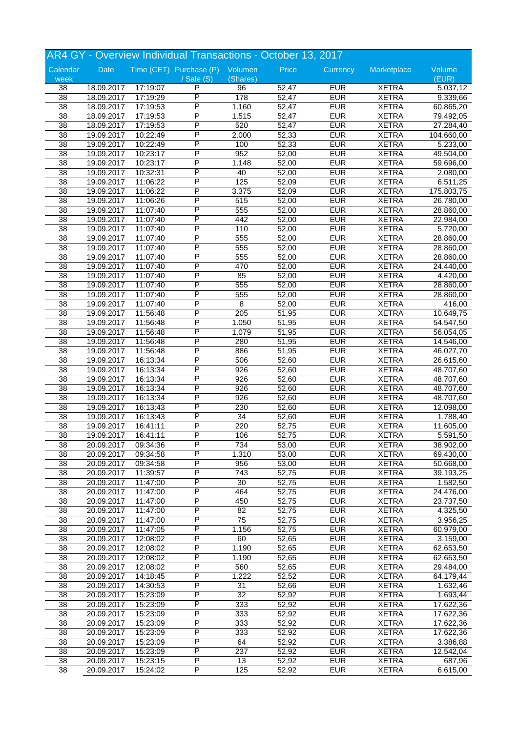|                       |            |          | AR4 GY - Overview Individual Transactions - October 13, 2017 |                  |       |            |                              |            |
|-----------------------|------------|----------|--------------------------------------------------------------|------------------|-------|------------|------------------------------|------------|
| Calendar              | Date       |          | Time (CET) Purchase (P) Volumen                              |                  | Price | Currency   | Marketplace                  | Volume     |
| week                  |            |          | $\sqrt{s}$ ale $(S)$                                         | (Shares)         |       |            |                              | (EUR)      |
| 38                    | 18.09.2017 | 17:19:07 | P                                                            | 96               | 52,47 | <b>EUR</b> | <b>XETRA</b>                 | 5.037,12   |
| $\overline{38}$       | 18.09.2017 | 17:19:29 | P                                                            | 178              | 52,47 | <b>EUR</b> | <b>XETRA</b>                 | 9.339,66   |
| $\overline{38}$       | 18.09.2017 | 17:19:53 | P                                                            | 1.160            | 52,47 | <b>EUR</b> | <b>XETRA</b>                 | 60.865,20  |
| $\overline{38}$       | 18.09.2017 | 17:19:53 | P                                                            | 1.515            | 52,47 | <b>EUR</b> | <b>XETRA</b>                 | 79.492,05  |
| 38                    | 18.09.2017 | 17:19:53 | P                                                            | 520              | 52,47 | <b>EUR</b> | <b>XETRA</b>                 | 27.284,40  |
| $\overline{38}$       | 19.09.2017 | 10:22:49 | Ρ                                                            | 2.000            | 52,33 | <b>EUR</b> | <b>XETRA</b>                 | 104.660,00 |
| 38                    | 19.09.2017 | 10:22:49 | P                                                            | 100              | 52,33 | <b>EUR</b> | <b>XETRA</b>                 | 5.233,00   |
| 38                    | 19.09.2017 | 10:23:17 | P                                                            | 952              | 52,00 | <b>EUR</b> | <b>XETRA</b>                 | 49.504,00  |
| 38                    | 19.09.2017 | 10:23:17 | P                                                            | 1.148            | 52,00 | <b>EUR</b> | <b>XETRA</b>                 | 59.696,00  |
| 38                    | 19.09.2017 | 10:32:31 | P                                                            | 40               | 52,00 | <b>EUR</b> | <b>XETRA</b>                 | 2.080,00   |
|                       |            |          | P                                                            |                  |       | <b>EUR</b> |                              |            |
| 38<br>$\overline{38}$ | 19.09.2017 | 11:06:22 | P                                                            | 125              | 52,09 | <b>EUR</b> | <b>XETRA</b><br><b>XETRA</b> | 6.511,25   |
|                       | 19.09.2017 | 11:06:22 | P                                                            | 3.375            | 52,09 |            |                              | 175.803,75 |
| 38                    | 19.09.2017 | 11:06:26 |                                                              | 515              | 52,00 | <b>EUR</b> | <b>XETRA</b>                 | 26.780,00  |
| $\overline{38}$       | 19.09.2017 | 11:07:40 | P                                                            | 555              | 52,00 | <b>EUR</b> | <b>XETRA</b>                 | 28.860,00  |
| 38                    | 19.09.2017 | 11:07:40 | P                                                            | 442              | 52,00 | <b>EUR</b> | <b>XETRA</b>                 | 22.984,00  |
| 38                    | 19.09.2017 | 11:07:40 | Ρ                                                            | 110              | 52,00 | <b>EUR</b> | <b>XETRA</b>                 | 5.720,00   |
| 38                    | 19.09.2017 | 11:07:40 | P                                                            | 555              | 52,00 | <b>EUR</b> | <b>XETRA</b>                 | 28.860,00  |
| 38                    | 19.09.2017 | 11:07:40 | P                                                            | 555              | 52,00 | <b>EUR</b> | <b>XETRA</b>                 | 28.860,00  |
| 38                    | 19.09.2017 | 11:07:40 | P                                                            | 555              | 52,00 | <b>EUR</b> | <b>XETRA</b>                 | 28.860,00  |
| 38                    | 19.09.2017 | 11:07:40 | P                                                            | 470              | 52,00 | <b>EUR</b> | <b>XETRA</b>                 | 24.440,00  |
| 38                    | 19.09.2017 | 11:07:40 | P                                                            | 85               | 52,00 | <b>EUR</b> | <b>XETRA</b>                 | 4.420,00   |
| $\overline{38}$       | 19.09.2017 | 11:07:40 | P                                                            | 555              | 52,00 | <b>EUR</b> | <b>XETRA</b>                 | 28.860,00  |
| 38                    | 19.09.2017 | 11:07:40 | P                                                            | 555              | 52,00 | <b>EUR</b> | <b>XETRA</b>                 | 28.860,00  |
| $\overline{38}$       | 19.09.2017 | 11:07:40 | P                                                            | 8                | 52,00 | <b>EUR</b> | <b>XETRA</b>                 | 416,00     |
| 38                    | 19.09.2017 | 11:56:48 | P                                                            | $\overline{205}$ | 51,95 | <b>EUR</b> | <b>XETRA</b>                 | 10.649,75  |
| 38                    | 19.09.2017 | 11:56:48 | Ρ                                                            | 1.050            | 51,95 | <b>EUR</b> | <b>XETRA</b>                 | 54.547,50  |
| 38                    | 19.09.2017 | 11:56:48 | P                                                            | 1.079            | 51,95 | <b>EUR</b> | <b>XETRA</b>                 | 56.054,05  |
| 38                    | 19.09.2017 | 11:56:48 | P                                                            | 280              | 51,95 | <b>EUR</b> | <b>XETRA</b>                 | 14.546,00  |
| $\overline{38}$       | 19.09.2017 | 11:56:48 | P                                                            | 886              | 51,95 | <b>EUR</b> | <b>XETRA</b>                 | 46.027,70  |
|                       |            |          | P                                                            |                  |       |            |                              |            |
| 38                    | 19.09.2017 | 16:13:34 |                                                              | 506              | 52,60 | <b>EUR</b> | <b>XETRA</b>                 | 26.615,60  |
| 38                    | 19.09.2017 | 16:13:34 | P                                                            | 926              | 52,60 | <b>EUR</b> | <b>XETRA</b>                 | 48.707,60  |
| $\overline{38}$       | 19.09.2017 | 16:13:34 | P                                                            | 926              | 52,60 | <b>EUR</b> | <b>XETRA</b>                 | 48.707,60  |
| $\overline{38}$       | 19.09.2017 | 16:13:34 | P                                                            | 926              | 52,60 | <b>EUR</b> | <b>XETRA</b>                 | 48.707,60  |
| $\overline{38}$       | 19.09.2017 | 16:13:34 | P                                                            | 926              | 52,60 | <b>EUR</b> | <b>XETRA</b>                 | 48.707,60  |
| 38                    | 19.09.2017 | 16:13:43 | P                                                            | 230              | 52,60 | <b>EUR</b> | <b>XETRA</b>                 | 12.098,00  |
| 38                    | 19.09.2017 | 16:13:43 | P                                                            | 34               | 52,60 | <b>EUR</b> | <b>XETRA</b>                 | 1.788,40   |
| $\overline{38}$       | 19.09.2017 | 16:41:11 | P                                                            | 220              | 52,75 | <b>EUR</b> | <b>XETRA</b>                 | 11.605,00  |
| $\overline{38}$       | 19.09.2017 | 16:41:11 | P                                                            | 106              | 52,75 | <b>EUR</b> | <b>XETRA</b>                 | 5.591,50   |
| 38                    | 20.09.2017 | 09:34:36 | P                                                            | 734              | 53,00 | <b>EUR</b> | <b>XETRA</b>                 | 38.902,00  |
| 38                    | 20.09.2017 | 09:34:58 | P                                                            | 1.310            | 53,00 | <b>EUR</b> | <b>XETRA</b>                 | 69.430,00  |
| 38                    | 20.09.2017 | 09:34:58 | P                                                            | 956              | 53,00 | <b>EUR</b> | <b>XETRA</b>                 | 50.668,00  |
| $\overline{38}$       | 20.09.2017 | 11:39:57 | Ρ                                                            | 743              | 52,75 | <b>EUR</b> | <b>XETRA</b>                 | 39.193,25  |
| $\overline{38}$       | 20.09.2017 | 11:47:00 | P                                                            | 30               | 52,75 | <b>EUR</b> | <b>XETRA</b>                 | 1.582,50   |
| 38                    | 20.09.2017 | 11:47:00 | Ρ                                                            | 464              | 52,75 | <b>EUR</b> | <b>XETRA</b>                 | 24.476,00  |
| 38                    | 20.09.2017 | 11:47:00 | Ρ                                                            | 450              | 52,75 | <b>EUR</b> | <b>XETRA</b>                 | 23.737,50  |
| 38                    | 20.09.2017 | 11:47:00 | P                                                            | 82               | 52,75 | <b>EUR</b> | <b>XETRA</b>                 | 4.325,50   |
| $\overline{38}$       | 20.09.2017 | 11:47:00 | P                                                            | $\overline{75}$  | 52,75 | <b>EUR</b> | <b>XETRA</b>                 | 3.956,25   |
| $\overline{38}$       | 20.09.2017 | 11:47:05 | P                                                            | 1.156            | 52,75 | <b>EUR</b> | <b>XETRA</b>                 | 60.979,00  |
|                       |            |          |                                                              |                  |       |            |                              |            |
| $\overline{38}$       | 20.09.2017 | 12:08:02 | Ρ                                                            | 60               | 52,65 | <b>EUR</b> | <b>XETRA</b>                 | 3.159,00   |
| 38                    | 20.09.2017 | 12:08:02 | P                                                            | 1.190            | 52,65 | <b>EUR</b> | <b>XETRA</b>                 | 62.653,50  |
| 38                    | 20.09.2017 | 12:08:02 | Ρ                                                            | 1.190            | 52,65 | <b>EUR</b> | <b>XETRA</b>                 | 62.653,50  |
| $\overline{38}$       | 20.09.2017 | 12:08:02 | Ρ                                                            | 560              | 52,65 | <b>EUR</b> | <b>XETRA</b>                 | 29.484,00  |
| $\overline{38}$       | 20.09.2017 | 14:18:45 | Ρ                                                            | 1.222            | 52,52 | <b>EUR</b> | <b>XETRA</b>                 | 64.179,44  |
| 38                    | 20.09.2017 | 14:30:53 | Ρ                                                            | 31               | 52,66 | <b>EUR</b> | <b>XETRA</b>                 | 1.632,46   |
| 38                    | 20.09.2017 | 15:23:09 | P                                                            | 32               | 52,92 | <b>EUR</b> | <b>XETRA</b>                 | 1.693,44   |
| 38                    | 20.09.2017 | 15:23:09 | P                                                            | 333              | 52,92 | <b>EUR</b> | <b>XETRA</b>                 | 17.622,36  |
| $\overline{38}$       | 20.09.2017 | 15:23:09 | Ρ                                                            | 333              | 52,92 | <b>EUR</b> | <b>XETRA</b>                 | 17.622,36  |
| $\overline{38}$       | 20.09.2017 | 15:23:09 | P                                                            | 333              | 52,92 | <b>EUR</b> | <b>XETRA</b>                 | 17.622,36  |
| $\overline{38}$       | 20.09.2017 | 15:23:09 | Ρ                                                            | 333              | 52,92 | <b>EUR</b> | <b>XETRA</b>                 | 17.622,36  |
| 38                    | 20.09.2017 | 15:23:09 | P                                                            | 64               | 52,92 | <b>EUR</b> | <b>XETRA</b>                 | 3.386,88   |
| 38                    | 20.09.2017 | 15:23:09 | P                                                            | 237              | 52,92 | <b>EUR</b> | <b>XETRA</b>                 | 12.542,04  |
| $\overline{38}$       | 20.09.2017 | 15:23:15 | Ρ                                                            | 13               | 52,92 | <b>EUR</b> | <b>XETRA</b>                 | 687,96     |
| $\overline{38}$       |            |          | P                                                            |                  |       |            |                              |            |
|                       | 20.09.2017 | 15:24:02 |                                                              | 125              | 52,92 | <b>EUR</b> | <b>XETRA</b>                 | 6.615,00   |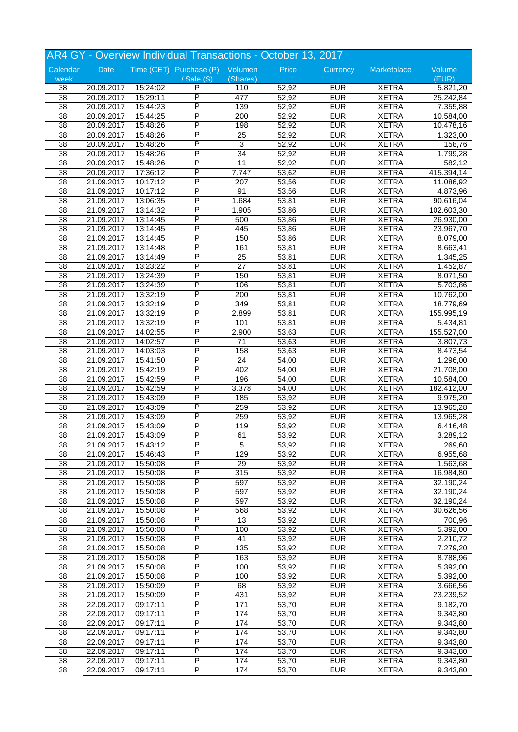|                 |            |          | AR4 GY - Overview Individual Transactions - October 13, 2017 |                  |       |            |              |                       |
|-----------------|------------|----------|--------------------------------------------------------------|------------------|-------|------------|--------------|-----------------------|
| Calendar        | Date       |          | Time (CET) Purchase (P) Volumen                              |                  | Price | Currency   | Marketplace  | Volume                |
| week            |            |          | / Sale (S)                                                   | (Shares)         |       |            |              | (EUR)                 |
| 38              | 20.09.2017 | 15:24:02 | P                                                            | 110              | 52,92 | <b>EUR</b> | <b>XETRA</b> | 5.821,20              |
| $\overline{38}$ | 20.09.2017 | 15:29:11 | P                                                            | 477              | 52,92 | <b>EUR</b> | <b>XETRA</b> | 25.242,84             |
| 38              | 20.09.2017 | 15:44:23 | P                                                            | 139              | 52,92 | <b>EUR</b> | <b>XETRA</b> | 7.355,88              |
| $\overline{38}$ | 20.09.2017 | 15:44:25 | P                                                            | 200              | 52,92 | <b>EUR</b> | <b>XETRA</b> | 10.584,00             |
| 38              | 20.09.2017 | 15:48:26 | Ρ                                                            | 198              | 52,92 | <b>EUR</b> | <b>XETRA</b> | 10.478,16             |
| $\overline{38}$ | 20.09.2017 | 15:48:26 | P                                                            | 25               | 52,92 | <b>EUR</b> | <b>XETRA</b> | 1.323,00              |
| $\overline{38}$ | 20.09.2017 | 15:48:26 | P                                                            | $\overline{3}$   | 52,92 | <b>EUR</b> | <b>XETRA</b> | 158,76                |
| 38              | 20.09.2017 | 15:48:26 | P                                                            | $\overline{34}$  | 52,92 | <b>EUR</b> | <b>XETRA</b> | 1.799,28              |
| 38              | 20.09.2017 | 15:48:26 | P                                                            | $\overline{11}$  | 52,92 | <b>EUR</b> | <b>XETRA</b> | 582,12                |
| 38              | 20.09.2017 | 17:36:12 | Ρ                                                            | 7.747            | 53,62 | <b>EUR</b> | <b>XETRA</b> | 415.394,14            |
| $\overline{38}$ | 21.09.2017 | 10:17:12 | P                                                            | 207              | 53,56 | <b>EUR</b> | <b>XETRA</b> | 11.086,92             |
| $\overline{38}$ | 21.09.2017 | 10:17:12 | P                                                            | 91               | 53,56 | <b>EUR</b> | <b>XETRA</b> | 4.873,96              |
| 38              | 21.09.2017 | 13:06:35 | P                                                            | 1.684            | 53,81 | <b>EUR</b> | <b>XETRA</b> | 90.616,04             |
| $\overline{38}$ | 21.09.2017 | 13:14:32 | P                                                            | 1.905            | 53,86 | <b>EUR</b> | <b>XETRA</b> | 102.603,30            |
| 38              | 21.09.2017 | 13:14:45 | P                                                            | 500              | 53,86 | <b>EUR</b> | <b>XETRA</b> | 26.930,00             |
| 38              | 21.09.2017 | 13:14:45 | P                                                            | 445              | 53,86 | <b>EUR</b> | <b>XETRA</b> | 23.967,70             |
| $\overline{38}$ | 21.09.2017 | 13:14:45 | P                                                            | 150              | 53,86 | <b>EUR</b> | <b>XETRA</b> | 8.079,00              |
| 38              | 21.09.2017 | 13:14:48 | P                                                            | 161              | 53,81 | <b>EUR</b> | <b>XETRA</b> | 8.663,41              |
| 38              | 21.09.2017 | 13:14:49 | P                                                            | $\overline{25}$  | 53,81 | <b>EUR</b> | <b>XETRA</b> | 1.345,25              |
| 38              | 21.09.2017 | 13:23:22 | P                                                            | $\overline{27}$  | 53,81 | <b>EUR</b> | <b>XETRA</b> | 1.452,87              |
| 38              | 21.09.2017 | 13:24:39 | P                                                            | 150              | 53,81 | <b>EUR</b> | <b>XETRA</b> |                       |
| $\overline{38}$ | 21.09.2017 | 13:24:39 | P                                                            | 106              | 53,81 | <b>EUR</b> | <b>XETRA</b> | 8.071,50<br>5.703,86  |
| 38              | 21.09.2017 | 13:32:19 | P                                                            | 200              | 53,81 | <b>EUR</b> | <b>XETRA</b> | 10.762,00             |
| $\overline{38}$ |            |          | P                                                            | $\overline{349}$ | 53,81 | <b>EUR</b> | <b>XETRA</b> |                       |
|                 | 21.09.2017 | 13:32:19 | Ρ                                                            |                  |       |            |              | 18.779,69             |
| 38              | 21.09.2017 | 13:32:19 | P                                                            | 2.899            | 53,81 | <b>EUR</b> | <b>XETRA</b> | 155.995,19            |
| 38              | 21.09.2017 | 13:32:19 |                                                              | 101              | 53,81 | <b>EUR</b> | <b>XETRA</b> | 5.434,81              |
| $\overline{38}$ | 21.09.2017 | 14:02:55 | P                                                            | 2.900            | 53,63 | <b>EUR</b> | <b>XETRA</b> | 155.527,00            |
| 38              | 21.09.2017 | 14:02:57 | P                                                            | 71               | 53,63 | <b>EUR</b> | <b>XETRA</b> | 3.807,73              |
| 38              | 21.09.2017 | 14:03:03 | P                                                            | 158              | 53,63 | <b>EUR</b> | <b>XETRA</b> | 8.473,54              |
| 38              | 21.09.2017 | 15:41:50 | P                                                            | $\overline{24}$  | 54,00 | <b>EUR</b> | <b>XETRA</b> | 1.296,00              |
| 38              | 21.09.2017 | 15:42:19 | P                                                            | 402              | 54,00 | <b>EUR</b> | <b>XETRA</b> | 21.708,00             |
| $\overline{38}$ | 21.09.2017 | 15:42:59 | P                                                            | 196              | 54,00 | <b>EUR</b> | <b>XETRA</b> | 10.584,00             |
| 38              | 21.09.2017 | 15:42:59 | P                                                            | 3.378            | 54,00 | <b>EUR</b> | <b>XETRA</b> | 182.412,00            |
| $\overline{38}$ | 21.09.2017 | 15:43:09 | P                                                            | 185              | 53,92 | <b>EUR</b> | <b>XETRA</b> | 9.975,20              |
| 38              | 21.09.2017 | 15:43:09 | P                                                            | 259              | 53,92 | <b>EUR</b> | <b>XETRA</b> | 13.965,28             |
| 38              | 21.09.2017 | 15:43:09 | P                                                            | 259              | 53,92 | <b>EUR</b> | <b>XETRA</b> | 13.965,28             |
| $\overline{38}$ | 21.09.2017 | 15:43:09 | P                                                            | 119              | 53,92 | <b>EUR</b> | <b>XETRA</b> | 6.416,48              |
| 38              | 21.09.2017 | 15:43:09 | P                                                            | 61               | 53,92 | <b>EUR</b> | <b>XETRA</b> | 3.289,12              |
| 38              | 21.09.2017 | 15:43:12 | P                                                            | 5                | 53,92 | <b>EUR</b> | <b>XETRA</b> | 269,60                |
| 38              | 21.09.2017 | 15:46:43 | P                                                            | 129              | 53,92 | <b>EUR</b> | <b>XETRA</b> | 6.955,68              |
| 38              | 21.09.2017 | 15:50:08 | P                                                            | 29               | 53,92 | <b>EUR</b> | <b>XETRA</b> | 1.563,68              |
| 38              | 21.09.2017 | 15:50:08 | P                                                            | 315              | 53,92 | <b>EUR</b> | <b>XETRA</b> | 16.984,80             |
| 38              | 21.09.2017 | 15:50:08 | P                                                            | 597              | 53,92 | <b>EUR</b> | <b>XETRA</b> | 32.190,24             |
| 38              | 21.09.2017 | 15:50:08 | Ρ                                                            | 597              | 53,92 | <b>EUR</b> | <b>XETRA</b> | 32.190,24             |
| 38              | 21.09.2017 | 15:50:08 | Ρ                                                            | 597              | 53,92 | <b>EUR</b> | <b>XETRA</b> | 32.190,24             |
| 38              | 21.09.2017 | 15:50:08 | P                                                            | 568              | 53,92 | <b>EUR</b> | <b>XETRA</b> | 30.626,56             |
| $\overline{38}$ | 21.09.2017 | 15:50:08 | P                                                            | 13               | 53,92 | <b>EUR</b> | <b>XETRA</b> | 700,96                |
| $\overline{38}$ | 21.09.2017 | 15:50:08 | P                                                            | 100              | 53,92 | <b>EUR</b> | <b>XETRA</b> | 5.392,00              |
| $\overline{38}$ | 21.09.2017 | 15:50:08 | Ρ                                                            | 41               | 53,92 | <b>EUR</b> | <b>XETRA</b> | 2.210,72              |
| 38              | 21.09.2017 | 15:50:08 | Ρ                                                            | 135              | 53,92 | <b>EUR</b> | <b>XETRA</b> | 7.279,20              |
| 38              | 21.09.2017 | 15:50:08 | P                                                            | 163              | 53,92 | <b>EUR</b> | <b>XETRA</b> | 8.788,96              |
| 38              | 21.09.2017 | 15:50:08 | P                                                            | 100              | 53,92 | <b>EUR</b> | <b>XETRA</b> | $\overline{5.392,00}$ |
| $\overline{38}$ | 21.09.2017 | 15:50:08 | P                                                            | 100              | 53,92 | <b>EUR</b> | <b>XETRA</b> | 5.392,00              |
| 38              | 21.09.2017 | 15:50:09 | Ρ                                                            | 68               | 53,92 | <b>EUR</b> | <b>XETRA</b> | 3.666,56              |
| 38              | 21.09.2017 | 15:50:09 | Ρ                                                            | 431              | 53,92 | <b>EUR</b> | <b>XETRA</b> | 23.239,52             |
| $\overline{38}$ | 22.09.2017 | 09:17:11 | P                                                            | $\overline{171}$ | 53,70 | <b>EUR</b> | <b>XETRA</b> | 9.182,70              |
| $\overline{38}$ | 22.09.2017 | 09:17:11 | P                                                            | 174              | 53,70 | <b>EUR</b> | <b>XETRA</b> | 9.343,80              |
| $\overline{38}$ |            |          | P                                                            | 174              | 53,70 | <b>EUR</b> | <b>XETRA</b> |                       |
| $\overline{38}$ | 22.09.2017 | 09:17:11 |                                                              | 174              |       | <b>EUR</b> |              | 9.343,80              |
|                 | 22.09.2017 | 09:17:11 | Ρ<br>P                                                       |                  | 53,70 |            | <b>XETRA</b> | 9.343,80              |
| 38              | 22.09.2017 | 09:17:11 |                                                              | 174              | 53,70 | <b>EUR</b> | <b>XETRA</b> | 9.343,80              |
| 38              | 22.09.2017 | 09:17:11 | P                                                            | 174              | 53,70 | <b>EUR</b> | <b>XETRA</b> | 9.343,80              |
| 38              | 22.09.2017 | 09:17:11 | Ρ                                                            | 174              | 53,70 | <b>EUR</b> | <b>XETRA</b> | 9.343,80              |
| $\overline{38}$ | 22.09.2017 | 09:17:11 | P                                                            | 174              | 53,70 | <b>EUR</b> | <b>XETRA</b> | 9.343,80              |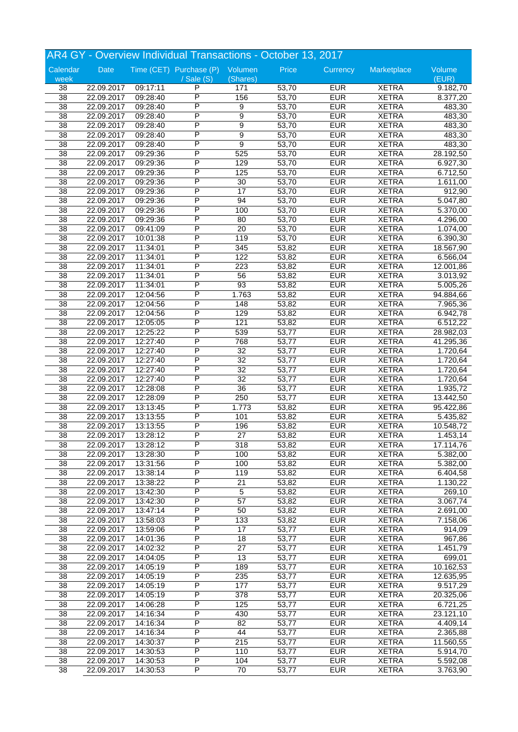|                 |            |          | AR4 GY - Overview Individual Transactions - October 13, 2017 |                  |       |            |              |           |
|-----------------|------------|----------|--------------------------------------------------------------|------------------|-------|------------|--------------|-----------|
| Calendar        | Date       |          | Time (CET) Purchase (P) Volumen                              |                  | Price | Currency   | Marketplace  | Volume    |
| week            |            |          | / Sale (S)                                                   | (Shares)         |       |            |              | (EUR)     |
| 38              | 22.09.2017 | 09:17:11 | P                                                            | 171              | 53,70 | <b>EUR</b> | <b>XETRA</b> | 9.182,70  |
| $\overline{38}$ | 22.09.2017 | 09:28:40 | P                                                            | 156              | 53,70 | <b>EUR</b> | <b>XETRA</b> | 8.377,20  |
| 38              | 22.09.2017 | 09:28:40 | P                                                            | 9                | 53,70 | <b>EUR</b> | <b>XETRA</b> | 483,30    |
| $\overline{38}$ | 22.09.2017 | 09:28:40 | P                                                            | 9                | 53,70 | <b>EUR</b> | <b>XETRA</b> | 483,30    |
| 38              | 22.09.2017 | 09:28:40 | P                                                            | 9                | 53,70 | <b>EUR</b> | <b>XETRA</b> | 483,30    |
| $\overline{38}$ | 22.09.2017 | 09:28:40 | P                                                            | 9                | 53,70 | <b>EUR</b> | <b>XETRA</b> | 483,30    |
| $\overline{38}$ | 22.09.2017 | 09:28:40 | P                                                            | $\overline{9}$   | 53,70 | <b>EUR</b> | <b>XETRA</b> | 483,30    |
| 38              | 22.09.2017 | 09:29:36 | P                                                            | 525              | 53,70 | <b>EUR</b> | <b>XETRA</b> | 28.192,50 |
| 38              | 22.09.2017 | 09:29:36 | P                                                            | 129              | 53,70 | <b>EUR</b> | <b>XETRA</b> | 6.927,30  |
| 38              | 22.09.2017 | 09:29:36 | P                                                            | 125              | 53,70 | <b>EUR</b> | <b>XETRA</b> | 6.712,50  |
| 38              | 22.09.2017 | 09:29:36 | P                                                            | 30               | 53,70 | <b>EUR</b> | <b>XETRA</b> | 1.611,00  |
| $\overline{38}$ | 22.09.2017 | 09:29:36 | P                                                            | $\overline{17}$  | 53,70 | <b>EUR</b> | <b>XETRA</b> | 912,90    |
| 38              | 22.09.2017 | 09:29:36 | P                                                            | 94               | 53,70 | <b>EUR</b> | <b>XETRA</b> | 5.047,80  |
| 38              | 22.09.2017 | 09:29:36 | P                                                            | 100              | 53,70 | <b>EUR</b> | <b>XETRA</b> | 5.370,00  |
| 38              | 22.09.2017 | 09:29:36 | P                                                            | 80               | 53,70 | <b>EUR</b> | <b>XETRA</b> | 4.296,00  |
| 38              | 22.09.2017 | 09:41:09 | P                                                            | $\overline{20}$  | 53,70 | <b>EUR</b> | <b>XETRA</b> | 1.074,00  |
| $\overline{38}$ | 22.09.2017 | 10:01:38 | P                                                            | 119              | 53,70 | <b>EUR</b> | <b>XETRA</b> | 6.390,30  |
| 38              | 22.09.2017 | 11:34:01 | P                                                            | 345              | 53,82 | <b>EUR</b> | <b>XETRA</b> | 18.567,90 |
| 38              | 22.09.2017 | 11:34:01 | P                                                            | 122              | 53,82 | <b>EUR</b> | <b>XETRA</b> | 6.566,04  |
|                 |            |          | P                                                            |                  |       |            |              |           |
| 38              | 22.09.2017 | 11:34:01 |                                                              | 223              | 53,82 | <b>EUR</b> | <b>XETRA</b> | 12.001,86 |
| 38              | 22.09.2017 | 11:34:01 | P                                                            | 56               | 53,82 | <b>EUR</b> | <b>XETRA</b> | 3.013,92  |
| $\overline{38}$ | 22.09.2017 | 11:34:01 | P                                                            | 93               | 53,82 | <b>EUR</b> | <b>XETRA</b> | 5.005,26  |
| 38              | 22.09.2017 | 12:04:56 | P                                                            | 1.763            | 53,82 | <b>EUR</b> | <b>XETRA</b> | 94.884,66 |
| $\overline{38}$ | 22.09.2017 | 12:04:56 | P                                                            | 148              | 53,82 | <b>EUR</b> | <b>XETRA</b> | 7.965,36  |
| 38              | 22.09.2017 | 12:04:56 | P                                                            | 129              | 53,82 | <b>EUR</b> | <b>XETRA</b> | 6.942,78  |
| 38              | 22.09.2017 | 12:05:05 | P                                                            | 121              | 53,82 | <b>EUR</b> | <b>XETRA</b> | 6.512,22  |
| $\overline{38}$ | 22.09.2017 | 12:25:22 | P                                                            | 539              | 53,77 | <b>EUR</b> | <b>XETRA</b> | 28.982,03 |
| 38              | 22.09.2017 | 12:27:40 | P                                                            | 768              | 53,77 | <b>EUR</b> | <b>XETRA</b> | 41.295,36 |
| 38              | 22.09.2017 | 12:27:40 | P                                                            | $\overline{32}$  | 53,77 | <b>EUR</b> | <b>XETRA</b> | 1.720,64  |
| 38              | 22.09.2017 | 12:27:40 | P                                                            | 32               | 53,77 | <b>EUR</b> | <b>XETRA</b> | 1.720,64  |
| 38              | 22.09.2017 | 12:27:40 | P                                                            | 32               | 53,77 | <b>EUR</b> | <b>XETRA</b> | 1.720,64  |
| $\overline{38}$ | 22.09.2017 | 12:27:40 | P                                                            | $\overline{32}$  | 53,77 | <b>EUR</b> | <b>XETRA</b> | 1.720,64  |
| 38              | 22.09.2017 | 12:28:08 | P                                                            | $\overline{36}$  | 53,77 | <b>EUR</b> | <b>XETRA</b> | 1.935,72  |
| 38              | 22.09.2017 | 12:28:09 | P                                                            | 250              | 53,77 | <b>EUR</b> | <b>XETRA</b> | 13.442,50 |
| 38              | 22.09.2017 | 13:13:45 | Ρ                                                            | 1.773            | 53,82 | <b>EUR</b> | <b>XETRA</b> | 95.422,86 |
| 38              | 22.09.2017 | 13:13:55 | P                                                            | 101              | 53,82 | <b>EUR</b> | <b>XETRA</b> | 5.435,82  |
| $\overline{38}$ | 22.09.2017 | 13:13:55 | P                                                            | 196              | 53,82 | <b>EUR</b> | <b>XETRA</b> | 10.548,72 |
| 38              | 22.09.2017 | 13:28:12 | P                                                            | 27               | 53,82 | <b>EUR</b> | <b>XETRA</b> | 1.453,14  |
| 38              | 22.09.2017 | 13:28:12 | P                                                            | 318              | 53,82 | <b>EUR</b> | <b>XETRA</b> | 17.114,76 |
| 38              | 22.09.2017 | 13:28:30 | P                                                            | 100              | 53,82 | <b>EUR</b> | <b>XETRA</b> | 5.382,00  |
| 38              | 22.09.2017 | 13:31:56 | P                                                            | 100              | 53,82 | <b>EUR</b> | <b>XETRA</b> | 5.382,00  |
| 38              | 22.09.2017 | 13:38:14 | P                                                            | 119              | 53,82 | <b>EUR</b> | <b>XETRA</b> | 6.404,58  |
| 38              | 22.09.2017 | 13:38:22 | P                                                            | 21               | 53,82 | <b>EUR</b> | <b>XETRA</b> | 1.130,22  |
| 38              | 22.09.2017 | 13:42:30 | Ρ                                                            | 5                | 53,82 | <b>EUR</b> | <b>XETRA</b> | 269,10    |
| 38              | 22.09.2017 | 13:42:30 | P                                                            | 57               | 53,82 | <b>EUR</b> | <b>XETRA</b> | 3.067,74  |
| 38              | 22.09.2017 | 13:47:14 | P                                                            | 50               | 53,82 | <b>EUR</b> | <b>XETRA</b> | 2.691,00  |
| $\overline{38}$ | 22.09.2017 | 13:58:03 | P                                                            | $\overline{133}$ | 53,82 | <b>EUR</b> | <b>XETRA</b> | 7.158,06  |
| $\overline{38}$ | 22.09.2017 | 13:59:06 | P                                                            | $\overline{17}$  | 53,77 | <b>EUR</b> | <b>XETRA</b> | 914,09    |
| 38              | 22.09.2017 | 14:01:36 | Ρ                                                            | 18               | 53,77 | <b>EUR</b> | <b>XETRA</b> | 967,86    |
| 38              | 22.09.2017 | 14:02:32 | P                                                            | 27               | 53,77 | <b>EUR</b> | <b>XETRA</b> | 1.451,79  |
| 38              | 22.09.2017 |          | P                                                            | 13               | 53,77 | <b>EUR</b> | <b>XETRA</b> | 699,01    |
|                 |            | 14:04:05 |                                                              |                  |       |            |              |           |
| 38              | 22.09.2017 | 14:05:19 | Ρ                                                            | 189              | 53,77 | <b>EUR</b> | <b>XETRA</b> | 10.162,53 |
| $\overline{38}$ | 22.09.2017 | 14:05:19 | P                                                            | 235              | 53,77 | <b>EUR</b> | <b>XETRA</b> | 12.635,95 |
| 38              | 22.09.2017 | 14:05:19 | Ρ                                                            | 177              | 53,77 | <b>EUR</b> | <b>XETRA</b> | 9.517,29  |
| 38              | 22.09.2017 | 14:05:19 | P                                                            | 378              | 53,77 | <b>EUR</b> | <b>XETRA</b> | 20.325,06 |
| 38              | 22.09.2017 | 14:06:28 | P                                                            | 125              | 53,77 | <b>EUR</b> | <b>XETRA</b> | 6.721,25  |
| $\overline{38}$ | 22.09.2017 | 14:16:34 | Ρ                                                            | 430              | 53,77 | <b>EUR</b> | <b>XETRA</b> | 23.121,10 |
| $\overline{38}$ | 22.09.2017 | 14:16:34 | P                                                            | $\overline{82}$  | 53,77 | <b>EUR</b> | <b>XETRA</b> | 4.409,14  |
| 38              | 22.09.2017 | 14:16:34 | Ρ                                                            | 44               | 53,77 | <b>EUR</b> | <b>XETRA</b> | 2.365,88  |
| 38              | 22.09.2017 | 14:30:37 | P                                                            | 215              | 53,77 | <b>EUR</b> | <b>XETRA</b> | 11.560,55 |
| 38              | 22.09.2017 | 14:30:53 | P                                                            | 110              | 53,77 | <b>EUR</b> | <b>XETRA</b> | 5.914,70  |
| 38              | 22.09.2017 | 14:30:53 | Ρ                                                            | 104              | 53,77 | <b>EUR</b> | <b>XETRA</b> | 5.592,08  |
| $\overline{38}$ | 22.09.2017 | 14:30:53 | P                                                            | 70               | 53,77 | <b>EUR</b> | <b>XETRA</b> | 3.763,90  |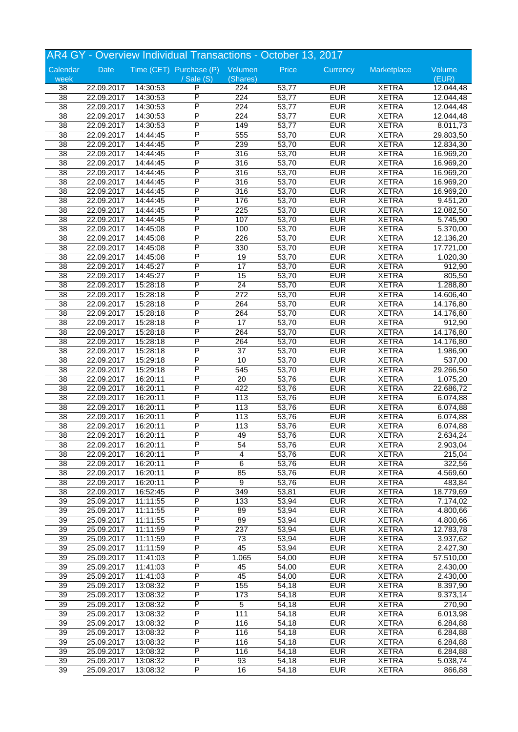|                 |            |          | AR4 GY - Overview Individual Transactions - October 13, 2017 |                        |       |                          |              |           |
|-----------------|------------|----------|--------------------------------------------------------------|------------------------|-------|--------------------------|--------------|-----------|
| Calendar        | Date       |          | Time (CET) Purchase (P) Volumen                              |                        | Price | Currency                 | Marketplace  | Volume    |
| week            |            |          | / Sale (S)                                                   | (Shares)               |       |                          |              | (EUR)     |
| 38              | 22.09.2017 | 14:30:53 | P                                                            | 224                    | 53,77 | <b>EUR</b>               | <b>XETRA</b> | 12.044,48 |
| $\overline{38}$ | 22.09.2017 | 14:30:53 | P                                                            | 224                    | 53,77 | <b>EUR</b>               | <b>XETRA</b> | 12.044,48 |
| 38              | 22.09.2017 | 14:30:53 | P                                                            | $\overline{224}$       | 53,77 | <b>EUR</b>               | <b>XETRA</b> | 12.044,48 |
| $\overline{38}$ | 22.09.2017 | 14:30:53 | P                                                            | $\overline{224}$       | 53,77 | <b>EUR</b>               | <b>XETRA</b> | 12.044,48 |
| 38              | 22.09.2017 | 14:30:53 | Ρ                                                            | 149                    | 53,77 | <b>EUR</b>               | <b>XETRA</b> | 8.011,73  |
| $\overline{38}$ | 22.09.2017 | 14:44:45 | Ρ                                                            | 555                    | 53,70 | <b>EUR</b>               | <b>XETRA</b> | 29.803,50 |
| $\overline{38}$ | 22.09.2017 | 14:44:45 | P                                                            | 239                    | 53,70 | <b>EUR</b>               | <b>XETRA</b> | 12.834,30 |
| 38              | 22.09.2017 | 14:44:45 | P                                                            | 316                    | 53,70 | <b>EUR</b>               | <b>XETRA</b> | 16.969,20 |
| 38              | 22.09.2017 | 14:44:45 | P                                                            | 316                    | 53,70 | <b>EUR</b>               | <b>XETRA</b> | 16.969,20 |
| 38              | 22.09.2017 | 14:44:45 | P                                                            | 316                    | 53,70 | <b>EUR</b>               | <b>XETRA</b> | 16.969,20 |
| 38              | 22.09.2017 | 14:44:45 | P                                                            | 316                    | 53,70 | <b>EUR</b>               | <b>XETRA</b> | 16.969,20 |
| $\overline{38}$ | 22.09.2017 | 14:44:45 | P                                                            | 316                    | 53,70 | <b>EUR</b>               | <b>XETRA</b> | 16.969,20 |
| 38              | 22.09.2017 | 14:44:45 | P                                                            | 176                    | 53,70 | <b>EUR</b>               | <b>XETRA</b> | 9.451,20  |
| $\overline{38}$ | 22.09.2017 | 14:44:45 | P                                                            | $\overline{225}$       | 53,70 | <b>EUR</b>               | <b>XETRA</b> | 12.082,50 |
| 38              | 22.09.2017 | 14:44:45 | P                                                            | 107                    | 53,70 | <b>EUR</b>               | <b>XETRA</b> | 5.745,90  |
| 38              | 22.09.2017 | 14:45:08 | Ρ                                                            | 100                    | 53,70 | <b>EUR</b>               | <b>XETRA</b> | 5.370,00  |
| $\overline{38}$ | 22.09.2017 | 14:45:08 | P                                                            | 226                    | 53,70 | <b>EUR</b>               | <b>XETRA</b> | 12.136,20 |
| 38              | 22.09.2017 | 14:45:08 | P                                                            | 330                    | 53,70 | <b>EUR</b>               | <b>XETRA</b> | 17.721,00 |
| 38              | 22.09.2017 | 14:45:08 | P                                                            | 19                     | 53,70 | <b>EUR</b>               | <b>XETRA</b> | 1.020, 30 |
| 38              | 22.09.2017 | 14:45:27 | P                                                            | 17                     | 53,70 | <b>EUR</b>               | <b>XETRA</b> | 912,90    |
|                 |            |          | P                                                            |                        |       |                          |              |           |
| 38              | 22.09.2017 | 14:45:27 | P                                                            | 15                     | 53,70 | <b>EUR</b>               | <b>XETRA</b> | 805,50    |
| $\overline{38}$ | 22.09.2017 | 15:28:18 | P                                                            | $\overline{24}$<br>272 | 53,70 | <b>EUR</b><br><b>EUR</b> | <b>XETRA</b> | 1.288,80  |
| 38              | 22.09.2017 | 15:28:18 | P                                                            |                        | 53,70 |                          | <b>XETRA</b> | 14.606,40 |
| $\overline{38}$ | 22.09.2017 | 15:28:18 |                                                              | 264                    | 53,70 | <b>EUR</b>               | <b>XETRA</b> | 14.176,80 |
| 38              | 22.09.2017 | 15:28:18 | P                                                            | 264                    | 53,70 | <b>EUR</b>               | <b>XETRA</b> | 14.176,80 |
| 38              | 22.09.2017 | 15:28:18 | P                                                            | 17                     | 53,70 | <b>EUR</b>               | <b>XETRA</b> | 912,90    |
| $\overline{38}$ | 22.09.2017 | 15:28:18 | P                                                            | 264                    | 53,70 | <b>EUR</b>               | <b>XETRA</b> | 14.176,80 |
| 38              | 22.09.2017 | 15:28:18 | P                                                            | 264                    | 53,70 | <b>EUR</b>               | <b>XETRA</b> | 14.176,80 |
| 38              | 22.09.2017 | 15:28:18 | P                                                            | $\overline{37}$        | 53,70 | <b>EUR</b>               | <b>XETRA</b> | 1.986,90  |
| 38              | 22.09.2017 | 15:29:18 | P                                                            | 10                     | 53,70 | <b>EUR</b>               | <b>XETRA</b> | 537,00    |
| 38              | 22.09.2017 | 15:29:18 | P                                                            | 545                    | 53,70 | <b>EUR</b>               | <b>XETRA</b> | 29.266,50 |
| $\overline{38}$ | 22.09.2017 | 16:20:11 | P                                                            | $\overline{20}$        | 53,76 | <b>EUR</b>               | <b>XETRA</b> | 1.075,20  |
| 38              | 22.09.2017 | 16:20:11 | P                                                            | 422                    | 53,76 | <b>EUR</b>               | <b>XETRA</b> | 22.686,72 |
| 38              | 22.09.2017 | 16:20:11 | P                                                            | 113                    | 53,76 | <b>EUR</b>               | <b>XETRA</b> | 6.074,88  |
| 38              | 22.09.2017 | 16:20:11 | P                                                            | 113                    | 53,76 | <b>EUR</b>               | <b>XETRA</b> | 6.074,88  |
| 38              | 22.09.2017 | 16:20:11 | P                                                            | 113                    | 53,76 | <b>EUR</b>               | <b>XETRA</b> | 6.074,88  |
| $\overline{38}$ | 22.09.2017 | 16:20:11 | P                                                            | 113                    | 53,76 | <b>EUR</b>               | <b>XETRA</b> | 6.074,88  |
| 38              | 22.09.2017 | 16:20:11 | P                                                            | 49                     | 53,76 | <b>EUR</b>               | <b>XETRA</b> | 2.634,24  |
| 38              | 22.09.2017 | 16:20:11 | P                                                            | 54                     | 53,76 | <b>EUR</b>               | <b>XETRA</b> | 2.903,04  |
| 38              | 22.09.2017 | 16:20:11 | P                                                            | $\overline{4}$         | 53,76 | <b>EUR</b>               | <b>XETRA</b> | 215,04    |
| 38              | 22.09.2017 | 16:20:11 | P                                                            | 6                      | 53,76 | <b>EUR</b>               | <b>XETRA</b> | 322,56    |
| 38              | 22.09.2017 | 16:20:11 | P                                                            | 85                     | 53,76 | <b>EUR</b>               | <b>XETRA</b> | 4.569,60  |
| 38              | 22.09.2017 | 16:20:11 | P                                                            | 9                      | 53,76 | <b>EUR</b>               | <b>XETRA</b> | 483,84    |
| 38              | 22.09.2017 | 16:52:45 | Ρ                                                            | 349                    | 53,81 | <b>EUR</b>               | <b>XETRA</b> | 18.779,69 |
| 39              | 25.09.2017 | 11:11:55 | Ρ                                                            | 133                    | 53,94 | <b>EUR</b>               | <b>XETRA</b> | 7.174,02  |
| 39              | 25.09.2017 | 11:11:55 | P                                                            | 89                     | 53,94 | <b>EUR</b>               | <b>XETRA</b> | 4.800,66  |
| $\overline{39}$ | 25.09.2017 | 11:11:55 | P                                                            | 89                     | 53,94 | <b>EUR</b>               | <b>XETRA</b> | 4.800,66  |
| 39              | 25.09.2017 | 11:11:59 | P                                                            | 237                    | 53,94 | <b>EUR</b>               | <b>XETRA</b> | 12.783,78 |
| 39              | 25.09.2017 | 11:11:59 | Ρ                                                            | 73                     | 53,94 | <b>EUR</b>               | <b>XETRA</b> | 3.937,62  |
| 39              | 25.09.2017 | 11:11:59 | Ρ                                                            | 45                     | 53,94 | <b>EUR</b>               | <b>XETRA</b> | 2.427,30  |
| 39              | 25.09.2017 | 11:41:03 | P                                                            | 1.065                  | 54,00 | <b>EUR</b>               | <b>XETRA</b> | 57.510,00 |
| 39              | 25.09.2017 | 11:41:03 | P                                                            | 45                     | 54,00 | <b>EUR</b>               | <b>XETRA</b> | 2.430,00  |
| 39              | 25.09.2017 | 11:41:03 | P                                                            | 45                     | 54,00 | <b>EUR</b>               | <b>XETRA</b> | 2.430,00  |
| 39              | 25.09.2017 | 13:08:32 | Ρ                                                            | 155                    | 54,18 | <b>EUR</b>               | <b>XETRA</b> | 8.397,90  |
| 39              | 25.09.2017 | 13:08:32 | Ρ                                                            | 173                    | 54,18 | <b>EUR</b>               | <b>XETRA</b> | 9.373,14  |
| 39              | 25.09.2017 | 13:08:32 | Ρ                                                            | 5                      | 54,18 | <b>EUR</b>               | <b>XETRA</b> | 270,90    |
| $\overline{39}$ | 25.09.2017 | 13:08:32 | Ρ                                                            | 111                    | 54,18 | <b>EUR</b>               | <b>XETRA</b> | 6.013,98  |
| 39              |            |          | P                                                            |                        |       | <b>EUR</b>               |              |           |
| 39              | 25.09.2017 | 13:08:32 |                                                              | 116                    | 54,18 | <b>EUR</b>               | <b>XETRA</b> | 6.284,88  |
|                 | 25.09.2017 | 13:08:32 | Ρ                                                            | 116                    | 54,18 |                          | <b>XETRA</b> | 6.284,88  |
| 39              | 25.09.2017 | 13:08:32 | Ρ                                                            | 116                    | 54,18 | <b>EUR</b>               | <b>XETRA</b> | 6.284,88  |
| 39              | 25.09.2017 | 13:08:32 | P                                                            | 116                    | 54,18 | <b>EUR</b>               | <b>XETRA</b> | 6.284,88  |
| 39              | 25.09.2017 | 13:08:32 | Ρ                                                            | 93                     | 54,18 | <b>EUR</b>               | <b>XETRA</b> | 5.038,74  |
| $\overline{39}$ | 25.09.2017 | 13:08:32 | P                                                            | 16                     | 54,18 | <b>EUR</b>               | <b>XETRA</b> | 866,88    |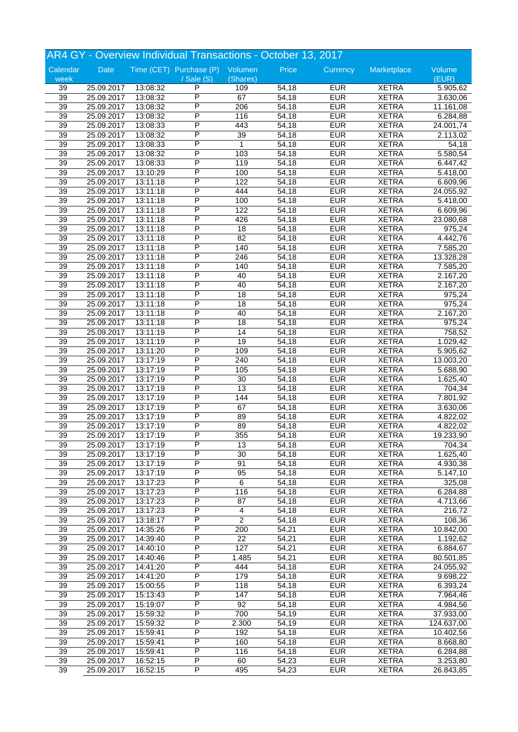| Date<br>Time (CET) Purchase (P) Volumen<br>Price<br>Currency<br>Marketplace<br>Volume<br>(EUR)<br>(Shares)<br>week<br>/ Sale (S)<br>P<br><b>EUR</b><br><b>XETRA</b><br>5.905,62<br>39<br>25.09.2017<br>13:08:32<br>109<br>54,18<br>$\overline{\mathsf{P}}$<br><b>EUR</b><br>39<br>25.09.2017<br>67<br><b>XETRA</b><br>13:08:32<br>54,18<br>3.630,06<br>P<br><b>EUR</b><br>39<br>206<br><b>XETRA</b><br>25.09.2017<br>13:08:32<br>54,18<br>11.161,08<br>P<br>39<br><b>EUR</b><br><b>XETRA</b><br>25.09.2017<br>116<br>54,18<br>6.284,88<br>13:08:32<br>P<br><b>EUR</b><br>39<br>25.09.2017<br>13:08:33<br>443<br>54,18<br><b>XETRA</b><br>24.001,74<br>39<br>P<br><b>EUR</b><br><b>XETRA</b><br>25.09.2017<br>13:08:32<br>39<br>54,18<br>2.113,02<br>$\overline{\mathsf{P}}$<br>$\overline{39}$<br><b>EUR</b><br><b>XETRA</b><br>25.09.2017<br>13:08:33<br>$\mathbf{1}$<br>54,18<br>54,18<br>P<br>103<br><b>EUR</b><br><b>XETRA</b><br>39<br>25.09.2017<br>54,18<br>5.580,54<br>13:08:32<br>P<br><b>EUR</b><br><b>XETRA</b><br>39<br>119<br>54,18<br>25.09.2017<br>13:08:33<br>6.447,42<br>P<br>39<br>25.09.2017<br>13:10:29<br>100<br>54,18<br><b>EUR</b><br><b>XETRA</b><br>5.418,00<br>P<br><b>EUR</b><br><b>XETRA</b><br>39<br>25.09.2017<br>122<br>13:11:18<br>54,18<br>6.609,96<br>P<br>$\overline{39}$<br><b>EUR</b><br><b>XETRA</b><br>25.09.2017<br>444<br>54,18<br>13:11:18<br>24.055,92<br>P<br>$\overline{39}$<br>100<br><b>EUR</b><br><b>XETRA</b><br>25.09.2017<br>54,18<br>$\overline{5.418,00}$<br>13:11:18<br>P<br>39<br>122<br><b>EUR</b><br>54,18<br><b>XETRA</b><br>6.609,96<br>25.09.2017<br>13:11:18<br>P<br><b>EUR</b><br>39<br>25.09.2017<br>13:11:18<br>426<br>54,18<br><b>XETRA</b><br>23.080,68<br>P<br><b>EUR</b><br><b>XETRA</b><br>39<br>25.09.2017<br>18<br>975,24<br>13:11:18<br>54,18<br>P<br>$\overline{39}$<br>$\overline{82}$<br><b>EUR</b><br><b>XETRA</b><br>25.09.2017<br>54,18<br>4.442,76<br>13:11:18<br>P<br>140<br><b>EUR</b><br>39<br>25.09.2017<br>54,18<br><b>XETRA</b><br>7.585,20<br>13:11:18<br>P<br><b>EUR</b><br>39<br>246<br>54,18<br><b>XETRA</b><br>25.09.2017<br>13:11:18<br>13.328,28<br>P<br>39<br>25.09.2017<br>13:11:18<br>140<br>54,18<br><b>EUR</b><br><b>XETRA</b><br>7.585,20<br>P<br><b>EUR</b><br><b>XETRA</b><br>39<br>25.09.2017<br>40<br>13:11:18<br>54,18<br>2.167,20<br>P<br>39<br><b>EUR</b><br><b>XETRA</b><br>25.09.2017<br>40<br>54,18<br>2.167,20<br>13:11:18<br>P<br>39<br>$\overline{18}$<br><b>EUR</b><br><b>XETRA</b><br>25.09.2017<br>54,18<br>975,24<br>13:11:18<br>P<br>39<br><b>EUR</b><br>18<br>54,18<br><b>XETRA</b><br>975,24<br>25.09.2017<br>13:11:18<br>P<br>39<br>25.09.2017<br>13:11:18<br>40<br>54,18<br><b>EUR</b><br><b>XETRA</b><br>2.167,20<br>P<br><b>EUR</b><br><b>XETRA</b><br>39<br>25.09.2017<br>18<br>975,24<br>13:11:18<br>54,18<br>$\overline{\mathsf{P}}$<br>$\overline{39}$<br>$\overline{14}$<br><b>EUR</b><br><b>XETRA</b><br>25.09.2017<br>54,18<br>758,52<br>13:11:19<br>P<br>$\overline{19}$<br><b>EUR</b><br>39<br>54,18<br><b>XETRA</b><br>1.029,42<br>25.09.2017<br>13:11:19<br>P<br>39<br><b>EUR</b><br>109<br>54,18<br><b>XETRA</b><br>25.09.2017<br>13:11:20<br>5.905,62<br>P<br>39<br>25.09.2017<br>13:17:19<br>240<br>54,18<br><b>EUR</b><br><b>XETRA</b><br>13.003,20<br>P<br><b>EUR</b><br>39<br>25.09.2017<br>105<br><b>XETRA</b><br>13:17:19<br>54,18<br>5.688,90<br>P<br>39<br><b>EUR</b><br><b>XETRA</b><br>25.09.2017<br>13:17:19<br>30<br>54,18<br>1.625,40<br>$\overline{P}$<br>39<br>$\overline{13}$<br><b>EUR</b><br>25.09.2017<br>54,18<br><b>XETRA</b><br>704,34<br>13:17:19<br>39<br>P<br>$\overline{144}$<br><b>EUR</b><br>54,18<br><b>XETRA</b><br>7.801,92<br>25.09.2017<br>13:17:19<br>P<br>39<br>25.09.2017<br>13:17:19<br>67<br>54,18<br><b>EUR</b><br><b>XETRA</b><br>3.630,06<br>P<br><b>EUR</b><br>39<br>25.09.2017<br>13:17:19<br>89<br><b>XETRA</b><br>54,18<br>4.822,02<br>P<br>$\overline{39}$<br>89<br><b>EUR</b><br><b>XETRA</b><br>25.09.2017<br>13:17:19<br>54,18<br>4.822,02<br>P<br>39<br>355<br><b>EUR</b><br><b>XETRA</b><br>25.09.2017<br>13:17:19<br>54,18<br>19.233,90<br><b>EUR</b><br>25.09.2017<br>704,34<br>39<br>13:17:19<br>P<br>13<br>54,18<br><b>XETRA</b><br>P<br>39<br>25.09.2017<br>13:17:19<br>30<br>54,18<br><b>EUR</b><br><b>XETRA</b><br>1.625,40<br>P<br>91<br><b>EUR</b><br>39<br>25.09.2017<br>13:17:19<br>54,18<br><b>XETRA</b><br>4.930,38<br>$\overline{\mathsf{P}}$<br>39<br><b>EUR</b><br><b>XETRA</b><br>25.09.2017<br>13:17:19<br>95<br>54,18<br>5.147,10<br>P<br>$\overline{39}$<br>6<br><b>EUR</b><br>13:17:23<br><b>XETRA</b><br>325,08<br>25.09.2017<br>54,18<br>39<br>P<br><b>EUR</b><br>13:17:23<br>116<br>54,18<br><b>XETRA</b><br>6.284,88<br>25.09.2017<br>P<br>39<br>25.09.2017<br>13:17:23<br>87<br>54,18<br><b>EUR</b><br><b>XETRA</b><br>4.713,66<br>P<br><b>EUR</b><br>39<br>25.09.2017<br>13:17:23<br>54,18<br><b>XETRA</b><br>216,72<br>4<br>P<br>$\overline{2}$<br>39<br><b>EUR</b><br>25.09.2017<br>13:18:17<br>54,18<br><b>XETRA</b><br>108,36<br>$\overline{\mathsf{P}}$<br>39<br>200<br><b>EUR</b><br>25.09.2017<br>14:35:26<br>54,21<br><b>XETRA</b><br>10.842,00<br>$\overline{P}$<br>39<br>$\overline{22}$<br><b>EUR</b><br>25.09.2017<br>14:39:40<br>54,21<br><b>XETRA</b><br>1.192,62<br>P<br>39<br>25.09.2017<br>14:40:10<br>127<br><b>EUR</b><br><b>XETRA</b><br>6.884,67<br>54,21<br>P<br><b>EUR</b><br>39<br>25.09.2017<br>14:40:46<br>1.485<br>54,21<br><b>XETRA</b><br>80.501,85<br>$\overline{\mathsf{P}}$<br>39<br><b>EUR</b><br>14:41:20<br>444<br>54,18<br><b>XETRA</b><br>24.055,92<br>25.09.2017<br>$\overline{\mathsf{P}}$<br>39<br>179<br><b>EUR</b><br>25.09.2017<br>14:41:20<br>54,18<br><b>XETRA</b><br>9.698,22<br>39<br>P<br><b>EUR</b><br>118<br>54,18<br><b>XETRA</b><br>6.393,24<br>25.09.2017<br>15:00:55<br>P<br>39<br>147<br><b>EUR</b><br><b>XETRA</b><br>25.09.2017<br>15:13:43<br>54,18<br>7.964,46<br>P<br><b>EUR</b><br>39<br>25.09.2017<br>15:19:07<br>92<br><b>XETRA</b><br>54,18<br>4.984,56<br>P<br>39<br>700<br><b>EUR</b><br>25.09.2017<br>54,19<br><b>XETRA</b><br>15:59:32<br>37.933,00<br>P<br>39<br><b>EUR</b><br>25.09.2017<br>15:59:32<br>2.300<br>54,19<br><b>XETRA</b><br>124.637,00<br>39<br>P<br><b>EUR</b><br>192<br>54,18<br><b>XETRA</b><br>10.402,56<br>25.09.2017<br>15:59:41<br>P<br>39<br>25.09.2017<br>15:59:41<br>160<br><b>EUR</b><br><b>XETRA</b><br>8.668,80<br>54,18<br>P<br><b>EUR</b><br>39<br>25.09.2017<br>15:59:41<br>116<br><b>XETRA</b><br>6.284,88<br>54,18<br>$\overline{\mathsf{P}}$<br>39<br><b>EUR</b><br>25.09.2017<br>16:52:15<br>60<br>54,23<br><b>XETRA</b><br>3.253,80<br>$\overline{\mathsf{P}}$<br>39<br>495<br><b>EUR</b><br>25.09.2017<br>16:52:15<br><b>XETRA</b><br>26.843,85 |          | AR4 GY - Overview Individual Transactions - October 13, 2017 |  |  |  |       |  |  |  |  |
|--------------------------------------------------------------------------------------------------------------------------------------------------------------------------------------------------------------------------------------------------------------------------------------------------------------------------------------------------------------------------------------------------------------------------------------------------------------------------------------------------------------------------------------------------------------------------------------------------------------------------------------------------------------------------------------------------------------------------------------------------------------------------------------------------------------------------------------------------------------------------------------------------------------------------------------------------------------------------------------------------------------------------------------------------------------------------------------------------------------------------------------------------------------------------------------------------------------------------------------------------------------------------------------------------------------------------------------------------------------------------------------------------------------------------------------------------------------------------------------------------------------------------------------------------------------------------------------------------------------------------------------------------------------------------------------------------------------------------------------------------------------------------------------------------------------------------------------------------------------------------------------------------------------------------------------------------------------------------------------------------------------------------------------------------------------------------------------------------------------------------------------------------------------------------------------------------------------------------------------------------------------------------------------------------------------------------------------------------------------------------------------------------------------------------------------------------------------------------------------------------------------------------------------------------------------------------------------------------------------------------------------------------------------------------------------------------------------------------------------------------------------------------------------------------------------------------------------------------------------------------------------------------------------------------------------------------------------------------------------------------------------------------------------------------------------------------------------------------------------------------------------------------------------------------------------------------------------------------------------------------------------------------------------------------------------------------------------------------------------------------------------------------------------------------------------------------------------------------------------------------------------------------------------------------------------------------------------------------------------------------------------------------------------------------------------------------------------------------------------------------------------------------------------------------------------------------------------------------------------------------------------------------------------------------------------------------------------------------------------------------------------------------------------------------------------------------------------------------------------------------------------------------------------------------------------------------------------------------------------------------------------------------------------------------------------------------------------------------------------------------------------------------------------------------------------------------------------------------------------------------------------------------------------------------------------------------------------------------------------------------------------------------------------------------------------------------------------------------------------------------------------------------------------------------------------------------------------------------------------------------------------------------------------------------------------------------------------------------------------------------------------------------------------------------------------------------------------------------------------------------------------------------------------------------------------------------------------------------------------------------------------------------------------------------------------------------------------------------------------------------------------------------------------------------------------------------------------------------------------------------------------------------------------------------------------------------------------------------------------------------------------------------------------------------------------------------------------------------------------------------------------------------------------------------------------------------------------------------------------------------------------------------------------------------------------------------------------------------------------------------------------------------------------------------------------------------------------------------------------------------------------------------------------------------------------------------------------------------------------------------------------------------------------------------------------------------------------------------------------------------------------------------------------------------------------------------------------------------------------------------------------------------------------------------------------------------------------------------------------------------------------------------------------------------------------------------------------------------------------------------------------------------------|----------|--------------------------------------------------------------|--|--|--|-------|--|--|--|--|
|                                                                                                                                                                                                                                                                                                                                                                                                                                                                                                                                                                                                                                                                                                                                                                                                                                                                                                                                                                                                                                                                                                                                                                                                                                                                                                                                                                                                                                                                                                                                                                                                                                                                                                                                                                                                                                                                                                                                                                                                                                                                                                                                                                                                                                                                                                                                                                                                                                                                                                                                                                                                                                                                                                                                                                                                                                                                                                                                                                                                                                                                                                                                                                                                                                                                                                                                                                                                                                                                                                                                                                                                                                                                                                                                                                                                                                                                                                                                                                                                                                                                                                                                                                                                                                                                                                                                                                                                                                                                                                                                                                                                                                                                                                                                                                                                                                                                                                                                                                                                                                                                                                                                                                                                                                                                                                                                                                                                                                                                                                                                                                                                                                                                                                                                                                                                                                                                                                                                                                                                                                                                                                                                                                                                                                                                                                                                                                                                                                                                                                                                                                                                                                                                                                                                                                                | Calendar |                                                              |  |  |  |       |  |  |  |  |
|                                                                                                                                                                                                                                                                                                                                                                                                                                                                                                                                                                                                                                                                                                                                                                                                                                                                                                                                                                                                                                                                                                                                                                                                                                                                                                                                                                                                                                                                                                                                                                                                                                                                                                                                                                                                                                                                                                                                                                                                                                                                                                                                                                                                                                                                                                                                                                                                                                                                                                                                                                                                                                                                                                                                                                                                                                                                                                                                                                                                                                                                                                                                                                                                                                                                                                                                                                                                                                                                                                                                                                                                                                                                                                                                                                                                                                                                                                                                                                                                                                                                                                                                                                                                                                                                                                                                                                                                                                                                                                                                                                                                                                                                                                                                                                                                                                                                                                                                                                                                                                                                                                                                                                                                                                                                                                                                                                                                                                                                                                                                                                                                                                                                                                                                                                                                                                                                                                                                                                                                                                                                                                                                                                                                                                                                                                                                                                                                                                                                                                                                                                                                                                                                                                                                                                                |          |                                                              |  |  |  |       |  |  |  |  |
|                                                                                                                                                                                                                                                                                                                                                                                                                                                                                                                                                                                                                                                                                                                                                                                                                                                                                                                                                                                                                                                                                                                                                                                                                                                                                                                                                                                                                                                                                                                                                                                                                                                                                                                                                                                                                                                                                                                                                                                                                                                                                                                                                                                                                                                                                                                                                                                                                                                                                                                                                                                                                                                                                                                                                                                                                                                                                                                                                                                                                                                                                                                                                                                                                                                                                                                                                                                                                                                                                                                                                                                                                                                                                                                                                                                                                                                                                                                                                                                                                                                                                                                                                                                                                                                                                                                                                                                                                                                                                                                                                                                                                                                                                                                                                                                                                                                                                                                                                                                                                                                                                                                                                                                                                                                                                                                                                                                                                                                                                                                                                                                                                                                                                                                                                                                                                                                                                                                                                                                                                                                                                                                                                                                                                                                                                                                                                                                                                                                                                                                                                                                                                                                                                                                                                                                |          |                                                              |  |  |  |       |  |  |  |  |
|                                                                                                                                                                                                                                                                                                                                                                                                                                                                                                                                                                                                                                                                                                                                                                                                                                                                                                                                                                                                                                                                                                                                                                                                                                                                                                                                                                                                                                                                                                                                                                                                                                                                                                                                                                                                                                                                                                                                                                                                                                                                                                                                                                                                                                                                                                                                                                                                                                                                                                                                                                                                                                                                                                                                                                                                                                                                                                                                                                                                                                                                                                                                                                                                                                                                                                                                                                                                                                                                                                                                                                                                                                                                                                                                                                                                                                                                                                                                                                                                                                                                                                                                                                                                                                                                                                                                                                                                                                                                                                                                                                                                                                                                                                                                                                                                                                                                                                                                                                                                                                                                                                                                                                                                                                                                                                                                                                                                                                                                                                                                                                                                                                                                                                                                                                                                                                                                                                                                                                                                                                                                                                                                                                                                                                                                                                                                                                                                                                                                                                                                                                                                                                                                                                                                                                                |          |                                                              |  |  |  |       |  |  |  |  |
|                                                                                                                                                                                                                                                                                                                                                                                                                                                                                                                                                                                                                                                                                                                                                                                                                                                                                                                                                                                                                                                                                                                                                                                                                                                                                                                                                                                                                                                                                                                                                                                                                                                                                                                                                                                                                                                                                                                                                                                                                                                                                                                                                                                                                                                                                                                                                                                                                                                                                                                                                                                                                                                                                                                                                                                                                                                                                                                                                                                                                                                                                                                                                                                                                                                                                                                                                                                                                                                                                                                                                                                                                                                                                                                                                                                                                                                                                                                                                                                                                                                                                                                                                                                                                                                                                                                                                                                                                                                                                                                                                                                                                                                                                                                                                                                                                                                                                                                                                                                                                                                                                                                                                                                                                                                                                                                                                                                                                                                                                                                                                                                                                                                                                                                                                                                                                                                                                                                                                                                                                                                                                                                                                                                                                                                                                                                                                                                                                                                                                                                                                                                                                                                                                                                                                                                |          |                                                              |  |  |  |       |  |  |  |  |
|                                                                                                                                                                                                                                                                                                                                                                                                                                                                                                                                                                                                                                                                                                                                                                                                                                                                                                                                                                                                                                                                                                                                                                                                                                                                                                                                                                                                                                                                                                                                                                                                                                                                                                                                                                                                                                                                                                                                                                                                                                                                                                                                                                                                                                                                                                                                                                                                                                                                                                                                                                                                                                                                                                                                                                                                                                                                                                                                                                                                                                                                                                                                                                                                                                                                                                                                                                                                                                                                                                                                                                                                                                                                                                                                                                                                                                                                                                                                                                                                                                                                                                                                                                                                                                                                                                                                                                                                                                                                                                                                                                                                                                                                                                                                                                                                                                                                                                                                                                                                                                                                                                                                                                                                                                                                                                                                                                                                                                                                                                                                                                                                                                                                                                                                                                                                                                                                                                                                                                                                                                                                                                                                                                                                                                                                                                                                                                                                                                                                                                                                                                                                                                                                                                                                                                                |          |                                                              |  |  |  |       |  |  |  |  |
|                                                                                                                                                                                                                                                                                                                                                                                                                                                                                                                                                                                                                                                                                                                                                                                                                                                                                                                                                                                                                                                                                                                                                                                                                                                                                                                                                                                                                                                                                                                                                                                                                                                                                                                                                                                                                                                                                                                                                                                                                                                                                                                                                                                                                                                                                                                                                                                                                                                                                                                                                                                                                                                                                                                                                                                                                                                                                                                                                                                                                                                                                                                                                                                                                                                                                                                                                                                                                                                                                                                                                                                                                                                                                                                                                                                                                                                                                                                                                                                                                                                                                                                                                                                                                                                                                                                                                                                                                                                                                                                                                                                                                                                                                                                                                                                                                                                                                                                                                                                                                                                                                                                                                                                                                                                                                                                                                                                                                                                                                                                                                                                                                                                                                                                                                                                                                                                                                                                                                                                                                                                                                                                                                                                                                                                                                                                                                                                                                                                                                                                                                                                                                                                                                                                                                                                |          |                                                              |  |  |  |       |  |  |  |  |
|                                                                                                                                                                                                                                                                                                                                                                                                                                                                                                                                                                                                                                                                                                                                                                                                                                                                                                                                                                                                                                                                                                                                                                                                                                                                                                                                                                                                                                                                                                                                                                                                                                                                                                                                                                                                                                                                                                                                                                                                                                                                                                                                                                                                                                                                                                                                                                                                                                                                                                                                                                                                                                                                                                                                                                                                                                                                                                                                                                                                                                                                                                                                                                                                                                                                                                                                                                                                                                                                                                                                                                                                                                                                                                                                                                                                                                                                                                                                                                                                                                                                                                                                                                                                                                                                                                                                                                                                                                                                                                                                                                                                                                                                                                                                                                                                                                                                                                                                                                                                                                                                                                                                                                                                                                                                                                                                                                                                                                                                                                                                                                                                                                                                                                                                                                                                                                                                                                                                                                                                                                                                                                                                                                                                                                                                                                                                                                                                                                                                                                                                                                                                                                                                                                                                                                                |          |                                                              |  |  |  |       |  |  |  |  |
|                                                                                                                                                                                                                                                                                                                                                                                                                                                                                                                                                                                                                                                                                                                                                                                                                                                                                                                                                                                                                                                                                                                                                                                                                                                                                                                                                                                                                                                                                                                                                                                                                                                                                                                                                                                                                                                                                                                                                                                                                                                                                                                                                                                                                                                                                                                                                                                                                                                                                                                                                                                                                                                                                                                                                                                                                                                                                                                                                                                                                                                                                                                                                                                                                                                                                                                                                                                                                                                                                                                                                                                                                                                                                                                                                                                                                                                                                                                                                                                                                                                                                                                                                                                                                                                                                                                                                                                                                                                                                                                                                                                                                                                                                                                                                                                                                                                                                                                                                                                                                                                                                                                                                                                                                                                                                                                                                                                                                                                                                                                                                                                                                                                                                                                                                                                                                                                                                                                                                                                                                                                                                                                                                                                                                                                                                                                                                                                                                                                                                                                                                                                                                                                                                                                                                                                |          |                                                              |  |  |  |       |  |  |  |  |
|                                                                                                                                                                                                                                                                                                                                                                                                                                                                                                                                                                                                                                                                                                                                                                                                                                                                                                                                                                                                                                                                                                                                                                                                                                                                                                                                                                                                                                                                                                                                                                                                                                                                                                                                                                                                                                                                                                                                                                                                                                                                                                                                                                                                                                                                                                                                                                                                                                                                                                                                                                                                                                                                                                                                                                                                                                                                                                                                                                                                                                                                                                                                                                                                                                                                                                                                                                                                                                                                                                                                                                                                                                                                                                                                                                                                                                                                                                                                                                                                                                                                                                                                                                                                                                                                                                                                                                                                                                                                                                                                                                                                                                                                                                                                                                                                                                                                                                                                                                                                                                                                                                                                                                                                                                                                                                                                                                                                                                                                                                                                                                                                                                                                                                                                                                                                                                                                                                                                                                                                                                                                                                                                                                                                                                                                                                                                                                                                                                                                                                                                                                                                                                                                                                                                                                                |          |                                                              |  |  |  |       |  |  |  |  |
|                                                                                                                                                                                                                                                                                                                                                                                                                                                                                                                                                                                                                                                                                                                                                                                                                                                                                                                                                                                                                                                                                                                                                                                                                                                                                                                                                                                                                                                                                                                                                                                                                                                                                                                                                                                                                                                                                                                                                                                                                                                                                                                                                                                                                                                                                                                                                                                                                                                                                                                                                                                                                                                                                                                                                                                                                                                                                                                                                                                                                                                                                                                                                                                                                                                                                                                                                                                                                                                                                                                                                                                                                                                                                                                                                                                                                                                                                                                                                                                                                                                                                                                                                                                                                                                                                                                                                                                                                                                                                                                                                                                                                                                                                                                                                                                                                                                                                                                                                                                                                                                                                                                                                                                                                                                                                                                                                                                                                                                                                                                                                                                                                                                                                                                                                                                                                                                                                                                                                                                                                                                                                                                                                                                                                                                                                                                                                                                                                                                                                                                                                                                                                                                                                                                                                                                |          |                                                              |  |  |  |       |  |  |  |  |
|                                                                                                                                                                                                                                                                                                                                                                                                                                                                                                                                                                                                                                                                                                                                                                                                                                                                                                                                                                                                                                                                                                                                                                                                                                                                                                                                                                                                                                                                                                                                                                                                                                                                                                                                                                                                                                                                                                                                                                                                                                                                                                                                                                                                                                                                                                                                                                                                                                                                                                                                                                                                                                                                                                                                                                                                                                                                                                                                                                                                                                                                                                                                                                                                                                                                                                                                                                                                                                                                                                                                                                                                                                                                                                                                                                                                                                                                                                                                                                                                                                                                                                                                                                                                                                                                                                                                                                                                                                                                                                                                                                                                                                                                                                                                                                                                                                                                                                                                                                                                                                                                                                                                                                                                                                                                                                                                                                                                                                                                                                                                                                                                                                                                                                                                                                                                                                                                                                                                                                                                                                                                                                                                                                                                                                                                                                                                                                                                                                                                                                                                                                                                                                                                                                                                                                                |          |                                                              |  |  |  |       |  |  |  |  |
|                                                                                                                                                                                                                                                                                                                                                                                                                                                                                                                                                                                                                                                                                                                                                                                                                                                                                                                                                                                                                                                                                                                                                                                                                                                                                                                                                                                                                                                                                                                                                                                                                                                                                                                                                                                                                                                                                                                                                                                                                                                                                                                                                                                                                                                                                                                                                                                                                                                                                                                                                                                                                                                                                                                                                                                                                                                                                                                                                                                                                                                                                                                                                                                                                                                                                                                                                                                                                                                                                                                                                                                                                                                                                                                                                                                                                                                                                                                                                                                                                                                                                                                                                                                                                                                                                                                                                                                                                                                                                                                                                                                                                                                                                                                                                                                                                                                                                                                                                                                                                                                                                                                                                                                                                                                                                                                                                                                                                                                                                                                                                                                                                                                                                                                                                                                                                                                                                                                                                                                                                                                                                                                                                                                                                                                                                                                                                                                                                                                                                                                                                                                                                                                                                                                                                                                |          |                                                              |  |  |  |       |  |  |  |  |
|                                                                                                                                                                                                                                                                                                                                                                                                                                                                                                                                                                                                                                                                                                                                                                                                                                                                                                                                                                                                                                                                                                                                                                                                                                                                                                                                                                                                                                                                                                                                                                                                                                                                                                                                                                                                                                                                                                                                                                                                                                                                                                                                                                                                                                                                                                                                                                                                                                                                                                                                                                                                                                                                                                                                                                                                                                                                                                                                                                                                                                                                                                                                                                                                                                                                                                                                                                                                                                                                                                                                                                                                                                                                                                                                                                                                                                                                                                                                                                                                                                                                                                                                                                                                                                                                                                                                                                                                                                                                                                                                                                                                                                                                                                                                                                                                                                                                                                                                                                                                                                                                                                                                                                                                                                                                                                                                                                                                                                                                                                                                                                                                                                                                                                                                                                                                                                                                                                                                                                                                                                                                                                                                                                                                                                                                                                                                                                                                                                                                                                                                                                                                                                                                                                                                                                                |          |                                                              |  |  |  |       |  |  |  |  |
|                                                                                                                                                                                                                                                                                                                                                                                                                                                                                                                                                                                                                                                                                                                                                                                                                                                                                                                                                                                                                                                                                                                                                                                                                                                                                                                                                                                                                                                                                                                                                                                                                                                                                                                                                                                                                                                                                                                                                                                                                                                                                                                                                                                                                                                                                                                                                                                                                                                                                                                                                                                                                                                                                                                                                                                                                                                                                                                                                                                                                                                                                                                                                                                                                                                                                                                                                                                                                                                                                                                                                                                                                                                                                                                                                                                                                                                                                                                                                                                                                                                                                                                                                                                                                                                                                                                                                                                                                                                                                                                                                                                                                                                                                                                                                                                                                                                                                                                                                                                                                                                                                                                                                                                                                                                                                                                                                                                                                                                                                                                                                                                                                                                                                                                                                                                                                                                                                                                                                                                                                                                                                                                                                                                                                                                                                                                                                                                                                                                                                                                                                                                                                                                                                                                                                                                |          |                                                              |  |  |  |       |  |  |  |  |
|                                                                                                                                                                                                                                                                                                                                                                                                                                                                                                                                                                                                                                                                                                                                                                                                                                                                                                                                                                                                                                                                                                                                                                                                                                                                                                                                                                                                                                                                                                                                                                                                                                                                                                                                                                                                                                                                                                                                                                                                                                                                                                                                                                                                                                                                                                                                                                                                                                                                                                                                                                                                                                                                                                                                                                                                                                                                                                                                                                                                                                                                                                                                                                                                                                                                                                                                                                                                                                                                                                                                                                                                                                                                                                                                                                                                                                                                                                                                                                                                                                                                                                                                                                                                                                                                                                                                                                                                                                                                                                                                                                                                                                                                                                                                                                                                                                                                                                                                                                                                                                                                                                                                                                                                                                                                                                                                                                                                                                                                                                                                                                                                                                                                                                                                                                                                                                                                                                                                                                                                                                                                                                                                                                                                                                                                                                                                                                                                                                                                                                                                                                                                                                                                                                                                                                                |          |                                                              |  |  |  |       |  |  |  |  |
|                                                                                                                                                                                                                                                                                                                                                                                                                                                                                                                                                                                                                                                                                                                                                                                                                                                                                                                                                                                                                                                                                                                                                                                                                                                                                                                                                                                                                                                                                                                                                                                                                                                                                                                                                                                                                                                                                                                                                                                                                                                                                                                                                                                                                                                                                                                                                                                                                                                                                                                                                                                                                                                                                                                                                                                                                                                                                                                                                                                                                                                                                                                                                                                                                                                                                                                                                                                                                                                                                                                                                                                                                                                                                                                                                                                                                                                                                                                                                                                                                                                                                                                                                                                                                                                                                                                                                                                                                                                                                                                                                                                                                                                                                                                                                                                                                                                                                                                                                                                                                                                                                                                                                                                                                                                                                                                                                                                                                                                                                                                                                                                                                                                                                                                                                                                                                                                                                                                                                                                                                                                                                                                                                                                                                                                                                                                                                                                                                                                                                                                                                                                                                                                                                                                                                                                |          |                                                              |  |  |  |       |  |  |  |  |
|                                                                                                                                                                                                                                                                                                                                                                                                                                                                                                                                                                                                                                                                                                                                                                                                                                                                                                                                                                                                                                                                                                                                                                                                                                                                                                                                                                                                                                                                                                                                                                                                                                                                                                                                                                                                                                                                                                                                                                                                                                                                                                                                                                                                                                                                                                                                                                                                                                                                                                                                                                                                                                                                                                                                                                                                                                                                                                                                                                                                                                                                                                                                                                                                                                                                                                                                                                                                                                                                                                                                                                                                                                                                                                                                                                                                                                                                                                                                                                                                                                                                                                                                                                                                                                                                                                                                                                                                                                                                                                                                                                                                                                                                                                                                                                                                                                                                                                                                                                                                                                                                                                                                                                                                                                                                                                                                                                                                                                                                                                                                                                                                                                                                                                                                                                                                                                                                                                                                                                                                                                                                                                                                                                                                                                                                                                                                                                                                                                                                                                                                                                                                                                                                                                                                                                                |          |                                                              |  |  |  |       |  |  |  |  |
|                                                                                                                                                                                                                                                                                                                                                                                                                                                                                                                                                                                                                                                                                                                                                                                                                                                                                                                                                                                                                                                                                                                                                                                                                                                                                                                                                                                                                                                                                                                                                                                                                                                                                                                                                                                                                                                                                                                                                                                                                                                                                                                                                                                                                                                                                                                                                                                                                                                                                                                                                                                                                                                                                                                                                                                                                                                                                                                                                                                                                                                                                                                                                                                                                                                                                                                                                                                                                                                                                                                                                                                                                                                                                                                                                                                                                                                                                                                                                                                                                                                                                                                                                                                                                                                                                                                                                                                                                                                                                                                                                                                                                                                                                                                                                                                                                                                                                                                                                                                                                                                                                                                                                                                                                                                                                                                                                                                                                                                                                                                                                                                                                                                                                                                                                                                                                                                                                                                                                                                                                                                                                                                                                                                                                                                                                                                                                                                                                                                                                                                                                                                                                                                                                                                                                                                |          |                                                              |  |  |  |       |  |  |  |  |
|                                                                                                                                                                                                                                                                                                                                                                                                                                                                                                                                                                                                                                                                                                                                                                                                                                                                                                                                                                                                                                                                                                                                                                                                                                                                                                                                                                                                                                                                                                                                                                                                                                                                                                                                                                                                                                                                                                                                                                                                                                                                                                                                                                                                                                                                                                                                                                                                                                                                                                                                                                                                                                                                                                                                                                                                                                                                                                                                                                                                                                                                                                                                                                                                                                                                                                                                                                                                                                                                                                                                                                                                                                                                                                                                                                                                                                                                                                                                                                                                                                                                                                                                                                                                                                                                                                                                                                                                                                                                                                                                                                                                                                                                                                                                                                                                                                                                                                                                                                                                                                                                                                                                                                                                                                                                                                                                                                                                                                                                                                                                                                                                                                                                                                                                                                                                                                                                                                                                                                                                                                                                                                                                                                                                                                                                                                                                                                                                                                                                                                                                                                                                                                                                                                                                                                                |          |                                                              |  |  |  |       |  |  |  |  |
|                                                                                                                                                                                                                                                                                                                                                                                                                                                                                                                                                                                                                                                                                                                                                                                                                                                                                                                                                                                                                                                                                                                                                                                                                                                                                                                                                                                                                                                                                                                                                                                                                                                                                                                                                                                                                                                                                                                                                                                                                                                                                                                                                                                                                                                                                                                                                                                                                                                                                                                                                                                                                                                                                                                                                                                                                                                                                                                                                                                                                                                                                                                                                                                                                                                                                                                                                                                                                                                                                                                                                                                                                                                                                                                                                                                                                                                                                                                                                                                                                                                                                                                                                                                                                                                                                                                                                                                                                                                                                                                                                                                                                                                                                                                                                                                                                                                                                                                                                                                                                                                                                                                                                                                                                                                                                                                                                                                                                                                                                                                                                                                                                                                                                                                                                                                                                                                                                                                                                                                                                                                                                                                                                                                                                                                                                                                                                                                                                                                                                                                                                                                                                                                                                                                                                                                |          |                                                              |  |  |  |       |  |  |  |  |
|                                                                                                                                                                                                                                                                                                                                                                                                                                                                                                                                                                                                                                                                                                                                                                                                                                                                                                                                                                                                                                                                                                                                                                                                                                                                                                                                                                                                                                                                                                                                                                                                                                                                                                                                                                                                                                                                                                                                                                                                                                                                                                                                                                                                                                                                                                                                                                                                                                                                                                                                                                                                                                                                                                                                                                                                                                                                                                                                                                                                                                                                                                                                                                                                                                                                                                                                                                                                                                                                                                                                                                                                                                                                                                                                                                                                                                                                                                                                                                                                                                                                                                                                                                                                                                                                                                                                                                                                                                                                                                                                                                                                                                                                                                                                                                                                                                                                                                                                                                                                                                                                                                                                                                                                                                                                                                                                                                                                                                                                                                                                                                                                                                                                                                                                                                                                                                                                                                                                                                                                                                                                                                                                                                                                                                                                                                                                                                                                                                                                                                                                                                                                                                                                                                                                                                                |          |                                                              |  |  |  |       |  |  |  |  |
|                                                                                                                                                                                                                                                                                                                                                                                                                                                                                                                                                                                                                                                                                                                                                                                                                                                                                                                                                                                                                                                                                                                                                                                                                                                                                                                                                                                                                                                                                                                                                                                                                                                                                                                                                                                                                                                                                                                                                                                                                                                                                                                                                                                                                                                                                                                                                                                                                                                                                                                                                                                                                                                                                                                                                                                                                                                                                                                                                                                                                                                                                                                                                                                                                                                                                                                                                                                                                                                                                                                                                                                                                                                                                                                                                                                                                                                                                                                                                                                                                                                                                                                                                                                                                                                                                                                                                                                                                                                                                                                                                                                                                                                                                                                                                                                                                                                                                                                                                                                                                                                                                                                                                                                                                                                                                                                                                                                                                                                                                                                                                                                                                                                                                                                                                                                                                                                                                                                                                                                                                                                                                                                                                                                                                                                                                                                                                                                                                                                                                                                                                                                                                                                                                                                                                                                |          |                                                              |  |  |  |       |  |  |  |  |
|                                                                                                                                                                                                                                                                                                                                                                                                                                                                                                                                                                                                                                                                                                                                                                                                                                                                                                                                                                                                                                                                                                                                                                                                                                                                                                                                                                                                                                                                                                                                                                                                                                                                                                                                                                                                                                                                                                                                                                                                                                                                                                                                                                                                                                                                                                                                                                                                                                                                                                                                                                                                                                                                                                                                                                                                                                                                                                                                                                                                                                                                                                                                                                                                                                                                                                                                                                                                                                                                                                                                                                                                                                                                                                                                                                                                                                                                                                                                                                                                                                                                                                                                                                                                                                                                                                                                                                                                                                                                                                                                                                                                                                                                                                                                                                                                                                                                                                                                                                                                                                                                                                                                                                                                                                                                                                                                                                                                                                                                                                                                                                                                                                                                                                                                                                                                                                                                                                                                                                                                                                                                                                                                                                                                                                                                                                                                                                                                                                                                                                                                                                                                                                                                                                                                                                                |          |                                                              |  |  |  |       |  |  |  |  |
|                                                                                                                                                                                                                                                                                                                                                                                                                                                                                                                                                                                                                                                                                                                                                                                                                                                                                                                                                                                                                                                                                                                                                                                                                                                                                                                                                                                                                                                                                                                                                                                                                                                                                                                                                                                                                                                                                                                                                                                                                                                                                                                                                                                                                                                                                                                                                                                                                                                                                                                                                                                                                                                                                                                                                                                                                                                                                                                                                                                                                                                                                                                                                                                                                                                                                                                                                                                                                                                                                                                                                                                                                                                                                                                                                                                                                                                                                                                                                                                                                                                                                                                                                                                                                                                                                                                                                                                                                                                                                                                                                                                                                                                                                                                                                                                                                                                                                                                                                                                                                                                                                                                                                                                                                                                                                                                                                                                                                                                                                                                                                                                                                                                                                                                                                                                                                                                                                                                                                                                                                                                                                                                                                                                                                                                                                                                                                                                                                                                                                                                                                                                                                                                                                                                                                                                |          |                                                              |  |  |  |       |  |  |  |  |
|                                                                                                                                                                                                                                                                                                                                                                                                                                                                                                                                                                                                                                                                                                                                                                                                                                                                                                                                                                                                                                                                                                                                                                                                                                                                                                                                                                                                                                                                                                                                                                                                                                                                                                                                                                                                                                                                                                                                                                                                                                                                                                                                                                                                                                                                                                                                                                                                                                                                                                                                                                                                                                                                                                                                                                                                                                                                                                                                                                                                                                                                                                                                                                                                                                                                                                                                                                                                                                                                                                                                                                                                                                                                                                                                                                                                                                                                                                                                                                                                                                                                                                                                                                                                                                                                                                                                                                                                                                                                                                                                                                                                                                                                                                                                                                                                                                                                                                                                                                                                                                                                                                                                                                                                                                                                                                                                                                                                                                                                                                                                                                                                                                                                                                                                                                                                                                                                                                                                                                                                                                                                                                                                                                                                                                                                                                                                                                                                                                                                                                                                                                                                                                                                                                                                                                                |          |                                                              |  |  |  |       |  |  |  |  |
|                                                                                                                                                                                                                                                                                                                                                                                                                                                                                                                                                                                                                                                                                                                                                                                                                                                                                                                                                                                                                                                                                                                                                                                                                                                                                                                                                                                                                                                                                                                                                                                                                                                                                                                                                                                                                                                                                                                                                                                                                                                                                                                                                                                                                                                                                                                                                                                                                                                                                                                                                                                                                                                                                                                                                                                                                                                                                                                                                                                                                                                                                                                                                                                                                                                                                                                                                                                                                                                                                                                                                                                                                                                                                                                                                                                                                                                                                                                                                                                                                                                                                                                                                                                                                                                                                                                                                                                                                                                                                                                                                                                                                                                                                                                                                                                                                                                                                                                                                                                                                                                                                                                                                                                                                                                                                                                                                                                                                                                                                                                                                                                                                                                                                                                                                                                                                                                                                                                                                                                                                                                                                                                                                                                                                                                                                                                                                                                                                                                                                                                                                                                                                                                                                                                                                                                |          |                                                              |  |  |  |       |  |  |  |  |
|                                                                                                                                                                                                                                                                                                                                                                                                                                                                                                                                                                                                                                                                                                                                                                                                                                                                                                                                                                                                                                                                                                                                                                                                                                                                                                                                                                                                                                                                                                                                                                                                                                                                                                                                                                                                                                                                                                                                                                                                                                                                                                                                                                                                                                                                                                                                                                                                                                                                                                                                                                                                                                                                                                                                                                                                                                                                                                                                                                                                                                                                                                                                                                                                                                                                                                                                                                                                                                                                                                                                                                                                                                                                                                                                                                                                                                                                                                                                                                                                                                                                                                                                                                                                                                                                                                                                                                                                                                                                                                                                                                                                                                                                                                                                                                                                                                                                                                                                                                                                                                                                                                                                                                                                                                                                                                                                                                                                                                                                                                                                                                                                                                                                                                                                                                                                                                                                                                                                                                                                                                                                                                                                                                                                                                                                                                                                                                                                                                                                                                                                                                                                                                                                                                                                                                                |          |                                                              |  |  |  |       |  |  |  |  |
|                                                                                                                                                                                                                                                                                                                                                                                                                                                                                                                                                                                                                                                                                                                                                                                                                                                                                                                                                                                                                                                                                                                                                                                                                                                                                                                                                                                                                                                                                                                                                                                                                                                                                                                                                                                                                                                                                                                                                                                                                                                                                                                                                                                                                                                                                                                                                                                                                                                                                                                                                                                                                                                                                                                                                                                                                                                                                                                                                                                                                                                                                                                                                                                                                                                                                                                                                                                                                                                                                                                                                                                                                                                                                                                                                                                                                                                                                                                                                                                                                                                                                                                                                                                                                                                                                                                                                                                                                                                                                                                                                                                                                                                                                                                                                                                                                                                                                                                                                                                                                                                                                                                                                                                                                                                                                                                                                                                                                                                                                                                                                                                                                                                                                                                                                                                                                                                                                                                                                                                                                                                                                                                                                                                                                                                                                                                                                                                                                                                                                                                                                                                                                                                                                                                                                                                |          |                                                              |  |  |  |       |  |  |  |  |
|                                                                                                                                                                                                                                                                                                                                                                                                                                                                                                                                                                                                                                                                                                                                                                                                                                                                                                                                                                                                                                                                                                                                                                                                                                                                                                                                                                                                                                                                                                                                                                                                                                                                                                                                                                                                                                                                                                                                                                                                                                                                                                                                                                                                                                                                                                                                                                                                                                                                                                                                                                                                                                                                                                                                                                                                                                                                                                                                                                                                                                                                                                                                                                                                                                                                                                                                                                                                                                                                                                                                                                                                                                                                                                                                                                                                                                                                                                                                                                                                                                                                                                                                                                                                                                                                                                                                                                                                                                                                                                                                                                                                                                                                                                                                                                                                                                                                                                                                                                                                                                                                                                                                                                                                                                                                                                                                                                                                                                                                                                                                                                                                                                                                                                                                                                                                                                                                                                                                                                                                                                                                                                                                                                                                                                                                                                                                                                                                                                                                                                                                                                                                                                                                                                                                                                                |          |                                                              |  |  |  |       |  |  |  |  |
|                                                                                                                                                                                                                                                                                                                                                                                                                                                                                                                                                                                                                                                                                                                                                                                                                                                                                                                                                                                                                                                                                                                                                                                                                                                                                                                                                                                                                                                                                                                                                                                                                                                                                                                                                                                                                                                                                                                                                                                                                                                                                                                                                                                                                                                                                                                                                                                                                                                                                                                                                                                                                                                                                                                                                                                                                                                                                                                                                                                                                                                                                                                                                                                                                                                                                                                                                                                                                                                                                                                                                                                                                                                                                                                                                                                                                                                                                                                                                                                                                                                                                                                                                                                                                                                                                                                                                                                                                                                                                                                                                                                                                                                                                                                                                                                                                                                                                                                                                                                                                                                                                                                                                                                                                                                                                                                                                                                                                                                                                                                                                                                                                                                                                                                                                                                                                                                                                                                                                                                                                                                                                                                                                                                                                                                                                                                                                                                                                                                                                                                                                                                                                                                                                                                                                                                |          |                                                              |  |  |  |       |  |  |  |  |
|                                                                                                                                                                                                                                                                                                                                                                                                                                                                                                                                                                                                                                                                                                                                                                                                                                                                                                                                                                                                                                                                                                                                                                                                                                                                                                                                                                                                                                                                                                                                                                                                                                                                                                                                                                                                                                                                                                                                                                                                                                                                                                                                                                                                                                                                                                                                                                                                                                                                                                                                                                                                                                                                                                                                                                                                                                                                                                                                                                                                                                                                                                                                                                                                                                                                                                                                                                                                                                                                                                                                                                                                                                                                                                                                                                                                                                                                                                                                                                                                                                                                                                                                                                                                                                                                                                                                                                                                                                                                                                                                                                                                                                                                                                                                                                                                                                                                                                                                                                                                                                                                                                                                                                                                                                                                                                                                                                                                                                                                                                                                                                                                                                                                                                                                                                                                                                                                                                                                                                                                                                                                                                                                                                                                                                                                                                                                                                                                                                                                                                                                                                                                                                                                                                                                                                                |          |                                                              |  |  |  |       |  |  |  |  |
|                                                                                                                                                                                                                                                                                                                                                                                                                                                                                                                                                                                                                                                                                                                                                                                                                                                                                                                                                                                                                                                                                                                                                                                                                                                                                                                                                                                                                                                                                                                                                                                                                                                                                                                                                                                                                                                                                                                                                                                                                                                                                                                                                                                                                                                                                                                                                                                                                                                                                                                                                                                                                                                                                                                                                                                                                                                                                                                                                                                                                                                                                                                                                                                                                                                                                                                                                                                                                                                                                                                                                                                                                                                                                                                                                                                                                                                                                                                                                                                                                                                                                                                                                                                                                                                                                                                                                                                                                                                                                                                                                                                                                                                                                                                                                                                                                                                                                                                                                                                                                                                                                                                                                                                                                                                                                                                                                                                                                                                                                                                                                                                                                                                                                                                                                                                                                                                                                                                                                                                                                                                                                                                                                                                                                                                                                                                                                                                                                                                                                                                                                                                                                                                                                                                                                                                |          |                                                              |  |  |  |       |  |  |  |  |
|                                                                                                                                                                                                                                                                                                                                                                                                                                                                                                                                                                                                                                                                                                                                                                                                                                                                                                                                                                                                                                                                                                                                                                                                                                                                                                                                                                                                                                                                                                                                                                                                                                                                                                                                                                                                                                                                                                                                                                                                                                                                                                                                                                                                                                                                                                                                                                                                                                                                                                                                                                                                                                                                                                                                                                                                                                                                                                                                                                                                                                                                                                                                                                                                                                                                                                                                                                                                                                                                                                                                                                                                                                                                                                                                                                                                                                                                                                                                                                                                                                                                                                                                                                                                                                                                                                                                                                                                                                                                                                                                                                                                                                                                                                                                                                                                                                                                                                                                                                                                                                                                                                                                                                                                                                                                                                                                                                                                                                                                                                                                                                                                                                                                                                                                                                                                                                                                                                                                                                                                                                                                                                                                                                                                                                                                                                                                                                                                                                                                                                                                                                                                                                                                                                                                                                                |          |                                                              |  |  |  |       |  |  |  |  |
|                                                                                                                                                                                                                                                                                                                                                                                                                                                                                                                                                                                                                                                                                                                                                                                                                                                                                                                                                                                                                                                                                                                                                                                                                                                                                                                                                                                                                                                                                                                                                                                                                                                                                                                                                                                                                                                                                                                                                                                                                                                                                                                                                                                                                                                                                                                                                                                                                                                                                                                                                                                                                                                                                                                                                                                                                                                                                                                                                                                                                                                                                                                                                                                                                                                                                                                                                                                                                                                                                                                                                                                                                                                                                                                                                                                                                                                                                                                                                                                                                                                                                                                                                                                                                                                                                                                                                                                                                                                                                                                                                                                                                                                                                                                                                                                                                                                                                                                                                                                                                                                                                                                                                                                                                                                                                                                                                                                                                                                                                                                                                                                                                                                                                                                                                                                                                                                                                                                                                                                                                                                                                                                                                                                                                                                                                                                                                                                                                                                                                                                                                                                                                                                                                                                                                                                |          |                                                              |  |  |  |       |  |  |  |  |
|                                                                                                                                                                                                                                                                                                                                                                                                                                                                                                                                                                                                                                                                                                                                                                                                                                                                                                                                                                                                                                                                                                                                                                                                                                                                                                                                                                                                                                                                                                                                                                                                                                                                                                                                                                                                                                                                                                                                                                                                                                                                                                                                                                                                                                                                                                                                                                                                                                                                                                                                                                                                                                                                                                                                                                                                                                                                                                                                                                                                                                                                                                                                                                                                                                                                                                                                                                                                                                                                                                                                                                                                                                                                                                                                                                                                                                                                                                                                                                                                                                                                                                                                                                                                                                                                                                                                                                                                                                                                                                                                                                                                                                                                                                                                                                                                                                                                                                                                                                                                                                                                                                                                                                                                                                                                                                                                                                                                                                                                                                                                                                                                                                                                                                                                                                                                                                                                                                                                                                                                                                                                                                                                                                                                                                                                                                                                                                                                                                                                                                                                                                                                                                                                                                                                                                                |          |                                                              |  |  |  |       |  |  |  |  |
|                                                                                                                                                                                                                                                                                                                                                                                                                                                                                                                                                                                                                                                                                                                                                                                                                                                                                                                                                                                                                                                                                                                                                                                                                                                                                                                                                                                                                                                                                                                                                                                                                                                                                                                                                                                                                                                                                                                                                                                                                                                                                                                                                                                                                                                                                                                                                                                                                                                                                                                                                                                                                                                                                                                                                                                                                                                                                                                                                                                                                                                                                                                                                                                                                                                                                                                                                                                                                                                                                                                                                                                                                                                                                                                                                                                                                                                                                                                                                                                                                                                                                                                                                                                                                                                                                                                                                                                                                                                                                                                                                                                                                                                                                                                                                                                                                                                                                                                                                                                                                                                                                                                                                                                                                                                                                                                                                                                                                                                                                                                                                                                                                                                                                                                                                                                                                                                                                                                                                                                                                                                                                                                                                                                                                                                                                                                                                                                                                                                                                                                                                                                                                                                                                                                                                                                |          |                                                              |  |  |  |       |  |  |  |  |
|                                                                                                                                                                                                                                                                                                                                                                                                                                                                                                                                                                                                                                                                                                                                                                                                                                                                                                                                                                                                                                                                                                                                                                                                                                                                                                                                                                                                                                                                                                                                                                                                                                                                                                                                                                                                                                                                                                                                                                                                                                                                                                                                                                                                                                                                                                                                                                                                                                                                                                                                                                                                                                                                                                                                                                                                                                                                                                                                                                                                                                                                                                                                                                                                                                                                                                                                                                                                                                                                                                                                                                                                                                                                                                                                                                                                                                                                                                                                                                                                                                                                                                                                                                                                                                                                                                                                                                                                                                                                                                                                                                                                                                                                                                                                                                                                                                                                                                                                                                                                                                                                                                                                                                                                                                                                                                                                                                                                                                                                                                                                                                                                                                                                                                                                                                                                                                                                                                                                                                                                                                                                                                                                                                                                                                                                                                                                                                                                                                                                                                                                                                                                                                                                                                                                                                                |          |                                                              |  |  |  |       |  |  |  |  |
|                                                                                                                                                                                                                                                                                                                                                                                                                                                                                                                                                                                                                                                                                                                                                                                                                                                                                                                                                                                                                                                                                                                                                                                                                                                                                                                                                                                                                                                                                                                                                                                                                                                                                                                                                                                                                                                                                                                                                                                                                                                                                                                                                                                                                                                                                                                                                                                                                                                                                                                                                                                                                                                                                                                                                                                                                                                                                                                                                                                                                                                                                                                                                                                                                                                                                                                                                                                                                                                                                                                                                                                                                                                                                                                                                                                                                                                                                                                                                                                                                                                                                                                                                                                                                                                                                                                                                                                                                                                                                                                                                                                                                                                                                                                                                                                                                                                                                                                                                                                                                                                                                                                                                                                                                                                                                                                                                                                                                                                                                                                                                                                                                                                                                                                                                                                                                                                                                                                                                                                                                                                                                                                                                                                                                                                                                                                                                                                                                                                                                                                                                                                                                                                                                                                                                                                |          |                                                              |  |  |  |       |  |  |  |  |
|                                                                                                                                                                                                                                                                                                                                                                                                                                                                                                                                                                                                                                                                                                                                                                                                                                                                                                                                                                                                                                                                                                                                                                                                                                                                                                                                                                                                                                                                                                                                                                                                                                                                                                                                                                                                                                                                                                                                                                                                                                                                                                                                                                                                                                                                                                                                                                                                                                                                                                                                                                                                                                                                                                                                                                                                                                                                                                                                                                                                                                                                                                                                                                                                                                                                                                                                                                                                                                                                                                                                                                                                                                                                                                                                                                                                                                                                                                                                                                                                                                                                                                                                                                                                                                                                                                                                                                                                                                                                                                                                                                                                                                                                                                                                                                                                                                                                                                                                                                                                                                                                                                                                                                                                                                                                                                                                                                                                                                                                                                                                                                                                                                                                                                                                                                                                                                                                                                                                                                                                                                                                                                                                                                                                                                                                                                                                                                                                                                                                                                                                                                                                                                                                                                                                                                                |          |                                                              |  |  |  |       |  |  |  |  |
|                                                                                                                                                                                                                                                                                                                                                                                                                                                                                                                                                                                                                                                                                                                                                                                                                                                                                                                                                                                                                                                                                                                                                                                                                                                                                                                                                                                                                                                                                                                                                                                                                                                                                                                                                                                                                                                                                                                                                                                                                                                                                                                                                                                                                                                                                                                                                                                                                                                                                                                                                                                                                                                                                                                                                                                                                                                                                                                                                                                                                                                                                                                                                                                                                                                                                                                                                                                                                                                                                                                                                                                                                                                                                                                                                                                                                                                                                                                                                                                                                                                                                                                                                                                                                                                                                                                                                                                                                                                                                                                                                                                                                                                                                                                                                                                                                                                                                                                                                                                                                                                                                                                                                                                                                                                                                                                                                                                                                                                                                                                                                                                                                                                                                                                                                                                                                                                                                                                                                                                                                                                                                                                                                                                                                                                                                                                                                                                                                                                                                                                                                                                                                                                                                                                                                                                |          |                                                              |  |  |  |       |  |  |  |  |
|                                                                                                                                                                                                                                                                                                                                                                                                                                                                                                                                                                                                                                                                                                                                                                                                                                                                                                                                                                                                                                                                                                                                                                                                                                                                                                                                                                                                                                                                                                                                                                                                                                                                                                                                                                                                                                                                                                                                                                                                                                                                                                                                                                                                                                                                                                                                                                                                                                                                                                                                                                                                                                                                                                                                                                                                                                                                                                                                                                                                                                                                                                                                                                                                                                                                                                                                                                                                                                                                                                                                                                                                                                                                                                                                                                                                                                                                                                                                                                                                                                                                                                                                                                                                                                                                                                                                                                                                                                                                                                                                                                                                                                                                                                                                                                                                                                                                                                                                                                                                                                                                                                                                                                                                                                                                                                                                                                                                                                                                                                                                                                                                                                                                                                                                                                                                                                                                                                                                                                                                                                                                                                                                                                                                                                                                                                                                                                                                                                                                                                                                                                                                                                                                                                                                                                                |          |                                                              |  |  |  |       |  |  |  |  |
|                                                                                                                                                                                                                                                                                                                                                                                                                                                                                                                                                                                                                                                                                                                                                                                                                                                                                                                                                                                                                                                                                                                                                                                                                                                                                                                                                                                                                                                                                                                                                                                                                                                                                                                                                                                                                                                                                                                                                                                                                                                                                                                                                                                                                                                                                                                                                                                                                                                                                                                                                                                                                                                                                                                                                                                                                                                                                                                                                                                                                                                                                                                                                                                                                                                                                                                                                                                                                                                                                                                                                                                                                                                                                                                                                                                                                                                                                                                                                                                                                                                                                                                                                                                                                                                                                                                                                                                                                                                                                                                                                                                                                                                                                                                                                                                                                                                                                                                                                                                                                                                                                                                                                                                                                                                                                                                                                                                                                                                                                                                                                                                                                                                                                                                                                                                                                                                                                                                                                                                                                                                                                                                                                                                                                                                                                                                                                                                                                                                                                                                                                                                                                                                                                                                                                                                |          |                                                              |  |  |  |       |  |  |  |  |
|                                                                                                                                                                                                                                                                                                                                                                                                                                                                                                                                                                                                                                                                                                                                                                                                                                                                                                                                                                                                                                                                                                                                                                                                                                                                                                                                                                                                                                                                                                                                                                                                                                                                                                                                                                                                                                                                                                                                                                                                                                                                                                                                                                                                                                                                                                                                                                                                                                                                                                                                                                                                                                                                                                                                                                                                                                                                                                                                                                                                                                                                                                                                                                                                                                                                                                                                                                                                                                                                                                                                                                                                                                                                                                                                                                                                                                                                                                                                                                                                                                                                                                                                                                                                                                                                                                                                                                                                                                                                                                                                                                                                                                                                                                                                                                                                                                                                                                                                                                                                                                                                                                                                                                                                                                                                                                                                                                                                                                                                                                                                                                                                                                                                                                                                                                                                                                                                                                                                                                                                                                                                                                                                                                                                                                                                                                                                                                                                                                                                                                                                                                                                                                                                                                                                                                                |          |                                                              |  |  |  |       |  |  |  |  |
|                                                                                                                                                                                                                                                                                                                                                                                                                                                                                                                                                                                                                                                                                                                                                                                                                                                                                                                                                                                                                                                                                                                                                                                                                                                                                                                                                                                                                                                                                                                                                                                                                                                                                                                                                                                                                                                                                                                                                                                                                                                                                                                                                                                                                                                                                                                                                                                                                                                                                                                                                                                                                                                                                                                                                                                                                                                                                                                                                                                                                                                                                                                                                                                                                                                                                                                                                                                                                                                                                                                                                                                                                                                                                                                                                                                                                                                                                                                                                                                                                                                                                                                                                                                                                                                                                                                                                                                                                                                                                                                                                                                                                                                                                                                                                                                                                                                                                                                                                                                                                                                                                                                                                                                                                                                                                                                                                                                                                                                                                                                                                                                                                                                                                                                                                                                                                                                                                                                                                                                                                                                                                                                                                                                                                                                                                                                                                                                                                                                                                                                                                                                                                                                                                                                                                                                |          |                                                              |  |  |  |       |  |  |  |  |
|                                                                                                                                                                                                                                                                                                                                                                                                                                                                                                                                                                                                                                                                                                                                                                                                                                                                                                                                                                                                                                                                                                                                                                                                                                                                                                                                                                                                                                                                                                                                                                                                                                                                                                                                                                                                                                                                                                                                                                                                                                                                                                                                                                                                                                                                                                                                                                                                                                                                                                                                                                                                                                                                                                                                                                                                                                                                                                                                                                                                                                                                                                                                                                                                                                                                                                                                                                                                                                                                                                                                                                                                                                                                                                                                                                                                                                                                                                                                                                                                                                                                                                                                                                                                                                                                                                                                                                                                                                                                                                                                                                                                                                                                                                                                                                                                                                                                                                                                                                                                                                                                                                                                                                                                                                                                                                                                                                                                                                                                                                                                                                                                                                                                                                                                                                                                                                                                                                                                                                                                                                                                                                                                                                                                                                                                                                                                                                                                                                                                                                                                                                                                                                                                                                                                                                                |          |                                                              |  |  |  |       |  |  |  |  |
|                                                                                                                                                                                                                                                                                                                                                                                                                                                                                                                                                                                                                                                                                                                                                                                                                                                                                                                                                                                                                                                                                                                                                                                                                                                                                                                                                                                                                                                                                                                                                                                                                                                                                                                                                                                                                                                                                                                                                                                                                                                                                                                                                                                                                                                                                                                                                                                                                                                                                                                                                                                                                                                                                                                                                                                                                                                                                                                                                                                                                                                                                                                                                                                                                                                                                                                                                                                                                                                                                                                                                                                                                                                                                                                                                                                                                                                                                                                                                                                                                                                                                                                                                                                                                                                                                                                                                                                                                                                                                                                                                                                                                                                                                                                                                                                                                                                                                                                                                                                                                                                                                                                                                                                                                                                                                                                                                                                                                                                                                                                                                                                                                                                                                                                                                                                                                                                                                                                                                                                                                                                                                                                                                                                                                                                                                                                                                                                                                                                                                                                                                                                                                                                                                                                                                                                |          |                                                              |  |  |  |       |  |  |  |  |
|                                                                                                                                                                                                                                                                                                                                                                                                                                                                                                                                                                                                                                                                                                                                                                                                                                                                                                                                                                                                                                                                                                                                                                                                                                                                                                                                                                                                                                                                                                                                                                                                                                                                                                                                                                                                                                                                                                                                                                                                                                                                                                                                                                                                                                                                                                                                                                                                                                                                                                                                                                                                                                                                                                                                                                                                                                                                                                                                                                                                                                                                                                                                                                                                                                                                                                                                                                                                                                                                                                                                                                                                                                                                                                                                                                                                                                                                                                                                                                                                                                                                                                                                                                                                                                                                                                                                                                                                                                                                                                                                                                                                                                                                                                                                                                                                                                                                                                                                                                                                                                                                                                                                                                                                                                                                                                                                                                                                                                                                                                                                                                                                                                                                                                                                                                                                                                                                                                                                                                                                                                                                                                                                                                                                                                                                                                                                                                                                                                                                                                                                                                                                                                                                                                                                                                                |          |                                                              |  |  |  |       |  |  |  |  |
|                                                                                                                                                                                                                                                                                                                                                                                                                                                                                                                                                                                                                                                                                                                                                                                                                                                                                                                                                                                                                                                                                                                                                                                                                                                                                                                                                                                                                                                                                                                                                                                                                                                                                                                                                                                                                                                                                                                                                                                                                                                                                                                                                                                                                                                                                                                                                                                                                                                                                                                                                                                                                                                                                                                                                                                                                                                                                                                                                                                                                                                                                                                                                                                                                                                                                                                                                                                                                                                                                                                                                                                                                                                                                                                                                                                                                                                                                                                                                                                                                                                                                                                                                                                                                                                                                                                                                                                                                                                                                                                                                                                                                                                                                                                                                                                                                                                                                                                                                                                                                                                                                                                                                                                                                                                                                                                                                                                                                                                                                                                                                                                                                                                                                                                                                                                                                                                                                                                                                                                                                                                                                                                                                                                                                                                                                                                                                                                                                                                                                                                                                                                                                                                                                                                                                                                |          |                                                              |  |  |  |       |  |  |  |  |
|                                                                                                                                                                                                                                                                                                                                                                                                                                                                                                                                                                                                                                                                                                                                                                                                                                                                                                                                                                                                                                                                                                                                                                                                                                                                                                                                                                                                                                                                                                                                                                                                                                                                                                                                                                                                                                                                                                                                                                                                                                                                                                                                                                                                                                                                                                                                                                                                                                                                                                                                                                                                                                                                                                                                                                                                                                                                                                                                                                                                                                                                                                                                                                                                                                                                                                                                                                                                                                                                                                                                                                                                                                                                                                                                                                                                                                                                                                                                                                                                                                                                                                                                                                                                                                                                                                                                                                                                                                                                                                                                                                                                                                                                                                                                                                                                                                                                                                                                                                                                                                                                                                                                                                                                                                                                                                                                                                                                                                                                                                                                                                                                                                                                                                                                                                                                                                                                                                                                                                                                                                                                                                                                                                                                                                                                                                                                                                                                                                                                                                                                                                                                                                                                                                                                                                                |          |                                                              |  |  |  |       |  |  |  |  |
|                                                                                                                                                                                                                                                                                                                                                                                                                                                                                                                                                                                                                                                                                                                                                                                                                                                                                                                                                                                                                                                                                                                                                                                                                                                                                                                                                                                                                                                                                                                                                                                                                                                                                                                                                                                                                                                                                                                                                                                                                                                                                                                                                                                                                                                                                                                                                                                                                                                                                                                                                                                                                                                                                                                                                                                                                                                                                                                                                                                                                                                                                                                                                                                                                                                                                                                                                                                                                                                                                                                                                                                                                                                                                                                                                                                                                                                                                                                                                                                                                                                                                                                                                                                                                                                                                                                                                                                                                                                                                                                                                                                                                                                                                                                                                                                                                                                                                                                                                                                                                                                                                                                                                                                                                                                                                                                                                                                                                                                                                                                                                                                                                                                                                                                                                                                                                                                                                                                                                                                                                                                                                                                                                                                                                                                                                                                                                                                                                                                                                                                                                                                                                                                                                                                                                                                |          |                                                              |  |  |  |       |  |  |  |  |
|                                                                                                                                                                                                                                                                                                                                                                                                                                                                                                                                                                                                                                                                                                                                                                                                                                                                                                                                                                                                                                                                                                                                                                                                                                                                                                                                                                                                                                                                                                                                                                                                                                                                                                                                                                                                                                                                                                                                                                                                                                                                                                                                                                                                                                                                                                                                                                                                                                                                                                                                                                                                                                                                                                                                                                                                                                                                                                                                                                                                                                                                                                                                                                                                                                                                                                                                                                                                                                                                                                                                                                                                                                                                                                                                                                                                                                                                                                                                                                                                                                                                                                                                                                                                                                                                                                                                                                                                                                                                                                                                                                                                                                                                                                                                                                                                                                                                                                                                                                                                                                                                                                                                                                                                                                                                                                                                                                                                                                                                                                                                                                                                                                                                                                                                                                                                                                                                                                                                                                                                                                                                                                                                                                                                                                                                                                                                                                                                                                                                                                                                                                                                                                                                                                                                                                                |          |                                                              |  |  |  |       |  |  |  |  |
|                                                                                                                                                                                                                                                                                                                                                                                                                                                                                                                                                                                                                                                                                                                                                                                                                                                                                                                                                                                                                                                                                                                                                                                                                                                                                                                                                                                                                                                                                                                                                                                                                                                                                                                                                                                                                                                                                                                                                                                                                                                                                                                                                                                                                                                                                                                                                                                                                                                                                                                                                                                                                                                                                                                                                                                                                                                                                                                                                                                                                                                                                                                                                                                                                                                                                                                                                                                                                                                                                                                                                                                                                                                                                                                                                                                                                                                                                                                                                                                                                                                                                                                                                                                                                                                                                                                                                                                                                                                                                                                                                                                                                                                                                                                                                                                                                                                                                                                                                                                                                                                                                                                                                                                                                                                                                                                                                                                                                                                                                                                                                                                                                                                                                                                                                                                                                                                                                                                                                                                                                                                                                                                                                                                                                                                                                                                                                                                                                                                                                                                                                                                                                                                                                                                                                                                |          |                                                              |  |  |  |       |  |  |  |  |
|                                                                                                                                                                                                                                                                                                                                                                                                                                                                                                                                                                                                                                                                                                                                                                                                                                                                                                                                                                                                                                                                                                                                                                                                                                                                                                                                                                                                                                                                                                                                                                                                                                                                                                                                                                                                                                                                                                                                                                                                                                                                                                                                                                                                                                                                                                                                                                                                                                                                                                                                                                                                                                                                                                                                                                                                                                                                                                                                                                                                                                                                                                                                                                                                                                                                                                                                                                                                                                                                                                                                                                                                                                                                                                                                                                                                                                                                                                                                                                                                                                                                                                                                                                                                                                                                                                                                                                                                                                                                                                                                                                                                                                                                                                                                                                                                                                                                                                                                                                                                                                                                                                                                                                                                                                                                                                                                                                                                                                                                                                                                                                                                                                                                                                                                                                                                                                                                                                                                                                                                                                                                                                                                                                                                                                                                                                                                                                                                                                                                                                                                                                                                                                                                                                                                                                                |          |                                                              |  |  |  |       |  |  |  |  |
|                                                                                                                                                                                                                                                                                                                                                                                                                                                                                                                                                                                                                                                                                                                                                                                                                                                                                                                                                                                                                                                                                                                                                                                                                                                                                                                                                                                                                                                                                                                                                                                                                                                                                                                                                                                                                                                                                                                                                                                                                                                                                                                                                                                                                                                                                                                                                                                                                                                                                                                                                                                                                                                                                                                                                                                                                                                                                                                                                                                                                                                                                                                                                                                                                                                                                                                                                                                                                                                                                                                                                                                                                                                                                                                                                                                                                                                                                                                                                                                                                                                                                                                                                                                                                                                                                                                                                                                                                                                                                                                                                                                                                                                                                                                                                                                                                                                                                                                                                                                                                                                                                                                                                                                                                                                                                                                                                                                                                                                                                                                                                                                                                                                                                                                                                                                                                                                                                                                                                                                                                                                                                                                                                                                                                                                                                                                                                                                                                                                                                                                                                                                                                                                                                                                                                                                |          |                                                              |  |  |  |       |  |  |  |  |
|                                                                                                                                                                                                                                                                                                                                                                                                                                                                                                                                                                                                                                                                                                                                                                                                                                                                                                                                                                                                                                                                                                                                                                                                                                                                                                                                                                                                                                                                                                                                                                                                                                                                                                                                                                                                                                                                                                                                                                                                                                                                                                                                                                                                                                                                                                                                                                                                                                                                                                                                                                                                                                                                                                                                                                                                                                                                                                                                                                                                                                                                                                                                                                                                                                                                                                                                                                                                                                                                                                                                                                                                                                                                                                                                                                                                                                                                                                                                                                                                                                                                                                                                                                                                                                                                                                                                                                                                                                                                                                                                                                                                                                                                                                                                                                                                                                                                                                                                                                                                                                                                                                                                                                                                                                                                                                                                                                                                                                                                                                                                                                                                                                                                                                                                                                                                                                                                                                                                                                                                                                                                                                                                                                                                                                                                                                                                                                                                                                                                                                                                                                                                                                                                                                                                                                                |          |                                                              |  |  |  |       |  |  |  |  |
|                                                                                                                                                                                                                                                                                                                                                                                                                                                                                                                                                                                                                                                                                                                                                                                                                                                                                                                                                                                                                                                                                                                                                                                                                                                                                                                                                                                                                                                                                                                                                                                                                                                                                                                                                                                                                                                                                                                                                                                                                                                                                                                                                                                                                                                                                                                                                                                                                                                                                                                                                                                                                                                                                                                                                                                                                                                                                                                                                                                                                                                                                                                                                                                                                                                                                                                                                                                                                                                                                                                                                                                                                                                                                                                                                                                                                                                                                                                                                                                                                                                                                                                                                                                                                                                                                                                                                                                                                                                                                                                                                                                                                                                                                                                                                                                                                                                                                                                                                                                                                                                                                                                                                                                                                                                                                                                                                                                                                                                                                                                                                                                                                                                                                                                                                                                                                                                                                                                                                                                                                                                                                                                                                                                                                                                                                                                                                                                                                                                                                                                                                                                                                                                                                                                                                                                |          |                                                              |  |  |  |       |  |  |  |  |
|                                                                                                                                                                                                                                                                                                                                                                                                                                                                                                                                                                                                                                                                                                                                                                                                                                                                                                                                                                                                                                                                                                                                                                                                                                                                                                                                                                                                                                                                                                                                                                                                                                                                                                                                                                                                                                                                                                                                                                                                                                                                                                                                                                                                                                                                                                                                                                                                                                                                                                                                                                                                                                                                                                                                                                                                                                                                                                                                                                                                                                                                                                                                                                                                                                                                                                                                                                                                                                                                                                                                                                                                                                                                                                                                                                                                                                                                                                                                                                                                                                                                                                                                                                                                                                                                                                                                                                                                                                                                                                                                                                                                                                                                                                                                                                                                                                                                                                                                                                                                                                                                                                                                                                                                                                                                                                                                                                                                                                                                                                                                                                                                                                                                                                                                                                                                                                                                                                                                                                                                                                                                                                                                                                                                                                                                                                                                                                                                                                                                                                                                                                                                                                                                                                                                                                                |          |                                                              |  |  |  |       |  |  |  |  |
|                                                                                                                                                                                                                                                                                                                                                                                                                                                                                                                                                                                                                                                                                                                                                                                                                                                                                                                                                                                                                                                                                                                                                                                                                                                                                                                                                                                                                                                                                                                                                                                                                                                                                                                                                                                                                                                                                                                                                                                                                                                                                                                                                                                                                                                                                                                                                                                                                                                                                                                                                                                                                                                                                                                                                                                                                                                                                                                                                                                                                                                                                                                                                                                                                                                                                                                                                                                                                                                                                                                                                                                                                                                                                                                                                                                                                                                                                                                                                                                                                                                                                                                                                                                                                                                                                                                                                                                                                                                                                                                                                                                                                                                                                                                                                                                                                                                                                                                                                                                                                                                                                                                                                                                                                                                                                                                                                                                                                                                                                                                                                                                                                                                                                                                                                                                                                                                                                                                                                                                                                                                                                                                                                                                                                                                                                                                                                                                                                                                                                                                                                                                                                                                                                                                                                                                |          |                                                              |  |  |  |       |  |  |  |  |
|                                                                                                                                                                                                                                                                                                                                                                                                                                                                                                                                                                                                                                                                                                                                                                                                                                                                                                                                                                                                                                                                                                                                                                                                                                                                                                                                                                                                                                                                                                                                                                                                                                                                                                                                                                                                                                                                                                                                                                                                                                                                                                                                                                                                                                                                                                                                                                                                                                                                                                                                                                                                                                                                                                                                                                                                                                                                                                                                                                                                                                                                                                                                                                                                                                                                                                                                                                                                                                                                                                                                                                                                                                                                                                                                                                                                                                                                                                                                                                                                                                                                                                                                                                                                                                                                                                                                                                                                                                                                                                                                                                                                                                                                                                                                                                                                                                                                                                                                                                                                                                                                                                                                                                                                                                                                                                                                                                                                                                                                                                                                                                                                                                                                                                                                                                                                                                                                                                                                                                                                                                                                                                                                                                                                                                                                                                                                                                                                                                                                                                                                                                                                                                                                                                                                                                                |          |                                                              |  |  |  |       |  |  |  |  |
|                                                                                                                                                                                                                                                                                                                                                                                                                                                                                                                                                                                                                                                                                                                                                                                                                                                                                                                                                                                                                                                                                                                                                                                                                                                                                                                                                                                                                                                                                                                                                                                                                                                                                                                                                                                                                                                                                                                                                                                                                                                                                                                                                                                                                                                                                                                                                                                                                                                                                                                                                                                                                                                                                                                                                                                                                                                                                                                                                                                                                                                                                                                                                                                                                                                                                                                                                                                                                                                                                                                                                                                                                                                                                                                                                                                                                                                                                                                                                                                                                                                                                                                                                                                                                                                                                                                                                                                                                                                                                                                                                                                                                                                                                                                                                                                                                                                                                                                                                                                                                                                                                                                                                                                                                                                                                                                                                                                                                                                                                                                                                                                                                                                                                                                                                                                                                                                                                                                                                                                                                                                                                                                                                                                                                                                                                                                                                                                                                                                                                                                                                                                                                                                                                                                                                                                |          |                                                              |  |  |  |       |  |  |  |  |
|                                                                                                                                                                                                                                                                                                                                                                                                                                                                                                                                                                                                                                                                                                                                                                                                                                                                                                                                                                                                                                                                                                                                                                                                                                                                                                                                                                                                                                                                                                                                                                                                                                                                                                                                                                                                                                                                                                                                                                                                                                                                                                                                                                                                                                                                                                                                                                                                                                                                                                                                                                                                                                                                                                                                                                                                                                                                                                                                                                                                                                                                                                                                                                                                                                                                                                                                                                                                                                                                                                                                                                                                                                                                                                                                                                                                                                                                                                                                                                                                                                                                                                                                                                                                                                                                                                                                                                                                                                                                                                                                                                                                                                                                                                                                                                                                                                                                                                                                                                                                                                                                                                                                                                                                                                                                                                                                                                                                                                                                                                                                                                                                                                                                                                                                                                                                                                                                                                                                                                                                                                                                                                                                                                                                                                                                                                                                                                                                                                                                                                                                                                                                                                                                                                                                                                                |          |                                                              |  |  |  |       |  |  |  |  |
|                                                                                                                                                                                                                                                                                                                                                                                                                                                                                                                                                                                                                                                                                                                                                                                                                                                                                                                                                                                                                                                                                                                                                                                                                                                                                                                                                                                                                                                                                                                                                                                                                                                                                                                                                                                                                                                                                                                                                                                                                                                                                                                                                                                                                                                                                                                                                                                                                                                                                                                                                                                                                                                                                                                                                                                                                                                                                                                                                                                                                                                                                                                                                                                                                                                                                                                                                                                                                                                                                                                                                                                                                                                                                                                                                                                                                                                                                                                                                                                                                                                                                                                                                                                                                                                                                                                                                                                                                                                                                                                                                                                                                                                                                                                                                                                                                                                                                                                                                                                                                                                                                                                                                                                                                                                                                                                                                                                                                                                                                                                                                                                                                                                                                                                                                                                                                                                                                                                                                                                                                                                                                                                                                                                                                                                                                                                                                                                                                                                                                                                                                                                                                                                                                                                                                                                |          |                                                              |  |  |  |       |  |  |  |  |
|                                                                                                                                                                                                                                                                                                                                                                                                                                                                                                                                                                                                                                                                                                                                                                                                                                                                                                                                                                                                                                                                                                                                                                                                                                                                                                                                                                                                                                                                                                                                                                                                                                                                                                                                                                                                                                                                                                                                                                                                                                                                                                                                                                                                                                                                                                                                                                                                                                                                                                                                                                                                                                                                                                                                                                                                                                                                                                                                                                                                                                                                                                                                                                                                                                                                                                                                                                                                                                                                                                                                                                                                                                                                                                                                                                                                                                                                                                                                                                                                                                                                                                                                                                                                                                                                                                                                                                                                                                                                                                                                                                                                                                                                                                                                                                                                                                                                                                                                                                                                                                                                                                                                                                                                                                                                                                                                                                                                                                                                                                                                                                                                                                                                                                                                                                                                                                                                                                                                                                                                                                                                                                                                                                                                                                                                                                                                                                                                                                                                                                                                                                                                                                                                                                                                                                                |          |                                                              |  |  |  |       |  |  |  |  |
|                                                                                                                                                                                                                                                                                                                                                                                                                                                                                                                                                                                                                                                                                                                                                                                                                                                                                                                                                                                                                                                                                                                                                                                                                                                                                                                                                                                                                                                                                                                                                                                                                                                                                                                                                                                                                                                                                                                                                                                                                                                                                                                                                                                                                                                                                                                                                                                                                                                                                                                                                                                                                                                                                                                                                                                                                                                                                                                                                                                                                                                                                                                                                                                                                                                                                                                                                                                                                                                                                                                                                                                                                                                                                                                                                                                                                                                                                                                                                                                                                                                                                                                                                                                                                                                                                                                                                                                                                                                                                                                                                                                                                                                                                                                                                                                                                                                                                                                                                                                                                                                                                                                                                                                                                                                                                                                                                                                                                                                                                                                                                                                                                                                                                                                                                                                                                                                                                                                                                                                                                                                                                                                                                                                                                                                                                                                                                                                                                                                                                                                                                                                                                                                                                                                                                                                |          |                                                              |  |  |  |       |  |  |  |  |
|                                                                                                                                                                                                                                                                                                                                                                                                                                                                                                                                                                                                                                                                                                                                                                                                                                                                                                                                                                                                                                                                                                                                                                                                                                                                                                                                                                                                                                                                                                                                                                                                                                                                                                                                                                                                                                                                                                                                                                                                                                                                                                                                                                                                                                                                                                                                                                                                                                                                                                                                                                                                                                                                                                                                                                                                                                                                                                                                                                                                                                                                                                                                                                                                                                                                                                                                                                                                                                                                                                                                                                                                                                                                                                                                                                                                                                                                                                                                                                                                                                                                                                                                                                                                                                                                                                                                                                                                                                                                                                                                                                                                                                                                                                                                                                                                                                                                                                                                                                                                                                                                                                                                                                                                                                                                                                                                                                                                                                                                                                                                                                                                                                                                                                                                                                                                                                                                                                                                                                                                                                                                                                                                                                                                                                                                                                                                                                                                                                                                                                                                                                                                                                                                                                                                                                                |          |                                                              |  |  |  | 54,23 |  |  |  |  |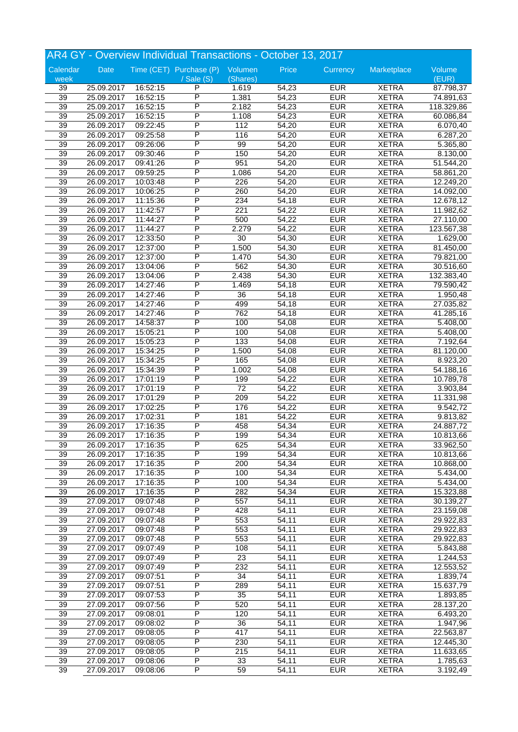|                 |            |          | AR4 GY - Overview Individual Transactions - October 13, 2017 |                  |       |            |              |            |
|-----------------|------------|----------|--------------------------------------------------------------|------------------|-------|------------|--------------|------------|
| Calendar        | Date       |          | Time (CET) Purchase (P) Volumen                              |                  | Price | Currency   | Marketplace  | Volume     |
| week            |            |          | / Sale (S)                                                   | (Shares)         |       |            |              | (EUR)      |
| 39              | 25.09.2017 | 16:52:15 | P                                                            | 1.619            | 54,23 | <b>EUR</b> | <b>XETRA</b> | 87.798,37  |
| $\overline{39}$ | 25.09.2017 | 16:52:15 | P                                                            | 1.381            | 54,23 | <b>EUR</b> | <b>XETRA</b> | 74.891,63  |
| 39              | 25.09.2017 | 16:52:15 | P                                                            | 2.182            | 54,23 | <b>EUR</b> | <b>XETRA</b> | 118.329,86 |
| 39              | 25.09.2017 | 16:52:15 | P                                                            | 1.108            | 54,23 | <b>EUR</b> | <b>XETRA</b> | 60.086,84  |
| 39              | 26.09.2017 | 09:22:45 | P                                                            | 112              | 54,20 | <b>EUR</b> | <b>XETRA</b> | 6.070,40   |
| 39              | 26.09.2017 | 09:25:58 | P                                                            | 116              | 54,20 | <b>EUR</b> | <b>XETRA</b> | 6.287,20   |
| 39              | 26.09.2017 | 09:26:06 | P                                                            | 99               | 54,20 | <b>EUR</b> | <b>XETRA</b> | 5.365,80   |
| 39              | 26.09.2017 | 09:30:46 | P                                                            | 150              | 54,20 | <b>EUR</b> | <b>XETRA</b> | 8.130,00   |
| 39              | 26.09.2017 | 09:41:26 | P                                                            | 951              | 54,20 | <b>EUR</b> | <b>XETRA</b> | 51.544,20  |
| 39              | 26.09.2017 | 09:59:25 | P                                                            | 1.086            | 54,20 | <b>EUR</b> | <b>XETRA</b> | 58.861,20  |
| 39              | 26.09.2017 | 10:03:48 | P                                                            | 226              | 54,20 | <b>EUR</b> | <b>XETRA</b> | 12.249,20  |
| 39              | 26.09.2017 | 10:06:25 | P                                                            | 260              | 54,20 | <b>EUR</b> | <b>XETRA</b> | 14.092,00  |
| 39              | 26.09.2017 | 11:15:36 | P                                                            | 234              | 54,18 | <b>EUR</b> | <b>XETRA</b> | 12.678,12  |
| 39              | 26.09.2017 |          | P                                                            | 221              | 54,22 | <b>EUR</b> | <b>XETRA</b> | 11.982,62  |
|                 |            | 11:42:57 | Ρ                                                            |                  |       |            |              |            |
| 39              | 26.09.2017 | 11:44:27 |                                                              | 500              | 54,22 | <b>EUR</b> | <b>XETRA</b> | 27.110,00  |
| 39              | 26.09.2017 | 11:44:27 | Ρ                                                            | 2.279            | 54,22 | <b>EUR</b> | <b>XETRA</b> | 123.567,38 |
| 39              | 26.09.2017 | 12:33:50 | P                                                            | 30               | 54,30 | <b>EUR</b> | <b>XETRA</b> | 1.629,00   |
| 39              | 26.09.2017 | 12:37:00 | P                                                            | 1.500            | 54,30 | <b>EUR</b> | <b>XETRA</b> | 81.450,00  |
| 39              | 26.09.2017 | 12:37:00 | P                                                            | 1.470            | 54,30 | <b>EUR</b> | <b>XETRA</b> | 79.821,00  |
| 39              | 26.09.2017 | 13:04:06 | P                                                            | 562              | 54,30 | <b>EUR</b> | <b>XETRA</b> | 30.516,60  |
| 39              | 26.09.2017 | 13:04:06 | P                                                            | 2.438            | 54,30 | <b>EUR</b> | <b>XETRA</b> | 132.383,40 |
| 39              | 26.09.2017 | 14:27:46 | P                                                            | 1.469            | 54,18 | <b>EUR</b> | <b>XETRA</b> | 79.590,42  |
| 39              | 26.09.2017 | 14:27:46 | P                                                            | 36               | 54,18 | <b>EUR</b> | <b>XETRA</b> | 1.950,48   |
| 39              | 26.09.2017 | 14:27:46 | P                                                            | 499              | 54,18 | <b>EUR</b> | <b>XETRA</b> | 27.035,82  |
| 39              | 26.09.2017 | 14:27:46 | P                                                            | 762              | 54,18 | <b>EUR</b> | <b>XETRA</b> | 41.285,16  |
| 39              | 26.09.2017 | 14:58:37 | Ρ                                                            | 100              | 54,08 | <b>EUR</b> | <b>XETRA</b> | 5.408,00   |
| 39              | 26.09.2017 | 15:05:21 | P                                                            | 100              | 54,08 | <b>EUR</b> | <b>XETRA</b> | 5.408,00   |
| 39              | 26.09.2017 | 15:05:23 | P                                                            | 133              | 54,08 | <b>EUR</b> | <b>XETRA</b> | 7.192,64   |
| 39              | 26.09.2017 | 15:34:25 | P                                                            | 1.500            | 54,08 | <b>EUR</b> | <b>XETRA</b> | 81.120,00  |
| 39              | 26.09.2017 | 15:34:25 | P                                                            | 165              | 54,08 | <b>EUR</b> | <b>XETRA</b> | 8.923,20   |
| 39              | 26.09.2017 | 15:34:39 | P                                                            | 1.002            | 54,08 | <b>EUR</b> | <b>XETRA</b> | 54.188,16  |
| 39              | 26.09.2017 | 17:01:19 | P                                                            | 199              | 54,22 | <b>EUR</b> | <b>XETRA</b> | 10.789,78  |
| 39              | 26.09.2017 | 17:01:19 | P                                                            | $\overline{72}$  | 54,22 | <b>EUR</b> | <b>XETRA</b> | 3.903,84   |
| 39              | 26.09.2017 | 17:01:29 | P                                                            | 209              | 54,22 | <b>EUR</b> | <b>XETRA</b> | 11.331,98  |
| 39              | 26.09.2017 | 17:02:25 | Ρ                                                            | 176              | 54,22 | <b>EUR</b> | <b>XETRA</b> | 9.542,72   |
| 39              | 26.09.2017 | 17:02:31 | P                                                            | 181              | 54,22 | <b>EUR</b> | <b>XETRA</b> | 9.813,82   |
|                 |            |          | P                                                            |                  |       |            |              |            |
| 39              | 26.09.2017 | 17:16:35 | P                                                            | 458              | 54,34 | <b>EUR</b> | <b>XETRA</b> | 24.887,72  |
| 39              | 26.09.2017 | 17:16:35 |                                                              | 199              | 54,34 | <b>EUR</b> | <b>XETRA</b> | 10.813,66  |
| 39              | 26.09.2017 | 17:16:35 | P                                                            | 625              | 54,34 | <b>EUR</b> | <b>XETRA</b> | 33.962,50  |
| 39              | 26.09.2017 | 17:16:35 | P                                                            | 199              | 54,34 | <b>EUR</b> | <b>XETRA</b> | 10.813,66  |
| 39              | 26.09.2017 | 17:16:35 | P                                                            | 200              | 54,34 | <b>EUR</b> | <b>XETRA</b> | 10.868,00  |
| $\overline{39}$ | 26.09.2017 | 17:16:35 | P                                                            | 100              | 54,34 | <b>EUR</b> | <b>XETRA</b> | 5.434,00   |
| $\overline{39}$ | 26.09.2017 | 17:16:35 | P                                                            | 100              | 54,34 | <b>EUR</b> | <b>XETRA</b> | 5.434,00   |
| 39              | 26.09.2017 | 17:16:35 | Ρ                                                            | 282              | 54,34 | <b>EUR</b> | <b>XETRA</b> | 15.323,88  |
| 39              | 27.09.2017 | 09:07:48 | Ρ                                                            | 557              | 54,11 | <b>EUR</b> | <b>XETRA</b> | 30.139,27  |
| 39              | 27.09.2017 | 09:07:48 | P                                                            | 428              | 54,11 | <b>EUR</b> | <b>XETRA</b> | 23.159,08  |
| $\overline{39}$ | 27.09.2017 | 09:07:48 | P                                                            | 553              | 54,11 | <b>EUR</b> | <b>XETRA</b> | 29.922,83  |
| 39              | 27.09.2017 | 09:07:48 | P                                                            | 553              | 54,11 | <b>EUR</b> | <b>XETRA</b> | 29.922,83  |
| 39              | 27.09.2017 | 09:07:48 | Ρ                                                            | 553              | 54,11 | <b>EUR</b> | <b>XETRA</b> | 29.922,83  |
| 39              | 27.09.2017 | 09:07:49 | Ρ                                                            | 108              | 54,11 | <b>EUR</b> | <b>XETRA</b> | 5.843,88   |
| 39              | 27.09.2017 | 09:07:49 | Ρ                                                            | 23               | 54,11 | <b>EUR</b> | <b>XETRA</b> | 1.244,53   |
| 39              | 27.09.2017 | 09:07:49 | P                                                            | 232              | 54,11 | <b>EUR</b> | <b>XETRA</b> | 12.553,52  |
| 39              | 27.09.2017 | 09:07:51 | P                                                            | 34               | 54,11 | <b>EUR</b> | <b>XETRA</b> | 1.839,74   |
| 39              | 27.09.2017 | 09:07:51 | Ρ                                                            | 289              | 54,11 | <b>EUR</b> | <b>XETRA</b> | 15.637,79  |
| 39              | 27.09.2017 | 09:07:53 | Ρ                                                            | 35               | 54,11 | <b>EUR</b> | <b>XETRA</b> | 1.893,85   |
| $\overline{39}$ | 27.09.2017 | 09:07:56 | Ρ                                                            | 520              | 54,11 | <b>EUR</b> | <b>XETRA</b> | 28.137,20  |
| $\overline{39}$ | 27.09.2017 | 09:08:01 | Ρ                                                            | $\overline{120}$ | 54,11 | <b>EUR</b> | <b>XETRA</b> | 6.493,20   |
| 39              | 27.09.2017 | 09:08:02 | P                                                            | $\overline{36}$  | 54,11 | <b>EUR</b> | <b>XETRA</b> | 1.947,96   |
| 39              | 27.09.2017 | 09:08:05 | Ρ                                                            | 417              | 54,11 | <b>EUR</b> | <b>XETRA</b> | 22.563,87  |
|                 |            |          |                                                              |                  |       |            |              |            |
| 39              | 27.09.2017 | 09:08:05 | Ρ                                                            | 230              | 54,11 | <b>EUR</b> | <b>XETRA</b> | 12.445,30  |
| 39              | 27.09.2017 | 09:08:05 | Ρ                                                            | 215              | 54,11 | <b>EUR</b> | <b>XETRA</b> | 11.633,65  |
| 39              | 27.09.2017 | 09:08:06 | Ρ                                                            | 33               | 54,11 | <b>EUR</b> | <b>XETRA</b> | 1.785,63   |
| $\overline{39}$ | 27.09.2017 | 09:08:06 | P                                                            | 59               | 54,11 | <b>EUR</b> | <b>XETRA</b> | 3.192,49   |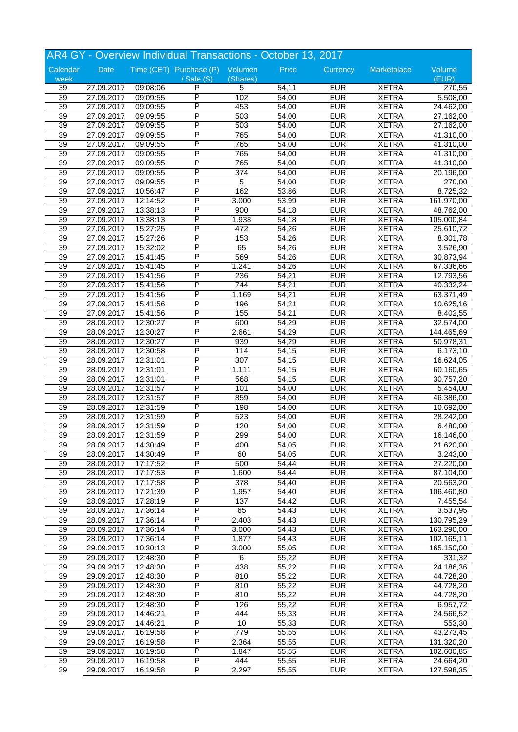| AR4 GY - Overview Individual Transactions - October 13, 2017 |                          |                      |                                 |                 |       |            |              |                        |
|--------------------------------------------------------------|--------------------------|----------------------|---------------------------------|-----------------|-------|------------|--------------|------------------------|
| Calendar                                                     | Date                     |                      | Time (CET) Purchase (P) Volumen |                 | Price | Currency   | Marketplace  | Volume                 |
| week                                                         |                          |                      | / Sale (S)                      | (Shares)        |       |            |              | (EUR)                  |
| 39                                                           | 27.09.2017               | 09:08:06             | P                               | 5               | 54,11 | <b>EUR</b> | <b>XETRA</b> | 270,55                 |
| 39                                                           | 27.09.2017               | 09:09:55             | $\overline{P}$                  | 102             | 54,00 | <b>EUR</b> | <b>XETRA</b> | 5.508,00               |
| 39                                                           | 27.09.2017               | 09:09:55             | $\overline{\mathsf{P}}$         | 453             | 54,00 | <b>EUR</b> | <b>XETRA</b> | 24.462,00              |
| 39                                                           | 27.09.2017               | 09:09:55             | P                               | 503             | 54,00 | <b>EUR</b> | <b>XETRA</b> | 27.162,00              |
| 39                                                           | 27.09.2017               | 09:09:55             | P                               | 503             | 54,00 | <b>EUR</b> | <b>XETRA</b> | 27.162,00              |
| 39                                                           | 27.09.2017               | 09:09:55             | P                               | 765             | 54,00 | <b>EUR</b> | <b>XETRA</b> | 41.310,00              |
| 39                                                           | 27.09.2017               | 09:09:55             | $\overline{P}$                  | 765             | 54,00 | <b>EUR</b> | <b>XETRA</b> | 41.310,00              |
| $\overline{39}$                                              | 27.09.2017               | 09:09:55             | P                               | 765             | 54,00 | <b>EUR</b> | <b>XETRA</b> | 41.310,00              |
| 39                                                           | 27.09.2017               | 09:09:55             | P                               | 765             | 54,00 | <b>EUR</b> | <b>XETRA</b> | 41.310,00              |
| 39                                                           | 27.09.2017               | 09:09:55             | P                               | 374             | 54,00 | <b>EUR</b> | <b>XETRA</b> | 20.196,00              |
| 39                                                           | 27.09.2017               | 09:09:55             | P                               | 5               | 54,00 | <b>EUR</b> | <b>XETRA</b> | 270,00                 |
| 39                                                           | 27.09.2017               | 10:56:47             | $\overline{P}$                  | 162             | 53,86 | <b>EUR</b> | <b>XETRA</b> | 8.725,32               |
| $\overline{39}$                                              | 27.09.2017               | 12:14:52             | P                               | 3.000           | 53,99 | <b>EUR</b> | <b>XETRA</b> | 161.970,00             |
| 39                                                           | 27.09.2017               | 13:38:13             | P                               | 900             | 54,18 | <b>EUR</b> | <b>XETRA</b> | 48.762,00              |
| 39                                                           | 27.09.2017               | 13:38:13             | P                               | 1.938           | 54,18 | <b>EUR</b> | <b>XETRA</b> | 105.000,84             |
| 39                                                           | 27.09.2017               | 15:27:25             | P                               | 472             | 54,26 | <b>EUR</b> | <b>XETRA</b> | 25.610,72              |
| 39                                                           | 27.09.2017               | 15:27:26             | $\overline{P}$                  | 153             | 54,26 | <b>EUR</b> | <b>XETRA</b> | 8.301,78               |
| $\overline{39}$                                              | 27.09.2017               | 15:32:02             | P                               | 65              | 54,26 | <b>EUR</b> | <b>XETRA</b> | 3.526,90               |
| 39                                                           | 27.09.2017               | 15:41:45             | P                               | 569             | 54,26 | <b>EUR</b> | <b>XETRA</b> | 30.873,94              |
| 39                                                           | 27.09.2017               | 15:41:45             | P                               | 1.241           | 54,26 | <b>EUR</b> | <b>XETRA</b> | 67.336,66              |
| 39                                                           |                          |                      | P                               | 236             | 54,21 | <b>EUR</b> | <b>XETRA</b> |                        |
| 39                                                           | 27.09.2017               | 15:41:56             | P                               | 744             | 54,21 | <b>EUR</b> | <b>XETRA</b> | 12.793,56              |
| $\overline{39}$                                              | 27.09.2017<br>27.09.2017 | 15:41:56<br>15:41:56 | P                               | 1.169           | 54,21 | <b>EUR</b> | <b>XETRA</b> | 40.332,24<br>63.371,49 |
| 39                                                           |                          |                      | P                               | 196             |       | <b>EUR</b> | <b>XETRA</b> |                        |
|                                                              | 27.09.2017               | 15:41:56             | P                               |                 | 54,21 |            |              | 10.625,16              |
| 39                                                           | 27.09.2017               | 15:41:56             |                                 | 155             | 54,21 | <b>EUR</b> | <b>XETRA</b> | 8.402,55               |
| 39                                                           | 28.09.2017               | 12:30:27             | P                               | 600             | 54,29 | <b>EUR</b> | <b>XETRA</b> | 32.574,00              |
| 39                                                           | 28.09.2017               | 12:30:27             | P                               | 2.661           | 54,29 | <b>EUR</b> | <b>XETRA</b> | 144.465,69             |
| $\overline{39}$                                              | 28.09.2017               | 12:30:27             | P                               | 939             | 54,29 | <b>EUR</b> | <b>XETRA</b> | 50.978,31              |
| 39                                                           | 28.09.2017               | 12:30:58             | P                               | 114             | 54,15 | <b>EUR</b> | <b>XETRA</b> | 6.173,10               |
| 39                                                           | 28.09.2017               | 12:31:01             | P                               | 307             | 54,15 | <b>EUR</b> | <b>XETRA</b> | 16.624,05              |
| 39                                                           | 28.09.2017               | 12:31:01             | P                               | 1.111           | 54,15 | <b>EUR</b> | <b>XETRA</b> | 60.160,65              |
| 39                                                           | 28.09.2017               | 12:31:01             | P                               | 568             | 54,15 | <b>EUR</b> | <b>XETRA</b> | 30.757,20              |
| 39                                                           | 28.09.2017               | 12:31:57             | P                               | 101             | 54,00 | <b>EUR</b> | <b>XETRA</b> | 5.454,00               |
| 39                                                           | 28.09.2017               | 12:31:57             | P                               | 859             | 54,00 | <b>EUR</b> | <b>XETRA</b> | 46.386,00              |
| 39                                                           | 28.09.2017               | 12:31:59             | P                               | 198             | 54,00 | <b>EUR</b> | <b>XETRA</b> | 10.692,00              |
| 39                                                           | 28.09.2017               | 12:31:59             | P                               | 523             | 54,00 | <b>EUR</b> | <b>XETRA</b> | 28.242,00              |
| 39                                                           | 28.09.2017               | 12:31:59             | P                               | 120             | 54,00 | <b>EUR</b> | <b>XETRA</b> | 6.480,00               |
| $\overline{39}$                                              | 28.09.2017               | 12:31:59             | P                               | 299             | 54,00 | <b>EUR</b> | <b>XETRA</b> | 16.146,00              |
| 39                                                           | 28.09.2017               | 14:30:49             | $\overline{P}$                  | 400             | 54,05 | <b>EUR</b> | <b>XETRA</b> | 21.620,00              |
| 39                                                           | 28.09.2017               | 14:30:49             | P                               | 60              | 54,05 | <b>EUR</b> | <b>XETRA</b> | 3.243,00               |
| 39                                                           | 28.09.2017               | 17:17:52             | P                               | 500             | 54,44 | <b>EUR</b> | <b>XETRA</b> | 27.220,00              |
| 39                                                           | 28.09.2017               | 17:17:53             | $\overline{P}$                  | 1.600           | 54,44 | <b>EUR</b> | <b>XETRA</b> | 87.104,00              |
| 39                                                           | 28.09.2017               | 17:17:58             | P                               | 378             | 54,40 | <b>EUR</b> | <b>XETRA</b> | 20.563,20              |
| 39                                                           | 28.09.2017               | 17:21:39             | $\overline{P}$                  | 1.957           | 54,40 | <b>EUR</b> | <b>XETRA</b> | 106.460,80             |
| 39                                                           | 28.09.2017               | 17:28:19             | P                               | 137             | 54,42 | <b>EUR</b> | <b>XETRA</b> | 7.455,54               |
| 39                                                           | 28.09.2017               | 17:36:14             | P                               | 65              | 54,43 | <b>EUR</b> | <b>XETRA</b> | 3.537,95               |
| 39                                                           | 28.09.2017               | 17:36:14             | $\overline{P}$                  | 2.403           | 54,43 | <b>EUR</b> | <b>XETRA</b> | 130.795,29             |
| 39                                                           | 28.09.2017               | 17:36:14             | P                               | 3.000           | 54,43 | <b>EUR</b> | <b>XETRA</b> | 163.290,00             |
| 39                                                           | 28.09.2017               | 17:36:14             | $\overline{P}$                  | 1.877           | 54,43 | <b>EUR</b> | <b>XETRA</b> | 102.165,11             |
| 39                                                           | 29.09.2017               | 10:30:13             | P                               | 3.000           | 55,05 | <b>EUR</b> | <b>XETRA</b> | 165.150,00             |
| 39                                                           | 29.09.2017               | 12:48:30             | P                               | 6               | 55,22 | <b>EUR</b> | <b>XETRA</b> | 331,32                 |
| 39                                                           | 29.09.2017               | 12:48:30             | P                               | 438             | 55,22 | <b>EUR</b> | <b>XETRA</b> | 24.186,36              |
| 39                                                           | 29.09.2017               | 12:48:30             | P                               | 810             | 55,22 | <b>EUR</b> | <b>XETRA</b> | 44.728,20              |
| 39                                                           | 29.09.2017               | 12:48:30             | $\overline{P}$                  | 810             | 55,22 | <b>EUR</b> | <b>XETRA</b> | 44.728,20              |
| 39                                                           | 29.09.2017               | 12:48:30             | P                               | 810             | 55,22 | <b>EUR</b> | <b>XETRA</b> | 44.728,20              |
| 39                                                           | 29.09.2017               | 12:48:30             | P                               | 126             | 55,22 | <b>EUR</b> | <b>XETRA</b> | 6.957,72               |
| 39                                                           | 29.09.2017               | 14:46:21             | P                               | 444             | 55,33 | <b>EUR</b> | <b>XETRA</b> | 24.566,52              |
| 39                                                           | 29.09.2017               | 14:46:21             | $\overline{\mathsf{P}}$         | $\overline{10}$ | 55,33 | <b>EUR</b> | <b>XETRA</b> | 553,30                 |
| 39                                                           | 29.09.2017               | 16:19:58             | $\overline{P}$                  | 779             | 55,55 | <b>EUR</b> | <b>XETRA</b> | 43.273,45              |
| 39                                                           | 29.09.2017               | 16:19:58             | P                               | 2.364           | 55,55 | <b>EUR</b> | <b>XETRA</b> | 131.320,20             |
| 39                                                           |                          |                      | P                               | 1.847           | 55,55 | <b>EUR</b> | <b>XETRA</b> |                        |
| 39                                                           | 29.09.2017               | 16:19:58             | P                               |                 |       | <b>EUR</b> |              | 102.600,85             |
|                                                              | 29.09.2017               | 16:19:58             | $\overline{\mathsf{P}}$         | 444             | 55,55 |            | <b>XETRA</b> | 24.664,20              |
| 39                                                           | 29.09.2017               | 16:19:58             |                                 | 2.297           | 55,55 | <b>EUR</b> | <b>XETRA</b> | 127.598,35             |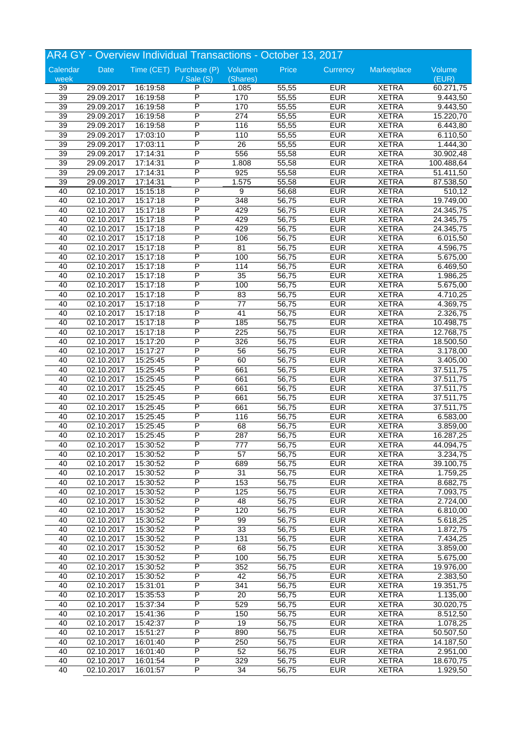|                 |                          |                      | AR4 GY - Overview Individual Transactions - October 13, 2017 |                  |                |                          |                              |                        |
|-----------------|--------------------------|----------------------|--------------------------------------------------------------|------------------|----------------|--------------------------|------------------------------|------------------------|
| Calendar        | Date                     |                      | Time (CET) Purchase (P) Volumen                              |                  | Price          | Currency                 | Marketplace                  | Volume                 |
| week            |                          |                      | $/$ Sale $(S)$                                               | (Shares)         |                |                          |                              | (EUR)                  |
| 39              | 29.09.2017               | 16:19:58             | P                                                            | 1.085            | 55,55          | <b>EUR</b>               | <b>XETRA</b>                 | 60.271,75              |
| $\overline{39}$ | 29.09.2017               | 16:19:58             | P                                                            | 170              | 55,55          | <b>EUR</b>               | <b>XETRA</b>                 | 9.443,50               |
| 39              | 29.09.2017               | 16:19:58             | P                                                            | 170              | 55,55          | <b>EUR</b>               | <b>XETRA</b>                 | 9.443,50               |
| 39              | 29.09.2017               | 16:19:58             | P                                                            | $\overline{274}$ | 55,55          | <b>EUR</b>               | <b>XETRA</b>                 | 15.220,70              |
| 39              | 29.09.2017               | 16:19:58             | P                                                            | 116              | 55,55          | <b>EUR</b>               | <b>XETRA</b>                 | 6.443,80               |
| 39              | 29.09.2017               | 17:03:10             | P                                                            | 110              | 55,55          | <b>EUR</b>               | <b>XETRA</b>                 | 6.110,50               |
| $\overline{39}$ | 29.09.2017               | 17:03:11             | P                                                            | 26               | 55,55          | <b>EUR</b>               | <b>XETRA</b>                 | 1.444,30               |
| 39              | 29.09.2017               | 17:14:31             | P                                                            | 556              | 55,58          | <b>EUR</b>               | <b>XETRA</b>                 | 30.902,48              |
| 39              | 29.09.2017               | 17:14:31             | P                                                            | 1.808            | 55,58          | <b>EUR</b>               | <b>XETRA</b>                 | 100.488,64             |
| 39              | 29.09.2017               | 17:14:31             | P                                                            | 925              | 55,58          | <b>EUR</b>               | <b>XETRA</b>                 | 51.411,50              |
| 39              | 29.09.2017               | 17:14:31             | Ρ                                                            | 1.575            | 55,58          | <b>EUR</b>               | <b>XETRA</b>                 | 87.538,50              |
| 40              | 02.10.2017               | 15:15:18             | P                                                            | 9                | 56,68          | <b>EUR</b>               | <b>XETRA</b>                 | 510,12                 |
| 40              | 02.10.2017               | 15:17:18             | P                                                            | 348              | 56,75          | <b>EUR</b>               | <b>XETRA</b>                 | 19.749,00              |
| 40              | 02.10.2017               | 15:17:18             | P                                                            | 429              | 56,75          | <b>EUR</b>               | <b>XETRA</b>                 | 24.345,75              |
| 40              | 02.10.2017               | 15:17:18             | P                                                            | 429              | 56,75          | <b>EUR</b>               | <b>XETRA</b>                 | 24.345,75              |
| 40              | 02.10.2017               | 15:17:18             | P                                                            | 429              | 56,75          | <b>EUR</b>               | <b>XETRA</b>                 | 24.345,75              |
| 40              | 02.10.2017               | 15:17:18             | P                                                            | 106              | 56,75          | <b>EUR</b>               | <b>XETRA</b>                 | 6.015,50               |
| 40              | 02.10.2017               | 15:17:18             | P                                                            | 81               | 56,75          | <b>EUR</b>               | <b>XETRA</b>                 | 4.596,75               |
| 40              | 02.10.2017               | 15:17:18             | P                                                            | 100              | 56,75          | <b>EUR</b>               | <b>XETRA</b>                 | 5.675,00               |
| 40              | 02.10.2017               | 15:17:18             | P                                                            | 114              | 56,75          | <b>EUR</b>               | <b>XETRA</b>                 | 6.469,50               |
| 40              | 02.10.2017               | 15:17:18             | P                                                            | $\overline{35}$  | 56,75          | <b>EUR</b>               | <b>XETRA</b>                 | 1.986,25               |
| 40              | 02.10.2017               | 15:17:18             | P                                                            | 100              | 56,75          | <b>EUR</b>               | <b>XETRA</b>                 | 5.675,00               |
| 40              | 02.10.2017               | 15:17:18             | P                                                            | 83               | 56,75          | <b>EUR</b>               | <b>XETRA</b>                 | 4.710,25               |
| 40              | 02.10.2017               | 15:17:18             | P                                                            | 77               | 56,75          | <b>EUR</b>               | <b>XETRA</b>                 | 4.369,75               |
| 40              | 02.10.2017               | 15:17:18             | P                                                            | 41               | 56,75          | <b>EUR</b>               | <b>XETRA</b>                 | 2.326,75               |
| 40              | 02.10.2017               | 15:17:18             | P                                                            | 185              | 56,75          | <b>EUR</b>               | <b>XETRA</b>                 | 10.498,75              |
| 40              | 02.10.2017               | 15:17:18             | P                                                            | 225              | 56,75          | <b>EUR</b>               | <b>XETRA</b>                 | 12.768,75              |
| 40              | 02.10.2017               | 15:17:20             | P                                                            | 326              | 56,75          | <b>EUR</b>               | <b>XETRA</b>                 | 18.500,50              |
| 40              | 02.10.2017               | 15:17:27             | P                                                            | 56               | 56,75          | <b>EUR</b>               | <b>XETRA</b>                 | 3.178,00               |
| 40              | 02.10.2017               | 15:25:45             | P                                                            | 60               | 56,75          | <b>EUR</b>               | <b>XETRA</b>                 | 3.405,00               |
| 40              | 02.10.2017               | 15:25:45             | P                                                            | 661              | 56,75          | <b>EUR</b>               | <b>XETRA</b>                 | 37.511,75              |
| 40              | 02.10.2017               | 15:25:45             | P                                                            | 661              | 56,75          | <b>EUR</b>               | <b>XETRA</b>                 | $\overline{37.511,75}$ |
| 40              | 02.10.2017               | 15:25:45             | P                                                            | 661              | 56,75          | <b>EUR</b>               | <b>XETRA</b>                 | 37.511,75              |
| 40              | 02.10.2017               | 15:25:45             | P                                                            | 661              | 56,75          | <b>EUR</b>               | <b>XETRA</b>                 | 37.511,75              |
| 40              | 02.10.2017               | 15:25:45             | P                                                            | 661              | 56,75          | <b>EUR</b>               | <b>XETRA</b>                 | 37.511,75              |
| 40              | 02.10.2017               | 15:25:45             | P                                                            | 116              | 56,75          | <b>EUR</b>               | <b>XETRA</b>                 | 6.583,00               |
| 40              | 02.10.2017               | 15:25:45             | P                                                            | 68               | 56,75          | <b>EUR</b>               | <b>XETRA</b>                 | 3.859,00               |
| 40              | 02.10.2017               | 15:25:45             | P                                                            | 287              | 56,75          | <b>EUR</b>               | <b>XETRA</b>                 | 16.287,25              |
| 40              | 02.10.2017               | 15:30:52             | Ρ                                                            | 777              | 56,75          | <b>EUR</b>               | <b>XETRA</b>                 | 44.094,75              |
| 40              | 02.10.2017               | 15:30:52             | P                                                            | $\overline{57}$  | 56,75          | <b>EUR</b>               | <b>XETRA</b>                 | 3.234,75               |
| 40              | 02.10.2017               | 15:30:52             | P                                                            | 689              | 56,75          | <b>EUR</b>               | <b>XETRA</b>                 | 39.100,75              |
| 40              | 02.10.2017               | 15:30:52             | P                                                            | $\overline{31}$  | 56,75          | <b>EUR</b>               | <b>XETRA</b>                 | 1.759,25               |
| 40              | 02.10.2017               | 15:30:52             | P                                                            | 153              | 56,75          | <b>EUR</b>               | <b>XETRA</b>                 | 8.682,75               |
| 40              | 02.10.2017               | 15:30:52             | Ρ<br>Ρ                                                       | 125              | 56,75          | <b>EUR</b>               | <b>XETRA</b>                 | 7.093,75               |
| 40              | 02.10.2017               | 15:30:52             | P                                                            | 48               | 56,75          | <b>EUR</b>               | <b>XETRA</b><br><b>XETRA</b> | 2.724,00               |
| 40              | 02.10.2017               | 15:30:52             | P                                                            | 120              | 56,75          | <b>EUR</b><br><b>EUR</b> |                              | 6.810,00               |
| 40<br>40        | 02.10.2017<br>02.10.2017 | 15:30:52<br>15:30:52 | P                                                            | 99<br>33         | 56,75<br>56,75 | <b>EUR</b>               | <b>XETRA</b><br><b>XETRA</b> | 5.618,25<br>1.872,75   |
| 40              | 02.10.2017               | 15:30:52             | Ρ                                                            | 131              | 56,75          | <b>EUR</b>               | <b>XETRA</b>                 | 7.434,25               |
| 40              | 02.10.2017               | 15:30:52             | Ρ                                                            | 68               | 56,75          | <b>EUR</b>               | <b>XETRA</b>                 | 3.859,00               |
| 40              | 02.10.2017               | 15:30:52             | Ρ                                                            | 100              | 56,75          | <b>EUR</b>               | <b>XETRA</b>                 | 5.675,00               |
| 40              | 02.10.2017               | 15:30:52             | Ρ                                                            | 352              | 56,75          | <b>EUR</b>               | <b>XETRA</b>                 | 19.976,00              |
| 40              | 02.10.2017               | 15:30:52             | P                                                            | 42               | 56,75          | <b>EUR</b>               | <b>XETRA</b>                 | 2.383,50               |
| 40              | 02.10.2017               | 15:31:01             | Ρ                                                            | 341              | 56,75          | <b>EUR</b>               | <b>XETRA</b>                 | 19.351,75              |
| 40              | 02.10.2017               | 15:35:53             | Ρ                                                            | 20               | 56,75          | <b>EUR</b>               | <b>XETRA</b>                 | 1.135,00               |
| 40              | 02.10.2017               | 15:37:34             | Ρ                                                            | 529              | 56,75          | <b>EUR</b>               | <b>XETRA</b>                 | 30.020,75              |
| 40              | 02.10.2017               | 15:41:36             | Ρ                                                            | 150              | 56,75          | <b>EUR</b>               | <b>XETRA</b>                 | 8.512,50               |
| 40              | 02.10.2017               | 15:42:37             | P                                                            | 19               | 56,75          | <b>EUR</b>               | <b>XETRA</b>                 | 1.078,25               |
| 40              | 02.10.2017               | 15:51:27             | Ρ                                                            | 890              | 56,75          | <b>EUR</b>               | <b>XETRA</b>                 | 50.507,50              |
| 40              | 02.10.2017               | 16:01:40             | P                                                            | 250              | 56,75          | <b>EUR</b>               | <b>XETRA</b>                 | 14.187,50              |
| 40              | 02.10.2017               | 16:01:40             | Ρ                                                            | 52               | 56,75          | <b>EUR</b>               | <b>XETRA</b>                 | 2.951,00               |
| 40              | 02.10.2017               | 16:01:54             | Ρ                                                            | 329              | 56,75          | <b>EUR</b>               | <b>XETRA</b>                 | 18.670,75              |
| 40              | 02.10.2017               | 16:01:57             | P                                                            | 34               | 56,75          | <b>EUR</b>               | <b>XETRA</b>                 | 1.929,50               |
|                 |                          |                      |                                                              |                  |                |                          |                              |                        |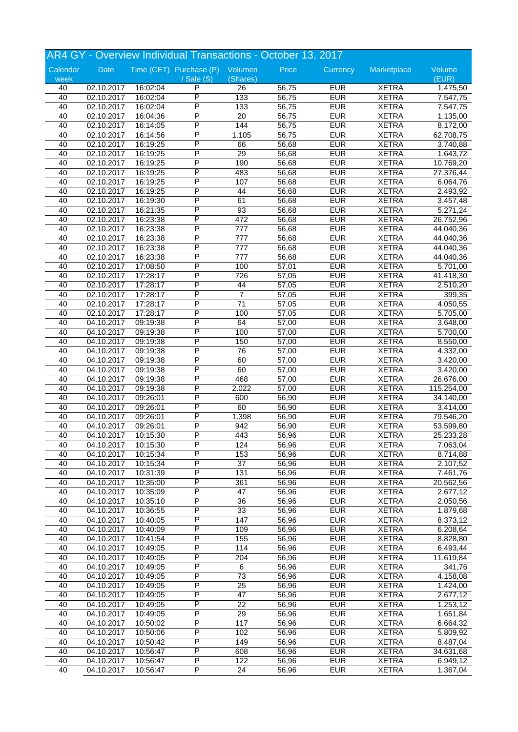|          |            |          | AR4 GY - Overview Individual Transactions - October 13, 2017 |                  |                |            |              |                       |
|----------|------------|----------|--------------------------------------------------------------|------------------|----------------|------------|--------------|-----------------------|
| Calendar | Date       |          | Time (CET) Purchase (P) Volumen                              |                  | Price          | Currency   | Marketplace  | Volume                |
| week     |            |          | $/$ Sale $(S)$                                               | (Shares)         |                |            |              | (EUR)                 |
| 40       | 02.10.2017 | 16:02:04 | P                                                            | 26               | 56,75          | <b>EUR</b> | <b>XETRA</b> | 1.475,50              |
| 40       | 02.10.2017 | 16:02:04 | P                                                            | 133              | 56,75          | <b>EUR</b> | <b>XETRA</b> | 7.547,75              |
| 40       | 02.10.2017 | 16:02:04 | P                                                            | 133              | 56,75          | <b>EUR</b> | <b>XETRA</b> | 7.547,75              |
| 40       | 02.10.2017 | 16:04:36 | P                                                            | $\overline{20}$  | 56,75          | <b>EUR</b> | <b>XETRA</b> | 1.135,00              |
| 40       | 02.10.2017 | 16:14:05 | Ρ                                                            | 144              | 56,75          | <b>EUR</b> | <b>XETRA</b> | 8.172,00              |
| 40       | 02.10.2017 | 16:14:56 | Ρ                                                            | 1.105            | 56,75          | <b>EUR</b> | <b>XETRA</b> | 62.708,75             |
| 40       | 02.10.2017 | 16:19:25 | P                                                            | 66               | 56,68          | <b>EUR</b> | <b>XETRA</b> | 3.740,88              |
| 40       | 02.10.2017 | 16:19:25 | P                                                            | $\overline{29}$  | 56,68          | <b>EUR</b> | <b>XETRA</b> | $\overline{1.643,72}$ |
| 40       | 02.10.2017 | 16:19:25 | P                                                            | 190              | 56,68          | <b>EUR</b> | <b>XETRA</b> | 10.769,20             |
| 40       | 02.10.2017 | 16:19:25 | P                                                            | 483              | 56,68          | <b>EUR</b> | <b>XETRA</b> | 27.376,44             |
| 40       | 02.10.2017 | 16:19:25 | P                                                            | 107              | 56,68          | <b>EUR</b> | <b>XETRA</b> | 6.064,76              |
| 40       | 02.10.2017 | 16:19:25 | P                                                            | 44               | 56,68          | <b>EUR</b> | <b>XETRA</b> | 2.493,92              |
| 40       | 02.10.2017 | 16:19:30 | P                                                            | 61               | 56,68          | <b>EUR</b> | <b>XETRA</b> | 3.457,48              |
| 40       | 02.10.2017 | 16:21:35 | P                                                            | 93               | 56,68          | <b>EUR</b> | <b>XETRA</b> | 5.271,24              |
| 40       | 02.10.2017 | 16:23:38 | Ρ                                                            | 472              | 56,68          | <b>EUR</b> | <b>XETRA</b> | 26.752,96             |
| 40       | 02.10.2017 | 16:23:38 | Ρ                                                            | $\overline{777}$ | 56,68          | <b>EUR</b> | <b>XETRA</b> | 44.040,36             |
| 40       | 02.10.2017 | 16:23:38 | P                                                            | 777              | 56,68          | <b>EUR</b> | <b>XETRA</b> | 44.040,36             |
| 40       | 02.10.2017 | 16:23:38 | P                                                            | $\overline{777}$ | 56,68          | <b>EUR</b> | <b>XETRA</b> | 44.040,36             |
| 40       | 02.10.2017 | 16:23:38 | P                                                            | $\overline{777}$ | 56,68          | <b>EUR</b> | <b>XETRA</b> | 44.040,36             |
| 40       | 02.10.2017 | 17:08:50 | P                                                            | 100              | 57,01          | <b>EUR</b> | <b>XETRA</b> | 5.701,00              |
| 40       | 02.10.2017 | 17:28:17 | P                                                            | 726              | 57,05          | <b>EUR</b> | <b>XETRA</b> | 41.418,30             |
| 40       | 02.10.2017 | 17:28:17 | P                                                            | 44               | 57,05          | <b>EUR</b> | <b>XETRA</b> | 2.510,20              |
| 40       | 02.10.2017 | 17:28:17 | P                                                            | $\overline{7}$   | 57,05          | <b>EUR</b> | <b>XETRA</b> | 399,35                |
| 40       | 02.10.2017 | 17:28:17 | P                                                            | $\overline{71}$  | 57,05          | <b>EUR</b> | <b>XETRA</b> | 4.050,55              |
| 40       | 02.10.2017 | 17:28:17 | Ρ                                                            | 100              | 57,05          | <b>EUR</b> | <b>XETRA</b> | 5.705,00              |
| 40       | 04.10.2017 | 09:19:38 | P                                                            | 64               | 57,00          | <b>EUR</b> | <b>XETRA</b> | 3.648,00              |
| 40       | 04.10.2017 | 09:19:38 | P                                                            | 100              | 57,00          | <b>EUR</b> | <b>XETRA</b> | 5.700,00              |
| 40       | 04.10.2017 | 09:19:38 | P                                                            | 150              | 57,00          | <b>EUR</b> | <b>XETRA</b> | 8.550,00              |
| 40       | 04.10.2017 | 09:19:38 | P                                                            | 76               | 57,00          | <b>EUR</b> | <b>XETRA</b> | 4.332,00              |
| 40       | 04.10.2017 | 09:19:38 | P                                                            | 60               | 57,00          | <b>EUR</b> | <b>XETRA</b> | 3.420,00              |
| 40       | 04.10.2017 | 09:19:38 | P                                                            | 60               | 57,00          | <b>EUR</b> | <b>XETRA</b> | 3.420,00              |
| 40       |            |          | P                                                            | 468              | 57,00          | <b>EUR</b> | <b>XETRA</b> |                       |
| 40       | 04.10.2017 | 09:19:38 | P                                                            | 2.022            |                | <b>EUR</b> | <b>XETRA</b> | 26.676,00             |
|          | 04.10.2017 | 09:19:38 | P                                                            |                  | 57,00<br>56,90 | <b>EUR</b> |              | 115.254,00            |
| 40       | 04.10.2017 | 09:26:01 | P                                                            | 600              |                |            | <b>XETRA</b> | 34.140,00             |
| 40       | 04.10.2017 | 09:26:01 |                                                              | 60               | 56,90          | <b>EUR</b> | <b>XETRA</b> | 3.414,00              |
| 40       | 04.10.2017 | 09:26:01 | Ρ                                                            | 1.398            | 56,90          | <b>EUR</b> | <b>XETRA</b> | 79.546,20             |
| 40       | 04.10.2017 | 09:26:01 | P<br>P                                                       | 942              | 56,90          | <b>EUR</b> | <b>XETRA</b> | 53.599,80             |
| 40       | 04.10.2017 | 10:15:30 |                                                              | 443              | 56,96          | <b>EUR</b> | <b>XETRA</b> | 25.233,28             |
| 40       | 04.10.2017 | 10:15:30 | Ρ                                                            | 124              | 56,96          | <b>EUR</b> | <b>XETRA</b> | 7.063,04              |
| 40       | 04.10.2017 | 10:15:34 | P                                                            | 153              | 56,96          | <b>EUR</b> | <b>XETRA</b> | 8.714,88              |
| 40       | 04.10.2017 | 10:15:34 | P                                                            | $\overline{37}$  | 56,96          | <b>EUR</b> | <b>XETRA</b> | 2.107,52              |
| 40       | 04.10.2017 | 10:31:39 | P                                                            | 131              | 56,96          | <b>EUR</b> | <b>XETRA</b> | 7.461,76              |
| 40       | 04.10.2017 | 10:35:00 | P                                                            | 361              | 56,96          | <b>EUR</b> | <b>XETRA</b> | 20.562,56             |
| 40       | 04.10.2017 | 10:35:09 | Ρ                                                            | 47               | 56,96          | <b>EUR</b> | <b>XETRA</b> | 2.677,12              |
| 40       | 04.10.2017 | 10:35:10 | Ρ                                                            | 36               | 56,96          | <b>EUR</b> | <b>XETRA</b> | 2.050,56              |
| 40       | 04.10.2017 | 10:36:55 | P                                                            | 33               | 56,96          | <b>EUR</b> | <b>XETRA</b> | 1.879,68              |
| 40       | 04.10.2017 | 10:40:05 | P                                                            | 147              | 56,96          | <b>EUR</b> | <b>XETRA</b> | 8.373,12              |
| 40       | 04.10.2017 | 10:40:09 | P                                                            | 109              | 56,96          | <b>EUR</b> | <b>XETRA</b> | 6.208,64              |
| 40       | 04.10.2017 | 10:41:54 | Ρ                                                            | 155              | 56,96          | <b>EUR</b> | <b>XETRA</b> | 8.828,80              |
| 40       | 04.10.2017 | 10:49:05 | Ρ                                                            | 114              | 56,96          | <b>EUR</b> | <b>XETRA</b> | 6.493,44              |
| 40       | 04.10.2017 | 10:49:05 | Ρ                                                            | 204              | 56,96          | <b>EUR</b> | <b>XETRA</b> | 11.619,84             |
| 40       | 04.10.2017 | 10:49:05 | P                                                            | 6                | 56,96          | <b>EUR</b> | <b>XETRA</b> | 341,76                |
| 40       | 04.10.2017 | 10:49:05 | P                                                            | $\overline{73}$  | 56,96          | <b>EUR</b> | <b>XETRA</b> | 4.158,08              |
| 40       | 04.10.2017 | 10:49:05 | Ρ                                                            | 25               | 56,96          | <b>EUR</b> | <b>XETRA</b> | 1.424,00              |
| 40       | 04.10.2017 | 10:49:05 | Ρ                                                            | 47               | 56,96          | <b>EUR</b> | <b>XETRA</b> | 2.677,12              |
| 40       | 04.10.2017 | 10:49:05 | Ρ                                                            | 22               | 56,96          | <b>EUR</b> | <b>XETRA</b> | 1.253,12              |
| 40       | 04.10.2017 | 10:49:05 | P                                                            | 29               | 56,96          | <b>EUR</b> | <b>XETRA</b> | 1.651,84              |
| 40       | 04.10.2017 | 10:50:02 | P                                                            | 117              | 56,96          | <b>EUR</b> | <b>XETRA</b> | 6.664,32              |
| 40       | 04.10.2017 | 10:50:06 | Ρ                                                            | 102              | 56,96          | <b>EUR</b> | <b>XETRA</b> | 5.809,92              |
| 40       | 04.10.2017 | 10:50:42 | Ρ                                                            | 149              | 56,96          | <b>EUR</b> | <b>XETRA</b> | 8.487,04              |
| 40       | 04.10.2017 | 10:56:47 | Ρ                                                            | 608              | 56,96          | <b>EUR</b> | <b>XETRA</b> | 34.631,68             |
| 40       | 04.10.2017 | 10:56:47 | Ρ                                                            | 122              | 56,96          | <b>EUR</b> | <b>XETRA</b> | 6.949,12              |
| 40       | 04.10.2017 | 10:56:47 | P                                                            | 24               | 56,96          | <b>EUR</b> | <b>XETRA</b> | 1.367,04              |
|          |            |          |                                                              |                  |                |            |              |                       |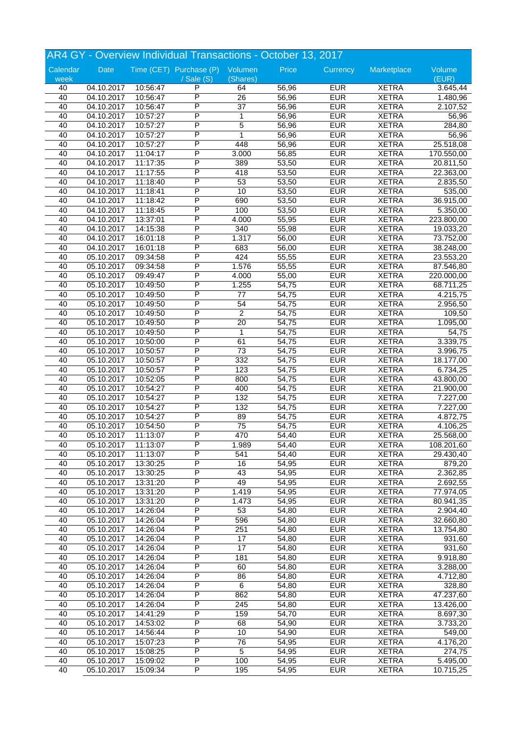|          |            |          | AR4 GY - Overview Individual Transactions - October 13, 2017 |                 |       |            |              |            |
|----------|------------|----------|--------------------------------------------------------------|-----------------|-------|------------|--------------|------------|
| Calendar | Date       |          | Time (CET) Purchase (P) Volumen                              |                 | Price | Currency   | Marketplace  | Volume     |
| week     |            |          | $/$ Sale $(S)$                                               | (Shares)        |       |            |              | (EUR)      |
| 40       | 04.10.2017 | 10:56:47 | P                                                            | 64              | 56,96 | <b>EUR</b> | <b>XETRA</b> | 3.645,44   |
| 40       | 04.10.2017 | 10:56:47 | P                                                            | $\overline{26}$ | 56,96 | <b>EUR</b> | <b>XETRA</b> | 1.480,96   |
| 40       | 04.10.2017 | 10:56:47 | P                                                            | $\overline{37}$ | 56,96 | <b>EUR</b> | <b>XETRA</b> | 2.107,52   |
| 40       | 04.10.2017 | 10:57:27 | P                                                            | 1               | 56,96 | <b>EUR</b> | <b>XETRA</b> | 56,96      |
| 40       | 04.10.2017 | 10:57:27 | P                                                            | $\overline{5}$  | 56,96 | <b>EUR</b> | <b>XETRA</b> | 284,80     |
| 40       | 04.10.2017 | 10:57:27 | P                                                            | $\mathbf 1$     | 56,96 | <b>EUR</b> | <b>XETRA</b> | 56,96      |
| 40       | 04.10.2017 | 10:57:27 | P                                                            | 448             | 56,96 | <b>EUR</b> | <b>XETRA</b> | 25.518,08  |
| 40       | 04.10.2017 | 11:04:17 | P                                                            | 3.000           | 56,85 | <b>EUR</b> | <b>XETRA</b> | 170.550,00 |
| 40       | 04.10.2017 | 11:17:35 | P                                                            | 389             | 53,50 | <b>EUR</b> | <b>XETRA</b> | 20.811,50  |
| 40       | 04.10.2017 | 11:17:55 | P                                                            | 418             | 53,50 | <b>EUR</b> | <b>XETRA</b> | 22.363,00  |
| 40       | 04.10.2017 | 11:18:40 | P                                                            | 53              | 53,50 | <b>EUR</b> | <b>XETRA</b> | 2.835,50   |
| 40       | 04.10.2017 | 11:18:41 | P                                                            | 10              | 53,50 | <b>EUR</b> | <b>XETRA</b> | 535,00     |
| 40       | 04.10.2017 | 11:18:42 | P                                                            | 690             | 53,50 | <b>EUR</b> | <b>XETRA</b> | 36.915,00  |
| 40       | 04.10.2017 | 11:18:45 | P                                                            | 100             | 53,50 | <b>EUR</b> | <b>XETRA</b> | 5.350,00   |
| 40       | 04.10.2017 | 13:37:01 | Ρ                                                            | 4.000           | 55,95 | <b>EUR</b> | <b>XETRA</b> | 223.800,00 |
| 40       | 04.10.2017 | 14:15:38 | Ρ                                                            | 340             | 55,98 | <b>EUR</b> | <b>XETRA</b> | 19.033,20  |
| 40       | 04.10.2017 | 16:01:18 | P                                                            | 1.317           | 56,00 | <b>EUR</b> | <b>XETRA</b> | 73.752,00  |
| 40       | 04.10.2017 | 16:01:18 | P                                                            | 683             | 56,00 | <b>EUR</b> | <b>XETRA</b> | 38.248,00  |
| 40       | 05.10.2017 | 09:34:58 | P                                                            | 424             | 55,55 | <b>EUR</b> | <b>XETRA</b> | 23.553,20  |
| 40       | 05.10.2017 | 09:34:58 | Ρ                                                            | 1.576           | 55,55 | <b>EUR</b> | <b>XETRA</b> | 87.546,80  |
| 40       | 05.10.2017 | 09:49:47 | P                                                            | 4.000           | 55,00 | <b>EUR</b> | <b>XETRA</b> | 220.000,00 |
| 40       | 05.10.2017 | 10:49:50 | P                                                            | 1.255           | 54,75 | <b>EUR</b> | <b>XETRA</b> | 68.711,25  |
| 40       | 05.10.2017 | 10:49:50 | P                                                            | 77              | 54,75 | <b>EUR</b> | <b>XETRA</b> | 4.215,75   |
| 40       | 05.10.2017 | 10:49:50 | P                                                            | 54              | 54,75 | <b>EUR</b> | <b>XETRA</b> | 2.956,50   |
| 40       | 05.10.2017 | 10:49:50 | P                                                            | $\overline{2}$  | 54,75 | <b>EUR</b> | <b>XETRA</b> | 109,50     |
|          |            |          | P                                                            |                 |       |            |              |            |
| 40       | 05.10.2017 | 10:49:50 | P                                                            | 20              | 54,75 | <b>EUR</b> | <b>XETRA</b> | 1.095,00   |
| 40       | 05.10.2017 | 10:49:50 |                                                              | 1               | 54,75 | <b>EUR</b> | <b>XETRA</b> | 54,75      |
| 40       | 05.10.2017 | 10:50:00 | P                                                            | 61              | 54,75 | <b>EUR</b> | <b>XETRA</b> | 3.339,75   |
| 40       | 05.10.2017 | 10:50:57 | P                                                            | $\overline{73}$ | 54,75 | <b>EUR</b> | <b>XETRA</b> | 3.996,75   |
| 40       | 05.10.2017 | 10:50:57 | P                                                            | 332             | 54,75 | <b>EUR</b> | <b>XETRA</b> | 18.177,00  |
| 40       | 05.10.2017 | 10:50:57 | P                                                            | 123             | 54,75 | <b>EUR</b> | <b>XETRA</b> | 6.734,25   |
| 40       | 05.10.2017 | 10:52:05 | P                                                            | 800             | 54,75 | <b>EUR</b> | <b>XETRA</b> | 43.800,00  |
| 40       | 05.10.2017 | 10:54:27 | P                                                            | 400             | 54,75 | <b>EUR</b> | <b>XETRA</b> | 21.900,00  |
| 40       | 05.10.2017 | 10:54:27 | P                                                            | 132             | 54,75 | <b>EUR</b> | <b>XETRA</b> | 7.227,00   |
| 40       | 05.10.2017 | 10:54:27 | P                                                            | 132             | 54,75 | <b>EUR</b> | <b>XETRA</b> | 7.227,00   |
| 40       | 05.10.2017 | 10:54:27 | P                                                            | 89              | 54,75 | <b>EUR</b> | <b>XETRA</b> | 4.872,75   |
| 40       | 05.10.2017 | 10:54:50 | P                                                            | $\overline{75}$ | 54,75 | <b>EUR</b> | <b>XETRA</b> | 4.106,25   |
| 40       | 05.10.2017 | 11:13:07 | P                                                            | 470             | 54,40 | <b>EUR</b> | <b>XETRA</b> | 25.568,00  |
| 40       | 05.10.2017 | 11:13:07 | P                                                            | 1.989           | 54,40 | <b>EUR</b> | <b>XETRA</b> | 108.201,60 |
| 40       | 05.10.2017 | 11:13:07 | P                                                            | 541             | 54,40 | <b>EUR</b> | <b>XETRA</b> | 29.430,40  |
| 40       | 05.10.2017 | 13:30:25 | P                                                            | 16              | 54,95 | <b>EUR</b> | <b>XETRA</b> | 879,20     |
| 40       | 05.10.2017 | 13:30:25 | P                                                            | 43              | 54,95 | <b>EUR</b> | <b>XETRA</b> | 2.362,85   |
| 40       | 05.10.2017 | 13:31:20 | P                                                            | 49              | 54,95 | <b>EUR</b> | <b>XETRA</b> | 2.692,55   |
| 40       | 05.10.2017 | 13:31:20 | Ρ                                                            | 1.419           | 54,95 | <b>EUR</b> | <b>XETRA</b> | 77.974,05  |
| 40       | 05.10.2017 | 13:31:20 | Ρ                                                            | 1.473           | 54,95 | <b>EUR</b> | <b>XETRA</b> | 80.941,35  |
| 40       | 05.10.2017 | 14:26:04 | Ρ                                                            | 53              | 54,80 | <b>EUR</b> | <b>XETRA</b> | 2.904,40   |
| 40       | 05.10.2017 | 14:26:04 | P                                                            | 596             | 54,80 | <b>EUR</b> | <b>XETRA</b> | 32.660,80  |
| 40       | 05.10.2017 | 14:26:04 | P                                                            | 251             | 54,80 | <b>EUR</b> | <b>XETRA</b> | 13.754,80  |
| 40       | 05.10.2017 | 14:26:04 | Ρ                                                            | 17              | 54,80 | <b>EUR</b> | <b>XETRA</b> | 931,60     |
| 40       | 05.10.2017 | 14:26:04 | Ρ                                                            | 17              | 54,80 | <b>EUR</b> | <b>XETRA</b> | 931,60     |
| 40       | 05.10.2017 | 14:26:04 | Ρ                                                            | 181             | 54,80 | <b>EUR</b> | <b>XETRA</b> | 9.918,80   |
| 40       | 05.10.2017 | 14:26:04 | P                                                            | 60              | 54,80 | <b>EUR</b> | <b>XETRA</b> | 3.288,00   |
| 40       | 05.10.2017 | 14:26:04 | P                                                            | 86              | 54,80 | <b>EUR</b> | <b>XETRA</b> | 4.712,80   |
| 40       | 05.10.2017 | 14:26:04 | Ρ                                                            | 6               | 54,80 | <b>EUR</b> | <b>XETRA</b> | 328,80     |
| 40       | 05.10.2017 | 14:26:04 | Ρ                                                            | 862             | 54,80 | <b>EUR</b> | <b>XETRA</b> | 47.237,60  |
| 40       | 05.10.2017 | 14:26:04 | Ρ                                                            | 245             | 54,80 | <b>EUR</b> | <b>XETRA</b> | 13.426,00  |
| 40       | 05.10.2017 | 14:41:29 | Ρ                                                            | 159             | 54,70 | <b>EUR</b> | <b>XETRA</b> | 8.697,30   |
| 40       | 05.10.2017 | 14:53:02 | P                                                            | 68              | 54,90 | <b>EUR</b> | <b>XETRA</b> | 3.733,20   |
| 40       | 05.10.2017 | 14:56:44 | Ρ                                                            | 10              | 54,90 | <b>EUR</b> | <b>XETRA</b> | 549,00     |
| 40       | 05.10.2017 | 15:07:23 | Ρ                                                            | 76              | 54,95 | <b>EUR</b> | <b>XETRA</b> | 4.176,20   |
| 40       | 05.10.2017 | 15:08:25 | Ρ                                                            | 5               | 54,95 | <b>EUR</b> | <b>XETRA</b> | 274,75     |
|          |            |          |                                                              |                 |       |            |              |            |
| 40       | 05.10.2017 | 15:09:02 | Ρ                                                            | 100             | 54,95 | <b>EUR</b> | <b>XETRA</b> | 5.495,00   |
| 40       | 05.10.2017 | 15:09:34 | P                                                            | 195             | 54,95 | <b>EUR</b> | <b>XETRA</b> | 10.715,25  |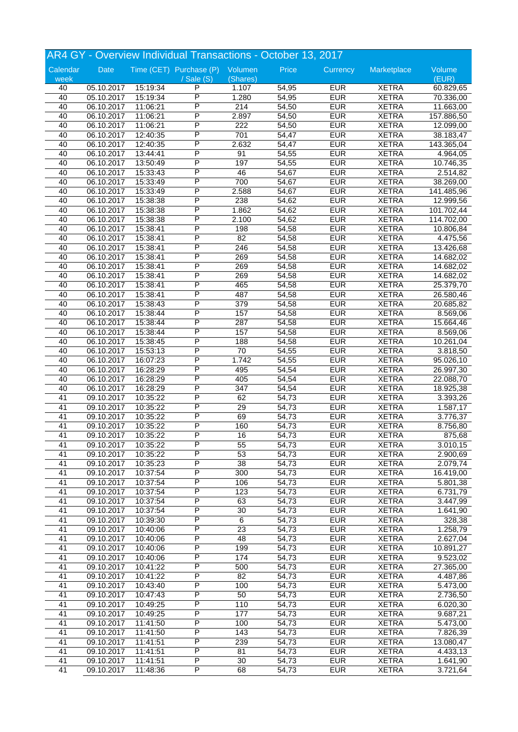| AR4 GY - Overview Individual Transactions - October 13, 2017 |                          |          |                                               |                  |       |            |              |                       |  |
|--------------------------------------------------------------|--------------------------|----------|-----------------------------------------------|------------------|-------|------------|--------------|-----------------------|--|
| Calendar<br>week                                             | Date                     |          | Time (CET) Purchase (P) Volumen<br>/ Sale (S) | (Shares)         | Price | Currency   | Marketplace  | Volume<br>(EUR)       |  |
| 40                                                           | 05.10.2017               | 15:19:34 | P                                             | 1.107            | 54,95 | <b>EUR</b> | <b>XETRA</b> | 60.829,65             |  |
| 40                                                           | 05.10.2017               | 15:19:34 | P                                             | 1.280            | 54,95 | <b>EUR</b> | <b>XETRA</b> | 70.336,00             |  |
| 40                                                           | 06.10.2017               | 11:06:21 | P                                             | $\overline{214}$ | 54,50 | <b>EUR</b> | <b>XETRA</b> | 11.663,00             |  |
| 40                                                           | 06.10.2017               | 11:06:21 | P                                             | 2.897            | 54,50 | <b>EUR</b> | <b>XETRA</b> | 157.886,50            |  |
| 40                                                           | 06.10.2017               | 11:06:21 | P                                             | 222              | 54,50 | <b>EUR</b> | <b>XETRA</b> | 12.099,00             |  |
| 40                                                           | 06.10.2017               | 12:40:35 | Ρ                                             | 701              | 54,47 | <b>EUR</b> | <b>XETRA</b> | 38.183,47             |  |
| 40                                                           |                          | 12:40:35 | P                                             | 2.632            | 54,47 | <b>EUR</b> | <b>XETRA</b> | 143.365,04            |  |
| 40                                                           | 06.10.2017<br>06.10.2017 | 13:44:41 | P                                             | 91               | 54,55 | <b>EUR</b> | <b>XETRA</b> |                       |  |
|                                                              |                          |          | P                                             | 197              |       |            |              | 4.964,05              |  |
| 40                                                           | 06.10.2017               | 13:50:49 | P                                             |                  | 54,55 | <b>EUR</b> | <b>XETRA</b> | 10.746,35             |  |
| 40                                                           | 06.10.2017               | 15:33:43 |                                               | 46               | 54,67 | <b>EUR</b> | <b>XETRA</b> | 2.514,82              |  |
| 40                                                           | 06.10.2017               | 15:33:49 | P                                             | 700              | 54,67 | <b>EUR</b> | <b>XETRA</b> | 38.269,00             |  |
| 40                                                           | 06.10.2017               | 15:33:49 | P<br>P                                        | 2.588            | 54,67 | <b>EUR</b> | <b>XETRA</b> | 141.485,96            |  |
| 40                                                           | 06.10.2017               | 15:38:38 |                                               | 238              | 54,62 | <b>EUR</b> | <b>XETRA</b> | 12.999,56             |  |
| 40                                                           | 06.10.2017               | 15:38:38 | P                                             | 1.862            | 54,62 | <b>EUR</b> | <b>XETRA</b> | 101.702,44            |  |
| 40                                                           | 06.10.2017               | 15:38:38 | P                                             | 2.100            | 54,62 | <b>EUR</b> | <b>XETRA</b> | 114.702,00            |  |
| 40                                                           | 06.10.2017               | 15:38:41 | P                                             | 198              | 54,58 | <b>EUR</b> | <b>XETRA</b> | 10.806,84             |  |
| 40                                                           | 06.10.2017               | 15:38:41 | P                                             | 82               | 54,58 | <b>EUR</b> | <b>XETRA</b> | 4.475,56              |  |
| 40                                                           | 06.10.2017               | 15:38:41 | P                                             | 246              | 54,58 | <b>EUR</b> | <b>XETRA</b> | 13.426,68             |  |
| 40                                                           | 06.10.2017               | 15:38:41 | P                                             | 269              | 54,58 | <b>EUR</b> | <b>XETRA</b> | 14.682,02             |  |
| 40                                                           | 06.10.2017               | 15:38:41 | P                                             | 269              | 54,58 | <b>EUR</b> | <b>XETRA</b> | 14.682,02             |  |
| 40                                                           | 06.10.2017               | 15:38:41 | P                                             | 269              | 54,58 | <b>EUR</b> | <b>XETRA</b> | 14.682,02             |  |
| 40                                                           | 06.10.2017               | 15:38:41 | P                                             | 465              | 54,58 | <b>EUR</b> | <b>XETRA</b> | 25.379,70             |  |
| 40                                                           | 06.10.2017               | 15:38:41 | P                                             | 487              | 54,58 | <b>EUR</b> | <b>XETRA</b> | 26.580,46             |  |
| 40                                                           | 06.10.2017               | 15:38:43 | P                                             | 379              | 54,58 | <b>EUR</b> | <b>XETRA</b> | 20.685,82             |  |
| 40                                                           | 06.10.2017               | 15:38:44 | P                                             | 157              | 54,58 | <b>EUR</b> | <b>XETRA</b> | 8.569,06              |  |
| 40                                                           | 06.10.2017               | 15:38:44 | P                                             | 287              | 54,58 | <b>EUR</b> | <b>XETRA</b> | 15.664,46             |  |
| 40                                                           | 06.10.2017               | 15:38:44 | P                                             | 157              | 54,58 | <b>EUR</b> | <b>XETRA</b> | 8.569,06              |  |
| 40                                                           | 06.10.2017               | 15:38:45 | P                                             | 188              | 54,58 | <b>EUR</b> | <b>XETRA</b> | 10.261,04             |  |
| 40                                                           | 06.10.2017               | 15:53:13 | P                                             | 70               | 54,55 | <b>EUR</b> | <b>XETRA</b> | 3.818,50              |  |
| 40                                                           | 06.10.2017               | 16:07:23 | P                                             | 1.742            | 54,55 | <b>EUR</b> | <b>XETRA</b> | 95.026,10             |  |
| 40                                                           | 06.10.2017               | 16:28:29 | P                                             | 495              | 54,54 | <b>EUR</b> | <b>XETRA</b> | 26.997,30             |  |
| 40                                                           | 06.10.2017               | 16:28:29 | Ρ                                             | 405              | 54,54 | <b>EUR</b> | <b>XETRA</b> | 22.088,70             |  |
| 40                                                           | 06.10.2017               | 16:28:29 | P                                             | 347              | 54,54 | <b>EUR</b> | <b>XETRA</b> | 18.925,38             |  |
| 41                                                           | 09.10.2017               | 10:35:22 | P                                             | 62               | 54,73 | <b>EUR</b> | <b>XETRA</b> | 3.393,26              |  |
| 41                                                           | 09.10.2017               | 10:35:22 | P                                             | 29               | 54,73 | <b>EUR</b> | <b>XETRA</b> | 1.587,17              |  |
| 41                                                           | 09.10.2017               | 10:35:22 | P                                             | 69               | 54,73 | <b>EUR</b> | <b>XETRA</b> | 3.776,37              |  |
| 41                                                           | 09.10.2017               | 10:35:22 | Ρ                                             | 160              | 54,73 | <b>EUR</b> | <b>XETRA</b> | 8.756,80              |  |
| 41                                                           | 09.10.2017               | 10:35:22 | P                                             | 16               | 54,73 | <b>EUR</b> | <b>XETRA</b> | 875,68                |  |
| 41                                                           | 09.10.2017               | 10:35:22 | P                                             | 55               | 54,73 | <b>EUR</b> | <b>XETRA</b> | 3.010,15              |  |
| 41                                                           | 09.10.2017               | 10:35:22 | P                                             | 53               | 54,73 | <b>EUR</b> | <b>XETRA</b> | 2.900,69              |  |
| 41                                                           | 09.10.2017               | 10:35:23 | P                                             | 38               | 54,73 | <b>EUR</b> | <b>XETRA</b> | 2.079,74              |  |
| 41                                                           | 09.10.2017               | 10:37:54 | Ρ                                             | 300              | 54,73 | <b>EUR</b> | <b>XETRA</b> | 16.419,00             |  |
| 41                                                           | 09.10.2017               | 10:37:54 | P                                             | 106              | 54,73 | <b>EUR</b> | <b>XETRA</b> | 5.801,38              |  |
| 41                                                           | 09.10.2017               | 10:37:54 | P                                             | 123              | 54,73 | <b>EUR</b> | <b>XETRA</b> | 6.731,79              |  |
| 41                                                           | 09.10.2017               | 10:37:54 | Ρ                                             | 63               | 54,73 | <b>EUR</b> | <b>XETRA</b> | 3.447,99              |  |
| 41                                                           | 09.10.2017               | 10:37:54 | P                                             | 30               | 54,73 | <b>EUR</b> | <b>XETRA</b> | 1.641,90              |  |
| 41                                                           | 09.10.2017               | 10:39:30 | P                                             | $\,6\,$          | 54,73 | <b>EUR</b> | <b>XETRA</b> | 328,38                |  |
| 41                                                           | 09.10.2017               | 10:40:06 | P                                             | $\overline{23}$  | 54,73 | <b>EUR</b> | <b>XETRA</b> | 1.258,79              |  |
| 41                                                           | 09.10.2017               | 10:40:06 | P                                             | 48               | 54,73 | <b>EUR</b> | <b>XETRA</b> | 2.627,04              |  |
| 41                                                           | 09.10.2017               | 10:40:06 | Ρ                                             | 199              | 54,73 | <b>EUR</b> | <b>XETRA</b> |                       |  |
|                                                              |                          |          | P                                             |                  |       |            |              | 10.891,27             |  |
| 41                                                           | 09.10.2017               | 10:40:06 | P                                             | 174              | 54,73 | <b>EUR</b> | <b>XETRA</b> | 9.523,02              |  |
| 41                                                           | 09.10.2017               | 10:41:22 | P                                             | 500              | 54,73 | <b>EUR</b> | <b>XETRA</b> | 27.365,00             |  |
| 41                                                           | 09.10.2017               | 10:41:22 |                                               | $\overline{82}$  | 54,73 | <b>EUR</b> | <b>XETRA</b> | 4.487,86              |  |
| 41                                                           | 09.10.2017               | 10:43:40 | Ρ                                             | 100              | 54,73 | <b>EUR</b> | <b>XETRA</b> | $\overline{5.473,00}$ |  |
| 41                                                           | 09.10.2017               | 10:47:43 | P                                             | 50               | 54,73 | <b>EUR</b> | <b>XETRA</b> | 2.736,50              |  |
| 41                                                           | 09.10.2017               | 10:49:25 | P                                             | 110              | 54,73 | <b>EUR</b> | <b>XETRA</b> | 6.020,30              |  |
| 41                                                           | 09.10.2017               | 10:49:25 | P                                             | $\overline{177}$ | 54,73 | <b>EUR</b> | <b>XETRA</b> | 9.687,21              |  |
| 41                                                           | 09.10.2017               | 11:41:50 | P                                             | 100              | 54,73 | <b>EUR</b> | <b>XETRA</b> | 5.473,00              |  |
| 41                                                           | 09.10.2017               | 11:41:50 | Ρ                                             | 143              | 54,73 | <b>EUR</b> | <b>XETRA</b> | 7.826,39              |  |
| 41                                                           | 09.10.2017               | 11:41:51 | Ρ                                             | 239              | 54,73 | <b>EUR</b> | <b>XETRA</b> | 13.080,47             |  |
| 41                                                           | 09.10.2017               | 11:41:51 | P                                             | 81               | 54,73 | <b>EUR</b> | <b>XETRA</b> | 4.433,13              |  |
| 41                                                           | 09.10.2017               | 11:41:51 | P                                             | 30               | 54,73 | <b>EUR</b> | <b>XETRA</b> | 1.641,90              |  |
| $\overline{41}$                                              | 09.10.2017               | 11:48:36 | $\overline{\mathsf{P}}$                       | 68               | 54,73 | <b>EUR</b> | <b>XETRA</b> | 3.721,64              |  |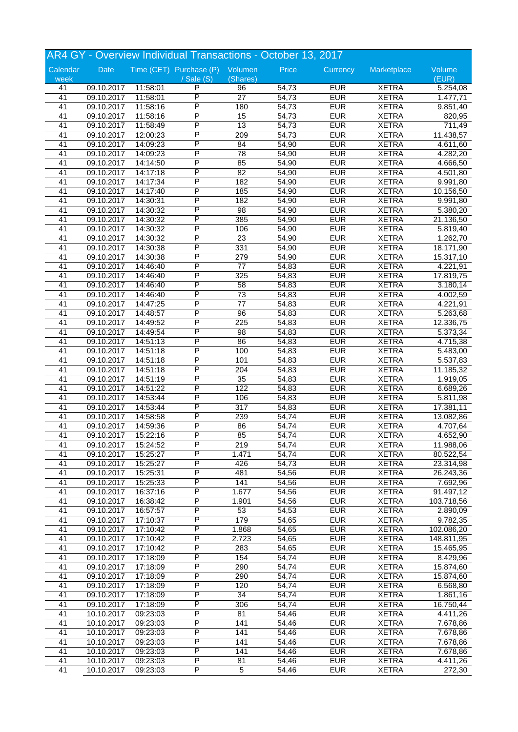| AR4 GY - Overview Individual Transactions - October 13, 2017 |            |          |                                 |                  |       |            |              |                       |  |
|--------------------------------------------------------------|------------|----------|---------------------------------|------------------|-------|------------|--------------|-----------------------|--|
| Calendar                                                     | Date       |          | Time (CET) Purchase (P) Volumen |                  | Price | Currency   | Marketplace  | Volume                |  |
| week                                                         |            |          | $\sqrt{$ Sale (S)               | (Shares)         |       |            |              | (EUR)                 |  |
| 41                                                           | 09.10.2017 | 11:58:01 | P                               | 96               | 54,73 | <b>EUR</b> | <b>XETRA</b> | 5.254,08              |  |
| 41                                                           | 09.10.2017 | 11:58:01 | P                               | $\overline{27}$  | 54,73 | <b>EUR</b> | <b>XETRA</b> | 1.477,71              |  |
| 41                                                           | 09.10.2017 | 11:58:16 | P                               | 180              | 54,73 | <b>EUR</b> | <b>XETRA</b> | 9.851,40              |  |
| 41                                                           | 09.10.2017 | 11:58:16 | P                               | 15               | 54,73 | <b>EUR</b> | <b>XETRA</b> | 820,95                |  |
| 41                                                           | 09.10.2017 | 11:58:49 | Ρ                               | 13               | 54,73 | <b>EUR</b> | <b>XETRA</b> | 711,49                |  |
| 41                                                           | 09.10.2017 | 12:00:23 | P                               | 209              | 54,73 | <b>EUR</b> | <b>XETRA</b> | 11.438,57             |  |
| 41                                                           | 09.10.2017 | 14:09:23 | P                               | 84               | 54,90 | <b>EUR</b> | <b>XETRA</b> | 4.611,60              |  |
| 41                                                           | 09.10.2017 | 14:09:23 | P                               | $\overline{78}$  | 54,90 | <b>EUR</b> | <b>XETRA</b> | 4.282,20              |  |
| 41                                                           | 09.10.2017 | 14:14:50 | P                               | 85               | 54,90 | <b>EUR</b> | <b>XETRA</b> | 4.666,50              |  |
| 41                                                           | 09.10.2017 | 14:17:18 | P                               | 82               | 54,90 | <b>EUR</b> | <b>XETRA</b> | 4.501,80              |  |
| 41                                                           | 09.10.2017 | 14:17:34 | P                               | 182              | 54,90 | <b>EUR</b> | <b>XETRA</b> | 9.991,80              |  |
| 41                                                           | 09.10.2017 | 14:17:40 | P                               | 185              | 54,90 | <b>EUR</b> | <b>XETRA</b> | 10.156,50             |  |
| 41                                                           | 09.10.2017 | 14:30:31 | P                               | 182              | 54,90 | <b>EUR</b> | <b>XETRA</b> | 9.991,80              |  |
| 41                                                           | 09.10.2017 | 14:30:32 | P                               | 98               | 54,90 | <b>EUR</b> | <b>XETRA</b> | 5.380,20              |  |
| 41                                                           | 09.10.2017 | 14:30:32 | P                               | 385              | 54,90 | <b>EUR</b> | <b>XETRA</b> | 21.136,50             |  |
| 41                                                           | 09.10.2017 | 14:30:32 | P                               | 106              | 54,90 | <b>EUR</b> | <b>XETRA</b> | 5.819,40              |  |
| 41                                                           | 09.10.2017 | 14:30:32 | P                               | $\overline{23}$  | 54,90 | <b>EUR</b> | <b>XETRA</b> | 1.262,70              |  |
| 41                                                           | 09.10.2017 | 14:30:38 | P                               | 331              | 54,90 | <b>EUR</b> | <b>XETRA</b> | 18.171,90             |  |
| 41                                                           | 09.10.2017 | 14:30:38 | P                               | 279              | 54,90 | <b>EUR</b> | <b>XETRA</b> | 15.317,10             |  |
| 41                                                           | 09.10.2017 | 14:46:40 | P                               | 77               | 54,83 | <b>EUR</b> | <b>XETRA</b> | 4.221,91              |  |
| 41                                                           | 09.10.2017 | 14:46:40 | P                               | $\overline{325}$ | 54,83 | <b>EUR</b> | <b>XETRA</b> | 17.819,75             |  |
| 41                                                           | 09.10.2017 | 14:46:40 | P                               | 58               | 54,83 | <b>EUR</b> | <b>XETRA</b> | 3.180,14              |  |
| 41                                                           | 09.10.2017 | 14:46:40 | P                               | $\overline{73}$  | 54,83 | <b>EUR</b> | <b>XETRA</b> | 4.002,59              |  |
| 41                                                           | 09.10.2017 | 14:47:25 | P                               | $\overline{77}$  | 54,83 | <b>EUR</b> | <b>XETRA</b> | 4.221,91              |  |
| 41                                                           | 09.10.2017 | 14:48:57 | P                               | 96               | 54,83 | <b>EUR</b> | <b>XETRA</b> | 5.263,68              |  |
| 41                                                           | 09.10.2017 | 14:49:52 | Ρ                               | 225              | 54,83 | <b>EUR</b> | <b>XETRA</b> | 12.336,75             |  |
| 41                                                           | 09.10.2017 | 14:49:54 | P                               | 98               | 54,83 | <b>EUR</b> | <b>XETRA</b> | 5.373,34              |  |
| 41                                                           | 09.10.2017 | 14:51:13 | P                               | 86               | 54,83 | <b>EUR</b> | <b>XETRA</b> | 4.715,38              |  |
| 41                                                           | 09.10.2017 |          | P                               | 100              | 54,83 | <b>EUR</b> | <b>XETRA</b> | $\overline{5.483,00}$ |  |
|                                                              |            | 14:51:18 | P                               |                  |       |            |              |                       |  |
| 41                                                           | 09.10.2017 | 14:51:18 | P                               | 101              | 54,83 | <b>EUR</b> | <b>XETRA</b> | 5.537,83              |  |
| 41                                                           | 09.10.2017 | 14:51:18 |                                 | 204              | 54,83 | <b>EUR</b> | <b>XETRA</b> | 11.185,32             |  |
| 41                                                           | 09.10.2017 | 14:51:19 | P                               | 35               | 54,83 | <b>EUR</b> | <b>XETRA</b> | 1.919,05              |  |
| 41                                                           | 09.10.2017 | 14:51:22 | P                               | 122              | 54,83 | <b>EUR</b> | <b>XETRA</b> | 6.689,26              |  |
| 41                                                           | 09.10.2017 | 14:53:44 | P                               | 106              | 54,83 | <b>EUR</b> | <b>XETRA</b> | 5.811,98              |  |
| 41                                                           | 09.10.2017 | 14:53:44 | Ρ                               | 317              | 54,83 | <b>EUR</b> | <b>XETRA</b> | 17.381,11             |  |
| 41                                                           | 09.10.2017 | 14:58:58 | P                               | 239              | 54,74 | <b>EUR</b> | <b>XETRA</b> | 13.082,86             |  |
| 41                                                           | 09.10.2017 | 14:59:36 | P                               | 86               | 54,74 | <b>EUR</b> | <b>XETRA</b> | 4.707,64              |  |
| 41                                                           | 09.10.2017 | 15:22:16 | P                               | 85               | 54,74 | <b>EUR</b> | <b>XETRA</b> | 4.652,90              |  |
| 41                                                           | 09.10.2017 | 15:24:52 | P                               | 219              | 54,74 | <b>EUR</b> | <b>XETRA</b> | 11.988,06             |  |
| 41                                                           | 09.10.2017 | 15:25:27 | P                               | 1.471            | 54,74 | <b>EUR</b> | <b>XETRA</b> | 80.522,54             |  |
| 41                                                           | 09.10.2017 | 15:25:27 | P                               | 426              | 54,73 | <b>EUR</b> | <b>XETRA</b> | 23.314,98             |  |
| 41                                                           | 09.10.2017 | 15:25:31 | P                               | 481              | 54,56 | <b>EUR</b> | <b>XETRA</b> | 26.243,36             |  |
| 41                                                           | 09.10.2017 | 15:25:33 | P                               | 141              | 54,56 | <b>EUR</b> | <b>XETRA</b> | 7.692,96              |  |
| 41                                                           | 09.10.2017 | 16:37:16 | Ρ                               | 1.677            | 54,56 | <b>EUR</b> | <b>XETRA</b> | 91.497,12             |  |
| 41                                                           | 09.10.2017 | 16:38:42 | Ρ                               | 1.901            | 54,56 | <b>EUR</b> | <b>XETRA</b> | 103.718,56            |  |
| 41                                                           | 09.10.2017 | 16:57:57 | Ρ                               | 53               | 54,53 | <b>EUR</b> | <b>XETRA</b> | 2.890,09              |  |
| 41                                                           | 09.10.2017 | 17:10:37 | Ρ                               | 179              | 54,65 | <b>EUR</b> | <b>XETRA</b> | 9.782,35              |  |
| 41                                                           | 09.10.2017 | 17:10:42 | Ρ                               | 1.868            | 54,65 | <b>EUR</b> | <b>XETRA</b> | 102.086,20            |  |
| 41                                                           | 09.10.2017 | 17:10:42 | Ρ                               | 2.723            | 54,65 | <b>EUR</b> | <b>XETRA</b> | 148.811,95            |  |
| 41                                                           | 09.10.2017 | 17:10:42 | Ρ                               | 283              | 54,65 | <b>EUR</b> | <b>XETRA</b> | 15.465,95             |  |
| 41                                                           | 09.10.2017 | 17:18:09 | Ρ                               | 154              | 54,74 | <b>EUR</b> | <b>XETRA</b> | 8.429,96              |  |
| 41                                                           | 09.10.2017 | 17:18:09 | P                               | 290              | 54,74 | <b>EUR</b> | <b>XETRA</b> | 15.874,60             |  |
| 41                                                           | 09.10.2017 | 17:18:09 | Ρ                               | 290              | 54,74 | <b>EUR</b> | <b>XETRA</b> | 15.874,60             |  |
| 41                                                           | 09.10.2017 | 17:18:09 | Ρ                               | 120              | 54,74 | <b>EUR</b> | <b>XETRA</b> | 6.568,80              |  |
| 41                                                           | 09.10.2017 | 17:18:09 | Ρ                               | 34               | 54,74 | <b>EUR</b> | <b>XETRA</b> | 1.861,16              |  |
| 41                                                           | 09.10.2017 | 17:18:09 | Ρ                               | 306              | 54,74 | <b>EUR</b> | <b>XETRA</b> | 16.750,44             |  |
| 41                                                           | 10.10.2017 | 09:23:03 | P                               | 81               | 54,46 | <b>EUR</b> | <b>XETRA</b> | 4.411,26              |  |
| 41                                                           | 10.10.2017 | 09:23:03 | P                               | 141              | 54,46 | <b>EUR</b> | <b>XETRA</b> | 7.678,86              |  |
| 41                                                           | 10.10.2017 | 09:23:03 | Ρ                               | 141              | 54,46 | <b>EUR</b> | <b>XETRA</b> | 7.678,86              |  |
| 41                                                           | 10.10.2017 | 09:23:03 | Ρ                               | 141              | 54,46 | <b>EUR</b> | <b>XETRA</b> | 7.678,86              |  |
| 41                                                           | 10.10.2017 | 09:23:03 | P                               | 141              | 54,46 | <b>EUR</b> | <b>XETRA</b> | 7.678,86              |  |
| 41                                                           | 10.10.2017 | 09:23:03 | P                               | 81               | 54,46 | <b>EUR</b> | <b>XETRA</b> | 4.411,26              |  |
| 41                                                           | 10.10.2017 | 09:23:03 | P                               | $\overline{5}$   | 54,46 | <b>EUR</b> | <b>XETRA</b> | 272,30                |  |
|                                                              |            |          |                                 |                  |       |            |              |                       |  |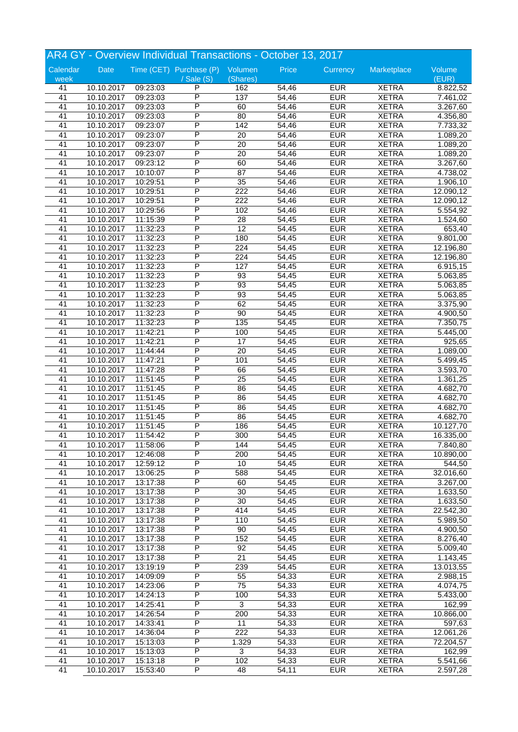|                 |            |          | AR4 GY - Overview Individual Transactions - October 13, 2017 |                  |       |            |              |           |
|-----------------|------------|----------|--------------------------------------------------------------|------------------|-------|------------|--------------|-----------|
| Calendar        | Date       |          | Time (CET) Purchase (P) Volumen                              |                  | Price | Currency   | Marketplace  | Volume    |
| week            |            |          | / Sale (S)                                                   | (Shares)         |       |            |              | (EUR)     |
| 41              | 10.10.2017 | 09:23:03 | P                                                            | 162              | 54,46 | <b>EUR</b> | <b>XETRA</b> | 8.822,52  |
| $\overline{41}$ | 10.10.2017 | 09:23:03 | P                                                            | 137              | 54,46 | <b>EUR</b> | <b>XETRA</b> | 7.461,02  |
| 41              | 10.10.2017 | 09:23:03 | P                                                            | 60               | 54,46 | <b>EUR</b> | <b>XETRA</b> | 3.267,60  |
| $\overline{41}$ | 10.10.2017 | 09:23:03 | P                                                            | 80               | 54,46 | <b>EUR</b> | <b>XETRA</b> | 4.356,80  |
| 41              | 10.10.2017 | 09:23:07 | Ρ                                                            | 142              | 54,46 | <b>EUR</b> | <b>XETRA</b> | 7.733,32  |
| 41              | 10.10.2017 | 09:23:07 | P                                                            | 20               | 54,46 | <b>EUR</b> | <b>XETRA</b> | 1.089,20  |
| 41              | 10.10.2017 | 09:23:07 | P                                                            | $\overline{20}$  | 54,46 | <b>EUR</b> | <b>XETRA</b> | 1.089,20  |
| 41              | 10.10.2017 | 09:23:07 | P                                                            | 20               | 54,46 | <b>EUR</b> | <b>XETRA</b> | 1.089,20  |
| 41              | 10.10.2017 | 09:23:12 | P                                                            | 60               | 54,46 | <b>EUR</b> | <b>XETRA</b> | 3.267,60  |
| 41              | 10.10.2017 | 10:10:07 | P                                                            | 87               | 54,46 | <b>EUR</b> | <b>XETRA</b> | 4.738,02  |
| 41              | 10.10.2017 | 10:29:51 | P                                                            | $\overline{35}$  | 54,46 | <b>EUR</b> | <b>XETRA</b> | 1.906,10  |
| 41              | 10.10.2017 | 10:29:51 | P                                                            | 222              | 54,46 | <b>EUR</b> | <b>XETRA</b> | 12.090,12 |
| 41              | 10.10.2017 | 10:29:51 | P                                                            | 222              | 54,46 | <b>EUR</b> | <b>XETRA</b> | 12.090,12 |
| 41              | 10.10.2017 | 10:29:56 | P                                                            | 102              | 54,46 | <b>EUR</b> | <b>XETRA</b> | 5.554,92  |
| 41              | 10.10.2017 | 11:15:39 | P                                                            | 28               | 54,45 | <b>EUR</b> | <b>XETRA</b> | 1.524,60  |
| 41              | 10.10.2017 | 11:32:23 | P                                                            | $\overline{12}$  | 54,45 | <b>EUR</b> | <b>XETRA</b> | 653,40    |
| 41              | 10.10.2017 | 11:32:23 | P                                                            | 180              | 54,45 | <b>EUR</b> | <b>XETRA</b> |           |
| 41              |            |          | P                                                            | $\overline{224}$ | 54,45 | <b>EUR</b> | <b>XETRA</b> | 9.801,00  |
|                 | 10.10.2017 | 11:32:23 | P                                                            | $\overline{224}$ |       | <b>EUR</b> |              | 12.196,80 |
| 41              | 10.10.2017 | 11:32:23 | P                                                            |                  | 54,45 |            | <b>XETRA</b> | 12.196,80 |
| 41              | 10.10.2017 | 11:32:23 |                                                              | 127              | 54,45 | <b>EUR</b> | <b>XETRA</b> | 6.915,15  |
| 41              | 10.10.2017 | 11:32:23 | P                                                            | 93               | 54,45 | <b>EUR</b> | <b>XETRA</b> | 5.063,85  |
| 41              | 10.10.2017 | 11:32:23 | P                                                            | 93               | 54,45 | <b>EUR</b> | <b>XETRA</b> | 5.063,85  |
| 41              | 10.10.2017 | 11:32:23 | P                                                            | $\overline{93}$  | 54,45 | <b>EUR</b> | <b>XETRA</b> | 5.063,85  |
| $\overline{41}$ | 10.10.2017 | 11:32:23 | P                                                            | 62               | 54,45 | <b>EUR</b> | <b>XETRA</b> | 3.375,90  |
| 41              | 10.10.2017 | 11:32:23 | P                                                            | 90               | 54,45 | <b>EUR</b> | <b>XETRA</b> | 4.900,50  |
| 41              | 10.10.2017 | 11:32:23 | P                                                            | 135              | 54,45 | <b>EUR</b> | <b>XETRA</b> | 7.350,75  |
| 41              | 10.10.2017 | 11:42:21 | P                                                            | 100              | 54,45 | <b>EUR</b> | <b>XETRA</b> | 5.445,00  |
| 41              | 10.10.2017 | 11:42:21 | P                                                            | 17               | 54,45 | <b>EUR</b> | <b>XETRA</b> | 925,65    |
| 41              | 10.10.2017 | 11:44:44 | P                                                            | $\overline{20}$  | 54,45 | <b>EUR</b> | <b>XETRA</b> | 1.089,00  |
| 41              | 10.10.2017 | 11:47:21 | P                                                            | 101              | 54,45 | <b>EUR</b> | <b>XETRA</b> | 5.499,45  |
| 41              | 10.10.2017 | 11:47:28 | P                                                            | 66               | 54,45 | <b>EUR</b> | <b>XETRA</b> | 3.593,70  |
| 41              | 10.10.2017 | 11:51:45 | P                                                            | $\overline{25}$  | 54,45 | <b>EUR</b> | <b>XETRA</b> | 1.361,25  |
| 41              | 10.10.2017 | 11:51:45 | P                                                            | 86               | 54,45 | <b>EUR</b> | <b>XETRA</b> | 4.682,70  |
| 41              | 10.10.2017 | 11:51:45 | P                                                            | 86               | 54,45 | <b>EUR</b> | <b>XETRA</b> | 4.682,70  |
| 41              | 10.10.2017 | 11:51:45 | P                                                            | 86               | 54,45 | <b>EUR</b> | <b>XETRA</b> | 4.682,70  |
| 41              | 10.10.2017 | 11:51:45 | P                                                            | 86               | 54,45 | <b>EUR</b> | <b>XETRA</b> | 4.682,70  |
| 41              | 10.10.2017 | 11:51:45 | P                                                            | 186              | 54,45 | <b>EUR</b> | <b>XETRA</b> | 10.127,70 |
| 41              | 10.10.2017 | 11:54:42 | P                                                            | 300              | 54,45 | <b>EUR</b> | <b>XETRA</b> | 16.335,00 |
| 41              | 10.10.2017 | 11:58:06 | P                                                            | 144              | 54,45 | <b>EUR</b> | <b>XETRA</b> | 7.840,80  |
| 41              | 10.10.2017 | 12:46:08 | P                                                            | 200              | 54,45 | <b>EUR</b> | <b>XETRA</b> | 10.890,00 |
| 41              | 10.10.2017 | 12:59:12 | P                                                            | 10               | 54,45 | <b>EUR</b> | <b>XETRA</b> | 544,50    |
| 41              | 10.10.2017 | 13:06:25 | P                                                            | 588              | 54,45 | <b>EUR</b> | <b>XETRA</b> | 32.016,60 |
| 41              | 10.10.2017 | 13:17:38 | P                                                            | 60               | 54,45 | <b>EUR</b> | <b>XETRA</b> | 3.267,00  |
| 41              | 10.10.2017 | 13:17:38 | Ρ                                                            | 30               | 54,45 | <b>EUR</b> | <b>XETRA</b> | 1.633,50  |
| 41              | 10.10.2017 | 13:17:38 | Ρ                                                            | 30               | 54,45 | <b>EUR</b> | <b>XETRA</b> | 1.633,50  |
| 41              | 10.10.2017 | 13:17:38 | P                                                            | 414              | 54,45 | <b>EUR</b> | <b>XETRA</b> | 22.542,30 |
| 41              | 10.10.2017 | 13:17:38 | P                                                            | $\overline{110}$ | 54,45 | <b>EUR</b> | <b>XETRA</b> | 5.989,50  |
| 41              | 10.10.2017 | 13:17:38 | P                                                            | 90               | 54,45 | <b>EUR</b> | <b>XETRA</b> | 4.900,50  |
| 41              | 10.10.2017 | 13:17:38 | Ρ                                                            | 152              | 54,45 | <b>EUR</b> | <b>XETRA</b> | 8.276,40  |
| 41              | 10.10.2017 | 13:17:38 | Ρ                                                            | 92               | 54,45 | <b>EUR</b> | <b>XETRA</b> | 5.009,40  |
| 41              | 10.10.2017 | 13:17:38 | Ρ                                                            | 21               | 54,45 | <b>EUR</b> | <b>XETRA</b> | 1.143,45  |
| 41              | 10.10.2017 | 13:19:19 | P                                                            | 239              | 54,45 | <b>EUR</b> | <b>XETRA</b> | 13.013,55 |
| 41              | 10.10.2017 | 14:09:09 | P                                                            | $\overline{55}$  | 54,33 | <b>EUR</b> | <b>XETRA</b> | 2.988,15  |
| 41              | 10.10.2017 | 14:23:06 | Ρ                                                            | 75               | 54,33 | <b>EUR</b> | <b>XETRA</b> | 4.074,75  |
| 41              | 10.10.2017 | 14:24:13 | Ρ                                                            | 100              | 54,33 | <b>EUR</b> | <b>XETRA</b> | 5.433,00  |
| 41              | 10.10.2017 | 14:25:41 | Ρ                                                            | 3                | 54,33 | <b>EUR</b> | <b>XETRA</b> |           |
|                 |            |          | P                                                            |                  |       |            |              | 162,99    |
| 41              | 10.10.2017 | 14:26:54 |                                                              | 200              | 54,33 | <b>EUR</b> | <b>XETRA</b> | 10.866,00 |
| 41              | 10.10.2017 | 14:33:41 | P                                                            | 11               | 54,33 | <b>EUR</b> | <b>XETRA</b> | 597,63    |
| 41              | 10.10.2017 | 14:36:04 | Ρ                                                            | 222              | 54,33 | <b>EUR</b> | <b>XETRA</b> | 12.061,26 |
| 41              | 10.10.2017 | 15:13:03 | Ρ                                                            | 1.329            | 54,33 | <b>EUR</b> | <b>XETRA</b> | 72.204,57 |
| 41              | 10.10.2017 | 15:13:03 | Ρ                                                            | 3                | 54,33 | <b>EUR</b> | <b>XETRA</b> | 162,99    |
| 41              | 10.10.2017 | 15:13:18 | Ρ                                                            | 102              | 54,33 | <b>EUR</b> | <b>XETRA</b> | 5.541,66  |
| 41              | 10.10.2017 | 15:53:40 | P                                                            | 48               | 54,11 | <b>EUR</b> | <b>XETRA</b> | 2.597,28  |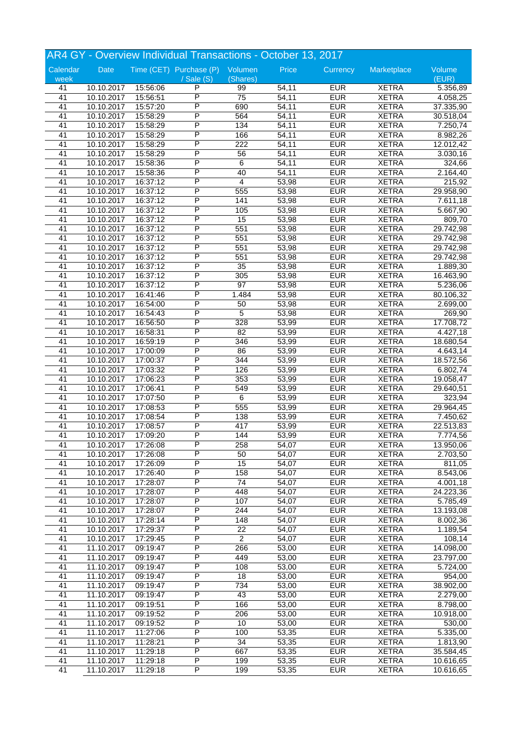| AR4 GY - Overview Individual Transactions - October 13, 2017 |            |          |                                 |                                   |       |            |              |           |  |
|--------------------------------------------------------------|------------|----------|---------------------------------|-----------------------------------|-------|------------|--------------|-----------|--|
| Calendar                                                     | Date       |          | Time (CET) Purchase (P) Volumen |                                   | Price | Currency   | Marketplace  | Volume    |  |
| week                                                         |            |          | $\sqrt{$ Sale (S)               | (Shares)                          |       |            |              | (EUR)     |  |
| 41                                                           | 10.10.2017 | 15:56:06 | P                               | 99                                | 54,11 | <b>EUR</b> | <b>XETRA</b> | 5.356,89  |  |
| 41                                                           | 10.10.2017 | 15:56:51 | P                               | $\overline{75}$                   | 54,11 | <b>EUR</b> | <b>XETRA</b> | 4.058,25  |  |
| 41                                                           | 10.10.2017 | 15:57:20 | P                               | 690                               | 54,11 | <b>EUR</b> | <b>XETRA</b> | 37.335,90 |  |
| 41                                                           | 10.10.2017 | 15:58:29 | P                               | 564                               | 54,11 | <b>EUR</b> | <b>XETRA</b> | 30.518,04 |  |
| 41                                                           | 10.10.2017 | 15:58:29 | P                               | 134                               | 54,11 | <b>EUR</b> | <b>XETRA</b> | 7.250,74  |  |
| 41                                                           | 10.10.2017 | 15:58:29 | P                               | 166                               | 54,11 | <b>EUR</b> | <b>XETRA</b> | 8.982,26  |  |
| 41                                                           | 10.10.2017 | 15:58:29 | P                               | $\overline{222}$                  | 54,11 | <b>EUR</b> | <b>XETRA</b> | 12.012,42 |  |
| 41                                                           | 10.10.2017 | 15:58:29 | P                               | 56                                | 54,11 | <b>EUR</b> | <b>XETRA</b> | 3.030,16  |  |
| 41                                                           | 10.10.2017 | 15:58:36 | P                               | 6                                 | 54,11 | <b>EUR</b> | <b>XETRA</b> | 324,66    |  |
| 41                                                           | 10.10.2017 | 15:58:36 | P                               | 40                                | 54,11 | <b>EUR</b> | <b>XETRA</b> | 2.164,40  |  |
| 41                                                           | 10.10.2017 | 16:37:12 | P                               | $\overline{\mathbf{4}}$           | 53,98 | <b>EUR</b> | <b>XETRA</b> | 215,92    |  |
| 41                                                           | 10.10.2017 | 16:37:12 | P                               | 555                               | 53,98 | <b>EUR</b> | <b>XETRA</b> | 29.958,90 |  |
| 41                                                           | 10.10.2017 | 16:37:12 | P                               | 141                               | 53,98 | <b>EUR</b> | <b>XETRA</b> | 7.611,18  |  |
| 41                                                           | 10.10.2017 | 16:37:12 | P                               | 105                               | 53,98 | <b>EUR</b> | <b>XETRA</b> | 5.667,90  |  |
| 41                                                           | 10.10.2017 | 16:37:12 | P                               | 15                                | 53,98 | <b>EUR</b> | <b>XETRA</b> | 809,70    |  |
| 41                                                           | 10.10.2017 | 16:37:12 | P                               | 551                               | 53,98 | <b>EUR</b> | <b>XETRA</b> | 29.742,98 |  |
| 41                                                           | 10.10.2017 | 16:37:12 | P                               | 551                               | 53,98 | <b>EUR</b> | <b>XETRA</b> | 29.742,98 |  |
| 41                                                           | 10.10.2017 | 16:37:12 | P                               | 551                               | 53,98 | <b>EUR</b> | <b>XETRA</b> | 29.742,98 |  |
| 41                                                           | 10.10.2017 | 16:37:12 | P                               | 551                               | 53,98 | <b>EUR</b> | <b>XETRA</b> | 29.742,98 |  |
| 41                                                           | 10.10.2017 | 16:37:12 | P                               | 35                                | 53,98 | <b>EUR</b> | <b>XETRA</b> | 1.889,30  |  |
| 41                                                           | 10.10.2017 | 16:37:12 | P                               | 305                               | 53,98 | <b>EUR</b> | <b>XETRA</b> | 16.463,90 |  |
| 41                                                           | 10.10.2017 | 16:37:12 | P                               | 97                                | 53,98 | <b>EUR</b> | <b>XETRA</b> | 5.236,06  |  |
| 41                                                           | 10.10.2017 | 16:41:46 | P                               | 1.484                             | 53,98 | <b>EUR</b> | <b>XETRA</b> | 80.106,32 |  |
| 41                                                           | 10.10.2017 | 16:54:00 | P                               | 50                                | 53,98 | <b>EUR</b> | <b>XETRA</b> | 2.699,00  |  |
| 41                                                           | 10.10.2017 | 16:54:43 | P                               | 5                                 | 53,98 | <b>EUR</b> | <b>XETRA</b> | 269,90    |  |
| 41                                                           | 10.10.2017 | 16:56:50 | Ρ                               | 328                               | 53,99 | <b>EUR</b> | <b>XETRA</b> | 17.708,72 |  |
| 41                                                           | 10.10.2017 | 16:58:31 | P                               | 82                                | 53,99 | <b>EUR</b> | <b>XETRA</b> | 4.427,18  |  |
| 41                                                           | 10.10.2017 | 16:59:19 | P                               | 346                               | 53,99 | <b>EUR</b> | <b>XETRA</b> | 18.680,54 |  |
| 41                                                           | 10.10.2017 | 17:00:09 | P                               | 86                                | 53,99 | <b>EUR</b> | <b>XETRA</b> | 4.643,14  |  |
| 41                                                           | 10.10.2017 | 17:00:37 | P                               | 344                               | 53,99 | <b>EUR</b> | <b>XETRA</b> | 18.572,56 |  |
| 41                                                           | 10.10.2017 | 17:03:32 | Ρ                               | 126                               | 53,99 | <b>EUR</b> | <b>XETRA</b> | 6.802,74  |  |
| 41                                                           | 10.10.2017 | 17:06:23 | P                               | 353                               | 53,99 | <b>EUR</b> | <b>XETRA</b> | 19.058,47 |  |
| 41                                                           | 10.10.2017 | 17:06:41 | P                               | 549                               | 53,99 | <b>EUR</b> | <b>XETRA</b> | 29.640,51 |  |
| 41                                                           | 10.10.2017 | 17:07:50 | P                               | $\overline{6}$                    | 53,99 | <b>EUR</b> | <b>XETRA</b> | 323,94    |  |
| 41                                                           | 10.10.2017 | 17:08:53 | P                               | 555                               | 53,99 | <b>EUR</b> | <b>XETRA</b> | 29.964,45 |  |
| 41                                                           | 10.10.2017 | 17:08:54 | P                               | 138                               | 53,99 | <b>EUR</b> | <b>XETRA</b> | 7.450,62  |  |
| 41                                                           | 10.10.2017 | 17:08:57 | P                               | 417                               | 53,99 | <b>EUR</b> | <b>XETRA</b> | 22.513,83 |  |
| 41                                                           | 10.10.2017 | 17:09:20 | P                               | 144                               | 53,99 | <b>EUR</b> | <b>XETRA</b> | 7.774,56  |  |
| 41                                                           | 10.10.2017 | 17:26:08 | Ρ                               | 258                               | 54,07 | <b>EUR</b> | <b>XETRA</b> | 13.950,06 |  |
| 41                                                           | 10.10.2017 | 17:26:08 | P                               | 50                                | 54,07 | <b>EUR</b> | <b>XETRA</b> | 2.703,50  |  |
| 41                                                           | 10.10.2017 | 17:26:09 | Ρ                               | 15                                | 54,07 | <b>EUR</b> | <b>XETRA</b> | 811,05    |  |
| 41                                                           | 10.10.2017 | 17:26:40 | P                               | 158                               | 54,07 | <b>EUR</b> | <b>XETRA</b> | 8.543,06  |  |
| 41                                                           | 10.10.2017 | 17:28:07 | P                               | $\overline{74}$                   | 54,07 | <b>EUR</b> | <b>XETRA</b> | 4.001,18  |  |
| 41                                                           | 10.10.2017 | 17:28:07 | Ρ                               | 448                               | 54,07 | <b>EUR</b> | <b>XETRA</b> | 24.223,36 |  |
| 41                                                           | 10.10.2017 | 17:28:07 | Ρ                               | 107                               | 54,07 | <b>EUR</b> | <b>XETRA</b> | 5.785,49  |  |
| 41                                                           | 10.10.2017 | 17:28:07 | Ρ                               | 244                               | 54,07 | <b>EUR</b> | <b>XETRA</b> |           |  |
|                                                              |            |          | P                               |                                   |       | <b>EUR</b> | <b>XETRA</b> | 13.193,08 |  |
| 41                                                           | 10.10.2017 | 17:28:14 | P                               | 148                               | 54,07 |            |              | 8.002,36  |  |
| 41                                                           | 10.10.2017 | 17:29:37 |                                 | $\overline{22}$<br>$\overline{2}$ | 54,07 | <b>EUR</b> | <b>XETRA</b> | 1.189,54  |  |
| 41                                                           | 10.10.2017 | 17:29:45 | Ρ                               |                                   | 54,07 | <b>EUR</b> | <b>XETRA</b> | 108,14    |  |
| 41                                                           | 11.10.2017 | 09:19:47 | Ρ                               | 266                               | 53,00 | <b>EUR</b> | <b>XETRA</b> | 14.098,00 |  |
| 41                                                           | 11.10.2017 | 09:19:47 | P                               | 449                               | 53,00 | <b>EUR</b> | <b>XETRA</b> | 23.797,00 |  |
| 41                                                           | 11.10.2017 | 09:19:47 | P                               | 108                               | 53,00 | <b>EUR</b> | <b>XETRA</b> | 5.724,00  |  |
| 41                                                           | 11.10.2017 | 09:19:47 | P                               | $\overline{18}$                   | 53,00 | <b>EUR</b> | <b>XETRA</b> | 954,00    |  |
| 41                                                           | 11.10.2017 | 09:19:47 | Ρ                               | 734                               | 53,00 | <b>EUR</b> | <b>XETRA</b> | 38.902,00 |  |
| 41                                                           | 11.10.2017 | 09:19:47 | Ρ                               | 43                                | 53,00 | <b>EUR</b> | <b>XETRA</b> | 2.279,00  |  |
| 41                                                           | 11.10.2017 | 09:19:51 | P                               | 166                               | 53,00 | <b>EUR</b> | <b>XETRA</b> | 8.798,00  |  |
| 41                                                           | 11.10.2017 | 09:19:52 | P                               | 206                               | 53,00 | <b>EUR</b> | <b>XETRA</b> | 10.918,00 |  |
| 41                                                           | 11.10.2017 | 09:19:52 | P                               | 10                                | 53,00 | <b>EUR</b> | <b>XETRA</b> | 530,00    |  |
| 41                                                           | 11.10.2017 | 11:27:06 | P                               | 100                               | 53,35 | <b>EUR</b> | <b>XETRA</b> | 5.335,00  |  |
| 41                                                           | 11.10.2017 | 11:28:21 | Ρ                               | 34                                | 53,35 | <b>EUR</b> | <b>XETRA</b> | 1.813,90  |  |
| 41                                                           | 11.10.2017 | 11:29:18 | P                               | 667                               | 53,35 | <b>EUR</b> | <b>XETRA</b> | 35.584,45 |  |
| 41                                                           | 11.10.2017 | 11:29:18 | P                               | 199                               | 53,35 | <b>EUR</b> | <b>XETRA</b> | 10.616,65 |  |
| 41                                                           | 11.10.2017 | 11:29:18 | P                               | 199                               | 53,35 | <b>EUR</b> | <b>XETRA</b> | 10.616,65 |  |